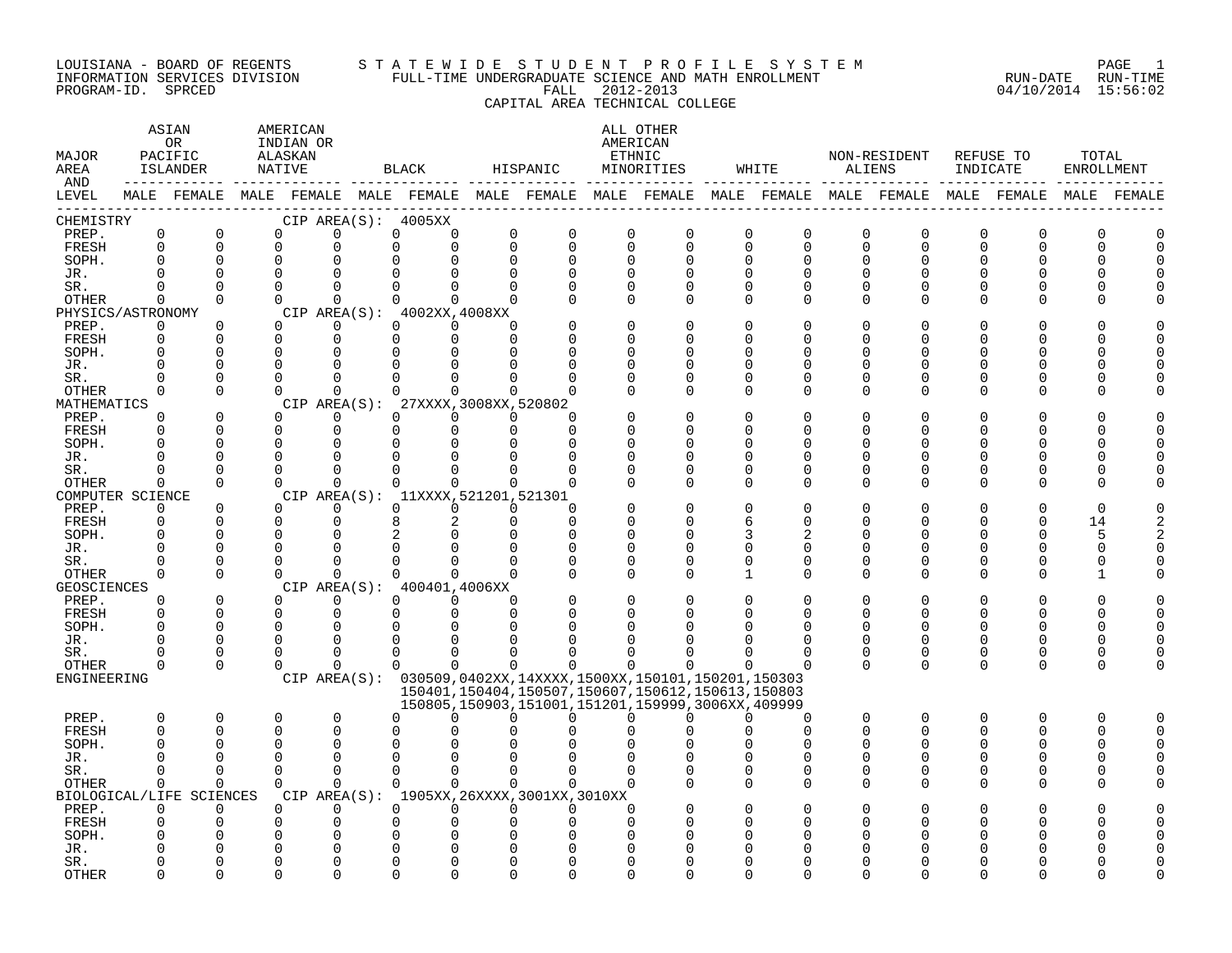#### LOUISIANA - BOARD OF REGENTS S T A T E W I D E S T U D E N T P R O F I L E S Y S T E M PAGE 1 INFORMATION SERVICES DIVISION FULL-TIME UNDERGRADUATE SCIENCE AND MATH ENROLLMENT RUN-DATE RUN-TIME PROGRAM-ID. SPRCED FALL 2012-2013 04/10/2014 15:56:02 CAPITAL AREA TECHNICAL COLLEGE

#### ASTAN AMERICAN ANG ANG ANG ASTANG ANG ASTANG ALL OTHER OR INDIAN OR **INDIAN OR** AMERICAN MAJOR PACIFIC ALASKAN ETHNIC NON-RESIDENT REFUSE TO TOTAL AREA ISLANDER NATIVE BLACK HISPANIC MINORITIES WHITE ALIENS INDICATE ENROLLMENT AND ------------ ------------- ------------- ------------- ------------- ------------- ------------- ------------- ------------- LEVEL MALE FEMALE MALE FEMALE MALE FEMALE MALE FEMALE MALE FEMALE MALE FEMALE MALE FEMALE MALE FEMALE MALE FEMALE ------------------------------------------------------------------------------------------------------------------------------------ CHEMISTRY CIP AREA(S): 4005XX PREP. 0 0 0 0 0 0 0 0 0 0 0 0 0 0 0 0 0 0 FRESH 0 0 0 0 0 0 0 0 0 0 0 0 0 0 0 0 0 0 SOPH. 0 0 0 0 0 0 0 0 0 0 0 0 0 0 0 0 0 0 JR. 0 0 0 0 0 0 0 0 0 0 0 0 0 0 0 0 0 0 SR. 0 0 0 0 0 0 0 0 0 0 0 0 0 0 0 0 0 0 OTHER 0 0 0 0 0 0 0 0 0 0 0 0 0 0 0 0 0 0 PHYSICS/ASTRONOMY CIP AREA(S): 4002XX,4008XX<br>
PREP. 0 0 0 0 0 0 0 PREP. 0 0 0 0 0 0 0 0 0 0 0 0 0 0 0 0 0 0 FRESH 0 0 0 0 0 0 0 0 0 0 0 0 0 0 0 0 0 0 SOPH. 0 0 0 0 0 0 0 0 0 0 0 0 0 0 0 0 0 0 JR. 0 0 0 0 0 0 0 0 0 0 0 0 0 0 0 0 0 0 SR. 0 0 0 0 0 0 0 0 0 0 0 0 0 0 0 0 0 0 OTHER 0 0 0 0 0 0 0 0 0 0 0 0 0 0 0 0 0 0 MATHEMATICS CIP AREA(S): 27XXXX,3008XX,520802<br>
PREP. 0 0 0 0 0 0 0 PREP. 0 0 0 0 0 0 0 0 0 0 0 0 0 0 0 0 0 0 FRESH 0 0 0 0 0 0 0 0 0 0 0 0 0 0 0 0 0 0 SOPH. 0 0 0 0 0 0 0 0 0 0 0 0 0 0 0 0 0 0 JR. 0 0 0 0 0 0 0 0 0 0 0 0 0 0 0 0 0 0 SR. 0 0 0 0 0 0 0 0 0 0 0 0 0 0 0 0 0 0 OTHER 0 0 0 0 0 0 0 0 0 0 0 0 0 0 0 0 0 0 COMPUTER SCIENCE CIP AREA(S): 11XXXX,521201,521301<br>
PREP. 0 0 0 0 0 0 0 PREP. 0 0 0 0 0 0 0 0 0 0 0 0 0 0 0 0 0 0 FRESH 0 0 0 0 8 2 0 0 0 0 6 0 0 0 0 0 14 2 SOPH. 0 0 0 0 2 0 0 0 0 0 3 2 0 0 0 0 5 2 JR. 0 0 0 0 0 0 0 0 0 0 0 0 0 0 0 0 0 0 SR. 0 0 0 0 0 0 0 0 0 0 0 0 0 0 0 0 0 0 OTHER 0 0 0 0 0 0 0 0 0 0 1 0 0 0 0 0 1 0 GEOSCIENCES CIPAREA(S): 400401,4006XX<br>
PREP. 0 0 0 0 0 0 PREP. 0 0 0 0 0 0 0 0 0 0 0 0 0 0 0 0 0 0 FRESH 0 0 0 0 0 0 0 0 0 0 0 0 0 0 0 0 0 0 SOPH. 0 0 0 0 0 0 0 0 0 0 0 0 0 0 0 0 0 0 JR. 0 0 0 0 0 0 0 0 0 0 0 0 0 0 0 0 0 0 SR. 0 0 0 0 0 0 0 0 0 0 0 0 0 0 0 0 0 0 OTHER 0 0 0 0 0 0 0 0 0 0 0 0 0 0 0 0 0 0 ENGINEERING CIP AREA(S): 030509,0402XX,14XXXX,1500XX,150101,150201,150303 150401,150404,150507,150607,150612,150613,150803 150805,150903,151001,151201,159999,3006XX,409999 PREP. 0 0 0 0 0 0 0 0 0 0 0 0 0 0 0 0 0 0 FRESH 0 0 0 0 0 0 0 0 0 0 0 0 0 0 0 0 0 0 SOPH. 0 0 0 0 0 0 0 0 0 0 0 0 0 0 0 0 0 0 JR. 0 0 0 0 0 0 0 0 0 0 0 0 0 0 0 0 0 0 SR. 0 0 0 0 0 0 0 0 0 0 0 0 0 0 0 0 0 0 OTHER 0 0 0 0 0 0 0 0 0 0 0 0 0 0 0 0 0 0 BIOLOGICAL/LIFE SCIENCES CIP AREA(S): 1905XX,26XXXX,3001XX,3010XX PREP. 0 0 0 0 0 0 0 0 0 0 0 0 0 0 0 0 0 0 FRESH 0 0 0 0 0 0 0 0 0 0 0 0 0 0 0 0 0 0 SOPH. 0 0 0 0 0 0 0 0 0 0 0 0 0 0 0 0 0 0 JR. 0 0 0 0 0 0 0 0 0 0 0 0 0 0 0 0 0 0 SR. 0 0 0 0 0 0 0 0 0 0 0 0 0 0 0 0 0 0

OTHER 0 0 0 0 0 0 0 0 0 0 0 0 0 0 0 0 0 0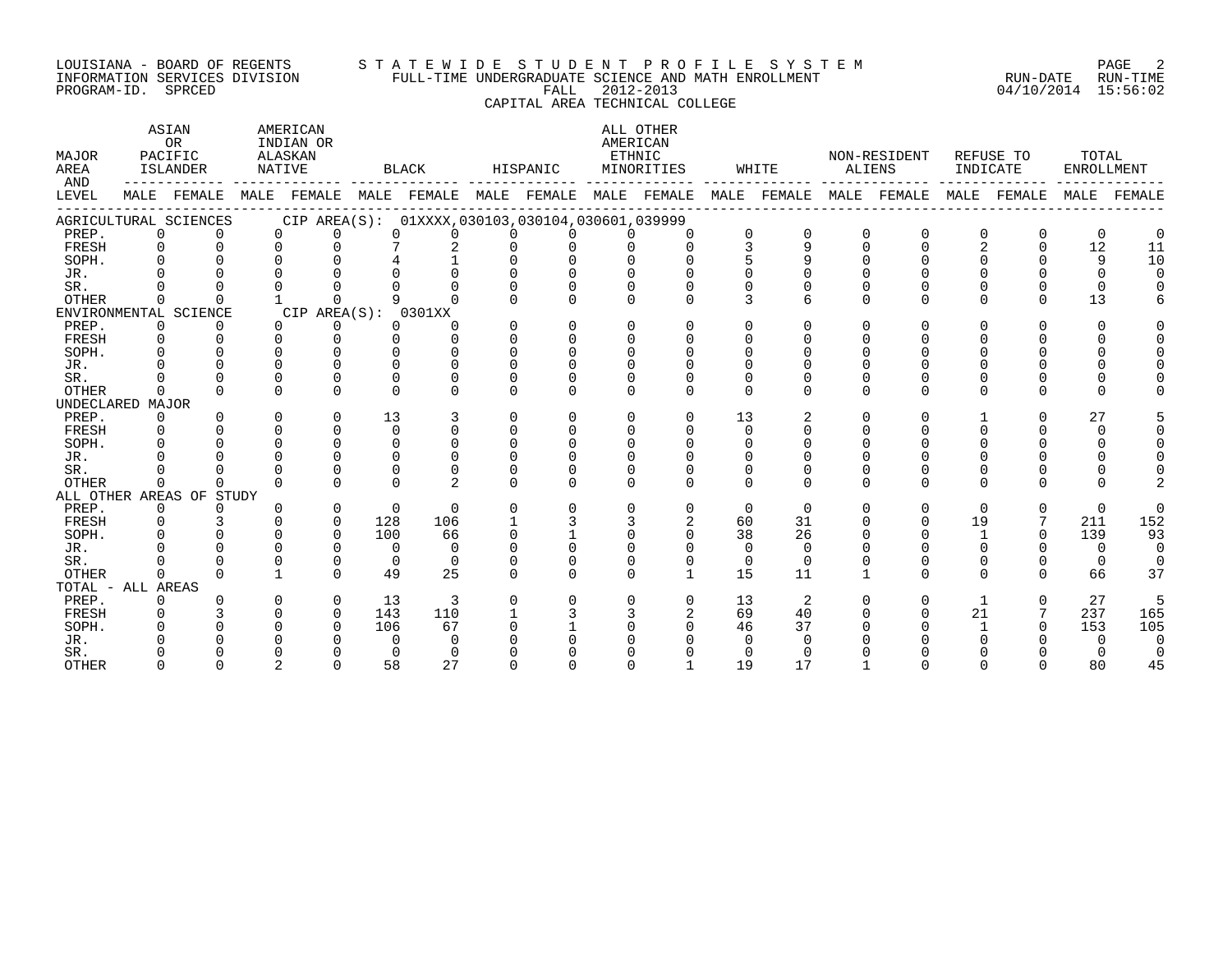#### LOUISIANA - BOARD OF REGENTS S T A T E W I D E S T U D E N T P R O F I L E S Y S T E M PAGE 2 INFORMATION SERVICES DIVISION FULL-TIME UNDERGRADUATE SCIENCE AND MATH ENROLLMENT RUN-DATE RUN-TIME PROGRAM-ID. SPRCED FALL 2012-2013 04/10/2014 15:56:02

CAPITAL AREA TECHNICAL COLLEGE

| MAJOR<br>AREA<br>AND |              | ASIAN<br>OR<br>PACIFIC<br>ISLANDER |          | AMERICAN<br>INDIAN OR<br>ALASKAN<br>NATIVE |     | BLACK                                                                   |              | HISPANIC |              | ALL OTHER<br>AMERICAN<br>ETHNIC<br>MINORITIES |          | WHITE        | ALIENS   | NON-RESIDENT | INDICATE     | REFUSE TO    | TOTAL<br><b>ENROLLMENT</b> |          |
|----------------------|--------------|------------------------------------|----------|--------------------------------------------|-----|-------------------------------------------------------------------------|--------------|----------|--------------|-----------------------------------------------|----------|--------------|----------|--------------|--------------|--------------|----------------------------|----------|
| LEVEL                |              | MALE FEMALE                        |          |                                            |     | MALE FEMALE MALE FEMALE MALE FEMALE MALE FEMALE MALE FEMALE MALE FEMALE |              |          |              |                                               |          |              |          |              | MALE         | FEMALE       | MALE                       | FEMALE   |
|                      |              | AGRICULTURAL SCIENCES              |          |                                            |     | CIP AREA(S): 01XXXX,030103,030104,030601,039999                         |              |          |              |                                               |          |              |          |              |              |              |                            |          |
| PREP.                | $\Omega$     | $\Omega$                           |          | $\mathbf 0$<br>$\Omega$                    |     | $\Omega$<br>$\Omega$                                                    | $\Omega$     |          |              | $\Omega$                                      | 0        |              | $\Omega$ | $\Omega$     | $\Omega$     | 0            | $\Omega$                   |          |
| FRESH                | $\Omega$     | $\Omega$                           |          | $\Omega$<br>$\Omega$                       |     | 7<br>2                                                                  | $\Omega$     |          | $\Omega$     | $\Omega$                                      | 3        | $\mathsf{Q}$ | $\Omega$ | $\Omega$     | 2            | $\Omega$     | 12                         | 11       |
| SOPH.                | $\Omega$     |                                    |          |                                            |     |                                                                         |              |          |              |                                               |          |              |          |              |              |              | 9                          | 10       |
| JR.                  |              |                                    |          |                                            |     |                                                                         |              |          |              |                                               |          |              |          |              |              |              | $\Omega$                   |          |
| SR.                  |              |                                    |          |                                            |     |                                                                         |              |          |              |                                               |          |              |          |              |              |              |                            |          |
| <b>OTHER</b>         | $\Omega$     | $\cap$                             |          | $\cap$                                     |     |                                                                         |              |          | $\cap$       |                                               |          |              | $\cap$   | $\cap$       | <sup>n</sup> | $\Omega$     | 13                         |          |
|                      |              | ENVIRONMENTAL SCIENCE              |          | CIP AREA(S): 0301XX                        |     |                                                                         |              |          |              |                                               |          |              |          |              |              |              |                            |          |
| PREP.                | $\mathbf 0$  | $\Omega$                           |          | $\Omega$<br>0                              |     | $\Omega$<br>U                                                           | $\Omega$     | $\Omega$ | $\Omega$     | $\Omega$                                      | $\Omega$ | $\Omega$     | $\Omega$ | $\Omega$     | 0            | $\Omega$     | <sup>n</sup>               |          |
| FRESH                | $\Omega$     | $\Omega$                           |          | $\cap$<br>$\Omega$                         |     | $\Omega$<br><sup>n</sup>                                                | $\Omega$     | $\Omega$ | $\Omega$     |                                               | ∩        |              | $\cap$   |              |              |              |                            |          |
| SOPH.                | $\cap$       | $\Omega$                           | $\cap$   | $\cap$                                     |     | $\Omega$<br>U                                                           | $\cap$       | $\Omega$ | $\cap$       |                                               | ∩        |              |          |              |              |              |                            |          |
| JR.                  |              |                                    | U        | ∩                                          |     | $\cap$                                                                  |              |          |              |                                               |          |              |          |              |              |              |                            |          |
| SR.                  |              | $\cap$                             |          | $\Omega$                                   |     | 0                                                                       |              |          | <sup>0</sup> |                                               | $\cap$   |              |          |              |              |              |                            |          |
| <b>OTHER</b>         | $\cap$       | $\Omega$                           | $\Omega$ | $\cap$                                     |     | $\cap$<br><sup>n</sup>                                                  | <sup>n</sup> | $\Omega$ | $\cap$       | U                                             | $\Omega$ | $\Omega$     | $\Omega$ | $\Omega$     | 0            | <sup>n</sup> |                            |          |
| UNDECLARED MAJOR     |              |                                    |          |                                            |     |                                                                         |              |          |              |                                               |          |              |          |              |              |              |                            |          |
| PREP.                | $\Omega$     | $\cap$                             | $\Omega$ | $\Omega$                                   | 13  | 3                                                                       | $\Omega$     | $\Omega$ | $\Omega$     | $\Omega$                                      | 13       | 2            | $\Omega$ | $\cap$       |              | $\Omega$     | 27                         |          |
| FRESH                | $\Omega$     |                                    | $\Omega$ | $\Omega$                                   |     | $\Omega$<br>$\Omega$                                                    | $\Omega$     | $\Omega$ | $\Omega$     |                                               | $\Omega$ |              |          |              |              |              | $\Omega$                   |          |
| SOPH.                |              |                                    |          | $\cap$                                     |     | U<br>0                                                                  |              |          |              |                                               |          |              |          |              |              |              |                            |          |
| JR.                  |              |                                    |          | $\cap$                                     |     | U                                                                       |              |          |              |                                               |          |              |          |              |              |              |                            |          |
| SR.                  |              |                                    |          | $\cap$                                     |     | U                                                                       |              |          |              |                                               | $\Omega$ |              |          |              |              |              |                            |          |
| <b>OTHER</b>         | $\Omega$     | $\Omega$                           | $\cap$   | $\cap$                                     |     | 2<br><sup>n</sup>                                                       | <sup>n</sup> | $\Omega$ | $\cap$       | $\cap$                                        | $\cap$   | $\cap$       | $\Omega$ | $\cap$       | $\cap$       | <sup>n</sup> |                            |          |
|                      |              | ALL OTHER AREAS OF STUDY           |          |                                            |     |                                                                         |              |          |              |                                               |          |              |          |              |              |              |                            |          |
| PREP.                | $\mathbf 0$  | $\Omega$                           | $\Omega$ | $\mathbf 0$                                |     | $\Omega$<br>$\Omega$                                                    | $\cap$       | $\Omega$ | $\Omega$     | $\Omega$                                      | $\Omega$ | $\Omega$     | $\Omega$ | $\Omega$     | $\Omega$     | $\Omega$     | $\Omega$                   | $\Omega$ |
| FRESH                | $\Omega$     |                                    |          | $\Omega$                                   | 128 | 106                                                                     |              |          |              | 2                                             | 60       | 31           |          | $\Omega$     | 19           |              | 211                        | 152      |
| SOPH.                |              |                                    |          | $\cap$                                     | 100 | 66                                                                      | $\cap$       |          |              | $\cap$                                        | 38       | 26           |          |              |              | $\cap$       | 139                        | 93       |
| JR.                  |              |                                    |          | $\Omega$                                   |     | $\mathbf 0$<br>$\Omega$                                                 |              |          |              |                                               | $\Omega$ | $\Omega$     |          |              |              | 0            | $\Omega$                   | $\Omega$ |
| SR.                  |              |                                    |          | $\Omega$                                   |     | $\Omega$<br>$\Omega$                                                    |              |          | $\Omega$     | $\Omega$                                      | $\Omega$ | $\Omega$     |          |              | 0            | $\Omega$     | $\Omega$                   |          |
| <b>OTHER</b>         | $\Omega$     | $\Omega$                           |          | $\cap$                                     | 49  | 25                                                                      |              | $\Omega$ | $\Omega$     |                                               | 15       | 11           |          | U            | $\Omega$     | 0            | 66                         | 37       |
| TOTAL - ALL AREAS    |              |                                    |          |                                            |     |                                                                         |              |          |              |                                               |          |              |          |              |              |              |                            |          |
| PREP.                | $\Omega$     |                                    | $\Omega$ | $\Omega$                                   | 13  | 3                                                                       | $\Omega$     | $\Omega$ | $\Omega$     | $\Omega$                                      | 13       | 2            | $\Omega$ | $\Omega$     | 1            | $\Omega$     | 27                         |          |
| FRESH                | $\Omega$     |                                    | $\Omega$ | $\Omega$                                   | 143 | 110                                                                     |              |          |              | 2                                             | 69       | 40           | $\Omega$ | $\Omega$     | 21           |              | 237                        | 165      |
| SOPH.                |              |                                    |          | $\cap$                                     | 106 | 67                                                                      |              |          |              |                                               | 46       | 37           |          |              |              |              | 153                        | 105      |
| JR.                  |              |                                    |          |                                            |     | 0<br>0                                                                  |              |          |              |                                               | n        |              |          |              |              |              | $\Omega$                   | $\Omega$ |
| SR.                  |              |                                    |          |                                            |     | 0<br>0                                                                  |              |          |              |                                               |          |              |          |              |              |              |                            |          |
| <b>OTHER</b>         | <sup>n</sup> | $\Omega$                           |          | $\cap$                                     | 58  | 27                                                                      |              |          |              |                                               | 19       | 17           |          |              |              |              | 80                         | 45       |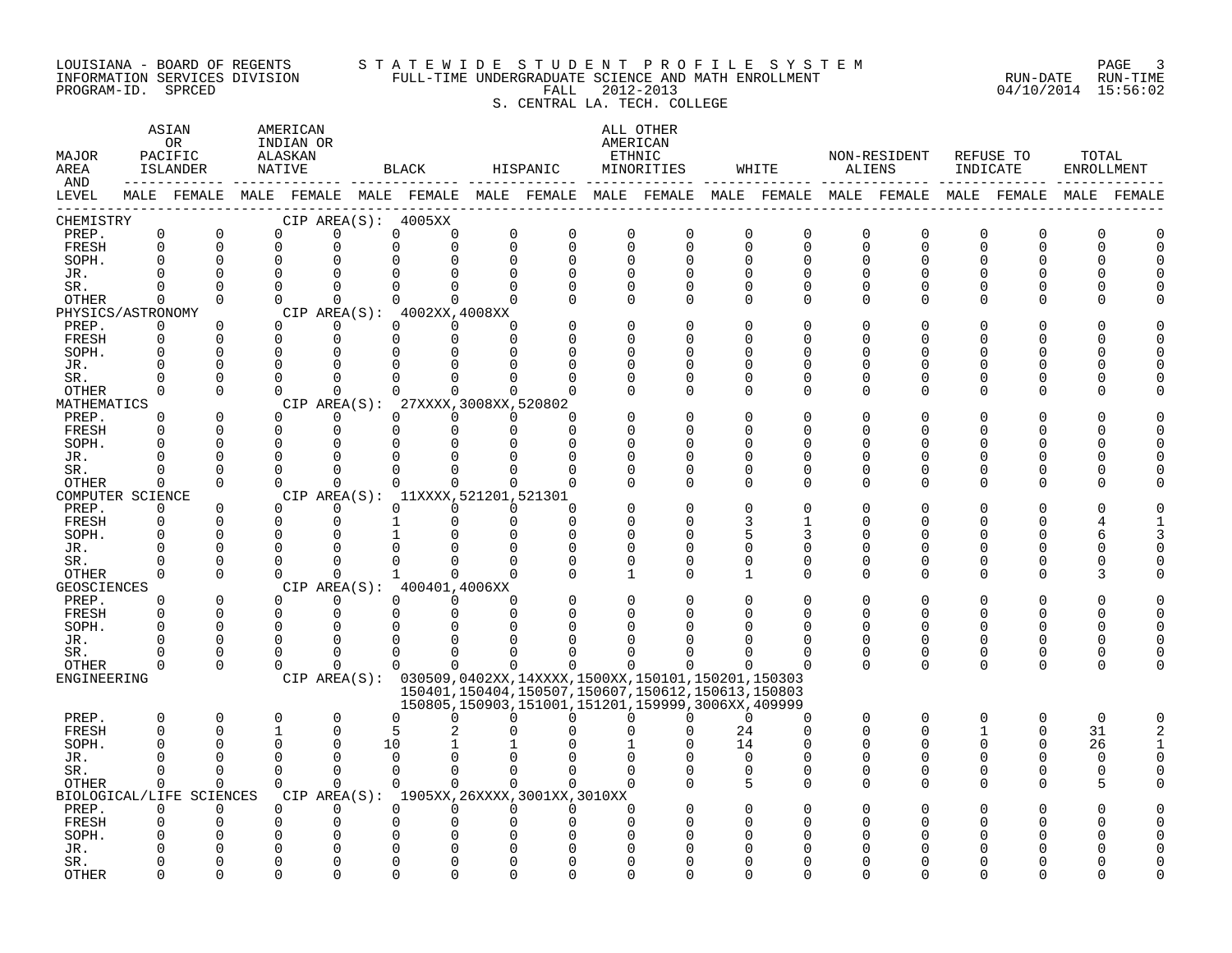#### LOUISIANA - BOARD OF REGENTS S T A T E W I D E S T U D E N T P R O F I L E S Y S T E M PAGE 3 INFORMATION SERVICES DIVISION FULL-TIME UNDERGRADUATE SCIENCE AND MATH ENROLLMENT RUN-DATE RUN-TIME PROGRAM-ID. SPRCED FALL 2012-2013 04/10/2014 15:56:02 S. CENTRAL LA. TECH. COLLEGE

| MAJOR<br>AREA<br>AND |                         | ASIAN<br>0R<br>PACIFIC<br>ISLANDER                                                              | AMERICAN<br>INDIAN OR<br>ALASKAN<br>NATIVE |                         |              | BLACK                                                               | HISPANIC                |               |               | ALL OTHER<br>AMERICAN<br>ETHNIC<br>MINORITIES                                                                    |                      | WHITE                         | ALIENS        | NON-RESIDENT            | REFUSE TO<br>INDICATE   |                      | TOTAL<br>ENROLLMENT |             |
|----------------------|-------------------------|-------------------------------------------------------------------------------------------------|--------------------------------------------|-------------------------|--------------|---------------------------------------------------------------------|-------------------------|---------------|---------------|------------------------------------------------------------------------------------------------------------------|----------------------|-------------------------------|---------------|-------------------------|-------------------------|----------------------|---------------------|-------------|
| LEVEL                |                         | MALE FEMALE MALE FEMALE MALE FEMALE MALE FEMALE MALE FEMALE MALE FEMALE MALE FEMALE MALE FEMALE |                                            |                         |              |                                                                     |                         |               |               |                                                                                                                  |                      |                               |               |                         |                         |                      |                     | MALE FEMALE |
| CHEMISTRY            |                         |                                                                                                 |                                            |                         |              | CIP AREA(S): 4005XX                                                 |                         |               |               |                                                                                                                  |                      |                               |               |                         |                         |                      |                     |             |
| PREP.<br>FRESH       | $\mathsf 0$<br>$\Omega$ | $\mathbf 0$<br>$\Omega$                                                                         | 0<br>$\mathbf 0$                           | $\mathbf 0$<br>0        |              | 0<br>0<br>$\Omega$<br>$\Omega$                                      | $\mathbf 0$<br>$\Omega$ | 0<br>$\Omega$ | $\mathbf 0$   | $\mathbf 0$<br>$\mathbf 0$<br>$\Omega$                                                                           | 0<br>$\Omega$        | $\mathsf 0$<br>$\overline{0}$ | 0<br>0        | $\mathbf 0$<br>$\Omega$ | $\mathbf 0$<br>$\Omega$ | $\Omega$<br>$\Omega$ | 0<br>U              |             |
| SOPH.                | $\Omega$                | $\Omega$                                                                                        | $\mathbf 0$                                | $\Omega$                |              |                                                                     | $\Omega$                | 0             |               | $\Omega$<br>$\Omega$                                                                                             | $\Omega$             | 0                             | O             | 0                       | U                       | O                    |                     |             |
| JR.                  | $\cap$                  | $\Omega$                                                                                        | $\Omega$                                   | $\Omega$                |              |                                                                     |                         |               |               | $\Omega$                                                                                                         | $\Omega$             | $\Omega$                      |               | $\cap$                  |                         |                      |                     |             |
| SR.                  | $\Omega$                | $\Omega$                                                                                        | $\Omega$                                   | $\Omega$                |              | $\Omega$<br>0                                                       | $\Omega$                | $\Omega$      | $\Omega$      | $\Omega$                                                                                                         | $\Omega$             | $\Omega$                      | $\Omega$      | $\Omega$                |                         |                      |                     |             |
| OTHER                | $\Omega$                | $\Omega$                                                                                        | $\Omega$                                   | $\Omega$                |              | $\Omega$<br>$\Omega$                                                | $\Omega$                |               | $\Omega$      | $\Omega$                                                                                                         | $\Omega$             | $\Omega$                      | 0             | $\Omega$                |                         | O                    |                     |             |
| PHYSICS/ASTRONOMY    |                         |                                                                                                 |                                            |                         |              | CIP AREA(S): 4002XX, 4008XX                                         |                         |               |               |                                                                                                                  |                      |                               |               |                         |                         |                      |                     |             |
| PREP.                | 0                       | 0                                                                                               | $\Omega$                                   | 0                       |              | $\Omega$<br>$\Omega$                                                | $\Omega$                |               | $\Omega$      |                                                                                                                  | $\Omega$             | 0                             | O             | O                       |                         |                      |                     |             |
| FRESH                | $\Omega$                | $\Omega$                                                                                        | $\mathbf 0$                                | $\mathbf 0$             |              | $\Omega$<br>$\Omega$                                                | $\Omega$                |               | $\Omega$      |                                                                                                                  | ∩                    | U                             | U             | U                       |                         |                      |                     |             |
| SOPH.                |                         | $\Omega$                                                                                        | $\Omega$                                   | $\Omega$                |              | $\Omega$                                                            |                         |               | $\Omega$      |                                                                                                                  | ∩                    | O                             | U             | U                       |                         |                      |                     |             |
| JR.                  | $\Omega$<br>$\cap$      | $\Omega$<br>$\Omega$                                                                            | $\Omega$<br>$\Omega$                       | $\mathbf 0$<br>$\Omega$ |              |                                                                     |                         |               | C<br>$\Omega$ | U                                                                                                                | $\Omega$<br>$\Omega$ | O<br>O                        | U<br>O        | U<br>U                  |                         | O                    |                     |             |
| SR.<br>OTHER         | $\Omega$                | $\Omega$                                                                                        | $\Omega$                                   | $\Omega$                |              | $\Omega$                                                            | $\Omega$                | U             | $\Omega$      | $\Omega$                                                                                                         | $\Omega$             | $\Omega$                      | $\Omega$      | $\Omega$                |                         | O                    |                     |             |
| MATHEMATICS          |                         |                                                                                                 |                                            |                         | CIP AREA(S): | 27XXXX, 3008XX, 520802                                              |                         |               |               |                                                                                                                  |                      |                               |               |                         |                         |                      |                     |             |
| PREP.                | $\Omega$                | $\Omega$                                                                                        | $\Omega$                                   | $\Omega$                |              | $\Omega$<br>$\Omega$                                                | $\Omega$                | U             |               |                                                                                                                  | $\Omega$             | $\Omega$                      |               |                         |                         |                      |                     |             |
| FRESH                | $\Omega$                | $\Omega$                                                                                        | $\mathbf 0$                                | $\mathbf 0$             |              | $\Omega$<br>$\Omega$                                                | $\Omega$                | $\Omega$      | O             |                                                                                                                  | ∩                    | O                             | U             | U                       |                         | ∩                    |                     |             |
| SOPH.                | ∩                       | $\Omega$                                                                                        | $\Omega$                                   | $\Omega$                |              | $\Omega$                                                            |                         | U             | ∩             |                                                                                                                  | ∩                    | U                             | ∩             | ∩                       |                         | n                    |                     |             |
| JR.                  | $\Omega$                | 0                                                                                               | $\Omega$                                   | $\mathbf 0$             |              | O                                                                   |                         | O             | $\Omega$      | U                                                                                                                | $\Omega$             | O                             | U             | O                       |                         | O                    |                     |             |
| SR.                  | $\Omega$                | $\Omega$                                                                                        | $\Omega$                                   | $\Omega$                |              | $\Omega$<br>$\Omega$                                                |                         |               | $\Omega$      | O                                                                                                                | $\Omega$             | 0                             | O             | 0                       |                         | 0                    |                     |             |
| OTHER                | $\Omega$                | $\Omega$                                                                                        | $\Omega$                                   | $\Omega$                |              | $\Omega$<br>$\Omega$                                                | $\Omega$                | $\Omega$      | $\cap$        | $\Omega$                                                                                                         | $\Omega$             | $\Omega$                      | $\Omega$      | $\Omega$                | ∩                       | ∩                    |                     |             |
| COMPUTER SCIENCE     | $\Omega$                | $\Omega$                                                                                        | $\Omega$                                   | $\Omega$                |              | CIP AREA(S): 11XXXX, 521201, 521301<br>$\Omega$<br>$\Omega$         | $\Omega$                | O             |               |                                                                                                                  | $\Omega$             |                               |               |                         |                         |                      |                     |             |
| PREP.<br>FRESH       | $\Omega$                | $\Omega$                                                                                        | $\Omega$                                   | $\Omega$                |              | $\Omega$                                                            | $\Omega$                | $\Omega$      | $\Omega$      | U                                                                                                                | 3                    | 1                             | U             | 0                       |                         | ∩                    |                     |             |
| SOPH.                | $\Omega$                | $\Omega$                                                                                        | $\Omega$                                   | $\Omega$                |              |                                                                     |                         | $\Omega$      |               | $\Omega$                                                                                                         | 5                    | 3                             |               | U                       |                         |                      |                     |             |
| JR.                  | $\Omega$                | $\Omega$                                                                                        | $\mathbf 0$                                | $\Omega$                |              |                                                                     | ∩                       | $\Omega$      | 0             | U                                                                                                                | $\Omega$             | 0                             | U             | U                       |                         |                      |                     |             |
| SR.                  | $\Omega$                | $\Omega$                                                                                        | $\Omega$                                   | $\Omega$                |              |                                                                     |                         |               |               | $\Omega$<br>U                                                                                                    | $\Omega$             | $\Omega$                      | U             | 0                       |                         | ∩                    |                     |             |
| OTHER                | $\Omega$                | $\Omega$                                                                                        | $\Omega$                                   | $\Omega$                |              | $\mathbf{1}$<br>$\cap$                                              | $\Omega$                |               | 1             | $\cap$                                                                                                           | 1                    | $\Omega$                      | $\Omega$      | 0                       | $\Omega$                | ∩                    |                     |             |
| GEOSCIENCES          |                         |                                                                                                 |                                            |                         |              | CIP AREA(S): 400401,4006XX                                          |                         |               |               |                                                                                                                  |                      |                               |               |                         |                         |                      |                     |             |
| PREP.                | $\Omega$                | $\Omega$                                                                                        | $\Omega$                                   | $\Omega$                |              | $\Omega$<br>$\Omega$                                                | $\Omega$                |               | $\Omega$      |                                                                                                                  | $\Omega$             | $\Omega$                      | U             | O                       |                         |                      |                     |             |
| FRESH                | $\Omega$                | $\Omega$                                                                                        | $\mathbf 0$                                | $\mathbf 0$             |              | 0<br>$\Omega$                                                       | $\Omega$                | $\Omega$      |               | 0                                                                                                                | O                    | $\Omega$                      | $\Omega$      | $\Omega$                | U                       | $\Omega$             | O                   |             |
| SOPH.                | $\Omega$<br>$\Omega$    | $\Omega$<br>$\Omega$                                                                            | $\Omega$<br>$\Omega$                       | $\Omega$<br>$\Omega$    |              | O                                                                   |                         |               |               |                                                                                                                  |                      | O                             |               | 0                       | U                       | ∩                    |                     |             |
| JR.<br>SR.           | <sup>0</sup>            | 0                                                                                               | $\Omega$                                   | $\Omega$                |              | $\Omega$<br><sup>0</sup>                                            |                         |               |               |                                                                                                                  | O                    | 0                             | $\Omega$<br>0 | 0                       | $\Omega$                | 0                    |                     |             |
| OTHER                | $\Omega$                | $\Omega$                                                                                        | $\Omega$                                   | $\Omega$                |              | $\Omega$<br>$\Omega$                                                | $\Omega$                | 0             |               | $\Omega$                                                                                                         | ∩                    | $\Omega$                      | $\Omega$      | $\Omega$                | $\Omega$                | $\Omega$             |                     |             |
| ENGINEERING          |                         |                                                                                                 |                                            |                         |              |                                                                     |                         |               |               | CIP AREA(S): 030509,0402XX,14XXXX,1500XX,150101,150201,150303                                                    |                      |                               |               |                         |                         |                      |                     |             |
|                      |                         |                                                                                                 |                                            |                         |              |                                                                     |                         |               |               | 150401, 150404, 150507, 150607, 150612, 150613, 150803<br>150805, 150903, 151001, 151201, 159999, 3006XX, 409999 |                      |                               |               |                         |                         |                      |                     |             |
| PREP.                | $\Omega$                | 0                                                                                               | $\mathbf 0$                                | $\mathbf 0$             |              | $\Omega$<br>0                                                       | U                       | 0             |               | $\Omega$<br>U                                                                                                    | $\Omega$             | 0                             | 0             | $\mathbf 0$             | 0                       | 0                    | $\mathbf 0$         |             |
| <b>FRESH</b>         | $\Omega$                | $\Omega$                                                                                        | $\mathbf{1}$                               | $\Omega$                |              | 5                                                                   |                         |               |               |                                                                                                                  | 24                   | $\Omega$                      | $\Omega$      | $\Omega$                |                         | $\Omega$             | 31                  |             |
| SOPH.                | $\Omega$                | $\Omega$                                                                                        | $\Omega$                                   | $\Omega$                | 10           |                                                                     |                         |               |               |                                                                                                                  | 14                   | O                             | U             | 0                       |                         | $\Omega$             | 26                  |             |
| JR.                  | $\cap$                  | $\Omega$                                                                                        | $\Omega$                                   | $\Omega$                |              | $\Omega$                                                            |                         |               |               |                                                                                                                  | $\Omega$             | $\Omega$                      | U             | 0                       |                         |                      | $\Omega$            |             |
| SR.                  | $\Omega$                | $\Omega$                                                                                        | $\Omega$                                   | $\Omega$                |              | $\Omega$<br>$\Omega$                                                | $\Omega$                | $\Omega$      | $\Omega$      |                                                                                                                  | $\Omega$             | $\Omega$                      | $\Omega$      | $\Omega$                | U                       | ∩                    | U                   |             |
| OTHER                | $\Omega$                | $\Omega$                                                                                        | $\Omega$                                   | $\Omega$                |              | $\Omega$<br>$\Omega$                                                | $\Omega$                |               |               | $\Omega$                                                                                                         | 5                    | $\Omega$                      | $\Omega$      | $\Omega$                | $\Omega$                | ∩                    |                     |             |
| PREP.                | $\Omega$                | BIOLOGICAL/LIFE SCIENCES<br>$\Omega$                                                            | $\Omega$                                   | $\Omega$                |              | CIP AREA(S): 1905XX, 26XXXX, 3001XX, 3010XX<br>$\Omega$<br>$\Omega$ | $\Omega$                | $\Omega$      | $\Omega$      |                                                                                                                  | $\Omega$             |                               |               |                         |                         |                      |                     |             |
| FRESH                | $\Omega$                | $\Omega$                                                                                        | 0                                          | 0                       | O            |                                                                     |                         |               | $\Omega$      |                                                                                                                  |                      |                               |               |                         |                         |                      |                     |             |
| SOPH.                |                         |                                                                                                 | $\Omega$                                   | $\Omega$                |              |                                                                     |                         |               |               |                                                                                                                  |                      |                               |               |                         |                         |                      |                     |             |
| JR.                  |                         |                                                                                                 | 0                                          | $\Omega$                |              |                                                                     |                         |               |               |                                                                                                                  |                      |                               |               |                         |                         |                      |                     |             |
| SR.                  |                         | U                                                                                               | O                                          | $\Omega$                |              |                                                                     |                         |               |               |                                                                                                                  |                      |                               |               |                         |                         |                      |                     |             |
| <b>OTHER</b>         | ∩                       | $\cap$                                                                                          | $\cap$                                     | $\cap$                  |              |                                                                     |                         | ∩             | ∩             |                                                                                                                  |                      |                               |               |                         |                         |                      |                     |             |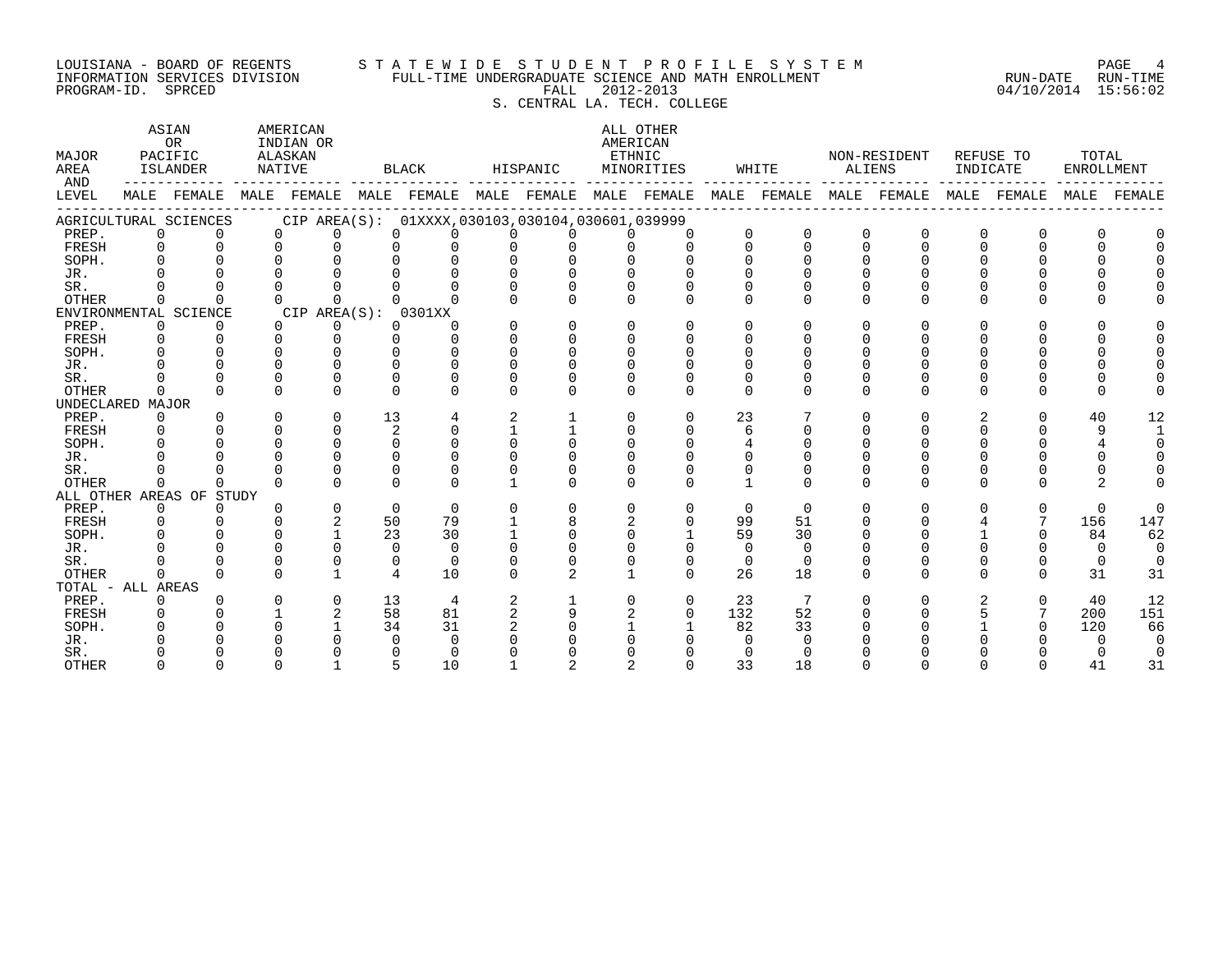#### LOUISIANA - BOARD OF REGENTS S T A T E W I D E S T U D E N T P R O F I L E S Y S T E M PAGE 4 INFORMATION SERVICES DIVISION FULL-TIME UNDERGRADUATE SCIENCE AND MATH ENROLLMENT RUN-DATE RUN-TIME PROGRAM-ID. SPRCED FALL 2012-2013 04/10/2014 15:56:02 S. CENTRAL LA. TECH. COLLEGE

| MAJOR<br>AREA<br>AND |          | ASIAN<br><b>OR</b><br>PACIFIC<br>ISLANDER |              | AMERICAN<br>INDIAN OR<br>ALASKAN<br>NATIVE      |          | <b>BLACK</b> |              | HISPANIC     | AMERICAN     | ALL OTHER<br>ETHNIC<br>MINORITIES |              | WHITE       | <b>ALIENS</b> | NON-RESIDENT | INDICATE | REFUSE TO   | TOTAL<br>ENROLLMENT |                |
|----------------------|----------|-------------------------------------------|--------------|-------------------------------------------------|----------|--------------|--------------|--------------|--------------|-----------------------------------|--------------|-------------|---------------|--------------|----------|-------------|---------------------|----------------|
| LEVEL                |          | MALE FEMALE                               |              | MALE FEMALE MALE FEMALE MALE FEMALE MALE FEMALE |          |              |              |              |              |                                   |              | MALE FEMALE |               | MALE FEMALE  |          | MALE FEMALE |                     | MALE FEMALE    |
|                      |          | AGRICULTURAL SCIENCES                     |              | CIP AREA(S): 01XXXX,030103,030104,030601,039999 |          |              |              |              |              |                                   |              |             |               |              |          |             |                     |                |
| PREP.                | 0        | $\Omega$                                  | <sup>n</sup> |                                                 |          |              |              |              |              | $\Omega$                          | $\Omega$     | $\Omega$    | $\Omega$      | $\Omega$     | $\Omega$ |             |                     |                |
| FRESH                | $\Omega$ | $\Omega$                                  | $\Omega$     | $\Omega$                                        |          |              |              |              |              | $\Omega$                          | $\Omega$     | $\Omega$    | $\Omega$      | $\Omega$     | $\Omega$ |             | $\Omega$            |                |
| SOPH.                |          |                                           |              |                                                 |          |              |              |              |              |                                   | $\Omega$     |             |               |              |          |             |                     |                |
| JR.                  |          |                                           |              |                                                 |          |              |              |              |              |                                   |              |             |               |              |          |             |                     |                |
| SR.                  |          |                                           |              |                                                 |          |              |              |              |              |                                   |              |             |               |              |          |             |                     |                |
| <b>OTHER</b>         | $\Omega$ | <sup>n</sup>                              |              | $\cap$                                          |          |              |              |              |              | $\Omega$                          | $\Omega$     | $\Omega$    | U             | 0            | $\cap$   |             |                     |                |
|                      |          | ENVIRONMENTAL SCIENCE                     |              | CIP AREA(S): 0301XX                             |          |              |              |              |              |                                   |              |             |               |              |          |             |                     |                |
| PREP.                | $\Omega$ | $\Omega$                                  | $\Omega$     | $\Omega$                                        | 0        | 0            |              | $\Omega$     | $\Omega$     | $\Omega$                          | $\Omega$     | $\Omega$    | O             | 0            | $\Omega$ |             | $\Omega$            |                |
| FRESH                | $\Omega$ | $\Omega$                                  | ∩            | $\Omega$                                        | $\Omega$ | U            |              | $\Omega$     | U            |                                   | $\cap$       |             |               |              |          |             |                     |                |
| SOPH.                |          |                                           |              | ∩                                               |          | U            |              |              |              | $\cap$                            | <sup>n</sup> |             |               |              |          |             |                     |                |
| JR.                  |          |                                           |              | $\cap$                                          |          | U            |              |              |              |                                   |              |             |               |              |          |             |                     |                |
| SR.                  |          |                                           |              | $\Omega$                                        |          | U            |              |              |              |                                   |              |             |               |              |          |             |                     |                |
| OTHER                | $\Omega$ |                                           |              | $\cap$                                          | U        | 0            |              | $\Omega$     | $\Omega$     | 0                                 | $\Omega$     | $\Omega$    | $\Omega$      | 0            | 0        |             | $\Omega$            |                |
| UNDECLARED MAJOR     |          |                                           |              |                                                 |          |              |              |              |              |                                   |              |             |               |              |          |             |                     |                |
| PREP.                | $\Omega$ | $\Omega$                                  | ∩            | $\Omega$                                        | 13       | 4            | 2            |              | $\Omega$     | $\Omega$                          | 23           |             | $\Omega$      | 0            | 2        |             | 40                  | 12             |
| FRESH                |          |                                           |              | $\Omega$                                        | 2        | $\Omega$     |              |              |              | $\Omega$                          | 6            |             |               |              | 0        |             | 9                   | $\overline{1}$ |
| SOPH.                |          |                                           |              | $\cap$                                          | $\Omega$ | U            |              |              |              |                                   | 4            |             |               |              |          |             |                     | $\Omega$       |
| JR.                  |          |                                           |              |                                                 |          |              |              |              |              |                                   | $\Omega$     |             |               |              |          |             |                     | $\Omega$       |
| SR.                  |          |                                           |              |                                                 |          |              |              |              |              |                                   |              |             |               |              |          |             |                     |                |
| <b>OTHER</b>         | $\Omega$ | <sup>n</sup>                              |              | ∩                                               | $\cap$   | $\cap$       |              | <sup>n</sup> | $\cap$       | $\cap$                            | $\mathbf{1}$ | $\Omega$    | $\cap$        | <sup>n</sup> | $\cap$   |             |                     |                |
|                      |          | ALL OTHER AREAS OF STUDY                  |              |                                                 |          |              |              |              |              |                                   |              |             |               |              |          |             |                     |                |
| PREP.                | 0        | $\Omega$                                  |              | $\Omega$                                        | $\Omega$ | $\Omega$     | $\cap$       | $\Omega$     | $\Omega$     | $\Omega$                          | $\Omega$     | $\Omega$    | $\Omega$      | $\Omega$     | $\cap$   | $\Omega$    | $\Omega$            | $\Omega$       |
| FRESH                | $\Omega$ |                                           |              | 2                                               | 50       | 79           |              | 8            |              | $\Omega$                          | 99           | 51          |               |              |          |             | 156                 | 147            |
| SOPH.                |          |                                           |              |                                                 | 23       | 30           |              |              | $\cap$       |                                   | 59           | 30          |               |              |          |             | 84                  | 62             |
| JR.                  |          |                                           |              | $\cap$                                          | $\Omega$ | $\Omega$     |              |              |              |                                   | $\Omega$     | $\Omega$    |               |              |          |             | $\overline{0}$      | $\Omega$       |
| SR.                  |          |                                           |              | $\Omega$                                        | $\Omega$ | $\Omega$     |              |              |              | $\Omega$                          | 0            | $\Omega$    |               |              |          |             | $\mathbf 0$         | $\mathbf 0$    |
| <b>OTHER</b>         | $\Omega$ |                                           |              | $\mathbf{1}$                                    | 4        | 10           | <sup>n</sup> | 2            | $\mathbf{1}$ | $\Omega$                          | 26           | 18          | $\Omega$      | <sup>n</sup> | 0        |             | 31                  | 31             |
| TOTAL - ALL AREAS    |          |                                           |              |                                                 |          |              |              |              |              |                                   |              |             |               |              |          |             |                     |                |
| PREP.                | 0        |                                           | ∩            | $\Omega$                                        | 13       | 4            |              |              |              | $\Omega$                          | 23           | 7           | U             | <sup>n</sup> |          | $\Omega$    | 40                  | 12             |
| FRESH                |          |                                           |              | 2                                               | 58       | 81           | 2            | 9            |              | $\Omega$                          | 132          | 52          |               |              |          |             | 200                 | 151            |
| SOPH.                |          |                                           |              |                                                 | 34       | 31           |              |              |              |                                   | 82           | 33          |               |              |          |             | 120                 | 66             |
| JR.                  |          |                                           |              |                                                 |          | 0            |              |              |              |                                   | ∩            | ∩           |               |              |          |             | $\Omega$            | $\Omega$       |
| SR.                  |          |                                           |              |                                                 |          | ∩            |              |              |              |                                   | $\Omega$     |             |               |              |          |             |                     | $\mathbf 0$    |
| <b>OTHER</b>         |          |                                           |              |                                                 | 5        | 10           |              |              |              |                                   | 33           | 18          |               |              |          |             | 41                  | 31             |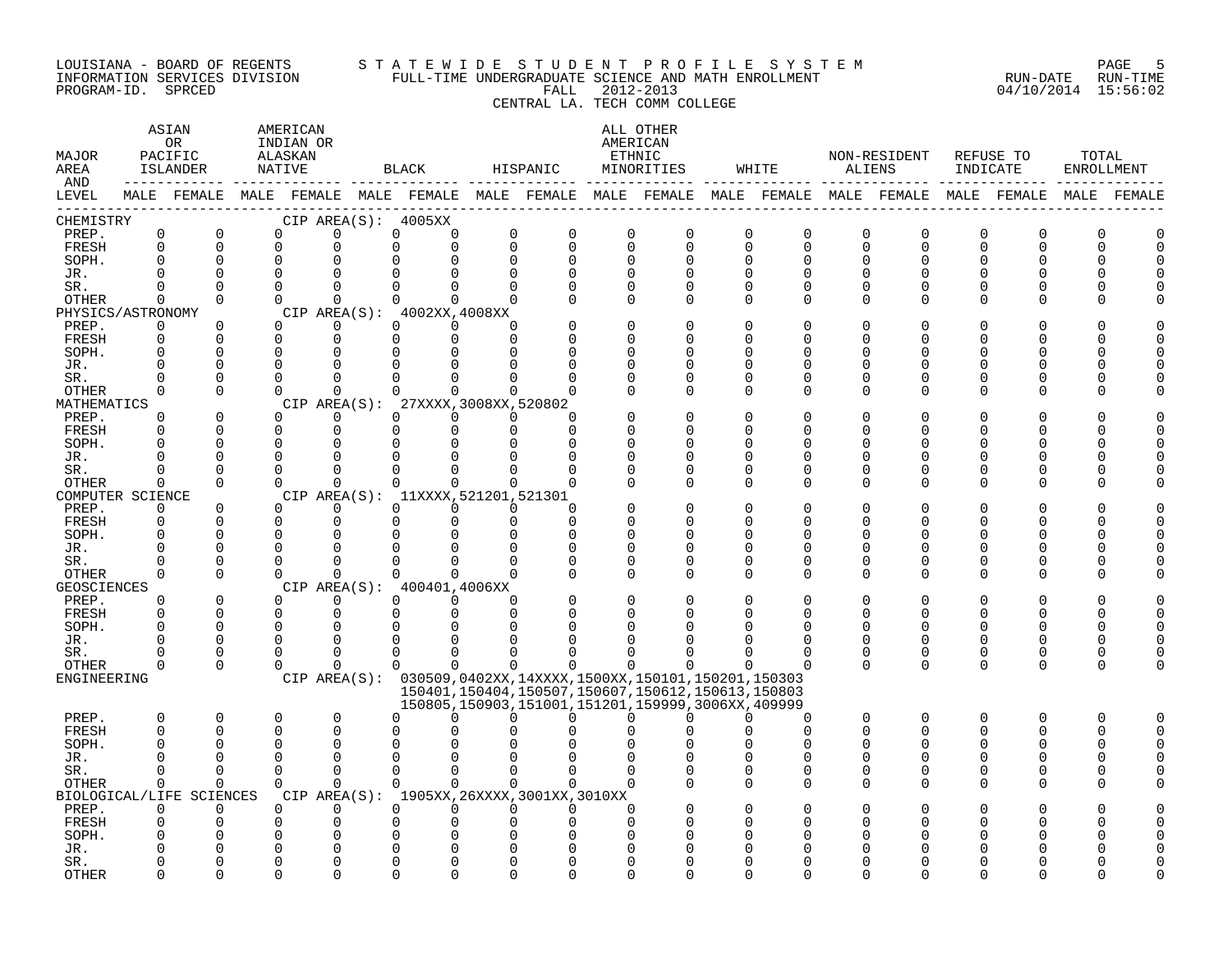#### LOUISIANA - BOARD OF REGENTS S T A T E W I D E S T U D E N T P R O F I L E S Y S T E M PAGE 5 INFORMATION SERVICES DIVISION FULL-TIME UNDERGRADUATE SCIENCE AND MATH ENROLLMENT RUN-DATE RUN-TIME PROGRAM-ID. SPRCED FALL 2012-2013 04/10/2014 15:56:02 CENTRAL LA. TECH COMM COLLEGE

#### ASTAN AMERICAN ANG ANG ANG ASTANG ANG ASTANG ALL OTHER OR INDIAN OR **AMERICAN** MAJOR PACIFIC ALASKAN ETHNIC NON-RESIDENT REFUSE TO TOTAL AREA ISLANDER NATIVE BLACK HISPANIC MINORITIES WHITE ALIENS INDICATE ENROLLMENT AND ------------ ------------- ------------- ------------- ------------- ------------- ------------- ------------- ------------- LEVEL MALE FEMALE MALE FEMALE MALE FEMALE MALE FEMALE MALE FEMALE MALE FEMALE MALE FEMALE MALE FEMALE MALE FEMALE ------------------------------------------------------------------------------------------------------------------------------------ CHEMISTRY CIP AREA(S): 4005XX PREP. 0 0 0 0 0 0 0 0 0 0 0 0 0 0 0 0 0 0 FRESH 0 0 0 0 0 0 0 0 0 0 0 0 0 0 0 0 0 0 SOPH. 0 0 0 0 0 0 0 0 0 0 0 0 0 0 0 0 0 0 JR. 0 0 0 0 0 0 0 0 0 0 0 0 0 0 0 0 0 0 SR. 0 0 0 0 0 0 0 0 0 0 0 0 0 0 0 0 0 0 OTHER 0 0 0 0 0 0 0 0 0 0 0 0 0 0 0 0 0 0 PHYSICS/ASTRONOMY CIP AREA(S): 4002XX,4008XX<br>
PREP. 0 0 0 0 0 0 0 PREP. 0 0 0 0 0 0 0 0 0 0 0 0 0 0 0 0 0 0 FRESH 0 0 0 0 0 0 0 0 0 0 0 0 0 0 0 0 0 0 SOPH. 0 0 0 0 0 0 0 0 0 0 0 0 0 0 0 0 0 0 JR. 0 0 0 0 0 0 0 0 0 0 0 0 0 0 0 0 0 0 SR. 0 0 0 0 0 0 0 0 0 0 0 0 0 0 0 0 0 0 OTHER 0 0 0 0 0 0 0 0 0 0 0 0 0 0 0 0 0 0 MATHEMATICS CIP AREA(S): 27XXXX,3008XX,520802<br>
PREP. 0 0 0 0 0 0 0 PREP. 0 0 0 0 0 0 0 0 0 0 0 0 0 0 0 0 0 0 FRESH 0 0 0 0 0 0 0 0 0 0 0 0 0 0 0 0 0 0 SOPH. 0 0 0 0 0 0 0 0 0 0 0 0 0 0 0 0 0 0 JR. 0 0 0 0 0 0 0 0 0 0 0 0 0 0 0 0 0 0 SR. 0 0 0 0 0 0 0 0 0 0 0 0 0 0 0 0 0 0 OTHER 0 0 0 0 0 0 0 0 0 0 0 0 0 0 0 0 0 0 COMPUTER SCIENCE CIP AREA(S): 11XXXX,521201,521301<br>
PREP. 0 0 0 0 0 0 0 PREP. 0 0 0 0 0 0 0 0 0 0 0 0 0 0 0 0 0 0 FRESH 0 0 0 0 0 0 0 0 0 0 0 0 0 0 0 0 0 0 SOPH. 0 0 0 0 0 0 0 0 0 0 0 0 0 0 0 0 0 0 JR. 0 0 0 0 0 0 0 0 0 0 0 0 0 0 0 0 0 0 SR. 0 0 0 0 0 0 0 0 0 0 0 0 0 0 0 0 0 0 OTHER 0 0 0 0 0 0 0 0 0 0 0 0 0 0 0 0 0 0 GEOSCIENCES CIPAREA(S): 400401,4006XX<br>
PREP. 0 0 0 0 0 0 PREP. 0 0 0 0 0 0 0 0 0 0 0 0 0 0 0 0 0 0 FRESH 0 0 0 0 0 0 0 0 0 0 0 0 0 0 0 0 0 0 SOPH. 0 0 0 0 0 0 0 0 0 0 0 0 0 0 0 0 0 0 JR. 0 0 0 0 0 0 0 0 0 0 0 0 0 0 0 0 0 0 SR. 0 0 0 0 0 0 0 0 0 0 0 0 0 0 0 0 0 0 OTHER 0 0 0 0 0 0 0 0 0 0 0 0 0 0 0 0 0 0 ENGINEERING CIP AREA(S): 030509,0402XX,14XXXX,1500XX,150101,150201,150303 150401,150404,150507,150607,150612,150613,150803 150805,150903,151001,151201,159999,3006XX,409999 PREP. 0 0 0 0 0 0 0 0 0 0 0 0 0 0 0 0 0 0 FRESH 0 0 0 0 0 0 0 0 0 0 0 0 0 0 0 0 0 0 SOPH. 0 0 0 0 0 0 0 0 0 0 0 0 0 0 0 0 0 0 JR. 0 0 0 0 0 0 0 0 0 0 0 0 0 0 0 0 0 0 SR. 0 0 0 0 0 0 0 0 0 0 0 0 0 0 0 0 0 0 OTHER 0 0 0 0 0 0 0 0 0 0 0 0 0 0 0 0 0 0 BIOLOGICAL/LIFE SCIENCES CIP AREA(S): 1905XX,26XXXX,3001XX,3010XX PREP. 0 0 0 0 0 0 0 0 0 0 0 0 0 0 0 0 0 0 FRESH 0 0 0 0 0 0 0 0 0 0 0 0 0 0 0 0 0 0

SOPH. 0 0 0 0 0 0 0 0 0 0 0 0 0 0 0 0 0 0 JR. 0 0 0 0 0 0 0 0 0 0 0 0 0 0 0 0 0 0 SR. 0 0 0 0 0 0 0 0 0 0 0 0 0 0 0 0 0 0 OTHER 0 0 0 0 0 0 0 0 0 0 0 0 0 0 0 0 0 0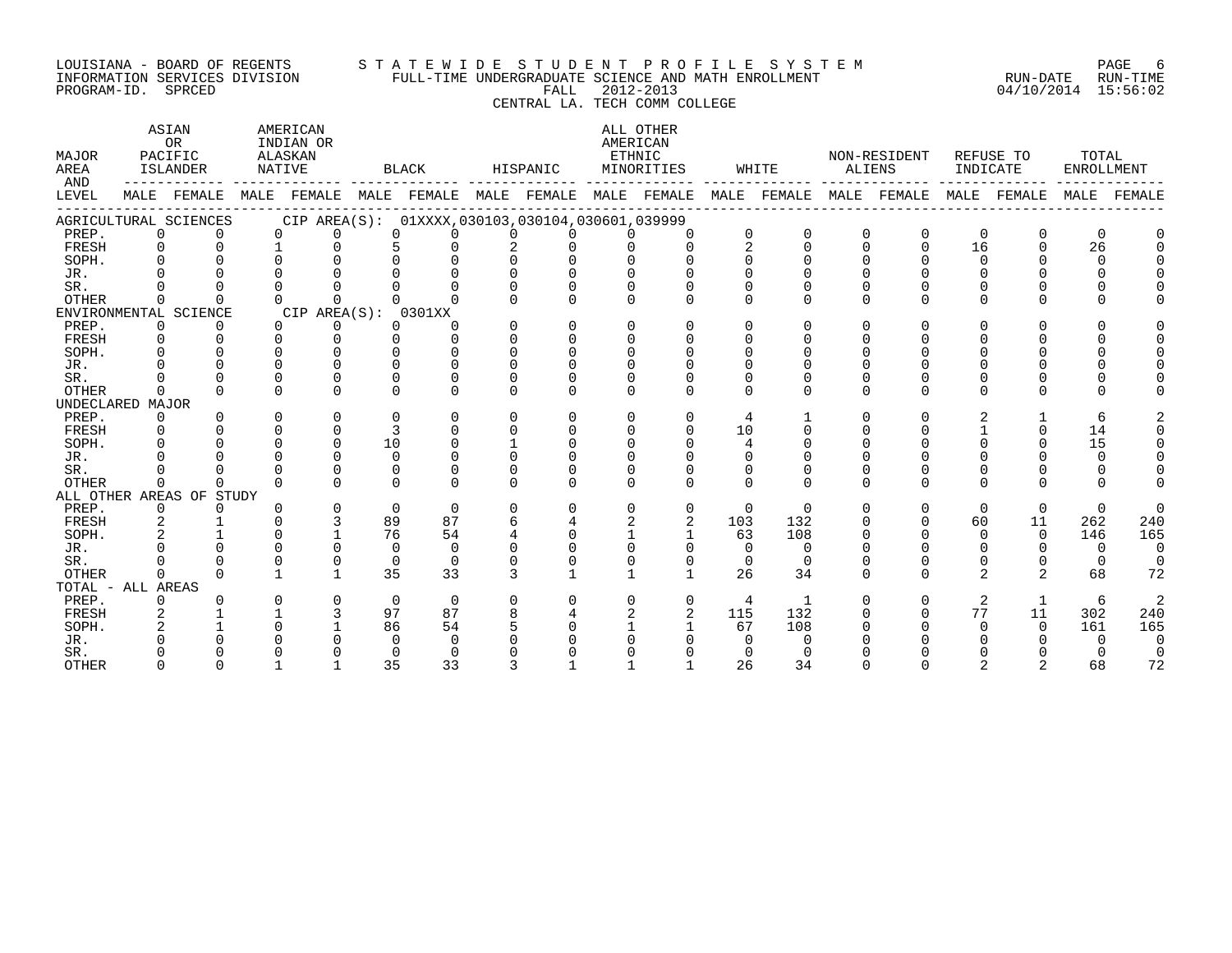#### LOUISIANA - BOARD OF REGENTS S T A T E W I D E S T U D E N T P R O F I L E S Y S T E M PAGE 6 INFORMATION SERVICES DIVISION FULL-TIME UNDERGRADUATE SCIENCE AND MATH ENROLLMENT RUN-DATE RUN-TIME PROGRAM-ID. SPRCED FALL 2012-2013 04/10/2014 15:56:02 CENTRAL LA. TECH COMM COLLEGE

#### ASTAN AMERICAN AMERICAN ASTAN ALL OTHER OR INDIAN OR **INDIAN OR** AMERICAN MAJOR PACIFIC ALASKAN ETHNIC NON-RESIDENT REFUSE TO TOTAL AREA ISLANDER NATIVE BLACK HISPANIC MINORITIES WHITE ALIENS INDICATE ENROLLMENT AND ------------ ------------- ------------- ------------- ------------- ------------- ------------- ------------- ------------- LEVEL MALE FEMALE MALE FEMALE MALE FEMALE MALE FEMALE MALE FEMALE MALE FEMALE MALE FEMALE MALE FEMALE MALE FEMALE ------------------------------------------------------------------------------------------------------------------------------------ AGRICULTURAL SCIENCES CIP AREA(S): 01XXXX,030103,030104,030601,039999 PREP. 0 0 0 0 0 0 0 0 0 0 0 0 0 0 0 0 0 0 FRESH 0 0 1 0 5 0 2 0 0 0 2 0 0 0 16 0 26 0 SOPH. 0 0 0 0 0 0 0 0 0 0 0 0 0 0 0 0 0 0 JR. 0 0 0 0 0 0 0 0 0 0 0 0 0 0 0 0 0 0 SR. 0 0 0 0 0 0 0 0 0 0 0 0 0 0 0 0 0 0 OTHER 0 0 0 0 0 0 0 0 0 0 0 0 0 0 0 0 0 0 ENVIRONMENTAL SCIENCE CIP AREA(S): 0301XX<br>
PREP. 0 0 0 0 0 0 PREP. 0 0 0 0 0 0 0 0 0 0 0 0 0 0 0 0 0 0 FRESH 0 0 0 0 0 0 0 0 0 0 0 0 0 0 0 0 0 0 SOPH. 0 0 0 0 0 0 0 0 0 0 0 0 0 0 0 0 0 0 JR. 0 0 0 0 0 0 0 0 0 0 0 0 0 0 0 0 0 0 SR. 0 0 0 0 0 0 0 0 0 0 0 0 0 0 0 0 0 0 OTHER 0 0 0 0 0 0 0 0 0 0 0 0 0 0 0 0 0 0 UNDECLARED MAJOR PREP. 0 0 0 0 0 0 0 0 0 0 0 0 0 0 0 0 2 1 6 2 FRESH 0 0 0 0 3 0 0 0 0 0 10 0 0 0 1 0 14 0 SOPH. 0 0 0 0 10 0 1 0 0 0 4 0 0 0 0 0 15 0 JR. 0 0 0 0 0 0 0 0 0 0 0 0 0 0 0 0 0 0 SR. 0 0 0 0 0 0 0 0 0 0 0 0 0 0 0 0 0 0 OTHER 0 0 0 0 0 0 0 0 0 0 0 0 0 0 0 0 0 0 ALL OTHER AREAS OF STUDY PREP. 0 0 0 0 0 0 0 0 0 0 0 0 0 0 0 0 0 0 FRESH 2 1 0 3 89 87 6 4 2 2 103 132 0 0 60 11 262 240 SOPH. 2 1 0 1 76 54 4 0 1 1 63 108 0 0 0 0 146 165 JR. 0 0 0 0 0 0 0 0 0 0 0 0 0 0 0 0 0 0 SR. 0 0 0 0 0 0 0 0 0 0 0 0 0 0 0 0 0 0 OTHER 0 0 1 1 35 33 3 1 1 1 26 34 0 0 2 2 68 72 TOTAL - ALL AREAS PREP. 0 0 0 0 0 0 0 0 0 0 4 1 0 0 2 1 6 2 FRESH 2 1 1 3 97 87 8 4 2 2 115 132 0 0 77 11 302 240 SOPH. 2 1 0 1 86 54 5 0 1 1 67 108 0 0 0 0 161 165 JR. 0 0 0 0 0 0 0 0 0 0 0 0 0 0 0 0 0 0 SR. 0 0 0 0 0 0 0 0 0 0 0 0 0 0 0 0 0 0

OTHER 0 0 1 1 35 33 3 1 1 1 26 34 0 0 2 2 68 72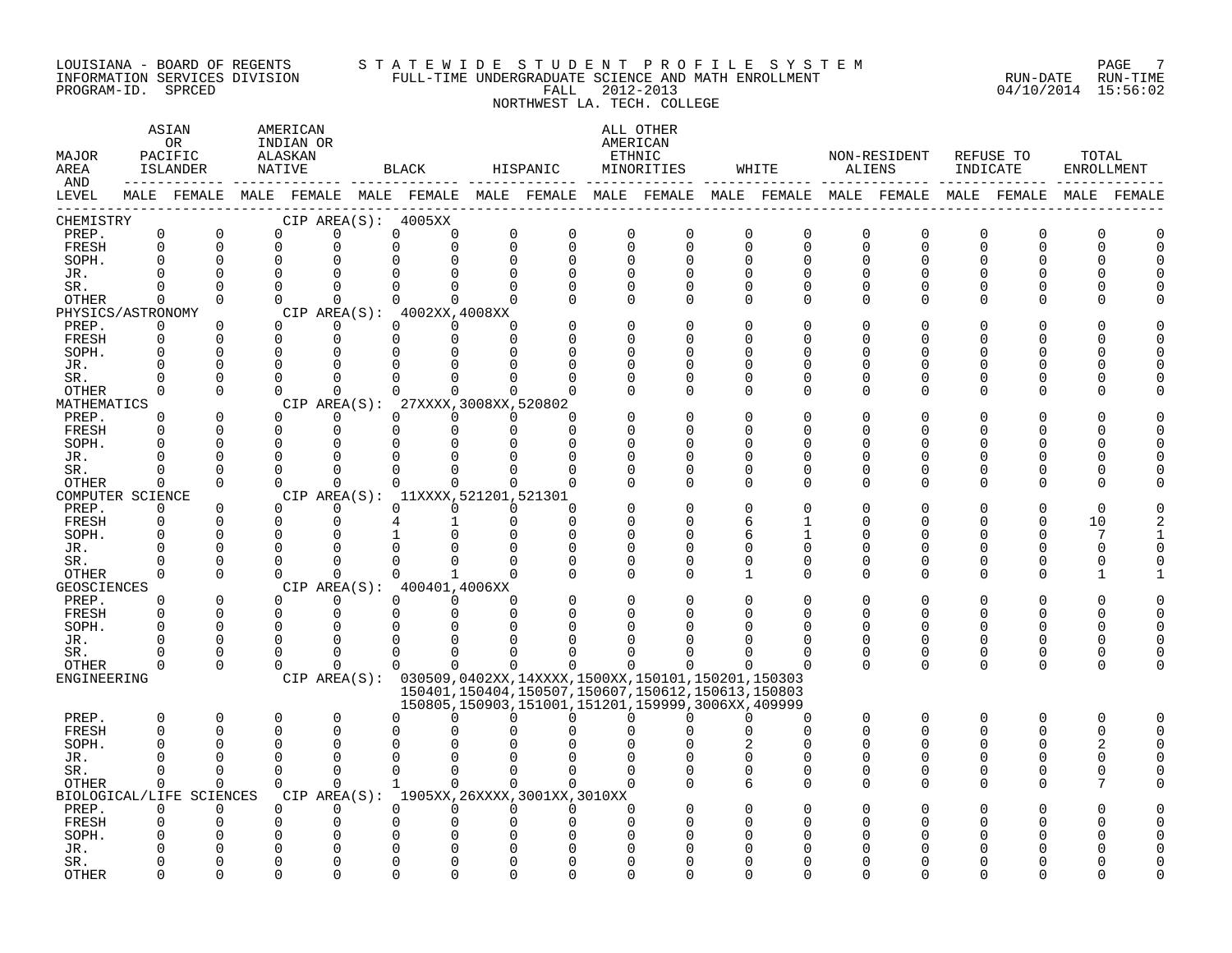#### LOUISIANA - BOARD OF REGENTS S T A T E W I D E S T U D E N T P R O F I L E S Y S T E M PAGE 7 INFORMATION SERVICES DIVISION FULL-TIME UNDERGRADUATE SCIENCE AND MATH ENROLLMENT RUN-DATE RUN-TIME PROGRAM-ID. SPRCED FALL 2012-2013 04/10/2014 15:56:02

NORTHWEST LA. TECH. COLLEGE

#### ASTAN AMERICAN ANG ANG ANG ASTANG ANG ASTANG ALL OTHER OR INDIAN OR **AMERICAN** MAJOR PACIFIC ALASKAN ETHNIC NON-RESIDENT REFUSE TO TOTAL AREA ISLANDER NATIVE BLACK HISPANIC MINORITIES WHITE ALIENS INDICATE ENROLLMENT AND ------------ ------------- ------------- ------------- ------------- ------------- ------------- ------------- ------------- LEVEL MALE FEMALE MALE FEMALE MALE FEMALE MALE FEMALE MALE FEMALE MALE FEMALE MALE FEMALE MALE FEMALE MALE FEMALE ------------------------------------------------------------------------------------------------------------------------------------ CHEMISTRY CIP AREA(S): 4005XX PREP. 0 0 0 0 0 0 0 0 0 0 0 0 0 0 0 0 0 0 FRESH 0 0 0 0 0 0 0 0 0 0 0 0 0 0 0 0 0 0 SOPH. 0 0 0 0 0 0 0 0 0 0 0 0 0 0 0 0 0 0 JR. 0 0 0 0 0 0 0 0 0 0 0 0 0 0 0 0 0 0 SR. 0 0 0 0 0 0 0 0 0 0 0 0 0 0 0 0 0 0 OTHER 0 0 0 0 0 0 0 0 0 0 0 0 0 0 0 0 0 0 PHYSICS/ASTRONOMY CIP AREA(S): 4002XX,4008XX<br>
PREP. 0 0 0 0 0 0 0 PREP. 0 0 0 0 0 0 0 0 0 0 0 0 0 0 0 0 0 0 FRESH 0 0 0 0 0 0 0 0 0 0 0 0 0 0 0 0 0 0 SOPH. 0 0 0 0 0 0 0 0 0 0 0 0 0 0 0 0 0 0 JR. 0 0 0 0 0 0 0 0 0 0 0 0 0 0 0 0 0 0 SR. 0 0 0 0 0 0 0 0 0 0 0 0 0 0 0 0 0 0 OTHER 0 0 0 0 0 0 0 0 0 0 0 0 0 0 0 0 0 0 MATHEMATICS CIP AREA(S): 27XXXX,3008XX,520802<br>
PREP. 0 0 0 0 0 0 0 PREP. 0 0 0 0 0 0 0 0 0 0 0 0 0 0 0 0 0 0 FRESH 0 0 0 0 0 0 0 0 0 0 0 0 0 0 0 0 0 0 SOPH. 0 0 0 0 0 0 0 0 0 0 0 0 0 0 0 0 0 0 JR. 0 0 0 0 0 0 0 0 0 0 0 0 0 0 0 0 0 0 SR. 0 0 0 0 0 0 0 0 0 0 0 0 0 0 0 0 0 0 OTHER 0 0 0 0 0 0 0 0 0 0 0 0 0 0 0 0 0 0 COMPUTER SCIENCE CIP AREA(S): 11XXXX,521201,521301<br>
PREP. 0 0 0 0 0 0 0 PREP. 0 0 0 0 0 0 0 0 0 0 0 0 0 0 0 0 0 0 FRESH 0 0 0 0 4 1 0 0 0 0 6 1 0 0 0 0 10 2 SOPH. 0 0 0 0 1 0 0 0 0 0 6 1 0 0 0 0 7 1 JR. 0 0 0 0 0 0 0 0 0 0 0 0 0 0 0 0 0 0 SR. 0 0 0 0 0 0 0 0 0 0 0 0 0 0 0 0 0 0 OTHER 0 0 0 0 0 1 0 0 0 0 1 0 0 0 0 0 1 1 GEOSCIENCES CIPAREA(S): 400401,4006XX<br>
PREP. 0 0 0 0 0 0 PREP. 0 0 0 0 0 0 0 0 0 0 0 0 0 0 0 0 0 0 FRESH 0 0 0 0 0 0 0 0 0 0 0 0 0 0 0 0 0 0 SOPH. 0 0 0 0 0 0 0 0 0 0 0 0 0 0 0 0 0 0 JR. 0 0 0 0 0 0 0 0 0 0 0 0 0 0 0 0 0 0 SR. 0 0 0 0 0 0 0 0 0 0 0 0 0 0 0 0 0 0 OTHER 0 0 0 0 0 0 0 0 0 0 0 0 0 0 0 0 0 0 ENGINEERING CIP AREA(S): 030509,0402XX,14XXXX,1500XX,150101,150201,150303 150401,150404,150507,150607,150612,150613,150803 150805,150903,151001,151201,159999,3006XX,409999 PREP. 0 0 0 0 0 0 0 0 0 0 0 0 0 0 0 0 0 0 FRESH 0 0 0 0 0 0 0 0 0 0 0 0 0 0 0 0 0 0 SOPH. 0 0 0 0 0 0 0 0 0 0 2 0 0 0 0 0 2 0 JR. 0 0 0 0 0 0 0 0 0 0 0 0 0 0 0 0 0 0 SR. 0 0 0 0 0 0 0 0 0 0 0 0 0 0 0 0 0 0 OTHER 0 0 0 0 1 0 0 0 0 0 6 0 0 0 0 0 7 0 BIOLOGICAL/LIFE SCIENCES CIP AREA(S): 1905XX,26XXXX,3001XX,3010XX PREP. 0 0 0 0 0 0 0 0 0 0 0 0 0 0 0 0 0 0 FRESH 0 0 0 0 0 0 0 0 0 0 0 0 0 0 0 0 0 0 SOPH. 0 0 0 0 0 0 0 0 0 0 0 0 0 0 0 0 0 0

JR. 0 0 0 0 0 0 0 0 0 0 0 0 0 0 0 0 0 0 SR. 0 0 0 0 0 0 0 0 0 0 0 0 0 0 0 0 0 0 OTHER 0 0 0 0 0 0 0 0 0 0 0 0 0 0 0 0 0 0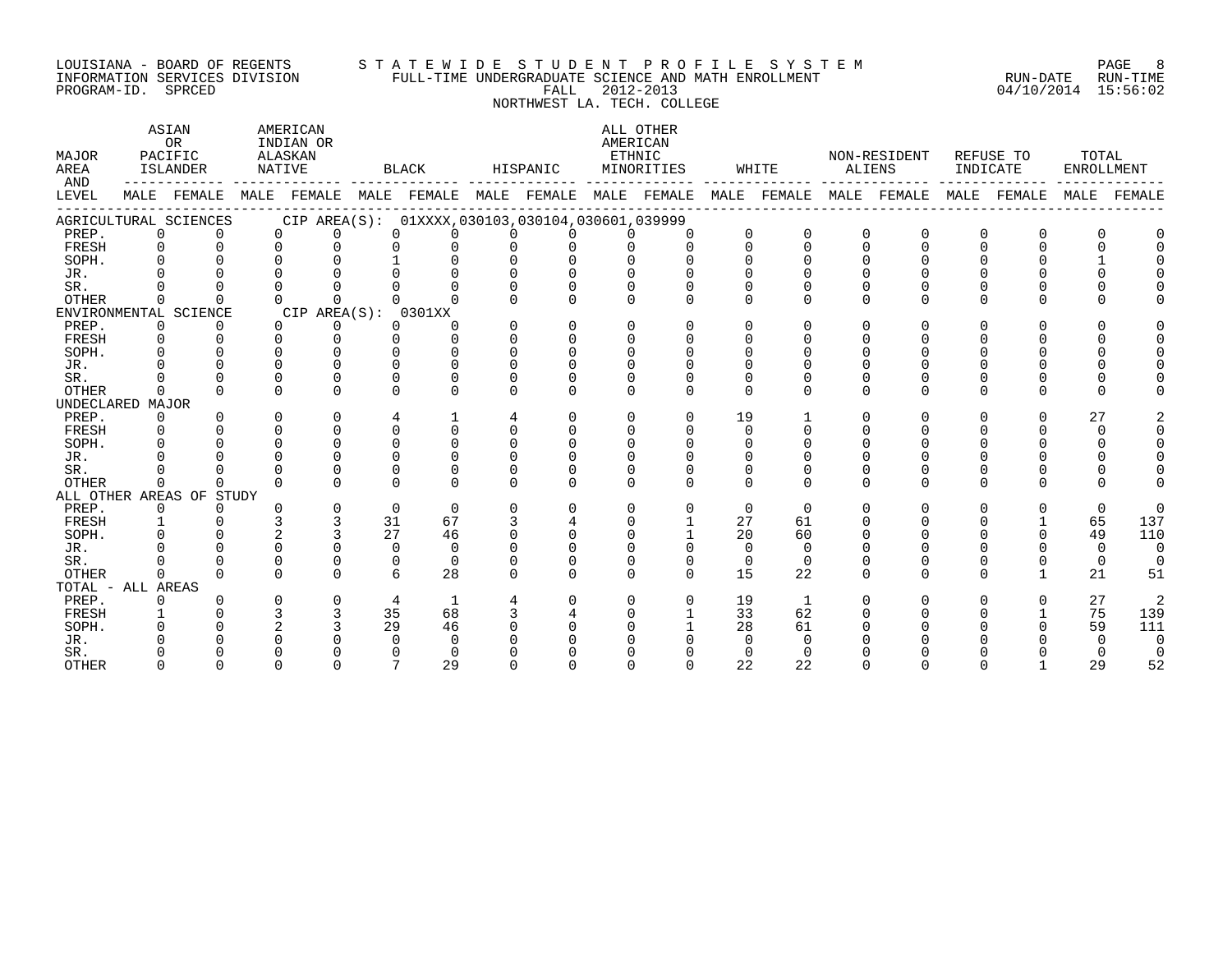#### LOUISIANA – BOARD OF REGENTS STA TE WID E STUDE N TPROFILE SYSTEM PAGE RAGE 8 INFORMATION SERVICES DIVISION FULL-TIME UNDERGRADUATE SCIENCE AND MATH ENROLLMENT RUN-DATE RUN-TIME PROGRAM-ID. SPRCED FALL 2012-2013 04/10/2014 15:56:02

NORTHWEST LA. TECH. COLLEGE

| MAJOR<br>AREA<br>AND |                | ASIAN<br>OR<br>PACIFIC<br>ISLANDER |          | AMERICAN<br>INDIAN OR<br>ALASKAN<br>NATIVE |          | BLACK                                                       |          | HISPANIC |              | ALL OTHER<br>AMERICAN<br>ETHNIC<br>MINORITIES |          | WHITE        | ALIENS   | NON-RESIDENT            | INDICATE     | REFUSE TO   | TOTAL<br>ENROLLMENT |                |
|----------------------|----------------|------------------------------------|----------|--------------------------------------------|----------|-------------------------------------------------------------|----------|----------|--------------|-----------------------------------------------|----------|--------------|----------|-------------------------|--------------|-------------|---------------------|----------------|
| LEVEL                |                |                                    |          |                                            |          | MALE FEMALE MALE FEMALE MALE FEMALE MALE FEMALE MALE FEMALE |          |          |              |                                               |          |              |          | MALE FEMALE MALE FEMALE |              | MALE FEMALE | MALE                | FEMALE         |
|                      |                | AGRICULTURAL SCIENCES              |          |                                            |          | CIP AREA(S): 01XXXX,030103,030104,030601,039999             |          |          |              |                                               |          |              |          |                         |              |             |                     |                |
| PREP.                | $\Omega$       | $\Omega$                           |          | $\Omega$<br>$\Omega$                       |          | $\Omega$<br>$\Omega$                                        |          | $\Omega$ |              | $\Omega$                                      | $\Omega$ | $\Omega$     | $\Omega$ | $\Omega$                | 0            |             |                     |                |
| FRESH                | $\Omega$       | $\Omega$                           |          | $\Omega$<br>$\Omega$                       |          | $\Omega$<br>$\Omega$                                        | $\Omega$ | $\Omega$ | $\cap$       | $\cap$                                        | $\cap$   | $\Omega$     | $\Omega$ | $\Omega$                | $\Omega$     |             | $\Omega$            |                |
| SOPH.                | $\Omega$       |                                    |          |                                            |          |                                                             |          |          |              |                                               |          |              |          |                         |              |             |                     |                |
| JR.                  |                |                                    |          |                                            |          |                                                             |          |          |              |                                               |          |              |          |                         |              |             |                     |                |
| SR.                  |                |                                    |          |                                            |          |                                                             |          |          |              |                                               |          |              |          |                         |              |             |                     |                |
| <b>OTHER</b>         | $\Omega$       | $\Omega$                           |          | $\Omega$<br>$\Omega$                       |          |                                                             |          |          | <sup>n</sup> | $\Omega$                                      | $\Omega$ | $\Omega$     | $\Omega$ | O.                      | $\cap$       |             | U                   |                |
|                      |                | ENVIRONMENTAL SCIENCE              |          | CIP AREA(S): 0301XX                        |          |                                                             |          |          |              |                                               |          |              |          |                         |              |             |                     |                |
| PREP.                | $\mathbf 0$    | $\Omega$                           |          | $\Omega$<br>0                              |          | $\Omega$<br>$\Omega$                                        |          | $\Omega$ | $\Omega$     | $\Omega$                                      | $\Omega$ | ∩            | $\Omega$ | 0                       | 0            |             | <sup>n</sup>        |                |
| FRESH                | $\Omega$       | $\Omega$                           |          | $\Omega$<br>$\Omega$                       |          | $\Omega$<br>$\cap$                                          |          | $\Omega$ | $\Omega$     | $\Omega$                                      | ∩        | ∩            |          |                         |              |             | $\Omega$            |                |
| SOPH.                | $\cap$         | $\cap$                             |          | $\cap$<br>$\cap$                           |          | U<br>$\cap$                                                 |          | $\cap$   |              |                                               |          |              |          |                         |              |             |                     |                |
| JR.                  |                |                                    | $\cap$   | U                                          |          | <sup>n</sup><br>$\cap$                                      |          |          |              |                                               |          |              |          |                         |              |             |                     |                |
| SR.                  |                | ∩                                  | $\Omega$ | $\Omega$                                   |          | 0<br>$\Omega$                                               |          |          |              |                                               |          |              |          |                         |              |             |                     |                |
| <b>OTHER</b>         | $\Omega$       | $\cap$                             |          | $\Omega$<br>$\Omega$                       |          | $\Omega$<br>$\cap$                                          |          | $\Omega$ | <sup>n</sup> | $\Omega$                                      | $\Omega$ | $\Omega$     | $\Omega$ | 0                       | $\Omega$     |             | $\Omega$            |                |
| UNDECLARED MAJOR     |                |                                    |          |                                            |          |                                                             |          |          |              |                                               |          |              |          |                         |              |             |                     |                |
| PREP.                | $\Omega$       | $\Omega$                           |          | $\Omega$<br>$\Omega$                       |          | 4                                                           | 4        | $\Omega$ | $\Omega$     | $\Omega$                                      | 19       |              | $\Omega$ | 0                       | $\Omega$     | ∩           | 27                  |                |
| FRESH                | $\Omega$       |                                    |          | $\Omega$<br>$\Omega$                       |          | $\Omega$<br>$\cap$                                          | $\Omega$ | $\Omega$ |              | $\cap$                                        | $\Omega$ |              |          |                         |              |             | $\Omega$            |                |
| SOPH.                |                |                                    | $\Omega$ | $\Omega$                                   |          | $\Omega$<br>$\Omega$                                        |          |          |              | $\Omega$                                      |          |              |          |                         |              |             |                     |                |
| JR.                  |                |                                    |          | $\Omega$                                   |          | 0<br>$\cap$                                                 |          |          |              |                                               |          |              |          |                         |              |             |                     |                |
| SR.                  |                |                                    |          | U                                          |          |                                                             |          |          |              |                                               |          |              |          |                         |              |             |                     |                |
| <b>OTHER</b>         | $\Omega$       | ∩                                  |          | $\cap$<br>$\cap$                           |          | $\cap$<br>$\cap$                                            |          | $\cap$   | $\cap$       | $\Omega$                                      | $\Omega$ | $\Omega$     | $\cap$   | O.                      | <sup>n</sup> |             | U                   |                |
|                      |                | ALL OTHER AREAS OF STUDY           |          |                                            |          |                                                             |          |          |              |                                               |          |              |          |                         |              |             |                     |                |
| PREP.                | $\overline{0}$ | $\Omega$                           |          | $\mathbf 0$<br><sup>n</sup>                | $\Omega$ | $\Omega$                                                    | $\Omega$ | $\Omega$ | $\Omega$     | $\Omega$                                      | $\Omega$ | $\Omega$     | $\Omega$ | 0                       | 0            |             | $\Omega$            | $\Omega$       |
| FRESH                |                |                                    |          | 3<br>3                                     | 31       | 67                                                          |          |          |              |                                               | 27       | 61           |          |                         |              |             | 65                  | 137            |
| SOPH.                |                |                                    |          |                                            | 27       | 46                                                          |          | ∩        |              |                                               | 20       | 60           |          |                         |              |             | 49                  | 110            |
| JR.                  |                |                                    | $\cap$   | U                                          |          | $\Omega$<br>$\Omega$                                        |          |          |              |                                               | $\cap$   | $\Omega$     |          |                         |              |             | $\Omega$            | $\Omega$       |
| SR.                  |                |                                    | $\Omega$ | $\Omega$                                   |          | $\Omega$<br>$\Omega$                                        |          |          |              | $\Omega$                                      | $\Omega$ | $\Omega$     |          |                         |              |             | $\mathbf 0$         | $\Omega$       |
| <b>OTHER</b>         | $\Omega$       | $\cap$                             | $\cap$   | $\Omega$                                   |          | 6<br>28                                                     |          | $\Omega$ | $\Omega$     | $\Omega$                                      | 15       | 22           | $\Omega$ | U                       | $\Omega$     |             | 21                  | 51             |
| TOTAL - ALL AREAS    |                |                                    |          |                                            |          |                                                             |          |          |              |                                               |          |              |          |                         |              |             |                     |                |
| PREP.                | $\Omega$       |                                    |          | $\Omega$<br>$\Omega$                       |          | 4<br>1                                                      |          |          | <sup>n</sup> | $\Omega$                                      | 19       | $\mathbf{1}$ |          | 0                       | <sup>0</sup> | $\Omega$    | 27                  | $\overline{a}$ |
| FRESH                |                |                                    | 3        | 3                                          | 35       | 68                                                          |          |          |              |                                               | 33       | 62           |          |                         |              |             | 75                  | 139            |
| SOPH.                |                |                                    |          |                                            | 29       | 46                                                          |          |          |              |                                               | 28       | 61           |          |                         |              |             | 59                  | 111            |
| JR.                  |                |                                    |          |                                            |          | 0<br>$\Omega$                                               |          |          |              |                                               | $\Omega$ |              |          |                         |              |             | $\Omega$            | $\Omega$       |
| SR.                  |                |                                    |          |                                            |          |                                                             |          |          |              |                                               |          | ∩            |          |                         |              |             |                     | $\overline{0}$ |
| <b>OTHER</b>         |                |                                    |          |                                            |          | $\mathbf{z}$<br>2.9                                         |          |          |              |                                               | 22       | 22           |          |                         |              |             | 2.9                 | 52             |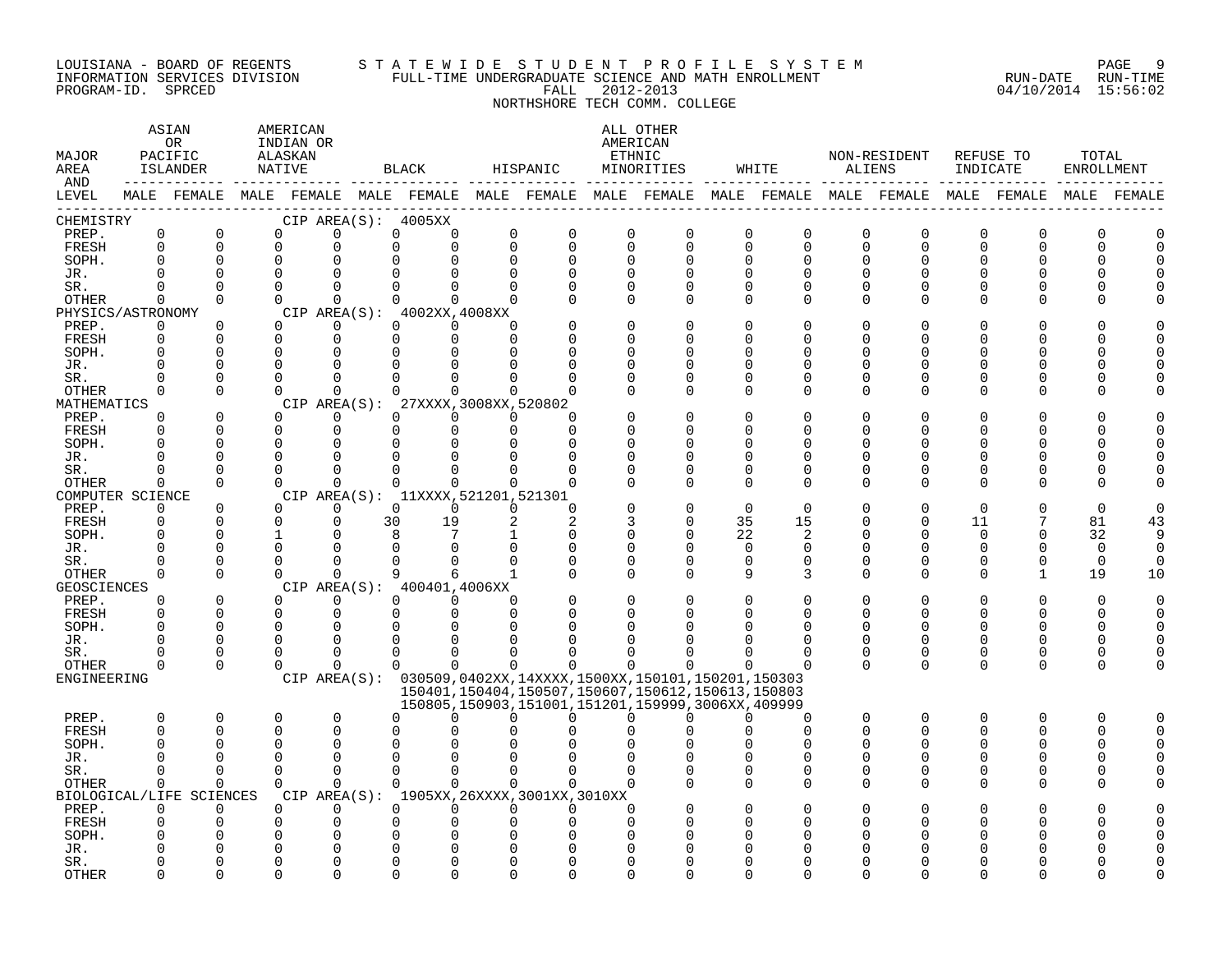#### LOUISIANA - BOARD OF REGENTS S T A T E W I D E S T U D E N T P R O F I L E S Y S T E M PAGE 9 INFORMATION SERVICES DIVISION FULL-TIME UNDERGRADUATE SCIENCE AND MATH ENROLLMENT RUN-DATE RUN-TIME PROGRAM-ID. SPRCED FALL 2012-2013 04/10/2014 15:56:02

# NORTHSHORE TECH COMM. COLLEGE

| MAJOR<br>AREA<br>AND        |               | ASIAN<br>OR.<br>PACIFIC<br>ISLANDER<br>------------- | AMERICAN<br>INDIAN OR<br>ALASKAN<br>NATIVE |                         |    | <b>BLACK</b>                                                                          |                         | HISPANIC      |                         | ALL OTHER<br>AMERICAN<br>ETHNIC<br>MINORITIES          |                         | WHITE                      | ALIENS                  | NON-RESIDENT                                                                                           | INDICATE      | REFUSE TO         | TOTAL<br>ENROLLMENT |             |
|-----------------------------|---------------|------------------------------------------------------|--------------------------------------------|-------------------------|----|---------------------------------------------------------------------------------------|-------------------------|---------------|-------------------------|--------------------------------------------------------|-------------------------|----------------------------|-------------------------|--------------------------------------------------------------------------------------------------------|---------------|-------------------|---------------------|-------------|
| LEVEL                       |               |                                                      |                                            |                         |    |                                                                                       |                         |               |                         |                                                        |                         |                            |                         | MALE FEMALE MALE FEMALE MALE FEMALE MALE FEMALE MALE FEMALE MALE FEMALE MALE FEMALE MALE FEMALE FEMALE |               |                   |                     | MALE FEMALE |
| CHEMISTRY                   |               |                                                      |                                            |                         |    | CIP AREA(S): 4005XX                                                                   |                         |               |                         |                                                        |                         |                            |                         |                                                                                                        |               |                   |                     |             |
| PREP.<br>FRESH              | 0<br>$\Omega$ | $\mathsf 0$<br>$\mathbf 0$                           | $\Omega$<br>$\Omega$                       | $\Omega$<br>$\Omega$    |    | 0<br>0<br>U<br>0                                                                      | $\mathsf 0$<br>$\Omega$ | 0<br>$\Omega$ | $\mathbf 0$<br>$\Omega$ | 0<br>$\Omega$                                          | $\mathbf 0$<br>$\Omega$ | $\mathbf 0$<br>$\mathbf 0$ | $\mathbf 0$<br>$\Omega$ | 0<br>$\Omega$                                                                                          | 0<br>$\Omega$ | 0<br>0            | $\Omega$<br>U       |             |
| SOPH.                       | <sup>0</sup>  | $\mathbf 0$                                          | $\Omega$                                   |                         |    | $\Omega$                                                                              | $\mathbf 0$             | $\Omega$      | $\Omega$                | $\Omega$                                               | $\Omega$                | $\mathbf 0$                | $\Omega$                | $\Omega$                                                                                               | 0             | 0                 |                     |             |
| JR.                         | O             |                                                      |                                            |                         |    | $\Omega$                                                                              | $\Omega$                | $\Omega$      | $\cap$                  | U                                                      | $\Omega$                | 0                          |                         | $\Omega$                                                                                               |               | O                 |                     |             |
| SR.                         | $\Omega$      | $\Omega$                                             | $\Omega$                                   | $\Omega$                |    | $\Omega$<br>$\Omega$                                                                  | $\Omega$                | $\Omega$      | $\Omega$                | $\Omega$                                               | $\Omega$                | 0                          | $\Omega$                | $\Omega$                                                                                               | U             | <sup>0</sup>      |                     |             |
| <b>OTHER</b>                | $\Omega$      | $\Omega$                                             | $\Omega$                                   | $\Omega$                |    | $\Omega$<br>$\Omega$                                                                  | $\Omega$                |               | $\Omega$                | 0                                                      | $\Omega$                | $\Omega$                   | $\Omega$                | $\Omega$                                                                                               | $\Omega$      | 0                 |                     |             |
| PHYSICS/ASTRONOMY           |               |                                                      |                                            |                         |    | CIP $AREA(S): 4002XX, 4008XX$                                                         |                         |               |                         |                                                        |                         |                            |                         |                                                                                                        |               |                   |                     |             |
| PREP.                       | $\Omega$      | $\Omega$                                             | $\Omega$                                   | $\Omega$                |    | $\Omega$<br>$\Omega$                                                                  | $\Omega$                |               | $\Omega$                | $\Omega$                                               | $\Omega$                | 0                          | ∩                       | $\Omega$                                                                                               | 0             | O                 |                     |             |
| FRESH                       | $\Omega$      | $\Omega$                                             | $\Omega$                                   | $\Omega$                |    | $\Omega$<br>$\Omega$                                                                  | $\Omega$                |               | $\Omega$                | U                                                      | O                       | $\Omega$                   |                         | $\Omega$                                                                                               | U             | <sup>0</sup>      |                     |             |
| SOPH.                       |               |                                                      | $\Omega$                                   | $\Omega$                |    | U<br>$\Omega$                                                                         | $\Omega$                |               | ∩                       | U                                                      | ∩                       | $\Omega$                   |                         | ∩                                                                                                      |               | O                 |                     |             |
| JR.                         |               |                                                      |                                            | $\Omega$                |    | $\Omega$                                                                              | $\Omega$                |               |                         |                                                        | $\Omega$                | $\Omega$                   |                         | ∩                                                                                                      |               | O                 |                     |             |
| SR.<br><b>OTHER</b>         | 0<br>$\Omega$ | $\mathbf 0$<br>$\Omega$                              | $\cap$<br>$\Omega$                         | ∩<br>$\Omega$           |    | $\Omega$<br>$\Omega$<br>$\Omega$<br>$\Omega$                                          | $\Omega$<br>$\Omega$    |               | ∩                       | $\Omega$<br>$\Omega$                                   | 0<br>$\Omega$           | 0<br>$\Omega$              | ∩<br>$\cap$             | $\Omega$<br>$\Omega$                                                                                   | U<br>U        | 0<br><sup>0</sup> |                     |             |
| MATHEMATICS                 |               |                                                      |                                            |                         |    | CIP AREA(S): 27XXXX, 3008XX, 520802                                                   |                         |               |                         |                                                        |                         |                            |                         |                                                                                                        |               |                   |                     |             |
| PREP.                       | 0             | $\mathbf 0$                                          | $\Omega$                                   | $\Omega$                |    | $\Omega$<br>$\Omega$                                                                  | $\Omega$                |               |                         | $\Omega$                                               | $\mathbf 0$             | 0                          |                         | $\Omega$                                                                                               |               | O                 |                     |             |
| FRESH                       |               |                                                      | $\Omega$                                   | $\Omega$                |    | $\Omega$<br>$\Omega$                                                                  | $\Omega$                | $\Omega$      |                         |                                                        | $\Omega$                | $\Omega$                   |                         | ∩                                                                                                      | ∩             | <sup>0</sup>      |                     |             |
| SOPH.                       | ∩             | $\Omega$                                             | $\cap$                                     | ∩                       |    | $\Omega$<br>$\Omega$                                                                  | $\Omega$                | $\Omega$      | ∩                       |                                                        | $\Omega$                | <sup>0</sup>               |                         | ∩                                                                                                      |               | O                 |                     |             |
| JR.                         | ∩             | $\Omega$                                             | $\cap$                                     | 0                       |    | 0<br>0                                                                                | 0                       | ∩             | 0                       | U                                                      | 0                       | 0                          | n                       | 0                                                                                                      | U             | 0                 |                     |             |
| SR.                         | U             | $\Omega$                                             | $\cap$                                     | $\Omega$                |    | $\Omega$<br>$\Omega$                                                                  | $\Omega$                |               | ∩                       | 0                                                      | $\Omega$                | $\mathbf 0$                | $\Omega$                | $\Omega$                                                                                               | O             | 0                 |                     |             |
| <b>OTHER</b>                | $\Omega$      | $\Omega$                                             | $\Omega$                                   | $\Omega$                |    | $\Omega$<br>$\Omega$                                                                  | $\Omega$                | $\Omega$      | ∩                       | 0                                                      | $\Omega$                | $\Omega$                   | $\cap$                  | $\Omega$                                                                                               | $\Omega$      | <sup>0</sup>      |                     |             |
| COMPUTER SCIENCE            |               |                                                      |                                            |                         |    | CIP AREA(S): 11XXXX, 521201, 521301                                                   |                         |               |                         |                                                        |                         |                            |                         |                                                                                                        |               |                   |                     |             |
| PREP.                       | $\Omega$      | $\Omega$                                             |                                            | $\Omega$                |    | $\Omega$<br>$\Omega$                                                                  | $\Omega$                | $\Omega$      |                         | $\Omega$                                               | $\Omega$                | $\Omega$                   |                         | $\Omega$                                                                                               | $\Omega$      | O                 | $\Omega$            |             |
| FRESH                       | 0<br>O        | $\mathbf 0$<br>$\Omega$                              | $\Omega$                                   | $\mathbf 0$<br>$\Omega$ | 30 | 19<br>8<br>7                                                                          | 2                       | 2<br>$\Omega$ | $\Omega$                | $\Omega$<br>$\Omega$                                   | 35<br>22                | 15<br>2                    | ∩                       | 0<br>$\Omega$                                                                                          | 11<br>0       | 7<br>$\Omega$     | 81<br>32            | 43          |
| SOPH.<br>JR.                | U             | $\Omega$                                             | $\Omega$                                   | $\Omega$                |    | $\Omega$<br>$\Omega$                                                                  | $\Omega$                | $\Omega$      | $\Omega$                | $\Omega$                                               | $\Omega$                | 0                          | $\Omega$                | $\Omega$                                                                                               | $\Omega$      | <sup>0</sup>      | $\Omega$            |             |
| SR.                         |               | $\mathbf 0$                                          | $\Omega$                                   | $\Omega$                |    | $\Omega$<br>$\Omega$                                                                  | $\Omega$                |               | $\Omega$                | $\Omega$                                               | $\mathbf 0$             | 0                          | O                       | $\Omega$                                                                                               | O             | 0                 | $\Omega$            |             |
| <b>OTHER</b>                | $\Omega$      | $\Omega$                                             | $\Omega$                                   | $\cap$                  |    | $\mathsf{Q}$<br>6                                                                     | $\mathbf{1}$            |               | $\cap$                  | $\Omega$                                               | 9                       | २                          | $\cap$                  | $\Omega$                                                                                               | $\Omega$      | $\mathbf{1}$      | 19                  | 1 O         |
| GEOSCIENCES                 |               |                                                      |                                            |                         |    | CIP AREA(S): 400401,4006XX                                                            |                         |               |                         |                                                        |                         |                            |                         |                                                                                                        |               |                   |                     |             |
| PREP.                       | 0             | 0                                                    | $\Omega$                                   | 0                       |    | $\Omega$<br>$\Omega$                                                                  | $\Omega$                |               | $\Omega$                | $\Omega$                                               | 0                       | 0                          |                         | $\Omega$                                                                                               | 0             | 0                 | $\Omega$            |             |
| FRESH                       | $\Omega$      | $\Omega$                                             | $\Omega$                                   | $\Omega$                |    | $\Omega$<br>$\Omega$                                                                  | $\Omega$                | $\Omega$      | $\Omega$                |                                                        | $\Omega$                | $\Omega$                   | n                       | $\Omega$                                                                                               | U             | $\Omega$          | O                   |             |
| SOPH.                       | $\Omega$      | $\mathbf 0$                                          | $\Omega$                                   | $\Omega$                |    | $\Omega$<br>$\Omega$                                                                  | $\Omega$                |               |                         |                                                        |                         |                            |                         | $\Omega$                                                                                               |               | $\Omega$          |                     |             |
| JR.                         | ∩             | $\Omega$                                             | $\cap$                                     | ∩                       |    | $\Omega$<br>$\Omega$                                                                  | $\Omega$                |               |                         |                                                        | O                       | $\Omega$                   | ∩                       | ∩                                                                                                      | U             | 0                 | ∩                   |             |
| SR.                         |               | $\Omega$                                             |                                            | $\Omega$                |    | $\Omega$<br>$\Omega$                                                                  | $\Omega$                |               |                         |                                                        |                         | $\Omega$                   | $\Omega$                | 0                                                                                                      | 0             | 0                 | $\Omega$            |             |
| <b>OTHER</b><br>ENGINEERING | $\Omega$      | $\Omega$                                             | $\Omega$                                   | $\Omega$                |    | $\Omega$<br>$\Omega$<br>CIP AREA(S): 030509,0402XX,14XXXX,1500XX,150101,150201,150303 | $\Omega$                | $\Omega$      | 0                       | U                                                      |                         |                            | $\Omega$                | $\Omega$                                                                                               | $\Omega$      | $\Omega$          | O                   |             |
|                             |               |                                                      |                                            |                         |    |                                                                                       |                         |               |                         | 150401, 150404, 150507, 150607, 150612, 150613, 150803 |                         |                            |                         |                                                                                                        |               |                   |                     |             |
|                             |               |                                                      |                                            |                         |    |                                                                                       |                         |               |                         | 150805, 150903, 151001, 151201, 159999, 3006XX, 409999 |                         |                            |                         |                                                                                                        |               |                   |                     |             |
| PREP.                       | $\Omega$      | $\mathbf 0$                                          | $\Omega$                                   | $\Omega$                |    | U<br>$\Omega$                                                                         | $\Omega$                | $\Omega$      | $\cap$                  | $\Omega$                                               | $\Omega$                | $\Omega$                   | $\Omega$                | $\Omega$                                                                                               | $\Omega$      | $\Omega$          | $\Omega$            |             |
| FRESH                       | $\Omega$      | $\Omega$                                             | ∩                                          | $\Omega$                |    | U<br>∩                                                                                |                         |               |                         |                                                        |                         | $\Omega$                   | n                       | ∩                                                                                                      |               | <sup>0</sup>      | U                   |             |
| SOPH.                       |               |                                                      | O                                          | $\Omega$                |    | O<br><sup>0</sup>                                                                     |                         |               |                         |                                                        |                         | <sup>0</sup>               |                         |                                                                                                        |               | 0                 |                     |             |
| JR.                         |               |                                                      |                                            | $\Omega$                |    | $\Omega$<br>U                                                                         | $\Omega$                |               |                         |                                                        | $\Omega$                | $\Omega$                   |                         | ∩                                                                                                      |               | $\Omega$          |                     |             |
| SR.                         | $\Omega$      | $\Omega$                                             | $\Omega$                                   | $\Omega$                |    | $\Omega$<br>$\Omega$                                                                  | $\Omega$                | $\Omega$      | $\Omega$                | $\Omega$                                               | $\Omega$                | $\Omega$                   | $\Omega$                | $\Omega$                                                                                               | U             | 0                 |                     |             |
| <b>OTHER</b>                | 0             | $\Omega$                                             | $\Omega$                                   | $\Omega$                |    | $\Omega$<br>$\Omega$                                                                  | $\Omega$                | $\Omega$      | ∩                       |                                                        | $\Omega$                | $\Omega$                   | $\Omega$                | $\Omega$                                                                                               | O             | <sup>0</sup>      |                     |             |
| BIOLOGICAL/LIFE             |               | SCIENCES                                             |                                            |                         |    | CIP AREA(S): 1905XX, 26XXXX, 3001XX, 3010XX                                           |                         |               |                         |                                                        |                         |                            |                         |                                                                                                        |               |                   |                     |             |
| PREP.                       | 0             | 0                                                    | $\Omega$                                   | $\Omega$<br>$\Omega$    |    | $\Omega$<br>$\Omega$                                                                  | $\Omega$                | $\Omega$      | $\Omega$                |                                                        | $\Omega$                | n                          |                         | O                                                                                                      |               | O                 |                     |             |
| FRESH<br>SOPH.              |               |                                                      |                                            |                         |    | 0<br>O<br><sup>0</sup>                                                                | 0                       |               |                         |                                                        |                         |                            |                         |                                                                                                        |               | 0<br>ი            |                     |             |
| JR.                         |               |                                                      |                                            |                         |    | $\Omega$                                                                              |                         |               |                         |                                                        |                         |                            |                         |                                                                                                        |               |                   |                     |             |
| SR.                         |               | n                                                    |                                            | $\cap$                  |    | $\Omega$                                                                              | $\Omega$                |               |                         |                                                        | n                       |                            |                         |                                                                                                        |               | n                 |                     |             |
| <b>OTHER</b>                |               | $\cap$                                               |                                            | ∩                       |    | U                                                                                     | $\Omega$                |               |                         |                                                        | ∩                       |                            |                         | ∩                                                                                                      |               | ∩                 |                     |             |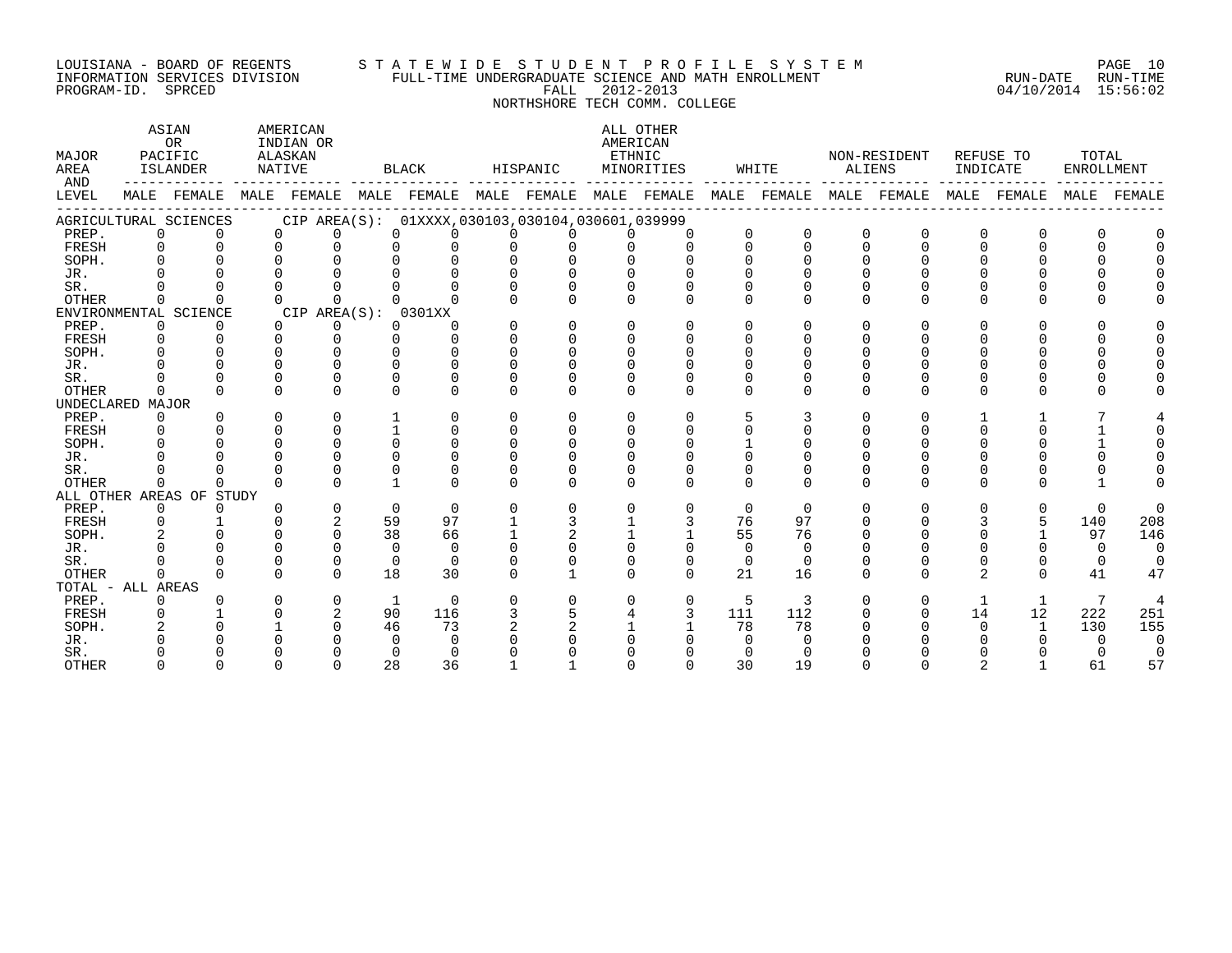#### LOUISIANA - BOARD OF REGENTS S T A T E W I D E S T U D E N T P R O F I L E S Y S T E M PAGE 10 INFORMATION SERVICES DIVISION FULL-TIME UNDERGRADUATE SCIENCE AND MATH ENROLLMENT RUN-DATE RUN-TIME DOULSIANA - BOAKD OF KEGENIS<br>INFORMATION SERVICES DIVISION FULL-TIME UNDERGRADUATE SCIENCE AND MATH ENROLLMENT<br>PROGRAM-ID. SPRCED 15:56:02

NORTHSHORE TECH COMM. COLLEGE

| MAJOR<br>AREA<br>AND |          | ASIAN<br>OR<br>PACIFIC<br>ISLANDER | AMERICAN<br>INDIAN OR<br>ALASKAN<br>NATIVE      |              | BLACK        |          | HISPANIC | AMERICAN<br>ETHNIC | ALL OTHER<br>MINORITIES |          | WHITE        | ALIENS   | NON-RESIDENT            | INDICATE     | REFUSE TO    | TOTAL<br>ENROLLMENT |          |
|----------------------|----------|------------------------------------|-------------------------------------------------|--------------|--------------|----------|----------|--------------------|-------------------------|----------|--------------|----------|-------------------------|--------------|--------------|---------------------|----------|
| LEVEL                |          | MALE FEMALE                        | MALE FEMALE MALE FEMALE MALE FEMALE MALE FEMALE |              |              |          |          |                    |                         |          |              |          | MALE FEMALE MALE FEMALE |              | MALE FEMALE  | MALE                | FEMALE   |
|                      |          | AGRICULTURAL SCIENCES              | CIP AREA(S): 01XXXX,030103,030104,030601,039999 |              |              |          |          |                    |                         |          |              |          |                         |              |              |                     |          |
| PREP.                | $\Omega$ | $\Omega$                           | $\Omega$<br>U                                   | $\Omega$     | 0            |          |          |                    | $\Omega$                | $\Omega$ | $\Omega$     | $\Omega$ | $\Omega$                | 0            | $\Omega$     |                     |          |
| FRESH                | $\Omega$ | $\Omega$                           | $\Omega$<br>$\Omega$                            | $\Omega$     |              | $\Omega$ | $\Omega$ |                    | $\cap$                  | $\Omega$ | $\Omega$     | $\Omega$ | $\Omega$                | 0            | 0            |                     |          |
| SOPH.                | $\Omega$ |                                    |                                                 | $\cap$       |              |          |          |                    |                         |          |              |          |                         |              |              |                     |          |
| JR.                  |          |                                    |                                                 |              |              |          |          |                    |                         |          |              |          |                         |              |              |                     |          |
| SR.                  |          |                                    |                                                 |              |              |          |          |                    |                         |          |              |          |                         |              |              |                     |          |
| <b>OTHER</b>         | $\Omega$ | <sup>n</sup>                       | $\cap$<br><sup>n</sup>                          |              |              |          |          | <sup>n</sup>       | $\Omega$                | $\Omega$ | $\Omega$     | ∩        | U                       | <sup>n</sup> | $\cap$       |                     |          |
|                      |          | ENVIRONMENTAL SCIENCE              | CIP AREA(S): 0301XX                             |              |              |          |          |                    |                         |          |              |          |                         |              |              |                     |          |
| PREP.                | $\Omega$ | $\Omega$                           | $\cap$<br>0                                     | $\Omega$     | <sup>n</sup> | $\Omega$ | $\cap$   | $\Omega$           | $\Omega$                | $\Omega$ | <sup>n</sup> | ∩        | U                       | U            | U            |                     |          |
| FRESH                | $\Omega$ | $\Omega$                           | $\Omega$<br>0                                   | $\Omega$     |              |          | U        |                    |                         | U        |              |          |                         |              |              |                     |          |
| SOPH.                | ∩        |                                    | $\cap$                                          | U            |              |          |          |                    |                         |          |              |          |                         |              |              |                     |          |
| JR.                  |          |                                    | U                                               | U            | <sup>n</sup> |          |          |                    |                         |          |              |          |                         |              |              |                     |          |
| SR.                  |          |                                    | $\Omega$                                        | U            |              |          |          |                    |                         |          |              |          |                         |              |              |                     |          |
| <b>OTHER</b>         | $\Omega$ | $\Omega$                           | $\Omega$<br><sup>n</sup>                        | $\Omega$     | $\Omega$     | $\Omega$ | $\Omega$ | <sup>n</sup>       | $\Omega$                | $\Omega$ | $\Omega$     | $\Omega$ | U                       | 0            | $\Omega$     |                     |          |
| UNDECLARED MAJOR     |          |                                    |                                                 |              |              |          |          |                    |                         |          |              |          |                         |              |              |                     |          |
| PREP.                | $\Omega$ | $\Omega$                           | $\Omega$<br>$\Omega$                            |              | 0            | $\Omega$ | $\Omega$ | 0                  | $\Omega$                |          | 3            | ∩        |                         |              |              |                     |          |
| FRESH                | $\Omega$ |                                    | $\Omega$<br>$\Omega$                            |              | $\Omega$     | $\Omega$ | $\Omega$ |                    | $\Omega$                | $\Omega$ |              |          |                         | U            |              |                     |          |
| SOPH.                |          |                                    | $\Omega$<br>$\cap$                              | $\Omega$     | $\Omega$     |          | $\Omega$ |                    |                         |          |              |          |                         |              |              |                     |          |
| JR.                  |          |                                    | $\cap$                                          | $\Omega$     |              |          |          |                    |                         |          |              |          |                         |              |              |                     |          |
| SR.                  |          |                                    |                                                 | U            |              |          |          |                    |                         |          |              |          |                         |              |              |                     |          |
| OTHER                | $\Omega$ | $\Omega$                           | $\cap$<br>U                                     |              | $\Omega$     | $\Omega$ | $\Omega$ | <sup>n</sup>       | $\Omega$                | $\Omega$ | $\Omega$     | $\Omega$ | U                       | $\Omega$     | U            |                     |          |
|                      |          | ALL OTHER AREAS OF STUDY           |                                                 |              |              |          |          |                    |                         |          |              |          |                         |              |              |                     |          |
| PREP.                | $\Omega$ | $\Omega$                           | U<br>$\Omega$                                   | $\Omega$     | $\Omega$     | $\Omega$ | $\Omega$ | 0                  | $\Omega$                | $\Omega$ | $\Omega$     | ∩        | U                       | 0            | $\Omega$     | $\Omega$            | $\Omega$ |
| FRESH                | $\Omega$ |                                    | $\overline{2}$<br>$\cap$                        | 59           | 97           |          |          |                    |                         | 76       | 97           |          |                         |              | 5            | 140                 | 208      |
| SOPH.                |          |                                    | $\Omega$                                        | 38           | 66           |          |          |                    |                         | 55       | 76           |          |                         |              |              | 97                  | 146      |
| JR.                  |          |                                    | $\Omega$<br>∩                                   | $\Omega$     | $\Omega$     |          |          |                    |                         | $\Omega$ | $\Omega$     |          |                         |              |              | $\Omega$            | $\Omega$ |
| SR.                  |          |                                    | $\Omega$<br>$\Omega$                            | $\Omega$     | $\Omega$     |          |          | $\Omega$           | $\Omega$                | $\Omega$ | $\Omega$     |          |                         | 0            | 0            | $\Omega$            | $\Omega$ |
| <b>OTHER</b>         |          |                                    | $\Omega$<br>U                                   | 18           | 30           |          |          | <sup>n</sup>       | $\Omega$                | 21       | 16           | ∩        | U                       | 2            | $\Omega$     | 41                  | 47       |
| TOTAL - ALL AREAS    |          |                                    |                                                 |              |              |          |          |                    |                         |          |              |          |                         |              |              |                     |          |
| PREP.                | 0        |                                    | 0<br>O                                          | 1            | $\mathbf 0$  | 0        |          |                    | 0                       | 5        | 3            |          |                         |              | $\mathbf{1}$ | $7\phantom{.0}$     | 4        |
| FRESH                | $\Omega$ |                                    | 2<br>$\cap$                                     | 90           | 116          | 3        |          |                    | 3                       | 111      | 112          |          |                         | 14           | 12           | 222                 | 251      |
| SOPH.                |          |                                    |                                                 | 46           | 73           |          |          |                    |                         | 78       | 78           |          |                         | 0            | $\mathbf{1}$ | 130                 | 155      |
| JR.                  |          |                                    |                                                 | <sup>0</sup> | ∩            |          |          |                    |                         |          |              |          |                         |              |              |                     |          |
| SR.                  |          |                                    |                                                 | <sup>0</sup> | $\Omega$     |          |          |                    |                         |          |              |          |                         |              |              |                     |          |
| <b>OTHER</b>         | ∩        | $\Omega$                           | $\Omega$<br>U                                   | 28           | 36           |          |          | U                  | $\Omega$                | 30       | 19           | ∩        | U                       |              |              | 61                  | 57       |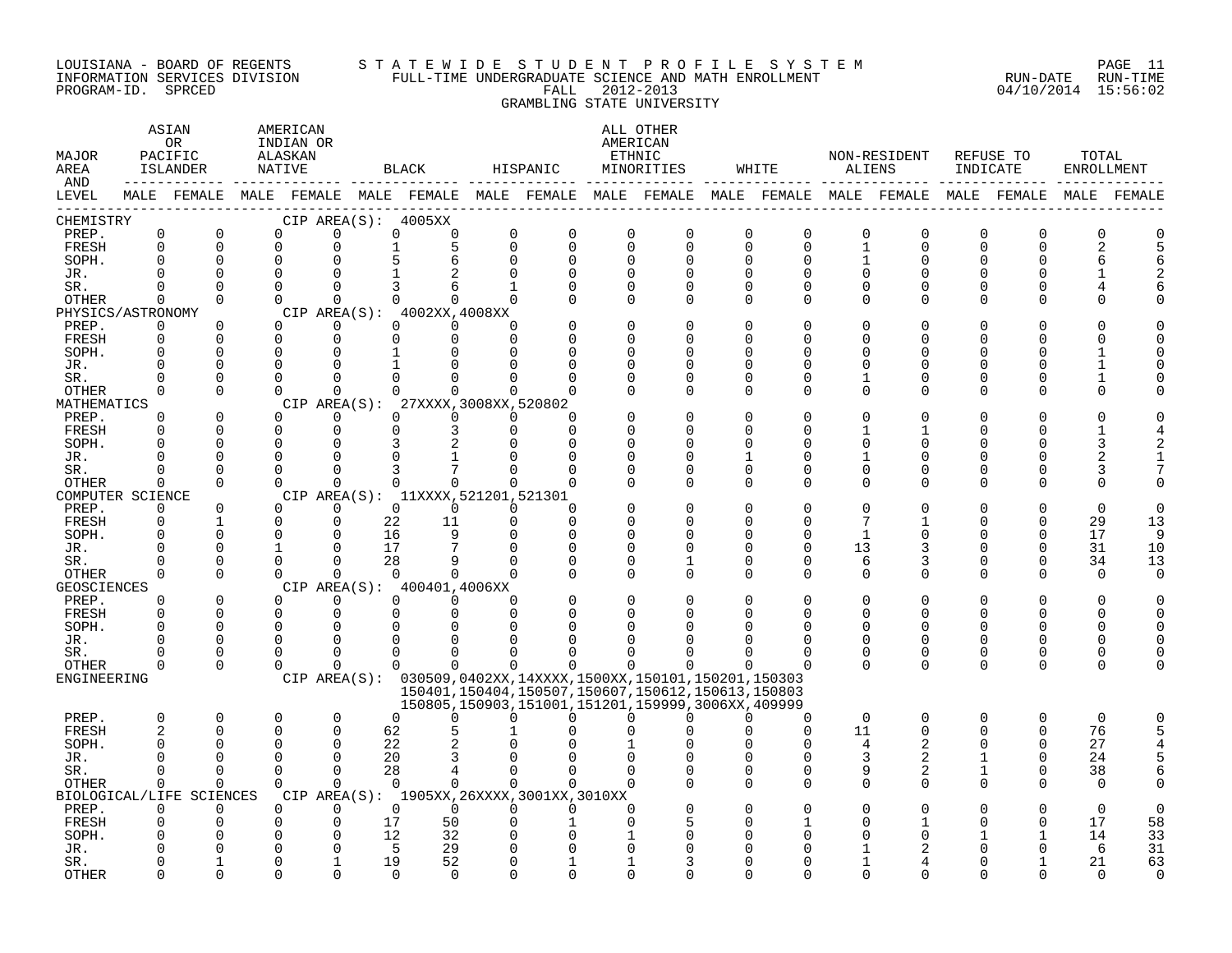#### LOUISIANA - BOARD OF REGENTS S T A T E W I D E S T U D E N T P R O F I L E S Y S T E M PAGE 11 INFORMATION SERVICES DIVISION FULL-TIME UNDERGRADUATE SCIENCE AND MATH ENROLLMENT RUN-DATE RUN-TIME PROGRAM-ID. SPRCED FALL 2012-2013 04/10/2014 15:56:02 GRAMBLING STATE UNIVERSITY

| MAJOR<br>AREA<br>AND        |                | ASIAN<br>OR<br>PACIFIC<br>ISLANDER | AMERICAN<br>INDIAN OR<br>ALASKAN<br>NATIVE |             |    | BLACK                                                       | HISPANIC       |          |             | ALL OTHER<br>AMERICAN<br>ETHNIC<br>MINORITIES                                                                                                                                     |               | WHITE                         |                   | NON-RESIDENT<br>ALIENS | INDICATE                | REFUSE TO            | TOTAL<br>ENROLLMENT |             |
|-----------------------------|----------------|------------------------------------|--------------------------------------------|-------------|----|-------------------------------------------------------------|----------------|----------|-------------|-----------------------------------------------------------------------------------------------------------------------------------------------------------------------------------|---------------|-------------------------------|-------------------|------------------------|-------------------------|----------------------|---------------------|-------------|
| LEVEL                       |                |                                    |                                            |             |    |                                                             |                |          |             | MALE FEMALE MALE FEMALE MALE FEMALE MALE FEMALE MALE FEMALE MALE FEMALE MALE FEMALE MALE FEMALE                                                                                   |               |                               |                   |                        |                         |                      |                     | MALE FEMALE |
| CHEMISTRY                   | $\mathbf 0$    | $\mathsf 0$                        |                                            | 0           |    | CIP AREA(S): 4005XX<br>$\Omega$                             | $\overline{0}$ | 0        | $\mathbf 0$ | $\mathbf 0$                                                                                                                                                                       |               |                               |                   |                        |                         |                      | $\overline{0}$      |             |
| PREP.<br>FRESH              | $\Omega$       | $\Omega$                           | 0<br>$\Omega$                              | 0           |    | 0                                                           | $\Omega$       | $\Omega$ | $\Omega$    | $\mathbf 0$                                                                                                                                                                       | 0<br>$\Omega$ | $\mathsf 0$<br>$\overline{0}$ | 0<br>$\mathbf{1}$ | $\mathbf 0$<br>0       | $\mathbf 0$<br>$\Omega$ | $\Omega$<br>$\Omega$ |                     |             |
| SOPH.                       | $\Omega$       | $\mathbf 0$                        | 0                                          | 0           |    |                                                             | $\Omega$       | $\Omega$ | $\Omega$    | $\Omega$                                                                                                                                                                          | $\Omega$      | 0                             |                   | 0                      | O                       | O                    | 6                   |             |
| JR.                         |                | $\Omega$                           | $\Omega$                                   | $\Omega$    |    |                                                             |                |          | $\cap$      |                                                                                                                                                                                   | $\Omega$      | $\Omega$                      | U                 | $\Omega$               |                         |                      |                     |             |
| SR.                         | $\Omega$       | $\Omega$                           | $\Omega$                                   | $\Omega$    |    | 3<br>6                                                      | $\mathbf{1}$   | ∩        | $\Omega$    | $\Omega$                                                                                                                                                                          | $\Omega$      | $\Omega$                      | 0                 | $\Omega$               | U                       |                      |                     |             |
| OTHER                       | $\Omega$       | $\Omega$                           | $\Omega$                                   | $\Omega$    |    | $\Omega$<br>$\Omega$                                        | $\Omega$       |          | $\Omega$    | $\Omega$                                                                                                                                                                          | $\Omega$      | $\Omega$                      | $\Omega$          | $\Omega$               | ∩                       | O                    |                     |             |
| PHYSICS/ASTRONOMY           |                |                                    |                                            |             |    | CIP AREA(S): 4002XX,4008XX                                  |                |          |             |                                                                                                                                                                                   |               |                               |                   |                        |                         |                      |                     |             |
| PREP.                       | $\Omega$       | $\Omega$                           | $\Omega$                                   | $\Omega$    |    | $\Omega$<br>$\Omega$                                        | $\Omega$       |          | $\Omega$    | $\Omega$                                                                                                                                                                          | $\Omega$      | O                             | O                 | 0                      |                         |                      |                     |             |
| FRESH                       | $\mathbf 0$    | $\Omega$                           | $\Omega$                                   | $\Omega$    |    | $\Omega$<br>$\Omega$                                        | $\Omega$       |          | ∩           | $\cap$                                                                                                                                                                            | ∩             | U                             | U                 | U                      |                         |                      |                     |             |
| SOPH.                       |                | $\Omega$                           | $\Omega$                                   | $\Omega$    |    |                                                             |                |          | ∩           |                                                                                                                                                                                   | $\Omega$      | U                             | U                 | U                      |                         |                      |                     |             |
| JR.                         | $\Omega$       | $\Omega$                           | $\Omega$                                   | 0           |    |                                                             |                |          | O           | $\Omega$                                                                                                                                                                          | $\Omega$      | O                             |                   | 0                      |                         |                      |                     |             |
| SR.                         | ∩              | $\Omega$                           | $\Omega$                                   | $\Omega$    |    | $\cap$                                                      |                |          | U           | $\Omega$                                                                                                                                                                          | $\Omega$      | $\Omega$                      |                   | 0                      |                         | O                    |                     |             |
| OTHER                       | $\Omega$       | $\Omega$                           | $\Omega$                                   | $\Omega$    |    | $\cap$                                                      |                |          | U           | $\Omega$                                                                                                                                                                          | $\Omega$      | $\Omega$                      | $\Omega$          | 0                      | U                       | ∩                    | U                   |             |
| MATHEMATICS<br>PREP.        | $\Omega$       | $\Omega$                           | $\Omega$                                   | $\Omega$    |    | CIP AREA(S): 27XXXX, 3008XX, 520802<br>$\Omega$<br>$\Omega$ | $\Omega$       | ∩        |             |                                                                                                                                                                                   | $\Omega$      | $\Omega$                      |                   | $\Omega$               |                         |                      |                     |             |
| FRESH                       | $\Omega$       | $\Omega$                           | $\Omega$                                   | $\Omega$    |    | $\Omega$<br>3                                               | $\Omega$       | $\Omega$ |             |                                                                                                                                                                                   | ∩             | U                             |                   |                        |                         | ∩                    |                     |             |
| SOPH.                       | ∩              | $\Omega$                           | $\Omega$                                   | $\Omega$    |    | 3                                                           | U              |          | ∩           | ∩                                                                                                                                                                                 | ∩             | U                             | ∩                 | U                      |                         | ∩                    |                     |             |
| JR.                         | $\Omega$       | $\Omega$                           | $\Omega$                                   | $\Omega$    |    | $\Omega$                                                    |                | $\Omega$ | O           | $\Omega$                                                                                                                                                                          |               | 0                             |                   | 0                      |                         | O                    |                     |             |
| SR.                         |                | $\Omega$                           | $\Omega$                                   | $\Omega$    |    | 3                                                           | $\Omega$       |          | O           | $\Omega$                                                                                                                                                                          | 0             | 0                             | O                 | 0                      | O                       | 0                    | 3                   |             |
| <b>OTHER</b>                | $\Omega$       | $\Omega$                           | $\Omega$                                   | $\Omega$    |    | $\Omega$<br>$\Omega$                                        | $\Omega$       | $\Omega$ | $\cap$      | $\Omega$                                                                                                                                                                          | $\Omega$      | $\Omega$                      | $\Omega$          | $\Omega$               | $\Omega$                | ∩                    | U                   |             |
| COMPUTER SCIENCE            |                |                                    |                                            |             |    | CIP AREA(S): 11XXXX, 521201, 521301                         |                |          |             |                                                                                                                                                                                   |               |                               |                   |                        |                         |                      |                     |             |
| PREP.                       | $\Omega$       | $\Omega$                           | $\Omega$                                   | $\Omega$    |    | $\Omega$<br>$\Omega$                                        | $\Omega$       | $\Omega$ | O           |                                                                                                                                                                                   | ∩             | U                             | U                 | U                      |                         |                      | $\Omega$            | U           |
| FRESH                       | 0              | $\mathbf{1}$                       | $\Omega$                                   | $\Omega$    |    | 22<br>11                                                    | $\Omega$       | $\Omega$ | $\Omega$    | ∩                                                                                                                                                                                 | $\Omega$      | $\Omega$                      | 7                 |                        |                         | $\Omega$             | 29                  | 13          |
| SOPH.                       | $\Omega$       | $\Omega$                           | $\Omega$                                   | $\Omega$    | 16 | 9                                                           | $\Omega$       | $\Omega$ | $\Omega$    | $\Omega$                                                                                                                                                                          | $\Omega$      | $\Omega$                      | -1                | 0                      |                         | $\Omega$             | 17                  | 9           |
| JR.                         | ∩              | $\overline{0}$                     | $\mathbf{1}$                               | $\mathbf 0$ | 17 |                                                             | $\Omega$       | ∩        | 0           | $\Omega$                                                                                                                                                                          | $\Omega$      | $\overline{0}$                | 13                | 3                      |                         | $\Omega$             | 31                  | 10          |
| SR.                         |                | $\Omega$                           | $\Omega$                                   | $\Omega$    | 28 |                                                             |                |          | $\Omega$    | $\mathbf{1}$                                                                                                                                                                      | $\Omega$      | $\Omega$                      | 6                 | 3                      |                         | $\Omega$             | 34                  | 13          |
| OTHER                       | $\Omega$       | $\Omega$                           | $\Omega$                                   | $\Omega$    |    | $\Omega$<br>$\Omega$                                        | $\Omega$       | $\Omega$ | $\Omega$    | $\Omega$                                                                                                                                                                          | ∩             | $\Omega$                      | $\Omega$          | $\Omega$               | ∩                       | $\Omega$             | $\Omega$            | $\Omega$    |
| <b>GEOSCIENCES</b>          |                |                                    |                                            |             |    | CIP AREA(S): 400401,4006XX                                  |                |          |             |                                                                                                                                                                                   |               |                               |                   |                        |                         |                      |                     |             |
| PREP.                       | $\Omega$       | $\Omega$                           | $\Omega$                                   | $\Omega$    |    | $\Omega$<br>$\Omega$                                        | $\Omega$       |          | $\Omega$    |                                                                                                                                                                                   | $\Omega$      | O                             | O                 | 0                      |                         | $\Omega$             |                     |             |
| FRESH                       | $\Omega$       | $\Omega$                           | $\Omega$                                   | $\mathbf 0$ |    | $\mathbf 0$<br>$\Omega$                                     | $\Omega$       |          | $\Omega$    | O                                                                                                                                                                                 | O             | O                             | $\Omega$          | $\Omega$               | $\Omega$                | $\Omega$             | O                   |             |
| SOPH.                       | $\Omega$       | $\Omega$                           | $\Omega$                                   | $\Omega$    |    | $\Omega$                                                    | $\cap$         |          |             |                                                                                                                                                                                   |               | $\Omega$                      |                   | U                      |                         |                      |                     |             |
| JR.                         |                | $\Omega$                           | $\Omega$                                   | $\Omega$    |    | $\Omega$<br>$\Omega$                                        |                |          |             |                                                                                                                                                                                   |               | O                             | U                 | 0                      | ∩                       | 0                    |                     |             |
| SR.                         |                | 0<br>$\Omega$                      | 0                                          | 0           |    | $\Omega$<br>0                                               |                |          |             |                                                                                                                                                                                   |               | 0<br>$\Omega$                 | 0<br>$\Omega$     | 0<br>$\Omega$          | 0<br>$\Omega$           | 0                    | U<br>$\Omega$       |             |
| <b>OTHER</b><br>ENGINEERING | $\Omega$       |                                    | $\Omega$                                   | $\Omega$    |    | $\Omega$<br>$\Omega$                                        | $\Omega$       | $\Omega$ | $\Omega$    | $\Omega$                                                                                                                                                                          |               |                               |                   |                        |                         | $\Omega$             |                     |             |
|                             |                |                                    |                                            |             |    |                                                             |                |          |             | CIP AREA(S): 030509,0402XX,14XXXX,1500XX,150101,150201,150303<br>150401, 150404, 150507, 150607, 150612, 150613, 150803<br>150805, 150903, 151001, 151201, 159999, 3006XX, 409999 |               |                               |                   |                        |                         |                      |                     |             |
| PREP.                       | 0              | $\mathbf 0$                        | 0                                          | $\mathbf 0$ |    | $\Omega$<br>0                                               | $\Omega$       | 0        | 0           | ∩                                                                                                                                                                                 | 0             | $\Omega$                      | 0                 | $\mathbf 0$            | $\mathbf 0$             | 0                    | $\mathbf 0$         |             |
| FRESH                       | $\overline{2}$ | $\Omega$                           | $\Omega$                                   | $\Omega$    | 62 |                                                             |                |          |             |                                                                                                                                                                                   |               | $\Omega$                      | 11                | $\Omega$               | $\Omega$                | $\Omega$             | 76                  |             |
| SOPH.                       |                | $\Omega$                           | $\Omega$                                   | $\Omega$    |    | 22                                                          |                |          |             |                                                                                                                                                                                   |               | $\Omega$                      | 4                 | 2                      | 0                       | $\Omega$             | 27                  |             |
| JR.                         |                | $\Omega$                           | $\Omega$                                   | $\Omega$    | 20 | 3                                                           |                |          |             |                                                                                                                                                                                   |               | $\Omega$                      | 3                 | $\overline{2}$         |                         | $\Omega$             | 24                  |             |
| SR.                         | $\Omega$       | $\Omega$                           | $\Omega$                                   | $\Omega$    | 28 | 4                                                           | $\Omega$       | $\Omega$ | $\Omega$    |                                                                                                                                                                                   | $\Omega$      | $\Omega$                      | 9                 | 2                      | $\mathbf{1}$            | $\Omega$             | 38                  |             |
| OTHER                       | $\Omega$       | $\Omega$                           | $\Omega$                                   | $\Omega$    |    | $\Omega$<br>$\Omega$                                        | $\Omega$       | $\Omega$ | $\Omega$    |                                                                                                                                                                                   | $\Omega$      | $\Omega$                      | $\Omega$          | $\Omega$               | 0                       |                      | $\Omega$            |             |
| BIOLOGICAL/LIFE             |                | SCIENCES                           |                                            |             |    | CIP AREA(S): 1905XX, 26XXXX, 3001XX, 3010XX                 |                |          |             |                                                                                                                                                                                   |               |                               |                   |                        |                         |                      |                     |             |
| PREP.                       | $\Omega$       | $\Omega$                           | $\Omega$                                   | $\Omega$    |    | $\Omega$<br>$\Omega$                                        | $\Omega$       | $\Omega$ | $\Omega$    |                                                                                                                                                                                   |               |                               |                   | O                      |                         |                      | $\Omega$            | $\Omega$    |
| FRESH                       |                | $\Omega$                           | 0                                          | 0           | 17 | 50                                                          |                |          |             |                                                                                                                                                                                   |               |                               |                   |                        |                         | $\Omega$             | 17                  | 58          |
| SOPH.                       |                |                                    | U                                          | 0           | 12 | 32                                                          |                |          |             |                                                                                                                                                                                   |               |                               |                   | U                      |                         |                      | 14                  | 33          |
| JR.                         |                |                                    | 0                                          | 0           |    | 5<br>29                                                     |                |          |             |                                                                                                                                                                                   |               |                               |                   |                        |                         |                      | 6                   | 31          |
| SR.                         |                | 1                                  | U                                          |             | 19 | 52                                                          |                |          |             |                                                                                                                                                                                   |               |                               |                   |                        |                         |                      | 21                  | 63          |
| <b>OTHER</b>                |                | $\Omega$                           | ∩                                          | $\Omega$    |    | $\cap$<br>$\Omega$                                          |                | $\cap$   | $\cap$      |                                                                                                                                                                                   |               |                               | U                 | U                      |                         |                      | $\cap$              | $\cap$      |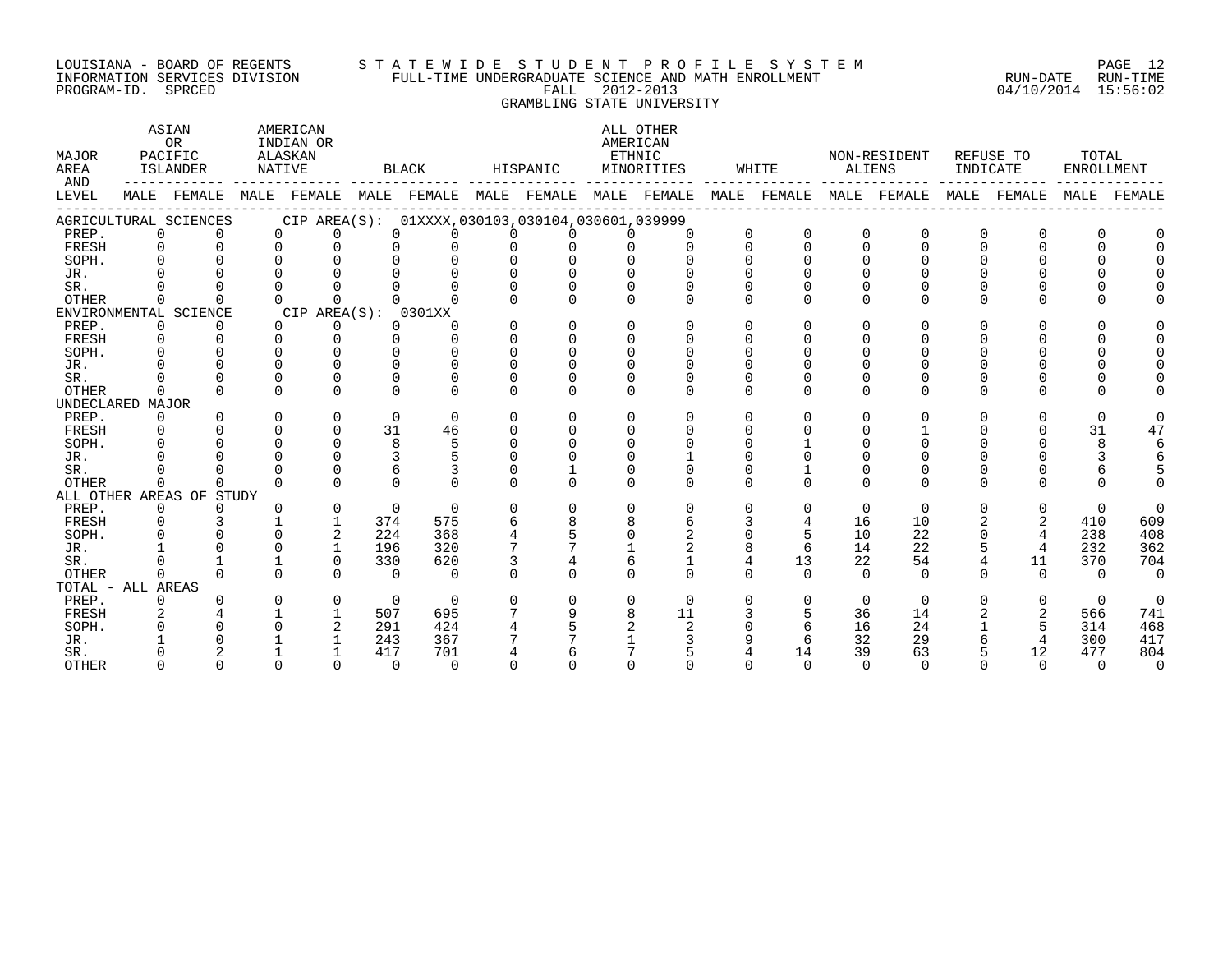#### LOUISIANA - BOARD OF REGENTS S T A T E W I D E S T U D E N T P R O F I L E S Y S T E M PAGE 12 INFORMATION SERVICES DIVISION FULL-TIME UNDERGRADUATE SCIENCE AND MATH ENROLLMENT RUN-DATE RUN-TIME PROGRAM-ID. SPRCED FALL 2012-2013 04/10/2014 15:56:02 GRAMBLING STATE UNIVERSITY

| MAJOR<br>AREA<br>AND |          | ASIAN<br><b>OR</b><br>PACIFIC<br>ISLANDER | NATIVE       | AMERICAN<br>INDIAN OR<br>ALASKAN |               | BLACK                                           |          | HISPANIC     | ETHNIC   | ALL OTHER<br>AMERICAN<br>MINORITIES                                                             |          | WHITE          |          | NON-RESIDENT<br>ALIENS |          | REFUSE TO<br>INDICATE | TOTAL<br>ENROLLMENT |                |
|----------------------|----------|-------------------------------------------|--------------|----------------------------------|---------------|-------------------------------------------------|----------|--------------|----------|-------------------------------------------------------------------------------------------------|----------|----------------|----------|------------------------|----------|-----------------------|---------------------|----------------|
| LEVEL                |          |                                           |              |                                  |               |                                                 |          |              |          | MALE FEMALE MALE FEMALE MALE FEMALE MALE FEMALE MALE FEMALE MALE FEMALE MALE FEMALE MALE FEMALE |          |                |          |                        |          |                       |                     | MALE FEMALE    |
|                      |          | AGRICULTURAL SCIENCES                     |              |                                  |               | CIP AREA(S): 01XXXX,030103,030104,030601,039999 |          |              |          |                                                                                                 |          |                |          |                        |          |                       |                     |                |
| PREP.                | $\Omega$ | $\Omega$                                  | $\Omega$     | $\Omega$                         | $\Omega$      | $\Omega$                                        | $\Omega$ | $\Omega$     | $\cap$   |                                                                                                 | $\Omega$ | $\mathbf 0$    | $\Omega$ | $\Omega$               | $\Omega$ | $\Omega$              | $\Omega$            |                |
| FRESH                | $\Omega$ | $\Omega$                                  | $\Omega$     | $\Omega$                         | $\Omega$      |                                                 | $\Omega$ |              | $\Omega$ | $\Omega$                                                                                        |          | $\Omega$       |          |                        |          |                       |                     |                |
| SOPH.                | $\cap$   | $\cap$                                    | $\cap$       | $\cap$                           |               |                                                 |          |              |          |                                                                                                 |          |                |          |                        |          |                       |                     |                |
| JR.                  |          |                                           |              |                                  |               |                                                 |          |              |          |                                                                                                 |          |                |          |                        |          |                       |                     |                |
| SR.                  |          |                                           | $\Omega$     |                                  |               |                                                 |          |              |          |                                                                                                 |          |                |          |                        |          |                       |                     |                |
| OTHER                |          | <sup>n</sup>                              | $\Omega$     | $\cap$                           |               |                                                 |          | $\Omega$     | $\Omega$ | $\Omega$                                                                                        |          | $\Omega$       |          | O                      |          |                       |                     |                |
|                      |          | ENVIRONMENTAL SCIENCE                     |              | CIP AREA(S): 0301XX              |               |                                                 |          |              |          |                                                                                                 |          |                |          |                        |          |                       |                     |                |
| PREP.                | $\Omega$ | $\Omega$                                  | $\Omega$     | $\Omega$                         | $\Omega$      |                                                 | $\Omega$ | $\Omega$     | $\cap$   | $\cap$                                                                                          |          | $\Omega$       |          | U                      |          |                       |                     |                |
| FRESH                | $\Omega$ | $\Omega$                                  | $\Omega$     | $\Omega$                         | $\cap$        | $\cap$                                          | $\Omega$ | $\Omega$     | $\cap$   | $\cap$                                                                                          |          |                |          | U                      |          |                       |                     |                |
| SOPH.                |          |                                           | $\Omega$     | $\Omega$                         | $\Omega$      |                                                 | $\Omega$ | $\Omega$     | $\Omega$ | $\Omega$                                                                                        |          |                |          |                        |          |                       |                     |                |
| JR.                  |          |                                           | $\cap$       | $\Omega$                         |               |                                                 |          |              |          |                                                                                                 |          |                |          |                        |          |                       |                     |                |
| SR.                  |          |                                           |              |                                  |               |                                                 |          |              |          |                                                                                                 |          |                |          |                        |          |                       |                     |                |
| <b>OTHER</b>         | $\cap$   | $\cap$                                    | $\cap$       | $\cap$                           | $\cap$        |                                                 | $\cap$   | <sup>n</sup> | $\cap$   | ∩                                                                                               | $\cap$   | $\Omega$       | U        | $\Omega$               | $\Omega$ | $\Omega$              |                     |                |
| UNDECLARED MAJOR     |          |                                           |              |                                  |               |                                                 |          |              |          |                                                                                                 |          |                |          |                        |          |                       |                     |                |
| PREP.                | $\Omega$ |                                           | $\Omega$     | 0                                | $\Omega$      | $\Omega$                                        |          | $\Omega$     | $\Omega$ | $\Omega$                                                                                        |          | $\Omega$       |          | O                      |          |                       | $\mathbf 0$         |                |
| FRESH                | $\Omega$ |                                           | $\Omega$     | $\Omega$                         | 31            | 46                                              |          | $\Omega$     | $\Omega$ | $\Omega$                                                                                        |          |                |          |                        |          |                       | 31                  | 47             |
| SOPH.                | $\Omega$ |                                           | $\Omega$     | $\Omega$                         | 8             |                                                 |          |              |          |                                                                                                 |          |                |          |                        |          |                       |                     |                |
| JR.                  |          |                                           | $\cap$       | $\cap$                           | $\mathcal{L}$ |                                                 |          |              |          |                                                                                                 |          |                |          |                        |          |                       |                     |                |
| SR.                  |          |                                           | $\cap$       | $\Omega$                         |               |                                                 |          |              |          |                                                                                                 |          |                |          | U                      |          |                       |                     |                |
| <b>OTHER</b>         | $\cap$   | $\Omega$                                  | $\Omega$     | $\Omega$                         | $\cap$        |                                                 | $\Omega$ | $\Omega$     | $\Omega$ | $\Omega$                                                                                        |          | $\Omega$       | $\Omega$ | $\Omega$               | $\Omega$ |                       | $\Omega$            |                |
|                      |          | ALL OTHER AREAS OF STUDY                  |              |                                  |               |                                                 |          |              |          |                                                                                                 |          |                |          |                        |          |                       |                     |                |
| PREP.                | $\Omega$ | $\Omega$                                  | $\Omega$     | $\Omega$                         | $\Omega$      | $\overline{0}$                                  | $\Omega$ | $\Omega$     | $\Omega$ | $\Omega$                                                                                        | $\Omega$ | $\Omega$       | $\Omega$ | $\Omega$               | $\Omega$ | $\Omega$              | $\Omega$            | $\Omega$       |
| FRESH                | $\Omega$ |                                           |              | $\mathbf{1}$                     | 374           | 575                                             |          |              |          | 6                                                                                               |          | $\overline{4}$ | 16       | 10                     |          |                       | 410                 | 609            |
| SOPH.                | $\cap$   | $\cap$                                    | $\cap$       | 2                                | 224           | 368                                             |          |              | $\Omega$ | $\overline{2}$                                                                                  |          |                | 10       | 22                     |          |                       | 238                 | 408            |
| JR.                  |          | $\Omega$                                  | $\Omega$     | $\mathbf{1}$                     | 196           | 320                                             |          |              |          | 2                                                                                               |          |                | 14       | 22                     |          | 4                     | 232                 | 362            |
| SR.                  |          |                                           | $\mathbf{1}$ | $\mathbf 0$                      | 330           | 620                                             |          |              | 6        |                                                                                                 |          | 13             | 22       | 54                     |          | 11                    | 370                 | 704            |
| <b>OTHER</b>         | $\cap$   |                                           | $\cap$       | $\cap$                           | $\Omega$      | $\cap$                                          |          | <sup>n</sup> | $\Omega$ | $\Omega$                                                                                        |          | $\cap$         | $\cap$   | $\Omega$               |          | $\cap$                | $\Omega$            | $\overline{0}$ |
| TOTAL - ALL AREAS    |          |                                           |              |                                  |               |                                                 |          |              |          |                                                                                                 |          |                |          |                        |          |                       |                     |                |
| PREP.                | $\Omega$ |                                           | $\Omega$     | $\mathbf 0$                      | $\Omega$      | $\Omega$                                        | $\Omega$ | $\Omega$     | $\Omega$ | $\Omega$                                                                                        |          | $\Omega$       | $\Omega$ | $\Omega$               |          | $\Omega$              | $\Omega$            | $\overline{0}$ |
| FRESH                | 2        |                                           | $\mathbf{1}$ | $\mathbf{1}$                     | 507           | 695                                             |          |              | 8        | 11                                                                                              |          | 5              | 36       | 14                     |          | $\overline{2}$        | 566                 | 741            |
| SOPH.                |          |                                           | $\Omega$     | 2                                | 291           | 424                                             |          |              |          |                                                                                                 |          |                | 16       | 24                     |          |                       | 314                 | 468            |
| JR.                  |          |                                           |              |                                  | 243           | 367                                             |          |              |          |                                                                                                 |          |                | 32       | 29                     |          |                       | 300                 | 417            |
| SR.                  |          |                                           |              |                                  | 417           | 701                                             |          |              |          |                                                                                                 |          | 14             | 39       | 63                     |          | 12                    | 477                 | 804            |
| <b>OTHER</b>         |          | $\cap$                                    | $\cap$       | $\Omega$                         | $\cap$        | $\cap$                                          |          |              |          |                                                                                                 |          | $\cap$         | $\cap$   | $\cap$                 |          | $\cap$                | $\Omega$            | $\Omega$       |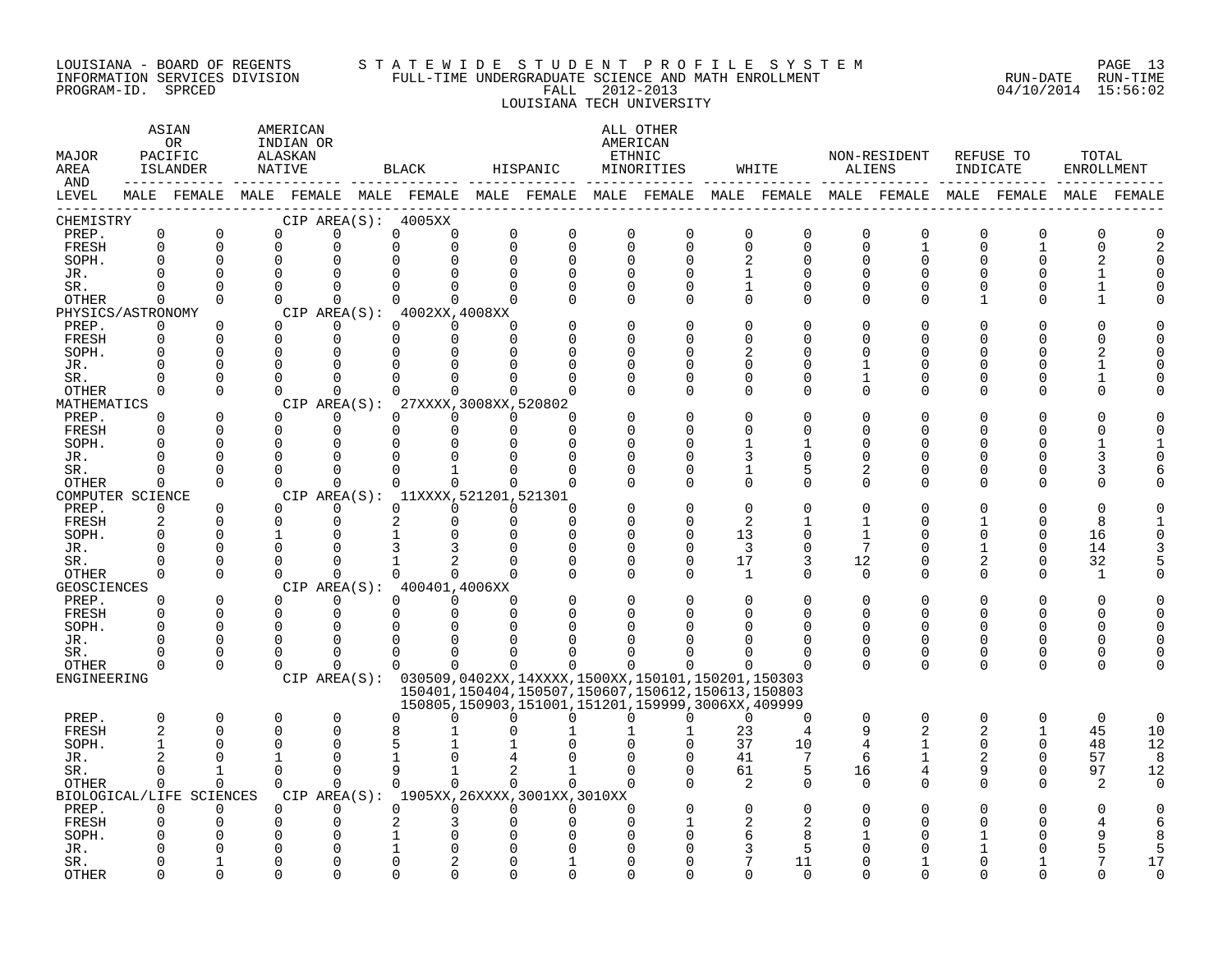#### LOUISIANA - BOARD OF REGENTS S T A T E W I D E S T U D E N T P R O F I L E S Y S T E M PAGE 13 INFORMATION SERVICES DIVISION FULL-TIME UNDERGRADUATE SCIENCE AND MATH ENROLLMENT RUN-DATE RUN-TIME PROGRAM-ID. SPRCED FALL 2012-2013 04/10/2014 15:56:02 LOUISIANA TECH UNIVERSITY

| MAJOR<br>AREA<br>AND |                            | ASIAN<br>0R<br>PACIFIC<br>ISLANDER                                                              | AMERICAN<br>INDIAN OR<br>ALASKAN<br>NATIVE |                         |              | BLACK                               | HISPANIC                |                                             |                            | ALL OTHER<br>AMERICAN<br>ETHNIC<br>MINORITIES                                                                                                                                     |                      | WHITE                         |               | NON-RESIDENT<br>ALIENS | REFUSE TO<br>INDICATE   |                      | TOTAL<br>ENROLLMENT |             |
|----------------------|----------------------------|-------------------------------------------------------------------------------------------------|--------------------------------------------|-------------------------|--------------|-------------------------------------|-------------------------|---------------------------------------------|----------------------------|-----------------------------------------------------------------------------------------------------------------------------------------------------------------------------------|----------------------|-------------------------------|---------------|------------------------|-------------------------|----------------------|---------------------|-------------|
| LEVEL                |                            | MALE FEMALE MALE FEMALE MALE FEMALE MALE FEMALE MALE FEMALE MALE FEMALE MALE FEMALE MALE FEMALE |                                            |                         |              |                                     |                         |                                             |                            |                                                                                                                                                                                   |                      |                               |               |                        |                         |                      |                     | MALE FEMALE |
| CHEMISTRY            |                            |                                                                                                 |                                            |                         |              | CIP AREA(S): 4005XX                 |                         |                                             |                            |                                                                                                                                                                                   |                      |                               |               |                        |                         |                      |                     |             |
| PREP.<br>FRESH       | 0<br>$\Omega$              | $\mathbf 0$<br>$\Omega$                                                                         | 0<br>$\Omega$                              | $\mathbf 0$<br>$\Omega$ | 0<br>$\cap$  | 0<br>$\Omega$                       | $\mathbf 0$<br>$\Omega$ | 0<br>$\Omega$                               | $\mathbf 0$<br>$\mathbf 0$ | $\mathbf 0$<br>$\Omega$                                                                                                                                                           | 0<br>0               | $\mathsf 0$<br>$\overline{0}$ | 0<br>$\Omega$ | $\mathbf 0$<br>1       | $\mathbf 0$<br>$\Omega$ | $\Omega$             | $\overline{0}$<br>O |             |
| SOPH.                | $\Omega$                   | $\Omega$                                                                                        | $\mathbf 0$                                | $\Omega$                |              |                                     | $\Omega$                | 0                                           | $\Omega$                   | $\Omega$                                                                                                                                                                          |                      | 0                             | O             | 0                      | U                       |                      |                     |             |
| JR.                  | $\cap$                     | $\Omega$                                                                                        | $\Omega$                                   | $\cap$                  |              |                                     |                         |                                             | $\Omega$                   |                                                                                                                                                                                   |                      | $\Omega$                      |               | $\Omega$               |                         |                      |                     |             |
| SR.                  | $\Omega$                   | $\Omega$                                                                                        | $\Omega$                                   | $\Omega$                | $\Omega$     | 0                                   | $\Omega$                | O                                           | $\Omega$                   | O                                                                                                                                                                                 | 1                    | $\Omega$                      | $\Omega$      | $\Omega$               |                         | O                    |                     |             |
| OTHER                | $\Omega$                   | $\Omega$                                                                                        | $\Omega$                                   | $\Omega$                | $\Omega$     | 0                                   | $\Omega$                |                                             | $\Omega$                   | $\Omega$                                                                                                                                                                          | $\Omega$             | $\Omega$                      | 0             | $\Omega$               | 1                       | $\Omega$             |                     |             |
| PHYSICS/ASTRONOMY    |                            |                                                                                                 |                                            |                         |              | CIP AREA(S): 4002XX, 4008XX         |                         |                                             |                            |                                                                                                                                                                                   |                      |                               |               |                        |                         |                      |                     |             |
| PREP.                | 0                          | 0                                                                                               | $\Omega$                                   | 0                       | $\Omega$     | $\Omega$                            | $\Omega$                |                                             | $\Omega$                   |                                                                                                                                                                                   | $\Omega$             | O                             | O             | O                      |                         |                      |                     |             |
| FRESH                | $\Omega$                   | $\Omega$                                                                                        | $\Omega$                                   | $\Omega$                | $\Omega$     | $\Omega$                            | $\Omega$                |                                             | $\Omega$                   |                                                                                                                                                                                   | ∩                    | U                             | U             | U                      |                         |                      |                     |             |
| SOPH.                |                            | $\Omega$                                                                                        | $\Omega$                                   | $\Omega$                |              |                                     |                         |                                             | $\Omega$                   |                                                                                                                                                                                   | 2                    | U                             | U             | U                      |                         |                      |                     |             |
| JR.                  | $\Omega$<br>$\cap$         | $\Omega$                                                                                        | $\Omega$                                   | $\Omega$                |              |                                     |                         |                                             |                            |                                                                                                                                                                                   | $\Omega$             | O                             |               | U                      |                         |                      |                     |             |
| SR.                  | $\Omega$                   | $\Omega$<br>$\Omega$                                                                            | $\Omega$<br>$\Omega$                       | $\Omega$<br>$\Omega$    |              | $\Omega$                            | <sup>n</sup>            | U                                           | $\Omega$<br>$\Omega$       | U<br>$\Omega$                                                                                                                                                                     | $\Omega$<br>$\Omega$ | O<br>$\Omega$                 | 1<br>$\Omega$ | 0<br>$\Omega$          | U                       | O<br>$\Omega$        |                     |             |
| OTHER<br>MATHEMATICS |                            |                                                                                                 |                                            |                         | CIP AREA(S): | 27XXXX, 3008XX, 520802              |                         |                                             |                            |                                                                                                                                                                                   |                      |                               |               |                        |                         |                      |                     |             |
| PREP.                | $\Omega$                   | $\Omega$                                                                                        | $\Omega$                                   | $\Omega$                | $\Omega$     | $\Omega$                            | $\Omega$                | U                                           |                            |                                                                                                                                                                                   | $\Omega$             | $\Omega$                      |               |                        |                         |                      |                     |             |
| FRESH                | $\Omega$                   | $\Omega$                                                                                        | $\mathbf 0$                                | $\mathbf 0$             | $\Omega$     | $\Omega$                            | $\Omega$                | $\Omega$                                    |                            |                                                                                                                                                                                   | ∩                    | U                             | U             | U                      |                         |                      |                     |             |
| SOPH.                | ∩                          | $\Omega$                                                                                        | $\Omega$                                   | $\Omega$                | $\Omega$     |                                     |                         | U                                           | ∩                          |                                                                                                                                                                                   |                      | 1                             | U             | ∩                      |                         |                      |                     |             |
| JR.                  | $\Omega$                   | $\Omega$                                                                                        | $\Omega$                                   | 0                       |              |                                     |                         | O                                           | $\Omega$                   |                                                                                                                                                                                   |                      | 0                             | O             | O                      |                         | ∩                    |                     |             |
| SR.                  |                            | $\Omega$                                                                                        | $\Omega$                                   | $\Omega$                |              |                                     |                         |                                             | $\Omega$                   |                                                                                                                                                                                   | 1                    | 5                             | 2             | 0                      |                         |                      |                     |             |
| OTHER                | $\Omega$                   | $\Omega$                                                                                        | $\Omega$                                   | $\Omega$                | $\Omega$     | $\Omega$                            | $\Omega$                | $\Omega$                                    | ∩                          | $\cap$                                                                                                                                                                            | $\Omega$             | $\Omega$                      | $\Omega$      | $\Omega$               | ∩                       | ∩                    |                     |             |
| COMPUTER SCIENCE     |                            |                                                                                                 |                                            |                         |              | CIP AREA(S): 11XXXX, 521201, 521301 |                         |                                             |                            |                                                                                                                                                                                   |                      |                               |               |                        |                         |                      |                     |             |
| PREP.                | $\Omega$                   | $\Omega$                                                                                        | $\Omega$                                   | $\Omega$                | $\Omega$     | $\Omega$                            | $\Omega$                | O                                           |                            |                                                                                                                                                                                   | ∩                    |                               |               |                        |                         |                      |                     |             |
| FRESH                | $\overline{a}$<br>$\Omega$ | $\Omega$<br>$\Omega$                                                                            | $\Omega$<br>$\mathbf{1}$                   | $\Omega$<br>$\Omega$    | 2            | $\Omega$                            | $\Omega$                | $\Omega$<br>$\Omega$                        | $\Omega$<br>$\Omega$       | ∩                                                                                                                                                                                 | 2<br>13              | 1<br>$\Omega$                 |               | 0<br>U                 |                         | $\Omega$<br>$\Omega$ | 8                   |             |
| SOPH.<br>JR.         | $\Omega$                   | $\Omega$                                                                                        | $\Omega$                                   | $\Omega$                |              |                                     |                         | $\Omega$                                    | 0                          | $\Omega$                                                                                                                                                                          | 3                    | $\overline{0}$                | 7             | U                      |                         | $\Omega$             | 16<br>14            |             |
| SR.                  | $\Omega$                   | $\Omega$                                                                                        | $\Omega$                                   | $\Omega$                |              |                                     |                         |                                             | $\Omega$                   | $\Omega$                                                                                                                                                                          | 17                   | 3                             | 12            | 0                      | 2                       | $\Omega$             | 32                  |             |
| OTHER                | $\Omega$                   | $\Omega$                                                                                        | $\Omega$                                   | $\Omega$                |              | $\cap$                              | $\Omega$                |                                             | $\Omega$                   | $\Omega$                                                                                                                                                                          | 1                    | $\Omega$                      | $\Omega$      | $\Omega$               | 0                       | $\Omega$             | $\mathbf{1}$        |             |
| <b>GEOSCIENCES</b>   |                            |                                                                                                 |                                            |                         |              | CIP AREA(S): 400401,4006XX          |                         |                                             |                            |                                                                                                                                                                                   |                      |                               |               |                        |                         |                      |                     |             |
| PREP.                | $\Omega$                   | $\Omega$                                                                                        | $\Omega$                                   | $\Omega$                | $\Omega$     | $\Omega$                            | $\Omega$                |                                             | $\Omega$                   |                                                                                                                                                                                   | $\Omega$             | $\Omega$                      | O             | O                      |                         | $\Omega$             | U                   |             |
| FRESH                | $\Omega$                   | $\Omega$                                                                                        | $\mathbf 0$                                | $\mathbf 0$             | 0            | $\Omega$                            | $\Omega$                | O                                           | 0                          |                                                                                                                                                                                   | $\Omega$             | $\Omega$                      | $\Omega$      | $\Omega$               | 0                       | $\Omega$             | O                   |             |
| SOPH.                | $\cap$                     | $\Omega$                                                                                        | $\Omega$                                   | $\Omega$                |              |                                     |                         |                                             |                            |                                                                                                                                                                                   |                      |                               |               |                        |                         |                      |                     |             |
| JR.                  | $\Omega$                   | $\Omega$                                                                                        | $\Omega$                                   | $\Omega$                | U            |                                     |                         |                                             |                            |                                                                                                                                                                                   |                      | O                             | $\Omega$      | 0                      | U                       | ∩                    |                     |             |
| SR.                  | <sup>0</sup>               | 0                                                                                               | $\Omega$                                   | $\Omega$                | $\Omega$     | <sup>0</sup>                        |                         |                                             |                            |                                                                                                                                                                                   | O                    | 0                             | 0             | 0                      | $\Omega$                | 0                    | ∩                   |             |
| OTHER<br>ENGINEERING | $\Omega$                   | $\Omega$                                                                                        | $\Omega$                                   | $\Omega$                | $\Omega$     | $\Omega$                            | $\Omega$                | 0                                           | $\Omega$                   |                                                                                                                                                                                   | ∩                    | $\Omega$                      | $\Omega$      | $\Omega$               | $\Omega$                | $\Omega$             |                     |             |
|                      |                            |                                                                                                 |                                            |                         |              |                                     |                         |                                             |                            | CIP AREA(S): 030509,0402XX,14XXXX,1500XX,150101,150201,150303<br>150401, 150404, 150507, 150607, 150612, 150613, 150803<br>150805, 150903, 151001, 151201, 159999, 3006XX, 409999 |                      |                               |               |                        |                         |                      |                     |             |
| PREP.                | $\Omega$                   | 0                                                                                               | 0                                          | $\mathbf 0$             | U            | ∩                                   | U                       | 0                                           | $\Omega$                   | $\Omega$                                                                                                                                                                          | 0                    | $\Omega$                      | 0             | $\mathbf 0$            | $\mathbf 0$             | 0                    | $\mathbf 0$         | $\Omega$    |
| <b>FRESH</b>         | $\overline{2}$             | $\Omega$                                                                                        | 0                                          | $\Omega$                |              |                                     |                         |                                             |                            |                                                                                                                                                                                   | 23                   | 4                             | 9             | $\overline{2}$         | $\overline{a}$          |                      | 45                  | 10          |
| SOPH.                |                            | <sup>0</sup>                                                                                    | $\Omega$                                   | $\Omega$                | 5            |                                     |                         |                                             |                            |                                                                                                                                                                                   | 37                   | 10                            | 4             |                        | $\Omega$                | $\Omega$             | 48                  | 12          |
| JR.                  |                            | $\cap$                                                                                          |                                            | $\Omega$                |              |                                     |                         |                                             |                            |                                                                                                                                                                                   | 41                   | 7                             | 6             | 1                      | 2                       | $\Omega$             | 57                  | 8           |
| SR.                  | $\Omega$                   | $\mathbf{1}$                                                                                    | $\Omega$                                   | $\Omega$                | 9            |                                     | $\overline{a}$          |                                             | $\Omega$                   | $\Omega$                                                                                                                                                                          | 61                   | 5                             | 16            | 4                      | 9                       | $\Omega$             | 97                  | 12          |
| OTHER                | $\Omega$                   | $\Omega$                                                                                        | $\Omega$                                   | $\Omega$                | $\Omega$     | $\Omega$                            | $\Omega$                | $\Omega$                                    | $\Omega$                   |                                                                                                                                                                                   | 2                    | $\Omega$                      | 0             | $\Omega$               | $\Omega$                | $\Omega$             | 2                   | $\Omega$    |
|                      |                            | BIOLOGICAL/LIFE SCIENCES                                                                        |                                            |                         |              |                                     |                         | CIP AREA(S): 1905XX, 26XXXX, 3001XX, 3010XX |                            |                                                                                                                                                                                   |                      |                               |               |                        |                         |                      |                     |             |
| PREP.                | $\Omega$                   | $\Omega$<br>$\Omega$                                                                            | $\Omega$                                   | $\Omega$                | $\Omega$     | $\Omega$                            | $\Omega$                | $\Omega$                                    | $\Omega$<br>$\Omega$       |                                                                                                                                                                                   | $\Omega$             | $\Omega$                      |               |                        |                         |                      |                     |             |
| FRESH<br>SOPH.       |                            |                                                                                                 | 0<br>$\Omega$                              | 0<br>$\Omega$           |              |                                     |                         |                                             |                            |                                                                                                                                                                                   | 2<br>6               | 8                             |               |                        |                         |                      |                     |             |
| JR.                  |                            |                                                                                                 | 0                                          | $\Omega$                |              |                                     |                         |                                             |                            |                                                                                                                                                                                   | 3                    | 5                             |               |                        |                         |                      |                     | 5           |
| SR.                  |                            |                                                                                                 | O                                          | U                       |              |                                     |                         |                                             |                            |                                                                                                                                                                                   |                      | 11                            |               |                        |                         |                      |                     | 17          |
| <b>OTHER</b>         |                            | $\cap$                                                                                          | $\cap$                                     | $\cap$                  |              |                                     |                         | ∩                                           | ∩                          |                                                                                                                                                                                   | ∩                    | $\Omega$                      |               | ∩                      |                         |                      |                     | $\Omega$    |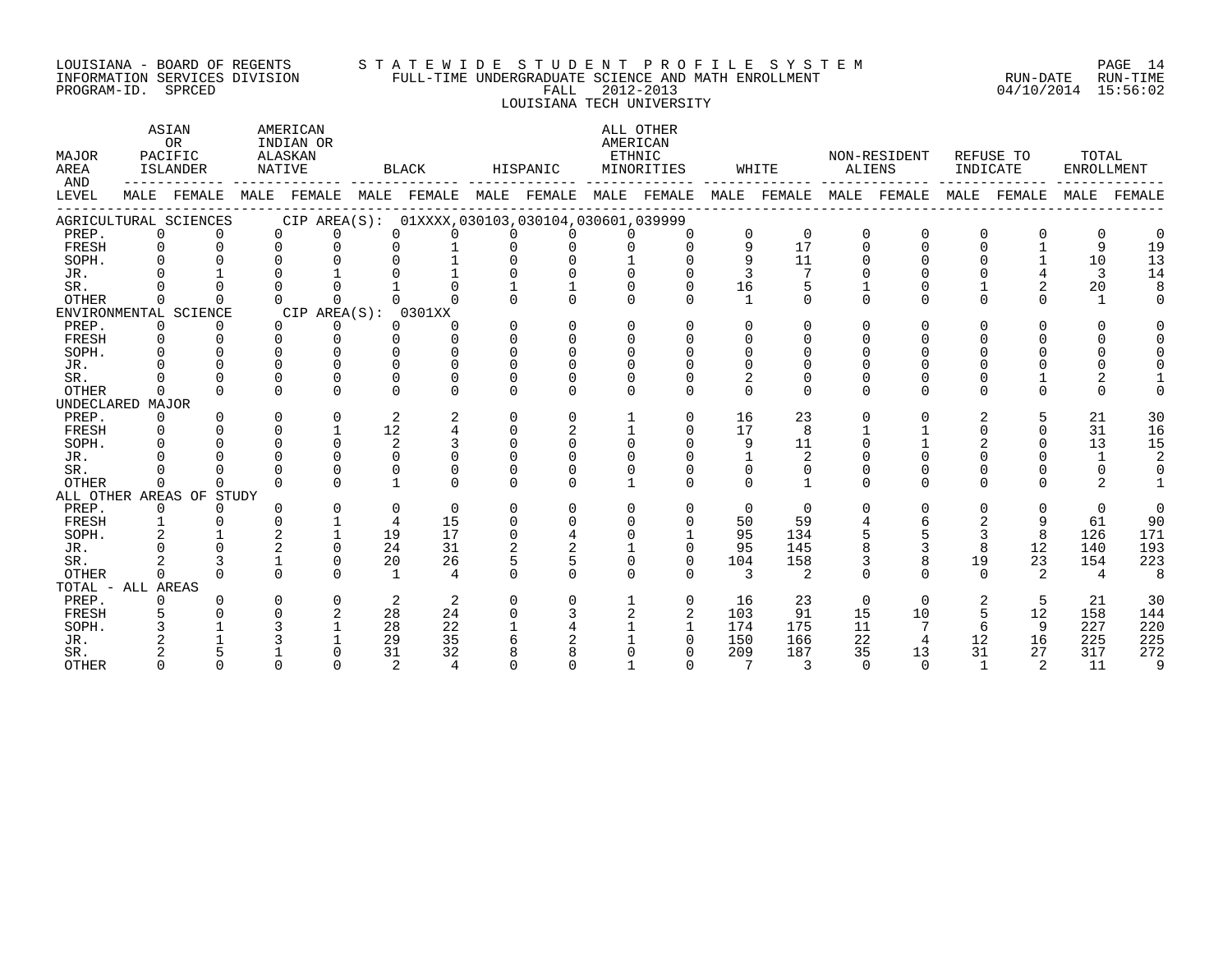#### LOUISIANA - BOARD OF REGENTS S T A T E W I D E S T U D E N T P R O F I L E S Y S T E M PAGE 14 INFORMATION SERVICES DIVISION FULL-TIME UNDERGRADUATE SCIENCE AND MATH ENROLLMENT RUN-DATE RUN-TIME PROGRAM-ID. SPRCED FALL 2012-2013 04/10/2014 15:56:02 LOUISIANA TECH UNIVERSITY

ASTAN AMERICAN AMERICAN ALL OTHER OR INDIAN OR **INDIAN OR** AMERICAN MAJOR PACIFIC ALASKAN ETHNIC NON-RESIDENT REFUSE TO TOTAL AREA ISLANDER NATIVE BLACK HISPANIC MINORITIES WHITE ALIENS INDICATE ENROLLMENT AND ------------ ------------- ------------- ------------- ------------- ------------- ------------- ------------- ------------- LEVEL MALE FEMALE MALE FEMALE MALE FEMALE MALE FEMALE MALE FEMALE MALE FEMALE MALE FEMALE MALE FEMALE MALE FEMALE ------------------------------------------------------------------------------------------------------------------------------------ AGRICULTURAL SCIENCES CIP AREA(S): 01XXXX,030103,030104,030601,039999 PREP. 0 0 0 0 0 0 0 0 0 0 0 0 0 0 0 0 0 0 FRESH 0 0 0 0 0 1 0 0 0 0 9 17 0 0 0 1 9 19 SOPH. 0 0 0 0 0 1 0 0 1 0 9 11 0 0 0 1 10 13 JR. 0 1 0 1 0 1 0 0 0 0 3 7 0 0 0 4 3 14 SR. 0 0 0 0 1 0 1 1 0 0 16 5 1 0 1 2 20 8 OTHER 0 0 0 0 0 0 0 0 0 0 1 0 0 0 0 0 1 0 ENVIRONMENTAL SCIENCE CIP AREA(S): 0301XX<br>
PREP. 0 0 0 0 0 0 PREP. 0 0 0 0 0 0 0 0 0 0 0 0 0 0 0 0 0 0 FRESH 0 0 0 0 0 0 0 0 0 0 0 0 0 0 0 0 0 0 SOPH. 0 0 0 0 0 0 0 0 0 0 0 0 0 0 0 0 0 0 JR. 0 0 0 0 0 0 0 0 0 0 0 0 0 0 0 0 0 0 SR. 0 0 0 0 0 0 0 0 0 0 2 0 0 0 0 1 2 1 OTHER 0 0 0 0 0 0 0 0 0 0 0 0 0 0 0 0 0 0 UNDECLARED MAJOR PREP. 0 0 0 0 2 2 0 0 1 0 16 23 0 0 2 5 21 30 FRESH 0 0 0 1 12 4 0 2 1 0 17 8 1 1 0 0 31 16 SOPH. 0 0 0 0 2 3 0 0 0 0 9 11 0 1 2 0 13 15 JR. 0 0 0 0 0 0 0 0 0 0 1 2 0 0 0 0 1 2 SR. 0 0 0 0 0 0 0 0 0 0 0 0 0 0 0 0 0 0 OTHER 0 0 0 0 1 0 0 0 1 0 0 1 0 0 0 0 2 1 ALL OTHER AREAS OF STUDY PREP. 0 0 0 0 0 0 0 0 0 0 0 0 0 0 0 0 0 0 FRESH 1 0 0 1 4 15 0 0 0 0 50 59 4 6 2 9 61 90 SOPH. 2 1 2 1 19 17 0 4 0 1 95 134 5 5 3 8 126 171 JR. 0 0 2 0 24 31 2 2 1 0 95 145 8 3 8 12 140 193 SR. 2 3 1 0 20 26 5 5 0 0 104 158 3 8 19 23 154 223 OTHER 0 0 0 0 1 4 0 0 0 0 3 2 0 0 0 2 4 8 TOTAL - ALL AREAS PREP. 0 0 0 0 2 2 0 0 1 0 16 23 0 0 2 5 21 30 FRESH 5 0 0 2 28 24 0 3 2 2 103 91 15 10 5 12 158 144 SOPH. 3 1 3 1 28 22 1 4 1 1 174 175 11 7 6 9 227 220 JR. 2 1 3 1 29 35 6 2 1 0 150 166 22 4 12 16 225 225 SR. 2 5 1 0 31 32 8 8 0 0 209 187 35 13 31 27 317 272 OTHER 0 0 0 0 2 4 0 0 1 0 7 3 0 0 1 2 11 9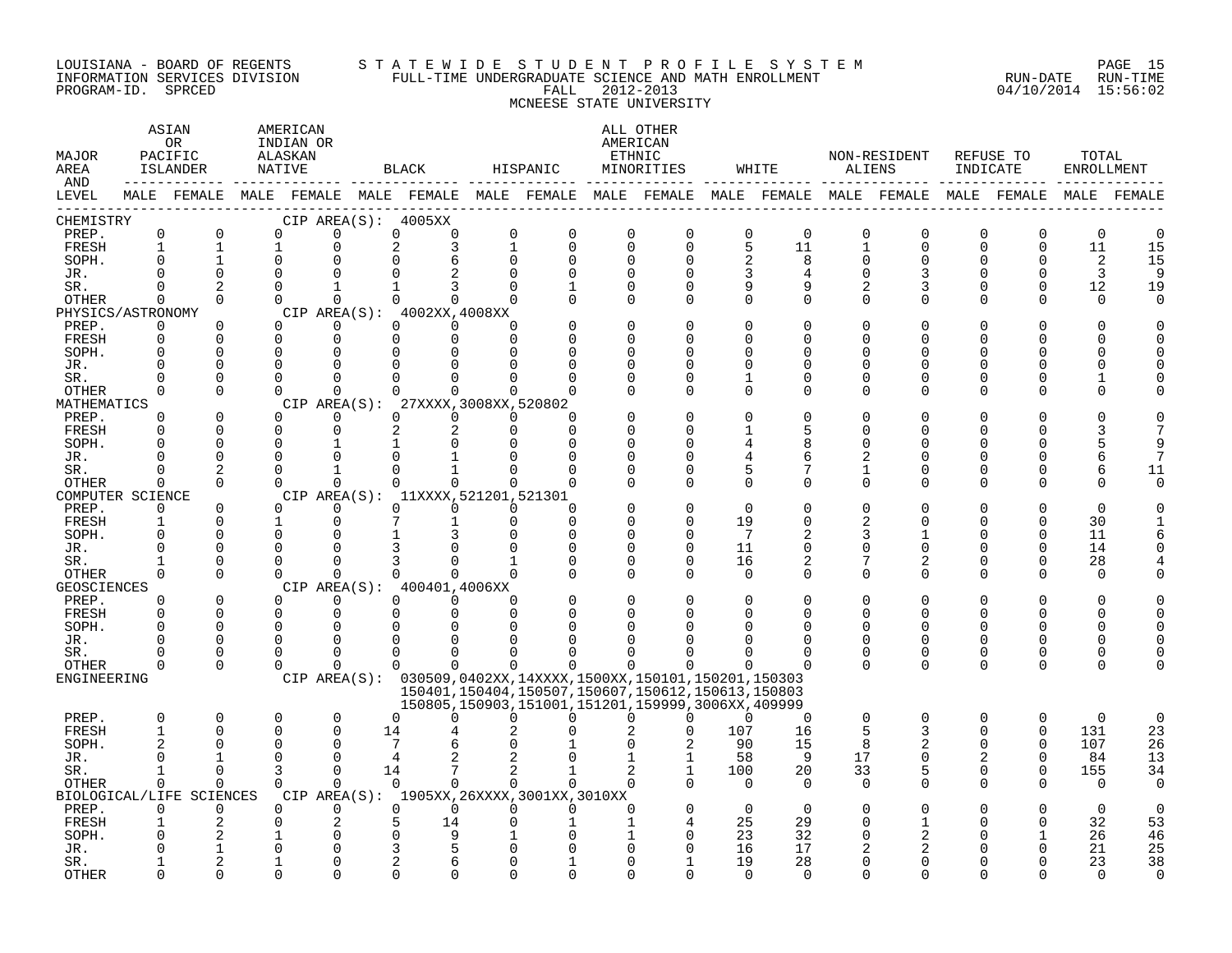#### LOUISIANA - BOARD OF REGENTS S T A T E W I D E S T U D E N T P R O F I L E S Y S T E M PAGE 15 INFORMATION SERVICES DIVISION FULL-TIME UNDERGRADUATE SCIENCE AND MATH ENROLLMENT RUN-DATE RUN-TIME PROGRAM-ID. SPRCED FALL 2012-2013 04/10/2014 15:56:02 MCNEESE STATE UNIVERSITY

| MAJOR<br>AREA<br>AND |                         | ASIAN<br><b>OR</b><br>PACIFIC<br>ISLANDER<br>------------- ----- |                | AMERICAN<br>INDIAN OR<br>ALASKAN<br>NATIVE |    | BLACK                                          |               | HISPANIC                                                                                        |                      | ALL OTHER<br>AMERICAN<br>ETHNIC<br>MINORITIES |                 | WHITE          | ALIENS                  | NON-RESIDENT            | INDICATE                | REFUSE TO            | TOTAL<br>ENROLLMENT |                |
|----------------------|-------------------------|------------------------------------------------------------------|----------------|--------------------------------------------|----|------------------------------------------------|---------------|-------------------------------------------------------------------------------------------------|----------------------|-----------------------------------------------|-----------------|----------------|-------------------------|-------------------------|-------------------------|----------------------|---------------------|----------------|
| LEVEL                |                         |                                                                  |                |                                            |    |                                                |               | MALE FEMALE MALE FEMALE MALE FEMALE MALE FEMALE MALE FEMALE MALE FEMALE MALE FEMALE MALE FEMALE |                      |                                               |                 |                |                         |                         |                         |                      |                     | MALE FEMALE    |
| CHEMISTRY            |                         |                                                                  |                |                                            |    | CIP AREA(S): 4005XX                            |               |                                                                                                 |                      |                                               |                 |                |                         |                         |                         |                      |                     |                |
| PREP.                | $\mathbf 0$             | $\mathbf 0$                                                      | $\Omega$       | $\Omega$                                   |    | 0<br>0                                         | 0             | $\mathbf 0$                                                                                     | $\mathbf 0$          | 0                                             | $\mathbf 0$     | $\overline{0}$ | $\overline{0}$          | $\mathbf 0$             | $\mathbf 0$             | 0                    | $\mathbf 0$         | $\mathbf 0$    |
| FRESH<br>SOPH.       | $\mathbf{1}$            | 1                                                                | 1<br>$\Omega$  | 0<br>0                                     |    | 2<br>3<br>$\Omega$<br>6                        | 1<br>$\Omega$ | $\mathbf 0$<br>$\Omega$                                                                         | $\Omega$<br>$\Omega$ | $\Omega$<br>$\Omega$                          | 5<br>2          | 11<br>8        | $\mathbf 1$<br>$\Omega$ | $\mathbf 0$<br>$\Omega$ | $\mathbf 0$<br>$\Omega$ | 0<br>$\Omega$        | 11<br>2             | 15<br>15       |
| JR.                  |                         | $\Omega$                                                         | $\Omega$       |                                            |    | $\Omega$                                       |               | $\Omega$                                                                                        | $\Omega$             |                                               | 3               | 4              | $\Omega$                | 3                       | $\Omega$                | U                    | 3                   | 9              |
| SR.                  | $\Omega$                | 2                                                                | $\Omega$       | 1                                          |    | 1<br>3                                         |               |                                                                                                 | $\Omega$             | $\Omega$                                      | 9               | 9              | 2                       | 3                       | $\Omega$                | $\Omega$             | 12                  | 19             |
| OTHER                | $\Omega$                | $\Omega$                                                         | $\Omega$       | $\Omega$                                   |    | $\Omega$<br>$\Omega$                           |               |                                                                                                 | $\Omega$             | $\Omega$                                      | $\Omega$        | $\Omega$       | $\Omega$                | $\Omega$                | $\Omega$                | $\Omega$             | $\Omega$            |                |
| PHYSICS/ASTRONOMY    |                         |                                                                  |                |                                            |    | CIP AREA(S): 4002XX,4008XX                     |               |                                                                                                 |                      |                                               |                 |                |                         |                         |                         |                      |                     |                |
| PREP.                | $\Omega$                | $\mathbf 0$                                                      | $\Omega$       | 0                                          |    | 0<br>$\overline{0}$                            | $\Omega$      |                                                                                                 | $\mathbf 0$          | $\Omega$                                      | 0               | $\Omega$       | $\Omega$                | $\Omega$                | $\Omega$                | O                    | O                   |                |
| FRESH                | $\Omega$                | $\Omega$                                                         | $\Omega$       | $\Omega$                                   |    | $\Omega$<br>$\Omega$                           | $\Omega$      |                                                                                                 | $\Omega$             |                                               | $\Omega$        | $\Omega$       | $\Omega$                | $\Omega$                | O                       | U                    |                     |                |
| SOPH.                | $\Omega$                | $\Omega$                                                         | $\Omega$       | $\Omega$                                   |    | $\Omega$<br>$\Omega$                           |               |                                                                                                 | <sup>0</sup>         | $\Omega$                                      | $\Omega$        | $\Omega$       | O                       | <sup>0</sup>            | O                       |                      | U                   |                |
| JR.                  |                         | $\Omega$                                                         | $\Omega$       | $\Omega$                                   |    | 0<br>$\mathbf 0$                               |               |                                                                                                 |                      |                                               | $\Omega$        | $\Omega$       | O                       | <sup>0</sup>            | $\Omega$                |                      |                     |                |
| SR.                  |                         | $\Omega$                                                         | $\Omega$       | $\Omega$                                   |    | $\Omega$<br>$\Omega$                           | $\cap$        |                                                                                                 |                      | U                                             | 1               | $\Omega$       | $\Omega$                | $\Omega$                | $\Omega$                | U                    |                     |                |
| <b>OTHER</b>         | $\Omega$                | $\Omega$                                                         | $\Omega$       | $\Omega$                                   |    | $\cap$<br>$\Omega$                             | $\Omega$      | $\cap$                                                                                          |                      | 0                                             | $\Omega$        | $\Omega$       | $\Omega$                | $\Omega$                | $\Omega$                | O                    | U                   |                |
| MATHEMATICS          | $\Omega$                | $\Omega$                                                         | $\Omega$       | CIP AREA(S):<br>$\Omega$                   |    | 27XXXX, 3008XX, 520802<br>$\Omega$<br>$\Omega$ | $\Omega$      |                                                                                                 |                      | $\Omega$                                      | $\Omega$        | $\Omega$       | $\bigcap$               | $\Omega$                | $\Omega$                |                      |                     |                |
| PREP.<br>FRESH       | $\Omega$                | $\Omega$                                                         | $\Omega$       | $\Omega$                                   |    | 2<br>2                                         | $\Omega$      | $\Omega$                                                                                        |                      |                                               |                 | 5              | $\Omega$                | $\Omega$                | O                       | U                    | 3                   |                |
| SOPH.                |                         | ∩                                                                | $\Omega$       | 1                                          |    | 1<br>$\Omega$                                  | <sup>n</sup>  | $\Omega$                                                                                        | $\Omega$             |                                               | 4               | 8              | $\Omega$                | <sup>0</sup>            | $\Omega$                |                      | 5                   |                |
| JR.                  | ∩                       | $\Omega$                                                         | $\overline{0}$ | 0                                          |    | 0                                              |               | $\Omega$                                                                                        | 0                    | $\Omega$                                      | 4               | 6              | 2                       | $\Omega$                | $\Omega$                | O                    | 6                   |                |
| SR.                  |                         | $\mathcal{D}$                                                    | $\Omega$       | $\mathbf{1}$                               |    | $\Omega$<br>$\mathbf{1}$                       |               | $\Omega$                                                                                        | <sup>0</sup>         | 0                                             | 5               | 7              | 1                       | $\Omega$                | $\Omega$                | 0                    | 6                   | 11             |
| OTHER                | $\Omega$                | $\Omega$                                                         | $\Omega$       | $\Omega$                                   |    | $\Omega$<br>$\Omega$                           |               | $\Omega$<br>$\Omega$                                                                            | <sup>0</sup>         | $\Omega$                                      | $\Omega$        | $\Omega$       | $\Omega$                | $\Omega$                | $\Omega$                | O                    | $\Omega$            |                |
| COMPUTER SCIENCE     |                         |                                                                  |                |                                            |    | CIP AREA(S): 11XXXX, 521201, 521301            |               |                                                                                                 |                      |                                               |                 |                |                         |                         |                         |                      |                     |                |
| PREP.                | $\Omega$                | $\Omega$                                                         | $\cap$         | $\Omega$                                   |    | $\Omega$<br>$\Omega$                           | $\Omega$      | $\Omega$                                                                                        |                      | $\Omega$                                      | $\Omega$        | $\Omega$       | O                       |                         |                         |                      | $\Omega$            |                |
| FRESH                | 1                       | $\Omega$                                                         | 1              | 0                                          |    | 7<br>1                                         | 0             | 0                                                                                               | $\Omega$             | 0                                             | 19              | 0              | 2                       | <sup>0</sup>            | $\Omega$                | 0                    | 30                  |                |
| SOPH.                |                         | $\Omega$                                                         | $\Omega$       | U                                          |    | 3                                              |               | $\Omega$                                                                                        | $\Omega$             | $\cap$                                        | $7\phantom{.0}$ | 2              | 3                       |                         | $\Omega$                | 0                    | 11                  |                |
| JR.                  |                         | $\Omega$                                                         | $\Omega$       | O                                          |    | 3<br>$\Omega$                                  |               | $\Omega$                                                                                        | $\Omega$             | $\Omega$                                      | 11              | $\mathbf 0$    | $\Omega$                | $\Omega$                | $\Omega$                | $\Omega$             | 14                  |                |
| SR.                  |                         | $\Omega$                                                         | $\Omega$       | $\Omega$                                   |    | 3<br>$\Omega$                                  |               |                                                                                                 | $\Omega$             | $\Omega$                                      | 16              | 2              | 7                       | 2                       | $\Omega$                | 0                    | 28                  |                |
| OTHER                | $\Omega$                | $\Omega$                                                         | $\Omega$       | $\Omega$                                   |    | $\cap$<br>$\cap$                               |               |                                                                                                 | $\cap$               | $\Omega$                                      | $\Omega$        | $\Omega$       | $\Omega$                | $\Omega$                | $\cap$                  | $\Omega$             | $\Omega$            |                |
| <b>GEOSCIENCES</b>   |                         | $\Omega$                                                         | $\Omega$       |                                            |    | CIP AREA(S): 400401,4006XX<br>$\Omega$         |               |                                                                                                 | $\Omega$             | $\Omega$                                      |                 |                | $\Omega$                | $\Omega$                | $\Omega$                |                      |                     |                |
| PREP.<br>FRESH       | $\Omega$<br>$\mathbf 0$ | $\Omega$                                                         | 0              | 0<br>0                                     |    | $\Omega$<br>$\mathbf 0$<br>$\mathbf 0$         | 0             | $\Omega$                                                                                        | U                    |                                               | 0<br>0          | $\Omega$<br>0  | $\Omega$                | 0                       | $\Omega$                | U                    | O<br>0              |                |
| SOPH.                | $\Omega$                | $\Omega$                                                         | $\Omega$       | $\Omega$                                   |    | $\Omega$<br>$\Omega$                           |               |                                                                                                 |                      |                                               |                 |                |                         | $\Omega$                | $\Omega$                |                      | O                   |                |
| JR.                  |                         | $\Omega$                                                         | $\Omega$       | $\Omega$                                   |    | $\Omega$<br>$\Omega$                           | <sup>n</sup>  |                                                                                                 |                      |                                               | O               | $\Omega$       | $\Omega$                | $\Omega$                | $\Omega$                | O                    | O                   |                |
| SR.                  |                         | ∩                                                                | U              | $\Omega$                                   |    | $\mathbf 0$<br>$\Omega$                        |               |                                                                                                 |                      |                                               |                 | $\Omega$       | $\Omega$                | 0                       | 0                       | 0                    | 0                   |                |
| <b>OTHER</b>         | $\Omega$                | $\Omega$                                                         | $\Omega$       | $\Omega$                                   |    | $\Omega$<br>$\Omega$                           | $\cap$        | $\Omega$                                                                                        | $\cap$               | $\Omega$                                      |                 | $\cap$         | $\Omega$                | $\Omega$                | $\Omega$                | $\Omega$             | $\Omega$            |                |
| ENGINEERING          |                         |                                                                  |                |                                            |    |                                                |               | CIP AREA(S): 030509,0402XX,14XXXX,1500XX,150101,150201,150303                                   |                      |                                               |                 |                |                         |                         |                         |                      |                     |                |
|                      |                         |                                                                  |                |                                            |    |                                                |               | 150401, 150404, 150507, 150607, 150612, 150613, 150803                                          |                      |                                               |                 |                |                         |                         |                         |                      |                     |                |
|                      |                         |                                                                  |                |                                            |    |                                                |               | 150805, 150903, 151001, 151201, 159999, 3006XX, 409999                                          |                      |                                               |                 |                |                         |                         |                         |                      |                     |                |
| PREP.                | $\mathbf 0$             | $\Omega$                                                         | $\Omega$       | $\Omega$                                   |    | $\Omega$<br>$\Omega$                           | $\Omega$      | $\Omega$                                                                                        | $\Omega$             | $\Omega$                                      | $\Omega$        | $\Omega$       | $\mathbf 0$             | $\mathbf 0$             | $\Omega$                | $\Omega$             | $\Omega$            | $\Omega$       |
| FRESH                | 1                       | $\Omega$                                                         | $\Omega$       | $\Omega$                                   | 14 |                                                |               |                                                                                                 |                      | $\Omega$                                      | 107             | 16             | 5                       | 3                       | $\Omega$                | 0                    | 131                 | 23             |
| SOPH.                |                         | ∩                                                                | $\Omega$       | $\Omega$                                   |    | 7<br>6                                         |               |                                                                                                 |                      |                                               | 90              | 15             | 8                       | 2                       | $\Omega$                | $\Omega$             | 107                 | 26             |
| JR.                  |                         |                                                                  | $\Omega$       | $\Omega$                                   |    | $\overline{4}$                                 |               |                                                                                                 |                      |                                               | 58              | - 9            | 17                      | $\mathbf 0$             | 2                       | $\Omega$             | 84                  | 13             |
| SR.<br><b>OTHER</b>  | 1<br>$\Omega$           | 0<br>$\Omega$                                                    | 3<br>$\Omega$  | 0<br>$\Omega$                              | 14 | 7<br>$\Omega$<br>$\Omega$                      | 2             | $\mathbf{1}$<br>$\Omega$<br>$\Omega$                                                            | 2<br>$\Omega$        | $\mathbf{1}$<br>$\cap$                        | 100<br>$\Omega$ | 20<br>$\Omega$ | 33<br>$\Omega$          | 5<br>$\Omega$           | 0<br>$\Omega$           | $\Omega$<br>$\Omega$ | 155<br>$\Omega$     | 34<br>$\Omega$ |
|                      |                         | BIOLOGICAL/LIFE SCIENCES                                         |                |                                            |    |                                                |               | CIP AREA(S): 1905XX, 26XXXX, 3001XX, 3010XX                                                     |                      |                                               |                 |                |                         |                         |                         |                      |                     |                |
| PREP.                | $\Omega$                | 0                                                                | 0              | 0                                          |    | 0<br>$\mathbf 0$                               | $\Omega$      | $\Omega$                                                                                        | $\Omega$             | 0                                             | $\overline{0}$  | $\overline{0}$ | 0                       | $\Omega$                | 0                       | 0                    | 0                   | $\mathbf 0$    |
| FRESH                | 1                       | 2                                                                | $\Omega$       | 2                                          |    | 5<br>14                                        | $\Omega$      |                                                                                                 | $\mathbf{1}$         |                                               | 25              | 29             | $\Omega$                |                         | $\Omega$                | 0                    | 32                  | 53             |
| SOPH.                |                         |                                                                  |                | $\Omega$                                   |    | 0                                              |               |                                                                                                 |                      |                                               | 23              | 32             | O                       | 2                       | U                       |                      | 26                  | 46             |
| JR.                  |                         |                                                                  | 0              | $\Omega$                                   |    | 5<br>3                                         |               |                                                                                                 | $\Omega$             |                                               | 16              | 17             | 2                       | 2                       | O                       | O                    | 21                  | 25             |
| SR.                  |                         | $\overline{2}$                                                   | $\mathbf{1}$   | $\Omega$                                   |    | 2<br>6                                         | $\Omega$      | $\mathbf{1}$                                                                                    | $\cap$               |                                               | 19              | 28             | $\Omega$                | $\Omega$                | ∩                       | U                    | 23                  | 38             |
| OTHER                | $\cap$                  | $\Omega$                                                         | $\Omega$       | $\Omega$                                   |    | $\Omega$<br>$\Omega$                           | $\Omega$      | $\Omega$                                                                                        | $\cap$               | $\Omega$                                      | $\cap$          | $\Omega$       | $\Omega$                | $\Omega$                | $\Omega$                | U                    | $\Omega$            | $\Omega$       |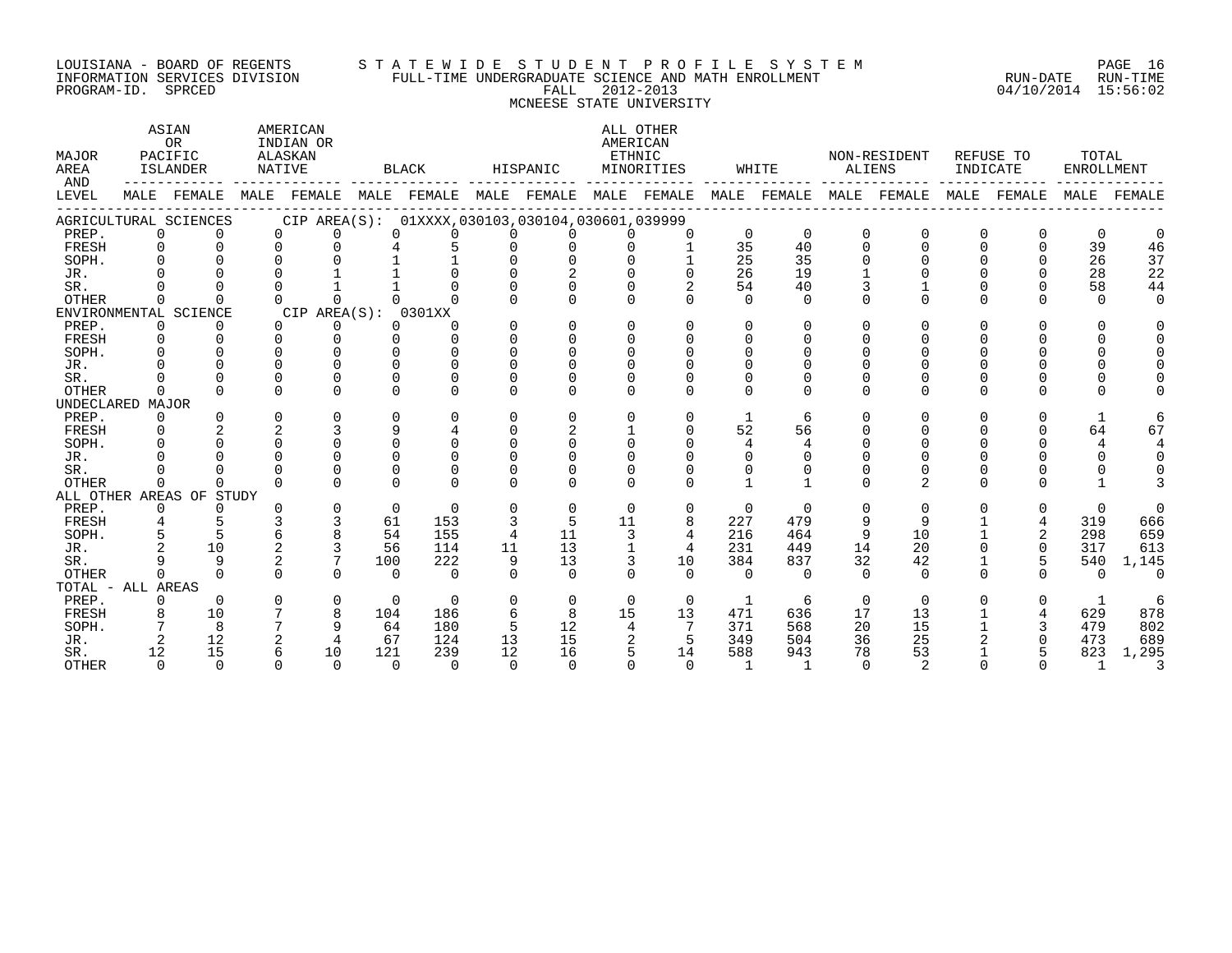#### LOUISIANA - BOARD OF REGENTS S T A T E W I D E S T U D E N T P R O F I L E S Y S T E M PAGE 16 INFORMATION SERVICES DIVISION FULL-TIME UNDERGRADUATE SCIENCE AND MATH ENROLLMENT RUN-DATE RUN-TIME PROGRAM-ID. SPRCED FALL 2012-2013 04/10/2014 15:56:02 MCNEESE STATE UNIVERSITY

| MAJOR<br>AREA<br>AND     |                    | ASIAN<br><b>OR</b><br>PACIFIC<br><b>ISLANDER</b> | ALASKAN<br>NATIVE | AMERICAN<br>INDIAN OR |              | <b>BLACK</b>                                                                                    |          | HISPANIC                   | AMERICAN<br>ETHNIC   | ALL OTHER<br>MINORITIES |                | WHITE          |                    | NON-RESIDENT<br>ALIENS | INDICATE           | REFUSE TO | TOTAL<br><b>ENROLLMENT</b> |             |
|--------------------------|--------------------|--------------------------------------------------|-------------------|-----------------------|--------------|-------------------------------------------------------------------------------------------------|----------|----------------------------|----------------------|-------------------------|----------------|----------------|--------------------|------------------------|--------------------|-----------|----------------------------|-------------|
| LEVEL                    |                    |                                                  |                   |                       |              | MALE FEMALE MALE FEMALE MALE FEMALE MALE FEMALE MALE FEMALE MALE FEMALE MALE FEMALE MALE FEMALE |          |                            |                      |                         |                |                |                    |                        |                    |           |                            | MALE FEMALE |
| AGRICULTURAL SCIENCES    |                    |                                                  |                   |                       |              | CIP AREA(S): 01XXXX, 030103, 030104, 030601, 039999                                             |          |                            |                      |                         |                |                |                    |                        |                    |           |                            |             |
| PREP.                    | $\Omega$           | $\Omega$                                         | $\Omega$          | $\Omega$              | $\Omega$     | 0                                                                                               | $\Omega$ | $\Omega$                   | $\Omega$             | $\Omega$                | $\Omega$       | $\Omega$       | $\Omega$           | $\mathbf 0$            | $\mathbf 0$        | 0         | 0                          |             |
| FRESH                    | $\Omega$           | $\Omega$                                         | $\Omega$          | $\Omega$              |              | 5                                                                                               | $\Omega$ | 0                          | 0                    |                         | 35             | 40             | $\Omega$           | $\Omega$               | $\mathbf 0$        | $\Omega$  | 39                         | 46          |
| SOPH.                    |                    |                                                  | $\cap$            |                       |              |                                                                                                 |          | $\Omega$                   | $\cap$               |                         | 25             | 35             | $\cap$             | $\cap$                 | $\cap$             | $\cap$    | 26                         | 37          |
| JR.                      |                    | $\Omega$                                         | $\Omega$          |                       |              |                                                                                                 | $\Omega$ | $\overline{a}$             | $\Omega$             | $\Omega$                | 26             | 19             |                    | $\Omega$               | $\Omega$           | 0         | 28                         | 22          |
| SR.                      |                    |                                                  | $\Omega$          |                       |              |                                                                                                 | $\Omega$ | $\Omega$                   | $\Omega$             |                         | 54             | 40             |                    |                        | $\Omega$           | $\Omega$  | 58                         | 44          |
| <b>OTHER</b>             | $\Omega$           | $\Omega$                                         | $\Omega$          | $\Omega$              | $\cap$       | $\Omega$                                                                                        | $\Omega$ | $\Omega$                   | $\Omega$             |                         | $\Omega$       | $\Omega$       | $\Omega$           | $\Omega$               | $\Omega$           | $\Omega$  | $\Omega$                   |             |
| ENVIRONMENTAL SCIENCE    |                    |                                                  |                   | CIP AREA(S): 0301XX   |              |                                                                                                 |          |                            |                      |                         |                |                |                    |                        |                    |           |                            |             |
| PREP.                    | $\Omega$           | $\Omega$                                         | $\Omega$          | $\Omega$              | <sup>n</sup> | U                                                                                               | $\Omega$ | $\Omega$                   | $\Omega$             | $\Omega$                | $\Omega$       | $\Omega$       | $\cap$             | $\Omega$               | $\Omega$           | $\Omega$  |                            |             |
| FRESH                    | 0                  | $\Omega$                                         | $\Omega$          | $\Omega$              | $\Omega$     | $\Omega$                                                                                        | $\Omega$ | $\Omega$                   | $\Omega$             | $\Omega$                | $\Omega$       | $\Omega$       | $\Omega$           | $\Omega$               | $\Omega$           |           |                            |             |
| SOPH.                    |                    |                                                  | $\Omega$          | $\cap$                | $\cap$       | $\Omega$                                                                                        | $\Omega$ | $\Omega$                   | $\Omega$             |                         | $\Omega$       | $\Omega$       | $\Omega$           | $\Omega$               | $\Omega$           |           |                            |             |
| JR.                      |                    |                                                  |                   |                       |              | $\Omega$                                                                                        |          | $\Omega$                   | $\Omega$             |                         |                | $\Omega$       | $\Omega$           | $\Omega$               |                    |           |                            |             |
| SR.                      |                    |                                                  | $\Omega$          |                       | $\cap$       | $\Omega$                                                                                        |          | <sup>0</sup>               | $\Omega$             |                         |                | $\Omega$       |                    |                        |                    |           |                            |             |
| <b>OTHER</b>             | $\Omega$           | $\cap$                                           | $\Omega$          | $\cap$                | $\cap$       | $\cap$                                                                                          | $\Omega$ | $\Omega$                   | $\Omega$             |                         | $\cap$         | $\cap$         | $\Omega$           | $\cap$                 | $\cap$             | ∩         |                            |             |
| UNDECLARED MAJOR         |                    |                                                  |                   | $\Omega$              | $\cap$       | $\Omega$                                                                                        | $\Omega$ |                            |                      |                         |                |                |                    |                        |                    |           |                            |             |
| PREP.                    | $\Omega$           |                                                  | $\mathbf 0$       |                       | q            |                                                                                                 |          | $\Omega$                   | $\Omega$             | $\Omega$                |                | -6             | $\Omega$           | $\Omega$               | $\Omega$           | $\Omega$  |                            |             |
| FRESH                    | $\Omega$<br>$\cap$ |                                                  | $\cap$            |                       | $\cap$       | 4<br>$\cap$                                                                                     | $\cap$   | $\overline{2}$<br>$\Omega$ | $\cap$               | $\Omega$                | 52             | 56             | $\Omega$<br>$\cap$ | $\Omega$<br>$\cap$     | $\Omega$<br>$\cap$ | $\Omega$  | 64                         | 67          |
| SOPH.                    |                    |                                                  | $\Omega$          | $\Omega$              | $\Omega$     | $\Omega$                                                                                        | $\Omega$ | $\Omega$                   |                      |                         | 4              | 4              |                    |                        |                    |           |                            |             |
| JR.                      |                    |                                                  |                   |                       | $\Omega$     | $\Omega$                                                                                        |          | $\Omega$                   | $\Omega$<br>$\Omega$ |                         | $\Omega$       | $\Omega$       |                    | $\Omega$               | $\Omega$           |           | $\Omega$                   |             |
| SR.<br><b>OTHER</b>      | $\Omega$           | $\Omega$                                         | $\Omega$          |                       | $\Omega$     | $\Omega$                                                                                        | $\Omega$ | $\Omega$                   | $\cap$               |                         |                | $\mathbf{1}$   | <sup>n</sup>       | 0<br>2                 | $\Omega$<br>$\cap$ | ∩         |                            |             |
| ALL OTHER AREAS OF STUDY |                    |                                                  |                   |                       |              |                                                                                                 |          |                            |                      |                         |                |                |                    |                        |                    |           |                            |             |
| PREP.                    | $\Omega$           | $\Omega$                                         |                   | $\Omega$              | $\Omega$     | $\Omega$                                                                                        | $\Omega$ | $\Omega$                   | $\Omega$             | $\Omega$                | $\Omega$       | $\overline{0}$ | $\Omega$           | $\Omega$               | $\Omega$           | $\Omega$  | $\Omega$                   | 0           |
| FRESH                    |                    |                                                  |                   | 3                     | 61           | 153                                                                                             | 3        | -5                         | 11                   | 8                       | 227            | 479            | 9                  | 9                      |                    | 4         | 319                        | 666         |
| SOPH.                    |                    | 5                                                | 6                 |                       | 54           | 155                                                                                             | 4        | 11                         | 3                    | $\overline{4}$          | 216            | 464            | 9                  | 10                     |                    | 2         | 298                        | 659         |
| JR.                      |                    | 10                                               | 2                 |                       | 56           | 114                                                                                             | 11       | 13                         | $\mathbf{1}$         | 4                       | 231            | 449            | 14                 | 20                     | $\Omega$           | 0         | 317                        | 613         |
| SR.                      |                    | 9                                                |                   | 7                     | 100          | 222                                                                                             | 9        | 13                         | 3                    | 10                      | 384            | 837            | 32                 | 42                     |                    | 5         | 540                        | 1,145       |
| <b>OTHER</b>             | $\cap$             | $\cap$                                           | $\cap$            |                       | $\Omega$     | $\Omega$                                                                                        | $\cap$   | $\cap$                     | $\cap$               | $\cap$                  | $\cap$         | $\cap$         | $\Omega$           | $\Omega$               | $\cap$             | $\cap$    | $\Omega$                   | $\Omega$    |
| TOTAL - ALL AREAS        |                    |                                                  |                   |                       |              |                                                                                                 |          |                            |                      |                         |                |                |                    |                        |                    |           |                            |             |
| PREP.                    | 0                  | $\Omega$                                         | $\Omega$          | $\mathbf 0$           | $\Omega$     | $\Omega$                                                                                        | $\Omega$ | $\Omega$                   | $\Omega$             | $\Omega$                | 1              | -6             | $\Omega$           | $\Omega$               | $\Omega$           | $\Omega$  | 1                          | 6           |
| FRESH                    | 8                  | 10                                               |                   | 8                     | 104          | 186                                                                                             | 6        | 8                          | 15                   | 13 <sup>°</sup>         | 471            | 636            | 17                 | 13                     |                    | 4         | 629                        | 878         |
| SOPH.                    |                    | 8                                                | 7                 | 9                     | 64           | 180                                                                                             | 5        | 12                         | 4                    |                         | 371            | 568            | 20                 | 15                     |                    | 3         | 479                        | 802         |
| JR.                      | 2                  | 12                                               | 2                 | 4                     | 67           | 124                                                                                             | 13       | 15                         | 2                    | 5                       | 349            | 504            | 36                 | 25                     |                    | $\Omega$  | 473                        | 689         |
| SR.                      | 12                 | 15                                               | 6                 | 10                    | 121          | 239                                                                                             | 12       | 16                         |                      | 14                      | 588            | 943            | 78                 | 53                     |                    | 5         | 823                        | 1,295       |
| <b>OTHER</b>             | $\Omega$           | $\Omega$                                         | $\Omega$          | $\Omega$              | $\Omega$     | $\bigcap$                                                                                       | $\Omega$ | $\Omega$                   | $\Omega$             | $\Omega$                | $\overline{1}$ | $\overline{1}$ | $\Omega$           | 2                      | $\Omega$           | $\Omega$  | 1                          |             |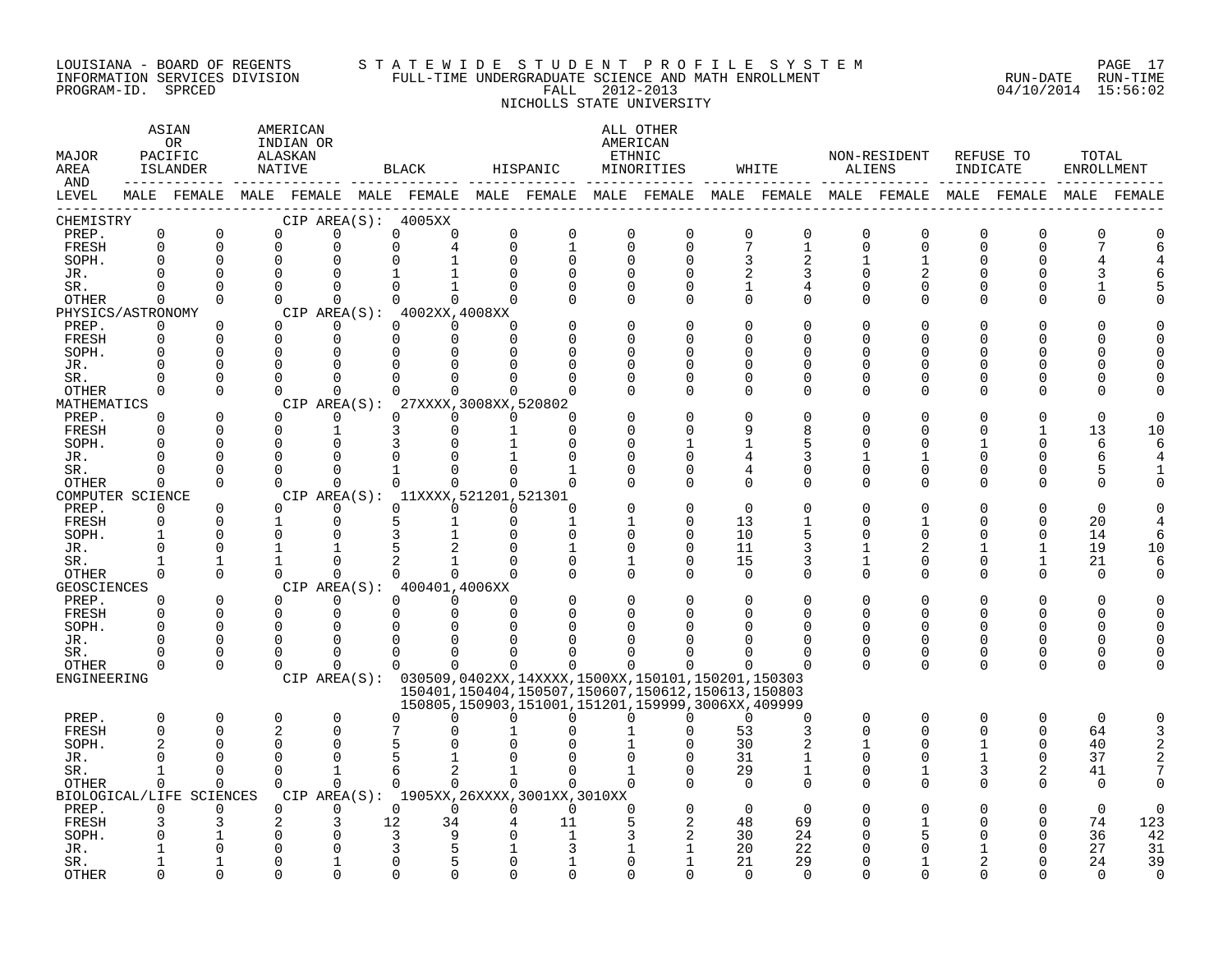#### LOUISIANA - BOARD OF REGENTS S T A T E W I D E S T U D E N T P R O F I L E S Y S T E M PAGE 17 INFORMATION SERVICES DIVISION FULL-TIME UNDERGRADUATE SCIENCE AND MATH ENROLLMENT RUN-DATE RUN-TIME PROGRAM-ID. SPRCED FALL 2012-2013 04/10/2014 15:56:02 NICHOLLS STATE UNIVERSITY

| MAJOR<br>AREA<br>AND |             | ASIAN<br>OR<br>PACIFIC<br>ISLANDER | AMERICAN<br>INDIAN OR<br>ALASKAN<br>NATIVE |                      |                          | BLACK                               |             | HISPANIC                                    | AMERICAN<br>ETHNIC      | ALL OTHER<br>MINORITIES                                                                                          |                               | WHITE                                                                                                       | ALIENS                  | NON-RESIDENT         | INDICATE       | REFUSE TO                | TOTAL<br><b>ENROLLMENT</b> |           |
|----------------------|-------------|------------------------------------|--------------------------------------------|----------------------|--------------------------|-------------------------------------|-------------|---------------------------------------------|-------------------------|------------------------------------------------------------------------------------------------------------------|-------------------------------|-------------------------------------------------------------------------------------------------------------|-------------------------|----------------------|----------------|--------------------------|----------------------------|-----------|
| LEVEL                |             |                                    |                                            |                      |                          |                                     |             |                                             |                         |                                                                                                                  |                               | MALE FEMALE MALE FEMALE MALE FEMALE MALE FEMALE MALE FEMALE MALE FEMALE MALE FEMALE MALE FEMALE MALE FEMALE |                         |                      |                |                          |                            |           |
| CHEMISTRY            | $\mathbf 0$ | $\mathbf 0$                        |                                            | $\mathbf 0$          |                          | CIP AREA( $S$ ): 4005XX             | $\mathbf 0$ | $\mathsf 0$                                 |                         | $\mathbf 0$                                                                                                      |                               |                                                                                                             |                         |                      | $\overline{0}$ |                          | ∩                          |           |
| PREP.<br>FRESH       | $\Omega$    | $\Omega$                           | 0<br>$\Omega$                              | 0                    | $\mathsf{O}$<br>$\Omega$ | 0                                   | $\Omega$    | $\mathbf{1}$                                | $\mathbf 0$<br>$\Omega$ | $\mathbf 0$                                                                                                      | $\mathbf 0$<br>$\overline{7}$ | $\mathbf 0$<br>$\mathbf{1}$                                                                                 | $\mathbf 0$<br>$\Omega$ | 0<br>$\Omega$        | 0              | $\mathbf 0$<br>$\Omega$  |                            |           |
| SOPH.                | $\Omega$    | $\Omega$                           | $\Omega$                                   | 0                    |                          |                                     | $\Omega$    | $\Omega$                                    | 0                       | $\Omega$                                                                                                         | 3                             |                                                                                                             |                         |                      | O              |                          |                            |           |
| JR.                  |             | $\Omega$                           | $\Omega$                                   | $\Omega$             |                          |                                     |             | $\Omega$                                    |                         | $\Omega$                                                                                                         | 2                             | 3                                                                                                           | $\Omega$                |                      | U              |                          |                            |           |
| SR.                  | $\Omega$    | $\Omega$                           | $\Omega$                                   | $\Omega$             | $\Omega$                 |                                     | $\Omega$    | $\Omega$                                    | $\Omega$                | $\Omega$                                                                                                         | 1                             | 4                                                                                                           | $\Omega$                | $\Omega$             | O              | $\Omega$                 |                            |           |
| OTHER                | $\Omega$    | $\Omega$                           | $\Omega$                                   | $\Omega$             | $\Omega$                 | $\Omega$                            |             |                                             | $\Omega$                | $\Omega$                                                                                                         | $\Omega$                      | $\Omega$                                                                                                    | $\Omega$                | $\Omega$             | $\Omega$       | $\Omega$                 |                            |           |
| PHYSICS/ASTRONOMY    |             |                                    |                                            |                      |                          | CIP $AREA(S): 4002XX, 4008XX$       |             |                                             |                         |                                                                                                                  |                               |                                                                                                             |                         |                      |                |                          |                            |           |
| PREP.                | $\Omega$    | $\Omega$                           | $\Omega$                                   | 0                    | 0                        | $\Omega$                            | $\Omega$    |                                             | $\Omega$                | $\Omega$                                                                                                         | $\Omega$                      | $\Omega$                                                                                                    | $\Omega$                | 0                    | O              | O                        |                            |           |
| FRESH                | $\mathbf 0$ | $\Omega$                           | $\Omega$                                   | $\mathbf 0$          | $\mathbf 0$              | $\Omega$                            | $\Omega$    |                                             |                         | U                                                                                                                | ∩                             | $\Omega$                                                                                                    | <sup>n</sup>            | ∩                    | U              | N                        |                            |           |
| SOPH.                |             | $\Omega$                           | $\Omega$                                   | 0                    | $\Omega$                 |                                     |             |                                             |                         | $\cap$                                                                                                           | ∩                             | <sup>0</sup>                                                                                                | <sup>n</sup>            | U                    | O              | O                        |                            |           |
| JR.                  |             | $\Omega$                           | $\Omega$                                   | $\Omega$             | $\Omega$                 |                                     |             |                                             |                         | O                                                                                                                | $\Omega$                      | $\Omega$                                                                                                    | $\Omega$                |                      | O              | U                        |                            |           |
| SR.                  |             | $\Omega$                           | $\Omega$<br>$\Omega$                       | $\Omega$<br>$\Omega$ | $\Omega$<br>$\cap$       | $\cap$                              | $\Omega$    |                                             | U                       | $\Omega$<br>$\Omega$                                                                                             | $\Omega$                      | $\Omega$                                                                                                    | $\Omega$                | ∩                    | O              | U                        |                            |           |
| OTHER<br>MATHEMATICS | $\Omega$    | $\Omega$                           |                                            |                      | CIP AREA(S):             | 27XXXX, 3008XX, 520802              |             |                                             |                         |                                                                                                                  | $\Omega$                      | $\Omega$                                                                                                    | $\Omega$                | 0                    | O              | $\Omega$                 |                            |           |
| PREP.                | $\Omega$    | $\Omega$                           | $\Omega$                                   | $\Omega$             | $\Omega$                 | $\Omega$                            | $\Omega$    | $\Omega$                                    |                         | $\Omega$                                                                                                         | $\Omega$                      | $\Omega$                                                                                                    | $\Omega$                |                      |                |                          |                            |           |
| FRESH                |             | $\Omega$                           | $\Omega$                                   | 1                    | 3                        | $\Omega$                            |             |                                             |                         | $\Omega$                                                                                                         | 9                             | 8                                                                                                           | <sup>n</sup>            | U                    | O              | 1                        | 13                         | 10        |
| SOPH.                |             | <sup>n</sup>                       | $\Omega$                                   | $\Omega$             | 3                        |                                     |             |                                             |                         |                                                                                                                  |                               | 5                                                                                                           | n                       |                      |                | $\Omega$                 | 6                          |           |
| JR.                  | U           | $\Omega$                           | $\Omega$                                   | $\Omega$             | $\Omega$                 |                                     |             |                                             | U                       | O                                                                                                                | 4                             | 3                                                                                                           |                         |                      | O              | $\Omega$                 | 6                          |           |
| SR.                  |             | $\Omega$                           | $\Omega$                                   | $\Omega$             |                          |                                     |             |                                             |                         | $\Omega$                                                                                                         | 4                             | $\Omega$                                                                                                    | $\Omega$                | 0                    | 0              | 0                        |                            |           |
| <b>OTHER</b>         | $\Omega$    | $\Omega$                           | $\cap$                                     | $\Omega$             | $\Omega$                 | $\Omega$                            | $\Omega$    | $\Omega$                                    |                         | $\Omega$                                                                                                         | $\Omega$                      | $\Omega$                                                                                                    | $\Omega$                | U                    | $\Omega$       | $\Omega$                 |                            |           |
| COMPUTER SCIENCE     |             |                                    |                                            |                      |                          | CIP AREA(S): 11XXXX, 521201, 521301 |             |                                             |                         |                                                                                                                  |                               |                                                                                                             |                         |                      |                |                          |                            |           |
| PREP.                | $\Omega$    | $\Omega$                           | $\Omega$                                   | $\Omega$             | $\Omega$                 | $\Omega$                            | $\Omega$    | $\Omega$                                    |                         | O                                                                                                                | $\Omega$                      |                                                                                                             | n                       |                      | Ω              |                          | ∩                          |           |
| FRESH                | 0           | $\Omega$                           | 1                                          | $\Omega$             | 5                        |                                     | $\Omega$    | $\mathbf{1}$                                |                         | $\Omega$                                                                                                         | 13                            |                                                                                                             | $\Omega$                |                      | O              | $\Omega$                 | 20                         |           |
| SOPH.                |             | $\Omega$                           | $\Omega$                                   | 0                    | 3                        |                                     |             | $\Omega$                                    | $\Omega$                | $\Omega$                                                                                                         | 10                            | 5                                                                                                           | $\Omega$                | 0                    | 0              | $\Omega$                 | 14                         |           |
| JR.                  |             | $\Omega$<br>$\mathbf{1}$           | 1<br>$\mathbf{1}$                          | 1<br>$\Omega$        | 5                        |                                     |             | 1<br>$\Omega$                               | <sup>0</sup>            | $\mathbf 0$<br>$\Omega$                                                                                          | 11                            | 3                                                                                                           | 1                       | $\overline{2}$       | 1              | $\mathbf{1}$             | 19                         | 10        |
| SR.<br><b>OTHER</b>  | $\Omega$    | $\Omega$                           | $\Omega$                                   | $\Omega$             | $\Omega$                 | $\overline{a}$<br>$\cap$            |             | $\Omega$                                    | $\Omega$                | $\Omega$                                                                                                         | 15<br>$\Omega$                | 3<br>$\Omega$                                                                                               | 1<br>$\Omega$           | $\Omega$<br>$\Omega$ | 0<br>$\Omega$  | $\mathbf{1}$<br>$\Omega$ | 21<br>$\Omega$             |           |
| <b>GEOSCIENCES</b>   |             |                                    |                                            |                      |                          | CIP AREA(S): 400401,4006XX          |             |                                             |                         |                                                                                                                  |                               |                                                                                                             |                         |                      |                |                          |                            |           |
| PREP.                | $\Omega$    | $\Omega$                           | $\Omega$                                   | $\Omega$             |                          | $\Omega$<br>$\Omega$                | ∩           |                                             | $\Omega$                | $\Omega$                                                                                                         | $\Omega$                      | $\Omega$                                                                                                    | $\Omega$                | U                    | O              | $\Omega$                 |                            |           |
| FRESH                | $\Omega$    | $\Omega$                           | $\Omega$                                   | $\mathbf 0$          | $\mathbf 0$              | $\Omega$                            | $\Omega$    | $\Omega$                                    |                         | $\Omega$                                                                                                         | $\Omega$                      | <sup>0</sup>                                                                                                | $\Omega$                | 0                    | O              | $\Omega$                 |                            |           |
| SOPH.                |             | $\Omega$                           | $\Omega$                                   | $\Omega$             | $\Omega$                 |                                     |             |                                             |                         |                                                                                                                  |                               |                                                                                                             | $\Omega$                |                      | U              | U                        |                            |           |
| JR.                  |             | $\Omega$                           | $\Omega$                                   | $\Omega$             | $\Omega$                 |                                     |             |                                             |                         |                                                                                                                  |                               | ∩                                                                                                           | <sup>n</sup>            | U                    | O              | $\Omega$                 |                            |           |
| SR.                  |             | <sup>n</sup>                       | $\Omega$                                   | $\Omega$             | 0                        | <sup>0</sup>                        | ∩           |                                             |                         |                                                                                                                  |                               | ∩                                                                                                           | 0                       | 0                    | 0              | 0                        |                            |           |
| <b>OTHER</b>         | $\Omega$    | $\Omega$                           | $\Omega$                                   | $\Omega$             | $\Omega$                 | $\Omega$                            | $\Omega$    | $\Omega$                                    | 0                       |                                                                                                                  |                               | $\Omega$                                                                                                    | $\Omega$                | $\Omega$             | 0              | $\Omega$                 |                            |           |
| ENGINEERING          |             |                                    |                                            |                      |                          |                                     |             |                                             |                         | CIP AREA(S): 030509,0402XX,14XXXX,1500XX,150101,150201,150303                                                    |                               |                                                                                                             |                         |                      |                |                          |                            |           |
|                      |             |                                    |                                            |                      |                          |                                     |             |                                             |                         | 150401, 150404, 150507, 150607, 150612, 150613, 150803<br>150805, 150903, 151001, 151201, 159999, 3006XX, 409999 |                               |                                                                                                             |                         |                      |                |                          |                            |           |
| PREP.                | 0           | $\mathbf 0$                        | 0                                          | 0                    | $\Omega$                 | ∩                                   | 0           | U                                           | 0                       | 0                                                                                                                | $\Omega$                      | 0                                                                                                           | $\mathbf 0$             | 0                    | 0              | $\mathbf 0$              | $\Omega$                   | ∩         |
| FRESH                | $\Omega$    | $\Omega$                           | $\overline{2}$                             | 0                    |                          |                                     |             |                                             |                         | $\Omega$                                                                                                         | 53                            | 3                                                                                                           | $\Omega$                | U                    | 0              | $\Omega$                 | 64                         |           |
| SOPH.                |             | $\Omega$                           | $\Omega$                                   | 0                    | 5                        |                                     |             |                                             |                         |                                                                                                                  | 30                            |                                                                                                             |                         | 0                    |                | 0                        | 40                         |           |
| JR.                  |             | U                                  | $\Omega$                                   | $\Omega$             |                          |                                     |             |                                             |                         |                                                                                                                  | 31                            |                                                                                                             | $\Omega$                | ∩                    |                | 0                        | 37                         |           |
| SR.                  | 1           | $\Omega$                           | $\Omega$                                   | $\mathbf{1}$         | 6                        | 2                                   |             | $\Omega$                                    |                         | $\Omega$                                                                                                         | 29                            | 1                                                                                                           | $\Omega$                | 1                    | 3              | 2                        | 41                         |           |
| OTHER                | $\Omega$    | $\Omega$                           | $\Omega$                                   | $\Omega$             | $\Omega$                 | $\Omega$                            | $\Omega$    |                                             | $\Omega$                |                                                                                                                  | $\Omega$                      | $\Omega$                                                                                                    | $\Omega$                | $\Omega$             | O              | $\Omega$                 | $\Omega$                   |           |
|                      |             | BIOLOGICAL/LIFE SCIENCES           |                                            |                      |                          |                                     |             | CIP AREA(S): 1905XX, 26XXXX, 3001XX, 3010XX |                         |                                                                                                                  |                               |                                                                                                             |                         |                      |                |                          |                            |           |
| PREP.                | $\Omega$    | $\Omega$                           | $\Omega$                                   | $\Omega$             | $\Omega$                 | $\Omega$                            | $\Omega$    | $\Omega$                                    | $\Omega$                | $\Omega$                                                                                                         | $\Omega$                      | $\Omega$                                                                                                    |                         |                      |                |                          | $\Omega$                   |           |
| FRESH<br>SOPH.       | 3           |                                    | 2<br>$\Omega$                              | 3<br>0               | 12<br>3                  | 34<br>q                             |             | 11                                          |                         |                                                                                                                  | 48<br>30                      | 69<br>24                                                                                                    |                         | 5                    | O<br>U         | $\Omega$<br>$\Omega$     | 74<br>36                   | 123<br>42 |
| JR.                  |             |                                    |                                            | $\Omega$             | 3                        |                                     |             |                                             |                         | 1                                                                                                                | 20                            | 22                                                                                                          |                         |                      |                |                          | 27                         | 31        |
| SR.                  |             |                                    | U                                          |                      | $\Omega$                 |                                     |             |                                             | ∩                       |                                                                                                                  | 21                            | 29                                                                                                          |                         |                      |                |                          | 24                         | 39        |
| <b>OTHER</b>         |             | U                                  | $\cap$                                     | U                    | $\cap$                   | $\cap$                              |             | $\cap$                                      |                         | $\cap$                                                                                                           | $\cap$                        | $\cap$                                                                                                      |                         | ∩                    | U              |                          |                            |           |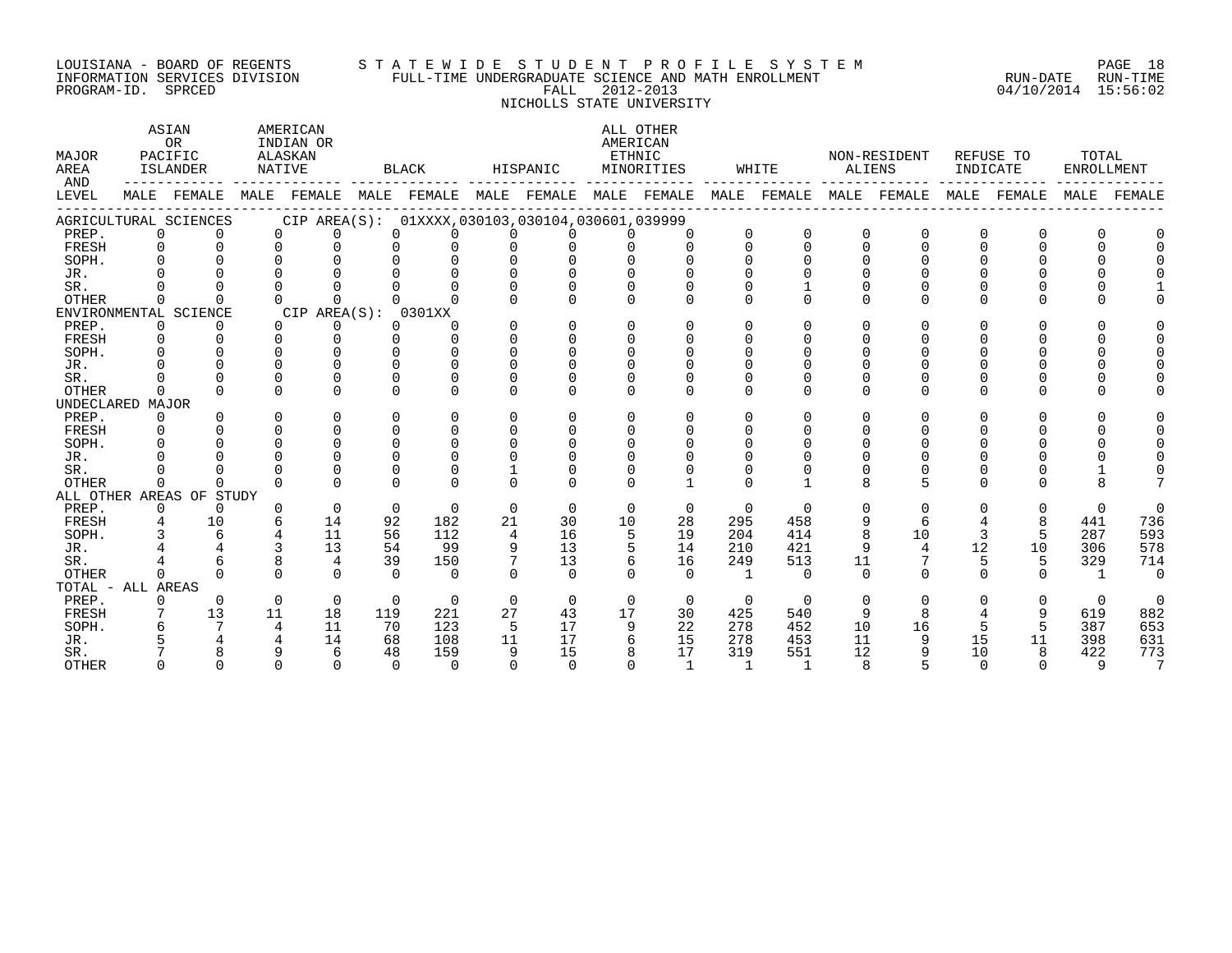#### LOUISIANA - BOARD OF REGENTS S T A T E W I D E S T U D E N T P R O F I L E S Y S T E M PAGE 18 INFORMATION SERVICES DIVISION FULL-TIME UNDERGRADUATE SCIENCE AND MATH ENROLLMENT RUN-DATE RUN-TIME PROGRAM-ID. SPRCED FALL 2012-2013 04/10/2014 15:56:02 NICHOLLS STATE UNIVERSITY

ASTAN AMERICAN AMERICAN ALL OTHER OR INDIAN OR **INDIAN OR** AMERICAN MAJOR PACIFIC ALASKAN ETHNIC NON-RESIDENT REFUSE TO TOTAL AREA ISLANDER NATIVE BLACK HISPANIC MINORITIES WHITE ALIENS INDICATE ENROLLMENT AND ------------ ------------- ------------- ------------- ------------- ------------- ------------- ------------- ------------- LEVEL MALE FEMALE MALE FEMALE MALE FEMALE MALE FEMALE MALE FEMALE MALE FEMALE MALE FEMALE MALE FEMALE MALE FEMALE ------------------------------------------------------------------------------------------------------------------------------------ AGRICULTURAL SCIENCES CIP AREA(S): 01XXXX,030103,030104,030601,039999 PREP. 0 0 0 0 0 0 0 0 0 0 0 0 0 0 0 0 0 0 FRESH 0 0 0 0 0 0 0 0 0 0 0 0 0 0 0 0 0 0 SOPH. 0 0 0 0 0 0 0 0 0 0 0 0 0 0 0 0 0 0 JR. 0 0 0 0 0 0 0 0 0 0 0 0 0 0 0 0 0 0 SR. 0 0 0 0 0 0 0 0 0 0 0 1 0 0 0 0 0 1 OTHER 0 0 0 0 0 0 0 0 0 0 0 0 0 0 0 0 0 0 ENVIRONMENTAL SCIENCE CIP AREA(S): 0301XX<br>
PREP. 0 0 0 0 0 0 PREP. 0 0 0 0 0 0 0 0 0 0 0 0 0 0 0 0 0 0 FRESH 0 0 0 0 0 0 0 0 0 0 0 0 0 0 0 0 0 0 SOPH. 0 0 0 0 0 0 0 0 0 0 0 0 0 0 0 0 0 0 JR. 0 0 0 0 0 0 0 0 0 0 0 0 0 0 0 0 0 0 SR. 0 0 0 0 0 0 0 0 0 0 0 0 0 0 0 0 0 0 OTHER 0 0 0 0 0 0 0 0 0 0 0 0 0 0 0 0 0 0 UNDECLARED MAJOR PREP. 0 0 0 0 0 0 0 0 0 0 0 0 0 0 0 0 0 0 FRESH 0 0 0 0 0 0 0 0 0 0 0 0 0 0 0 0 0 0 SOPH. 0 0 0 0 0 0 0 0 0 0 0 0 0 0 0 0 0 0 JR. 0 0 0 0 0 0 0 0 0 0 0 0 0 0 0 0 0 0 SR. 0 0 0 0 0 0 1 0 0 0 0 0 0 0 0 0 1 0 OTHER 0 0 0 0 0 0 0 0 0 1 0 1 8 5 0 0 8 7 ALL OTHER AREAS OF STUDY PREP. 0 0 0 0 0 0 0 0 0 0 0 0 0 0 0 0 0 0 FRESH 4 10 6 14 92 182 21 30 10 28 295 458 9 6 4 8 441 736 SOPH. 3 6 4 11 56 112 4 16 5 19 204 414 8 10 3 5 287 593 JR. 4 4 3 13 54 99 9 13 5 14 210 421 9 4 12 10 306 578 SR. 4 6 8 4 39 150 7 13 6 16 249 513 11 7 5 5 329 714 OTHER 0 0 0 0 0 0 0 0 0 0 1 0 0 0 0 0 1 0 TOTAL - ALL AREAS PREP. 0 0 0 0 0 0 0 0 0 0 0 0 0 0 0 0 0 0 FRESH 7 13 11 18 119 221 27 43 17 30 425 540 9 8 4 9 619 882 SOPH. 6 7 4 11 70 123 5 17 9 22 278 452 10 16 5 5 387 653 JR. 5 4 4 14 68 108 11 17 6 15 278 453 11 9 15 11 398 631

SR. 7 8 9 6 48 159 9 15 8 17 319 551 12 9 10 8 422 773 OTHER 0 0 0 0 0 0 0 0 0 1 1 1 8 5 0 0 9 7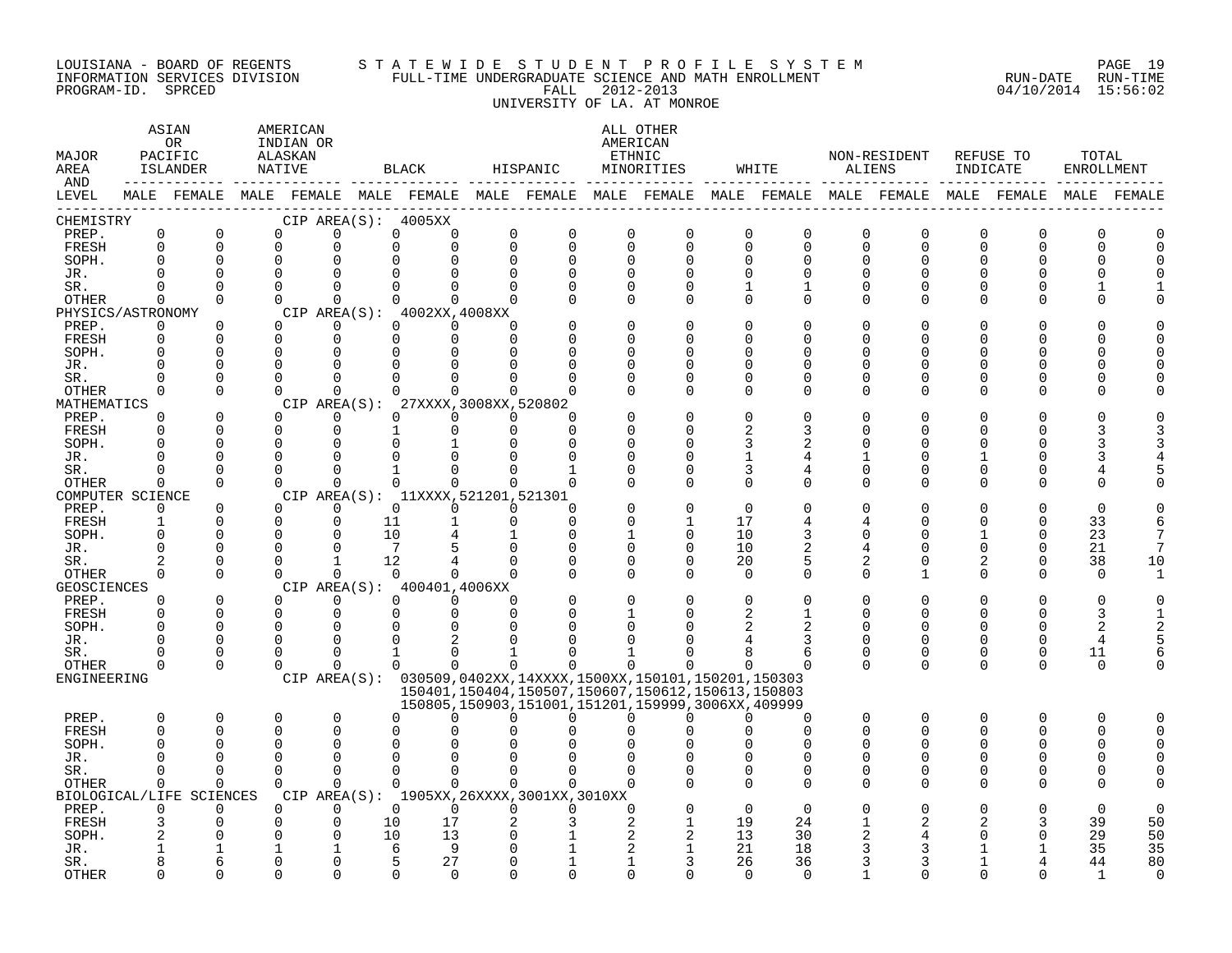#### LOUISIANA - BOARD OF REGENTS S T A T E W I D E S T U D E N T P R O F I L E S Y S T E M PAGE 19 INFORMATION SERVICES DIVISION FULL-TIME UNDERGRADUATE SCIENCE AND MATH ENROLLMENT RUN-DATE RUN-TIME PROGRAM-ID. SPRCED FALL 2012-2013 04/10/2014 15:56:02 UNIVERSITY OF LA. AT MONROE

| MALE FEMALE MALE FEMALE MALE FEMALE MALE FEMALE MALE FEMALE MALE FEMALE MALE FEMALE MALE FEMALE MALE FEMALE<br>CHEMISTRY<br>CIP AREA(S): 4005XX<br>$\mathbf 0$<br>$\mathbf 0$<br>PREP.<br>$\mathbf 0$<br>0<br>0<br>$\mathbf 0$<br>$\mathbf 0$<br>0<br>$\mathbf 0$<br>$\mathbf 0$<br>0<br>$\mathbf 0$<br>$\mathbf 0$<br>0<br>0<br>0<br>$\Omega$<br>$\Omega$<br>$\mathbf 0$<br>$\Omega$<br>$\Omega$<br>$\Omega$<br>0<br>$\Omega$<br>$\Omega$<br>$\Omega$<br>$\Omega$<br>$\Omega$<br>FRESH<br>$\Omega$<br>$\Omega$<br>0<br>$\Omega$<br>$\Omega$<br>$\Omega$<br>$\Omega$<br>$\Omega$<br>0<br>SOPH.<br>$\Omega$<br>$\mathbf 0$<br>0<br>0<br>$\mathbf 0$<br>$\Omega$<br>$\Omega$<br>$\Omega$<br>$\Omega$<br>O<br>0<br>0<br>$\Omega$<br>$\cap$<br>0<br>$\Omega$<br>$\Omega$<br>$\Omega$<br>$\Omega$<br>$\Omega$<br>$\Omega$<br>JR.<br>$\Omega$<br>$\Omega$<br>$\Omega$<br>$\Omega$<br>$\Omega$<br>SR.<br>$\Omega$<br>$\Omega$<br>$\Omega$<br>$\Omega$<br>$\Omega$<br>U<br>$\Omega$<br>1<br><sup>0</sup><br>U<br>U<br>$\Omega$<br>$\Omega$<br>$\Omega$<br>$\Omega$<br>$\Omega$<br>$\Omega$<br>$\Omega$<br>OTHER<br>$\Omega$<br>$\Omega$<br>$\Omega$<br>$\Omega$<br>0<br>$\Omega$<br>U<br>∩<br>CIP AREA(S): 4002XX,4008XX<br>PHYSICS/ASTRONOMY<br>$\Omega$<br>$\Omega$<br>0<br>$\Omega$<br>$\Omega$<br>PREP.<br>$\Omega$<br>$\Omega$<br>$\Omega$<br>$\Omega$<br>O<br>O<br>U<br>$\mathbf 0$<br>FRESH<br>$\mathbf 0$<br>$\Omega$<br>$\Omega$<br>$\Omega$<br>$\mathbf 0$<br>$\Omega$<br>$\Omega$<br>$\Omega$<br>U<br>∩<br>∩<br>$\Omega$<br>$\Omega$<br>SOPH.<br>$\Omega$<br>$\Omega$<br>$\Omega$<br>$\Omega$<br>O<br>∩<br>O<br>$\Omega$<br>$\Omega$<br>$\Omega$<br>JR.<br>O<br>$\Omega$<br>O<br>O<br>$\Omega$<br>$\Omega$<br>SR.<br>$\Omega$<br>$\Omega$<br>$\Omega$<br>$\Omega$<br>$\Omega$<br>U<br><sup>0</sup><br>U<br>$\Omega$<br><b>OTHER</b><br>$\Omega$<br>$\Omega$<br>$\Omega$<br>$\cap$<br>$\Omega$<br>$\Omega$<br>$\Omega$<br>O<br>0<br>U<br>∩<br>U<br>MATHEMATICS<br>CIP AREA(S): 27XXXX, 3008XX, 520802<br>$\Omega$<br>$\Omega$<br>$\Omega$<br>PREP.<br>$\Omega$<br>$\Omega$<br>$\Omega$<br>$\Omega$<br>$\Omega$<br>U<br>$\Omega$<br>$\Omega$<br>$\Omega$<br>$\mathbf 0$<br>FRESH<br>$\mathbf{1}$<br>$\Omega$<br>$\Omega$<br>$\Omega$<br>$\overline{2}$<br>U<br>3<br>U<br>$\Omega$<br>$\Omega$<br>$\Omega$<br>SOPH.<br>∩<br>∩<br>∩<br>$\Omega$<br>JR.<br>$\Omega$<br>$\Omega$<br>∩<br>$\Omega$<br>U<br>1<br><sup>0</sup><br>4<br>SR.<br>$\Omega$<br>$\Omega$<br>$\Omega$<br>3<br>$\Omega$<br>$\Omega$<br>4<br>0<br>0<br>O<br>O<br>OTHER<br>$\cap$<br>$\Omega$<br>$\Omega$<br>$\Omega$<br>$\Omega$<br>$\Omega$<br>$\Omega$<br>$\Omega$<br>$\Omega$<br>$\Omega$<br>$\Omega$<br>$\Omega$<br>$\Omega$<br>$\Omega$<br>U<br>∩<br>U<br>CIP AREA(S): 11XXXX, 521201, 521301<br>COMPUTER SCIENCE<br>$\Omega$<br>$\Omega$<br>$\Omega$<br>$\Omega$<br>PREP.<br>$\Omega$<br>$\Omega$<br>$\Omega$<br>$\Omega$<br>O<br>$\Omega$<br>O<br>$\Omega$<br>$\Omega$<br>$\mathbf 0$<br>FRESH<br>$\mathbf{1}$<br>11<br>$\Omega$<br>$\Omega$<br>$\Omega$<br>17<br>33<br>4<br>4<br>∩<br><sup>0</sup><br>6<br>$\Omega$<br>$\Omega$<br>10<br>10<br>23<br>SOPH.<br>$\Omega$<br>$\Omega$<br>$\Omega$<br>1<br>$\Omega$<br>3<br>$\Omega$<br>$\Omega$<br>7<br>$7\overline{ }$<br>$\Omega$<br>$\Omega$<br>$\mathbf 0$<br>$\Omega$<br>$\mathbf 0$<br>$\Omega$<br>10<br>21<br>7<br>JR.<br>$\Omega$<br>U<br>∩<br>$\Omega$<br>4<br>38<br>$\Omega$<br>$\Omega$<br>12<br>$\mathbf 0$<br>$\Omega$<br>20<br>5<br>10<br>SR.<br>$\overline{2}$<br>$\mathbf{1}$<br>2<br>2<br>$\Omega$<br>$\Omega$<br>$\Omega$<br>$\Omega$<br>$\Omega$<br>$\Omega$<br>$\Omega$<br>$\Omega$<br>$\Omega$<br>$\Omega$<br>$\Omega$<br>OTHER<br>$\Omega$<br>$\Omega$<br>$\Omega$<br>0<br>$\Omega$<br>$\mathbf{1}$<br>1<br>CIP AREA(S): 400401,4006XX<br><b>GEOSCIENCES</b><br>$\Omega$<br>$\Omega$<br>PREP.<br>$\Omega$<br>$\Omega$<br>$\Omega$<br>$\Omega$<br>$\Omega$<br>$\Omega$<br>$\Omega$<br>$\Omega$<br>$\Omega$<br>$\Omega$<br>$\mathbf 0$<br>FRESH<br>$\Omega$<br>$\Omega$<br>$\Omega$<br>$\mathbf 0$<br>$\Omega$<br>$\Omega$<br>3<br><sup>0</sup><br>O<br>$\Omega$<br>$\Omega$<br>$\Omega$<br>$\Omega$<br>$\Omega$<br>SOPH.<br>$\Omega$<br>$\Omega$<br>$\overline{2}$<br>$\overline{2}$<br>$\Omega$<br>$\Omega$<br>$\Omega$<br>$\Omega$<br>JR.<br>2<br><sup>0</sup><br>$\Omega$<br>∩<br>$\Omega$<br>4<br>$\Omega$<br>SR.<br>∩<br>0<br>$\Omega$<br>0<br>0<br>0<br>0<br>11<br>1<br>-1<br>6<br>6<br>$\Omega$<br>$\Omega$<br>$\Omega$<br>$\Omega$<br>$\Omega$<br>OTHER<br>$\Omega$<br>$\Omega$<br>$\Omega$<br>$\Omega$<br>$\Omega$<br>$\Omega$<br>U<br>$\Omega$<br>$\Omega$<br>$\Omega$<br><sup>n</sup><br>$\Omega$<br>ENGINEERING<br>CIP AREA(S): 030509,0402XX,14XXXX,1500XX,150101,150201,150303<br>150401, 150404, 150507, 150607, 150612, 150613, 150803<br>150805, 150903, 151001, 151201, 159999, 3006XX, 409999<br>$\mathbf 0$<br>$\Omega$<br>0<br>$\mathbf 0$<br>0<br>$\mathbf 0$<br>0<br>PREP.<br>$\Omega$<br>$\Omega$<br>0<br>$\Omega$<br>0<br>$\Omega$<br>$\Omega$<br>0<br>$\Omega$<br><sup>0</sup><br>$\Omega$<br>$\Omega$<br>$\Omega$<br>$\Omega$<br>FRESH<br>$\Omega$<br>U<br>$\Omega$<br>$\Omega$<br>$\Omega$<br>$\Omega$<br>$\Omega$<br>$\Omega$<br>SOPH.<br>$\Omega$<br>$\Omega$<br>$\Omega$<br>$\Omega$<br><sup>0</sup><br>$\Omega$<br><sup>0</sup><br>$\Omega$<br>$\Omega$<br>JR.<br>$\cap$<br>$\Omega$<br>$\Omega$<br>$\Omega$<br>O<br>$\Omega$<br>$\Omega$<br>$\Omega$<br>$\Omega$<br>$\Omega$<br>$\Omega$<br>$\Omega$<br>$\Omega$<br>$\Omega$<br>SR.<br>0<br>$\Omega$<br>$\Omega$<br>$\Omega$<br>∩<br>U<br>U<br>$\Omega$<br>$\Omega$<br>$\Omega$<br>$\Omega$<br>$\Omega$<br>$\Omega$<br>$\Omega$<br>$\Omega$<br>$\Omega$<br>$\Omega$<br>$\Omega$<br>$\Omega$<br>OTHER<br>$\Omega$<br>U<br>C<br>CIP AREA(S): 1905XX, 26XXXX, 3001XX, 3010XX<br>BIOLOGICAL/LIFE SCIENCES<br>$\Omega$<br>PREP.<br>$\mathbf 0$<br>$\mathbf 0$<br>$\Omega$<br>$\Omega$<br>$\Omega$<br>$\Omega$<br>$\Omega$<br>$\Omega$<br>$\Omega$<br>$\Omega$<br>$\Omega$<br>$\mathbf 0$<br>17<br>19<br>39<br>50<br>FRESH<br>3<br>$\Omega$<br>0<br>10<br>24<br>2<br>10<br>50<br>$\Omega$<br>$\Omega$<br>13<br>$\overline{c}$<br>13<br>30<br>29<br>SOPH.<br>2<br>21<br>35<br>9<br>18<br>35<br>6<br>3<br>JR.<br>80<br>$\Omega$<br>0<br>5<br>27<br>26<br>36<br>44<br>SR.<br>1<br><b>OTHER</b><br>$\cap$<br>$\cap$<br>0<br>$\cap$<br>$\Omega$<br>$\Omega$<br>$\cap$<br>$\Omega$<br>$\cap$<br>$\Omega$<br>$\mathbf{1}$ | MAJOR<br>AREA<br>AND | ASIAN<br><b>OR</b><br>PACIFIC<br>ISLANDER<br>-------- ----- | AMERICAN<br>INDIAN OR<br>ALASKAN<br>NATIVE |  | BLACK | HISPANIC |  | ALL OTHER<br>AMERICAN<br>ETHNIC<br>MINORITIES | WHITE | ALIENS | NON-RESIDENT | REFUSE TO<br>INDICATE | TOTAL<br>ENROLLMENT |  |
|------------------------------------------------------------------------------------------------------------------------------------------------------------------------------------------------------------------------------------------------------------------------------------------------------------------------------------------------------------------------------------------------------------------------------------------------------------------------------------------------------------------------------------------------------------------------------------------------------------------------------------------------------------------------------------------------------------------------------------------------------------------------------------------------------------------------------------------------------------------------------------------------------------------------------------------------------------------------------------------------------------------------------------------------------------------------------------------------------------------------------------------------------------------------------------------------------------------------------------------------------------------------------------------------------------------------------------------------------------------------------------------------------------------------------------------------------------------------------------------------------------------------------------------------------------------------------------------------------------------------------------------------------------------------------------------------------------------------------------------------------------------------------------------------------------------------------------------------------------------------------------------------------------------------------------------------------------------------------------------------------------------------------------------------------------------------------------------------------------------------------------------------------------------------------------------------------------------------------------------------------------------------------------------------------------------------------------------------------------------------------------------------------------------------------------------------------------------------------------------------------------------------------------------------------------------------------------------------------------------------------------------------------------------------------------------------------------------------------------------------------------------------------------------------------------------------------------------------------------------------------------------------------------------------------------------------------------------------------------------------------------------------------------------------------------------------------------------------------------------------------------------------------------------------------------------------------------------------------------------------------------------------------------------------------------------------------------------------------------------------------------------------------------------------------------------------------------------------------------------------------------------------------------------------------------------------------------------------------------------------------------------------------------------------------------------------------------------------------------------------------------------------------------------------------------------------------------------------------------------------------------------------------------------------------------------------------------------------------------------------------------------------------------------------------------------------------------------------------------------------------------------------------------------------------------------------------------------------------------------------------------------------------------------------------------------------------------------------------------------------------------------------------------------------------------------------------------------------------------------------------------------------------------------------------------------------------------------------------------------------------------------------------------------------------------------------------------------------------------------------------------------------------------------------------------------------------------------------------------------------------------------------------------------------------------------------------------------------------------------------------------------------------------------------------------------------------------------------------------------------------------------------------------------------------------------------------------------------------------------------------------------------------------------------------------------------------------------------------------------------------------------------------------------------------------------------------------------------------------------------------------------------------------------------------------------------------------------------------------------------------------------------------------------------------------------------------------------------------------------------------------------------------------------------------------------------------------------------------------------------------------------------------------------------------------------------------------------------------------------------------------------------------------------------------------------------------------------------------------------------------------------------------------------------------------------------------------------------------------------------------------------------------------------------------------------------------------------------------------------------------------------------------------------------------------------|----------------------|-------------------------------------------------------------|--------------------------------------------|--|-------|----------|--|-----------------------------------------------|-------|--------|--------------|-----------------------|---------------------|--|
|                                                                                                                                                                                                                                                                                                                                                                                                                                                                                                                                                                                                                                                                                                                                                                                                                                                                                                                                                                                                                                                                                                                                                                                                                                                                                                                                                                                                                                                                                                                                                                                                                                                                                                                                                                                                                                                                                                                                                                                                                                                                                                                                                                                                                                                                                                                                                                                                                                                                                                                                                                                                                                                                                                                                                                                                                                                                                                                                                                                                                                                                                                                                                                                                                                                                                                                                                                                                                                                                                                                                                                                                                                                                                                                                                                                                                                                                                                                                                                                                                                                                                                                                                                                                                                                                                                                                                                                                                                                                                                                                                                                                                                                                                                                                                                                                                                                                                                                                                                                                                                                                                                                                                                                                                                                                                                                                                                                                                                                                                                                                                                                                                                                                                                                                                                                                                                                                                                                                                                                                                                                                                                                                                                                                                                                                                                                                                                                                                                          | LEVEL                |                                                             |                                            |  |       |          |  |                                               |       |        |              |                       |                     |  |
|                                                                                                                                                                                                                                                                                                                                                                                                                                                                                                                                                                                                                                                                                                                                                                                                                                                                                                                                                                                                                                                                                                                                                                                                                                                                                                                                                                                                                                                                                                                                                                                                                                                                                                                                                                                                                                                                                                                                                                                                                                                                                                                                                                                                                                                                                                                                                                                                                                                                                                                                                                                                                                                                                                                                                                                                                                                                                                                                                                                                                                                                                                                                                                                                                                                                                                                                                                                                                                                                                                                                                                                                                                                                                                                                                                                                                                                                                                                                                                                                                                                                                                                                                                                                                                                                                                                                                                                                                                                                                                                                                                                                                                                                                                                                                                                                                                                                                                                                                                                                                                                                                                                                                                                                                                                                                                                                                                                                                                                                                                                                                                                                                                                                                                                                                                                                                                                                                                                                                                                                                                                                                                                                                                                                                                                                                                                                                                                                                                          |                      |                                                             |                                            |  |       |          |  |                                               |       |        |              |                       |                     |  |
|                                                                                                                                                                                                                                                                                                                                                                                                                                                                                                                                                                                                                                                                                                                                                                                                                                                                                                                                                                                                                                                                                                                                                                                                                                                                                                                                                                                                                                                                                                                                                                                                                                                                                                                                                                                                                                                                                                                                                                                                                                                                                                                                                                                                                                                                                                                                                                                                                                                                                                                                                                                                                                                                                                                                                                                                                                                                                                                                                                                                                                                                                                                                                                                                                                                                                                                                                                                                                                                                                                                                                                                                                                                                                                                                                                                                                                                                                                                                                                                                                                                                                                                                                                                                                                                                                                                                                                                                                                                                                                                                                                                                                                                                                                                                                                                                                                                                                                                                                                                                                                                                                                                                                                                                                                                                                                                                                                                                                                                                                                                                                                                                                                                                                                                                                                                                                                                                                                                                                                                                                                                                                                                                                                                                                                                                                                                                                                                                                                          |                      |                                                             |                                            |  |       |          |  |                                               |       |        |              |                       |                     |  |
|                                                                                                                                                                                                                                                                                                                                                                                                                                                                                                                                                                                                                                                                                                                                                                                                                                                                                                                                                                                                                                                                                                                                                                                                                                                                                                                                                                                                                                                                                                                                                                                                                                                                                                                                                                                                                                                                                                                                                                                                                                                                                                                                                                                                                                                                                                                                                                                                                                                                                                                                                                                                                                                                                                                                                                                                                                                                                                                                                                                                                                                                                                                                                                                                                                                                                                                                                                                                                                                                                                                                                                                                                                                                                                                                                                                                                                                                                                                                                                                                                                                                                                                                                                                                                                                                                                                                                                                                                                                                                                                                                                                                                                                                                                                                                                                                                                                                                                                                                                                                                                                                                                                                                                                                                                                                                                                                                                                                                                                                                                                                                                                                                                                                                                                                                                                                                                                                                                                                                                                                                                                                                                                                                                                                                                                                                                                                                                                                                                          |                      |                                                             |                                            |  |       |          |  |                                               |       |        |              |                       |                     |  |
|                                                                                                                                                                                                                                                                                                                                                                                                                                                                                                                                                                                                                                                                                                                                                                                                                                                                                                                                                                                                                                                                                                                                                                                                                                                                                                                                                                                                                                                                                                                                                                                                                                                                                                                                                                                                                                                                                                                                                                                                                                                                                                                                                                                                                                                                                                                                                                                                                                                                                                                                                                                                                                                                                                                                                                                                                                                                                                                                                                                                                                                                                                                                                                                                                                                                                                                                                                                                                                                                                                                                                                                                                                                                                                                                                                                                                                                                                                                                                                                                                                                                                                                                                                                                                                                                                                                                                                                                                                                                                                                                                                                                                                                                                                                                                                                                                                                                                                                                                                                                                                                                                                                                                                                                                                                                                                                                                                                                                                                                                                                                                                                                                                                                                                                                                                                                                                                                                                                                                                                                                                                                                                                                                                                                                                                                                                                                                                                                                                          |                      |                                                             |                                            |  |       |          |  |                                               |       |        |              |                       |                     |  |
|                                                                                                                                                                                                                                                                                                                                                                                                                                                                                                                                                                                                                                                                                                                                                                                                                                                                                                                                                                                                                                                                                                                                                                                                                                                                                                                                                                                                                                                                                                                                                                                                                                                                                                                                                                                                                                                                                                                                                                                                                                                                                                                                                                                                                                                                                                                                                                                                                                                                                                                                                                                                                                                                                                                                                                                                                                                                                                                                                                                                                                                                                                                                                                                                                                                                                                                                                                                                                                                                                                                                                                                                                                                                                                                                                                                                                                                                                                                                                                                                                                                                                                                                                                                                                                                                                                                                                                                                                                                                                                                                                                                                                                                                                                                                                                                                                                                                                                                                                                                                                                                                                                                                                                                                                                                                                                                                                                                                                                                                                                                                                                                                                                                                                                                                                                                                                                                                                                                                                                                                                                                                                                                                                                                                                                                                                                                                                                                                                                          |                      |                                                             |                                            |  |       |          |  |                                               |       |        |              |                       |                     |  |
|                                                                                                                                                                                                                                                                                                                                                                                                                                                                                                                                                                                                                                                                                                                                                                                                                                                                                                                                                                                                                                                                                                                                                                                                                                                                                                                                                                                                                                                                                                                                                                                                                                                                                                                                                                                                                                                                                                                                                                                                                                                                                                                                                                                                                                                                                                                                                                                                                                                                                                                                                                                                                                                                                                                                                                                                                                                                                                                                                                                                                                                                                                                                                                                                                                                                                                                                                                                                                                                                                                                                                                                                                                                                                                                                                                                                                                                                                                                                                                                                                                                                                                                                                                                                                                                                                                                                                                                                                                                                                                                                                                                                                                                                                                                                                                                                                                                                                                                                                                                                                                                                                                                                                                                                                                                                                                                                                                                                                                                                                                                                                                                                                                                                                                                                                                                                                                                                                                                                                                                                                                                                                                                                                                                                                                                                                                                                                                                                                                          |                      |                                                             |                                            |  |       |          |  |                                               |       |        |              |                       |                     |  |
|                                                                                                                                                                                                                                                                                                                                                                                                                                                                                                                                                                                                                                                                                                                                                                                                                                                                                                                                                                                                                                                                                                                                                                                                                                                                                                                                                                                                                                                                                                                                                                                                                                                                                                                                                                                                                                                                                                                                                                                                                                                                                                                                                                                                                                                                                                                                                                                                                                                                                                                                                                                                                                                                                                                                                                                                                                                                                                                                                                                                                                                                                                                                                                                                                                                                                                                                                                                                                                                                                                                                                                                                                                                                                                                                                                                                                                                                                                                                                                                                                                                                                                                                                                                                                                                                                                                                                                                                                                                                                                                                                                                                                                                                                                                                                                                                                                                                                                                                                                                                                                                                                                                                                                                                                                                                                                                                                                                                                                                                                                                                                                                                                                                                                                                                                                                                                                                                                                                                                                                                                                                                                                                                                                                                                                                                                                                                                                                                                                          |                      |                                                             |                                            |  |       |          |  |                                               |       |        |              |                       |                     |  |
|                                                                                                                                                                                                                                                                                                                                                                                                                                                                                                                                                                                                                                                                                                                                                                                                                                                                                                                                                                                                                                                                                                                                                                                                                                                                                                                                                                                                                                                                                                                                                                                                                                                                                                                                                                                                                                                                                                                                                                                                                                                                                                                                                                                                                                                                                                                                                                                                                                                                                                                                                                                                                                                                                                                                                                                                                                                                                                                                                                                                                                                                                                                                                                                                                                                                                                                                                                                                                                                                                                                                                                                                                                                                                                                                                                                                                                                                                                                                                                                                                                                                                                                                                                                                                                                                                                                                                                                                                                                                                                                                                                                                                                                                                                                                                                                                                                                                                                                                                                                                                                                                                                                                                                                                                                                                                                                                                                                                                                                                                                                                                                                                                                                                                                                                                                                                                                                                                                                                                                                                                                                                                                                                                                                                                                                                                                                                                                                                                                          |                      |                                                             |                                            |  |       |          |  |                                               |       |        |              |                       |                     |  |
|                                                                                                                                                                                                                                                                                                                                                                                                                                                                                                                                                                                                                                                                                                                                                                                                                                                                                                                                                                                                                                                                                                                                                                                                                                                                                                                                                                                                                                                                                                                                                                                                                                                                                                                                                                                                                                                                                                                                                                                                                                                                                                                                                                                                                                                                                                                                                                                                                                                                                                                                                                                                                                                                                                                                                                                                                                                                                                                                                                                                                                                                                                                                                                                                                                                                                                                                                                                                                                                                                                                                                                                                                                                                                                                                                                                                                                                                                                                                                                                                                                                                                                                                                                                                                                                                                                                                                                                                                                                                                                                                                                                                                                                                                                                                                                                                                                                                                                                                                                                                                                                                                                                                                                                                                                                                                                                                                                                                                                                                                                                                                                                                                                                                                                                                                                                                                                                                                                                                                                                                                                                                                                                                                                                                                                                                                                                                                                                                                                          |                      |                                                             |                                            |  |       |          |  |                                               |       |        |              |                       |                     |  |
|                                                                                                                                                                                                                                                                                                                                                                                                                                                                                                                                                                                                                                                                                                                                                                                                                                                                                                                                                                                                                                                                                                                                                                                                                                                                                                                                                                                                                                                                                                                                                                                                                                                                                                                                                                                                                                                                                                                                                                                                                                                                                                                                                                                                                                                                                                                                                                                                                                                                                                                                                                                                                                                                                                                                                                                                                                                                                                                                                                                                                                                                                                                                                                                                                                                                                                                                                                                                                                                                                                                                                                                                                                                                                                                                                                                                                                                                                                                                                                                                                                                                                                                                                                                                                                                                                                                                                                                                                                                                                                                                                                                                                                                                                                                                                                                                                                                                                                                                                                                                                                                                                                                                                                                                                                                                                                                                                                                                                                                                                                                                                                                                                                                                                                                                                                                                                                                                                                                                                                                                                                                                                                                                                                                                                                                                                                                                                                                                                                          |                      |                                                             |                                            |  |       |          |  |                                               |       |        |              |                       |                     |  |
|                                                                                                                                                                                                                                                                                                                                                                                                                                                                                                                                                                                                                                                                                                                                                                                                                                                                                                                                                                                                                                                                                                                                                                                                                                                                                                                                                                                                                                                                                                                                                                                                                                                                                                                                                                                                                                                                                                                                                                                                                                                                                                                                                                                                                                                                                                                                                                                                                                                                                                                                                                                                                                                                                                                                                                                                                                                                                                                                                                                                                                                                                                                                                                                                                                                                                                                                                                                                                                                                                                                                                                                                                                                                                                                                                                                                                                                                                                                                                                                                                                                                                                                                                                                                                                                                                                                                                                                                                                                                                                                                                                                                                                                                                                                                                                                                                                                                                                                                                                                                                                                                                                                                                                                                                                                                                                                                                                                                                                                                                                                                                                                                                                                                                                                                                                                                                                                                                                                                                                                                                                                                                                                                                                                                                                                                                                                                                                                                                                          |                      |                                                             |                                            |  |       |          |  |                                               |       |        |              |                       |                     |  |
|                                                                                                                                                                                                                                                                                                                                                                                                                                                                                                                                                                                                                                                                                                                                                                                                                                                                                                                                                                                                                                                                                                                                                                                                                                                                                                                                                                                                                                                                                                                                                                                                                                                                                                                                                                                                                                                                                                                                                                                                                                                                                                                                                                                                                                                                                                                                                                                                                                                                                                                                                                                                                                                                                                                                                                                                                                                                                                                                                                                                                                                                                                                                                                                                                                                                                                                                                                                                                                                                                                                                                                                                                                                                                                                                                                                                                                                                                                                                                                                                                                                                                                                                                                                                                                                                                                                                                                                                                                                                                                                                                                                                                                                                                                                                                                                                                                                                                                                                                                                                                                                                                                                                                                                                                                                                                                                                                                                                                                                                                                                                                                                                                                                                                                                                                                                                                                                                                                                                                                                                                                                                                                                                                                                                                                                                                                                                                                                                                                          |                      |                                                             |                                            |  |       |          |  |                                               |       |        |              |                       |                     |  |
|                                                                                                                                                                                                                                                                                                                                                                                                                                                                                                                                                                                                                                                                                                                                                                                                                                                                                                                                                                                                                                                                                                                                                                                                                                                                                                                                                                                                                                                                                                                                                                                                                                                                                                                                                                                                                                                                                                                                                                                                                                                                                                                                                                                                                                                                                                                                                                                                                                                                                                                                                                                                                                                                                                                                                                                                                                                                                                                                                                                                                                                                                                                                                                                                                                                                                                                                                                                                                                                                                                                                                                                                                                                                                                                                                                                                                                                                                                                                                                                                                                                                                                                                                                                                                                                                                                                                                                                                                                                                                                                                                                                                                                                                                                                                                                                                                                                                                                                                                                                                                                                                                                                                                                                                                                                                                                                                                                                                                                                                                                                                                                                                                                                                                                                                                                                                                                                                                                                                                                                                                                                                                                                                                                                                                                                                                                                                                                                                                                          |                      |                                                             |                                            |  |       |          |  |                                               |       |        |              |                       |                     |  |
|                                                                                                                                                                                                                                                                                                                                                                                                                                                                                                                                                                                                                                                                                                                                                                                                                                                                                                                                                                                                                                                                                                                                                                                                                                                                                                                                                                                                                                                                                                                                                                                                                                                                                                                                                                                                                                                                                                                                                                                                                                                                                                                                                                                                                                                                                                                                                                                                                                                                                                                                                                                                                                                                                                                                                                                                                                                                                                                                                                                                                                                                                                                                                                                                                                                                                                                                                                                                                                                                                                                                                                                                                                                                                                                                                                                                                                                                                                                                                                                                                                                                                                                                                                                                                                                                                                                                                                                                                                                                                                                                                                                                                                                                                                                                                                                                                                                                                                                                                                                                                                                                                                                                                                                                                                                                                                                                                                                                                                                                                                                                                                                                                                                                                                                                                                                                                                                                                                                                                                                                                                                                                                                                                                                                                                                                                                                                                                                                                                          |                      |                                                             |                                            |  |       |          |  |                                               |       |        |              |                       |                     |  |
|                                                                                                                                                                                                                                                                                                                                                                                                                                                                                                                                                                                                                                                                                                                                                                                                                                                                                                                                                                                                                                                                                                                                                                                                                                                                                                                                                                                                                                                                                                                                                                                                                                                                                                                                                                                                                                                                                                                                                                                                                                                                                                                                                                                                                                                                                                                                                                                                                                                                                                                                                                                                                                                                                                                                                                                                                                                                                                                                                                                                                                                                                                                                                                                                                                                                                                                                                                                                                                                                                                                                                                                                                                                                                                                                                                                                                                                                                                                                                                                                                                                                                                                                                                                                                                                                                                                                                                                                                                                                                                                                                                                                                                                                                                                                                                                                                                                                                                                                                                                                                                                                                                                                                                                                                                                                                                                                                                                                                                                                                                                                                                                                                                                                                                                                                                                                                                                                                                                                                                                                                                                                                                                                                                                                                                                                                                                                                                                                                                          |                      |                                                             |                                            |  |       |          |  |                                               |       |        |              |                       |                     |  |
|                                                                                                                                                                                                                                                                                                                                                                                                                                                                                                                                                                                                                                                                                                                                                                                                                                                                                                                                                                                                                                                                                                                                                                                                                                                                                                                                                                                                                                                                                                                                                                                                                                                                                                                                                                                                                                                                                                                                                                                                                                                                                                                                                                                                                                                                                                                                                                                                                                                                                                                                                                                                                                                                                                                                                                                                                                                                                                                                                                                                                                                                                                                                                                                                                                                                                                                                                                                                                                                                                                                                                                                                                                                                                                                                                                                                                                                                                                                                                                                                                                                                                                                                                                                                                                                                                                                                                                                                                                                                                                                                                                                                                                                                                                                                                                                                                                                                                                                                                                                                                                                                                                                                                                                                                                                                                                                                                                                                                                                                                                                                                                                                                                                                                                                                                                                                                                                                                                                                                                                                                                                                                                                                                                                                                                                                                                                                                                                                                                          |                      |                                                             |                                            |  |       |          |  |                                               |       |        |              |                       |                     |  |
|                                                                                                                                                                                                                                                                                                                                                                                                                                                                                                                                                                                                                                                                                                                                                                                                                                                                                                                                                                                                                                                                                                                                                                                                                                                                                                                                                                                                                                                                                                                                                                                                                                                                                                                                                                                                                                                                                                                                                                                                                                                                                                                                                                                                                                                                                                                                                                                                                                                                                                                                                                                                                                                                                                                                                                                                                                                                                                                                                                                                                                                                                                                                                                                                                                                                                                                                                                                                                                                                                                                                                                                                                                                                                                                                                                                                                                                                                                                                                                                                                                                                                                                                                                                                                                                                                                                                                                                                                                                                                                                                                                                                                                                                                                                                                                                                                                                                                                                                                                                                                                                                                                                                                                                                                                                                                                                                                                                                                                                                                                                                                                                                                                                                                                                                                                                                                                                                                                                                                                                                                                                                                                                                                                                                                                                                                                                                                                                                                                          |                      |                                                             |                                            |  |       |          |  |                                               |       |        |              |                       |                     |  |
|                                                                                                                                                                                                                                                                                                                                                                                                                                                                                                                                                                                                                                                                                                                                                                                                                                                                                                                                                                                                                                                                                                                                                                                                                                                                                                                                                                                                                                                                                                                                                                                                                                                                                                                                                                                                                                                                                                                                                                                                                                                                                                                                                                                                                                                                                                                                                                                                                                                                                                                                                                                                                                                                                                                                                                                                                                                                                                                                                                                                                                                                                                                                                                                                                                                                                                                                                                                                                                                                                                                                                                                                                                                                                                                                                                                                                                                                                                                                                                                                                                                                                                                                                                                                                                                                                                                                                                                                                                                                                                                                                                                                                                                                                                                                                                                                                                                                                                                                                                                                                                                                                                                                                                                                                                                                                                                                                                                                                                                                                                                                                                                                                                                                                                                                                                                                                                                                                                                                                                                                                                                                                                                                                                                                                                                                                                                                                                                                                                          |                      |                                                             |                                            |  |       |          |  |                                               |       |        |              |                       |                     |  |
|                                                                                                                                                                                                                                                                                                                                                                                                                                                                                                                                                                                                                                                                                                                                                                                                                                                                                                                                                                                                                                                                                                                                                                                                                                                                                                                                                                                                                                                                                                                                                                                                                                                                                                                                                                                                                                                                                                                                                                                                                                                                                                                                                                                                                                                                                                                                                                                                                                                                                                                                                                                                                                                                                                                                                                                                                                                                                                                                                                                                                                                                                                                                                                                                                                                                                                                                                                                                                                                                                                                                                                                                                                                                                                                                                                                                                                                                                                                                                                                                                                                                                                                                                                                                                                                                                                                                                                                                                                                                                                                                                                                                                                                                                                                                                                                                                                                                                                                                                                                                                                                                                                                                                                                                                                                                                                                                                                                                                                                                                                                                                                                                                                                                                                                                                                                                                                                                                                                                                                                                                                                                                                                                                                                                                                                                                                                                                                                                                                          |                      |                                                             |                                            |  |       |          |  |                                               |       |        |              |                       |                     |  |
|                                                                                                                                                                                                                                                                                                                                                                                                                                                                                                                                                                                                                                                                                                                                                                                                                                                                                                                                                                                                                                                                                                                                                                                                                                                                                                                                                                                                                                                                                                                                                                                                                                                                                                                                                                                                                                                                                                                                                                                                                                                                                                                                                                                                                                                                                                                                                                                                                                                                                                                                                                                                                                                                                                                                                                                                                                                                                                                                                                                                                                                                                                                                                                                                                                                                                                                                                                                                                                                                                                                                                                                                                                                                                                                                                                                                                                                                                                                                                                                                                                                                                                                                                                                                                                                                                                                                                                                                                                                                                                                                                                                                                                                                                                                                                                                                                                                                                                                                                                                                                                                                                                                                                                                                                                                                                                                                                                                                                                                                                                                                                                                                                                                                                                                                                                                                                                                                                                                                                                                                                                                                                                                                                                                                                                                                                                                                                                                                                                          |                      |                                                             |                                            |  |       |          |  |                                               |       |        |              |                       |                     |  |
|                                                                                                                                                                                                                                                                                                                                                                                                                                                                                                                                                                                                                                                                                                                                                                                                                                                                                                                                                                                                                                                                                                                                                                                                                                                                                                                                                                                                                                                                                                                                                                                                                                                                                                                                                                                                                                                                                                                                                                                                                                                                                                                                                                                                                                                                                                                                                                                                                                                                                                                                                                                                                                                                                                                                                                                                                                                                                                                                                                                                                                                                                                                                                                                                                                                                                                                                                                                                                                                                                                                                                                                                                                                                                                                                                                                                                                                                                                                                                                                                                                                                                                                                                                                                                                                                                                                                                                                                                                                                                                                                                                                                                                                                                                                                                                                                                                                                                                                                                                                                                                                                                                                                                                                                                                                                                                                                                                                                                                                                                                                                                                                                                                                                                                                                                                                                                                                                                                                                                                                                                                                                                                                                                                                                                                                                                                                                                                                                                                          |                      |                                                             |                                            |  |       |          |  |                                               |       |        |              |                       |                     |  |
|                                                                                                                                                                                                                                                                                                                                                                                                                                                                                                                                                                                                                                                                                                                                                                                                                                                                                                                                                                                                                                                                                                                                                                                                                                                                                                                                                                                                                                                                                                                                                                                                                                                                                                                                                                                                                                                                                                                                                                                                                                                                                                                                                                                                                                                                                                                                                                                                                                                                                                                                                                                                                                                                                                                                                                                                                                                                                                                                                                                                                                                                                                                                                                                                                                                                                                                                                                                                                                                                                                                                                                                                                                                                                                                                                                                                                                                                                                                                                                                                                                                                                                                                                                                                                                                                                                                                                                                                                                                                                                                                                                                                                                                                                                                                                                                                                                                                                                                                                                                                                                                                                                                                                                                                                                                                                                                                                                                                                                                                                                                                                                                                                                                                                                                                                                                                                                                                                                                                                                                                                                                                                                                                                                                                                                                                                                                                                                                                                                          |                      |                                                             |                                            |  |       |          |  |                                               |       |        |              |                       |                     |  |
|                                                                                                                                                                                                                                                                                                                                                                                                                                                                                                                                                                                                                                                                                                                                                                                                                                                                                                                                                                                                                                                                                                                                                                                                                                                                                                                                                                                                                                                                                                                                                                                                                                                                                                                                                                                                                                                                                                                                                                                                                                                                                                                                                                                                                                                                                                                                                                                                                                                                                                                                                                                                                                                                                                                                                                                                                                                                                                                                                                                                                                                                                                                                                                                                                                                                                                                                                                                                                                                                                                                                                                                                                                                                                                                                                                                                                                                                                                                                                                                                                                                                                                                                                                                                                                                                                                                                                                                                                                                                                                                                                                                                                                                                                                                                                                                                                                                                                                                                                                                                                                                                                                                                                                                                                                                                                                                                                                                                                                                                                                                                                                                                                                                                                                                                                                                                                                                                                                                                                                                                                                                                                                                                                                                                                                                                                                                                                                                                                                          |                      |                                                             |                                            |  |       |          |  |                                               |       |        |              |                       |                     |  |
|                                                                                                                                                                                                                                                                                                                                                                                                                                                                                                                                                                                                                                                                                                                                                                                                                                                                                                                                                                                                                                                                                                                                                                                                                                                                                                                                                                                                                                                                                                                                                                                                                                                                                                                                                                                                                                                                                                                                                                                                                                                                                                                                                                                                                                                                                                                                                                                                                                                                                                                                                                                                                                                                                                                                                                                                                                                                                                                                                                                                                                                                                                                                                                                                                                                                                                                                                                                                                                                                                                                                                                                                                                                                                                                                                                                                                                                                                                                                                                                                                                                                                                                                                                                                                                                                                                                                                                                                                                                                                                                                                                                                                                                                                                                                                                                                                                                                                                                                                                                                                                                                                                                                                                                                                                                                                                                                                                                                                                                                                                                                                                                                                                                                                                                                                                                                                                                                                                                                                                                                                                                                                                                                                                                                                                                                                                                                                                                                                                          |                      |                                                             |                                            |  |       |          |  |                                               |       |        |              |                       |                     |  |
|                                                                                                                                                                                                                                                                                                                                                                                                                                                                                                                                                                                                                                                                                                                                                                                                                                                                                                                                                                                                                                                                                                                                                                                                                                                                                                                                                                                                                                                                                                                                                                                                                                                                                                                                                                                                                                                                                                                                                                                                                                                                                                                                                                                                                                                                                                                                                                                                                                                                                                                                                                                                                                                                                                                                                                                                                                                                                                                                                                                                                                                                                                                                                                                                                                                                                                                                                                                                                                                                                                                                                                                                                                                                                                                                                                                                                                                                                                                                                                                                                                                                                                                                                                                                                                                                                                                                                                                                                                                                                                                                                                                                                                                                                                                                                                                                                                                                                                                                                                                                                                                                                                                                                                                                                                                                                                                                                                                                                                                                                                                                                                                                                                                                                                                                                                                                                                                                                                                                                                                                                                                                                                                                                                                                                                                                                                                                                                                                                                          |                      |                                                             |                                            |  |       |          |  |                                               |       |        |              |                       |                     |  |
|                                                                                                                                                                                                                                                                                                                                                                                                                                                                                                                                                                                                                                                                                                                                                                                                                                                                                                                                                                                                                                                                                                                                                                                                                                                                                                                                                                                                                                                                                                                                                                                                                                                                                                                                                                                                                                                                                                                                                                                                                                                                                                                                                                                                                                                                                                                                                                                                                                                                                                                                                                                                                                                                                                                                                                                                                                                                                                                                                                                                                                                                                                                                                                                                                                                                                                                                                                                                                                                                                                                                                                                                                                                                                                                                                                                                                                                                                                                                                                                                                                                                                                                                                                                                                                                                                                                                                                                                                                                                                                                                                                                                                                                                                                                                                                                                                                                                                                                                                                                                                                                                                                                                                                                                                                                                                                                                                                                                                                                                                                                                                                                                                                                                                                                                                                                                                                                                                                                                                                                                                                                                                                                                                                                                                                                                                                                                                                                                                                          |                      |                                                             |                                            |  |       |          |  |                                               |       |        |              |                       |                     |  |
|                                                                                                                                                                                                                                                                                                                                                                                                                                                                                                                                                                                                                                                                                                                                                                                                                                                                                                                                                                                                                                                                                                                                                                                                                                                                                                                                                                                                                                                                                                                                                                                                                                                                                                                                                                                                                                                                                                                                                                                                                                                                                                                                                                                                                                                                                                                                                                                                                                                                                                                                                                                                                                                                                                                                                                                                                                                                                                                                                                                                                                                                                                                                                                                                                                                                                                                                                                                                                                                                                                                                                                                                                                                                                                                                                                                                                                                                                                                                                                                                                                                                                                                                                                                                                                                                                                                                                                                                                                                                                                                                                                                                                                                                                                                                                                                                                                                                                                                                                                                                                                                                                                                                                                                                                                                                                                                                                                                                                                                                                                                                                                                                                                                                                                                                                                                                                                                                                                                                                                                                                                                                                                                                                                                                                                                                                                                                                                                                                                          |                      |                                                             |                                            |  |       |          |  |                                               |       |        |              |                       |                     |  |
|                                                                                                                                                                                                                                                                                                                                                                                                                                                                                                                                                                                                                                                                                                                                                                                                                                                                                                                                                                                                                                                                                                                                                                                                                                                                                                                                                                                                                                                                                                                                                                                                                                                                                                                                                                                                                                                                                                                                                                                                                                                                                                                                                                                                                                                                                                                                                                                                                                                                                                                                                                                                                                                                                                                                                                                                                                                                                                                                                                                                                                                                                                                                                                                                                                                                                                                                                                                                                                                                                                                                                                                                                                                                                                                                                                                                                                                                                                                                                                                                                                                                                                                                                                                                                                                                                                                                                                                                                                                                                                                                                                                                                                                                                                                                                                                                                                                                                                                                                                                                                                                                                                                                                                                                                                                                                                                                                                                                                                                                                                                                                                                                                                                                                                                                                                                                                                                                                                                                                                                                                                                                                                                                                                                                                                                                                                                                                                                                                                          |                      |                                                             |                                            |  |       |          |  |                                               |       |        |              |                       |                     |  |
|                                                                                                                                                                                                                                                                                                                                                                                                                                                                                                                                                                                                                                                                                                                                                                                                                                                                                                                                                                                                                                                                                                                                                                                                                                                                                                                                                                                                                                                                                                                                                                                                                                                                                                                                                                                                                                                                                                                                                                                                                                                                                                                                                                                                                                                                                                                                                                                                                                                                                                                                                                                                                                                                                                                                                                                                                                                                                                                                                                                                                                                                                                                                                                                                                                                                                                                                                                                                                                                                                                                                                                                                                                                                                                                                                                                                                                                                                                                                                                                                                                                                                                                                                                                                                                                                                                                                                                                                                                                                                                                                                                                                                                                                                                                                                                                                                                                                                                                                                                                                                                                                                                                                                                                                                                                                                                                                                                                                                                                                                                                                                                                                                                                                                                                                                                                                                                                                                                                                                                                                                                                                                                                                                                                                                                                                                                                                                                                                                                          |                      |                                                             |                                            |  |       |          |  |                                               |       |        |              |                       |                     |  |
|                                                                                                                                                                                                                                                                                                                                                                                                                                                                                                                                                                                                                                                                                                                                                                                                                                                                                                                                                                                                                                                                                                                                                                                                                                                                                                                                                                                                                                                                                                                                                                                                                                                                                                                                                                                                                                                                                                                                                                                                                                                                                                                                                                                                                                                                                                                                                                                                                                                                                                                                                                                                                                                                                                                                                                                                                                                                                                                                                                                                                                                                                                                                                                                                                                                                                                                                                                                                                                                                                                                                                                                                                                                                                                                                                                                                                                                                                                                                                                                                                                                                                                                                                                                                                                                                                                                                                                                                                                                                                                                                                                                                                                                                                                                                                                                                                                                                                                                                                                                                                                                                                                                                                                                                                                                                                                                                                                                                                                                                                                                                                                                                                                                                                                                                                                                                                                                                                                                                                                                                                                                                                                                                                                                                                                                                                                                                                                                                                                          |                      |                                                             |                                            |  |       |          |  |                                               |       |        |              |                       |                     |  |
|                                                                                                                                                                                                                                                                                                                                                                                                                                                                                                                                                                                                                                                                                                                                                                                                                                                                                                                                                                                                                                                                                                                                                                                                                                                                                                                                                                                                                                                                                                                                                                                                                                                                                                                                                                                                                                                                                                                                                                                                                                                                                                                                                                                                                                                                                                                                                                                                                                                                                                                                                                                                                                                                                                                                                                                                                                                                                                                                                                                                                                                                                                                                                                                                                                                                                                                                                                                                                                                                                                                                                                                                                                                                                                                                                                                                                                                                                                                                                                                                                                                                                                                                                                                                                                                                                                                                                                                                                                                                                                                                                                                                                                                                                                                                                                                                                                                                                                                                                                                                                                                                                                                                                                                                                                                                                                                                                                                                                                                                                                                                                                                                                                                                                                                                                                                                                                                                                                                                                                                                                                                                                                                                                                                                                                                                                                                                                                                                                                          |                      |                                                             |                                            |  |       |          |  |                                               |       |        |              |                       |                     |  |
|                                                                                                                                                                                                                                                                                                                                                                                                                                                                                                                                                                                                                                                                                                                                                                                                                                                                                                                                                                                                                                                                                                                                                                                                                                                                                                                                                                                                                                                                                                                                                                                                                                                                                                                                                                                                                                                                                                                                                                                                                                                                                                                                                                                                                                                                                                                                                                                                                                                                                                                                                                                                                                                                                                                                                                                                                                                                                                                                                                                                                                                                                                                                                                                                                                                                                                                                                                                                                                                                                                                                                                                                                                                                                                                                                                                                                                                                                                                                                                                                                                                                                                                                                                                                                                                                                                                                                                                                                                                                                                                                                                                                                                                                                                                                                                                                                                                                                                                                                                                                                                                                                                                                                                                                                                                                                                                                                                                                                                                                                                                                                                                                                                                                                                                                                                                                                                                                                                                                                                                                                                                                                                                                                                                                                                                                                                                                                                                                                                          |                      |                                                             |                                            |  |       |          |  |                                               |       |        |              |                       |                     |  |
|                                                                                                                                                                                                                                                                                                                                                                                                                                                                                                                                                                                                                                                                                                                                                                                                                                                                                                                                                                                                                                                                                                                                                                                                                                                                                                                                                                                                                                                                                                                                                                                                                                                                                                                                                                                                                                                                                                                                                                                                                                                                                                                                                                                                                                                                                                                                                                                                                                                                                                                                                                                                                                                                                                                                                                                                                                                                                                                                                                                                                                                                                                                                                                                                                                                                                                                                                                                                                                                                                                                                                                                                                                                                                                                                                                                                                                                                                                                                                                                                                                                                                                                                                                                                                                                                                                                                                                                                                                                                                                                                                                                                                                                                                                                                                                                                                                                                                                                                                                                                                                                                                                                                                                                                                                                                                                                                                                                                                                                                                                                                                                                                                                                                                                                                                                                                                                                                                                                                                                                                                                                                                                                                                                                                                                                                                                                                                                                                                                          |                      |                                                             |                                            |  |       |          |  |                                               |       |        |              |                       |                     |  |
|                                                                                                                                                                                                                                                                                                                                                                                                                                                                                                                                                                                                                                                                                                                                                                                                                                                                                                                                                                                                                                                                                                                                                                                                                                                                                                                                                                                                                                                                                                                                                                                                                                                                                                                                                                                                                                                                                                                                                                                                                                                                                                                                                                                                                                                                                                                                                                                                                                                                                                                                                                                                                                                                                                                                                                                                                                                                                                                                                                                                                                                                                                                                                                                                                                                                                                                                                                                                                                                                                                                                                                                                                                                                                                                                                                                                                                                                                                                                                                                                                                                                                                                                                                                                                                                                                                                                                                                                                                                                                                                                                                                                                                                                                                                                                                                                                                                                                                                                                                                                                                                                                                                                                                                                                                                                                                                                                                                                                                                                                                                                                                                                                                                                                                                                                                                                                                                                                                                                                                                                                                                                                                                                                                                                                                                                                                                                                                                                                                          |                      |                                                             |                                            |  |       |          |  |                                               |       |        |              |                       |                     |  |
|                                                                                                                                                                                                                                                                                                                                                                                                                                                                                                                                                                                                                                                                                                                                                                                                                                                                                                                                                                                                                                                                                                                                                                                                                                                                                                                                                                                                                                                                                                                                                                                                                                                                                                                                                                                                                                                                                                                                                                                                                                                                                                                                                                                                                                                                                                                                                                                                                                                                                                                                                                                                                                                                                                                                                                                                                                                                                                                                                                                                                                                                                                                                                                                                                                                                                                                                                                                                                                                                                                                                                                                                                                                                                                                                                                                                                                                                                                                                                                                                                                                                                                                                                                                                                                                                                                                                                                                                                                                                                                                                                                                                                                                                                                                                                                                                                                                                                                                                                                                                                                                                                                                                                                                                                                                                                                                                                                                                                                                                                                                                                                                                                                                                                                                                                                                                                                                                                                                                                                                                                                                                                                                                                                                                                                                                                                                                                                                                                                          |                      |                                                             |                                            |  |       |          |  |                                               |       |        |              |                       |                     |  |
|                                                                                                                                                                                                                                                                                                                                                                                                                                                                                                                                                                                                                                                                                                                                                                                                                                                                                                                                                                                                                                                                                                                                                                                                                                                                                                                                                                                                                                                                                                                                                                                                                                                                                                                                                                                                                                                                                                                                                                                                                                                                                                                                                                                                                                                                                                                                                                                                                                                                                                                                                                                                                                                                                                                                                                                                                                                                                                                                                                                                                                                                                                                                                                                                                                                                                                                                                                                                                                                                                                                                                                                                                                                                                                                                                                                                                                                                                                                                                                                                                                                                                                                                                                                                                                                                                                                                                                                                                                                                                                                                                                                                                                                                                                                                                                                                                                                                                                                                                                                                                                                                                                                                                                                                                                                                                                                                                                                                                                                                                                                                                                                                                                                                                                                                                                                                                                                                                                                                                                                                                                                                                                                                                                                                                                                                                                                                                                                                                                          |                      |                                                             |                                            |  |       |          |  |                                               |       |        |              |                       |                     |  |
|                                                                                                                                                                                                                                                                                                                                                                                                                                                                                                                                                                                                                                                                                                                                                                                                                                                                                                                                                                                                                                                                                                                                                                                                                                                                                                                                                                                                                                                                                                                                                                                                                                                                                                                                                                                                                                                                                                                                                                                                                                                                                                                                                                                                                                                                                                                                                                                                                                                                                                                                                                                                                                                                                                                                                                                                                                                                                                                                                                                                                                                                                                                                                                                                                                                                                                                                                                                                                                                                                                                                                                                                                                                                                                                                                                                                                                                                                                                                                                                                                                                                                                                                                                                                                                                                                                                                                                                                                                                                                                                                                                                                                                                                                                                                                                                                                                                                                                                                                                                                                                                                                                                                                                                                                                                                                                                                                                                                                                                                                                                                                                                                                                                                                                                                                                                                                                                                                                                                                                                                                                                                                                                                                                                                                                                                                                                                                                                                                                          |                      |                                                             |                                            |  |       |          |  |                                               |       |        |              |                       |                     |  |
|                                                                                                                                                                                                                                                                                                                                                                                                                                                                                                                                                                                                                                                                                                                                                                                                                                                                                                                                                                                                                                                                                                                                                                                                                                                                                                                                                                                                                                                                                                                                                                                                                                                                                                                                                                                                                                                                                                                                                                                                                                                                                                                                                                                                                                                                                                                                                                                                                                                                                                                                                                                                                                                                                                                                                                                                                                                                                                                                                                                                                                                                                                                                                                                                                                                                                                                                                                                                                                                                                                                                                                                                                                                                                                                                                                                                                                                                                                                                                                                                                                                                                                                                                                                                                                                                                                                                                                                                                                                                                                                                                                                                                                                                                                                                                                                                                                                                                                                                                                                                                                                                                                                                                                                                                                                                                                                                                                                                                                                                                                                                                                                                                                                                                                                                                                                                                                                                                                                                                                                                                                                                                                                                                                                                                                                                                                                                                                                                                                          |                      |                                                             |                                            |  |       |          |  |                                               |       |        |              |                       |                     |  |
|                                                                                                                                                                                                                                                                                                                                                                                                                                                                                                                                                                                                                                                                                                                                                                                                                                                                                                                                                                                                                                                                                                                                                                                                                                                                                                                                                                                                                                                                                                                                                                                                                                                                                                                                                                                                                                                                                                                                                                                                                                                                                                                                                                                                                                                                                                                                                                                                                                                                                                                                                                                                                                                                                                                                                                                                                                                                                                                                                                                                                                                                                                                                                                                                                                                                                                                                                                                                                                                                                                                                                                                                                                                                                                                                                                                                                                                                                                                                                                                                                                                                                                                                                                                                                                                                                                                                                                                                                                                                                                                                                                                                                                                                                                                                                                                                                                                                                                                                                                                                                                                                                                                                                                                                                                                                                                                                                                                                                                                                                                                                                                                                                                                                                                                                                                                                                                                                                                                                                                                                                                                                                                                                                                                                                                                                                                                                                                                                                                          |                      |                                                             |                                            |  |       |          |  |                                               |       |        |              |                       |                     |  |
|                                                                                                                                                                                                                                                                                                                                                                                                                                                                                                                                                                                                                                                                                                                                                                                                                                                                                                                                                                                                                                                                                                                                                                                                                                                                                                                                                                                                                                                                                                                                                                                                                                                                                                                                                                                                                                                                                                                                                                                                                                                                                                                                                                                                                                                                                                                                                                                                                                                                                                                                                                                                                                                                                                                                                                                                                                                                                                                                                                                                                                                                                                                                                                                                                                                                                                                                                                                                                                                                                                                                                                                                                                                                                                                                                                                                                                                                                                                                                                                                                                                                                                                                                                                                                                                                                                                                                                                                                                                                                                                                                                                                                                                                                                                                                                                                                                                                                                                                                                                                                                                                                                                                                                                                                                                                                                                                                                                                                                                                                                                                                                                                                                                                                                                                                                                                                                                                                                                                                                                                                                                                                                                                                                                                                                                                                                                                                                                                                                          |                      |                                                             |                                            |  |       |          |  |                                               |       |        |              |                       |                     |  |
|                                                                                                                                                                                                                                                                                                                                                                                                                                                                                                                                                                                                                                                                                                                                                                                                                                                                                                                                                                                                                                                                                                                                                                                                                                                                                                                                                                                                                                                                                                                                                                                                                                                                                                                                                                                                                                                                                                                                                                                                                                                                                                                                                                                                                                                                                                                                                                                                                                                                                                                                                                                                                                                                                                                                                                                                                                                                                                                                                                                                                                                                                                                                                                                                                                                                                                                                                                                                                                                                                                                                                                                                                                                                                                                                                                                                                                                                                                                                                                                                                                                                                                                                                                                                                                                                                                                                                                                                                                                                                                                                                                                                                                                                                                                                                                                                                                                                                                                                                                                                                                                                                                                                                                                                                                                                                                                                                                                                                                                                                                                                                                                                                                                                                                                                                                                                                                                                                                                                                                                                                                                                                                                                                                                                                                                                                                                                                                                                                                          |                      |                                                             |                                            |  |       |          |  |                                               |       |        |              |                       |                     |  |
|                                                                                                                                                                                                                                                                                                                                                                                                                                                                                                                                                                                                                                                                                                                                                                                                                                                                                                                                                                                                                                                                                                                                                                                                                                                                                                                                                                                                                                                                                                                                                                                                                                                                                                                                                                                                                                                                                                                                                                                                                                                                                                                                                                                                                                                                                                                                                                                                                                                                                                                                                                                                                                                                                                                                                                                                                                                                                                                                                                                                                                                                                                                                                                                                                                                                                                                                                                                                                                                                                                                                                                                                                                                                                                                                                                                                                                                                                                                                                                                                                                                                                                                                                                                                                                                                                                                                                                                                                                                                                                                                                                                                                                                                                                                                                                                                                                                                                                                                                                                                                                                                                                                                                                                                                                                                                                                                                                                                                                                                                                                                                                                                                                                                                                                                                                                                                                                                                                                                                                                                                                                                                                                                                                                                                                                                                                                                                                                                                                          |                      |                                                             |                                            |  |       |          |  |                                               |       |        |              |                       |                     |  |
|                                                                                                                                                                                                                                                                                                                                                                                                                                                                                                                                                                                                                                                                                                                                                                                                                                                                                                                                                                                                                                                                                                                                                                                                                                                                                                                                                                                                                                                                                                                                                                                                                                                                                                                                                                                                                                                                                                                                                                                                                                                                                                                                                                                                                                                                                                                                                                                                                                                                                                                                                                                                                                                                                                                                                                                                                                                                                                                                                                                                                                                                                                                                                                                                                                                                                                                                                                                                                                                                                                                                                                                                                                                                                                                                                                                                                                                                                                                                                                                                                                                                                                                                                                                                                                                                                                                                                                                                                                                                                                                                                                                                                                                                                                                                                                                                                                                                                                                                                                                                                                                                                                                                                                                                                                                                                                                                                                                                                                                                                                                                                                                                                                                                                                                                                                                                                                                                                                                                                                                                                                                                                                                                                                                                                                                                                                                                                                                                                                          |                      |                                                             |                                            |  |       |          |  |                                               |       |        |              |                       |                     |  |
|                                                                                                                                                                                                                                                                                                                                                                                                                                                                                                                                                                                                                                                                                                                                                                                                                                                                                                                                                                                                                                                                                                                                                                                                                                                                                                                                                                                                                                                                                                                                                                                                                                                                                                                                                                                                                                                                                                                                                                                                                                                                                                                                                                                                                                                                                                                                                                                                                                                                                                                                                                                                                                                                                                                                                                                                                                                                                                                                                                                                                                                                                                                                                                                                                                                                                                                                                                                                                                                                                                                                                                                                                                                                                                                                                                                                                                                                                                                                                                                                                                                                                                                                                                                                                                                                                                                                                                                                                                                                                                                                                                                                                                                                                                                                                                                                                                                                                                                                                                                                                                                                                                                                                                                                                                                                                                                                                                                                                                                                                                                                                                                                                                                                                                                                                                                                                                                                                                                                                                                                                                                                                                                                                                                                                                                                                                                                                                                                                                          |                      |                                                             |                                            |  |       |          |  |                                               |       |        |              |                       |                     |  |
|                                                                                                                                                                                                                                                                                                                                                                                                                                                                                                                                                                                                                                                                                                                                                                                                                                                                                                                                                                                                                                                                                                                                                                                                                                                                                                                                                                                                                                                                                                                                                                                                                                                                                                                                                                                                                                                                                                                                                                                                                                                                                                                                                                                                                                                                                                                                                                                                                                                                                                                                                                                                                                                                                                                                                                                                                                                                                                                                                                                                                                                                                                                                                                                                                                                                                                                                                                                                                                                                                                                                                                                                                                                                                                                                                                                                                                                                                                                                                                                                                                                                                                                                                                                                                                                                                                                                                                                                                                                                                                                                                                                                                                                                                                                                                                                                                                                                                                                                                                                                                                                                                                                                                                                                                                                                                                                                                                                                                                                                                                                                                                                                                                                                                                                                                                                                                                                                                                                                                                                                                                                                                                                                                                                                                                                                                                                                                                                                                                          |                      |                                                             |                                            |  |       |          |  |                                               |       |        |              |                       |                     |  |
|                                                                                                                                                                                                                                                                                                                                                                                                                                                                                                                                                                                                                                                                                                                                                                                                                                                                                                                                                                                                                                                                                                                                                                                                                                                                                                                                                                                                                                                                                                                                                                                                                                                                                                                                                                                                                                                                                                                                                                                                                                                                                                                                                                                                                                                                                                                                                                                                                                                                                                                                                                                                                                                                                                                                                                                                                                                                                                                                                                                                                                                                                                                                                                                                                                                                                                                                                                                                                                                                                                                                                                                                                                                                                                                                                                                                                                                                                                                                                                                                                                                                                                                                                                                                                                                                                                                                                                                                                                                                                                                                                                                                                                                                                                                                                                                                                                                                                                                                                                                                                                                                                                                                                                                                                                                                                                                                                                                                                                                                                                                                                                                                                                                                                                                                                                                                                                                                                                                                                                                                                                                                                                                                                                                                                                                                                                                                                                                                                                          |                      |                                                             |                                            |  |       |          |  |                                               |       |        |              |                       |                     |  |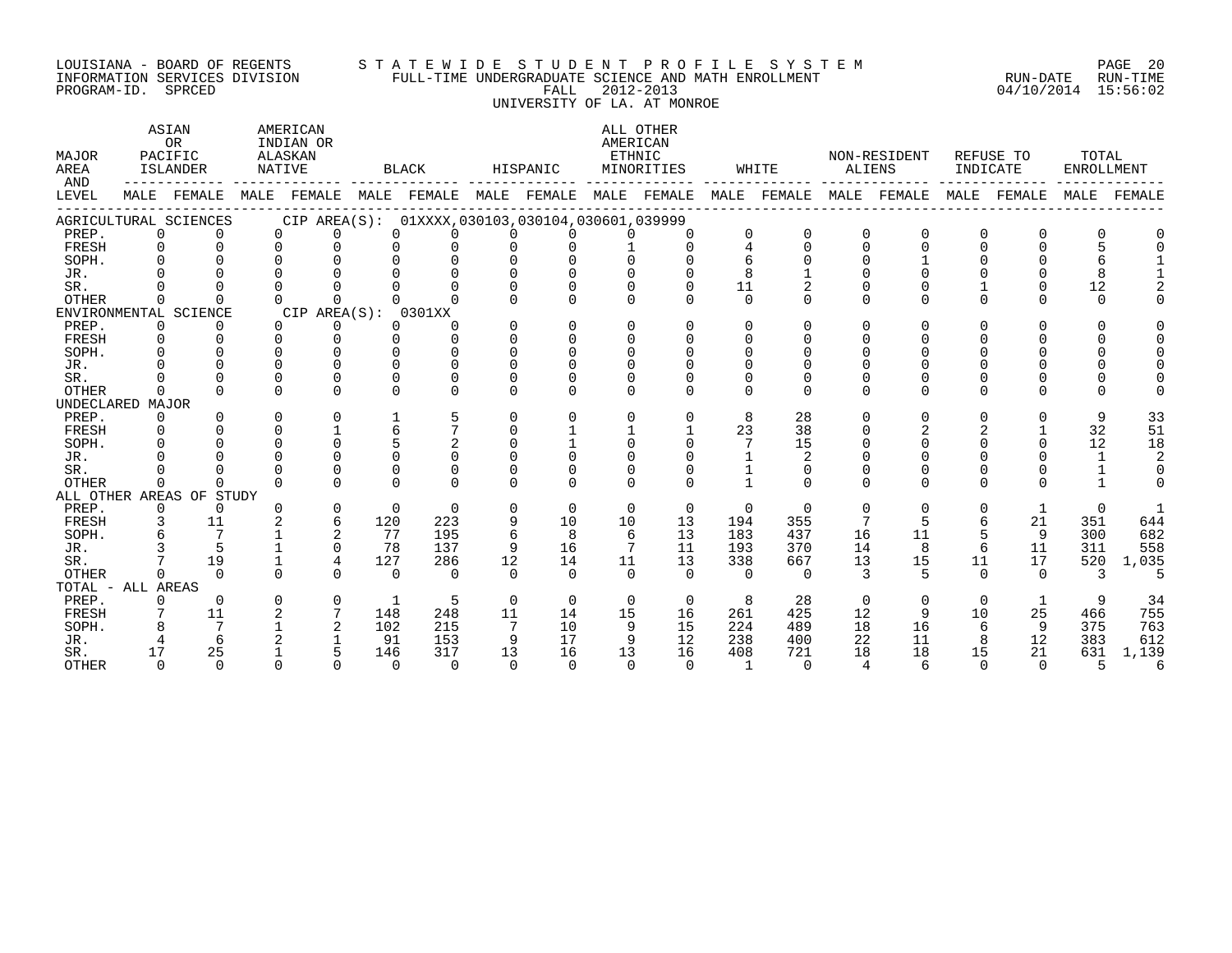#### LOUISIANA - BOARD OF REGENTS S T A T E W I D E S T U D E N T P R O F I L E S Y S T E M PAGE 20 INFORMATION SERVICES DIVISION FULL-TIME UNDERGRADUATE SCIENCE AND MATH ENROLLMENT RUN-DATE RUN-TIME PROGRAM-ID. SPRCED FALL 2012-2013 04/10/2014 15:56:02 UNIVERSITY OF LA. AT MONROE

| MAJOR<br>AREA<br>AND | ASIAN<br><b>OR</b><br>PACIFIC<br><b>ISLANDER</b><br>MALE FEMALE MALE FEMALE MALE FEMALE MALE FEMALE MALE FEMALE MALE FEMALE MALE FEMALE MALE FEMALE |                          | NATIVE   | AMERICAN<br>INDIAN OR<br>ALASKAN |              | BLACK                                           |                 | HISPANIC |          | ALL OTHER<br>AMERICAN<br>ETHNIC<br>MINORITIES |                | WHITE        |                | NON-RESIDENT<br>ALIENS |              | REFUSE TO<br>INDICATE | TOTAL<br><b>ENROLLMENT</b> |                |
|----------------------|-----------------------------------------------------------------------------------------------------------------------------------------------------|--------------------------|----------|----------------------------------|--------------|-------------------------------------------------|-----------------|----------|----------|-----------------------------------------------|----------------|--------------|----------------|------------------------|--------------|-----------------------|----------------------------|----------------|
| LEVEL                |                                                                                                                                                     |                          |          |                                  |              |                                                 |                 |          |          |                                               |                |              |                |                        |              |                       |                            | MALE FEMALE    |
|                      |                                                                                                                                                     | AGRICULTURAL SCIENCES    |          |                                  |              | CIP AREA(S): 01XXXX,030103,030104,030601,039999 |                 |          |          |                                               |                |              |                |                        |              |                       |                            |                |
| PREP.                | $\Omega$                                                                                                                                            | $\Omega$                 | $\Omega$ | $\Omega$                         | $\Omega$     | $\Omega$                                        | $\Omega$        | $\Omega$ | $\Omega$ |                                               | $\Omega$       | $\mathbf 0$  | 0              | $\Omega$               | 0            | $\Omega$              | $\Omega$                   |                |
| FRESH                | $\Omega$                                                                                                                                            | $\Omega$                 | $\Omega$ | $\Omega$                         | $\Omega$     | $\Omega$                                        |                 | $\Omega$ |          | $\cap$                                        |                | $\Omega$     | $\Omega$       | 0                      |              |                       |                            |                |
| SOPH.                | $\cap$                                                                                                                                              | $\cap$                   | $\cap$   | $\cap$                           |              | $\Omega$                                        |                 |          |          |                                               |                | $\cap$       |                |                        |              |                       |                            |                |
| JR.                  |                                                                                                                                                     |                          | $\Omega$ |                                  |              |                                                 |                 |          |          |                                               |                |              |                |                        |              |                       |                            |                |
| SR.                  |                                                                                                                                                     |                          | $\Omega$ |                                  |              |                                                 |                 |          |          | $\Omega$                                      | 11             | 2            |                |                        |              |                       | 12                         |                |
| OTHER                | $\Omega$                                                                                                                                            |                          | $\Omega$ | U                                |              |                                                 |                 | $\Omega$ | $\Omega$ | $\Omega$                                      | $\Omega$       | $\Omega$     | 0              | 0                      |              |                       | $\Omega$                   |                |
|                      |                                                                                                                                                     | ENVIRONMENTAL SCIENCE    |          | CIP AREA(S): 0301XX              |              |                                                 |                 |          |          |                                               |                |              |                |                        |              |                       |                            |                |
| PREP.                | $\Omega$                                                                                                                                            | $\Omega$                 | $\Omega$ | 0                                | <sup>0</sup> | $\cap$                                          |                 | $\Omega$ | $\cap$   | $\cap$                                        | $\cap$         | <sup>n</sup> | <sup>n</sup>   | O.                     | <sup>n</sup> |                       | $\Omega$                   |                |
| FRESH                | $\Omega$                                                                                                                                            | $\Omega$                 | $\Omega$ | $\Omega$                         | $\Omega$     | $\cap$                                          | $\cap$          | $\Omega$ | $\Omega$ | $\cap$                                        | $\cap$         | ∩            |                | 0                      |              |                       | $\Omega$                   |                |
| SOPH.                | 0                                                                                                                                                   |                          | $\Omega$ | $\Omega$                         |              | 0<br>$\Omega$                                   |                 | $\Omega$ |          |                                               |                |              |                |                        |              |                       |                            |                |
| JR.                  |                                                                                                                                                     |                          |          | U                                |              | 0<br>$\Omega$                                   |                 |          |          |                                               |                |              |                |                        |              |                       |                            |                |
| SR.                  |                                                                                                                                                     |                          |          |                                  |              |                                                 |                 |          |          |                                               |                |              |                |                        |              |                       |                            |                |
| <b>OTHER</b>         | $\Omega$                                                                                                                                            |                          | $\Omega$ | $\Omega$                         | U            | $\cap$                                          |                 | ∩        | ∩        | $\Omega$                                      | $\Omega$       | $\cap$       | $\Omega$       | O.                     | $\cap$       |                       | U                          |                |
| UNDECLARED MAJOR     |                                                                                                                                                     |                          |          |                                  |              |                                                 |                 |          |          |                                               |                |              |                |                        |              |                       |                            |                |
| PREP.                | $\Omega$                                                                                                                                            |                          | $\Omega$ | 0                                |              |                                                 |                 | $\Omega$ | $\Omega$ | $\Omega$                                      | 8              | 28           | 0              | $\Omega$               | $\Omega$     |                       | 9                          | 33             |
| FRESH                | $\Omega$                                                                                                                                            |                          | $\Omega$ | $\mathbf{1}$                     |              | 6                                               |                 |          |          |                                               | 23             | 38           |                |                        |              |                       | 32                         | 51             |
| SOPH.                | $\Omega$                                                                                                                                            |                          |          | $\Omega$                         | 5            |                                                 |                 |          |          | $\Omega$                                      |                | 15           |                |                        |              |                       | 12                         | 18             |
| JR.                  |                                                                                                                                                     |                          | $\cap$   | $\cap$                           |              | $\cap$<br>$\cap$                                |                 | $\cap$   |          |                                               |                |              |                |                        |              |                       | $\mathbf{1}$               |                |
| SR.                  |                                                                                                                                                     |                          | $\cap$   | U                                |              | 0<br>$\cap$                                     |                 |          |          |                                               |                | $\Omega$     |                |                        |              |                       |                            | $\Omega$       |
| <b>OTHER</b>         | $\Omega$                                                                                                                                            |                          | $\Omega$ | $\Omega$                         | $\Omega$     | $\cap$                                          |                 | $\Omega$ | $\Omega$ | $\Omega$                                      |                | $\Omega$     | $\Omega$       | $\Omega$               | $\Omega$     |                       |                            | $\Omega$       |
|                      |                                                                                                                                                     | ALL OTHER AREAS OF STUDY |          |                                  |              |                                                 |                 |          |          |                                               |                |              |                |                        |              |                       |                            |                |
| PREP.                | $\Omega$                                                                                                                                            | $\Omega$                 | $\Omega$ | $\Omega$                         | $\Omega$     | $\Omega$                                        | $\Omega$        | $\Omega$ | $\Omega$ | $\Omega$                                      | $\Omega$       | $\Omega$     | $\Omega$       | $\Omega$               | $\Omega$     | 1                     | $\Omega$                   | $\overline{1}$ |
| FRESH                |                                                                                                                                                     | 11                       |          | 6                                | 120          | 223                                             |                 | 10       | 10       | 13                                            | 194            | 355          | 7              | 5                      | 6            | 21                    | 351                        | 644            |
| SOPH.                |                                                                                                                                                     | $7\phantom{.0}$          |          | 2                                | 77           | 195                                             |                 | 8        | 6        | 13                                            | 183            | 437          | 16             | 11                     |              | 9                     | 300                        | 682            |
| JR.                  |                                                                                                                                                     |                          |          | $\Omega$                         | 78           | 137                                             | 9               | 16       | 7        | 11                                            | 193            | 370          | 14             | 8                      | 6            | 11                    | 311                        | 558            |
| SR.                  |                                                                                                                                                     | 19                       |          | $\overline{4}$                   | 127          | 286                                             | 12              | 14       | 11       | 13                                            | 338            | 667          | 13             | 15                     | 11           | 17                    | 520                        | 1,035          |
| <b>OTHER</b>         | $\cap$                                                                                                                                              | $\cap$                   | $\Omega$ | $\cap$                           | $\Omega$     | $\Omega$                                        | $\Omega$        | $\Omega$ | $\cap$   | $\cap$                                        | $\cap$         | $\Omega$     | 3              | 5                      | $\cap$       | $\Omega$              | 3                          | -5             |
| TOTAL - ALL AREAS    |                                                                                                                                                     |                          |          |                                  |              |                                                 |                 |          |          |                                               |                |              |                |                        |              |                       |                            |                |
| PREP.                | 0                                                                                                                                                   | $\Omega$                 | $\Omega$ | $\mathbf 0$                      | 1            | 5                                               | $\Omega$        | $\Omega$ | $\Omega$ | $\overline{0}$                                | 8              | 28           | $\Omega$       | $\Omega$               | $\Omega$     | 1                     | 9                          | 34             |
| FRESH                |                                                                                                                                                     | 11                       | 2        | $7\overline{ }$                  | 148          | 248                                             | 11              | 14       | 15       | 16                                            | 261            | 425          | 12             | 9                      | 10           | 25                    | 466                        | 755            |
| SOPH.                |                                                                                                                                                     | $7\phantom{.0}$          |          | 2                                | 102          | 215                                             | $7\phantom{.0}$ | 10       | 9        | 15                                            | 224            | 489          | 18             | 16                     | 6            | 9                     | 375                        | 763            |
| JR.                  |                                                                                                                                                     | 6                        |          |                                  | 91           | 153                                             | 9               | 17       | 9        | 12                                            | 238            | 400          | 22             | 11                     | 8            | 12                    | 383                        | 612            |
| SR.                  | 17                                                                                                                                                  | 25                       |          | 5                                | 146          | 317                                             | 13              | 16       | 13       | 16                                            | 408            | 721          | 18             | 18                     | 15           | 21                    | 631                        | 1,139          |
| <b>OTHER</b>         | $\cap$                                                                                                                                              | $\Omega$                 | $\cap$   | $\cap$                           | $\Omega$     | $\cap$                                          | $\cap$          | $\cap$   | $\Omega$ | $\cap$                                        | $\overline{1}$ | $\cap$       | $\overline{4}$ |                        |              | $\cap$                | 5                          | 6              |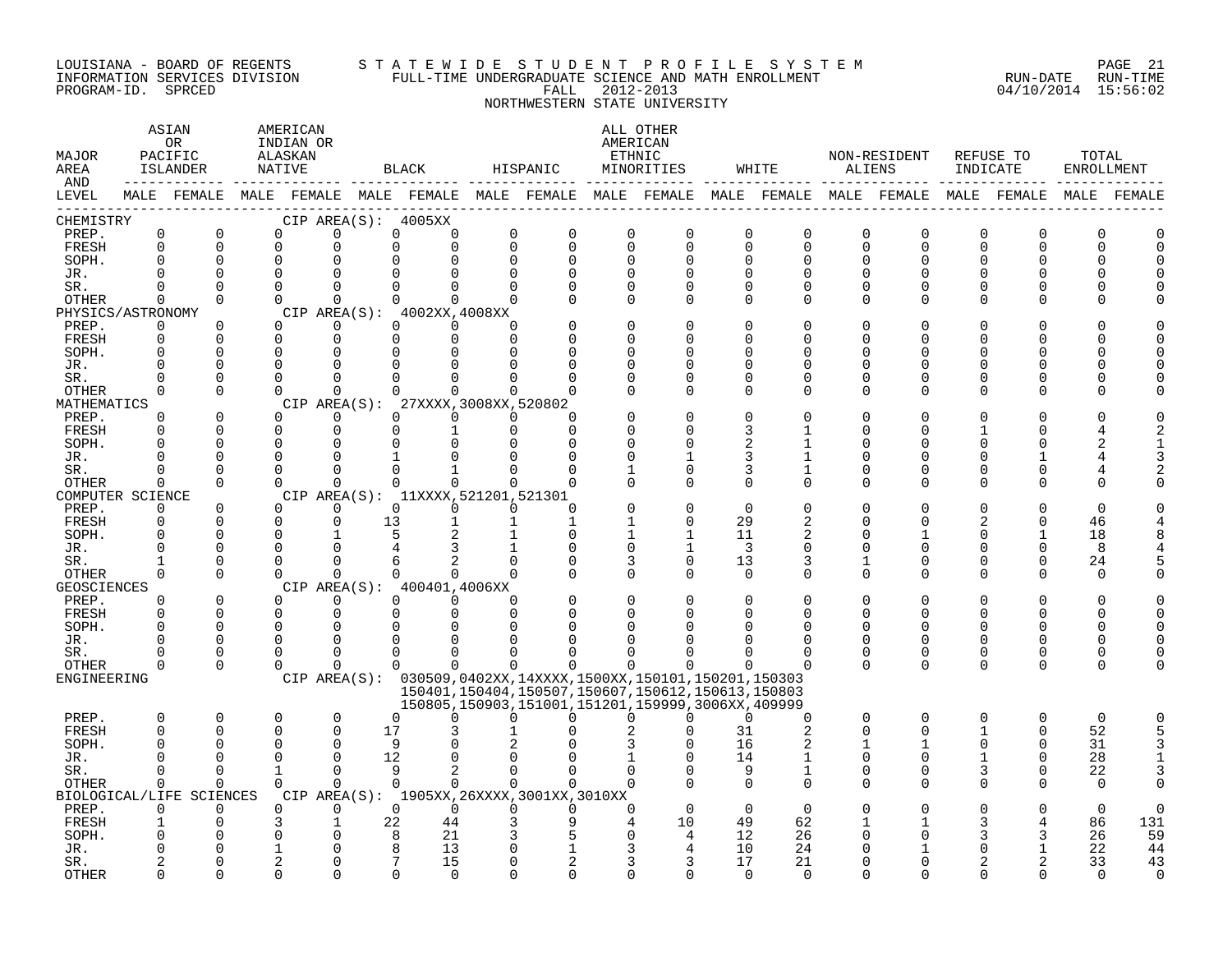#### LOUISIANA - BOARD OF REGENTS S T A T E W I D E S T U D E N T P R O F I L E S Y S T E M PAGE 21 INFORMATION SERVICES DIVISION FULL-TIME UNDERGRADUATE SCIENCE AND MATH ENROLLMENT RUN-DATE RUN-TIME PROGRAM-ID. SPRCED FALL 2012-2013 04/10/2014 15:56:02 NORTHWESTERN STATE UNIVERSITY

| MAJOR<br>AREA<br>AND |                         | ASIAN<br>0R<br>PACIFIC<br>ISLANDER | AMERICAN<br>INDIAN OR<br>ALASKAN<br>NATIVE |                         | BLACK                                                                                           |                         | HISPANIC                                                                                                         |                            | ALL OTHER<br>AMERICAN<br>ETHNIC<br>MINORITIES |                          | WHITE          | ALIENS        | NON-RESIDENT               | REFUSE TO<br>INDICATE   |                      | TOTAL<br>ENROLLMENT |             |
|----------------------|-------------------------|------------------------------------|--------------------------------------------|-------------------------|-------------------------------------------------------------------------------------------------|-------------------------|------------------------------------------------------------------------------------------------------------------|----------------------------|-----------------------------------------------|--------------------------|----------------|---------------|----------------------------|-------------------------|----------------------|---------------------|-------------|
| LEVEL                |                         |                                    |                                            |                         | MALE FEMALE MALE FEMALE MALE FEMALE MALE FEMALE MALE FEMALE MALE FEMALE MALE FEMALE MALE FEMALE |                         |                                                                                                                  |                            |                                               |                          |                |               |                            |                         |                      |                     | MALE FEMALE |
| CHEMISTRY            |                         |                                    |                                            | $\Omega$                | CIP AREA(S): 4005XX                                                                             |                         |                                                                                                                  |                            |                                               |                          |                |               |                            |                         |                      |                     |             |
| PREP.<br>FRESH       | $\mathsf 0$<br>$\Omega$ | $\mathbf 0$<br>$\Omega$            | $\mathbf 0$<br>$\Omega$                    | $\Omega$                | 0<br>0<br>$\Omega$<br>$\Omega$                                                                  | $\mathbf 0$<br>$\Omega$ | $\mathbf 0$<br>$\Omega$                                                                                          | $\mathbf 0$<br>$\mathbf 0$ | $\mathbf 0$<br>$\Omega$                       | $\mathbf 0$<br>$\Omega$  | 0<br>$\Omega$  | 0<br>0        | $\mathbf 0$<br>$\mathbf 0$ | $\mathbf 0$<br>$\Omega$ | $\Omega$<br>$\Omega$ | 0<br>U              |             |
| SOPH.                | $\Omega$                | 0                                  | 0                                          |                         |                                                                                                 | $\Omega$                | $\Omega$                                                                                                         | $\mathbf 0$                | $\Omega$                                      | $\Omega$                 | <sup>0</sup>   | 0             | $\Omega$                   | U                       | O                    |                     |             |
| JR.                  | $\cap$                  | $\Omega$                           | $\Omega$                                   |                         |                                                                                                 |                         | $\Omega$                                                                                                         | $\Omega$                   |                                               | $\Omega$                 | $\cap$         | $\Omega$      | U                          |                         |                      |                     |             |
| SR.                  | $\Omega$                | $\Omega$                           | $\Omega$                                   | $\Omega$                | $\Omega$<br>$\Omega$                                                                            | <sup>n</sup>            | $\Omega$                                                                                                         | $\Omega$                   | $\Omega$                                      | $\Omega$                 | <sup>0</sup>   | 0             | $\Omega$                   |                         |                      |                     |             |
| OTHER                | $\Omega$                | $\Omega$                           | $\Omega$                                   | $\Omega$                | $\Omega$<br>$\Omega$                                                                            | <sup>n</sup>            | $\Omega$                                                                                                         | $\Omega$                   | $\Omega$                                      | $\Omega$                 | $\Omega$       | 0             | 0                          |                         | O                    |                     |             |
| PHYSICS/ASTRONOMY    |                         |                                    |                                            |                         | CIP AREA(S): 4002XX, 4008XX                                                                     |                         |                                                                                                                  |                            |                                               |                          |                |               |                            |                         |                      |                     |             |
| PREP.                | 0                       | 0                                  | $\Omega$                                   | $\Omega$                | $\Omega$<br>$\Omega$                                                                            | <sup>n</sup>            |                                                                                                                  | $\Omega$                   |                                               | $\Omega$                 | O              | O             | O                          |                         |                      |                     |             |
| FRESH                | $\Omega$                | $\Omega$                           | $\Omega$                                   | $\Omega$                | $\Omega$<br>$\Omega$                                                                            | $\cap$                  |                                                                                                                  | $\Omega$                   |                                               | $\Omega$                 | U              | U             | N                          |                         |                      |                     |             |
| SOPH.<br>JR.         | $\Omega$<br>$\Omega$    | $\Omega$<br>0                      | $\Omega$<br>$\Omega$                       | $\Omega$                |                                                                                                 |                         |                                                                                                                  | <sup>0</sup><br>$\Omega$   | $\Omega$                                      | <sup>0</sup><br>$\Omega$ | U              | O<br>O        | N<br>U                     |                         |                      |                     |             |
| SR.                  | $\Omega$                | $\Omega$                           | $\Omega$                                   | $\cap$                  |                                                                                                 |                         | ∩                                                                                                                | $\Omega$                   | $\Omega$                                      | $\Omega$                 | U              | O             | U                          |                         |                      |                     |             |
| OTHER                | $\Omega$                | $\Omega$                           | $\Omega$                                   | $\Omega$                | <sup>n</sup>                                                                                    | $\Omega$                | n                                                                                                                | $\Omega$                   | $\Omega$                                      | $\Omega$                 | <sup>0</sup>   | 0             | $\Omega$                   |                         | O                    |                     |             |
| MATHEMATICS          |                         |                                    |                                            |                         | CIP AREA(S): 27XXXX, 3008XX, 520802                                                             |                         |                                                                                                                  |                            |                                               |                          |                |               |                            |                         |                      |                     |             |
| PREP.                | $\Omega$                | $\Omega$                           | $\Omega$                                   | $\Omega$                | $\Omega$<br>$\Omega$                                                                            | $\Omega$                | ∩                                                                                                                |                            |                                               | $\Omega$                 |                |               |                            |                         |                      |                     |             |
| FRESH                | $\Omega$                | $\Omega$                           | $\Omega$                                   | $\Omega$                | $\Omega$                                                                                        | $\Omega$                | $\Omega$                                                                                                         | $\Omega$                   | $\Omega$                                      | 3                        |                | O             | U                          |                         |                      |                     |             |
| SOPH.                | U                       | 0                                  | $\Omega$                                   | $\cap$                  | $\cap$                                                                                          |                         | ∩                                                                                                                | 0                          |                                               |                          |                | U             | ∩                          |                         |                      |                     |             |
| JR.                  | <sup>0</sup><br>U       | 0<br>0                             | $\Omega$<br>$\Omega$                       | $\Omega$<br>$\Omega$    | $\Omega$                                                                                        |                         | O                                                                                                                | 0                          |                                               | 3                        |                | O             | N                          |                         |                      |                     |             |
| SR.<br><b>OTHER</b>  | $\Omega$                | $\Omega$                           | $\Omega$                                   | $\Omega$                | $\Omega$<br>$\Omega$                                                                            | $\Omega$                | ∩                                                                                                                | 1<br>$\Omega$              | $\Omega$<br>$\Omega$                          | 3<br>$\Omega$            | 1<br>$\Omega$  | 0<br>$\Omega$ | 0<br>$\Omega$              | ∩                       | ∩                    | O                   |             |
| COMPUTER SCIENCE     |                         |                                    |                                            |                         | CIP AREA(S): 11XXXX, 521201, 521301                                                             |                         |                                                                                                                  |                            |                                               |                          |                |               |                            |                         |                      |                     |             |
| PREP.                | $\Omega$                | 0                                  | $\Omega$                                   | $\Omega$                | $\Omega$<br>$\Omega$                                                                            | $\Omega$                | $\Omega$                                                                                                         |                            |                                               | $\Omega$                 |                | O             |                            |                         |                      | $\Omega$            |             |
| FRESH                | $\Omega$                | $\Omega$                           | $\Omega$                                   | $\Omega$                | 13                                                                                              |                         | $\mathbf{1}$                                                                                                     | $\mathbf{1}$               | $\Omega$                                      | 29                       | 2              | O             | $\Omega$                   |                         | $\Omega$             | 46                  |             |
| SOPH.                | $\Omega$                | 0                                  | $\Omega$                                   |                         |                                                                                                 |                         | $\Omega$                                                                                                         | $\mathbf 1$                |                                               | 11                       | 2              | U             |                            |                         |                      | 18                  |             |
| JR.                  | $\Omega$                | 0                                  | $\Omega$                                   |                         |                                                                                                 |                         | 0                                                                                                                | $\mathbf 0$                |                                               | 3                        | 0              | 0             | ∩                          |                         | $\Omega$             | 8                   |             |
| SR.                  |                         | $\Omega$                           | $\Omega$                                   |                         |                                                                                                 |                         |                                                                                                                  | 3                          | $\Omega$                                      | 13                       | 3              | 1             | $\Omega$                   |                         | $\Omega$             | 24                  |             |
| OTHER                | $\Omega$                | $\Omega$                           | $\Omega$                                   | $\Omega$                | $\Omega$<br>$\cap$<br>CIP AREA(S): 400401,4006XX                                                |                         | $\Omega$                                                                                                         | $\Omega$                   | $\Omega$                                      | $\Omega$                 | $\Omega$       | 0             | $\Omega$                   | $\Omega$                | $\Omega$             | $\Omega$            |             |
| GEOSCIENCES<br>PREP. | $\Omega$                | $\Omega$                           | $\Omega$                                   | $\Omega$                | $\Omega$<br>$\Omega$                                                                            | $\Omega$                |                                                                                                                  | $\Omega$                   |                                               | $\Omega$                 | $\Omega$       | O             | $\Omega$                   |                         |                      |                     |             |
| FRESH                | $\Omega$                | $\Omega$                           | $\Omega$                                   | $\mathbf 0$             | $\Omega$<br>$\Omega$                                                                            | $\Omega$                | $\Omega$                                                                                                         | $\Omega$                   |                                               | $\Omega$                 | <sup>0</sup>   | O             | 0                          | 0                       | O                    | O                   |             |
| SOPH.                | $\Omega$                | $\Omega$                           | $\Omega$                                   | $\Omega$                |                                                                                                 |                         |                                                                                                                  |                            |                                               |                          |                | $\Omega$      |                            |                         |                      |                     |             |
| JR.                  | U                       | $\Omega$                           | $\Omega$                                   | 0                       | ∩                                                                                               |                         |                                                                                                                  |                            |                                               |                          | U              | 0             | $\Omega$                   |                         | ∩                    |                     |             |
| SR.                  | U                       | 0                                  | $\Omega$                                   | ∩                       | 0                                                                                               |                         |                                                                                                                  |                            |                                               | <sup>0</sup>             | 0              | 0             | 0                          | <sup>0</sup>            | 0                    |                     |             |
| OTHER                | $\Omega$                | $\Omega$                           | $\Omega$                                   | <sup>n</sup>            | 0<br>0                                                                                          | $\Omega$                | $\Omega$                                                                                                         | $\Omega$                   | $\Omega$                                      | $\Omega$                 | $\Omega$       | $\Omega$      | $\Omega$                   | $\Omega$                | $\Omega$             |                     |             |
| ENGINEERING          |                         |                                    |                                            |                         | CIP AREA(S): 030509,0402XX,14XXXX,1500XX,150101,150201,150303                                   |                         |                                                                                                                  |                            |                                               |                          |                |               |                            |                         |                      |                     |             |
|                      |                         |                                    |                                            |                         |                                                                                                 |                         | 150401, 150404, 150507, 150607, 150612, 150613, 150803<br>150805, 150903, 151001, 151201, 159999, 3006XX, 409999 |                            |                                               |                          |                |               |                            |                         |                      |                     |             |
| PREP.                | 0                       | 0                                  | 0                                          | $\mathbf 0$             | $\Omega$<br>0                                                                                   | U                       | U                                                                                                                | $\Omega$                   | $\Omega$                                      | $\Omega$                 | 0              | 0             | $\mathbf 0$                | $\Omega$                | 0                    | $\mathbf 0$         |             |
| <b>FRESH</b>         | $\Omega$                | 0                                  | 0                                          | $\Omega$                | 17                                                                                              |                         |                                                                                                                  |                            |                                               | 31                       | $\overline{2}$ | $\Omega$      | $\Omega$                   |                         | $\Omega$             | 52                  |             |
| SOPH.                | <sup>0</sup>            | 0                                  | $\Omega$                                   | $\Omega$                | 9                                                                                               |                         |                                                                                                                  |                            |                                               | 16                       |                |               |                            | 0                       | $\Omega$             | 31                  |             |
| JR.                  | U                       | $\Omega$                           | $\Omega$                                   | $\Omega$                | 12                                                                                              |                         |                                                                                                                  |                            |                                               | 14                       | $\mathbf{1}$   | $\Omega$      | 0                          |                         | $\Omega$             | 28                  |             |
| SR.                  | $\Omega$                | $\Omega$                           | $\mathbf{1}$                               | $\Omega$                | 9<br>2                                                                                          | $\Omega$                | $\Omega$                                                                                                         | $\Omega$                   |                                               | 9                        | 1              | 0             | $\Omega$                   | 3                       | $\Omega$             | 22                  |             |
| OTHER                | $\Omega$                | $\Omega$                           | $\Omega$                                   | $\Omega$                | $\Omega$<br>$\Omega$                                                                            | $\Omega$                |                                                                                                                  | $\Omega$                   |                                               | $\Omega$                 | $\Omega$       | O             | 0                          | $\Omega$                |                      | $\Omega$            |             |
|                      |                         | BIOLOGICAL/LIFE SCIENCES           |                                            |                         | CIP AREA(S): 1905XX, 26XXXX, 3001XX, 3010XX                                                     |                         |                                                                                                                  |                            |                                               |                          |                |               |                            |                         |                      | $\Omega$            |             |
| PREP.<br>FRESH       | $\Omega$                | $\Omega$<br>0                      | $\Omega$<br>3                              | $\Omega$<br>$\mathbf 1$ | $\Omega$<br>$\Omega$<br>22<br>44                                                                | $\Omega$                | $\Omega$<br>9                                                                                                    | $\Omega$                   | $\Omega$<br>10                                | $\Omega$<br>49           | $\Omega$<br>62 |               |                            |                         |                      | 86                  | 131         |
| SOPH.                |                         | U                                  |                                            |                         | $\mathsf{R}$<br>21                                                                              |                         | 5                                                                                                                |                            | 4                                             | 12                       | 26             | U             | N                          |                         | 3                    | 26                  | 59          |
| JR.                  |                         | 0                                  |                                            |                         | 13                                                                                              |                         |                                                                                                                  |                            |                                               | 10                       | 24             |               |                            |                         |                      | 22                  | 44          |
| SR.                  |                         | O                                  |                                            |                         | 15                                                                                              |                         |                                                                                                                  |                            | 3                                             | 17                       | 21             | U             | N                          |                         |                      | 33                  | 43          |
| <b>OTHER</b>         | ∩                       | U                                  | $\Omega$                                   |                         | $\Omega$<br>$\cap$                                                                              |                         | $\cap$                                                                                                           |                            |                                               | $\Omega$                 | $\cap$         | U             | ∩                          |                         |                      | $\cap$              | $\Omega$    |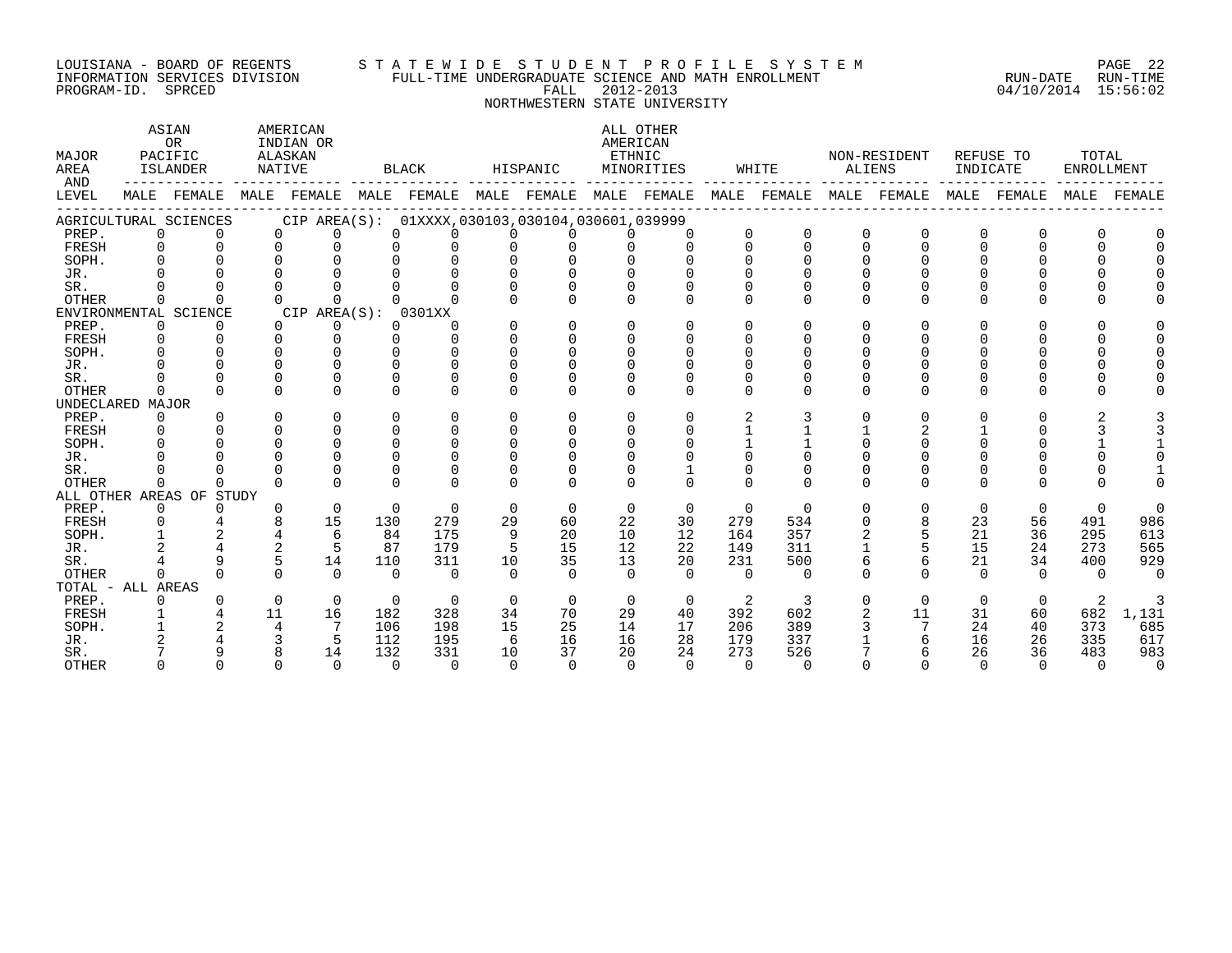#### LOUISIANA - BOARD OF REGENTS S T A T E W I D E S T U D E N T P R O F I L E S Y S T E M PAGE 22 INFORMATION SERVICES DIVISION FULL-TIME UNDERGRADUATE SCIENCE AND MATH ENROLLMENT RUN-DATE RUN-TIME PROGRAM-ID. SPRCED FALL 2012-2013 04/10/2014 15:56:02

NORTHWESTERN STATE UNIVERSITY

| MAJOR<br>AREA<br>AND |              | ASIAN<br><b>OR</b><br>PACIFIC<br>ISLANDER |    | AMERICAN<br>INDIAN OR<br>ALASKAN<br>NATIVE          |              | BLACK                               |          | HISPANIC     |              | ALL OTHER<br>AMERICAN<br>ETHNIC<br>MINORITIES |          | WHITE    |          | NON-RESIDENT<br>ALIENS  | INDICATE    | REFUSE TO   | TOTAL<br>ENROLLMENT |          |
|----------------------|--------------|-------------------------------------------|----|-----------------------------------------------------|--------------|-------------------------------------|----------|--------------|--------------|-----------------------------------------------|----------|----------|----------|-------------------------|-------------|-------------|---------------------|----------|
| LEVEL                |              | MALE FEMALE                               |    | MALE FEMALE                                         |              | MALE FEMALE MALE FEMALE MALE FEMALE |          |              |              |                                               |          |          |          | MALE FEMALE MALE FEMALE |             | MALE FEMALE | MALE                | FEMALE   |
|                      |              | AGRICULTURAL SCIENCES                     |    | CIP AREA(S): 01XXXX, 030103, 030104, 030601, 039999 |              |                                     |          |              |              |                                               |          |          |          |                         |             |             |                     |          |
| PREP.                | $\Omega$     | $\Omega$                                  |    | $\Omega$<br>$\Omega$                                | $\Omega$     |                                     | $\Omega$ | $\Omega$     | $\Omega$     | $\Omega$                                      |          | $\Omega$ | $\Omega$ | $\Omega$                | $\Omega$    |             | O                   |          |
| FRESH                | $\Omega$     | $\Omega$                                  |    | $\Omega$<br>$\Omega$                                | $\Omega$     |                                     | $\Omega$ | $\Omega$     | $\cap$       | $\Omega$                                      | $\Omega$ | $\Omega$ | $\Omega$ | $\Omega$                | $\cap$      | $\Omega$    | $\Omega$            |          |
| SOPH.                | $\cap$       |                                           |    | $\Omega$                                            | 0            |                                     |          |              |              |                                               |          |          |          |                         |             |             |                     |          |
| JR.                  |              |                                           |    |                                                     |              |                                     |          |              |              |                                               |          |          |          |                         |             |             |                     |          |
| SR.                  |              |                                           |    |                                                     |              |                                     |          |              |              |                                               |          |          |          |                         |             |             |                     |          |
| <b>OTHER</b>         |              |                                           |    | $\Omega$                                            |              |                                     |          | <sup>n</sup> | <sup>n</sup> | ∩                                             | $\Omega$ | $\Omega$ | U        | U                       | $\Omega$    | $\Omega$    | U                   |          |
|                      |              | ENVIRONMENTAL SCIENCE                     |    | CIP AREA(S): 0301XX                                 |              |                                     |          |              |              |                                               |          |          |          |                         |             |             |                     |          |
| PREP.                | $\Omega$     | $\Omega$                                  |    | $\Omega$<br>$\Omega$                                | $\Omega$     | $\Omega$                            | $\Omega$ | $\Omega$     | $\Omega$     | $\Omega$                                      | $\Omega$ | $\Omega$ | $\Omega$ | U                       | $\Omega$    | $\Omega$    | $\Omega$            |          |
| FRESH                | $\Omega$     | $\Omega$                                  |    | $\Omega$<br>$\Omega$                                | $\Omega$     | $\cap$                              | $\Omega$ | $\Omega$     | $\Omega$     | $\Omega$                                      |          | U        |          | U                       |             |             | <sup>n</sup>        |          |
| SOPH.                | $\cap$       | $\cap$                                    |    | $\cap$<br>$\Omega$                                  | $\cap$       |                                     | $\Omega$ | $\Omega$     | $\Omega$     | <sup>n</sup>                                  |          |          |          |                         |             |             | U                   |          |
| JR.                  |              |                                           |    | $\cap$<br>$\cap$                                    | <sup>n</sup> |                                     |          |              |              |                                               |          |          |          |                         |             |             |                     |          |
| SR.                  |              |                                           |    | $\Omega$<br>$\Omega$                                | $\Omega$     |                                     |          |              |              | $\Omega$                                      |          |          |          | O                       |             |             | O                   |          |
| <b>OTHER</b>         |              | $\cap$                                    |    | $\Omega$<br>$\cap$                                  | $\cap$       |                                     | $\Omega$ | <sup>n</sup> | $\Omega$     | $\Omega$                                      | $\cap$   | $\Omega$ | $\cap$   | U                       | $\Omega$    | $\Omega$    | U                   |          |
| UNDECLARED MAJOR     |              |                                           |    |                                                     |              |                                     |          |              |              |                                               |          |          |          |                         |             |             |                     |          |
| PREP.                | $\Omega$     | $\Omega$                                  |    | $\Omega$<br>$\Omega$                                | $\Omega$     | $\Omega$                            | $\Omega$ | $\Omega$     | $\Omega$     | $\Omega$                                      |          |          | U        | $\Omega$                | 0           | $\Omega$    |                     |          |
| FRESH                | $\Omega$     | $\Omega$                                  |    | $\Omega$<br>$\Omega$                                | $\Omega$     | $\Omega$                            | $\Omega$ | $\Omega$     | $\Omega$     | $\Omega$                                      |          |          |          |                         |             |             |                     |          |
| SOPH.                |              |                                           |    | $\Omega$<br>$\Omega$                                | $\Omega$     |                                     | $\Omega$ | $\Omega$     | $\Omega$     | $\Omega$                                      |          |          |          |                         |             |             |                     |          |
| JR.                  |              |                                           |    | $\cap$<br>$\Omega$                                  | $\cap$       |                                     |          |              |              |                                               |          |          |          |                         |             |             |                     |          |
| SR.                  |              |                                           |    | $\Omega$                                            |              |                                     |          |              |              |                                               |          |          |          |                         |             |             |                     |          |
| <b>OTHER</b>         | <sup>0</sup> | <sup>n</sup>                              |    | $\cap$<br>$\cap$                                    | $\cap$       |                                     | $\cap$   | $\cap$       | $\cap$       | $\Omega$                                      |          | $\cap$   | $\Omega$ | $\Omega$                | $\cap$      |             |                     |          |
|                      |              | ALL OTHER AREAS OF STUDY                  |    |                                                     |              |                                     |          |              |              |                                               |          |          |          |                         |             |             |                     |          |
| PREP.                | $\mathbf{0}$ | $\Omega$                                  |    | 0<br>$\Omega$                                       | $\Omega$     | $\Omega$                            | $\Omega$ | $\Omega$     | $\Omega$     | $\mathbf 0$                                   | $\Omega$ | $\Omega$ | $\Omega$ | $\Omega$                | $\mathbf 0$ | $\Omega$    | $\Omega$            | $\Omega$ |
| FRESH                | 0            |                                           |    | 8<br>15                                             | 130          | 279                                 | 29       | 60           | 22           | 30                                            | 279      | 534      | 0        | 8                       | 23          | 56          | 491                 | 986      |
| SOPH.                | $\mathbf{1}$ | $\overline{a}$                            |    | $\overline{4}$<br>6                                 | 84           | 175                                 | 9        | 20           | 10           | 12                                            | 164      | 357      |          | 5                       | 21          | 36          | 295                 | 613      |
| JR.                  |              |                                           |    | 2<br>5                                              | 87           | 179                                 |          | 15           | 12           | 22                                            | 149      | 311      |          |                         | 15          | 24          | 273                 | 565      |
| SR.                  |              | 9                                         |    | 5<br>14                                             | 110          | 311                                 | 10       | 35           | 13           | 20                                            | 231      | 500      | 6        | б.                      | 21          | 34          | 400                 | 929      |
| <b>OTHER</b>         | $\cap$       | $\Omega$                                  |    | $\cap$<br>$\Omega$                                  | $\cap$       | $\cap$                              | $\Omega$ | $\Omega$     | $\Omega$     | $\Omega$                                      | $\Omega$ | $\Omega$ | $\Omega$ | $\Omega$                | $\cap$      | $\Omega$    | $\Omega$            | $\Omega$ |
| TOTAL - ALL AREAS    |              |                                           |    |                                                     |              |                                     |          |              |              |                                               |          |          |          |                         |             |             |                     |          |
| PREP.                | $\Omega$     | 0                                         |    | $\Omega$<br>$\Omega$                                | $\Omega$     | $\Omega$                            | $\Omega$ | $\Omega$     | $\Omega$     | $\Omega$                                      | 2        | 3        | $\Omega$ | $\Omega$                | $\Omega$    | $\Omega$    | 2                   |          |
| FRESH                | $\mathbf{1}$ |                                           | 11 | 16                                                  | 182          | 328                                 | 34       | 70           | 29           | 40                                            | 392      | 602      | 2        | 11                      | 31          | 60          | 682                 | 1,131    |
| SOPH.                |              |                                           |    | $7\phantom{.0}$<br>4                                | 106          | 198                                 | 15       | 25           | 14           | 17                                            | 206      | 389      |          |                         | 24          | 40          | 373                 | 685      |
| JR.                  |              |                                           |    | 5                                                   | 112          | 195                                 | 6        | 16           | 16           | 28                                            | 179      | 337      |          |                         | 16          | 26          | 335                 | 617      |
| SR.                  |              | q                                         |    | 8<br>14                                             | 132          | 331                                 | 10       | 37           | 20           | 24                                            | 273      | 526      |          | 6                       | 26          | 36          | 483                 | 983      |
| <b>OTHER</b>         |              | $\cap$                                    |    | $\cap$<br>$\Omega$                                  | $\cap$       | $\cap$                              | $\cap$   | $\cap$       | $\cap$       | $\cap$                                        | $\Omega$ | $\cap$   |          |                         | $\cap$      | $\cap$      | $\cap$              | $\Omega$ |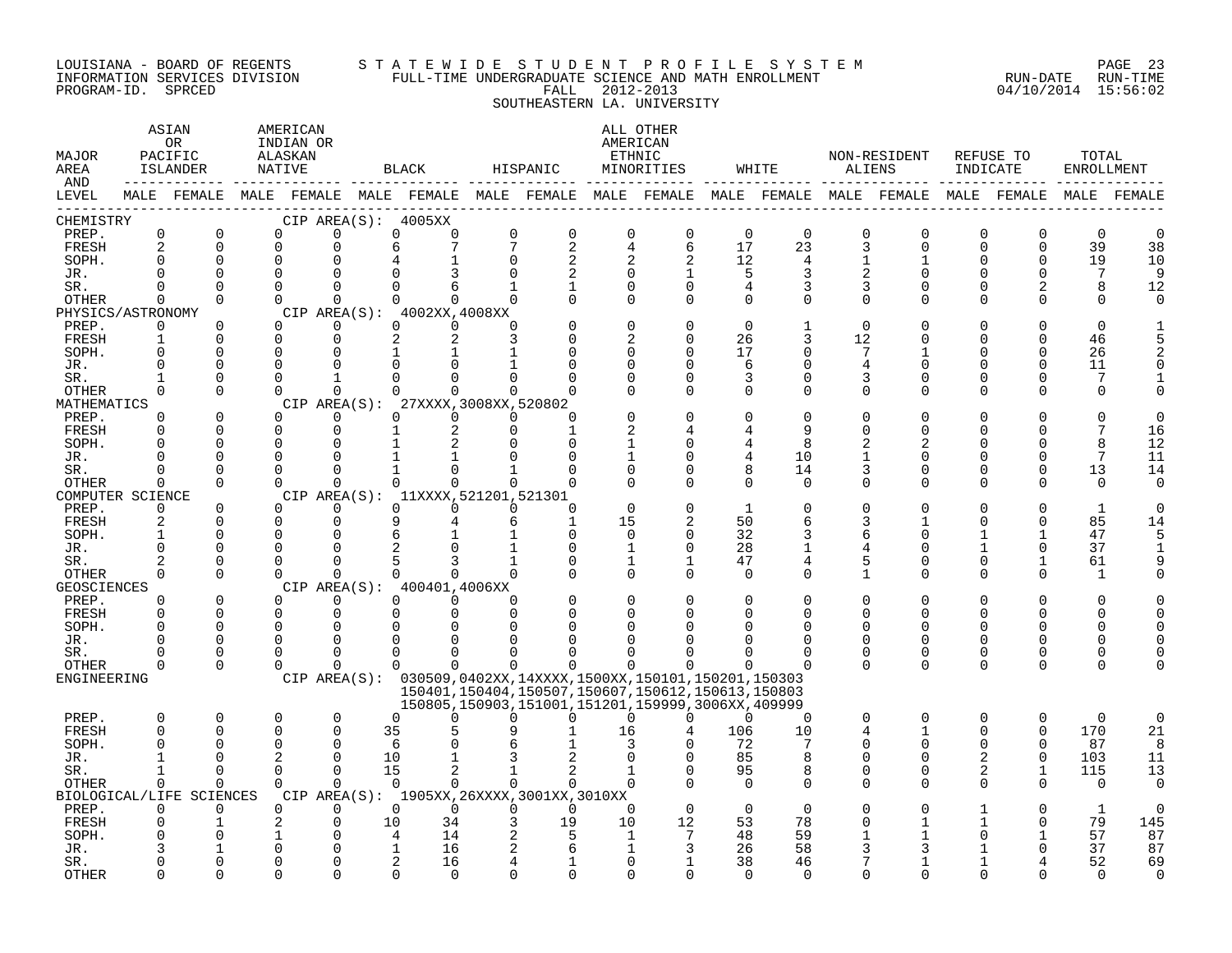#### LOUISIANA - BOARD OF REGENTS S T A T E W I D E S T U D E N T P R O F I L E S Y S T E M PAGE 23 INFORMATION SERVICES DIVISION FULL-TIME UNDERGRADUATE SCIENCE AND MATH ENROLLMENT RUN-DATE RUN-TIME PROGRAM-ID. SPRCED FALL 2012-2013 04/10/2014 15:56:02 SOUTHEASTERN LA. UNIVERSITY

| MAJOR<br>AREA<br>AND |                          | ASIAN<br>OR<br>PACIFIC<br>ISLANDER | AMERICAN<br>INDIAN OR<br>ALASKAN<br>NATIVE |                         |              | BLACK                               |              | HISPANIC                                                                                                         | AMERICAN<br>ETHNIC            | ALL OTHER<br>MINORITIES |                | WHITE                |              | NON-RESIDENT<br>ALIENS  | REFUSE TO<br>INDICATE   |                         | TOTAL<br>ENROLLMENT |          |
|----------------------|--------------------------|------------------------------------|--------------------------------------------|-------------------------|--------------|-------------------------------------|--------------|------------------------------------------------------------------------------------------------------------------|-------------------------------|-------------------------|----------------|----------------------|--------------|-------------------------|-------------------------|-------------------------|---------------------|----------|
| LEVEL                |                          |                                    |                                            |                         |              |                                     |              | MALE FEMALE MALE FEMALE MALE FEMALE MALE FEMALE MALE FEMALE MALE FEMALE MALE FEMALE MALE FEMALE                  |                               |                         |                |                      |              |                         |                         |                         | MALE                | FEMALE   |
| CHEMISTRY            | $\mathbf 0$              |                                    |                                            |                         |              | CIP AREA(S): 4005XX                 | 0            |                                                                                                                  |                               |                         | $\mathbf 0$    |                      |              |                         |                         |                         |                     | $\Omega$ |
| PREP.<br>FRESH       | 2                        | $\mathbf 0$<br>$\Omega$            | 0<br>$\Omega$                              | $\mathbf 0$<br>$\Omega$ | 6            | $\Omega$<br>0                       | 7            | $\mathsf 0$<br>2                                                                                                 | $\mathbf 0$<br>$\overline{4}$ | $\mathbf 0$<br>6        | 17             | $\overline{0}$<br>23 | 0<br>3       | $\mathbf 0$<br>$\Omega$ | $\mathbf 0$<br>$\Omega$ | $\mathbf 0$<br>$\Omega$ | $\mathsf 0$<br>39   | 38       |
| SOPH.                | $\Omega$                 | $\Omega$                           | $\mathbf 0$                                | $\Omega$                |              |                                     | $\Omega$     | 2                                                                                                                | 2                             | 2                       | 12             | 4                    | $\mathbf 1$  |                         | 0                       | 0                       | 19                  | 10       |
| JR.                  | $\cap$                   | $\Omega$                           | $\Omega$                                   | $\cap$                  |              |                                     |              |                                                                                                                  | $\Omega$                      |                         | 5              | 3                    |              | $\Omega$                |                         | $\Omega$                | 7                   | 9        |
| SR.                  | $\Omega$                 | $\Omega$                           | $\Omega$                                   | $\Omega$                |              | $\Omega$                            |              | 1                                                                                                                | $\mathbf 0$                   | $\Omega$                | 4              | 3                    | 3            | $\Omega$                | U                       | 2                       | 8                   | 12       |
| OTHER                | $\Omega$                 | $\Omega$                           | $\Omega$                                   | $\Omega$                |              | $\Omega$                            | $\Omega$     | $\Omega$                                                                                                         | $\Omega$                      | $\Omega$                | $\Omega$       | $\Omega$             | 0            | $\Omega$                | $\Omega$                | $\Omega$                | $\Omega$            | $\Omega$ |
| PHYSICS/ASTRONOMY    |                          |                                    |                                            |                         |              | $CIP$ AREA(S): $4002XX, 4008XX$     |              |                                                                                                                  |                               |                         |                |                      |              |                         |                         |                         |                     |          |
| PREP.                | 0                        | $\Omega$                           | $\Omega$                                   | 0                       |              | $\Omega$<br>$\Omega$                | $\Omega$     |                                                                                                                  | $\Omega$                      | O                       | $\Omega$       | $\mathbf{1}$         | 0            | $\Omega$                |                         | $\Omega$                | $\Omega$            |          |
| FRESH                | $\mathbf{1}$             | $\Omega$                           | $\Omega$                                   | $\Omega$                |              | 2<br>2                              |              |                                                                                                                  | 2                             | $\Omega$                | 26             | 3                    | 12           | U                       |                         | $\Omega$                | 46                  |          |
| SOPH.                | $\Omega$                 | $\Omega$                           | $\Omega$                                   | $\Omega$                |              |                                     |              |                                                                                                                  | $\Omega$                      | $\Omega$                | 17             | $\Omega$             | 7            |                         |                         | $\Omega$                | 26                  |          |
| JR.                  | $\Omega$                 | $\Omega$                           | 0                                          | $\Omega$                |              |                                     |              |                                                                                                                  | $\Omega$                      | $\Omega$                | 6              | $\Omega$             | 4            | 0                       |                         | $\Omega$                | 11                  |          |
| SR.                  |                          | $\Omega$                           | $\Omega$<br>$\Omega$                       | 1                       |              | $\cap$<br>$\Omega$                  | <sup>n</sup> |                                                                                                                  | $\Omega$<br>$\Omega$          | U                       | 3              | $\Omega$             | 3            | $\Omega$                | U                       | $\Omega$<br>∩           | 7                   |          |
| OTHER<br>MATHEMATICS | $\Omega$                 | $\Omega$                           |                                            | $\Omega$                | CIP AREA(S): | 27XXXX, 3008XX, 520802              |              |                                                                                                                  |                               | $\Omega$                | $\Omega$       | $\Omega$             | 0            | 0                       |                         |                         | $\Omega$            |          |
| PREP.                | $\Omega$                 | $\Omega$                           | $\Omega$                                   | $\Omega$                |              | $\Omega$<br>$\Omega$                | $\Omega$     | U                                                                                                                |                               |                         | $\Omega$       | $\Omega$             | U            | U                       |                         |                         |                     |          |
| FRESH                | $\Omega$                 | $\Omega$                           | $\mathbf 0$                                | $\mathbf 0$             |              |                                     | $\Omega$     |                                                                                                                  |                               |                         |                | 9                    | U            | 0                       |                         | ∩                       | 7                   | 16       |
| SOPH.                | ∩                        | $\Omega$                           | $\Omega$                                   | $\Omega$                |              |                                     |              | U                                                                                                                |                               | ∩                       | 4              | 8                    |              |                         |                         | ∩                       | 8                   | 12       |
| JR.                  | $\Omega$                 | $\Omega$                           | $\Omega$                                   | 0                       |              |                                     |              | U                                                                                                                |                               | U                       | 4              | 10                   | 1            | 0                       |                         | $\Omega$                | 7                   | 11       |
| SR.                  |                          | $\Omega$                           | $\Omega$                                   | $\Omega$                |              |                                     |              |                                                                                                                  | $\mathbf 0$                   | O                       | 8              | 14                   | 3            | 0                       | 0                       | 0                       | 13                  | 14       |
| OTHER                | $\Omega$                 | $\Omega$                           | $\Omega$                                   | $\Omega$                |              | $\Omega$<br>0                       | $\Omega$     | $\Omega$                                                                                                         | $\Omega$                      | $\Omega$                | $\Omega$       | $\Omega$             | $\Omega$     | $\Omega$                | $\Omega$                | $\Omega$                | $\Omega$            | $\Omega$ |
| COMPUTER SCIENCE     |                          |                                    |                                            |                         |              | CIP AREA(S): 11XXXX, 521201, 521301 |              |                                                                                                                  |                               |                         |                |                      |              |                         |                         |                         |                     |          |
| PREP.                | $\Omega$                 | $\Omega$                           | $\Omega$                                   | $\Omega$                |              | $\Omega$<br>$\Omega$                | $\Omega$     | $\Omega$                                                                                                         | $\Omega$                      |                         | $\mathbf{1}$   | 0                    |              |                         |                         |                         | $\mathbf{1}$        |          |
| FRESH                | $\overline{a}$           | $\Omega$                           | $\Omega$                                   | $\Omega$                |              | 9                                   | 6            | $\mathbf{1}$                                                                                                     | 15                            | 2                       | 50             | 6                    | 3            |                         |                         | $\Omega$                | 85                  | 14       |
| SOPH.                | $\mathbf{1}$<br>$\Omega$ | $\Omega$<br>$\Omega$               | 0<br>$\Omega$                              | $\Omega$                |              |                                     |              | 0                                                                                                                | $\Omega$                      | $\Omega$<br>$\Omega$    | 32             | 3                    | 6            | 0                       |                         | $\Omega$                | 47                  | 5        |
| JR.                  | $\overline{2}$           | $\Omega$                           | $\Omega$                                   | $\Omega$<br>$\Omega$    |              |                                     |              | $\Omega$<br>$\Omega$                                                                                             | 1                             | $\mathbf{1}$            | 28<br>47       | 1<br>4               | 4<br>5       | $\Omega$<br>$\Omega$    | $\Omega$                |                         | 37<br>61            |          |
| SR.<br>OTHER         | $\Omega$                 | $\Omega$                           | $\Omega$                                   | $\Omega$                |              | $\cap$                              | <sup>n</sup> |                                                                                                                  | 1<br>$\Omega$                 | $\Omega$                | $\Omega$       | $\Omega$             | $\mathbf{1}$ | $\Omega$                | $\Omega$                | $\Omega$                | $\mathbf{1}$        |          |
| <b>GEOSCIENCES</b>   |                          |                                    |                                            |                         |              | CIP AREA(S): 400401,4006XX          |              |                                                                                                                  |                               |                         |                |                      |              |                         |                         |                         |                     |          |
| PREP.                | $\Omega$                 | $\Omega$                           | $\Omega$                                   | $\Omega$                |              | $\Omega$<br>$\Omega$                | $\Omega$     |                                                                                                                  | $\Omega$                      |                         | $\Omega$       | $\Omega$             | O            | O                       |                         | $\Omega$                | O                   |          |
| FRESH                | $\Omega$                 | $\Omega$                           | $\mathbf 0$                                | $\mathbf 0$             |              | 0<br>$\Omega$                       | $\Omega$     |                                                                                                                  | 0                             |                         | $\Omega$       | $\Omega$             | $\Omega$     | $\Omega$                | $\Omega$                | $\Omega$                | O                   |          |
| SOPH.                | $\Omega$                 | $\Omega$                           | $\Omega$                                   | $\Omega$                |              |                                     |              |                                                                                                                  |                               |                         |                | $\Omega$             |              | $\Omega$                |                         |                         |                     |          |
| JR.                  | $\Omega$                 | $\Omega$                           | $\Omega$                                   | $\Omega$                |              | O                                   |              |                                                                                                                  |                               |                         |                | O                    | $\Omega$     | 0                       | $\Omega$                | ∩                       | U                   |          |
| SR.                  | <sup>0</sup>             | 0                                  | $\Omega$                                   | $\Omega$                |              | $\Omega$                            |              |                                                                                                                  |                               |                         | O              | 0                    | 0            | 0                       | $\Omega$                | 0                       | U                   |          |
| OTHER                | $\Omega$                 | $\Omega$                           | $\Omega$                                   | $\Omega$                |              | 0<br>$\Omega$                       | $\Omega$     | 0                                                                                                                | $\Omega$                      |                         | ∩              | $\Omega$             | $\Omega$     | $\Omega$                | $\Omega$                | $\Omega$                |                     |          |
| ENGINEERING          |                          |                                    |                                            |                         |              |                                     |              | CIP AREA(S): 030509,0402XX,14XXXX,1500XX,150101,150201,150303                                                    |                               |                         |                |                      |              |                         |                         |                         |                     |          |
|                      |                          |                                    |                                            |                         |              |                                     |              | 150401, 150404, 150507, 150607, 150612, 150613, 150803<br>150805, 150903, 151001, 151201, 159999, 3006XX, 409999 |                               |                         |                |                      |              |                         |                         |                         |                     |          |
| PREP.                | $\Omega$                 | 0                                  | 0                                          | $\mathbf 0$             |              | $\Omega$<br>0                       | $\Omega$     | $\Omega$                                                                                                         | 0                             | $\Omega$                | $\Omega$       | $\overline{0}$       | 0            | $\mathbf 0$             | $\Omega$                | 0                       | $\mathbf 0$         | 0        |
| <b>FRESH</b>         | $\Omega$                 | $\Omega$                           | 0                                          | $\Omega$                | 35           |                                     |              |                                                                                                                  | 16                            | $\overline{4}$          | 106            | 10                   | 4            | $\mathbf{1}$            | $\Omega$                | $\Omega$                | 170                 | 21       |
| SOPH.                | $\Omega$                 | $\Omega$                           | $\Omega$                                   | $\Omega$                | 6            |                                     |              |                                                                                                                  |                               |                         | 72             | 7                    | O            | $\Omega$                | $\Omega$                | $\Omega$                | 87                  | 8        |
| JR.                  |                          | $\cap$                             | $\overline{2}$                             | $\Omega$                | 10           |                                     |              |                                                                                                                  |                               |                         | 85             | 8                    |              | $\Omega$                | 2                       | $\Omega$                | 103                 | 11       |
| SR.                  | $\mathbf{1}$             | $\Omega$                           | $\Omega$                                   | $\Omega$                | 15           | 2                                   |              | $\overline{a}$                                                                                                   |                               | $\Omega$                | 95             | 8                    | $\Omega$     | $\Omega$                | 2                       | $\mathbf{1}$            | 115                 | 13       |
| OTHER                | 0                        | $\Omega$                           | $\Omega$                                   | $\Omega$                |              | $\Omega$<br>$\Omega$                | $\Omega$     | 0                                                                                                                | $\Omega$                      |                         | $\Omega$       | $\Omega$             | $\Omega$     | $\Omega$                | $\Omega$                | $\Omega$                | $\mathbf 0$         | $\Omega$ |
|                      |                          | BIOLOGICAL/LIFE SCIENCES           |                                            |                         |              |                                     |              | CIP AREA(S): 1905XX, 26XXXX, 3001XX, 3010XX                                                                      |                               |                         |                |                      |              |                         |                         | $\Omega$                |                     | $\Omega$ |
| PREP.<br>FRESH       | $\Omega$<br>$\Omega$     | $\Omega$<br>$\mathbf{1}$           | $\Omega$<br>2                              | $\Omega$<br>$\mathbf 0$ | 10           | $\Omega$<br>$\Omega$<br>34          | $\Omega$     | $\Omega$<br>19                                                                                                   | $\Omega$<br>10                | $\Omega$<br>12          | $\Omega$<br>53 | $\Omega$<br>78       |              | O                       |                         | $\Omega$                | $\mathbf{1}$<br>79  | 145      |
| SOPH.                |                          |                                    | 1                                          | $\Omega$                |              | 4<br>14                             |              | 5                                                                                                                | 1                             | 7                       | 48             | 59                   |              |                         |                         |                         | 57                  | 87       |
| JR.                  |                          |                                    | $\Omega$                                   | $\mathbf 0$             |              | 16<br>$\mathbf{1}$                  |              | 6                                                                                                                | 1                             | 3                       | 26             | 58                   |              |                         |                         |                         | 37                  | 87       |
| SR.                  |                          | U                                  | 0                                          | $\Omega$                |              | 2<br>16                             |              |                                                                                                                  | $\Omega$                      |                         | 38             | 46                   |              |                         |                         |                         | 52                  | 69       |
| <b>OTHER</b>         |                          | $\cap$                             | $\Omega$                                   | $\cap$                  |              | $\cap$                              |              | ∩                                                                                                                | ∩                             |                         | $\Omega$       | $\Omega$             | U            | $\Omega$                |                         |                         | $\Omega$            | $\Omega$ |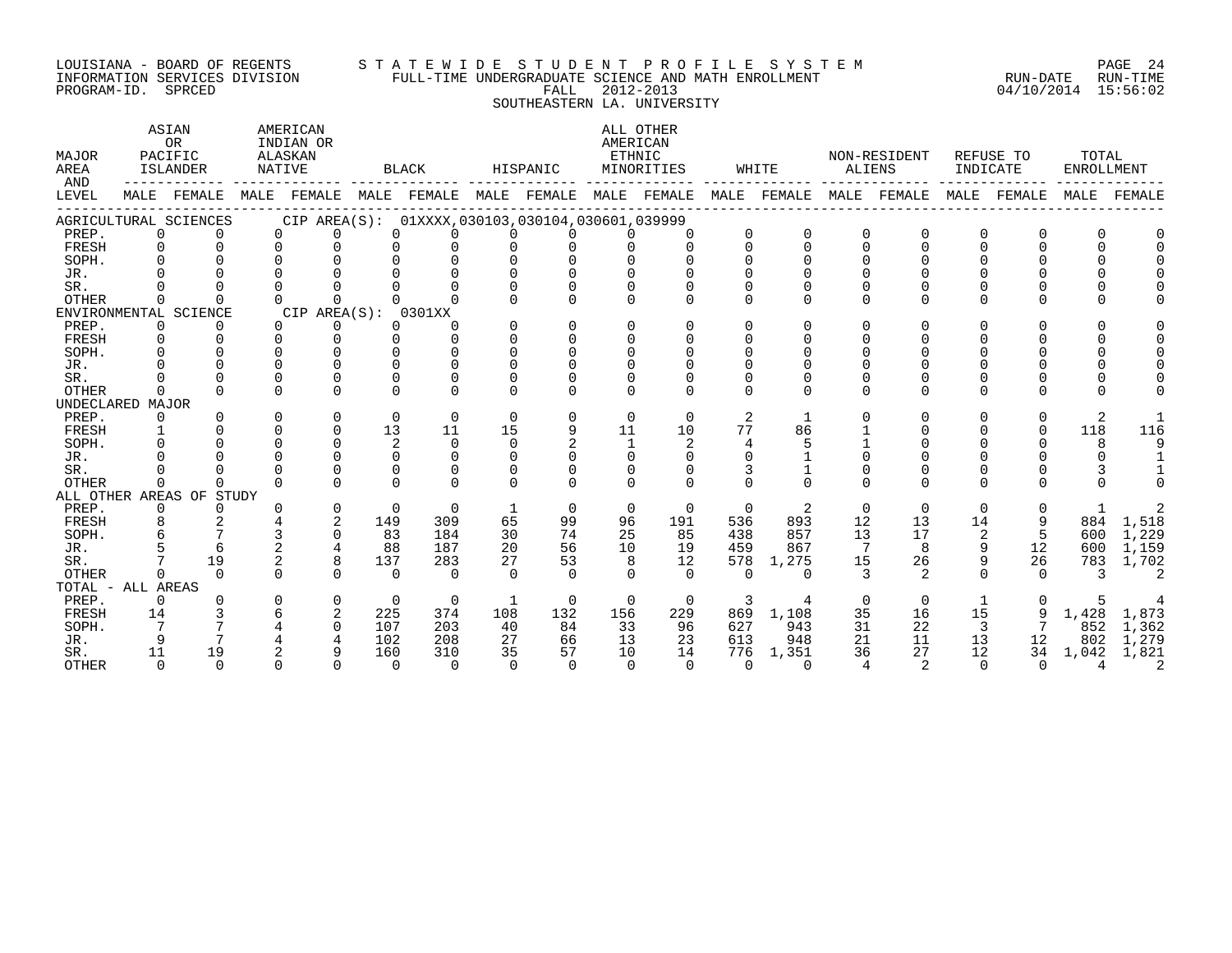#### LOUISIANA - BOARD OF REGENTS S T A T E W I D E S T U D E N T P R O F I L E S Y S T E M PAGE 24 INFORMATION SERVICES DIVISION FULL-TIME UNDERGRADUATE SCIENCE AND MATH ENROLLMENT RUN-DATE RUN-TIME PROGRAM-ID. SPRCED FALL 2012-2013 04/10/2014 15:56:02 SOUTHEASTERN LA. UNIVERSITY

#### ASTAN AMERICAN AMERICAN ALL OTHER OR INDIAN OR **INDIAN OR** AMERICAN MAJOR PACIFIC ALASKAN ETHNIC NON-RESIDENT REFUSE TO TOTAL AREA ISLANDER NATIVE BLACK HISPANIC MINORITIES WHITE ALIENS INDICATE ENROLLMENT AND ------------ ------------- ------------- ------------- ------------- ------------- ------------- ------------- ------------- LEVEL MALE FEMALE MALE FEMALE MALE FEMALE MALE FEMALE MALE FEMALE MALE FEMALE MALE FEMALE MALE FEMALE MALE FEMALE ------------------------------------------------------------------------------------------------------------------------------------ AGRICULTURAL SCIENCES CIP AREA(S): 01XXXX,030103,030104,030601,039999 PREP. 0 0 0 0 0 0 0 0 0 0 0 0 0 0 0 0 0 0 FRESH 0 0 0 0 0 0 0 0 0 0 0 0 0 0 0 0 0 0 SOPH. 0 0 0 0 0 0 0 0 0 0 0 0 0 0 0 0 0 0 JR. 0 0 0 0 0 0 0 0 0 0 0 0 0 0 0 0 0 0 SR. 0 0 0 0 0 0 0 0 0 0 0 0 0 0 0 0 0 0 OTHER 0 0 0 0 0 0 0 0 0 0 0 0 0 0 0 0 0 0 ENVIRONMENTAL SCIENCE CIP AREA(S): 0301XX<br>
PREP. 0 0 0 0 0 0 PREP. 0 0 0 0 0 0 0 0 0 0 0 0 0 0 0 0 0 0 FRESH 0 0 0 0 0 0 0 0 0 0 0 0 0 0 0 0 0 0 SOPH. 0 0 0 0 0 0 0 0 0 0 0 0 0 0 0 0 0 0 JR. 0 0 0 0 0 0 0 0 0 0 0 0 0 0 0 0 0 0 SR. 0 0 0 0 0 0 0 0 0 0 0 0 0 0 0 0 0 0 OTHER 0 0 0 0 0 0 0 0 0 0 0 0 0 0 0 0 0 0 UNDECLARED MAJOR PREP. 0 0 0 0 0 0 0 0 0 0 0 0 0 0 0 0 0 2 1 FRESH 1 0 0 0 13 11 15 9 11 10 77 86 1 0 0 0 118 116 SOPH. 0 0 0 0 2 0 0 2 1 2 4 5 1 0 0 0 8 9 JR. 0 0 0 0 0 0 0 0 0 0 0 1 0 0 0 0 0 1 SR. 0 0 0 0 0 0 0 0 0 0 3 1 0 0 0 0 3 1 OTHER 0 0 0 0 0 0 0 0 0 0 0 0 0 0 0 0 0 0 ALL OTHER AREAS OF STUDY PREP. 0 0 0 0 0 0 0 1 0 0 0 0 2 0 0 0 0 1 2<br>FRESH 8 2 4 2 149 309 65 99 96 191 536 893 12 13 14 9 884 1 518 FRESH 8 2 4 2 149 309 65 99 96 191 536 893 12 13 14 9 884 1,518 SOPH. 6 7 3 0 83 184 30 74 25 85 438 857 13 17 2 5 600 1,229 JR. 5 6 2 4 88 187 20 56 10 19 459 867 7 8 9 12 600 1,159 SR. 7 19 2 8 137 283 27 53 8 12 578 1,275 15 26 9 26 783 1,702 OTHER 0 0 0 0 0 0 0 0 0 0 0 0 0 0 0 0 0 3 2 0 0 0 3 2 TOTAL - ALL AREAS PREP. 0 0 0 0 0 0 1 0 0 0 3 4 0 0 1 0 5 4 FRESH 14 3 6 2 225 374 108 132 156 229 869 1,108 35 16 15 9 1,428 1,873 SOPH. 7 7 4 0 107 203 40 84 33 96 627 943 31 22 3 7 852 1,362 JR. 9 7 4 4 102 208 27 66 13 23 613 948 21 11 13 12 802 1,279 SR. 11 19 2 9 160 310 35 57 10 14 776 1,351 36 27 12 34 1,042 1,821  $\begin{array}{ccc} 0 & 4 \end{array}$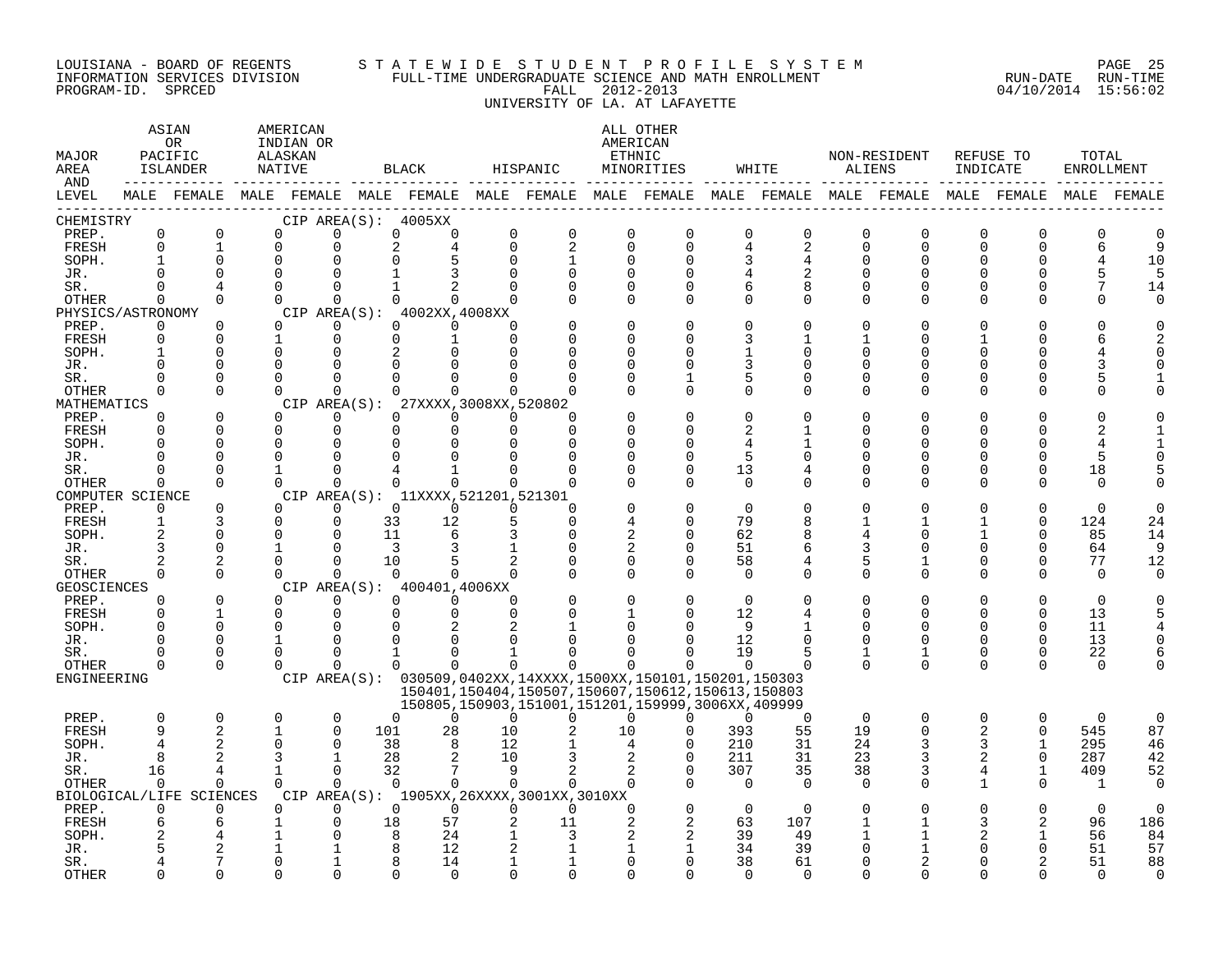#### LOUISIANA - BOARD OF REGENTS S T A T E W I D E S T U D E N T P R O F I L E S Y S T E M PAGE 25 INFORMATION SERVICES DIVISION FULL-TIME UNDERGRADUATE SCIENCE AND MATH ENROLLMENT RUN-DATE RUN-TIME PROGRAM-ID. SPRCED FALL 2012-2013 04/10/2014 15:56:02 UNIVERSITY OF LA. AT LAFAYETTE

| MAJOR<br>AREA<br>AND |                     | ASIAN<br>OR<br>PACIFIC<br>ISLANDER |              | AMERICAN<br>INDIAN OR<br>ALASKAN<br>NATIVE |                         |                      | <b>BLACK</b>                                   |                | HISPANIC                                                                                                         |                      | ALL OTHER<br>AMERICAN<br>ETHNIC<br>MINORITIES |                | WHITE                |               | NON-RESIDENT<br>ALIENS | REFUSE TO<br>INDICATE |                      | TOTAL<br>ENROLLMENT |              |
|----------------------|---------------------|------------------------------------|--------------|--------------------------------------------|-------------------------|----------------------|------------------------------------------------|----------------|------------------------------------------------------------------------------------------------------------------|----------------------|-----------------------------------------------|----------------|----------------------|---------------|------------------------|-----------------------|----------------------|---------------------|--------------|
| LEVEL                |                     |                                    |              |                                            |                         |                      |                                                |                | MALE FEMALE MALE FEMALE MALE FEMALE MALE FEMALE MALE FEMALE MALE FEMALE MALE FEMALE MALE FEMALE                  |                      |                                               |                |                      |               |                        |                       |                      |                     | MALE FEMALE  |
| CHEMISTRY<br>PREP.   | 0                   | $\mathbf 0$                        |              | 0                                          | $\mathbf 0$             |                      | CIP AREA(S): 4005XX<br>$\mathbf 0$<br>$\Omega$ | 0              | $\mathsf 0$                                                                                                      | $\mathbf 0$          | $\mathbf 0$                                   | $\mathbf 0$    | $\mathsf 0$          | 0             | $\mathbf 0$            | $\mathbf 0$           | $\Omega$             | $\overline{0}$      | n            |
| FRESH                | $\Omega$            | $\mathbf{1}$                       |              | $\Omega$                                   | $\mathbf 0$             | $\overline{c}$       |                                                | $\Omega$       | $\overline{2}$                                                                                                   | $\Omega$             | $\Omega$                                      | 4              | 2                    | $\Omega$      | $\Omega$               | $\Omega$              | $\Omega$             | 6                   | 9            |
| SOPH.                |                     | $\Omega$                           |              | $\mathbf 0$                                | $\Omega$                |                      |                                                |                | $\mathbf{1}$                                                                                                     | $\Omega$             | $\Omega$                                      | 3              | 4                    | O             | 0                      | U                     | O                    |                     | 10           |
| JR.                  | $\cap$              | $\Omega$                           |              | $\Omega$                                   | $\cap$                  |                      |                                                |                |                                                                                                                  | $\Omega$             |                                               |                |                      | U             | $\Omega$               |                       |                      |                     | 5            |
| SR.                  | $\Omega$            | 4                                  |              | $\Omega$                                   | $\Omega$                |                      | $\mathbf{1}$                                   | $\Omega$       | U                                                                                                                | $\Omega$             | $\Omega$                                      | 6              | 8                    | $\Omega$      | $\Omega$               | $\Omega$              | $\Omega$             |                     | 14           |
| OTHER                | $\Omega$            | $\Omega$                           |              | $\Omega$                                   | $\Omega$                |                      | $\Omega$<br>$\Omega$                           |                |                                                                                                                  | $\Omega$             | $\Omega$                                      | $\Omega$       | 0                    | $\Omega$      | $\Omega$               | $\Omega$              | $\Omega$             |                     | U            |
| PHYSICS/ASTRONOMY    |                     |                                    |              |                                            |                         |                      | CIP AREA(S): 4002XX,4008XX                     |                |                                                                                                                  |                      |                                               |                |                      |               |                        |                       |                      |                     |              |
| PREP.                | 0                   | $\Omega$                           |              | $\Omega$                                   | 0                       |                      | $\Omega$<br>$\Omega$                           | $\Omega$       |                                                                                                                  | $\Omega$             |                                               | $\Omega$       | $\mathbf 0$          | O             | 0                      |                       | O                    |                     |              |
| FRESH                | $\Omega$            | $\Omega$                           | $\mathbf{1}$ |                                            | $\Omega$                |                      | $\Omega$<br>$\mathbf{1}$                       | $\Omega$       |                                                                                                                  | $\Omega$             |                                               | 3              | $\mathbf{1}$         |               | U                      |                       |                      |                     |              |
| SOPH.                |                     | $\Omega$                           |              | $\Omega$                                   | $\Omega$                |                      | 2                                              |                |                                                                                                                  | $\Omega$             |                                               |                | $\Omega$             | U             | U                      |                       |                      |                     |              |
| JR.                  | $\Omega$<br>$\cap$  | $\Omega$                           |              | 0                                          | $\Omega$                |                      |                                                |                |                                                                                                                  | $\Omega$             |                                               | 3              | O                    | U             | U                      |                       |                      |                     |              |
| SR.<br>OTHER         | $\Omega$            | $\Omega$<br>$\Omega$               |              | $\Omega$<br>$\Omega$                       | $\Omega$<br>$\Omega$    |                      | $\Omega$                                       | $\Omega$       | U                                                                                                                | $\Omega$<br>$\Omega$ | $\Omega$                                      | 5<br>$\Omega$  | $\Omega$<br>$\Omega$ | U<br>$\Omega$ | U<br>$\Omega$          | U                     | ∩                    |                     |              |
| MATHEMATICS          |                     |                                    |              | CIP AREA(S):                               |                         |                      | 27XXXX, 3008XX, 520802                         |                |                                                                                                                  |                      |                                               |                |                      |               |                        |                       |                      |                     |              |
| PREP.                | $\Omega$            | $\Omega$                           |              | $\Omega$                                   | $\Omega$                |                      | $\Omega$<br>$\Omega$                           | $\Omega$       | U                                                                                                                |                      |                                               | $\Omega$       | $\Omega$             |               |                        |                       |                      |                     |              |
| FRESH                | $\Omega$            | $\Omega$                           |              | $\mathbf 0$                                | $\mathbf 0$             | $\Omega$             | $\Omega$                                       | $\Omega$       | $\Omega$                                                                                                         |                      |                                               | $\overline{a}$ |                      | U             | U                      |                       |                      |                     |              |
| SOPH.                | $\cap$              | $\Omega$                           |              | $\Omega$                                   | $\Omega$                | $\Omega$             |                                                |                | U                                                                                                                | ∩                    |                                               |                |                      | ∩             | ∩                      |                       |                      |                     |              |
| JR.                  | $\Omega$            | $\Omega$                           |              | $\Omega$                                   | 0                       | O                    |                                                |                | U                                                                                                                | $\Omega$             | U                                             | 5              | 0                    | U             | 0                      |                       | $\Omega$             | 5                   |              |
| SR.                  |                     | $\Omega$                           |              | $\mathbf{1}$                               | $\Omega$                |                      |                                                |                |                                                                                                                  | $\Omega$             | O                                             | 13             | 4                    | O             | 0                      | 0                     | 0                    | 18                  |              |
| OTHER                | $\Omega$            | $\Omega$                           |              | $\Omega$                                   | $\Omega$                |                      | $\Omega$<br>$\Omega$                           | $\Omega$       | $\Omega$                                                                                                         | $\cap$               | $\Omega$                                      | $\Omega$       | $\Omega$             | $\Omega$      | $\Omega$               | $\cap$                | $\Omega$             | $\Omega$            |              |
| COMPUTER SCIENCE     |                     |                                    |              |                                            |                         |                      | CIP AREA(S): 11XXXX, 521201, 521301            |                |                                                                                                                  |                      |                                               |                |                      |               |                        |                       |                      |                     |              |
| PREP.                | $\Omega$            | $\Omega$                           |              | $\Omega$                                   | $\Omega$                |                      | $\Omega$<br>$\Omega$                           | $\Omega$       | $\Omega$                                                                                                         |                      |                                               | $\Omega$       | O                    |               |                        |                       |                      | $\Omega$            |              |
| FRESH                | $\mathbf{1}$        | 3                                  |              | $\Omega$                                   | $\mathbf 0$             | 33                   | 12                                             |                | $\Omega$                                                                                                         |                      | ∩                                             | 79             | 8                    |               |                        |                       | $\Omega$             | 124                 | 24           |
| SOPH.                | $\overline{a}$      | $\Omega$                           |              | 0                                          | $\Omega$                | 11                   | 6                                              |                | $\Omega$                                                                                                         | $\overline{c}$       | $\Omega$                                      | 62             | 8                    | 4             | 0                      |                       | $\Omega$             | 85                  | 14           |
| JR.                  | 3<br>$\overline{a}$ | 0<br>$\overline{2}$                |              | $\mathbf{1}$<br>$\Omega$                   | $\mathbf 0$<br>$\Omega$ | $\overline{3}$<br>10 | 3                                              | 1              | $\Omega$                                                                                                         | 2<br>$\Omega$        | $\Omega$                                      | 51<br>58       | 6<br>4               | 3<br>5        | 0<br>1                 |                       | $\Omega$<br>$\Omega$ | 64<br>77            | 9<br>12      |
| SR.<br>OTHER         | $\Omega$            | $\Omega$                           |              | $\Omega$                                   | $\Omega$                |                      | $\Omega$                                       | $\Omega$       |                                                                                                                  | $\Omega$             | $\cap$                                        | $\Omega$       | $\Omega$             | $\Omega$      | $\Omega$               | $\Omega$              | $\Omega$             | $\Omega$            | <sup>n</sup> |
| <b>GEOSCIENCES</b>   |                     |                                    |              |                                            |                         |                      | CIP AREA(S): 400401,4006XX                     |                |                                                                                                                  |                      |                                               |                |                      |               |                        |                       |                      |                     |              |
| PREP.                | $\Omega$            | $\Omega$                           |              | $\Omega$                                   | $\Omega$                |                      | $\Omega$<br>$\Omega$                           | $\Omega$       |                                                                                                                  | $\Omega$             |                                               | $\Omega$       | $\Omega$             | O             | $\Omega$               |                       | $\Omega$             | $\Omega$            |              |
| FRESH                | $\Omega$            | $\mathbf{1}$                       |              | $\mathbf 0$                                | $\mathbf 0$             |                      | 0<br>$\Omega$                                  | $\Omega$       |                                                                                                                  |                      | $\Omega$                                      | 12             | 4                    | $\Omega$      | $\Omega$               | $\Omega$              | $\Omega$             | 13                  |              |
| SOPH.                | $\cap$              | $\Omega$                           |              | $\Omega$                                   | $\Omega$                |                      |                                                |                |                                                                                                                  |                      |                                               | $\mathsf{Q}$   |                      |               | U                      |                       | $\Omega$             | 11                  |              |
| JR.                  | $\Omega$            | $\Omega$                           |              | $\mathbf{1}$                               | $\Omega$                | O                    |                                                |                |                                                                                                                  | ∩                    |                                               | 12             | O                    | $\Omega$      | $\Omega$               | 0                     | $\Omega$             | 13                  |              |
| SR.                  | <sup>0</sup>        | 0                                  |              | $\mathbf 0$                                | $\Omega$                | 1                    | <sup>0</sup>                                   | 1              |                                                                                                                  |                      |                                               | 19             | 5                    | 1             | 1                      | $\Omega$              | $\mathbf 0$          | 22                  |              |
| OTHER                | $\Omega$            | $\Omega$                           |              | $\Omega$                                   | $\Omega$                |                      | 0<br>$\Omega$                                  | $\Omega$       | 0                                                                                                                | $\Omega$             | O                                             | $\Omega$       | $\Omega$             | $\Omega$      | $\Omega$               | $\Omega$              | $\Omega$             | $\Omega$            |              |
| ENGINEERING          |                     |                                    |              |                                            |                         |                      |                                                |                | CIP AREA(S): 030509,0402XX,14XXXX,1500XX,150101,150201,150303                                                    |                      |                                               |                |                      |               |                        |                       |                      |                     |              |
|                      |                     |                                    |              |                                            |                         |                      |                                                |                | 150401, 150404, 150507, 150607, 150612, 150613, 150803<br>150805, 150903, 151001, 151201, 159999, 3006XX, 409999 |                      |                                               |                |                      |               |                        |                       |                      |                     |              |
| PREP.                | $\mathbf 0$         | 0                                  |              | 0                                          | 0                       | $\Omega$             | $\Omega$                                       | $\Omega$       | $\Omega$                                                                                                         | 0                    | $\Omega$                                      | $\Omega$       | $\overline{0}$       | $\mathbf 0$   | $\mathbf 0$            | $\mathbf 0$           | 0                    | $\Omega$            | 0            |
| <b>FRESH</b>         | 9                   | 2                                  |              | $\mathbf{1}$                               | $\Omega$                | 101                  | 28                                             | 10             | 2                                                                                                                | 10                   | $\Omega$                                      | 393            | 55                   | 19            | $\Omega$               | 2                     | $\Omega$             | 545                 | 87           |
| SOPH.                | 4                   |                                    |              | $\Omega$                                   | $\Omega$                | 38                   | 8                                              | 12             |                                                                                                                  | 4                    | $\Omega$                                      | 210            | 31                   | 24            | 3                      | 3                     |                      | 295                 | 46           |
| JR.                  | 8                   | 2                                  |              | 3                                          | $\mathbf 1$             | 28                   |                                                | 10             |                                                                                                                  |                      | $\Omega$                                      | 211            | 31                   | 23            | 3                      | 2                     | $\Omega$             | 287                 | 42           |
| SR.                  | 16                  | 4                                  |              | $\mathbf{1}$                               | $\Omega$                | 32                   | 7                                              | $\overline{9}$ | 2                                                                                                                | 2                    | $\Omega$                                      | 307            | 35                   | 38            | 3                      | 4                     | $\mathbf{1}$         | 409                 | 52           |
| OTHER                | $\Omega$            | $\Omega$                           |              | $\Omega$                                   | $\Omega$                |                      | $\Omega$<br>$\Omega$                           | $\Omega$       | $\Omega$                                                                                                         | $\Omega$             | $\Omega$                                      | $\Omega$       | $\Omega$             | $\Omega$      | $\Omega$               | 1                     | $\Omega$             | $\mathbf{1}$        | $\Omega$     |
|                      |                     | BIOLOGICAL/LIFE SCIENCES           |              |                                            |                         |                      |                                                |                | CIP AREA(S): 1905XX, 26XXXX, 3001XX, 3010XX                                                                      |                      |                                               |                |                      |               |                        |                       |                      |                     |              |
| PREP.                | $\Omega$            | $\Omega$                           |              | $\Omega$                                   | $\Omega$                |                      | $\Omega$<br>$\Omega$                           | $\Omega$       | $\Omega$                                                                                                         | $\Omega$             | $\Omega$                                      | $\Omega$       | $\Omega$             | $\Omega$      | O                      |                       | $\Omega$             | $\Omega$            | $\Omega$     |
| FRESH                | 6                   | 6                                  |              | 1                                          | $\mathbf 0$<br>$\Omega$ | 18                   | 57<br>8<br>24                                  |                | 11<br>3                                                                                                          |                      | 2<br>$\overline{c}$                           | 63<br>39       | 107                  |               |                        | 3<br>2                | 2                    | 96<br>56            | 186<br>84    |
| SOPH.<br>JR.         |                     |                                    |              |                                            |                         | 8                    | 12                                             |                |                                                                                                                  | 1                    |                                               | 34             | 49<br>39             | O             | 1                      |                       |                      | 51                  | 57           |
| SR.                  |                     |                                    |              | 0                                          |                         |                      | 14                                             | 1              |                                                                                                                  | $\Omega$             | ∩                                             | 38             | 61                   | O             |                        |                       |                      | 51                  | 88           |
| <b>OTHER</b>         |                     | $\Omega$                           |              | $\Omega$                                   | $\cap$                  |                      | $\cap$                                         |                | <sup>n</sup>                                                                                                     | $\cap$               |                                               | $\Omega$       | $\Omega$             | U             | <sup>n</sup>           |                       |                      | $\cap$              | $\cap$       |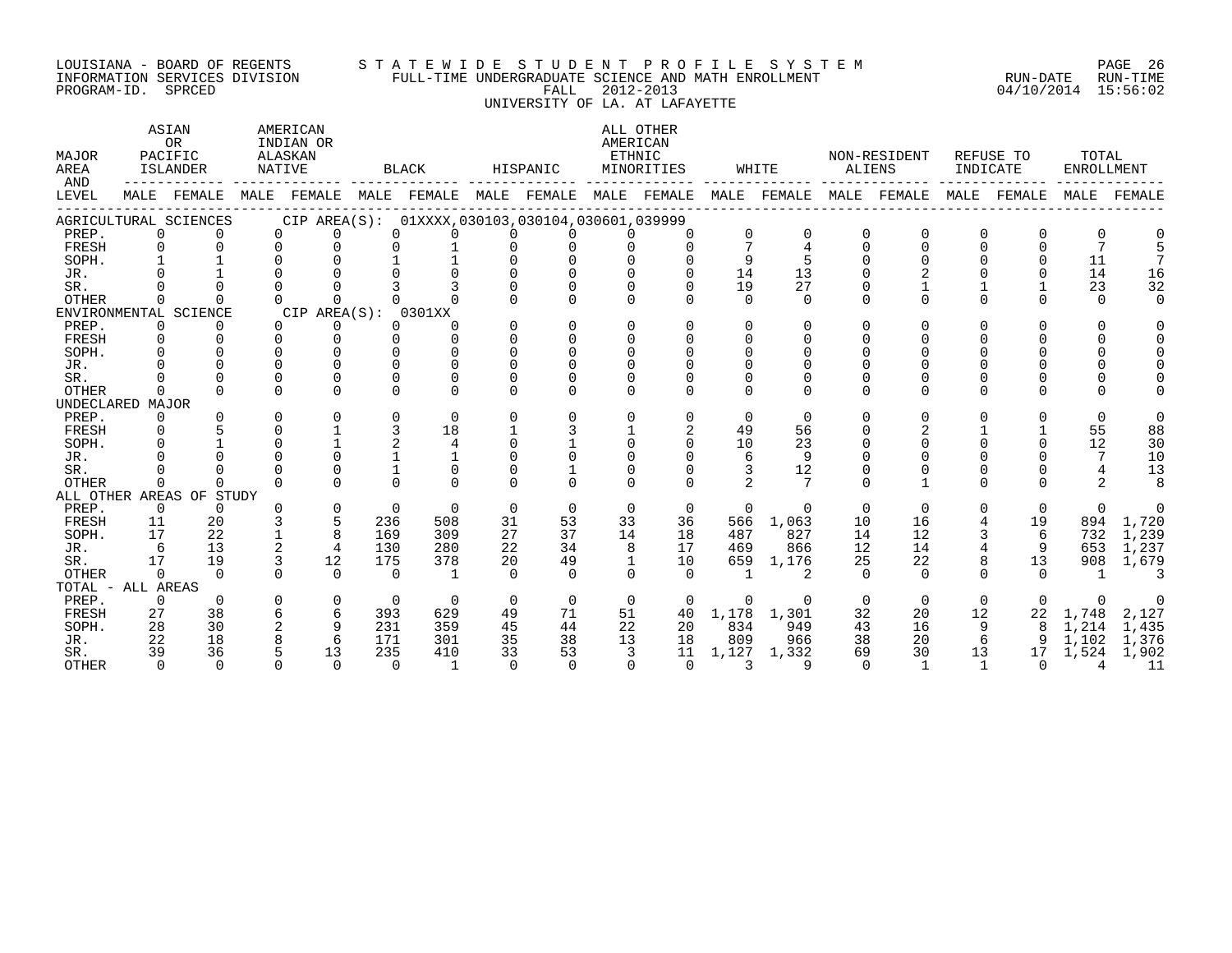# LOUISIANA - BOARD OF REGENTS S T A T E W I D E S T U D E N T P R O F I L E S Y S T E M PAGE 26

INFORMATION SERVICES DIVISION FULL-TIME UNDERGRADUATE SCIENCE AND MATH ENROLLMENT RUN-DATE RUN-TIME PROGRAM-ID. SPRCED FALL 2012-2013 04/10/2014 15:56:02 UNIVERSITY OF LA. AT LAFAYETTE ASIAN AMERICAN ALL OTHER OR INDIAN OR AMERICAN

| MAJOR<br>AREA<br>AND |          | PACIFIC<br><b>ISLANDER</b> | <b>NATIVE</b> | <b>ALASKAN</b> |          | <b>BLACK</b>                                        |          | HISPANIC |              | ETHNIC<br>MINORITIES |          | WHITE     |          | NON-RESIDENT<br><b>ALIENS</b> |                | REFUSE TO<br>INDICATE | TOTAL<br><b>ENROLLMENT</b> |        |
|----------------------|----------|----------------------------|---------------|----------------|----------|-----------------------------------------------------|----------|----------|--------------|----------------------|----------|-----------|----------|-------------------------------|----------------|-----------------------|----------------------------|--------|
| LEVEL                |          | MALE FEMALE                | MALE          | FEMALE         |          | MALE FEMALE MALE FEMALE                             |          |          |              | MALE FEMALE          |          |           |          | MALE FEMALE MALE FEMALE       | MALE           | FEMALE                | MALE                       | FEMALE |
|                      |          | AGRICULTURAL SCIENCES      |               |                |          | CIP AREA(S): 01XXXX, 030103, 030104, 030601, 039999 |          |          |              |                      |          |           |          |                               |                |                       |                            |        |
| PREP.                |          | 0                          | $\Omega$      | 0              | $\Omega$ |                                                     | n        |          |              | 0                    | 0        |           |          |                               |                |                       |                            |        |
| <b>FRESH</b>         |          | $\Omega$                   |               |                |          |                                                     |          |          |              | 0                    | 7        | 4         |          | $\mathbf 0$                   | $\Omega$       | $\Omega$              |                            |        |
| SOPH.                |          |                            |               |                |          |                                                     |          |          |              |                      | 9        |           |          |                               |                | $\Omega$              | 11                         |        |
| JR.                  |          |                            |               |                |          |                                                     |          |          |              |                      | 14       | 13        |          |                               |                |                       | 14                         | 16     |
| SR.                  |          |                            |               |                |          |                                                     |          |          |              |                      | 19       | 27        |          |                               |                |                       | 23                         | 32     |
| OTHER                |          | U                          |               | $\Omega$       |          |                                                     |          |          |              |                      | $\cap$   | $\cap$    |          |                               |                | $\cap$                | $\cap$                     |        |
|                      |          | ENVIRONMENTAL SCIENCE      |               | CIP AREA(S):   |          | 0301XX                                              |          |          |              |                      |          |           |          |                               |                |                       |                            |        |
| PREP.                |          | $\Omega$                   |               | $\Omega$       |          | 0                                                   |          | O        | <sup>0</sup> |                      | $\Omega$ | $\Omega$  |          |                               |                |                       |                            |        |
| FRESH                |          |                            |               |                |          |                                                     |          |          |              |                      | U        |           |          |                               |                |                       |                            |        |
| SOPH.                |          |                            |               |                |          |                                                     |          |          |              |                      |          |           |          |                               |                |                       |                            |        |
| JR.                  |          |                            |               |                |          |                                                     |          |          |              |                      |          |           |          |                               |                |                       |                            |        |
| SR.                  |          |                            |               |                |          |                                                     |          |          |              |                      |          |           |          |                               |                |                       |                            |        |
| <b>OTHER</b>         | ∩        |                            |               |                |          | ∩                                                   |          |          |              |                      |          |           |          |                               |                |                       |                            |        |
| UNDECLARED           |          | MAJOR                      |               |                |          |                                                     |          |          |              |                      |          |           |          |                               |                |                       |                            |        |
| PREP.                |          | 0                          |               |                |          | $\Omega$                                            |          |          | U            | U                    | $\Omega$ | $\Omega$  | $\Omega$ | $\Omega$                      |                | <sup>0</sup>          | $\Omega$                   |        |
| FRESH                |          | $\Omega$                   |               |                |          | 18                                                  |          | 3        |              | 2                    | 49       | 56        |          |                               |                |                       | 55                         | 88     |
| SOPH.                |          |                            |               |                |          | $\overline{4}$                                      |          |          | $\Omega$     | 0                    | 10       | 23        |          |                               |                | $\Omega$              | 12                         | 30     |
| JR.                  |          |                            |               |                |          |                                                     |          |          |              |                      | 6        | 9         |          |                               |                |                       | 7                          | 10     |
| SR.                  |          |                            |               |                |          |                                                     |          |          |              |                      |          | 12        |          |                               |                |                       |                            | 13     |
| <b>OTHER</b>         |          | $\Omega$                   |               |                |          |                                                     |          |          |              |                      |          |           |          |                               |                |                       | 2                          |        |
|                      |          | ALL OTHER AREAS OF STUDY   |               |                |          |                                                     |          |          |              |                      |          |           |          |                               |                |                       |                            |        |
| PREP.                |          | $\Omega$<br>$\Omega$       |               | $\Omega$       | $\Omega$ | $\Omega$                                            | $\Omega$ | $\Omega$ | $\Omega$     | $\Omega$             | $\Omega$ | $\Omega$  | $\Omega$ | $\Omega$                      | 0              | $\Omega$              | $\Omega$                   |        |
| FRESH                | 11       | 20                         |               |                | 236      | 508                                                 | 31       | 53       | 33           | 36                   |          | 566 1,063 | 10       | 16                            | 4              | 19                    | 894                        | 1,720  |
| SOPH.                | 17       | 22                         |               | 8              | 169      | 309                                                 | 27       | 37       | 14           | 18                   | 487      | 827       | 14       | 12                            |                | 6                     | 732                        | 1,239  |
| JR.                  | 6        | 13                         |               | 4              | 130      | 280                                                 | 22       | 34       | 8            | 17                   | 469      | 866       | 12       | 14                            |                | 9                     | 653                        | 1,237  |
| SR.                  | 17       | 19                         |               | 12             | 175      | 378                                                 | 20       | 49       | $\mathbf{1}$ | 10                   | 659      | 1,176     | 25       | 22                            |                | 13                    | 908                        | 1,679  |
| <b>OTHER</b>         |          | $\Omega$                   |               | $\Omega$       | $\Omega$ | $\mathbf{1}$                                        | $\cap$   | $\cap$   | $\cap$       | $\cap$               |          |           | $\Omega$ | $\cap$                        |                | $\cap$                |                            |        |
| TOTAL - ALL AREAS    |          |                            |               |                |          |                                                     |          |          |              |                      |          |           |          |                               |                |                       |                            |        |
| PREP.                | $\Omega$ | $\Omega$                   |               | $\Omega$       | $\Omega$ | $\Omega$                                            | $\Omega$ | $\Omega$ | $\Omega$     | $\Omega$             | $\Omega$ |           | $\Omega$ | $\Omega$                      | $\Omega$       | $\Omega$              |                            |        |
| FRESH                | 27       | 38                         |               | 6              | 393      | 629                                                 | 49       | 71       | 51           | 40                   | 1,178    | 1,301     | 32       | 20                            | 12             | 22                    | 1,748                      | 2,127  |
| SOPH.                | 28       | 30                         |               | 9              | 231      | 359                                                 | 45       | 44       | 22           | 20                   | 834      | 949       | 43       | 16                            | 9              | 8                     | 1,214                      | 1,435  |
| JR.                  | 22       | 18                         |               | 6              | 171      | 301                                                 | 35       | 38       | 13           | 18                   | 809      | 966       | 38       | 20                            | 6              | 9                     | 1,102                      | 1,376  |
| SR.                  | 39       | 36                         |               | 13             | 235      | 410                                                 | 33       | 53       | 3            | 11                   | 1,127    | 1,332     | 69       | 30                            | 13             | 17                    | 1,524                      | 1,902  |
| <b>OTHER</b>         |          | $\Omega$<br>$\cap$         |               | $\cap$         | $\Omega$ | $\mathbf{1}$                                        | $\cap$   | $\Omega$ | $\cap$       | $\Omega$             | 3        | q         | $\Omega$ | $\overline{1}$                | $\overline{1}$ | $\Omega$              | 4                          | 11     |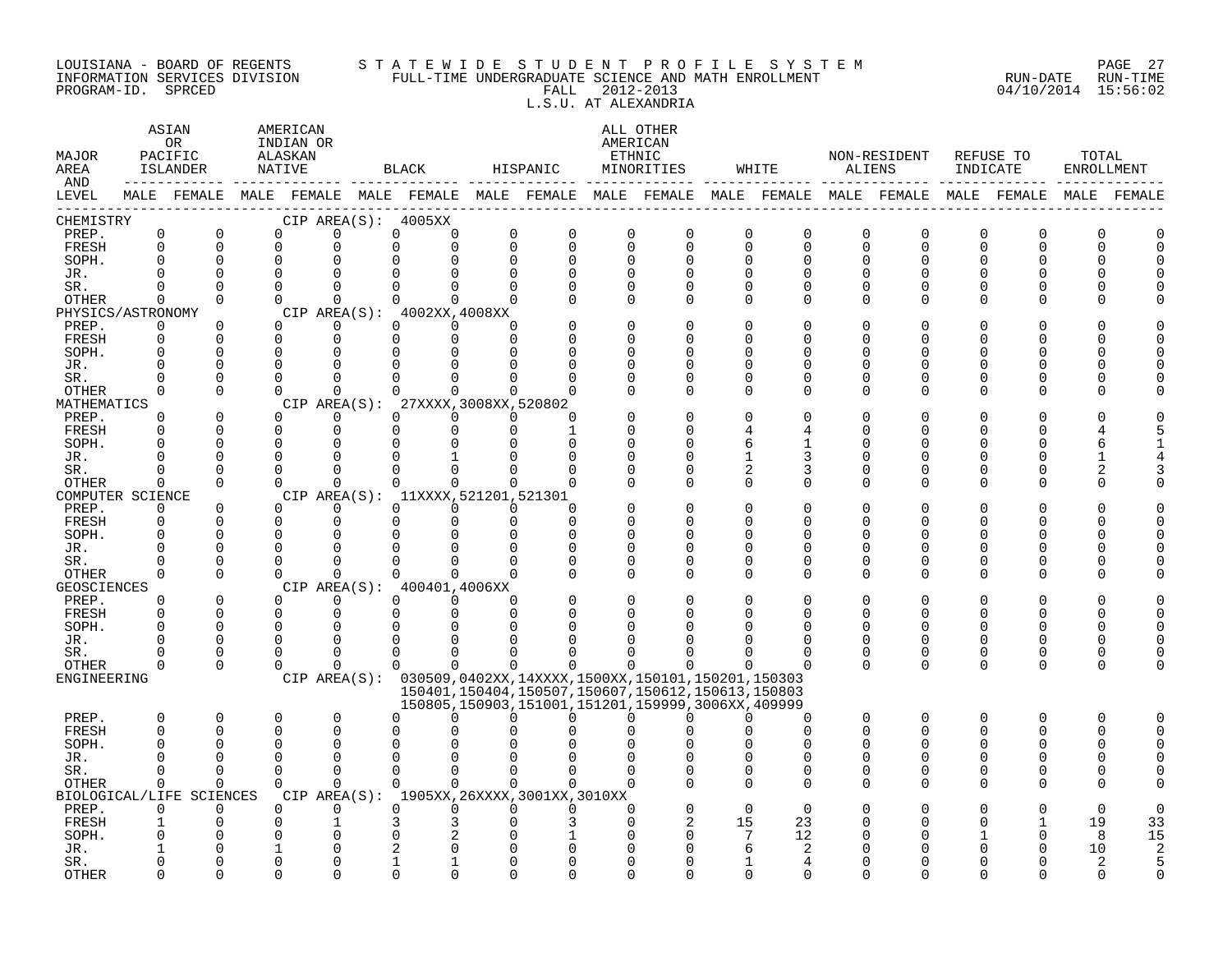#### LOUISIANA - BOARD OF REGENTS S T A T E W I D E S T U D E N T P R O F I L E S Y S T E M PAGE 27 INFORMATION SERVICES DIVISION FULL-TIME UNDERGRADUATE SCIENCE AND MATH ENROLLMENT RUN-DATE RUN-TIME PROGRAM-ID. SPRCED FALL 2012-2013 04/10/2014 15:56:02 L.S.U. AT ALEXANDRIA

| MAJOR<br>AREA<br>AND        |                          | ASIAN<br>OR<br>PACIFIC<br>ISLANDER | AMERICAN<br>INDIAN OR<br>ALASKAN<br>NATIVE |                      |             | BLACK                                       | HISPANIC                |          |                      | ALL OTHER<br>AMERICAN<br>ETHNIC<br>MINORITIES                                                                    |               | WHITE                         | ALIENS        | NON-RESIDENT     | INDICATE                | REFUSE TO            | TOTAL<br>ENROLLMENT |                |
|-----------------------------|--------------------------|------------------------------------|--------------------------------------------|----------------------|-------------|---------------------------------------------|-------------------------|----------|----------------------|------------------------------------------------------------------------------------------------------------------|---------------|-------------------------------|---------------|------------------|-------------------------|----------------------|---------------------|----------------|
| LEVEL                       |                          |                                    |                                            |                      |             |                                             |                         |          |                      | MALE FEMALE MALE FEMALE MALE FEMALE MALE FEMALE MALE FEMALE MALE FEMALE MALE FEMALE MALE FEMALE                  |               |                               |               |                  |                         |                      |                     | MALE FEMALE    |
| CHEMISTRY                   |                          | $\mathsf 0$                        |                                            | 0                    | $\mathbf 0$ | CIP AREA(S): 4005XX                         |                         | 0        | $\mathbf 0$          | $\mathbf 0$                                                                                                      |               |                               |               |                  |                         |                      |                     |                |
| PREP.<br>FRESH              | $\mathsf{O}$<br>$\Omega$ | $\Omega$                           | 0<br>$\Omega$                              | 0                    |             | 0<br>$\Omega$<br>$\Omega$                   | $\mathbf 0$<br>$\Omega$ | $\Omega$ | $\mathbf 0$          | $\mathbf 0$                                                                                                      | 0<br>0        | $\mathsf 0$<br>$\overline{0}$ | 0<br>$\Omega$ | $\mathbf 0$<br>0 | $\mathbf 0$<br>$\Omega$ | $\Omega$<br>$\Omega$ | 0                   |                |
| SOPH.                       | $\Omega$                 | $\mathbf 0$                        | 0                                          | 0                    |             |                                             | $\Omega$                | $\Omega$ | $\Omega$             | $\Omega$                                                                                                         | $\Omega$      | 0                             | O             | 0                | O                       | O                    |                     |                |
| JR.                         |                          | $\Omega$                           | $\Omega$                                   | $\cap$               |             |                                             | $\Omega$                |          | $\Omega$             |                                                                                                                  | $\Omega$      | $\Omega$                      |               | $\Omega$         |                         |                      |                     |                |
| SR.                         | $\Omega$                 | $\Omega$                           | $\Omega$                                   | $\Omega$             | $\Omega$    | 0                                           | $\Omega$                | $\Omega$ | $\Omega$             | $\Omega$                                                                                                         | $\Omega$      | $\Omega$                      | O             | 0                |                         |                      |                     |                |
| OTHER                       | $\Omega$                 | $\Omega$                           | $\Omega$                                   | $\Omega$             |             | $\Omega$<br>$\Omega$                        | $\Omega$                |          | $\Omega$             | $\Omega$                                                                                                         | $\Omega$      | $\Omega$                      | $\Omega$      | $\Omega$         | ∩                       | O                    |                     |                |
| PHYSICS/ASTRONOMY           |                          |                                    |                                            |                      |             | CIP AREA(S): 4002XX, 4008XX                 |                         |          |                      |                                                                                                                  |               |                               |               |                  |                         |                      |                     |                |
| PREP.                       | $\Omega$                 | $\Omega$                           | $\Omega$                                   | 0                    |             | $\Omega$<br>$\Omega$                        | $\Omega$                |          | $\Omega$             | $\Omega$                                                                                                         | $\Omega$      | O                             | O             | 0                |                         |                      |                     |                |
| FRESH                       | $\mathbf 0$              | $\Omega$                           | $\Omega$                                   | 0                    | $\Omega$    | $\Omega$                                    | $\Omega$                |          | ∩                    |                                                                                                                  | ∩             | U                             | ∩             | U                |                         |                      |                     |                |
| SOPH.                       |                          | $\Omega$                           | $\Omega$                                   | $\Omega$             | $\Omega$    |                                             |                         |          | U                    |                                                                                                                  |               | O                             |               | U                |                         |                      |                     |                |
| JR.                         | $\Omega$                 | $\overline{0}$                     | $\Omega$                                   | 0                    |             |                                             |                         |          | O                    | $\Omega$                                                                                                         | $\Omega$      | O                             |               | U                |                         |                      |                     |                |
| SR.                         | ∩                        | $\Omega$                           | $\Omega$<br>$\Omega$                       | $\Omega$             |             | $\cap$                                      |                         |          | U<br>U               | $\Omega$<br>$\Omega$                                                                                             | $\Omega$      | $\Omega$                      | U             | 0                | U                       |                      |                     |                |
| OTHER<br>MATHEMATICS        | $\Omega$                 | $\Omega$                           |                                            | $\Omega$             |             | CIP AREA(S): 27XXXX, 3008XX, 520802         |                         |          |                      |                                                                                                                  | $\Omega$      | 0                             | U             | 0                |                         | ∩                    |                     |                |
| PREP.                       | $\Omega$                 | $\Omega$                           | $\Omega$                                   | $\Omega$             | $\Omega$    | $\Omega$                                    | $\Omega$                | $\Omega$ |                      |                                                                                                                  | $\Omega$      | $\Omega$                      |               | $\cap$           |                         |                      |                     |                |
| FRESH                       | $\Omega$                 | $\Omega$                           | $\Omega$                                   | $\Omega$             | $\Omega$    | $\Omega$                                    | $\Omega$                |          |                      | ∩                                                                                                                |               | 4                             | U             | U                |                         | ∩                    |                     |                |
| SOPH.                       | ∩                        | $\Omega$                           | $\Omega$                                   | $\Omega$             | $\Omega$    |                                             | $\Omega$                |          | n                    | ∩                                                                                                                | 6             | 1                             |               | ∩                |                         | n                    |                     |                |
| JR.                         | $\Omega$                 | $\mathbf 0$                        | 0                                          | $\Omega$             | $\Omega$    |                                             |                         | $\Omega$ | O                    | $\Omega$                                                                                                         | 1             | 3                             | U             | 0                |                         | O                    |                     |                |
| SR.                         |                          | $\Omega$                           | $\Omega$                                   | $\Omega$             | $\Omega$    | $\Omega$                                    | $\Omega$                |          | O                    | 0                                                                                                                | 2             | 3                             | U             | 0                | O                       | 0                    |                     |                |
| OTHER                       | $\Omega$                 | $\Omega$                           | $\Omega$                                   | $\Omega$             | $\Omega$    | $\Omega$                                    | $\Omega$                | $\Omega$ | $\Omega$             | $\Omega$                                                                                                         | $\Omega$      | $\Omega$                      | $\Omega$      | $\Omega$         | $\Omega$                | ∩                    |                     |                |
| COMPUTER SCIENCE            |                          |                                    |                                            |                      |             | CIP AREA(S): 11XXXX, 521201, 521301         |                         |          |                      |                                                                                                                  |               |                               |               |                  |                         |                      |                     |                |
| PREP.                       | $\Omega$                 | $\Omega$                           | $\Omega$                                   | $\Omega$             | $\Omega$    | $\Omega$                                    | $\Omega$                | ∩        |                      |                                                                                                                  | O             | O                             |               | U                |                         |                      |                     |                |
| FRESH                       | 0                        | $\Omega$                           | $\Omega$                                   | $\Omega$             |             | $\Omega$<br>$\Omega$                        | $\Omega$                | $\Omega$ | U                    | $\cap$                                                                                                           | $\Omega$      | O                             | U             | 0                |                         | ∩                    |                     |                |
| SOPH.                       | $\Omega$                 | $\Omega$                           | 0                                          | 0                    |             |                                             | $\Omega$                | $\Omega$ | $\Omega$             | $\Omega$                                                                                                         | $\Omega$      | O                             |               | U                |                         |                      |                     |                |
| JR.                         | ∩                        | $\Omega$                           | $\Omega$<br>$\Omega$                       | $\Omega$<br>$\Omega$ |             |                                             | $\Omega$                | ∩        | 0                    | $\Omega$                                                                                                         | $\Omega$      | 0                             | U             | U                |                         |                      |                     |                |
| SR.                         | $\Omega$                 | $\Omega$<br>$\Omega$               | $\Omega$                                   | $\Omega$             | $\Omega$    | 0                                           | $\Omega$                | $\Omega$ | $\Omega$<br>$\Omega$ | $\Omega$<br>$\Omega$                                                                                             | $\Omega$<br>∩ | O<br>$\Omega$                 | U<br>$\Omega$ | 0<br>$\Omega$    | ∩                       | ∩                    |                     |                |
| OTHER<br><b>GEOSCIENCES</b> |                          |                                    |                                            |                      |             | CIP AREA(S): 400401,4006XX                  |                         |          |                      |                                                                                                                  |               |                               |               |                  |                         |                      |                     |                |
| PREP.                       | $\mathbf 0$              | $\Omega$                           | $\Omega$                                   | $\Omega$             |             | $\Omega$<br>$\Omega$                        | $\Omega$                |          | $\Omega$             |                                                                                                                  |               | O                             |               | 0                |                         |                      |                     |                |
| FRESH                       | $\Omega$                 | $\Omega$                           | $\Omega$                                   | $\mathbf 0$          | $\mathbf 0$ | $\Omega$                                    | $\Omega$                |          | $\Omega$             | O                                                                                                                | O             | $\Omega$                      | U             | $\Omega$         | $\Omega$                | O                    |                     |                |
| SOPH.                       | $\Omega$                 | $\Omega$                           | $\Omega$                                   | $\Omega$             | $\Omega$    |                                             | $\Omega$                |          |                      |                                                                                                                  |               |                               |               | $\Omega$         |                         |                      |                     |                |
| JR.                         |                          | $\Omega$                           | $\Omega$                                   | $\Omega$             | $\Omega$    | $\Omega$                                    | U                       |          |                      |                                                                                                                  |               | O                             | U             | 0                | ∩                       | 0                    |                     |                |
| SR.                         |                          | 0                                  | 0                                          | 0                    | 0           | 0                                           |                         |          |                      |                                                                                                                  |               | 0                             | 0             | 0                | 0                       | 0                    | U                   |                |
| OTHER                       | $\Omega$                 | $\Omega$                           | $\Omega$                                   | $\Omega$             |             | $\Omega$<br>$\Omega$                        | $\Omega$                | $\Omega$ | $\Omega$             | $\Omega$                                                                                                         |               | $\Omega$                      | $\Omega$      | $\Omega$         | $\Omega$                | $\Omega$             | $\cap$              |                |
| ENGINEERING                 |                          |                                    |                                            |                      |             |                                             |                         |          |                      | CIP AREA(S): 030509,0402XX,14XXXX,1500XX,150101,150201,150303                                                    |               |                               |               |                  |                         |                      |                     |                |
|                             |                          |                                    |                                            |                      |             |                                             |                         |          |                      | 150401, 150404, 150507, 150607, 150612, 150613, 150803<br>150805, 150903, 151001, 151201, 159999, 3006XX, 409999 |               |                               |               |                  |                         |                      |                     |                |
| PREP.                       | 0                        | $\mathbf 0$                        | 0                                          | $\mathbf 0$          |             | $\Omega$<br>0                               | ∩                       | 0        |                      | 0<br>∩                                                                                                           | 0             | 0                             | 0             | $\mathbf 0$      | $\mathbf 0$             | $\Omega$             | 0                   |                |
| FRESH                       | $\Omega$                 | $\Omega$                           | $\Omega$                                   | $\Omega$             | $\Omega$    |                                             |                         |          |                      |                                                                                                                  |               | $\Omega$                      | U             | U                | $\cap$                  | $\Omega$             |                     |                |
| SOPH.                       |                          | $\Omega$                           | $\Omega$                                   | $\Omega$             | $\Omega$    |                                             |                         |          |                      |                                                                                                                  |               | O                             |               | 0                |                         | O                    |                     |                |
| JR.                         |                          | $\Omega$                           | $\Omega$                                   | $\Omega$             | $\Omega$    |                                             |                         |          |                      |                                                                                                                  |               | O                             |               | 0                |                         |                      |                     |                |
| SR.                         | $\Omega$                 | $\Omega$                           | $\Omega$                                   | $\Omega$             | $\Omega$    | $\Omega$                                    | $\Omega$                | $\Omega$ | $\Omega$             |                                                                                                                  | $\Omega$      | $\Omega$                      | U             | 0                | U                       | ∩                    |                     |                |
| OTHER                       | $\Omega$                 | $\Omega$                           | $\Omega$                                   | $\Omega$             | $\Omega$    | $\Omega$                                    | $\Omega$                | $\Omega$ | $\Omega$             |                                                                                                                  | $\Omega$      | $\Omega$                      | $\Omega$      | 0                | ∩                       | ∩                    |                     |                |
| BIOLOGICAL/LIFE             |                          | SCIENCES                           |                                            |                      |             | CIP AREA(S): 1905XX, 26XXXX, 3001XX, 3010XX |                         |          |                      |                                                                                                                  |               |                               |               |                  |                         |                      |                     |                |
| PREP.                       | $\Omega$                 | $\Omega$                           | $\Omega$                                   | $\Omega$             | $\Omega$    | $\Omega$                                    | $\Omega$                | $\Omega$ | $\Omega$             | $\Omega$                                                                                                         | $\Omega$      | $\Omega$                      |               | O                |                         |                      | $\Omega$            |                |
| FRESH                       |                          | O                                  | 0                                          | 1<br>U               | 3           | 3                                           |                         |          | $\Omega$             | 2<br>∩                                                                                                           | 15            | 23                            |               | 0                |                         |                      | 19                  | 33<br>15       |
| SOPH.<br>JR.                |                          |                                    |                                            | $\Omega$             |             |                                             |                         |          |                      |                                                                                                                  |               | 12<br>2                       |               |                  |                         |                      | 8<br>10             | $\overline{a}$ |
| SR.                         |                          |                                    | U                                          | 0                    |             |                                             |                         |          |                      |                                                                                                                  |               |                               |               |                  |                         |                      |                     |                |
| <b>OTHER</b>                |                          | ∩                                  | ∩                                          | U                    | $\cap$      |                                             |                         |          | U                    |                                                                                                                  |               | U                             |               |                  |                         |                      |                     |                |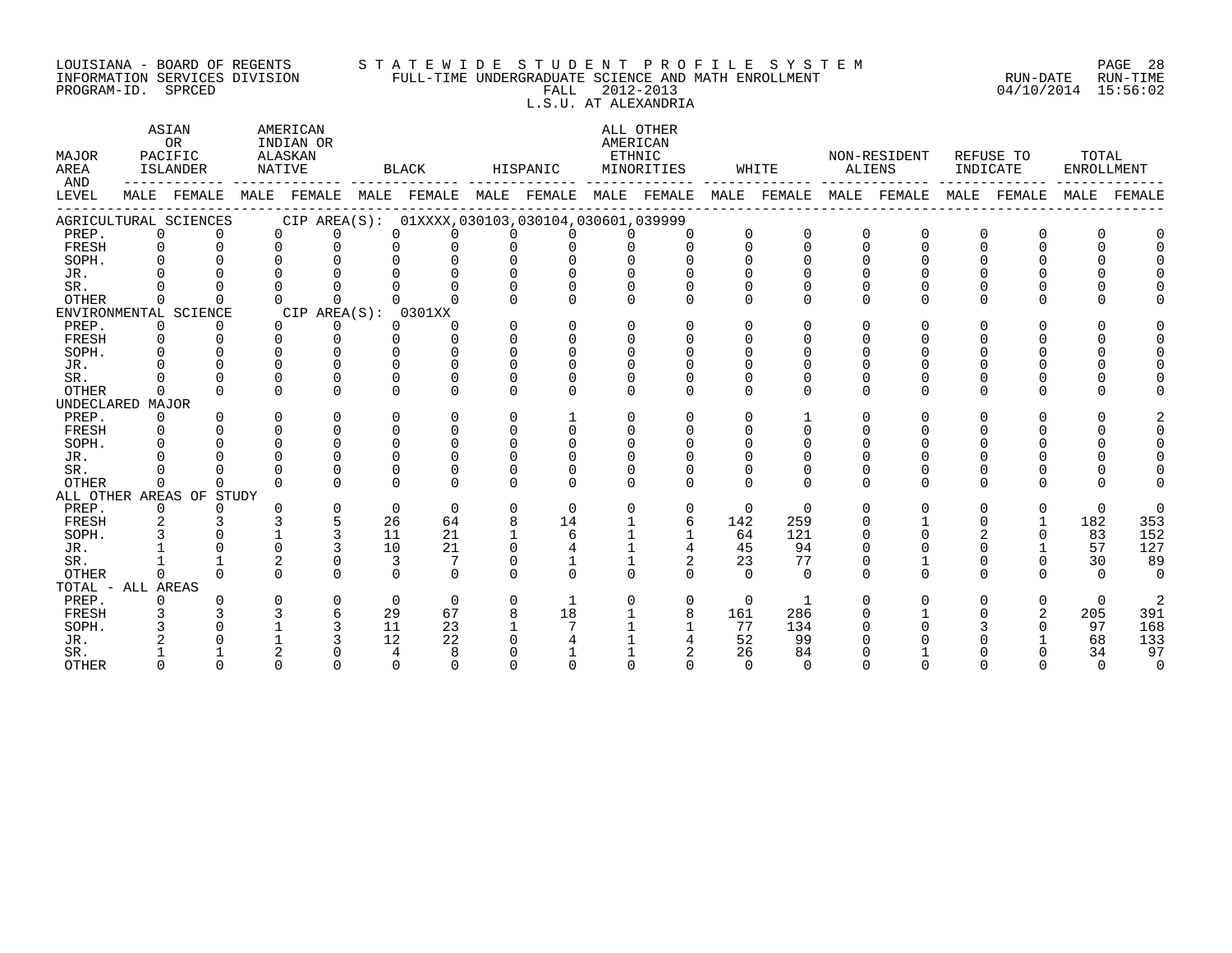#### LOUISIANA - BOARD OF REGENTS S T A T E W I D E S T U D E N T P R O F I L E S Y S T E M PAGE 28 INFORMATION SERVICES DIVISION FULL-TIME UNDERGRADUATE SCIENCE AND MATH ENROLLMENT RUN-DATE RUN-TIME PROGRAM-ID. SPRCED FALL 2012-2013 04/10/2014 15:56:02 L.S.U. AT ALEXANDRIA

ASTAN AMERICAN AMERICAN ALL OTHER OR INDIAN OR **INDIAN OR** AMERICAN MAJOR PACIFIC ALASKAN ETHNIC NON-RESIDENT REFUSE TO TOTAL AREA ISLANDER NATIVE BLACK HISPANIC MINORITIES WHITE ALIENS INDICATE ENROLLMENT AND ------------ ------------- ------------- ------------- ------------- ------------- ------------- ------------- ------------- LEVEL MALE FEMALE MALE FEMALE MALE FEMALE MALE FEMALE MALE FEMALE MALE FEMALE MALE FEMALE MALE FEMALE MALE FEMALE ------------------------------------------------------------------------------------------------------------------------------------ AGRICULTURAL SCIENCES CIP AREA(S): 01XXXX,030103,030104,030601,039999<br>PREP. 0 0 0 0 0 0 0 0 0 0 0 PREP. 0 0 0 0 0 0 0 0 0 0 0 0 0 0 0 0 0 0 FRESH 0 0 0 0 0 0 0 0 0 0 0 0 0 0 0 0 0 0 SOPH. 0 0 0 0 0 0 0 0 0 0 0 0 0 0 0 0 0 0 JR. 0 0 0 0 0 0 0 0 0 0 0 0 0 0 0 0 0 0 SR. 0 0 0 0 0 0 0 0 0 0 0 0 0 0 0 0 0 0 OTHER 0 0 0 0 0 0 0 0 0 0 0 0 0 0 0 0 0 0 ENVIRONMENTAL SCIENCE CIP AREA(S): 0301XX<br>
PREP. 0 0 0 0 0 0 PREP. 0 0 0 0 0 0 0 0 0 0 0 0 0 0 0 0 0 0 FRESH 0 0 0 0 0 0 0 0 0 0 0 0 0 0 0 0 0 0 SOPH. 0 0 0 0 0 0 0 0 0 0 0 0 0 0 0 0 0 0 JR. 0 0 0 0 0 0 0 0 0 0 0 0 0 0 0 0 0 0 SR. 0 0 0 0 0 0 0 0 0 0 0 0 0 0 0 0 0 0 OTHER 0 0 0 0 0 0 0 0 0 0 0 0 0 0 0 0 0 0 UNDECLARED MAJOR PREP. 0 0 0 0 0 0 0 1 0 0 0 1 0 0 0 0 0 2 FRESH 0 0 0 0 0 0 0 0 0 0 0 0 0 0 0 0 0 0 SOPH. 0 0 0 0 0 0 0 0 0 0 0 0 0 0 0 0 0 0 JR. 0 0 0 0 0 0 0 0 0 0 0 0 0 0 0 0 0 0 SR. 0 0 0 0 0 0 0 0 0 0 0 0 0 0 0 0 0 0 OTHER 0 0 0 0 0 0 0 0 0 0 0 0 0 0 0 0 0 0 ALL OTHER AREAS OF STUDY PREP. 0 0 0 0 0 0 0 0 0 0 0 0 0 0 0 0 0 0 FRESH 2 3 3 5 26 64 8 14 1 6 142 259 0 1 0 1 182 353 SOPH. 3 0 1 3 11 21 1 6 1 1 64 121 0 0 2 0 83 152 JR. 1 0 0 3 10 21 0 4 1 4 45 94 0 0 0 1 57 127 SR. 1 1 2 0 3 7 0 1 1 2 23 77 0 1 0 0 30 89 OTHER 0 0 0 0 0 0 0 0 0 0 0 0 0 0 0 0 0 0 TOTAL - ALL AREAS PREP. 0 0 0 0 0 0 0 1 0 0 0 1 0 0 0 0 0 2 FRESH 3 3 3 6 29 67 8 18 1 8 161 286 0 1 0 2 205 391 SOPH. 3 0 1 3 11 23 1 7 1 1 77 134 0 0 3 0 97 168 JR. 2 0 1 3 12 22 0 4 1 4 52 99 0 0 0 1 68 133 SR. 1 1 2 0 4 8 0 1 1 2 26 84 0 1 0 0 34 97 OTHER 0 0 0 0 0 0 0 0 0 0 0 0 0 0 0 0 0 0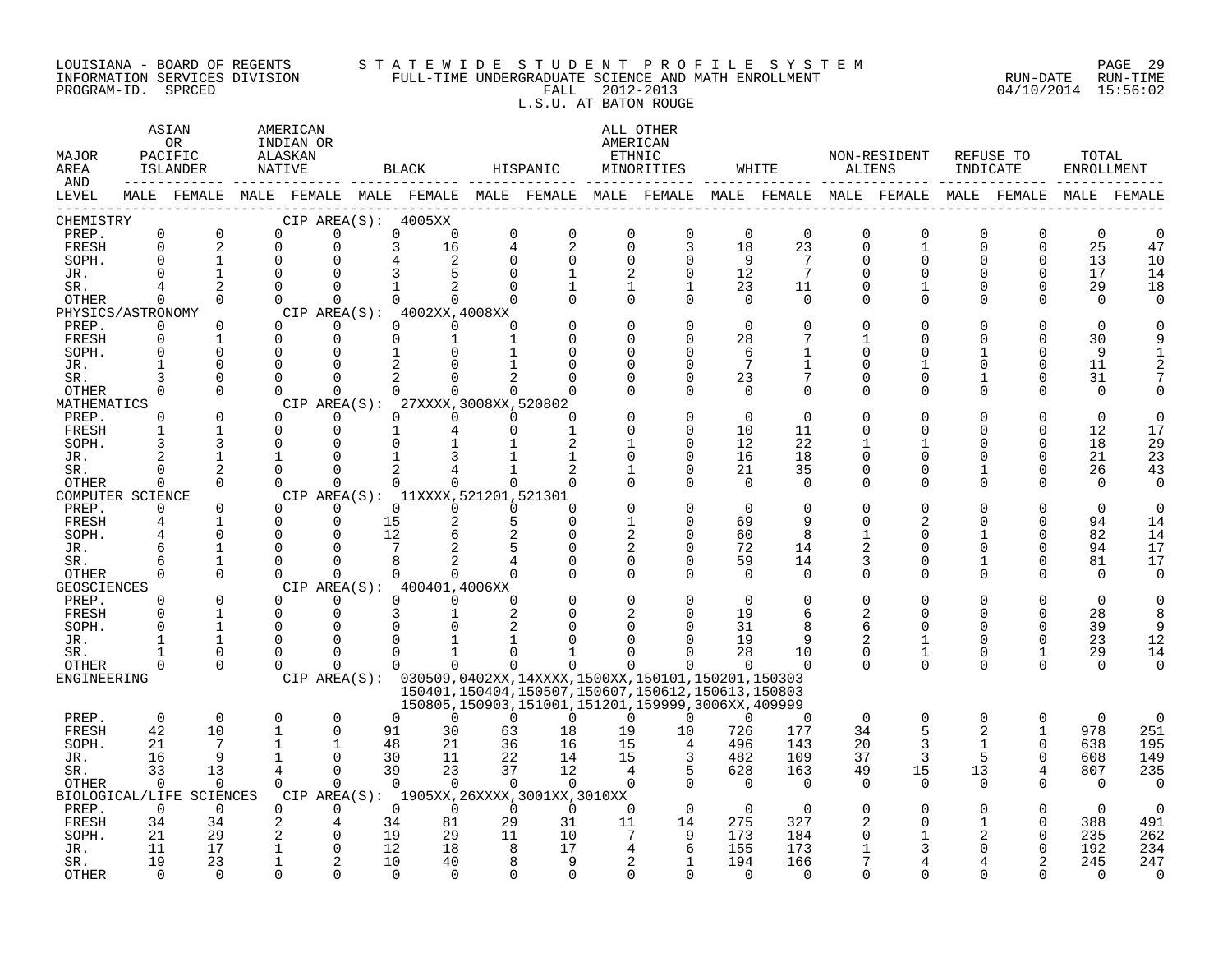#### LOUISIANA - BOARD OF REGENTS S T A T E W I D E S T U D E N T P R O F I L E S Y S T E M PAGE 29 INFORMATION SERVICES DIVISION FULL-TIME UNDERGRADUATE SCIENCE AND MATH ENROLLMENT RUN-DATE RUN-TIME PROGRAM-ID. SPRCED FALL 2012-2013 04/10/2014 15:56:02 L.S.U. AT BATON ROUGE

ASTAN AMERICAN AMERICAN ALL OTHER OR INDIAN OR **INDIAN OR** AMERICAN MAJOR PACIFIC ALASKAN ETHNIC NON-RESIDENT REFUSE TO TOTAL AREA ISLANDER NATIVE BLACK HISPANIC MINORITIES WHITE ALIENS INDICATE ENROLLMENT AND  $\cdots$ AND ------------ ------------- ------------- ------------- ------------- ------------- ------------- ------------- ------------- LEVEL MALE FEMALE MALE FEMALE MALE FEMALE MALE FEMALE MALE FEMALE MALE FEMALE MALE FEMALE MALE FEMALE MALE FEMALE ------------------------------------------------------------------------------------------------------------------------------------ CHEMISTRY CIP AREA(S): 4005XX PREP. 0 0 0 0 0 0 0 0 0 0 0 0 0 0 0 0 0 0 FRESH 0 2 0 0 3 16 4 2 0 3 18 23 0 1 0 0 25 47 SOPH. 0 1 0 0 4 2 0 0 0 0 9 7 0 0 0 0 13 10 JR. 0 1 0 0 3 5 0 1 2 0 12 7 0 0 0 0 17 14 SR. 4 2 0 0 1 2 0 1 1 1 23 11 0 1 0 0 29 18 OTHER 0 0 0 0 0 0 0 0 0 0 0 0 0 0 0 0 0 0 PHYSICS/ASTRONOMY CIP AREA(S): 4002XX,4008XX<br>
PREP. 0 0 0 0 0 0 PREP. 0 0 0 0 0 0 0 0 0 0 0 0 0 0 0 0 0 0 FRESH 0 1 0 0 0 1 1 0 0 0 28 7 1 0 0 0 30 9 SOPH. 0 0 0 0 1 0 1 0 0 0 6 1 0 0 1 0 9 1 JR. 1 0 0 0 2 0 1 0 0 0 7 1 0 1 0 0 11 2 SR. 3 0 0 0 2 0 2 0 0 0 23 7 0 0 1 0 31 7 OTHER 0 0 0 0 0 0 0 0 0 0 0 0 0 0 0 0 0 0 MATHEMATICS CIP AREA(S): 27XXXX,3008XX,520802<br>
PREP. 0 0 0 0 0 0 0 0 PREP. 0 0 0 0 0 0 0 0 0 0 0 0 0 0 0 0 0 0 FRESH 1 1 0 0 1 4 0 1 0 0 10 11 0 0 0 0 12 17 SOPH. 3 3 0 0 0 1 1 2 1 0 12 22 1 1 0 0 18 29 JR. 2 1 1 0 1 3 1 1 0 0 16 18 0 0 0 0 21 23 SR. 0 2 0 0 2 4 1 2 1 0 21 35 0 0 1 0 26 43 OTHER 0 0 0 0 0 0 0 0 0 0 0 0 0 0 0 0 0 0 COMPUTER SCIENCE CIP AREA(S): 11XXXX,521201,521301<br>
PREP. 0 0 0 0 0 0 0 PREP. 0 0 0 0 0 0 0 0 0 0 0 0 0 0 0 0 0 0 FRESH 4 1 0 0 15 2 5 0 1 0 69 9 0 2 0 0 94 14 SOPH. 4 0 0 0 12 6 2 0 2 0 60 8 1 0 1 0 82 14 JR. 6 1 0 0 7 2 5 0 2 0 72 14 2 0 0 0 94 17 SR. 6 1 0 0 8 2 4 0 0 0 59 14 3 0 1 0 81 17 OTHER 0 0 0 0 0 0 0 0 0 0 0 0 0 0 0 0 0 0 GEOSCIENCES CIPAREA(S): 400401,4006XX<br>
PREP. 0 0 0 0 0 0 PREP. 0 0 0 0 0 0 0 0 0 0 0 0 0 0 0 0 0 0 FRESH 0 1 0 0 3 1 2 0 2 0 19 6 2 0 0 0 28 8 SOPH. 0 1 0 0 0 0 2 0 0 0 31 8 6 0 0 0 39 9 JR. 1 1 0 0 0 1 1 0 0 0 19 9 2 1 0 0 23 12 SR. 1 0 0 0 0 1 0 1 0 0 28 10 0 1 0 1 29 14 OTHER 0 0 0 0 0 0 0 0 0 0 0 0 0 0 0 0 0 0 ENGINEERING CIP AREA(S): 030509,0402XX,14XXXX,1500XX,150101,150201,150303 150401,150404,150507,150607,150612,150613,150803 150805,150903,151001,151201,159999,3006XX,409999 PREP. 0 0 0 0 0 0 0 0 0 0 0 0 0 0 0 0 0 0 FRESH 42 10 1 0 91 30 63 18 19 10 726 177 34 5 2 1 978 251 SOPH. 21 7 1 1 48 21 36 16 15 4 496 143 20 3 1 0 638 195 JR. 16 9 1 0 30 11 22 14 15 3 482 109 37 3 5 0 608 149 SR. 33 13 4 0 39 23 37 12 4 5 628 163 49 15 13 4 807 235 OTHER 0 0 0 0 0 0 0 0 0 0 0 0 0 0 0 0 0 0 BIOLOGICAL/LIFE SCIENCES CIP AREA(S): 1905XX,26XXXX,3001XX,3010XX PREP. 0 0 0 0 0 0 0 0 0 0 0 0 0 0 0 0 0 0 FRESH 34 34 2 4 34 81 29 31 11 14 275 327 2 0 1 0 388 491 SOPH. 21 29 2 0 19 29 11 10 7 9 173 184 0 1 2 0 235 262 JR. 11 17 1 0 12 18 8 17 4 6 155 173 1 3 0 0 192 234 SR. 19 23 1 2 10 40 8 9 2 1 194 166 7 4 4 2 245 247 OTHER 0 0 0 0 0 0 0 0 0 0 0 0 0 0 0 0 0 0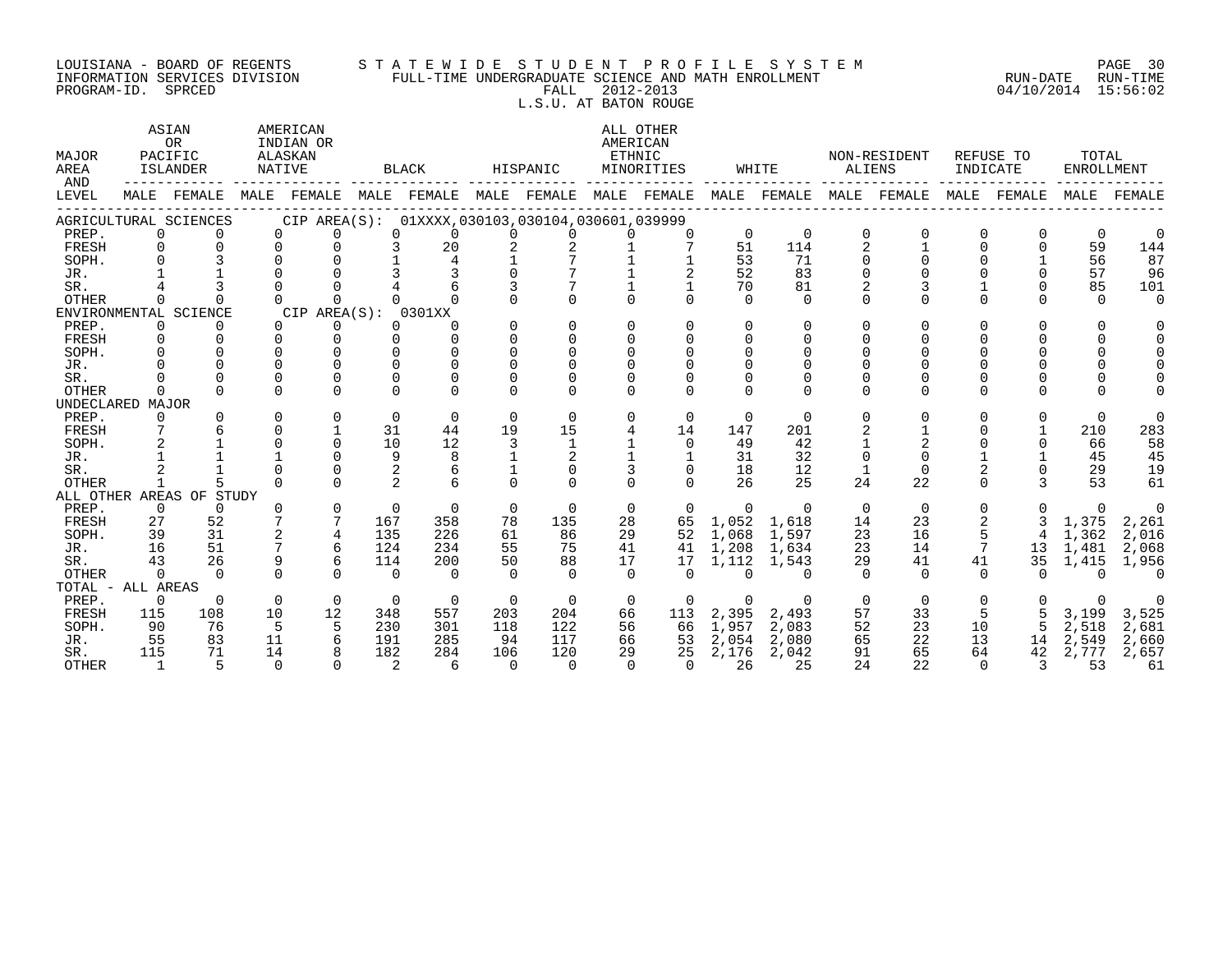#### LOUISIANA – BOARD OF REGENTS STA TE WID E S TU D E N T P R O F I L E S Y S T E M PAGE 30 INFORMATION SERVICES DIVISION FULL-TIME UNDERGRADUATE SCIENCE AND MATH ENROLLMENT RUN-DATE RUN-TIME PROGRAM-ID. SPRCED FALL 2012-2013 04/10/2014 15:56:02 L.S.U. AT BATON ROUGE

ASTAN AMERICAN AMERICAN ALL OTHER OR INDIAN OR **INDIAN OR** AMERICAN MAJOR PACIFIC ALASKAN ETHNIC NON-RESIDENT REFUSE TO TOTAL AREA ISLANDER NATIVE BLACK HISPANIC MINORITIES WHITE ALIENS INDICATE ENROLLMENT AND ------------ ------------- ------------- ------------- ------------- ------------- ------------- ------------- ------------- LEVEL MALE FEMALE MALE FEMALE MALE FEMALE MALE FEMALE MALE FEMALE MALE FEMALE MALE FEMALE MALE FEMALE MALE FEMALE ------------------------------------------------------------------------------------------------------------------------------------ AGRICULTURAL SCIENCES CIP AREA(S): 01XXXX,030103,030104,030601,039999 PREP. 0 0 0 0 0 0 0 0 0 0 0 0 0 0 0 0 0 0 FRESH 0 0 0 0 3 20 2 2 1 7 51 114 2 1 0 0 59 144 SOPH. 0 3 0 0 1 4 1 7 1 1 53 71 0 0 0 1 56 87 JR. 1 1 0 0 3 3 0 7 1 2 52 83 0 0 0 0 57 96 SR. 4 3 0 0 4 6 3 7 1 1 70 81 2 3 1 0 85 101 OTHER 0 0 0 0 0 0 0 0 0 0 0 0 0 0 0 0 0 0 ENVIRONMENTAL SCIENCE CIP AREA(S): 0301XX PREP. 0 0 0 0 0 0 0 0 0 0 0 0 0 0 0 0 0 0 FRESH 0 0 0 0 0 0 0 0 0 0 0 0 0 0 0 0 0 0 SOPH. 0 0 0 0 0 0 0 0 0 0 0 0 0 0 0 0 0 0 JR. 0 0 0 0 0 0 0 0 0 0 0 0 0 0 0 0 0 0 SR. 0 0 0 0 0 0 0 0 0 0 0 0 0 0 0 0 0 0 OTHER 0 0 0 0 0 0 0 0 0 0 0 0 0 0 0 0 0 0 UNDECLARED MAJOR PREP. 0 0 0 0 0 0 0 0 0 0 0 0 0 0 0 0 0 0 FRESH 7 6 0 1 31 44 19 15 4 14 147 201 2 1 0 1 210 283 SOPH. 2 1 0 0 10 12 3 1 1 0 49 42 1 2 0 0 66 58 JR. 1 1 1 0 9 8 1 2 1 1 31 32 0 0 1 1 45 45 SR. 2 1 0 0 2 6 1 0 3 0 18 12 1 0 2 0 29 19 OTHER 1 5 0 0 2 6 0 0 0 0 26 25 24 22 0 3 53 61 ALL OTHER AREAS OF STUDY PREP. 0 0 0 0 0 0 0 0 0 0 0 0 0 0 0 0 0 0 FRESH 27 52 7 7 167 358 78 135 28 65 1,052 1,618 14 23 2 3 1,375 2,261 SOPH. 39 31 2 4 135 226 61 86 29 52 1,068 1,597 23 16 5 4 1,362 2,016 JR. 16 51 7 6 124 234 55 75 41 41 1,208 1,634 23 14 7 13 1,481 2,068 SR. 43 26 9 6 114 200 50 88 17 17 1,112 1,543 29 41 41 35 1,415 1,956 OTHER 0 0 0 0 0 0 0 0 0 0 0 0 0 0 0 0 0 0 TOTAL - ALL AREAS PREP. 0 0 0 0 0 0 0 0 0 0 0 0 0 0 0 0 0 0 FRESH 115 108 10 12 348 557 203 204 66 113 2,395 2,493 57 33 5 5 3,199 3,525 SOPH. 90 76 5 5 230 301 118 122 56 66 1,957 2,083 52 23 10 5 2,518 2,681 JR. 55 83 11 6 191 285 94 117 66 53 2,054 2,080 65 22 13 14 2,549 2,660 SR. 115 71 14 8 182 284 106 120 29 25 2,176 2,042 91 65 64 42 2,777 2,657 OTHER 1 5 0 0 2 6 0 0 0 0 26 25 24 22 0 3 53 61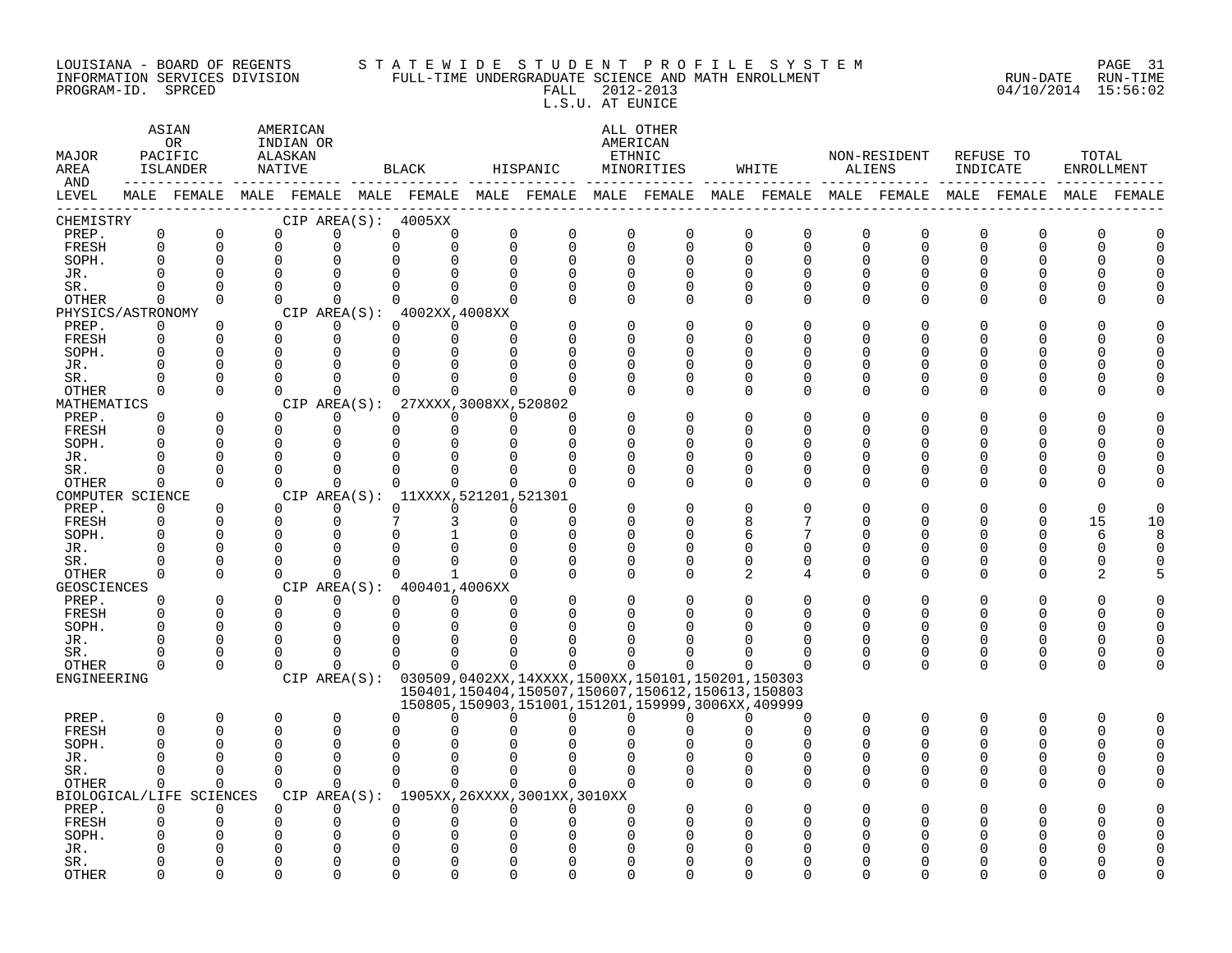#### LOUISIANA – BOARD OF REGENTS STA TE WID E S TU D E N T P R O F I L E S Y S T E M PAGE 31 INFORMATION SERVICES DIVISION FULL-TIME UNDERGRADUATE SCIENCE AND MATH ENROLLMENT RUN-DATE RUN-TIME PROGRAM-ID. SPRCED FALL 2012-2013 04/10/2014 15:56:02 L.S.U. AT EUNICE

| MAJOR<br>AREA<br>AND |                      | ASIAN<br>OR<br>PACIFIC<br><b>ISLANDER</b> |                      | AMERICAN<br>INDIAN OR<br>ALASKAN<br>NATIVE |                                                               | BLACK                            |                                  | HISPANIC                                                                                                   |                          | ALL OTHER<br>AMERICAN<br>ETHNIC<br>MINORITIES | WHITE                                                                                                       | ALIENS        | NON-RESIDENT         | INDICATE      | REFUSE TO | TOTAL<br>ENROLLMENT |               |
|----------------------|----------------------|-------------------------------------------|----------------------|--------------------------------------------|---------------------------------------------------------------|----------------------------------|----------------------------------|------------------------------------------------------------------------------------------------------------|--------------------------|-----------------------------------------------|-------------------------------------------------------------------------------------------------------------|---------------|----------------------|---------------|-----------|---------------------|---------------|
| LEVEL                |                      |                                           |                      |                                            |                                                               |                                  |                                  |                                                                                                            |                          |                                               | MALE FEMALE MALE FEMALE MALE FEMALE MALE FEMALE MALE FEMALE MALE FEMALE MALE FEMALE MALE FEMALE MALE FEMALE |               |                      |               |           |                     |               |
| CHEMISTRY            |                      |                                           |                      |                                            | CIP AREA(S): 4005XX                                           |                                  |                                  |                                                                                                            |                          |                                               |                                                                                                             |               |                      |               |           |                     |               |
| PREP.                | $\mathbf 0$          | 0                                         | $\Omega$             |                                            | $\Omega$                                                      | $\Omega$<br>$\Omega$             | $\mathbf 0$                      | $\mathbf 0$                                                                                                | $\Omega$                 | $\mathbf 0$                                   | 0<br>$\Omega$                                                                                               | $\Omega$      | $\Omega$             | U             | O         | U                   | $\cap$        |
| FRESH                | $\Omega$             | $\Omega$                                  | $\Omega$             |                                            | $\Omega$                                                      | $\Omega$<br>$\Omega$             |                                  | $\Omega$<br>$\Omega$                                                                                       | $\Omega$                 | $\Omega$                                      | $\Omega$<br>$\Omega$                                                                                        | $\Omega$      | $\Omega$             | $\Omega$      | $\Omega$  | $\Omega$            | $\Omega$      |
| SOPH.                | $\Omega$             | $\Omega$                                  | $\Omega$             |                                            | $\Omega$                                                      | $\Omega$<br>U                    |                                  | $\Omega$<br>$\mathbf 0$                                                                                    | $\mathbf 0$              | $\Omega$                                      | $\Omega$<br>$\Omega$                                                                                        | $\Omega$      | $\Omega$             | O             | U         | $\Omega$            | $\Omega$      |
| JR.                  | 0                    | $\Omega$                                  | $\Omega$<br>$\Omega$ |                                            | $\Omega$                                                      | $\Omega$                         | $\Omega$                         | $\Omega$                                                                                                   | $\Omega$                 | $\Omega$                                      | U<br><sup>0</sup>                                                                                           | $\Omega$      | U                    | O<br>$\Omega$ | O         | U<br>O              |               |
| SR.<br><b>OTHER</b>  | O<br>0               | $\Omega$<br>$\Omega$                      | $\Omega$             |                                            | $\Omega$<br>$\Omega$                                          | $\Omega$<br>$\Omega$             | $\Omega$<br>0<br>$\Omega$        | 0<br>$\Omega$                                                                                              | 0<br>$\Omega$            | 0<br>$\Omega$                                 | 0<br>0<br>$\Omega$<br>$\Omega$                                                                              | 0<br>$\Omega$ | $\Omega$<br>$\Omega$ | O             | U         | U                   |               |
| PHYSICS/ASTRONOMY    |                      |                                           |                      |                                            | CIP AREA $(S):$ 4002XX, 4008XX                                |                                  |                                  |                                                                                                            |                          |                                               |                                                                                                             |               |                      |               |           |                     |               |
| PREP.                | 0                    | $\Omega$                                  | $\Omega$             |                                            | $\Omega$                                                      | $\Omega$                         | $\Omega$<br>0                    |                                                                                                            | $\Omega$                 | O                                             | $\Omega$<br>O                                                                                               | 0             |                      |               |           |                     |               |
| FRESH                | $\Omega$             | $\Omega$                                  | $\Omega$             |                                            | $\Omega$                                                      | $\Omega$                         | $\Omega$<br>$\Omega$             | $\Omega$                                                                                                   | $\Omega$                 | $\Omega$                                      | U<br>$\Omega$                                                                                               | $\Omega$      |                      | ∩             | ∩         | U                   |               |
| SOPH.                | 0                    | $\mathbf 0$                               | ∩                    |                                            | $\Omega$                                                      | U<br>U                           | $\cap$                           | 0                                                                                                          | $\Omega$                 | $\Omega$                                      | U<br>O                                                                                                      | 0             | ∩                    | O             | U         | C                   | $\cap$        |
| JR.                  | 0                    | $\Omega$                                  | U                    |                                            |                                                               |                                  |                                  | $\Omega$                                                                                                   | $\Omega$                 | $\Omega$                                      | ∩<br><sup>0</sup>                                                                                           | O             |                      | ∩             | ∩         | U                   |               |
| SR.                  | 0                    | $\Omega$                                  | ∩                    |                                            |                                                               |                                  |                                  |                                                                                                            | $\Omega$                 | 0                                             | O<br>0                                                                                                      | 0             | U                    | U             | U         | C                   |               |
| OTHER                | 0                    | $\Omega$                                  | $\Omega$             |                                            | $\Omega$                                                      |                                  | 0<br>$\Omega$                    | $\cap$                                                                                                     | $\Omega$                 | $\Omega$                                      | U<br><sup>0</sup>                                                                                           | 0             | $\Omega$             | O             | O         | U                   |               |
| MATHEMATICS          |                      |                                           |                      |                                            | CIP AREA(S):                                                  |                                  | 27XXXX, 3008XX, 520802           |                                                                                                            |                          | $\Omega$                                      | O                                                                                                           | $\Omega$      |                      |               |           |                     |               |
| PREP.<br>FRESH       | 0<br>$\Omega$        | 0<br>$\Omega$                             | $\Omega$<br>$\Omega$ |                                            | $\Omega$<br>$\Omega$                                          | $\Omega$<br>$\Omega$<br>$\Omega$ | $\Omega$<br>$\Omega$<br>$\Omega$ | $\Omega$<br>$\Omega$                                                                                       | <sup>0</sup>             | $\Omega$                                      | O<br>U<br><sup>0</sup>                                                                                      | $\Omega$      | O                    | U<br>U        | U         | O<br>O              | $\cap$        |
| SOPH.                | $\Omega$             | $\Omega$                                  | $\Omega$             |                                            | $\Omega$                                                      | $\Omega$                         | $\Omega$                         | $\Omega$                                                                                                   | <sup>0</sup>             | $\Omega$                                      | $\Omega$<br>∩                                                                                               | $\Omega$      |                      | ∩             |           | O                   | $\cap$        |
| JR.                  | U                    | $\Omega$                                  | $\Omega$             |                                            | $\Omega$                                                      | U                                |                                  | n                                                                                                          | $\Omega$                 | O                                             | U<br><sup>0</sup>                                                                                           | 0             | ∩                    | ∩             | U         | ∩                   |               |
| SR.                  | U                    | $\Omega$                                  | $\Omega$             |                                            | $\Omega$                                                      | U<br>O                           | $\cap$                           | $\Omega$                                                                                                   | $\Omega$                 | 0                                             | 0<br>$\Omega$                                                                                               | 0             | $\Omega$             | $\Omega$      | $\Omega$  | $\Omega$            |               |
| <b>OTHER</b>         | 0                    | $\Omega$                                  | $\Omega$             |                                            | $\Omega$                                                      | <sup>0</sup>                     | 0<br>$\Omega$                    | $\Omega$                                                                                                   | $\Omega$                 | $\Omega$                                      | 0<br>$\Omega$                                                                                               | $\Omega$      | $\Omega$             | O             | O         | $\Omega$            | $\cap$        |
| COMPUTER SCIENCE     |                      |                                           |                      |                                            | CIP AREA(S): 11XXXX, 521201, 521301                           |                                  |                                  |                                                                                                            |                          |                                               |                                                                                                             |               |                      |               |           |                     |               |
| PREP.                | $\Omega$             | $\Omega$                                  | $\Omega$             |                                            | $\Omega$                                                      | $\Omega$                         | 0                                | $\Omega$<br>$\Omega$                                                                                       |                          | $\Omega$                                      | O                                                                                                           | $\Omega$      |                      | U             | U         | $\Omega$            |               |
| FRESH                | 0                    | $\Omega$                                  | $\Omega$             |                                            | $\Omega$                                                      |                                  | 0<br>3                           | 0                                                                                                          | <sup>0</sup>             | $\Omega$                                      | 7<br>8                                                                                                      | 0             | O                    | O             | O         | 15                  | 10            |
| SOPH.                | $\Omega$<br>$\Omega$ | $\Omega$<br>$\Omega$                      | ∩                    |                                            |                                                               |                                  | $\Omega$<br>O                    | $\Omega$                                                                                                   | $\Omega$<br><sup>0</sup> | $\Omega$<br>O                                 | 6<br>O<br>O                                                                                                 | O             | O                    | U<br>∩        | U<br>∩    | 6<br>$\Omega$       | 8<br>$\Omega$ |
| JR.<br>SR.           | 0                    | $\Omega$                                  | $\Omega$             |                                            | n                                                             |                                  | $\cap$                           | $\Omega$<br>0                                                                                              | 0                        | $\mathbf 0$                                   | 0<br>0                                                                                                      | $\Omega$<br>0 | O                    | U             | U         | $\Omega$            | $\cap$        |
| <b>OTHER</b>         | 0                    | $\Omega$                                  | $\cap$               |                                            | $\cap$                                                        | U<br>$\mathbf{1}$                | $\cap$                           | $\Omega$                                                                                                   | $\Omega$                 | $\Omega$                                      | 2<br>4                                                                                                      | $\Omega$      | $\Omega$             | U             | U         | 2                   |               |
| GEOSCIENCES          |                      |                                           |                      |                                            | CIP AREA(S): 400401,4006XX                                    |                                  |                                  |                                                                                                            |                          |                                               |                                                                                                             |               |                      |               |           |                     |               |
| PREP.                | $\Omega$             | $\Omega$                                  | $\Omega$             |                                            | $\Omega$                                                      | $\Omega$                         | 0<br>$\Omega$                    |                                                                                                            | $\Omega$                 | $\Omega$                                      | O                                                                                                           | $\Omega$      | O                    | U             | U         | C                   |               |
| FRESH                | $\Omega$             | $\Omega$                                  | $\Omega$             |                                            | 0                                                             | $\Omega$                         | 0<br>$\Omega$                    | $\Omega$                                                                                                   | <sup>0</sup>             | $\Omega$                                      | U<br><sup>0</sup>                                                                                           | $\Omega$      | $\Omega$             | O             | O         | $\Omega$            | $\cap$        |
| SOPH.                | $\Omega$             | $\Omega$                                  | $\Omega$             |                                            | $\Omega$                                                      |                                  |                                  |                                                                                                            |                          | ∩                                             | N                                                                                                           | $\Omega$      |                      | U             | U         | $\Omega$            | $\Omega$      |
| JR.                  | $\Omega$             | $\Omega$                                  | $\Omega$             |                                            | $\Omega$                                                      |                                  |                                  |                                                                                                            |                          |                                               | O                                                                                                           | 0             | O                    | O             | $\Omega$  | 0                   | $\Omega$      |
| SR.                  | O                    | 0                                         | $\Omega$             |                                            | $\Omega$                                                      | <sup>0</sup>                     |                                  |                                                                                                            |                          | ∩                                             | 0                                                                                                           | 0             | $\mathbf 0$          | 0             | 0         | 0                   | $\Omega$      |
| <b>OTHER</b>         | 0                    | $\Omega$                                  | $\Omega$             |                                            | $\Omega$                                                      | <sup>0</sup>                     | 0<br>∩                           | ∩                                                                                                          | ∩                        |                                               | ∩                                                                                                           | $\Omega$      | $\Omega$             | $\Omega$      | $\Omega$  | $\Omega$            | $\Omega$      |
| ENGINEERING          |                      |                                           |                      |                                            | CIP AREA(S): 030509,0402XX,14XXXX,1500XX,150101,150201,150303 |                                  |                                  | 150401, 150404, 150507, 150607, 150612, 150613, 150803<br>150805,150903,151001,151201,159999,3006XX,409999 |                          |                                               |                                                                                                             |               |                      |               |           |                     |               |
| PREP.                | $\Omega$             | $\Omega$                                  | $\Omega$             |                                            | $\Omega$                                                      | $\Omega$                         | ∩<br>∩                           | $\Omega$                                                                                                   | 0                        | O                                             | O<br>O                                                                                                      | $\Omega$      | $\Omega$             | $\Omega$      | 0         | $\Omega$            | U             |
| FRESH                | $\Omega$             | $\Omega$                                  | $\Omega$             |                                            | $\Omega$                                                      | U                                |                                  |                                                                                                            |                          |                                               | <sup>0</sup>                                                                                                | $\Omega$      | $\Omega$             | O             | 0         | $\Omega$            | $\Omega$      |
| SOPH.                | 0                    | O                                         | O                    |                                            |                                                               |                                  |                                  |                                                                                                            |                          |                                               | <sup>0</sup>                                                                                                | 0             | O                    | O             | O         | $\Omega$            | $\cap$        |
| JR.                  | U                    | U                                         | ∩                    |                                            | ∩                                                             |                                  |                                  |                                                                                                            |                          |                                               | O                                                                                                           | $\Omega$      | ∩                    | O             | U         | $\Omega$            |               |
| SR.                  | 0                    | 0                                         | $\Omega$             |                                            | $\Omega$                                                      | $\Omega$<br>O                    | $\Omega$                         |                                                                                                            | <sup>0</sup>             | $\Omega$                                      | O<br>0                                                                                                      | 0             | 0                    | O             | O         | O                   |               |
| OTHER                | 0                    | $\Omega$                                  | $\Omega$             |                                            | $\Omega$                                                      | $\Omega$                         | 0                                | $\mathbf 0$<br>$\mathbf 0$                                                                                 | $\Omega$                 | $\cap$                                        | U<br>$\Omega$                                                                                               | 0             | ∩                    | ∩             | U         | U                   |               |
| PREP.                | 0                    | BIOLOGICAL/LIFE SCIENCES<br>$\Omega$      | $\Omega$             |                                            | CIP AREA(S):<br>$\Omega$                                      | $\Omega$                         | $\Omega$<br>0                    | 1905XX,26XXXX,3001XX,3010XX<br>$\Omega$                                                                    | <sup>0</sup>             | U                                             | O                                                                                                           | $\Omega$      |                      | U             | U         | C                   |               |
| FRESH                | $\Omega$             | $\Omega$                                  | $\Omega$             |                                            | $\Omega$                                                      | $\Omega$<br>U                    | $\cap$                           | $\Omega$                                                                                                   | $\Omega$                 | U                                             | O                                                                                                           | O             |                      |               | U         | C                   | $\cap$        |
| SOPH.                | 0                    | O                                         |                      |                                            | $\Omega$                                                      |                                  |                                  |                                                                                                            | <sup>0</sup>             | O                                             | ი                                                                                                           | O             |                      |               |           | O                   | n             |
| JR.                  |                      | $\Omega$                                  | $\Omega$             |                                            | <sup>0</sup>                                                  | O                                |                                  |                                                                                                            |                          | O                                             |                                                                                                             |               |                      |               |           |                     |               |
| SR.                  | 0                    | $\mathbf 0$                               | $\Omega$             |                                            | $\Omega$                                                      | 0<br>$\Omega$                    | $\Omega$                         | 0                                                                                                          | $\Omega$                 | 0                                             | O<br>O                                                                                                      | O             |                      |               |           | O                   |               |
| <b>OTHER</b>         | 0                    | $\Omega$                                  | $\Omega$             |                                            | $\Omega$                                                      | $\Omega$                         | $\Omega$<br>$\Omega$             | $\mathbf 0$                                                                                                | $\Omega$                 | $\Omega$                                      | $\Omega$<br>$\Omega$                                                                                        | $\mathbf 0$   | 0                    | ∩             | O         | O                   | ∩             |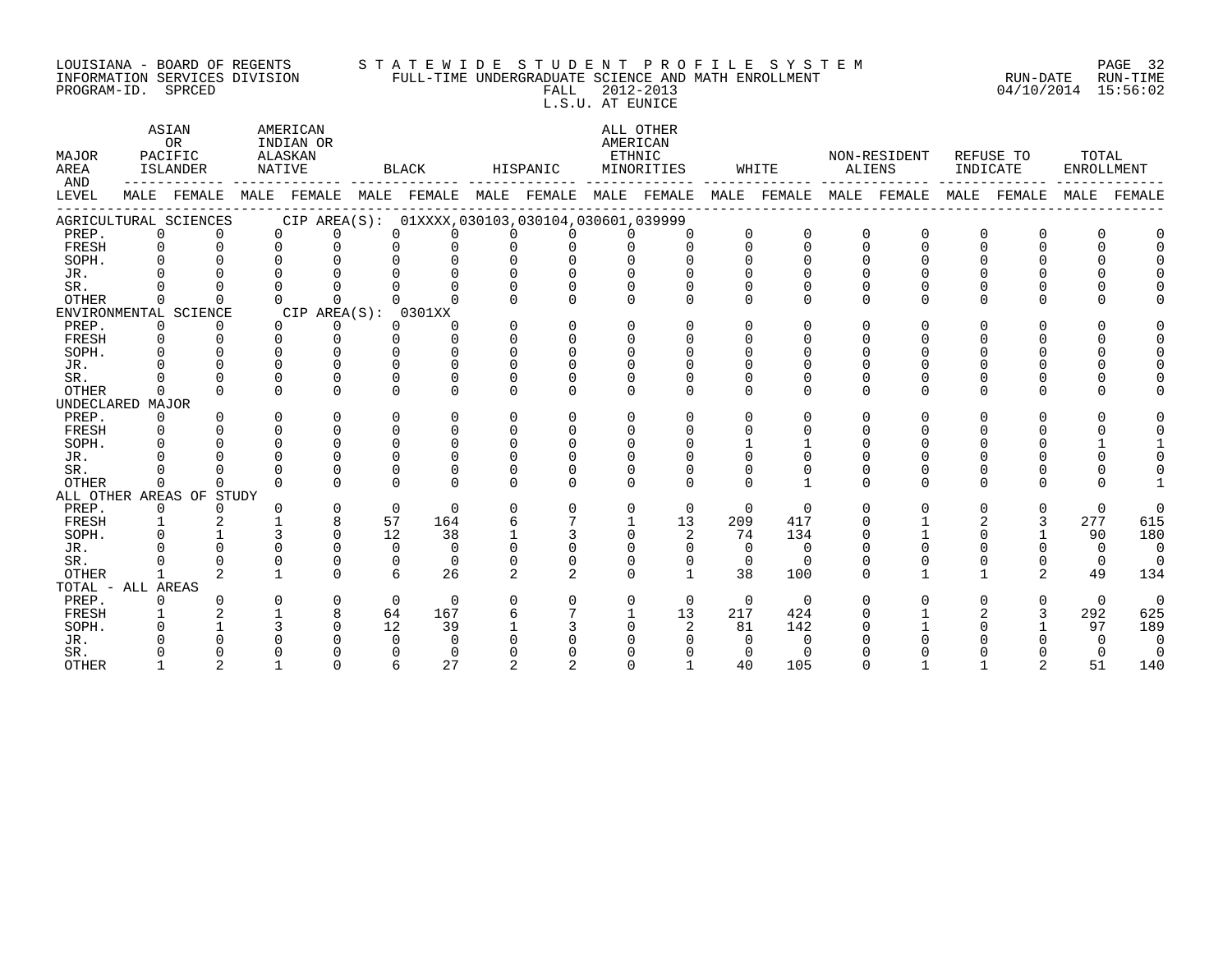#### LOUISIANA - BOARD OF REGENTS S T A T E W I D E S T U D E N T P R O F I L E S Y S T E M PAGE 32 INFORMATION SERVICES DIVISION FULL-TIME UNDERGRADUATE SCIENCE AND MATH ENROLLMENT RUN-DATE RUN-TIME PROGRAM-ID. SPRCED FALL 2012-2013 04/10/2014 15:56:02 L.S.U. AT EUNICE

ASIAN AMERICAN ALL OTHER OR INDIAN OR **INDIAN OR** AMERICAN MAJOR PACIFIC ALASKAN ETHNIC NON-RESIDENT REFUSE TO TOTAL AREA ISLANDER NATIVE BLACK HISPANIC MINORITIES WHITE ALIENS INDICATE ENROLLMENT AND ------------ ------------- ------------- ------------- ------------- ------------- ------------- ------------- ------------- LEVEL MALE FEMALE MALE FEMALE MALE FEMALE MALE FEMALE MALE FEMALE MALE FEMALE MALE FEMALE MALE FEMALE MALE FEMALE ------------------------------------------------------------------------------------------------------------------------------------ AGRICULTURAL SCIENCES CIP AREA(S): 01XXXX,030103,030104,030601,039999<br>PREP. 0 0 0 0 0 0 0 0 0 0 0 PREP. 0 0 0 0 0 0 0 0 0 0 0 0 0 0 0 0 0 0 FRESH 0 0 0 0 0 0 0 0 0 0 0 0 0 0 0 0 0 0 SOPH. 0 0 0 0 0 0 0 0 0 0 0 0 0 0 0 0 0 0 JR. 0 0 0 0 0 0 0 0 0 0 0 0 0 0 0 0 0 0 SR. 0 0 0 0 0 0 0 0 0 0 0 0 0 0 0 0 0 0 OTHER 0 0 0 0 0 0 0 0 0 0 0 0 0 0 0 0 0 0 ENVIRONMENTAL SCIENCE CIP AREA(S): 0301XX<br>
PREP. 0 0 0 0 0 0 PREP. 0 0 0 0 0 0 0 0 0 0 0 0 0 0 0 0 0 0 FRESH 0 0 0 0 0 0 0 0 0 0 0 0 0 0 0 0 0 0 SOPH. 0 0 0 0 0 0 0 0 0 0 0 0 0 0 0 0 0 0 JR. 0 0 0 0 0 0 0 0 0 0 0 0 0 0 0 0 0 0 SR. 0 0 0 0 0 0 0 0 0 0 0 0 0 0 0 0 0 0 OTHER 0 0 0 0 0 0 0 0 0 0 0 0 0 0 0 0 0 0 UNDECLARED MAJOR PREP. 0 0 0 0 0 0 0 0 0 0 0 0 0 0 0 0 0 0 FRESH 0 0 0 0 0 0 0 0 0 0 0 0 0 0 0 0 0 0 SOPH. 0 0 0 0 0 0 0 0 0 0 1 1 0 0 0 0 1 1 JR. 0 0 0 0 0 0 0 0 0 0 0 0 0 0 0 0 0 0 SR. 0 0 0 0 0 0 0 0 0 0 0 0 0 0 0 0 0 0 OTHER 0 0 0 0 0 0 0 0 0 0 0 1 0 0 0 0 0 1 ALL OTHER AREAS OF STUDY PREP. 0 0 0 0 0 0 0 0 0 0 0 0 0 0 0 0 0 0 FRESH 1 2 1 8 57 164 6 7 1 13 209 417 0 1 2 3 277 615 SOPH. 0 1 3 0 12 38 1 3 0 2 74 134 0 1 0 1 90 180 JR. 0 0 0 0 0 0 0 0 0 0 0 0 0 0 0 0 0 0 SR. 0 0 0 0 0 0 0 0 0 0 0 0 0 0 0 0 0 0 OTHER 1 2 1 0 6 26 2 2 0 1 38 100 0 1 1 2 49 134 TOTAL - ALL AREAS PREP. 0 0 0 0 0 0 0 0 0 0 0 0 0 0 0 0 0 0 FRESH 1 2 1 8 64 167 6 7 1 13 217 424 0 1 2 3 292 625 SOPH. 0 1 3 0 12 39 1 3 0 2 81 142 0 1 0 1 97 189 JR. 0 0 0 0 0 0 0 0 0 0 0 0 0 0 0 0 0 0 SR. 0 0 0 0 0 0 0 0 0 0 0 0 0 0 0 0 0 0 OTHER 1 2 1 0 6 27 2 2 0 1 40 105 0 1 1 2 51 140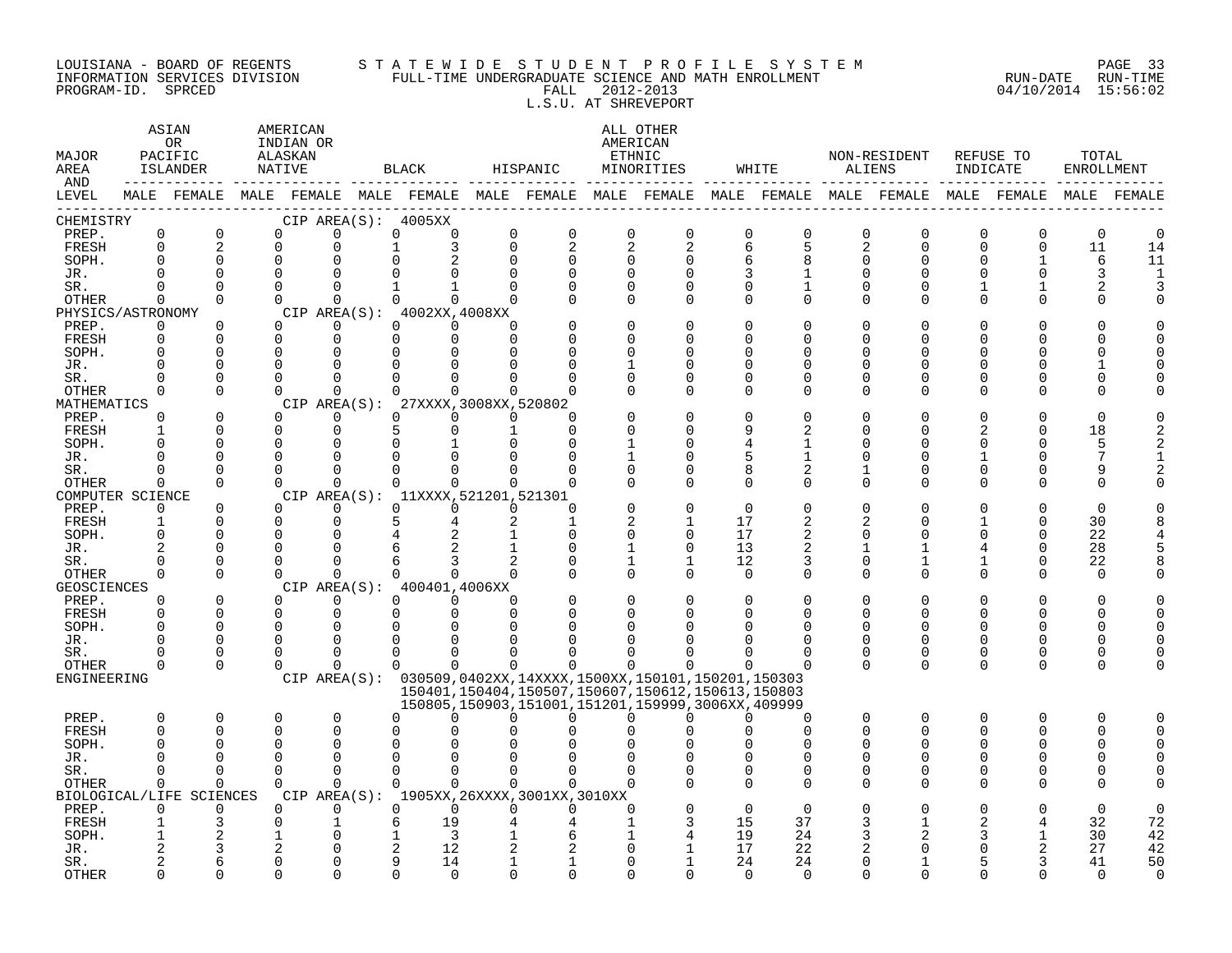#### LOUISIANA – BOARD OF REGENTS STA TE WID E STUDE N TPROFILE SYSTEM PAGE 33 INFORMATION SERVICES DIVISION FULL-TIME UNDERGRADUATE SCIENCE AND MATH ENROLLMENT RUN-DATE RUN-TIME EQUISIANA - BOARD OF REGENTS STATEWIDE STUDENI FROFILE SICILIANA - BOARD OF REGENTS STATE WILL-TIME UNDERGRADUATE SCIENCE AND MATH ENROLLMENT (RUN-DATE RUN-TIME PROGRAM-ID. SPRCED (15:56:02) L.S.U. AT SHREVEPORT

ASTAN AMERICAN AMERICAN ALL OTHER

OR INDIAN OR **INDIAN OR** AMERICAN MAJOR PACIFIC ALASKAN ETHNIC NON-RESIDENT REFUSE TO TOTAL AREA ISLANDER NATIVE BLACK HISPANIC MINORITIES WHITE ALIENS INDICATE ENROLLMENT AND ------------ ------------- ------------- ------------- ------------- ------------- ------------- ------------- ------------- LEVEL MALE FEMALE MALE FEMALE MALE FEMALE MALE FEMALE MALE FEMALE MALE FEMALE MALE FEMALE MALE FEMALE MALE FEMALE ------------------------------------------------------------------------------------------------------------------------------------ CHEMISTRY CIP AREA(S): 4005XX PREP. 0 0 0 0 0 0 0 0 0 0 0 0 0 0 0 0 0 0 FRESH 0 2 0 0 1 3 0 2 2 2 6 5 2 0 0 0 11 14 SOPH. 0 0 0 0 0 2 0 0 0 0 6 8 0 0 0 1 6 11 JR. 0 0 0 0 0 0 0 0 0 0 3 1 0 0 0 0 3 1 SR. 0 0 0 0 1 1 0 0 0 0 0 1 0 0 1 1 2 3 OTHER 0 0 0 0 0 0 0 0 0 0 0 0 0 0 0 0 0 0 PHYSICS/ASTRONOMY CIP AREA(S): 4002XX,4008XX<br>
PREP 0 0 0 0 0 0 0 PREP. 0 0 0 0 0 0 0 0 0 0 0 0 0 0 0 0 0 0 FRESH 0 0 0 0 0 0 0 0 0 0 0 0 0 0 0 0 0 0 SOPH. 0 0 0 0 0 0 0 0 0 0 0 0 0 0 0 0 0 0 JR. 0 0 0 0 0 0 0 0 1 0 0 0 0 0 0 0 1 0 SR. 0 0 0 0 0 0 0 0 0 0 0 0 0 0 0 0 0 0 OTHER 0 0 0 0 0 0 0 0 0 0 0 0 0 0 0 0 0 0 MATHEMATICS CIP AREA(S): 27XXXX,3008XX,520802<br>
PREP. 0 0 0 0 0 0 0 0 PREP. 0 0 0 0 0 0 0 0 0 0 0 0 0 0 0 0 0 0 FRESH 1 0 0 0 5 0 1 0 0 0 9 2 0 0 2 0 18 2 SOPH. 0 0 0 0 0 1 0 0 1 0 4 1 0 0 0 0 5 2 JR. 0 0 0 0 0 0 0 0 1 0 5 1 0 0 1 0 7 1 SR. 0 0 0 0 0 0 0 0 0 0 8 2 1 0 0 0 9 2 OTHER 0 0 0 0 0 0 0 0 0 0 0 0 0 0 0 0 0 0 COMPUTER SCIENCE CIP AREA(S): 11XXXX,521201,521301<br>
PREP. 0 0 0 0 0 0 0 PREP. 0 0 0 0 0 0 0 0 0 0 0 0 0 0 0 0 0 0 FRESH 1 0 0 0 5 4 2 1 2 1 17 2 2 0 1 0 30 8 SOPH. 0 0 0 0 4 2 1 0 0 0 17 2 0 0 0 0 22 4 JR. 2 0 0 0 6 2 1 0 1 0 13 2 1 1 4 0 28 5 SR. 0 0 0 0 6 3 2 0 1 1 12 3 0 1 1 0 22 8 OTHER 0 0 0 0 0 0 0 0 0 0 0 0 0 0 0 0 0 0 GEOSCIENCES CIPAREA(S): 400401,4006XX<br>
PREP. 0 0 0 0 0 0 PREP. 0 0 0 0 0 0 0 0 0 0 0 0 0 0 0 0 0 0 FRESH 0 0 0 0 0 0 0 0 0 0 0 0 0 0 0 0 0 0 SOPH. 0 0 0 0 0 0 0 0 0 0 0 0 0 0 0 0 0 0 JR. 0 0 0 0 0 0 0 0 0 0 0 0 0 0 0 0 0 0 SR. 0 0 0 0 0 0 0 0 0 0 0 0 0 0 0 0 0 0 OTHER 0 0 0 0 0 0 0 0 0 0 0 0 0 0 0 0 0 0 ENGINEERING CIP AREA(S): 030509,0402XX,14XXXX,1500XX,150101,150201,150303 150401,150404,150507,150607,150612,150613,150803 150805,150903,151001,151201,159999,3006XX,409999 PREP. 0 0 0 0 0 0 0 0 0 0 0 0 0 0 0 0 0 0 FRESH 0 0 0 0 0 0 0 0 0 0 0 0 0 0 0 0 0 0 SOPH. 0 0 0 0 0 0 0 0 0 0 0 0 0 0 0 0 0 0 JR. 0 0 0 0 0 0 0 0 0 0 0 0 0 0 0 0 0 0 SR. 0 0 0 0 0 0 0 0 0 0 0 0 0 0 0 0 0 0 OTHER 0 0 0 0 0 0 0 0 0 0 0 0 0 0 0 0 0 0 BIOLOGICAL/LIFE SCIENCES CIP AREA(S): 1905XX,26XXXX,3001XX,3010XX PREP. 0 0 0 0 0 0 0 0 0 0 0 0 0 0 0 0 0 0 FRESH 1 3 0 1 6 19 4 4 1 3 15 37 3 1 2 4 32 72 SOPH. 1 2 1 0 1 3 1 6 1 4 19 24 3 2 3 1 30 42 JR. 2 3 2 0 2 12 2 2 0 1 17 22 2 0 0 2 27 42 SR. 2 6 0 0 9 14 1 1 0 1 24 24 0 1 5 3 41 50

OTHER 0 0 0 0 0 0 0 0 0 0 0 0 0 0 0 0 0 0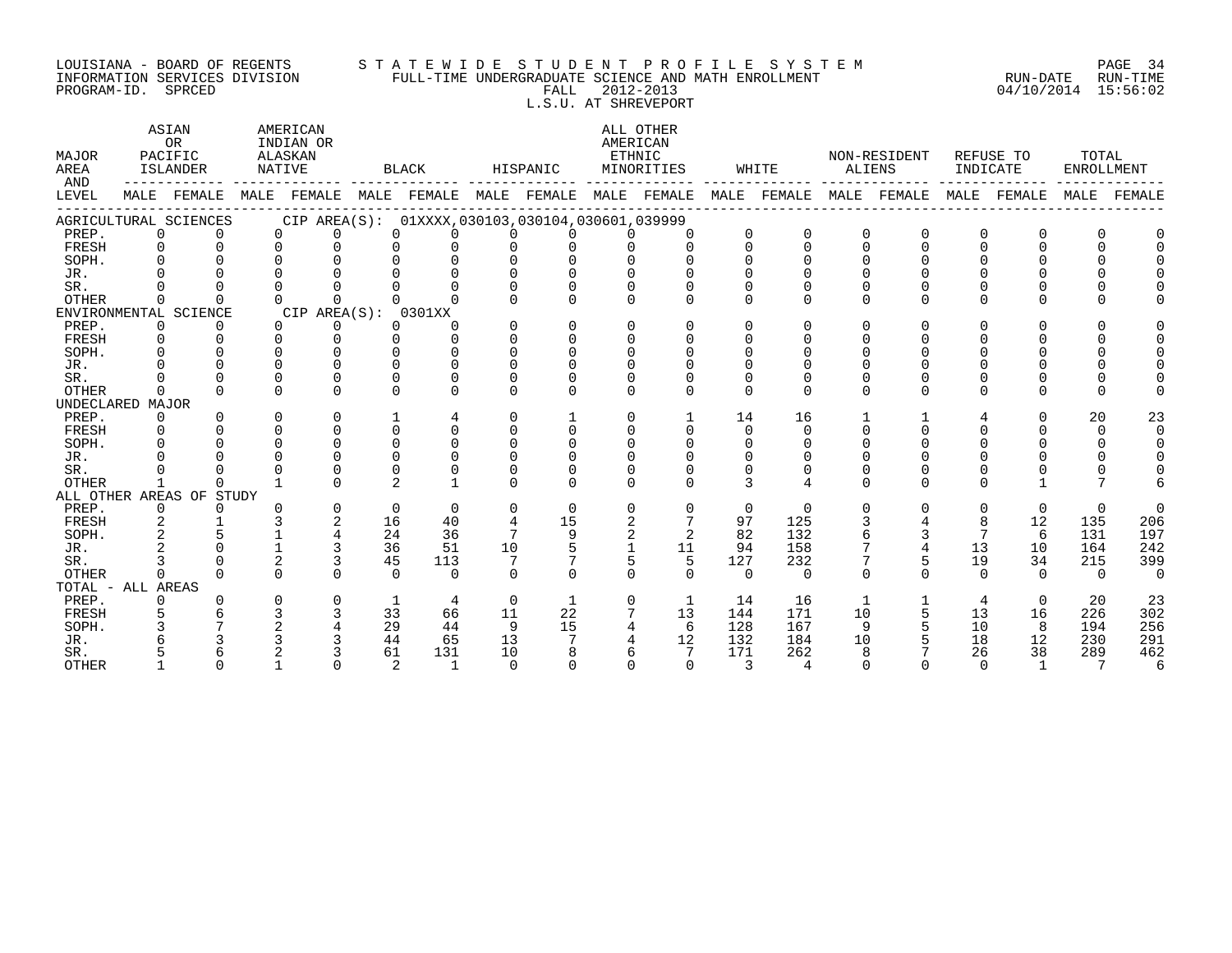## LOUISIANA - BOARD OF REGENTS S T A T E W I D E S T U D E N T P R O F I L E S Y S T E M PAGE 34 INFORMATION SERVICES DIVISION FULL-TIME UNDERGRADUATE SCIENCE AND MATH ENROLLMENT RUN-DATE RUN-TIME

PROGRAM-ID. SPRCED FALL 2012-2013 04/10/2014 15:56:02 L.S.U. AT SHREVEPORT ASIAN AMERICAN ALL OTHER OR INDIAN OR **AMERICAN** MAJOR PACIFIC ALASKAN ETHNIC NON-RESIDENT REFUSE TO TOTAL AREA ISLANDER NATIVE BLACK HISPANIC MINORITIES WHITE ALIENS INDICATE ENROLLMENT

| <b>AIVBA</b><br><b>AND</b> |          | TOTUMDER              |          |                                                     |                |          |          |              |                |                |          |              |              |          |                |          |          |          |
|----------------------------|----------|-----------------------|----------|-----------------------------------------------------|----------------|----------|----------|--------------|----------------|----------------|----------|--------------|--------------|----------|----------------|----------|----------|----------|
| LEVEL                      | MALE     | FEMALE                | MALE     | FEMALE                                              | MALE           | FEMALE   | MALE     | FEMALE       | MALE           | FEMALE         | MALE     | FEMALE       | MALE         | FEMALE   | MALE           | FEMALE   | MALE     | FEMALE   |
|                            |          | AGRICULTURAL SCIENCES |          | CIP AREA(S): 01XXXX, 030103, 030104, 030601, 039999 |                |          |          |              |                |                |          |              |              |          |                |          |          |          |
| PREP.                      | 0        |                       | $\Omega$ | U                                                   | $\Omega$       |          |          |              |                |                | $\Omega$ |              | <sup>0</sup> |          | O              |          |          |          |
| FRESH                      | $\Omega$ |                       | U        | $\cap$                                              |                |          |          |              |                |                | $\cap$   | $\Omega$     | $\Omega$     | $\cap$   | $\Omega$       |          |          |          |
| SOPH.                      |          | ∩                     |          |                                                     |                |          | ∩        |              |                |                | ∩        |              | ∩            |          |                |          |          |          |
| JR.                        |          |                       |          |                                                     |                |          |          |              |                |                |          |              |              |          |                |          |          |          |
| SR.                        |          |                       |          |                                                     |                |          |          |              |                |                | ∩        |              |              |          |                |          |          |          |
| <b>OTHER</b>               |          |                       |          | <sup>n</sup>                                        |                |          |          |              | <sup>n</sup>   |                | $\cap$   |              | $\cap$       | $\cap$   | $\cap$         |          |          |          |
|                            |          | ENVIRONMENTAL SCIENCE |          | CIP AREA(S):                                        |                | 0301XX   |          |              |                |                |          |              |              |          |                |          |          |          |
| PREP.                      | $\Omega$ |                       | $\Omega$ |                                                     | $\Omega$       |          |          | U            | 0              |                | $\Omega$ |              | ∩            |          |                |          |          |          |
| FRESH                      |          |                       |          |                                                     |                |          |          |              |                |                |          |              |              |          |                |          |          |          |
| SOPH.                      |          |                       |          |                                                     |                |          |          |              |                |                |          |              |              |          |                |          |          |          |
| JR.                        |          |                       |          |                                                     |                |          |          |              |                |                |          |              |              |          |                |          |          |          |
| SR.                        |          |                       |          |                                                     |                |          |          |              |                |                |          |              |              |          |                |          |          |          |
| <b>OTHER</b>               |          |                       |          | $\cap$                                              | $\Omega$       |          | U        |              | $\cap$         |                | $\Omega$ | $\Omega$     | $\Omega$     | $\Omega$ | $\Omega$       | 0        | U        |          |
| UNDECLARED MAJOR           |          |                       |          |                                                     |                |          |          |              |                |                |          |              |              |          |                |          |          |          |
| PREP.                      | $\Omega$ |                       | U        | U                                                   |                |          | U        |              | $\Omega$       |                | 14       | 16           |              |          | 4              | 0        | 20       | 23       |
| <b>FRESH</b>               |          |                       |          |                                                     |                |          |          |              | U              |                | $\Omega$ | <sup>n</sup> |              |          |                |          | $\Omega$ | $\Omega$ |
| SOPH.                      |          |                       |          |                                                     |                |          |          |              |                |                | ∩        |              |              |          |                |          |          | $\cap$   |
| JR.                        |          |                       |          |                                                     |                |          |          |              |                |                |          |              |              |          |                |          |          |          |
| SR.                        |          |                       |          |                                                     |                |          |          |              |                |                |          |              |              |          |                |          |          |          |
| <b>OTHER</b>               |          |                       |          |                                                     | $\mathfrak{D}$ |          | ∩        |              |                |                |          |              | $\cap$       |          | ∩              |          |          |          |
| ALL OTHER AREAS            |          | OF STUDY              |          |                                                     |                |          |          |              |                |                |          |              |              |          |                |          |          |          |
| PREP.                      | $\Omega$ |                       |          |                                                     | $\Omega$       | $\Omega$ | $\Omega$ | $\Omega$     |                |                | $\Omega$ | $\Omega$     |              |          | $\Omega$       | $\Omega$ | $\Omega$ | $\Omega$ |
| FRESH                      |          |                       |          |                                                     | 16             | 40       | 4        | 15           | 2              |                | 97       | 125          |              |          | 8              | 12       | 135      | 206      |
| SOPH.                      |          |                       |          |                                                     | 24             | 36       | 7        | 9            | $\overline{a}$ | $\overline{2}$ | 82       | 132          |              |          | $\overline{7}$ | 6        | 131      | 197      |
| JR.                        |          |                       |          |                                                     | 36             | 51       | 10       | 5            |                | 11             | 94       | 158          |              |          | 13             | 10       | 164      | 242      |
| SR.                        |          |                       |          |                                                     | 45             | 113      |          |              |                | 5              | 127      | 232          |              |          | 19             | 34       | 215      | 399      |
| <b>OTHER</b>               |          |                       |          | U                                                   | $\cap$         | $\Omega$ | ∩        | ∩            | $\cap$         | $\cap$         | $\cap$   | $\Omega$     | $\cap$       | $\cap$   | $\cap$         | $\cap$   | $\cap$   | $\Omega$ |
| TOTAL - ALL AREAS          |          |                       |          |                                                     |                |          |          |              |                |                |          |              |              |          |                |          |          |          |
| PREP.                      | U        |                       |          | U                                                   | 1              | 4        | $\Omega$ | $\mathbf{1}$ | 0              | 1              | 14       | 16           | 1            |          | 4              | $\Omega$ | 20       | 23       |
| FRESH                      |          |                       |          |                                                     | 33             | 66       | 11       | 22           |                | 13             | 144      | 171          | 10           |          | 13             | 16       | 226      | 302      |
| SOPH.                      |          |                       |          |                                                     | 29             | 44       | 9        | 15           | 4              | 6              | 128      | 167          | 9            |          | 10             | 8        | 194      | 256      |
| JR.                        |          |                       |          |                                                     | 44             | 65       | 13       |              |                | 12             | 132      | 184          | 10           |          | 18             | 12       | 230      | 291      |
| SR.                        |          |                       |          |                                                     | 61             | 131      | 10       |              |                |                | 171      | 262          | $\mathsf{R}$ |          | 26             | 38       | 289      | 462      |
| <b>OTHER</b>               |          |                       |          |                                                     | $\mathfrak{D}$ | -1       | $\cap$   |              |                |                |          |              |              |          |                |          | 7        |          |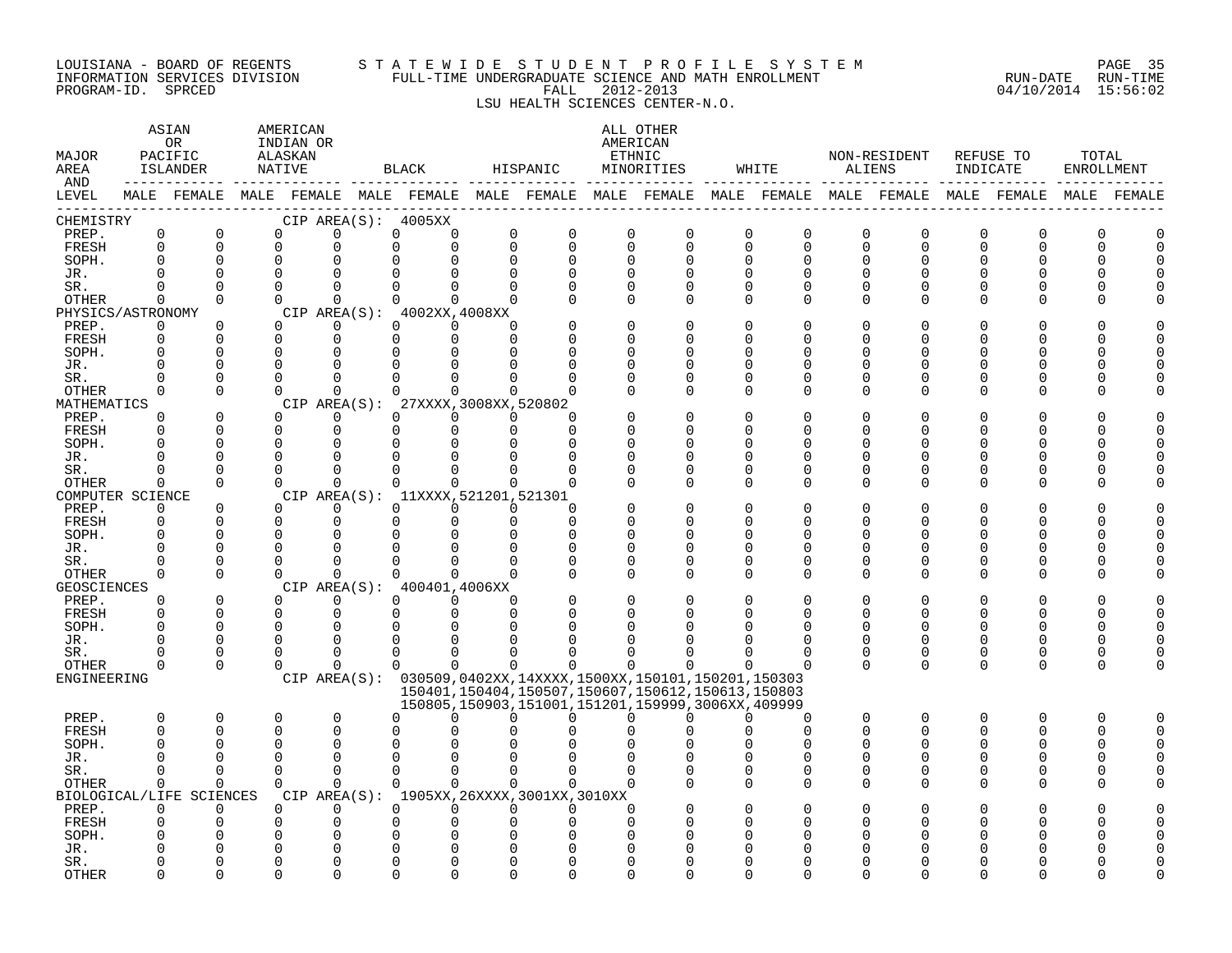#### LOUISIANA - BOARD OF REGENTS S T A T E W I D E S T U D E N T P R O F I L E S Y S T E M PAGE 35 INFORMATION SERVICES DIVISION FULL-TIME UNDERGRADUATE SCIENCE AND MATH ENROLLMENT RUN-DATE RUN-TIME PROGRAM-ID. SPRCED FALL 2012-2013 04/10/2014 15:56:02

### LSU HEALTH SCIENCES CENTER-N.O.

| MAJOR<br>AREA       |                      | ASIAN<br>OR.<br>PACIFIC<br>ISLANDER | AMERICAN<br>INDIAN OR<br>ALASKAN<br>NATIVE |                      |                      | BLACK                          |                                             | HISPANIC             |                                  | ALL OTHER<br>AMERICAN<br>ETHNIC<br>MINORITIES                                                               |                      | WHITE                      | ALIENS               | NON-RESIDENT  | INDICATE      | REFUSE TO            | TOTAL<br>ENROLLMENT |        |
|---------------------|----------------------|-------------------------------------|--------------------------------------------|----------------------|----------------------|--------------------------------|---------------------------------------------|----------------------|----------------------------------|-------------------------------------------------------------------------------------------------------------|----------------------|----------------------------|----------------------|---------------|---------------|----------------------|---------------------|--------|
| AND<br>LEVEL        |                      |                                     |                                            |                      |                      |                                |                                             |                      |                                  | MALE FEMALE MALE FEMALE MALE FEMALE MALE FEMALE MALE FEMALE MALE FEMALE MALE FEMALE MALE FEMALE MALE FEMALE |                      |                            |                      |               |               |                      |                     |        |
| CHEMISTRY           |                      |                                     |                                            |                      |                      | CIP AREA(S): 4005XX            |                                             |                      |                                  |                                                                                                             |                      |                            |                      |               |               |                      |                     |        |
| PREP.               | $\mathbf 0$          | 0                                   | $\Omega$                                   | $\Omega$             | $\Omega$             | $\Omega$                       | $\Omega$                                    | $\Omega$             | $\Omega$                         | 0                                                                                                           | 0                    | $\Omega$                   | $\Omega$             | $\Omega$      | $\Omega$      | $\Omega$             | O                   |        |
| FRESH               | $\mathbf 0$          | $\mathbf 0$                         | $\mathbf 0$                                | $\Omega$             | $\Omega$             | $\mathbf 0$                    | $\Omega$<br>$\Omega$                        | $\Omega$             | $\Omega$<br>$\Omega$             | $\mathbf 0$                                                                                                 | $\mathbf 0$          | $\overline{0}$<br>$\Omega$ | $\Omega$<br>$\Omega$ | $\Omega$<br>U | 0<br>U        | $\mathbf 0$<br>∩     | $\Omega$            | $\cap$ |
| SOPH.<br>JR.        | ∩                    | $\Omega$<br>$\Omega$                | $\Omega$<br>$\Omega$                       | $\Omega$<br>$\Omega$ | 0<br>$\Omega$        | 0                              | $\Omega$<br>∩                               | ∩                    | $\Omega$<br>U                    | $\Omega$<br>O                                                                                               | $\Omega$<br>$\Omega$ | ∩                          | <sup>n</sup>         |               | Ω             |                      |                     |        |
| SR.                 | ∩                    | $\Omega$                            | $\Omega$                                   | $\Omega$             | 0                    |                                | $\Omega$<br>U                               | $\Omega$             | $\Omega$                         | $\Omega$                                                                                                    | $\Omega$             | $\Omega$                   | $\Omega$             | U             | U             | U                    |                     |        |
| <b>OTHER</b>        | 0                    | $\Omega$                            | $\Omega$                                   | $\Omega$             | $\Omega$             |                                | $\Omega$<br>$\Omega$                        | ∩                    | $\Omega$                         | $\Omega$                                                                                                    | $\Omega$             | $\Omega$                   | $\Omega$             | 0             | 0             | ∩                    |                     |        |
| PHYSICS/ASTRONOMY   |                      |                                     |                                            |                      |                      | CIP AREA $(S):$ 4002XX, 4008XX |                                             |                      |                                  |                                                                                                             |                      |                            |                      |               |               |                      |                     |        |
| PREP.               | 0                    | $\Omega$                            | $\Omega$                                   | 0                    | 0                    | $\Omega$                       | O                                           |                      | $\Omega$                         | 0                                                                                                           | 0                    | <sup>0</sup>               | <sup>0</sup>         | O             | U             |                      |                     |        |
| FRESH               | 0                    | $\overline{0}$                      | $\Omega$                                   | $\Omega$             | 0                    | $\Omega$                       | $\Omega$                                    |                      | $\Omega$                         | 0                                                                                                           | $\mathbf 0$          | $\Omega$                   | $\Omega$             | ∩             | O             |                      |                     |        |
| SOPH.               | $\Omega$             | $\Omega$                            | $\cap$                                     | $\Omega$             | 0                    |                                | $\Omega$<br>$\Omega$                        | ∩                    | $\Omega$                         | $\Omega$                                                                                                    | 0                    | $\cap$                     | <sup>n</sup>         | ∩             | U             |                      |                     |        |
| JR.                 |                      | O                                   | $\cap$                                     |                      | 0                    | U                              |                                             | ∩                    | U                                | $\Omega$                                                                                                    | $\Omega$             | ∩                          | <sup>n</sup>         | U             | U             | U                    |                     |        |
| SR.                 | U                    | $\Omega$                            | $\Omega$                                   | $\Omega$             | 0                    |                                | 0                                           | ∩                    |                                  | $\Omega$                                                                                                    | $\Omega$             | $\Omega$                   | $\Omega$             | U             | U             | U                    |                     |        |
| <b>OTHER</b>        | $\Omega$             | $\Omega$                            | $\Omega$                                   | $\Omega$             | $\Omega$             | $\mathbf 0$                    | $\Omega$                                    | O                    | $\Omega$                         | $\Omega$                                                                                                    | $\Omega$             | $\Omega$                   | $\Omega$             | $\Omega$      | $\Omega$      | $\Omega$             |                     |        |
| MATHEMATICS         |                      |                                     |                                            |                      |                      |                                | CIP AREA(S): 27XXXX, 3008XX, 520802         |                      |                                  |                                                                                                             |                      |                            |                      |               |               |                      |                     |        |
| PREP.               | 0                    | $\mathbf 0$                         | $\Omega$<br>$\Omega$                       | 0<br>$\Omega$        | 0<br>$\Omega$        | 0<br>$\Omega$                  | 0<br>$\Omega$                               | O                    | $\Omega$<br>$\Omega$             | 0<br>$\Omega$                                                                                               | 0                    | <sup>0</sup>               | $\Omega$             | 0<br>U        | O             |                      |                     |        |
| FRESH<br>SOPH.      | $\Omega$<br>U        | $\Omega$<br>$\Omega$                | $\Omega$                                   | $\Omega$             | $\Omega$             | $\Omega$                       | $\Omega$                                    | $\Omega$<br>∩        | $\Omega$                         | ∩                                                                                                           | $\Omega$<br>$\Omega$ | $\Omega$<br>$\cap$         | $\Omega$<br>U        | ∩             | 0<br>U        | Ω                    |                     |        |
| JR.                 |                      | O                                   | $\Omega$                                   | <sup>n</sup>         | 0                    |                                | $\Omega$<br>∩                               |                      | U                                | O                                                                                                           | $\Omega$             | ∩                          | <sup>n</sup>         | U             | 0             | U                    |                     |        |
| SR.                 | ∩                    | $\Omega$                            | $\Omega$                                   | $\Omega$             | 0                    |                                | $\Omega$<br>$\Omega$                        | ∩                    | U                                | $\Omega$                                                                                                    | $\Omega$             | $\Omega$                   | $\Omega$             | U             | 0             | U                    |                     |        |
| OTHER               | $\mathbf 0$          | $\Omega$                            | $\Omega$                                   | 0                    | 0                    |                                | $\Omega$<br>$\Omega$                        | $\Omega$             | $\Omega$                         | $\Omega$                                                                                                    | $\Omega$             | $\Omega$                   | $\Omega$             | 0             | O             | $\Omega$             |                     |        |
| COMPUTER SCIENCE    |                      |                                     |                                            |                      |                      |                                | CIP AREA(S): 11XXXX.521201.521301           |                      |                                  |                                                                                                             |                      |                            |                      |               |               |                      |                     |        |
| PREP.               | 0                    | $\Omega$                            | $\Omega$                                   | 0                    | 0                    | $\Omega$                       | $\Omega$                                    | O                    | $\Omega$                         | $\Omega$                                                                                                    | $\Omega$             | <sup>0</sup>               | $\Omega$             | 0             | 0             |                      |                     |        |
| FRESH               | 0                    | $\mathbf 0$                         | $\Omega$                                   | $\Omega$             | 0                    |                                | $\Omega$<br>$\Omega$                        |                      | $\Omega$<br>$\Omega$             | 0                                                                                                           | 0                    | $\Omega$                   | $\Omega$             | 0             | 0             | O                    |                     |        |
| SOPH.               | O                    | $\Omega$                            | $\Omega$                                   | $\Omega$             | $\Omega$             |                                | $\Omega$<br>$\Omega$                        |                      | $\Omega$<br>$\Omega$             | $\Omega$                                                                                                    | $\Omega$             | <sup>0</sup>               | <sup>0</sup>         | ∩             | O             |                      |                     |        |
| JR.                 |                      | $\Omega$                            |                                            |                      | U                    |                                |                                             | ∩                    | $\Omega$                         | $\Omega$                                                                                                    | 0                    | $\cap$                     | <sup>n</sup>         | U             | U             | U                    |                     |        |
| SR.                 | ∩                    | $\Omega$                            | $\cap$                                     | $\Omega$             | 0                    |                                | $\Omega$                                    | ∩                    | $\Omega$                         | $\Omega$                                                                                                    | $\Omega$             | $\Omega$                   | <sup>n</sup>         | U             | U             | U                    |                     |        |
| <b>OTHER</b>        | $\Omega$             | $\Omega$                            | $\Omega$                                   | $\Omega$             | $\mathbf 0$          |                                | $\Omega$<br>$\Omega$                        | ∩                    | $\Omega$                         | $\Omega$                                                                                                    | $\Omega$             | $\Omega$                   | $\Omega$             | $\Omega$      | $\Omega$      | $\Omega$             |                     |        |
| <b>GEOSCIENCES</b>  |                      |                                     |                                            |                      |                      | CIP AREA(S): 400401,4006XX     |                                             |                      | $\Omega$                         |                                                                                                             |                      |                            |                      |               |               |                      |                     |        |
| PREP.<br>FRESH      | $\Omega$<br>$\Omega$ | $\Omega$<br>0                       | $\Omega$<br>$\mathbf 0$                    | $\Omega$<br>$\Omega$ | $\Omega$<br>0        | $\Omega$                       | $\Omega$<br>$\Omega$<br>$\Omega$            | $\Omega$<br>$\Omega$ | $\Omega$                         | $\Omega$<br>$\Omega$                                                                                        | $\Omega$<br>$\Omega$ | $\Omega$                   | $\Omega$<br>$\Omega$ | 0<br>0        | $\Omega$<br>O | O<br>$\Omega$        |                     |        |
| SOPH.               | O                    | $\Omega$                            | $\Omega$                                   | $\Omega$             | $\Omega$             |                                | $\Omega$<br>∩                               |                      | U                                | O                                                                                                           | $\Omega$             |                            | U                    | U             | O             | ∩                    |                     | ∩      |
| JR.                 | U                    | $\Omega$                            | $\cap$                                     | $\Omega$             | 0                    |                                | $\Omega$<br>∩                               |                      |                                  | n                                                                                                           | n                    | n                          | <sup>n</sup>         | U             | 0             | ∩                    |                     |        |
| SR.                 | ∩                    | $\Omega$                            | $\Omega$                                   | $\Omega$             | 0                    |                                | $\Omega$<br>$\Omega$                        | ∩                    | U                                | ∩                                                                                                           | $\Omega$             | ∩                          | <sup>n</sup>         | $\Omega$      | 0             | $\Omega$             |                     |        |
| OTHER               | $\Omega$             | $\Omega$                            | $\Omega$                                   | $\Omega$             | $\Omega$             |                                | $\Omega$<br>$\Omega$                        |                      | $\Omega$<br>$\Omega$             | $\Omega$                                                                                                    | $\Omega$             | $\cap$                     | $\Omega$             | $\Omega$      | $\Omega$      | $\Omega$             | ∩                   |        |
| ENGINEERING         |                      |                                     |                                            |                      |                      |                                |                                             |                      |                                  | CIP AREA(S): 030509,0402XX,14XXXX,1500XX,150101,150201,150303                                               |                      |                            |                      |               |               |                      |                     |        |
|                     |                      |                                     |                                            |                      |                      |                                |                                             |                      |                                  | 150401, 150404, 150507, 150607, 150612, 150613, 150803                                                      |                      |                            |                      |               |               |                      |                     |        |
|                     |                      |                                     |                                            |                      |                      |                                |                                             |                      |                                  | 150805,150903,151001,151201,159999,3006XX,409999                                                            |                      |                            |                      |               |               |                      |                     |        |
| PREP.               | 0                    | 0                                   | $\Omega$                                   | 0                    | 0                    | $\Omega$                       | $\Omega$                                    |                      | $\Omega$<br>$\Omega$             | $\Omega$                                                                                                    | $\Omega$             | <sup>0</sup>               | $\Omega$             | $\Omega$      | $\Omega$      | $\Omega$             | O                   |        |
| FRESH               | 0                    |                                     | $\Omega$                                   | $\Omega$             | $\Omega$             | O                              |                                             |                      |                                  | U                                                                                                           | $\Omega$             | $\Omega$                   | $\Omega$             | 0             | $\Omega$      | O                    | O                   |        |
| SOPH.               | U                    | ∩                                   | $\cap$                                     | $\Omega$             | 0                    | U                              |                                             |                      |                                  | ∩                                                                                                           | $\Omega$             | U                          | <sup>n</sup>         |               | U             | ∩                    |                     |        |
| JR.                 | O<br>$\Omega$        | $\Omega$<br>$\Omega$                | $\Omega$<br>$\Omega$                       | $\Omega$<br>$\Omega$ | $\Omega$<br>$\Omega$ | $\Omega$                       | n<br>$\Omega$<br>$\Omega$                   | $\Omega$             | $\Omega$<br>$\Omega$<br>$\Omega$ | $\Omega$<br>$\Omega$                                                                                        | $\Omega$             | $\Omega$<br>$\Omega$       | $\Omega$             | 0<br>0        | 0             | $\Omega$<br>$\Omega$ |                     |        |
| SR.<br><b>OTHER</b> | $\Omega$             | $\Omega$                            | $\Omega$                                   | $\Omega$             | $\Omega$             |                                | $\Omega$<br>$\Omega$                        |                      | $\Omega$<br>$\Omega$             | ∩                                                                                                           | 0<br>$\Omega$        | $\Omega$                   | 0<br>$\Omega$        | $\Omega$      | 0<br>$\Omega$ | $\Omega$             |                     |        |
| BIOLOGICAL/LIFE     |                      | SCIENCES                            |                                            |                      |                      |                                | CIP AREA(S): 1905XX, 26XXXX, 3001XX, 3010XX |                      |                                  |                                                                                                             |                      |                            |                      |               |               |                      |                     |        |
| PREP.               | 0                    | 0                                   | $\Omega$                                   | $\Omega$             | 0                    |                                | $\Omega$<br>$\Omega$                        |                      | $\Omega$<br>0                    |                                                                                                             | O                    |                            | O                    |               |               |                      |                     |        |
| FRESH               | 0                    |                                     | O                                          | $\Omega$             | 0                    | 0                              | $\Omega$                                    |                      | 0                                | U                                                                                                           | $\Omega$             |                            | ∩                    |               | U             |                      |                     |        |
| SOPH.               |                      |                                     |                                            |                      | O                    | U                              | Ω                                           |                      |                                  | O                                                                                                           | n                    |                            |                      |               |               |                      |                     |        |
| JR.                 |                      |                                     |                                            | <sup>0</sup>         | 0                    | 0                              |                                             |                      |                                  |                                                                                                             |                      |                            |                      |               |               |                      |                     |        |
| SR.                 |                      | n                                   | $\cap$                                     | $\Omega$             | $\Omega$             | $\Omega$                       | $\cap$                                      | ∩                    | U                                | ∩                                                                                                           | $\Omega$             |                            | ∩                    |               | ∩             |                      |                     |        |
| <b>OTHER</b>        | ∩                    | $\cap$                              | $\Omega$                                   | $\cap$               | 0                    |                                | $\Omega$<br>∩                               |                      | <sup>n</sup><br>$\cap$           | <sup>n</sup>                                                                                                | $\cap$               | $\Omega$                   | U                    | ∩             | ∩             |                      |                     |        |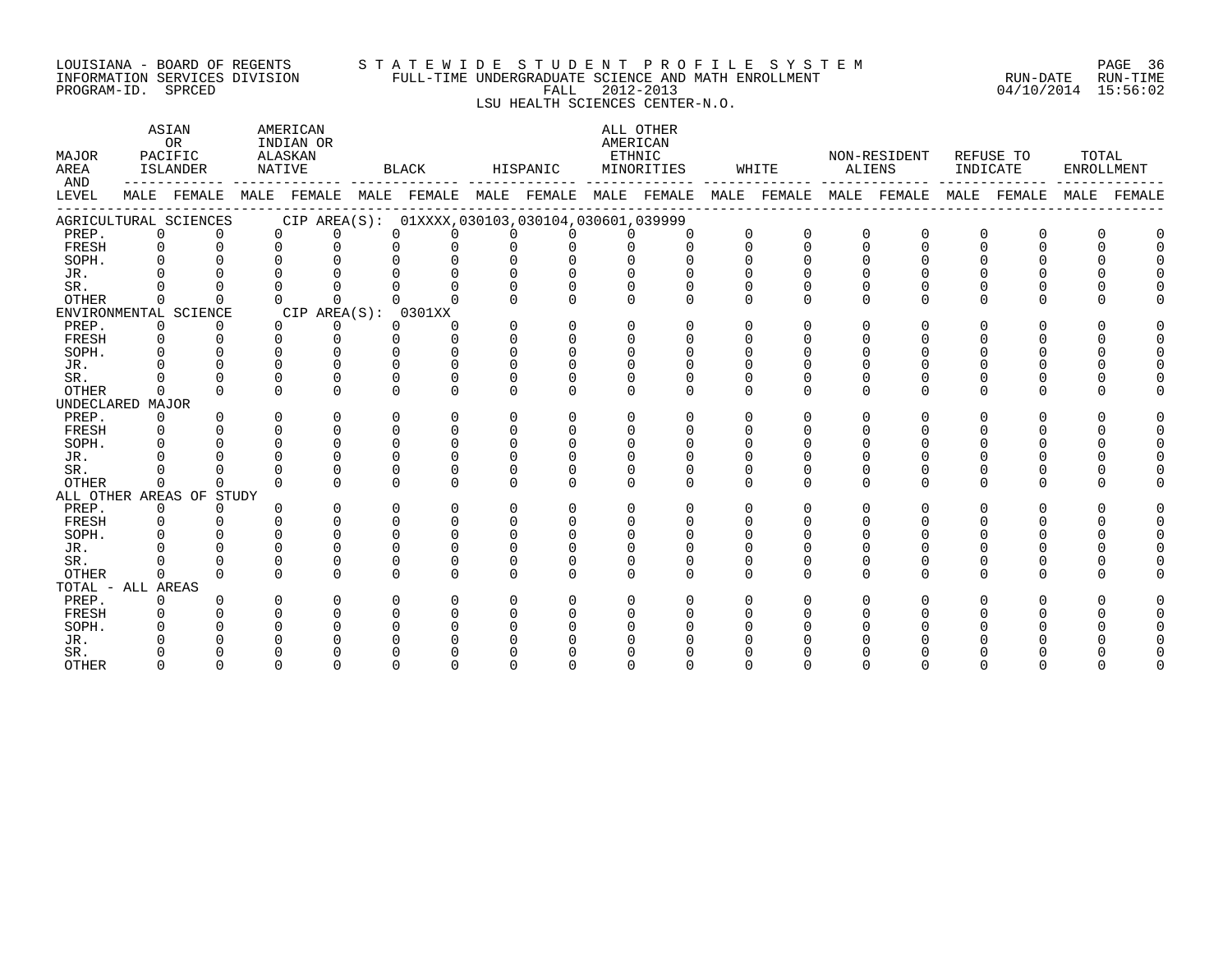#### LOUISIANA - BOARD OF REGENTS S T A T E W I D E S T U D E N T P R O F I L E S Y S T E M PAGE 36 INFORMATION SERVICES DIVISION FULL-TIME UNDERGRADUATE SCIENCE AND MATH ENROLLMENT RUN-DATE RUN-TIME PROGRAM-ID. SPRCED FALL 2012-2013 04/10/2014 15:56:02

## LSU HEALTH SCIENCES CENTER-N.O.

| MAJOR<br>AREA     |             | ASIAN<br>OR<br>PACIFIC<br>ISLANDER | NATIVE   | AMERICAN<br>INDIAN OR<br>ALASKAN |          | BLACK                                                       | HISPANIC |          | AMERICAN<br>ETHNIC | ALL OTHER<br>MINORITIES |          | WHITE                 | ALIENS       | NON-RESIDENT            | INDICATE | REFUSE TO   | TOTAL<br>ENROLLMENT |        |
|-------------------|-------------|------------------------------------|----------|----------------------------------|----------|-------------------------------------------------------------|----------|----------|--------------------|-------------------------|----------|-----------------------|--------------|-------------------------|----------|-------------|---------------------|--------|
| AND<br>LEVEL      |             |                                    |          |                                  |          | MALE FEMALE MALE FEMALE MALE FEMALE MALE FEMALE MALE FEMALE |          |          |                    |                         |          | --------------------- |              | MALE FEMALE MALE FEMALE |          | MALE FEMALE | MALE                | FEMALE |
|                   |             | AGRICULTURAL SCIENCES              |          |                                  |          | CIP AREA(S): 01XXXX, 030103, 030104, 030601, 039999         |          |          |                    |                         |          |                       |              |                         |          |             |                     |        |
| PREP.             | $\mathbf 0$ | $\Omega$                           | $\Omega$ | $\Omega$                         | $\Omega$ | $\Omega$                                                    | $\Omega$ | $\Omega$ | $\Omega$           | $\Omega$                | $\Omega$ | $\Omega$              | $\mathbf 0$  | $\Omega$                | $\Omega$ | $\Omega$    |                     |        |
| FRESH             | $\Omega$    | $\Omega$                           | $\Omega$ | $\Omega$                         | $\Omega$ | $\Omega$                                                    | $\Omega$ | 0        | $\Omega$           | $\Omega$                | $\Omega$ | $\Omega$              | $\Omega$     | $\Omega$                | $\Omega$ | $\cap$      | U                   |        |
| SOPH.             |             |                                    |          | $\cap$                           |          | $\cap$                                                      | $\cap$   | $\Omega$ |                    |                         |          |                       |              |                         |          |             |                     |        |
| JR.               |             |                                    |          |                                  |          |                                                             |          | $\Omega$ |                    |                         |          |                       |              |                         |          |             |                     |        |
| SR.               |             |                                    |          |                                  |          |                                                             | $\Omega$ |          |                    |                         |          |                       |              |                         |          |             |                     |        |
| <b>OTHER</b>      | $\Omega$    | $\Omega$                           | $\Omega$ | $\Omega$                         | $\cap$   | $\cap$                                                      | $\Omega$ | U        | $\Omega$           | $\Omega$                | $\Omega$ | $\Omega$              | $\Omega$     | $\Omega$                | O        | ∩           |                     |        |
|                   |             | ENVIRONMENTAL SCIENCE              |          | CIP AREA(S):                     |          | 0301XX                                                      |          |          |                    |                         |          |                       |              |                         |          |             |                     |        |
| PREP.             | 0           | 0                                  | $\Omega$ | 0                                | $\Omega$ | O                                                           | O        | $\Omega$ | $\Omega$           | $\Omega$                | $\Omega$ | $\Omega$              | <sup>0</sup> | O                       |          |             |                     |        |
| FRESH             | 0           |                                    | $\Omega$ | $\Omega$                         | $\Omega$ | $\Omega$                                                    | $\Omega$ | 0        | $\Omega$           |                         | $\Omega$ | O                     |              |                         |          |             |                     |        |
| SOPH.             |             |                                    | $\cap$   | $\Omega$                         | $\cap$   | $\Omega$                                                    | $\Omega$ | $\Omega$ | $\Omega$           | $\Omega$                | $\Omega$ |                       |              |                         |          |             |                     |        |
| JR.               |             |                                    |          |                                  |          |                                                             | $\cap$   |          |                    |                         |          |                       |              |                         |          |             |                     |        |
| SR.               |             |                                    | $\Omega$ | $\Omega$                         | ∩        | $\Omega$                                                    | U        | O        |                    |                         |          |                       |              |                         |          |             |                     |        |
| OTHER             | $\Omega$    | $\Omega$                           | $\Omega$ | $\Omega$                         | $\Omega$ | $\Omega$                                                    | $\Omega$ | $\Omega$ | $\Omega$           | $\Omega$                | $\Omega$ | $\Omega$              | $\Omega$     | $\Omega$                | $\Omega$ | U           |                     |        |
| UNDECLARED MAJOR  |             |                                    |          |                                  |          |                                                             |          |          |                    |                         |          |                       |              |                         |          |             |                     |        |
| PREP.             | $\Omega$    |                                    | $\Omega$ | $\Omega$                         | $\Omega$ | $\Omega$                                                    | $\Omega$ | 0        | $\Omega$           | $\Omega$                | $\Omega$ | $\Omega$              | $\Omega$     | <sup>0</sup>            | $\Omega$ |             |                     |        |
| FRESH             |             |                                    |          | $\cap$                           | $\cap$   | $\cap$                                                      | $\cap$   | U        | U                  |                         |          |                       |              |                         |          |             |                     |        |
| SOPH.             |             |                                    |          | $\Omega$                         | $\Omega$ | $\Omega$                                                    | $\Omega$ | $\Omega$ | $\Omega$           |                         |          |                       |              |                         |          |             |                     |        |
| JR.               |             |                                    |          |                                  | $\cap$   | $\Omega$                                                    | $\Omega$ | U        |                    |                         |          |                       |              |                         |          |             |                     |        |
| SR.               |             |                                    |          |                                  | $\cap$   | $\Omega$                                                    | U        | O        | $\Omega$           | $\Omega$                | $\Omega$ | $\Omega$              | $\Omega$     |                         |          |             |                     |        |
| <b>OTHER</b>      | $\Omega$    | $\Omega$                           | $\cap$   | $\cap$                           | $\cap$   | $\cap$                                                      | $\cap$   | U        |                    |                         | $\cap$   | $\Omega$              | $\cap$       | $\cap$                  | $\cap$   |             |                     |        |
|                   |             | ALL OTHER AREAS OF STUDY           |          |                                  |          |                                                             |          |          |                    |                         |          |                       |              |                         |          |             |                     |        |
| PREP.             | $\mathbf 0$ | 0                                  |          | $\Omega$                         | $\Omega$ | $\Omega$                                                    | $\Omega$ | 0        | $\Omega$           | $\Omega$                | $\Omega$ | $\Omega$              | $\Omega$     |                         |          |             |                     |        |
| FRESH             | $\Omega$    |                                    |          |                                  | $\cap$   | $\cap$                                                      | $\cap$   | $\Omega$ | $\Omega$           | $\Omega$                | $\cap$   |                       |              |                         |          |             |                     |        |
| SOPH.             |             |                                    |          |                                  |          |                                                             |          |          |                    |                         |          |                       |              |                         |          |             |                     |        |
| JR.               |             |                                    |          |                                  |          | ∩                                                           |          | U        |                    |                         |          |                       |              |                         |          |             |                     |        |
| SR.               |             |                                    |          | $\Omega$                         |          | ∩                                                           | U        | 0        | $\Omega$           |                         |          |                       |              |                         |          |             |                     |        |
| <b>OTHER</b>      | $\Omega$    |                                    | $\Omega$ | $\Omega$                         | $\cap$   | $\Omega$                                                    | $\Omega$ | $\Omega$ | $\Omega$           |                         | $\Omega$ | $\Omega$              | $\Omega$     | $\Omega$                | O        |             |                     |        |
| TOTAL - ALL AREAS |             |                                    |          |                                  |          |                                                             |          |          |                    |                         |          |                       |              |                         |          |             |                     |        |
| PREP.             | $\Omega$    |                                    | U        | $\cap$                           |          | ∩                                                           | U        | O        | $\Omega$           | $\Omega$                | $\Omega$ | $\Omega$              |              |                         |          |             |                     |        |
| FRESH             |             |                                    |          |                                  |          | ∩                                                           |          | U        |                    |                         |          |                       |              |                         |          |             |                     |        |
| SOPH.             |             |                                    |          |                                  |          |                                                             |          |          |                    |                         |          |                       |              |                         |          |             |                     |        |
| JR.               |             |                                    |          |                                  |          |                                                             |          |          |                    |                         |          |                       |              |                         |          |             |                     |        |
| SR.               |             |                                    |          |                                  |          |                                                             |          |          |                    |                         |          |                       |              |                         |          |             |                     |        |
| <b>OTHER</b>      |             |                                    |          |                                  |          |                                                             |          |          |                    |                         |          |                       |              |                         |          |             |                     |        |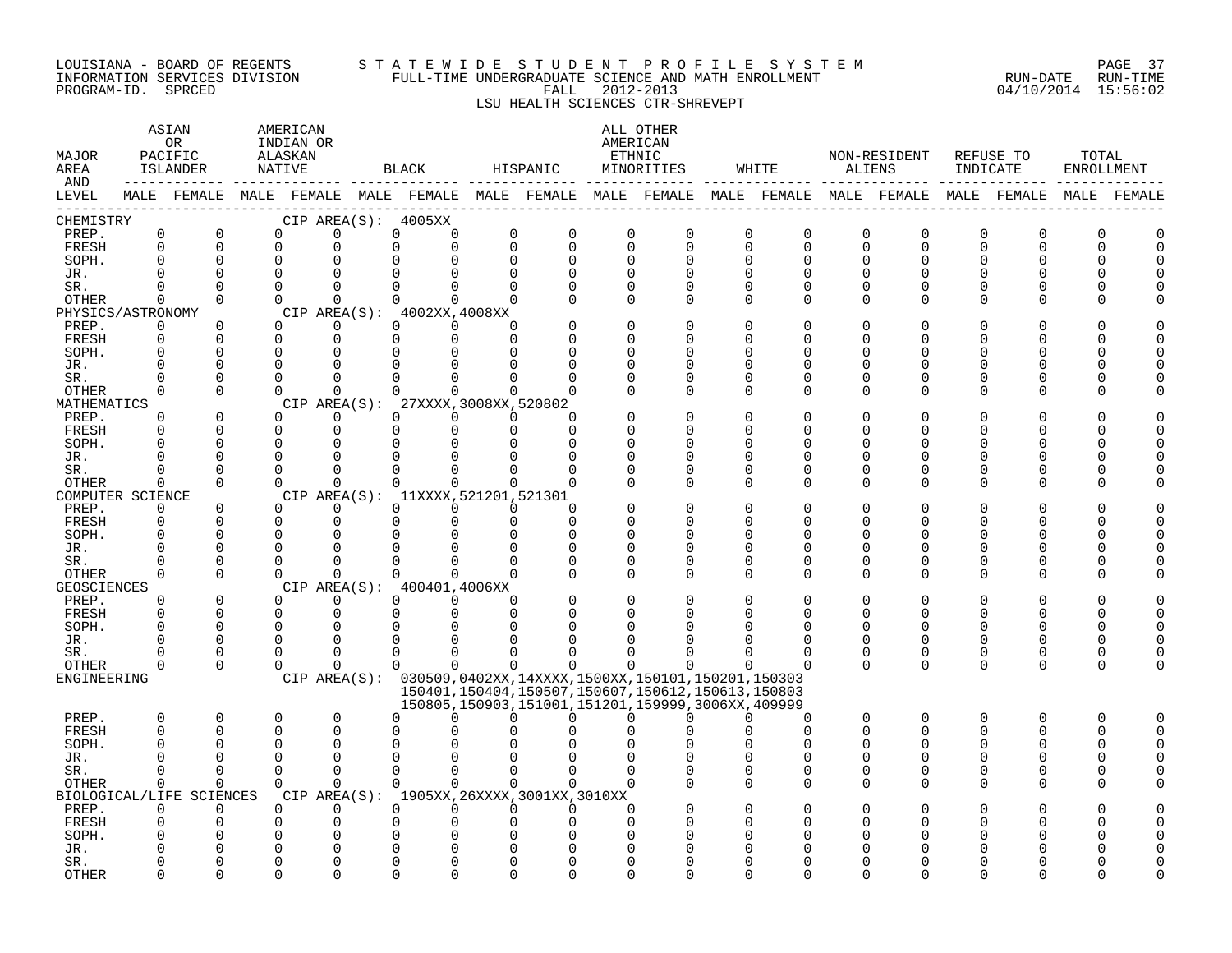#### LOUISIANA - BOARD OF REGENTS S T A T E W I D E S T U D E N T P R O F I L E S Y S T E M PAGE 37 INFORMATION SERVICES DIVISION FULL-TIME UNDERGRADUATE SCIENCE AND MATH ENROLLMENT RUN-DATE RUN-TIME PROGRAM-ID. SPRCED FALL 2012-2013 04/10/2014 15:56:02 LSU HEALTH SCIENCES CTR-SHREVEPT

| MAJOR<br>AREA<br>AND |                         | ASIAN<br>OR<br>PACIFIC<br>ISLANDER |          | AMERICAN<br>INDIAN OR<br>ALASKAN<br>NATIVE |                      | BLACK                                                                                           | HISPANIC                                 |                            |                         | ALL OTHER<br>AMERICAN<br>ETHNIC<br>MINORITIES                                                                    |          | WHITE                                    | ALIENS                     | NON-RESIDENT  | INDICATE            | REFUSE TO               | TOTAL<br><b>ENROLLMENT</b> |             |
|----------------------|-------------------------|------------------------------------|----------|--------------------------------------------|----------------------|-------------------------------------------------------------------------------------------------|------------------------------------------|----------------------------|-------------------------|------------------------------------------------------------------------------------------------------------------|----------|------------------------------------------|----------------------------|---------------|---------------------|-------------------------|----------------------------|-------------|
| LEVEL                |                         |                                    |          |                                            |                      | MALE FEMALE MALE FEMALE MALE FEMALE MALE FEMALE MALE FEMALE MALE FEMALE MALE FEMALE MALE FEMALE |                                          |                            |                         |                                                                                                                  |          |                                          |                            |               |                     |                         |                            | MALE FEMALE |
| CHEMISTRY            |                         |                                    |          |                                            |                      | CIP AREA $(S):$ 4005XX                                                                          |                                          |                            |                         |                                                                                                                  |          |                                          |                            |               |                     |                         |                            |             |
| PREP.<br>FRESH       | $\mathbf 0$<br>$\Omega$ | $\mathbf 0$<br>$\Omega$            |          | 0<br>$\Omega$                              | 0<br>0               | $\mathbf 0$<br>$\Omega$                                                                         | $\mathbf 0$<br>0<br>$\Omega$<br>$\Omega$ | $\overline{0}$<br>$\Omega$ | $\mathbf 0$<br>$\Omega$ | $\mathbf 0$<br>$\mathbf 0$                                                                                       |          | $\mathbf 0$<br>0<br>$\Omega$<br>$\Omega$ | $\mathbf 0$<br>$\mathbf 0$ | 0<br>$\Omega$ | $\overline{0}$<br>0 | $\mathbf 0$<br>$\Omega$ | ∩                          |             |
| SOPH.                | $\Omega$                | $\Omega$                           |          | 0                                          | $\Omega$             |                                                                                                 | $\Omega$                                 | $\Omega$                   | $\Omega$                | $\Omega$                                                                                                         |          | $\Omega$<br>$\Omega$                     | 0                          | 0             | 0                   |                         |                            |             |
| JR.                  | $\cap$                  | $\Omega$                           |          | $\Omega$                                   | $\Omega$             |                                                                                                 | $\Omega$                                 |                            | $\Omega$                | $\Omega$                                                                                                         |          | $\Omega$                                 | $\Omega$                   |               |                     |                         |                            |             |
| SR.                  | $\Omega$                | $\Omega$                           |          | $\Omega$                                   | $\Omega$             | $\Omega$                                                                                        | $\Omega$<br>$\Omega$                     | $\Omega$                   | $\Omega$                | $\Omega$                                                                                                         | $\Omega$ | $\Omega$                                 | $\Omega$                   | 0             | O                   | O                       |                            |             |
| OTHER                | $\Omega$                | $\Omega$                           |          | $\Omega$                                   | $\Omega$             | $\Omega$                                                                                        | $\Omega$                                 |                            | $\Omega$                | $\Omega$                                                                                                         |          | $\Omega$<br>$\Omega$                     | 0                          | $\Omega$      | O                   | $\Omega$                |                            |             |
| PHYSICS/ASTRONOMY    |                         |                                    |          |                                            |                      | CIP AREA(S): 4002XX, 4008XX                                                                     |                                          |                            |                         |                                                                                                                  |          |                                          |                            |               |                     |                         |                            |             |
| PREP.                | 0                       | 0                                  |          | $\Omega$                                   | $\mathbf 0$          | $\Omega$                                                                                        | $\Omega$<br><sup>n</sup>                 |                            | $\Omega$                | $\Omega$                                                                                                         |          | $\Omega$                                 | O                          |               | 0                   |                         |                            |             |
| FRESH                | $\mathbf 0$             | $\Omega$                           |          | $\mathbf 0$                                | $\mathbf 0$          | $\Omega$                                                                                        | $\mathbf 0$<br>$\Omega$                  |                            | U                       | $\Omega$                                                                                                         |          | ∩                                        | U                          |               | U                   | N                       |                            |             |
| SOPH.                |                         | $\Omega$                           |          | 0                                          | $\Omega$             |                                                                                                 |                                          |                            | ∩                       | $\Omega$                                                                                                         |          |                                          | U                          |               | N                   | O                       |                            |             |
| JR.                  | $\Omega$                | 0                                  | $\Omega$ |                                            | $\Omega$             |                                                                                                 |                                          |                            | U                       | $\Omega$                                                                                                         |          | O                                        | O                          |               | Λ                   | O                       |                            |             |
| SR.                  | ∩<br>$\Omega$           | $\Omega$<br>$\Omega$               |          | 0<br>$\Omega$                              | $\Omega$<br>$\Omega$ |                                                                                                 | $\cap$                                   |                            | $\Omega$<br>∩           | $\Omega$<br>$\Omega$                                                                                             | ∩        | $\Omega$<br>$\Omega$<br>$\Omega$         | O<br>$\Omega$              | U<br>U        | 0<br>O              | O<br>$\Omega$           |                            |             |
| OTHER<br>MATHEMATICS |                         |                                    |          |                                            | CIP AREA(S):         |                                                                                                 | 27XXXX, 3008XX, 520802                   |                            |                         |                                                                                                                  |          |                                          |                            |               |                     |                         |                            |             |
| PREP.                | $\Omega$                | $\Omega$                           |          | $\Omega$                                   | $\Omega$             | $\Omega$                                                                                        | $\Omega$<br>$\Omega$                     | ∩                          |                         | $\Omega$                                                                                                         |          | $\Omega$                                 | $\Omega$                   |               |                     |                         |                            |             |
| FRESH                | $\Omega$                | $\Omega$                           |          | $\Omega$                                   | $\Omega$             | $\Omega$                                                                                        | $\Omega$                                 | $\Omega$                   | U                       | $\Omega$                                                                                                         |          | ∩                                        | U                          | U             | U                   | U                       |                            |             |
| SOPH.                | ∩                       | $\Omega$                           |          | 0                                          | $\Omega$             | $\Omega$                                                                                        |                                          |                            | ∩                       | ∩                                                                                                                |          | ∩                                        | U                          |               | ∩                   | ∩                       |                            |             |
| JR.                  | $\Omega$                | 0                                  |          | 0                                          | 0                    | $\Omega$                                                                                        |                                          |                            | $\Omega$                | $\Omega$                                                                                                         | ∩        | $\Omega$                                 | 0                          |               | 0                   | O                       |                            |             |
| SR.                  | $\Omega$                | $\Omega$                           |          | 0                                          | $\Omega$             | $\Omega$                                                                                        | $\Omega$<br><sup>n</sup>                 |                            | $\Omega$                | 0                                                                                                                | O        | $\Omega$                                 | 0                          | 0             | 0                   | 0                       |                            |             |
| OTHER                | $\Omega$                | $\Omega$                           |          | $\Omega$                                   | $\Omega$             | $\Omega$                                                                                        | $\Omega$<br>$\Omega$                     | $\Omega$                   | $\Omega$                | $\Omega$                                                                                                         |          | $\Omega$<br>$\Omega$                     | $\Omega$                   | $\Omega$      | U                   | $\Omega$                |                            |             |
| COMPUTER SCIENCE     |                         |                                    |          |                                            |                      | CIP AREA(S): 11XXXX, 521201, 521301                                                             |                                          |                            |                         |                                                                                                                  |          |                                          |                            |               |                     |                         |                            |             |
| PREP.                | $\Omega$                | $\Omega$                           |          | 0                                          | $\Omega$             | $\Omega$                                                                                        | $\Omega$<br>$\Omega$                     | $\Omega$                   |                         | $\Omega$                                                                                                         |          | ∩                                        | U                          |               |                     |                         |                            |             |
| FRESH                | $\Omega$<br>$\Omega$    | $\Omega$<br>$\Omega$               |          | 0<br>0                                     | $\Omega$<br>0        | $\Omega$                                                                                        | $\Omega$<br>$\Omega$                     | $\Omega$<br>$\Omega$       | U<br>$\Omega$           | $\Omega$<br>$\Omega$                                                                                             | ∩        | ∩<br>$\Omega$                            | O<br>O                     | U             | 0<br>N              | O<br>O                  |                            |             |
| SOPH.<br>JR.         | $\Omega$                | $\Omega$                           |          | 0                                          | ∩                    |                                                                                                 | $\Omega$<br>$\Omega$                     | ∩                          | 0                       | 0                                                                                                                | ∩        | ∩                                        | U                          |               | U                   | ∩                       |                            |             |
| SR.                  |                         | $\Omega$                           |          | $\Omega$                                   | $\Omega$             |                                                                                                 |                                          |                            | $\Omega$                | $\Omega$                                                                                                         |          | $\Omega$                                 | O                          | U             | 0                   | $\Omega$                |                            |             |
| OTHER                | $\Omega$                | $\Omega$                           |          | $\Omega$                                   | $\Omega$             | $\Omega$                                                                                        | $\cap$<br>$\Omega$                       |                            | $\Omega$                | $\Omega$                                                                                                         | $\cap$   | ∩                                        | $\Omega$                   | U             | U                   | $\Omega$                |                            |             |
| GEOSCIENCES          |                         |                                    |          |                                            |                      | CIP AREA(S): 400401,4006XX                                                                      |                                          |                            |                         |                                                                                                                  |          |                                          |                            |               |                     |                         |                            |             |
| PREP.                | $\Omega$                | $\Omega$                           |          | $\Omega$                                   | $\Omega$             | $\Omega$                                                                                        | $\Omega$<br>$\Omega$                     |                            | $\Omega$                | $\Omega$                                                                                                         |          | $\Omega$                                 | $\Omega$                   |               | 0                   | $\Omega$                |                            |             |
| FRESH                | $\Omega$                | $\Omega$                           |          | 0                                          | $\mathbf 0$          | 0                                                                                               | $\Omega$<br>$\Omega$                     |                            | $\Omega$                | $\Omega$                                                                                                         |          | O                                        | $\Omega$                   | 0             | O                   | 0                       |                            |             |
| SOPH.                | $\cap$                  | $\Omega$                           |          | 0                                          | $\Omega$             |                                                                                                 |                                          |                            |                         |                                                                                                                  |          |                                          | $\Omega$                   |               | U                   | U                       |                            |             |
| JR.                  | $\Omega$                | $\Omega$                           |          | 0                                          | $\Omega$             | $\Omega$                                                                                        |                                          |                            |                         |                                                                                                                  |          | ∩                                        | O                          | U             | 0                   | $\Omega$                |                            |             |
| SR.                  | <sup>0</sup>            | 0                                  |          | 0                                          | 0                    | $\Omega$                                                                                        | $\Omega$                                 |                            |                         |                                                                                                                  |          | ∩                                        | 0                          | 0             | 0                   | 0                       |                            |             |
| OTHER<br>ENGINEERING | $\Omega$                | $\Omega$                           |          | $\Omega$                                   | $\Omega$             | $\Omega$                                                                                        | $\Omega$<br>$\Omega$                     | <sup>n</sup>               | $\Omega$                |                                                                                                                  |          |                                          | $\Omega$                   | $\Omega$      | 0                   | $\Omega$                |                            |             |
|                      |                         |                                    |          |                                            |                      | CIP AREA(S): 030509,0402XX,14XXXX,1500XX,150101,150201,150303                                   |                                          |                            |                         | 150401, 150404, 150507, 150607, 150612, 150613, 150803<br>150805, 150903, 151001, 151201, 159999, 3006XX, 409999 |          |                                          |                            |               |                     |                         |                            |             |
| PREP.                | $\Omega$                | 0                                  |          | 0                                          | $\mathbf 0$          | 0                                                                                               | U<br>∩                                   | U                          | $\Omega$                | $\Omega$                                                                                                         |          | $\Omega$<br><sup>0</sup>                 | $\mathbf 0$                | 0             | $\Omega$            | 0                       | ∩                          |             |
| FRESH                | $\Omega$                | $\Omega$                           |          | 0                                          | $\Omega$             | U                                                                                               |                                          |                            |                         |                                                                                                                  |          | $\Omega$                                 | $\Omega$                   | U             | U                   | $\Omega$                |                            |             |
| SOPH.                |                         | $\Omega$                           |          | 0                                          | $\Omega$             | $\Omega$                                                                                        |                                          |                            |                         |                                                                                                                  |          |                                          | O                          |               | 0                   | O                       |                            |             |
| JR.                  |                         | $\Omega$                           | $\Omega$ |                                            | $\Omega$             |                                                                                                 |                                          |                            |                         |                                                                                                                  |          |                                          | O                          |               | 0                   | O                       |                            |             |
| SR.                  | $\Omega$                | $\Omega$                           |          | $\Omega$                                   | $\Omega$             | $\Omega$                                                                                        | $\Omega$<br>$\cap$                       | $\Omega$                   | $\Omega$                | $\Omega$                                                                                                         | $\Omega$ | $\Omega$                                 | $\Omega$                   | U             | 0                   | $\Omega$                |                            |             |
| OTHER                | $\Omega$                | $\Omega$                           |          | $\Omega$                                   | $\Omega$             | $\Omega$                                                                                        | $\Omega$<br>$\cap$                       |                            | $\Omega$                |                                                                                                                  | $\Omega$ | $\Omega$                                 | $\Omega$                   | 0             | O                   | $\Omega$                |                            |             |
|                      |                         | BIOLOGICAL/LIFE SCIENCES           |          |                                            |                      | CIP AREA(S): 1905XX, 26XXXX, 3001XX, 3010XX                                                     |                                          |                            |                         |                                                                                                                  |          |                                          |                            |               |                     |                         |                            |             |
| PREP.                | $\Omega$                | $\Omega$<br>$\Omega$               |          | 0                                          | $\Omega$             | $\Omega$                                                                                        | $\Omega$<br>$\Omega$                     | $\Omega$                   | $\Omega$<br>$\Omega$    |                                                                                                                  |          |                                          |                            |               |                     |                         |                            |             |
| FRESH<br>SOPH.       |                         |                                    |          | 0<br>U                                     | $\Omega$<br>$\Omega$ | 0                                                                                               |                                          |                            |                         |                                                                                                                  |          |                                          |                            |               |                     |                         |                            |             |
| JR.                  |                         |                                    |          |                                            | $\Omega$             |                                                                                                 |                                          |                            |                         |                                                                                                                  |          |                                          |                            |               |                     |                         |                            |             |
| SR.                  |                         |                                    |          | U                                          | ∩                    |                                                                                                 |                                          |                            |                         |                                                                                                                  |          |                                          |                            |               |                     |                         |                            |             |
| <b>OTHER</b>         |                         | ∩                                  |          | ∩                                          | $\cap$               |                                                                                                 |                                          |                            | ∩                       |                                                                                                                  |          |                                          |                            |               |                     |                         |                            |             |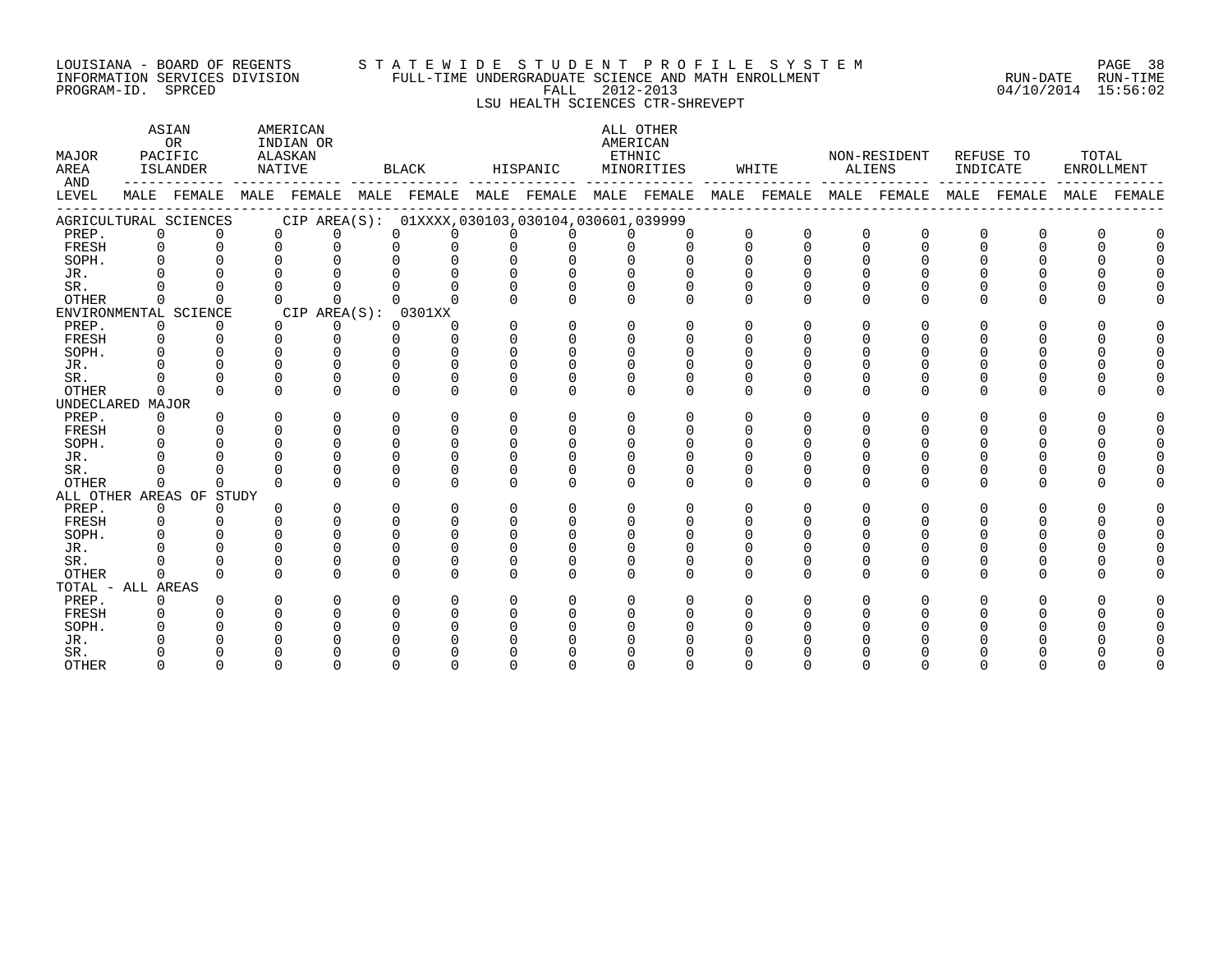#### LOUISIANA – BOARD OF REGENTS STA TE WID E STUDE N TPROFILE SYSTEM PAGE 38 INFORMATION SERVICES DIVISION FULL-TIME UNDERGRADUATE SCIENCE AND MATH ENROLLMENT RUN-DATE RUN-TIME DOUSTANA - BOAKD OF REGENTS<br>INFORMATION SERVICES DIVISION FULL-TIME UNDERGRADUATE SCIENCE AND MATH ENROLLMENT - . . . . . . . . . . . . . .<br>PROGRAM-ID. SPRCED 15:56:02

# LSU HEALTH SCIENCES CTR-SHREVEPT

| MAJOR<br>AREA<br>AND |             | ASIAN<br>0 <sub>R</sub><br>PACIFIC<br>ISLANDER                                                  | NATIVE   | AMERICAN<br>INDIAN OR<br>ALASKAN |          | BLACK                                           |          | HISPANIC | ETHNIC   | ALL OTHER<br>AMERICAN<br>MINORITIES |          | WHITE    |          | NON-RESIDENT<br>ALIENS | INDICATE | REFUSE TO    | TOTAL | ENROLLMENT  |
|----------------------|-------------|-------------------------------------------------------------------------------------------------|----------|----------------------------------|----------|-------------------------------------------------|----------|----------|----------|-------------------------------------|----------|----------|----------|------------------------|----------|--------------|-------|-------------|
| LEVEL                |             | MALE FEMALE MALE FEMALE MALE FEMALE MALE FEMALE MALE FEMALE MALE FEMALE MALE FEMALE MALE FEMALE |          |                                  |          |                                                 |          |          |          |                                     |          |          |          |                        |          |              |       | MALE FEMALE |
|                      |             | AGRICULTURAL SCIENCES                                                                           |          |                                  |          | CIP AREA(S): 01XXXX,030103,030104,030601,039999 |          |          |          |                                     |          |          |          |                        |          |              |       |             |
| PREP.                | 0           |                                                                                                 | $\Omega$ | $\Omega$                         |          | $\Omega$<br>$\cap$                              | $\Omega$ |          |          |                                     | 0        | $\Omega$ | $\Omega$ | $\mathbf 0$            | $\Omega$ | $\Omega$     |       |             |
| FRESH                | $\Omega$    |                                                                                                 | $\Omega$ |                                  |          |                                                 | $\cap$   |          |          |                                     | $\Omega$ | $\Omega$ |          |                        |          |              |       |             |
| SOPH.                |             |                                                                                                 |          |                                  |          |                                                 | $\cap$   |          |          |                                     |          |          |          |                        |          |              |       |             |
| JR.                  |             |                                                                                                 |          |                                  |          |                                                 |          |          | $\cap$   |                                     |          |          |          |                        |          |              |       |             |
| SR.                  |             |                                                                                                 |          |                                  |          |                                                 | $\Omega$ | $\Omega$ | $\Omega$ |                                     |          |          |          |                        |          |              |       |             |
| <b>OTHER</b>         | $\Omega$    |                                                                                                 |          | $\Omega$                         |          | $\cap$                                          | $\cap$   | $\Omega$ | $\Omega$ |                                     |          |          |          | $\Omega$               |          |              |       |             |
|                      |             | ENVIRONMENTAL SCIENCE                                                                           |          | CIP AREA(S): 0301XX              |          |                                                 |          |          |          |                                     |          |          |          |                        |          |              |       |             |
| PREP.                | $\mathbf 0$ |                                                                                                 | $\Omega$ | $\Omega$                         |          | $\Omega$<br>∩                                   | $\Omega$ | $\Omega$ | $\Omega$ | $\Omega$                            | $\Omega$ | $\Omega$ | $\Omega$ | ∩                      | ∩        |              |       |             |
| FRESH                | $\Omega$    |                                                                                                 |          | <sup>n</sup>                     |          | $\Omega$                                        | $\cap$   | $\cap$   | U        |                                     | 0        |          | ∩        |                        |          |              |       |             |
| SOPH.                |             |                                                                                                 |          |                                  |          |                                                 | $\Omega$ | $\cap$   | U        |                                     |          |          |          |                        |          |              |       |             |
| JR.                  |             |                                                                                                 |          |                                  |          |                                                 |          |          | U        |                                     |          |          |          |                        |          |              |       |             |
| SR.                  |             |                                                                                                 |          |                                  |          |                                                 | $\cap$   |          |          |                                     |          |          |          |                        |          |              |       |             |
| OTHER                | $\Omega$    |                                                                                                 |          | $\cap$                           |          | $\cap$<br>$\cap$                                | $\cap$   | ∩        | $\Omega$ |                                     |          | ∩        | ∩        | $\cap$                 | ∩        | U            |       |             |
| UNDECLARED MAJOR     |             |                                                                                                 |          |                                  |          |                                                 |          |          |          |                                     |          |          |          |                        |          |              |       |             |
| PREP.                | $\mathbf 0$ |                                                                                                 | $\Omega$ | $\Omega$                         |          | $\Omega$                                        | ∩        | U        | 0        |                                     | $\Omega$ | $\Omega$ | $\Omega$ | $\Omega$               | ∩        | <sup>0</sup> |       |             |
| FRESH                |             |                                                                                                 |          |                                  |          |                                                 | $\cap$   | $\cap$   | U        |                                     | $\Omega$ |          |          |                        |          |              |       |             |
| SOPH.                |             |                                                                                                 |          | $\cap$                           |          | $\cap$                                          | $\cap$   |          | U        |                                     |          |          |          |                        |          |              |       |             |
| JR.                  |             |                                                                                                 |          |                                  |          | $\cap$<br>$\cap$                                | $\cap$   |          | U        |                                     |          |          |          |                        |          |              |       |             |
| SR.                  |             |                                                                                                 |          |                                  | $\Omega$ |                                                 | $\Omega$ |          | $\Omega$ |                                     |          |          |          |                        |          |              |       |             |
| <b>OTHER</b>         | $\cap$      |                                                                                                 | $\cap$   | ∩                                |          | $\cap$<br>$\Omega$                              | $\Omega$ | $\cap$   | $\Omega$ |                                     | $\Omega$ | $\Omega$ | $\Omega$ | $\Omega$               | $\Omega$ | $\Omega$     |       |             |
|                      |             | ALL OTHER AREAS OF STUDY                                                                        |          |                                  |          |                                                 |          |          |          |                                     |          |          |          |                        |          |              |       |             |
| PREP.                | $\Omega$    |                                                                                                 |          | ∩                                | $\cap$   |                                                 | ∩        | U        | 0        |                                     | $\Omega$ | $\Omega$ | 0        |                        |          | U            |       |             |
| FRESH                |             |                                                                                                 |          | $\cap$                           |          | $\cap$<br>∩                                     | $\cap$   | $\cap$   | U        |                                     |          |          |          |                        |          |              |       |             |
| SOPH.                |             |                                                                                                 |          |                                  | $\cap$   |                                                 | $\cap$   |          | $\Omega$ |                                     |          |          |          |                        |          |              |       |             |
| JR.                  |             |                                                                                                 |          |                                  | $\Omega$ |                                                 | ∩        |          |          |                                     |          |          |          |                        |          |              |       |             |
| SR.                  |             |                                                                                                 |          |                                  |          |                                                 | $\Omega$ |          | U        |                                     |          |          |          |                        |          |              |       |             |
| <b>OTHER</b>         | $\cap$      |                                                                                                 |          |                                  |          | $\cap$                                          | ∩        |          | ∩        |                                     |          |          | ∩        | ∩                      | ∩        | ∩            |       |             |
| TOTAL - ALL AREAS    |             |                                                                                                 |          |                                  |          |                                                 |          |          |          |                                     |          |          |          |                        |          |              |       |             |
| PREP.                | 0           |                                                                                                 |          | $\Omega$                         | $\Omega$ |                                                 | $\Omega$ |          | O        |                                     |          |          |          |                        |          |              |       |             |
| FRESH                |             |                                                                                                 |          |                                  |          |                                                 |          |          |          |                                     |          |          |          |                        |          |              |       |             |
| SOPH.                |             |                                                                                                 |          |                                  |          |                                                 |          |          |          |                                     |          |          |          |                        |          |              |       |             |
| JR.                  |             |                                                                                                 |          |                                  |          |                                                 |          |          |          |                                     |          |          |          |                        |          |              |       |             |
| SR.                  |             |                                                                                                 |          |                                  |          |                                                 |          |          |          |                                     |          |          |          |                        |          |              |       |             |
| <b>OTHER</b>         |             |                                                                                                 |          |                                  |          |                                                 |          |          |          |                                     |          |          |          |                        |          |              |       |             |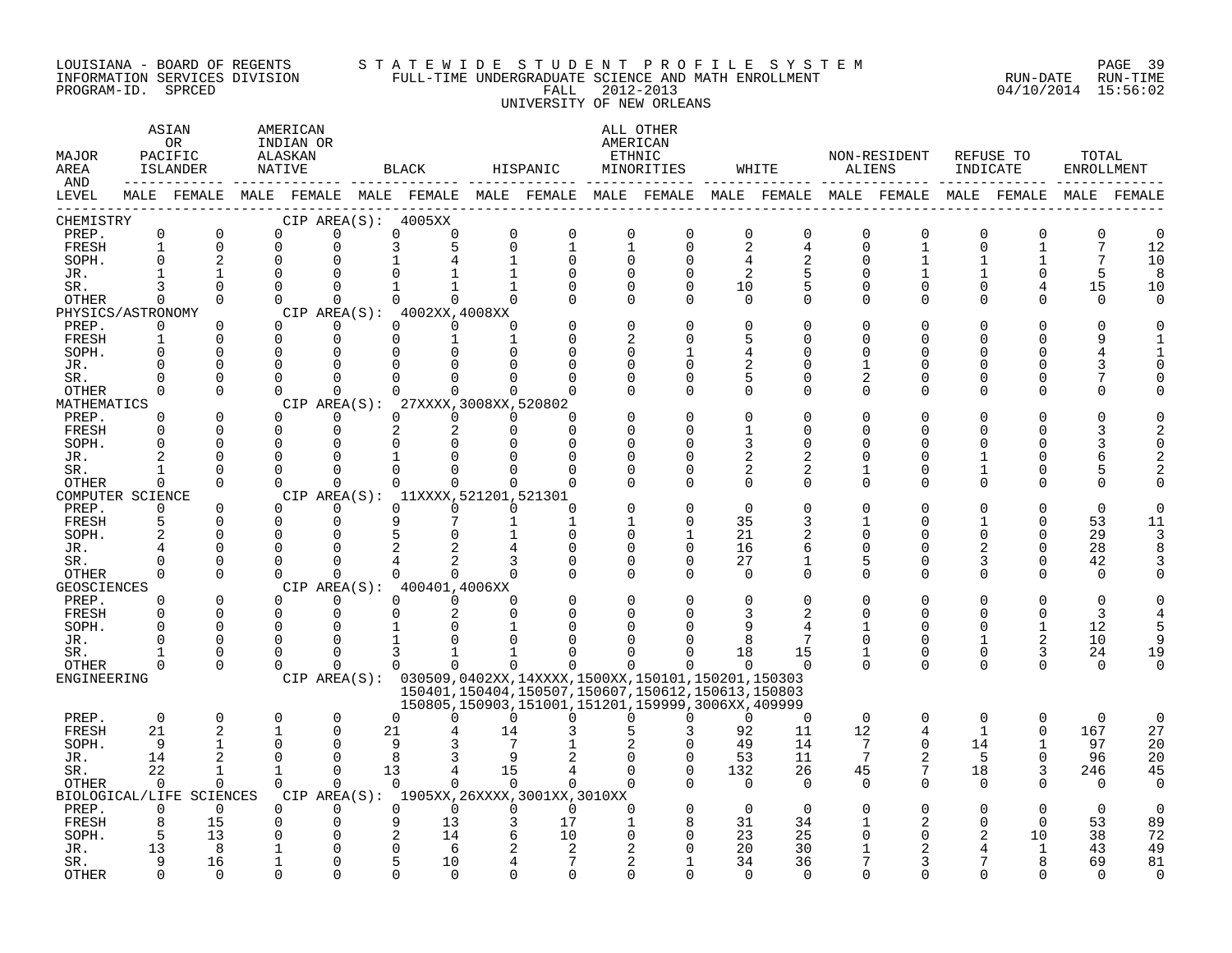#### LOUISIANA - BOARD OF REGENTS S T A T E W I D E S T U D E N T P R O F I L E S Y S T E M PAGE 39 INFORMATION SERVICES DIVISION FULL-TIME UNDERGRADUATE SCIENCE AND MATH ENROLLMENT RUN-DATE RUN-TIME PROGRAM-ID. SPRCED FALL 2012-2013 04/10/2014 15:56:02 UNIVERSITY OF NEW ORLEANS

| MAJOR<br>AREA                                         | ASIAN<br>OR.<br>PACIFIC<br>ISLANDER                          |                                                                             | <b>NATIVE</b>                                                     | AMERICAN<br>INDIAN OR<br>ALASKAN                              |              | BLACK                                                                                                                                       |                                            | HISPANIC                                   |                                                    | ALL OTHER<br>AMERICAN<br>ETHNIC<br>MINORITIES                                                                                                                                           |                                               | WHITE                                           | ALIENS                                                   | NON-RESIDENT                                    | INDICATE                                       | REFUSE TO                                                  | TOTAL<br>ENROLLMENT                               |                                                 |
|-------------------------------------------------------|--------------------------------------------------------------|-----------------------------------------------------------------------------|-------------------------------------------------------------------|---------------------------------------------------------------|--------------|---------------------------------------------------------------------------------------------------------------------------------------------|--------------------------------------------|--------------------------------------------|----------------------------------------------------|-----------------------------------------------------------------------------------------------------------------------------------------------------------------------------------------|-----------------------------------------------|-------------------------------------------------|----------------------------------------------------------|-------------------------------------------------|------------------------------------------------|------------------------------------------------------------|---------------------------------------------------|-------------------------------------------------|
| AND<br>LEVEL                                          |                                                              | ------                                                                      |                                                                   |                                                               |              |                                                                                                                                             |                                            |                                            |                                                    | MALE FEMALE MALE FEMALE MALE FEMALE MALE FEMALE MALE FEMALE MALE FEMALE MALE FEMALE MALE FEMALE MALE FEMALE                                                                             |                                               |                                                 |                                                          |                                                 |                                                |                                                            |                                                   |                                                 |
| CHEMISTRY<br>PREP.<br>FRESH<br>SOPH.                  | 0<br>$\mathbf{1}$<br>$\Omega$                                | 0<br>0<br>$\overline{2}$                                                    | $\Omega$<br>0<br>$\Omega$                                         | 0<br>0<br>0                                                   | CIP AREA(S): | 4005XX<br>$\mathbf 0$<br>$\Omega$<br>3<br>5                                                                                                 | $\Omega$<br>0<br>1                         | $\Omega$<br>$\mathbf{1}$<br>$\Omega$       | 0<br>1<br>$\Omega$                                 | 0<br>$\mathbf 0$<br>$\Omega$                                                                                                                                                            | 0<br>2<br>$\overline{4}$                      | $\mathbf 0$<br>4<br>$\overline{2}$              | 0<br>0<br>O                                              | $\Omega$<br>1<br>1                              | $\Omega$<br>$\mathbf 0$                        | $\Omega$<br>1                                              | 0<br>7<br>7                                       | $\Omega$<br>12<br>10                            |
| JR.<br>SR.<br><b>OTHER</b>                            | 3<br>$\Omega$                                                | 1<br>$\Omega$<br>$\Omega$                                                   | $\Omega$<br>$\Omega$<br>$\Omega$                                  | 0<br>$\Omega$<br>$\Omega$                                     |              | $\Omega$<br>$\Omega$                                                                                                                        | 1<br>$\mathbf{1}$<br>$\Omega$              | O<br>$\Omega$<br>$\cap$                    | $\Omega$<br>$\mathbf{0}$<br>$\Omega$               | $\Omega$<br>$\mathbf 0$<br>$\Omega$                                                                                                                                                     | $\overline{2}$<br>10<br>$\Omega$              | 5<br>5<br>$\Omega$                              | U<br>U<br>$\Omega$                                       | 0<br>$\Omega$                                   | $\Omega$<br>$\Omega$                           | 4<br>$\Omega$                                              | 5<br>15<br>$\Omega$                               | 8<br>10<br>$\Omega$                             |
| PREP.<br>FRESH<br>SOPH.                               | PHYSICS/ASTRONOMY<br>0<br>1<br>$\Omega$                      | $\Omega$<br>$\Omega$<br>$\Omega$                                            | $\Omega$<br>$\Omega$<br>0                                         | 0<br>0<br>0                                                   |              | CIP AREA $(S):$ 4002XX, 4008XX<br>$\Omega$<br>$\Omega$<br>$\Omega$<br>1<br>∩<br>$\Omega$                                                    | 1<br>U                                     | O<br>U                                     | $\cap$<br>2<br>$\Omega$                            | $\Omega$<br>$\Omega$<br>$\mathbf{1}$                                                                                                                                                    | $\Omega$<br>5<br>4                            | $\Omega$<br>O<br>O                              | U<br>U<br>U                                              | $\Omega$<br>0<br>0                              | ∩<br>U<br>U                                    | ∩<br>$\Omega$<br>O                                         | U<br>9                                            |                                                 |
| JR.<br>SR.<br><b>OTHER</b><br>MATHEMATICS             | $\Omega$<br>$\Omega$<br>0                                    | $\Omega$<br>$\Omega$<br>$\Omega$                                            | 0<br>0<br>$\Omega$                                                | 0<br>$\Omega$<br>$\mathbf 0$<br>CIP AREA(S):                  |              | U<br>∩<br>$\Omega$<br>$\Omega$<br>27XXXX, 3008XX, 520802                                                                                    | U<br>U<br>0                                | ∩                                          | $\Omega$<br>$\Omega$<br>$\cap$                     | $\Omega$<br>$\Omega$<br>$\Omega$                                                                                                                                                        | 2<br>5<br>$\Omega$                            | $\Omega$<br>$\Omega$<br>$\mathbf 0$             | 1<br>2<br>0                                              | 0<br>0<br>0                                     | O<br>O<br>∩                                    | $\Omega$<br>$\Omega$<br>0                                  |                                                   |                                                 |
| PREP.<br>FRESH<br>SOPH.<br>JR.<br>SR.<br><b>OTHER</b> | ∩<br>$\Omega$<br>$\Omega$<br>2<br>$\Omega$                   | $\Omega$<br>$\Omega$<br>$\Omega$<br>0<br>$\Omega$<br>$\Omega$               | $\Omega$<br>$\Omega$<br>0<br>$\Omega$<br>$\Omega$<br>$\Omega$     | $\Omega$<br>0<br>$\Omega$<br>0<br>$\Omega$<br>$\Omega$        |              | $\Omega$<br>$\Omega$<br>2<br>2<br>$\Omega$<br>$\Omega$<br>$\Omega$<br>1<br>$\Omega$<br>$\Omega$<br>$\Omega$                                 | $\Omega$<br>$\Omega$<br>U<br>O<br>U        | ∩<br>$\Omega$<br>U<br>N<br>$\Omega$        | $\cap$<br>$\cap$<br>U<br>O<br>$\Omega$<br>$\Omega$ | $\Omega$<br>$\Omega$<br>$\Omega$<br>$\Omega$<br>$\Omega$<br>$\Omega$                                                                                                                    | $\Omega$<br>1<br>3<br>2<br>2<br>$\Omega$      | $\Omega$<br>$\Omega$<br>O<br>2<br>2<br>$\Omega$ | U<br>U<br>U<br>U<br>U                                    | $\Omega$<br>0<br>0<br>0<br>0<br>$\Omega$        | $\cap$<br>∩<br>$\Omega$                        | ∩<br>∩<br>∩<br>$\Omega$<br>$\Omega$                        | 6<br>5<br>$\Omega$                                | $\Omega$                                        |
| PREP.<br>FRESH<br>SOPH.                               | COMPUTER SCIENCE<br>$\Omega$<br>5<br>$\overline{c}$          | $\Omega$<br>$\Omega$<br>$\Omega$                                            | $\Omega$<br>$\Omega$<br>$\Omega$                                  | $\Omega$<br>$\Omega$<br>$\Omega$                              |              | 0<br>CIP AREA(S): 11XXXX, 521201, 521301<br>$\Omega$<br>$\Omega$<br>9<br>7<br>5<br>$\Omega$                                                 | 0<br>$\Omega$<br>1<br>$\mathbf{1}$         | ∩<br>1<br>$\Omega$                         | -1<br>$\Omega$                                     | $\Omega$<br>$\Omega$<br>$\mathbf{1}$                                                                                                                                                    | $\Omega$<br>35<br>21                          | $\Omega$<br>3<br>2                              | U<br>1<br>U                                              | $\Omega$<br>0<br>0                              | $\Omega$<br>$\Omega$                           | 0<br>$\Omega$<br>$\Omega$<br>$\Omega$                      | $\Omega$<br>53<br>29                              | $\Omega$<br>11<br>3                             |
| JR.<br>SR.<br><b>OTHER</b><br><b>GEOSCIENCES</b>      | $\Omega$<br>$\Omega$                                         | $\Omega$<br>$\Omega$<br>$\Omega$                                            | 0<br>U<br>$\Omega$                                                | 0<br>$\Omega$<br>$\Omega$                                     | CIP AREA(S): | 2<br>4<br>$\Omega$<br>0<br>400401,4006XX                                                                                                    | $\Omega$                                   | ∩<br>O<br>∩                                | $\Omega$<br>$\Omega$<br>$\Omega$                   | $\Omega$<br>$\Omega$<br>$\Omega$                                                                                                                                                        | 16<br>27<br>$\Omega$                          | 6<br>1<br>$\Omega$                              | U<br>5<br>$\Omega$                                       | 0<br>0<br>$\Omega$                              | 2<br>3<br>$\Omega$                             | 0<br>$\Omega$<br>$\Omega$                                  | 28<br>42<br>$\Omega$                              | R                                               |
| PREP.<br>FRESH<br>SOPH.<br>JR.                        | $\Omega$<br>$\Omega$<br>$\Omega$<br>∩                        | $\Omega$<br>$\Omega$<br>$\mathbf 0$<br>$\Omega$                             | $\Omega$<br>$\Omega$<br>0<br>$\Omega$<br>U                        | $\Omega$<br>$\mathbf 0$<br>$\Omega$<br>0<br>U                 |              | $\Omega$<br>$\Omega$<br>$\Omega$<br>2<br><sup>n</sup><br>∩<br>3                                                                             | $\Omega$<br>$\Omega$<br>O                  | O<br>U                                     | $\Omega$<br>$\Omega$<br>U<br>U<br>U                | $\Omega$<br>$\Omega$<br>∩<br>∩                                                                                                                                                          | $\Omega$<br>3<br>q<br>8                       | O<br>2<br>7                                     | O<br>U<br>$\Omega$                                       | 0<br>U<br>$\Omega$<br>0<br>0                    | $\Omega$<br>∩<br>∩<br>1                        | $\Omega$<br>$\Omega$<br>2                                  | $\Omega$<br>3<br>12<br>10                         | 5<br>q                                          |
| SR.<br><b>OTHER</b><br>ENGINEERING                    | $\Omega$                                                     | $\Omega$<br>$\Omega$                                                        | $\Omega$                                                          | $\Omega$                                                      |              | $\Omega$<br>$\Omega$                                                                                                                        | $\Omega$                                   | $\Omega$                                   | $\Omega$                                           | $\Omega$<br>CIP AREA(S): 030509,0402XX,14XXXX,1500XX,150101,150201,150303<br>150401, 150404, 150507, 150607, 150612, 150613, 150803<br>150805,150903,151001,151201,159999,3006XX,409999 | 18<br>$\Omega$                                | 15<br>$\Omega$                                  | 1<br>$\Omega$                                            | $\Omega$                                        | $\Omega$<br>$\Omega$                           | 3<br>$\Omega$                                              | 24<br>$\Omega$                                    | 19<br>$\Omega$                                  |
| PREP.<br>FRESH<br>SOPH.<br>JR.<br>SR.<br><b>OTHER</b> | $\mathbf 0$<br>21<br>9<br>14<br>22<br>$\Omega$               | $\Omega$<br>2<br>$\mathbf{1}$<br>$\overline{a}$<br>$\mathbf{1}$<br>$\Omega$ | $\Omega$<br>1<br>$\Omega$<br>$\Omega$<br>$\mathbf{1}$<br>$\Omega$ | $\Omega$<br>0<br>$\Omega$<br>$\Omega$<br>$\Omega$<br>$\Omega$ | 21<br>13     | $\Omega$<br>$\cap$<br>9<br>3<br>8<br>3<br>4<br>$\Omega$<br>$\Omega$                                                                         | $\Omega$<br>14<br>7<br>9<br>15<br>$\Omega$ | $\Omega$<br>4<br>$\Omega$                  | $\Omega$<br>5<br>$\Omega$<br>$\Omega$<br>$\Omega$  | $\Omega$<br>3<br>$\Omega$<br>$\Omega$<br>$\Omega$<br>$\Omega$                                                                                                                           | $\Omega$<br>92<br>49<br>53<br>132<br>$\Omega$ | $\Omega$<br>11<br>14<br>11<br>26<br>$\Omega$    | $\Omega$<br>12<br>7<br>$7\phantom{.0}$<br>45<br>$\Omega$ | $\Omega$<br>4<br>$\Omega$<br>2<br>7<br>$\Omega$ | $\Omega$<br>$\mathbf{1}$<br>14<br>5<br>18<br>0 | $\Omega$<br>0<br>$\mathbf{1}$<br>$\Omega$<br>3<br>$\Omega$ | $\Omega$<br>167<br>97<br>96<br>246<br>$\mathbf 0$ | $\mathbf 0$<br>27<br>20<br>20<br>45<br>$\Omega$ |
| PREP.<br>FRESH<br>SOPH.<br>JR.<br>SR.<br><b>OTHER</b> | BIOLOGICAL/LIFE<br>$\Omega$<br>8<br>5<br>13<br>9<br>$\Omega$ | <b>SCIENCES</b><br>$\Omega$<br>15<br>13<br>8<br>16<br>$\Omega$              | $\Omega$<br>0<br>0<br>1<br>1<br>$\Omega$                          | $\Omega$<br>0<br>U<br>0<br>0<br>$\Omega$                      |              | CIP AREA(S): 1905XX, 26XXXX, 3001XX, 3010XX<br>$\Omega$<br>$\Omega$<br>9<br>13<br>2<br>14<br>$\Omega$<br>6<br>5<br>10<br>$\cap$<br>$\Omega$ | $\Omega$<br>6<br>4                         | $\Omega$<br>17<br>10<br>2<br>7<br>$\Omega$ | $\Omega$<br>1<br>$\mathbf 0$<br>2<br>2<br>$\cap$   | $\Omega$<br>8<br>$\Omega$<br>$\cap$<br>1<br>∩                                                                                                                                           | $\Omega$<br>31<br>23<br>20<br>34<br>$\Omega$  | $\Omega$<br>34<br>25<br>30<br>36<br>$\Omega$    | O<br>1<br>0<br>1<br>7<br>U                               | O<br>2<br>0<br>2<br>3<br>U                      | $\Omega$<br>2<br>∩                             | $\Omega$<br>$\Omega$<br>10<br>1<br>$\cap$                  | $\Omega$<br>53<br>38<br>43<br>69<br>$\cap$        | $\Omega$<br>89<br>72<br>49<br>81<br>$\Omega$    |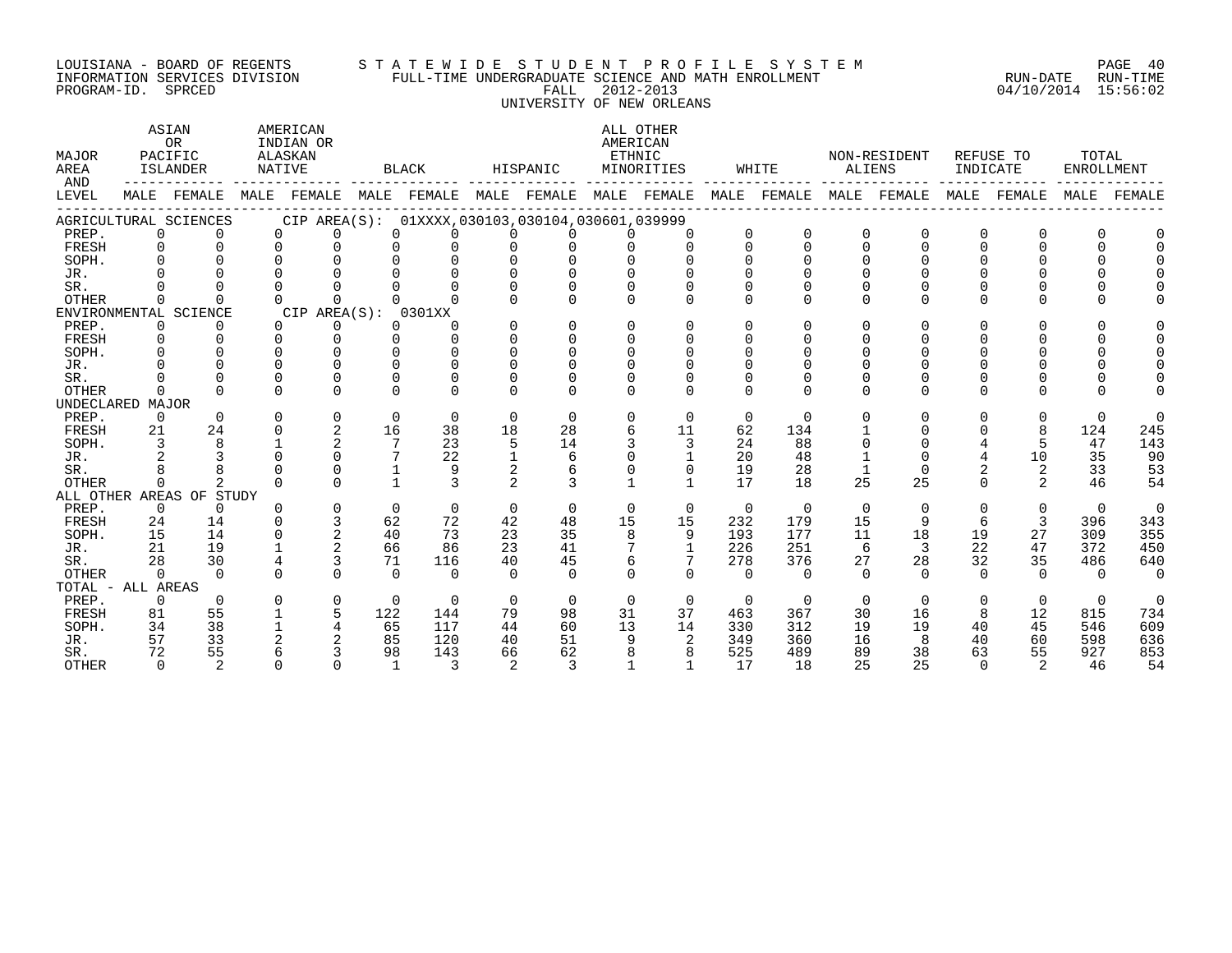#### LOUISIANA - BOARD OF REGENTS S T A T E W I D E S T U D E N T P R O F I L E S Y S T E M PAGE 40 INFORMATION SERVICES DIVISION FULL-TIME UNDERGRADUATE SCIENCE AND MATH ENROLLMENT RUN-DATE RUN-TIME PROGRAM-ID. SPRCED FALL 2012-2013 04/10/2014 15:56:02 UNIVERSITY OF NEW ORLEANS

ASTAN AMERICAN AMERICAN ALL OTHER OR INDIAN OR **INDIAN OR** AMERICAN MAJOR PACIFIC ALASKAN ETHNIC NON-RESIDENT REFUSE TO TOTAL AREA ISLANDER NATIVE BLACK HISPANIC MINORITIES WHITE ALIENS INDICATE ENROLLMENT AND ------------ ------------- ------------- ------------- ------------- ------------- ------------- ------------- ------------- LEVEL MALE FEMALE MALE FEMALE MALE FEMALE MALE FEMALE MALE FEMALE MALE FEMALE MALE FEMALE MALE FEMALE MALE FEMALE ------------------------------------------------------------------------------------------------------------------------------------ AGRICULTURAL SCIENCES CIP AREA(S): 01XXXX,030103,030104,030601,039999 PREP. 0 0 0 0 0 0 0 0 0 0 0 0 0 0 0 0 0 0 FRESH 0 0 0 0 0 0 0 0 0 0 0 0 0 0 0 0 0 0 SOPH. 0 0 0 0 0 0 0 0 0 0 0 0 0 0 0 0 0 0 JR. 0 0 0 0 0 0 0 0 0 0 0 0 0 0 0 0 0 0 SR. 0 0 0 0 0 0 0 0 0 0 0 0 0 0 0 0 0 0 OTHER 0 0 0 0 0 0 0 0 0 0 0 0 0 0 0 0 0 0 ENVIRONMENTAL SCIENCE<br>
PREP. 0 0 0 0 0 0 0<br>
0 0 PREP. 0 0 0 0 0 0 0 0 0 0 0 0 0 0 0 0 0 0 FRESH 0 0 0 0 0 0 0 0 0 0 0 0 0 0 0 0 0 0 SOPH. 0 0 0 0 0 0 0 0 0 0 0 0 0 0 0 0 0 0 JR. 0 0 0 0 0 0 0 0 0 0 0 0 0 0 0 0 0 0 SR. 0 0 0 0 0 0 0 0 0 0 0 0 0 0 0 0 0 0 OTHER 0 0 0 0 0 0 0 0 0 0 0 0 0 0 0 0 0 0 UNDECLARED MAJOR PREP. 0 0 0 0 0 0 0 0 0 0 0 0 0 0 0 0 0 0 FRESH 21 24 0 2 16 38 18 28 6 11 62 134 1 0 0 8 124 245 SOPH. 3 8 1 2 7 23 5 14 3 3 24 88 0 0 4 5 47 143 JR. 2 3 0 0 7 22 1 6 0 1 20 48 1 0 4 10 35 90 SR. 8 8 0 0 1 9 2 6 0 0 19 28 1 0 2 2 33 53 OTHER 0 2 0 0 1 3 2 3 1 1 17 18 25 25 0 2 46 54 ALL OTHER AREAS OF STUDY PREP. 0 0 0 0 0 0 0 0 0 0 0 0 0 0 0 0 0 0 FRESH 24 14 0 3 62 72 42 48 15 15 232 179 15 9 6 3 396 343 SOPH. 15 14 0 2 40 73 23 35 8 9 193 177 11 18 19 27 309 355 JR. 21 19 1 2 66 86 23 41 7 1 226 251 6 3 22 47 372 450 SR. 28 30 4 3 71 116 40 45 6 7 278 376 27 28 32 35 486 640 OTHER 0 0 0 0 0 0 0 0 0 0 0 0 0 0 0 0 0 0 TOTAL - ALL AREAS PREP. 0 0 0 0 0 0 0 0 0 0 0 0 0 0 0 0 0 0 FRESH 81 55 1 5 122 144 79 98 31 37 463 367 30 16 8 12 815 734 SOPH. 34 38 1 4 65 117 44 60 13 14 330 312 19 19 40 45 546 609 JR. 57 33 2 2 85 120 40 51 9 2 349 360 16 8 40 60 598 636 SR. 72 55 6 3 98 143 66 62 8 8 525 489 89 38 63 55 927 853

OTHER 0 2 0 0 1 3 2 3 1 1 17 18 25 25 0 2 46 54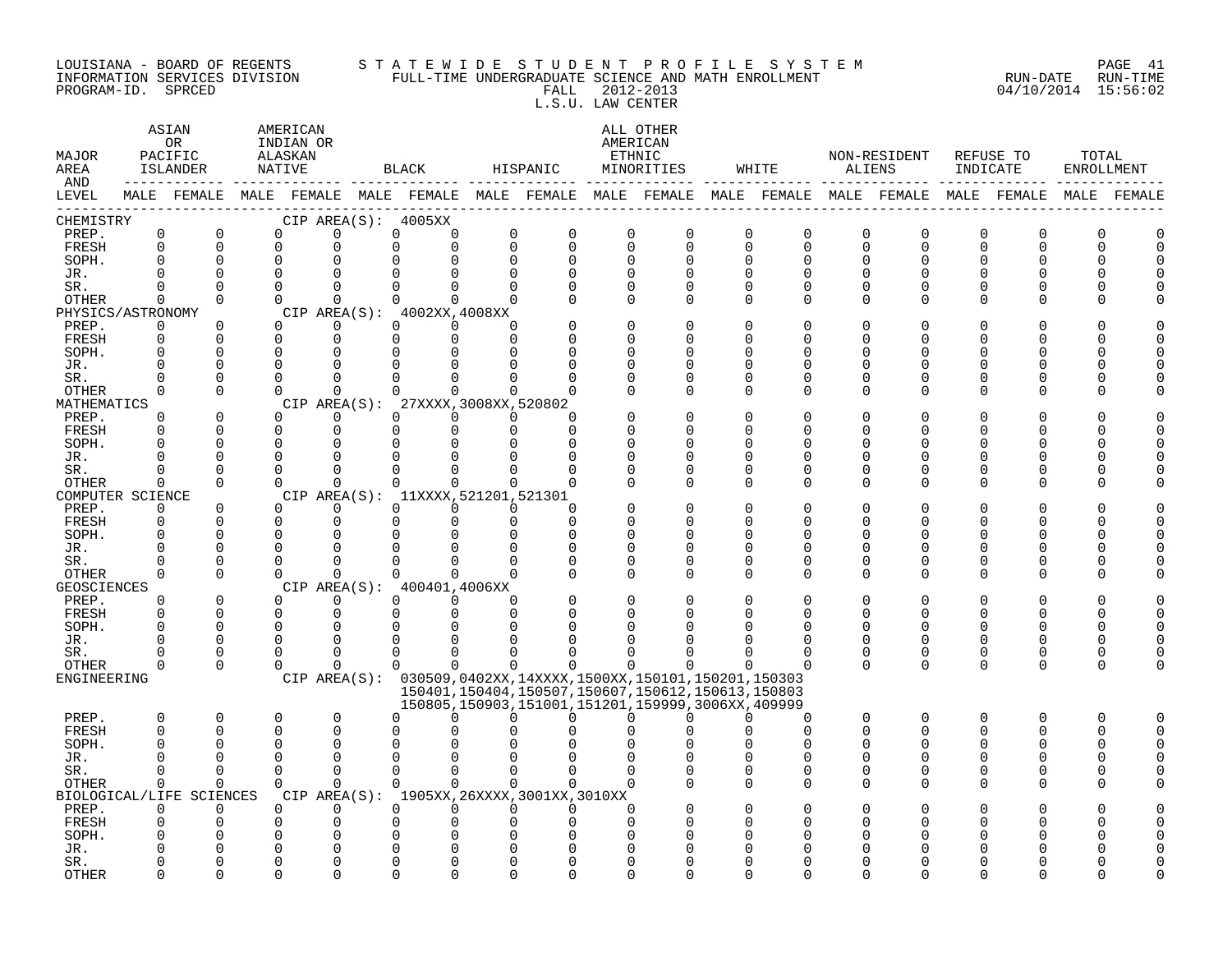### LOUISIANA - BOARD OF REGENTS S T A T E W I D E S T U D E N T P R O F I L E S Y S T E M PAGE 41 INFORMATION SERVICES DIVISION FULL-TIME UNDERGRADUATE SCIENCE AND MATH ENROLLMENT RUN-DATE RUN-TIME

PROGRAM-ID. SPRCED FALL 2012-2013 04/10/2014 15:56:02 L.S.U. LAW CENTER ASIAN AMERICAN ALL OTHER OR INDIAN OR AMERICAN MAJOR PACIFIC ALASKAN ETHNIC NON-RESIDENT REFUSE TO TOTAL AREA ISLANDER NATIVE BLACK HISPANIC MINORITIES WHITE ALIENS INDICATE ENROLLMENT AND ------------ ------------- ------------- ------------- ------------- ------------- ------------- ------------- ------------- LEVEL MALE FEMALE MALE FEMALE MALE FEMALE MALE FEMALE MALE FEMALE MALE FEMALE MALE FEMALE MALE FEMALE MALE FEMALE ------------------------------------------------------------------------------------------------------------------------------------

| CHEMISTRY                |               |                    |              | CIP AREA(S): | 4005XX   |                        |             |                                                        |             |             |                      |              |                          |               |               |             |          |          |
|--------------------------|---------------|--------------------|--------------|--------------|----------|------------------------|-------------|--------------------------------------------------------|-------------|-------------|----------------------|--------------|--------------------------|---------------|---------------|-------------|----------|----------|
| PREP.                    | $\Omega$      | 0                  | 0            | $\Omega$     | $\Omega$ | ∩                      | $\mathbf 0$ | 0                                                      | $\mathbf 0$ | $\mathbf 0$ | $\mathbf 0$          | $\mathbf 0$  | 0                        | $\mathbf 0$   | $\mathbf 0$   | $\mathbf 0$ | $\Omega$ | U        |
| FRESH                    | $\Omega$      | $\Omega$           | 0            | O            | $\Omega$ | ∩                      | $\Omega$    | $\Omega$<br>$\Omega$                                   |             | $\Omega$    | $\Omega$             | $\Omega$     | $\Omega$                 | $\Omega$      | $\Omega$      | $\cap$      |          | $\cap$   |
| SOPH.                    | $\Omega$      | $\Omega$           | 0            | O            |          |                        | $\Omega$    | $\cap$                                                 | $\Omega$    | $\Omega$    | $\Omega$             | $\Omega$     | $\Omega$                 | 0             | $\Omega$      |             |          |          |
| JR.                      | ∩             | $\Omega$           | 0            | U            |          |                        | ∩           | Λ                                                      | U           | $\Omega$    | ∩                    | $\Omega$     | U                        | O             | U             |             |          |          |
| SR.                      | ∩             | $\Omega$           | 0            | O            |          |                        | ∩           |                                                        | U           | $\Omega$    | $\Omega$             | $\Omega$     | U                        | O             | $\Omega$      |             |          |          |
| <b>OTHER</b>             | $\Omega$      | $\Omega$           | $\Omega$     | 0            |          | <sup>n</sup>           | U           | U                                                      | $\Omega$    | $\Omega$    | $\Omega$             | $\Omega$     | $\Omega$                 | $\Omega$      | $\Omega$      |             |          |          |
| PHYSICS/ASTRONOMY        |               |                    |              | CIP AREA(S): |          | 4002XX, 4008XX         |             |                                                        |             |             |                      |              |                          |               |               |             |          |          |
| PREP.                    | 0             | <sup>0</sup>       | 0            | ∩            | U        | O                      | ∩           |                                                        | O           | $\Omega$    |                      | $\Omega$     | U                        | O             | O             |             |          |          |
| FRESH                    | $\Omega$      | <sup>0</sup>       | 0            | $\Omega$     | O        | 0                      | ∩           |                                                        | U           | ∩           | ∩                    | <sup>n</sup> | ∩                        | U             | U             |             |          |          |
| SOPH.                    | ∩             | $\Omega$           | 0            | ∩            | ∩        | ∩                      | ∩           |                                                        | n           | ∩           |                      | U            | ∩                        | U             | U             |             |          |          |
| JR.                      |               | $\Omega$           | $\Omega$     | U            |          |                        |             |                                                        | U           | ∩           |                      | U            |                          | U             | N             |             |          |          |
| SR.                      | <sup>0</sup>  | $\Omega$           | $\Omega$     | ∩            |          |                        |             |                                                        | O           | $\Omega$    | $\Omega$             | $\Omega$     | <sup>0</sup>             | 0             | $\Omega$      |             |          |          |
| <b>OTHER</b>             | $\Omega$      | $\Omega$           | 0            | <sup>n</sup> |          | <sup>n</sup>           | U           | $\cap$<br>U                                            |             | $\Omega$    | $\Omega$             | $\Omega$     | $\Omega$                 | 0             | $\Omega$      | $\Omega$    | ∩        |          |
| MATHEMATICS              |               |                    |              | CIP AREA(S): |          | 27XXXX, 3008XX, 520802 |             |                                                        |             |             |                      |              |                          |               |               |             |          |          |
| PREP.                    | 0             | 0                  | 0            | O.           | ∩        |                        |             | ∩                                                      | C           | $\Omega$    | $\Omega$             | $\Omega$     | <sup>0</sup>             | O             | $\Omega$      |             |          |          |
| FRESH                    | $\Omega$      | $\Omega$           | 0            | 0            | $\Omega$ | ∩                      | $\Omega$    | <sup>n</sup>                                           | U           | ∩           | $\Omega$             | $\Omega$     | $\cap$                   | U             | U             |             |          |          |
| SOPH.                    | $\Omega$      | $\Omega$           | 0            | O            |          |                        |             |                                                        | U           | ∩           | $\Omega$             | $\Omega$     | U                        | O             | $\Omega$      |             |          |          |
| JR.                      | ∩             | $\Omega$           | 0            | Λ            |          |                        |             |                                                        | U           | ∩           | $\Omega$             | $\Omega$     | U                        | O             | $\Omega$      |             |          |          |
| SR.                      | $\Omega$      | $\Omega$           | 0            | U            |          | ∩                      | U           | Ω                                                      | O           | $\Omega$    | $\Omega$             | $\Omega$     | <sup>0</sup>             | 0             | 0             |             |          |          |
| <b>OTHER</b>             | $\Omega$      | $\Omega$           | <sup>n</sup> | 0            |          | <sup>n</sup>           | $\Omega$    | $\Omega$                                               | $\Omega$    | $\Omega$    | $\Omega$             | $\Omega$     | $\Omega$                 | 0             | $\mathbf 0$   | $\Omega$    | ∩        |          |
| COMPUTER SCIENCE         |               |                    |              | CIP AREA(S): |          | 11XXXX, 521201, 521301 |             |                                                        |             |             |                      |              |                          |               |               |             |          |          |
| PREP.                    | O             | $\Omega$           | $\Omega$     | O            | $\Omega$ |                        | O           | O                                                      | n           | $\Omega$    | $\Omega$             | $\Omega$     | U                        | O             | $\Omega$      |             |          |          |
| FRESH                    | $\Omega$      | 0                  | 0            | 0            | $\Omega$ | ∩                      | O           | $\Omega$                                               | U           | $\Omega$    | $\Omega$             | $\Omega$     | U                        | O             | $\Omega$      |             |          |          |
|                          | $\Omega$      | $\Omega$           | 0            | U            |          |                        |             |                                                        | U           | ∩           | ∩                    | $\Omega$     | U                        | O             | O             |             |          |          |
| SOPH.                    | ∩             | <sup>0</sup>       | U            | U            |          |                        |             |                                                        | U           | ∩           | ∩                    | <sup>0</sup> | ∩                        | O             | O             |             |          |          |
| JR.                      | $\Omega$      | $\Omega$           | 0            | N            |          |                        |             | U                                                      | O           | $\cap$      |                      | $\Omega$     |                          |               |               |             |          |          |
| SR.                      | $\Omega$      | $\Omega$           | 0            | 0            |          |                        | U           | <sup>n</sup>                                           | $\Omega$    | $\Omega$    | $\Omega$<br>$\Omega$ | $\Omega$     | <sup>0</sup><br>$\Omega$ | 0<br>$\Omega$ | 0<br>$\Omega$ | $\Omega$    | ∩        |          |
| <b>OTHER</b>             |               |                    |              |              | 0        | 0                      |             |                                                        |             |             |                      |              |                          |               |               |             |          |          |
| <b>GEOSCIENCES</b>       | $\Omega$      |                    |              | CIP AREA(S): |          | 400401,4006XX          | U           | <sup>n</sup>                                           | O           | $\Omega$    |                      | $\Omega$     | U                        | O             |               |             | ∩        |          |
| PREP.                    | $\Omega$      | 0<br>$\Omega$      | 0            | 0            | U<br>∩   | 0<br>∩                 |             | ∩                                                      | n           | ∩           |                      | U            | ∩                        |               | $\Omega$      |             |          | ∩        |
| FRESH                    | ∩             |                    | 0            | 0            |          |                        | $\Omega$    |                                                        |             |             |                      |              |                          | O             | O             |             |          |          |
| SOPH.                    | ∩             | $\Omega$<br>$\cap$ | $\Omega$     | U            |          |                        |             |                                                        |             |             |                      | ∩            | ∩<br>∩                   | U             | $\Omega$      |             |          | $\Omega$ |
| JR.                      |               |                    | U            |              |          |                        |             |                                                        |             |             |                      |              |                          | U             | O             |             |          | $\Omega$ |
| SR.                      | $\Omega$      | 0                  | 0            | $\Omega$     |          |                        |             |                                                        |             |             |                      | $\Omega$     | 0                        | 0             | 0             | $\Omega$    | 0        | O        |
| <b>OTHER</b>             | $\Omega$      | $\Omega$           | 0            | $\Omega$     | $\Omega$ | $\Omega$               | U           | U                                                      | O           | ∩           |                      | $\Omega$     | $\Omega$                 | $\mathbf 0$   | $\mathbf 0$   | $\mathbf 0$ | $\Omega$ | $\Omega$ |
| ENGINEERING              |               |                    |              | CIP AREA(S): |          |                        |             | 030509, 0402XX, 14XXXX, 1500XX, 150101, 150201, 150303 |             |             |                      |              |                          |               |               |             |          |          |
|                          |               |                    |              |              |          |                        |             | 150401, 150404, 150507, 150607, 150612, 150613, 150803 |             |             |                      |              |                          |               |               |             |          |          |
|                          |               |                    |              |              |          |                        |             | 150805, 150903, 151001, 151201, 159999, 3006XX, 409999 |             |             |                      |              |                          |               |               |             |          | U        |
| PREP.                    | $\Omega$      | 0                  | 0            | $\mathbf 0$  | $\Omega$ |                        |             |                                                        |             |             |                      | $\Omega$     | 0                        | 0             | $\mathbf 0$   | $\Omega$    | $\Omega$ |          |
| FRESH                    | $\Omega$<br>∩ | $\Omega$           | 0            | $\Omega$     |          |                        |             |                                                        |             |             |                      | <sup>n</sup> | U                        | 0             | $\Omega$      |             |          | $\Omega$ |
| SOPH.                    |               | $\Omega$           | $\Omega$     | $\Omega$     |          |                        |             |                                                        |             |             |                      |              |                          | U             | O             |             |          | $\Omega$ |
| JR.                      |               | U                  | O            | $\Omega$     |          |                        | ∩           |                                                        |             |             |                      | <sup>0</sup> | O                        | 0             | 0             |             |          |          |
| SR.                      | ∩             | U                  | 0            | ∩            |          | ∩                      | $\Omega$    | ∩                                                      | ∩           |             | ∩                    | <sup>n</sup> | U                        | O             | $\Omega$      |             |          |          |
| <b>OTHER</b>             | $\Omega$      | $\Omega$           | 0            | 0            | $\Omega$ | $\Omega$               | $\Omega$    | $\Omega$                                               | O           | $\Omega$    | $\Omega$             | $\Omega$     | $\Omega$                 | O             | $\Omega$      |             |          |          |
| BIOLOGICAL/LIFE SCIENCES |               |                    |              | CIP AREA(S): |          |                        |             | 1905XX, 26XXXX, 3001XX, 3010XX                         |             |             |                      |              |                          |               |               |             |          |          |
| PREP.                    | O             | 0                  | 0            | O            |          |                        | ∩           | U                                                      |             |             | ∩                    | $\Omega$     | U                        | O             | $\Omega$      |             |          |          |
| FRESH                    | $\Omega$      | 0                  | 0            | 0            | U        |                        |             |                                                        |             |             |                      | <sup>n</sup> | ∩                        | U             | U             |             |          |          |
| SOPH.                    | ∩             | <sup>0</sup>       | 0            | 0            |          |                        |             |                                                        |             |             |                      | n            |                          |               |               |             |          |          |
| JR.                      |               | ∩                  | U            | Λ            |          |                        |             |                                                        |             |             |                      |              |                          |               |               |             |          |          |
| SR.                      |               |                    | O            | U            |          |                        |             |                                                        |             |             |                      |              |                          |               |               |             |          |          |
| OTHER                    | $\Omega$      | $\Omega$           | 0            | $\Omega$     | $\Omega$ | $\Omega$               | $\Omega$    | $\Omega$                                               | $\Omega$    | $\Omega$    | $\Omega$             | <sup>n</sup> | U                        | 0             | O             |             |          |          |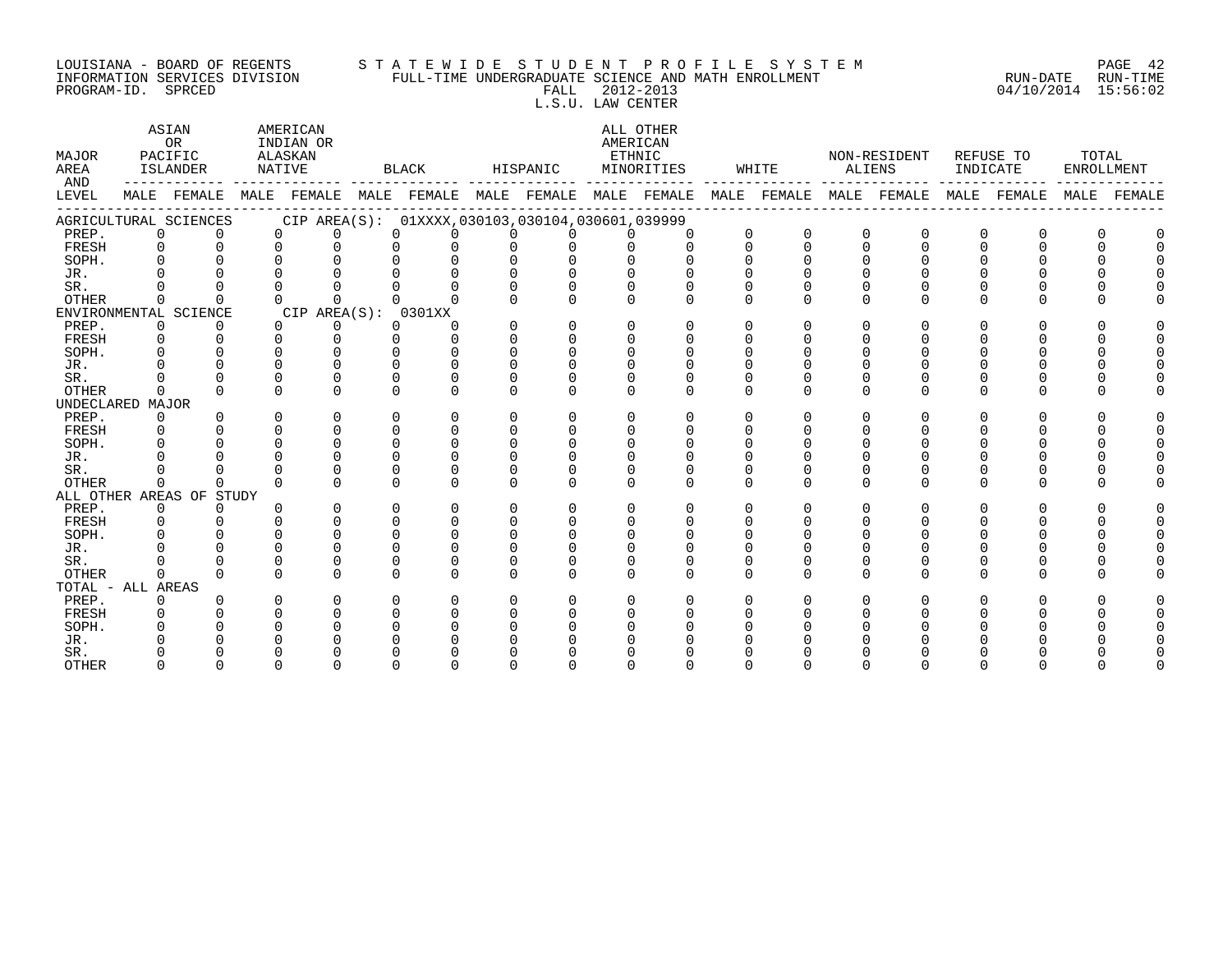#### LOUISIANA - BOARD OF REGENTS S T A T E W I D E S T U D E N T P R O F I L E S Y S T E M PAGE 42 INFORMATION SERVICES DIVISION FULL-TIME UNDERGRADUATE SCIENCE AND MATH ENROLLMENT RUN-DATE RUN-TIME PROGRAM-ID. SPRCED FALL 2012-2013 04/10/2014 15:56:02 L.S.U. LAW CENTER

ASIAN AMERICAN ALL OTHER OR INDIAN OR **INDIAN OR** AMERICAN MAJOR PACIFIC ALASKAN ETHNIC NON-RESIDENT REFUSE TO TOTAL AREA ISLANDER NATIVE BLACK HISPANIC MINORITIES WHITE ALIENS INDICATE ENROLLMENT AND ------------ ------------- ------------- ------------- ------------- ------------- ------------- ------------- ------------- LEVEL MALE FEMALE MALE FEMALE MALE FEMALE MALE FEMALE MALE FEMALE MALE FEMALE MALE FEMALE MALE FEMALE MALE FEMALE ------------------------------------------------------------------------------------------------------------------------------------ AGRICULTURAL SCIENCES CIP AREA(S): 01XXXX,030103,030104,030601,039999 PREP. 0 0 0 0 0 0 0 0 0 0 0 0 0 0 0 0 0 0 FRESH 0 0 0 0 0 0 0 0 0 0 0 0 0 0 0 0 0 0 SOPH. 0 0 0 0 0 0 0 0 0 0 0 0 0 0 0 0 0 0 JR. 0 0 0 0 0 0 0 0 0 0 0 0 0 0 0 0 0 0 SR. 0 0 0 0 0 0 0 0 0 0 0 0 0 0 0 0 0 0 OTHER 0 0 0 0 0 0 0 0 0 0 0 0 0 0 0 0 0 0 ENVIRONMENTAL SCIENCE CIP AREA(S): 0301XX<br>
PREP. 0 0 0 0 0 0 PREP. 0 0 0 0 0 0 0 0 0 0 0 0 0 0 0 0 0 0 FRESH 0 0 0 0 0 0 0 0 0 0 0 0 0 0 0 0 0 0 SOPH. 0 0 0 0 0 0 0 0 0 0 0 0 0 0 0 0 0 0 JR. 0 0 0 0 0 0 0 0 0 0 0 0 0 0 0 0 0 0 SR. 0 0 0 0 0 0 0 0 0 0 0 0 0 0 0 0 0 0 OTHER 0 0 0 0 0 0 0 0 0 0 0 0 0 0 0 0 0 0 UNDECLARED MAJOR PREP. 0 0 0 0 0 0 0 0 0 0 0 0 0 0 0 0 0 0 FRESH 0 0 0 0 0 0 0 0 0 0 0 0 0 0 0 0 0 0 SOPH. 0 0 0 0 0 0 0 0 0 0 0 0 0 0 0 0 0 0 JR. 0 0 0 0 0 0 0 0 0 0 0 0 0 0 0 0 0 0 SR. 0 0 0 0 0 0 0 0 0 0 0 0 0 0 0 0 0 0 OTHER 0 0 0 0 0 0 0 0 0 0 0 0 0 0 0 0 0 0 ALL OTHER AREAS OF STUDY PREP. 0 0 0 0 0 0 0 0 0 0 0 0 0 0 0 0 0 0 FRESH 0 0 0 0 0 0 0 0 0 0 0 0 0 0 0 0 0 0 SOPH. 0 0 0 0 0 0 0 0 0 0 0 0 0 0 0 0 0 0 JR. 0 0 0 0 0 0 0 0 0 0 0 0 0 0 0 0 0 0 SR. 0 0 0 0 0 0 0 0 0 0 0 0 0 0 0 0 0 0 OTHER 0 0 0 0 0 0 0 0 0 0 0 0 0 0 0 0 0 0 TOTAL - ALL AREAS PREP. 0 0 0 0 0 0 0 0 0 0 0 0 0 0 0 0 0 0 FRESH 0 0 0 0 0 0 0 0 0 0 0 0 0 0 0 0 0 0 SOPH. 0 0 0 0 0 0 0 0 0 0 0 0 0 0 0 0 0 0 JR. 0 0 0 0 0 0 0 0 0 0 0 0 0 0 0 0 0 0 SR. 0 0 0 0 0 0 0 0 0 0 0 0 0 0 0 0 0 0 OTHER 0 0 0 0 0 0 0 0 0 0 0 0 0 0 0 0 0 0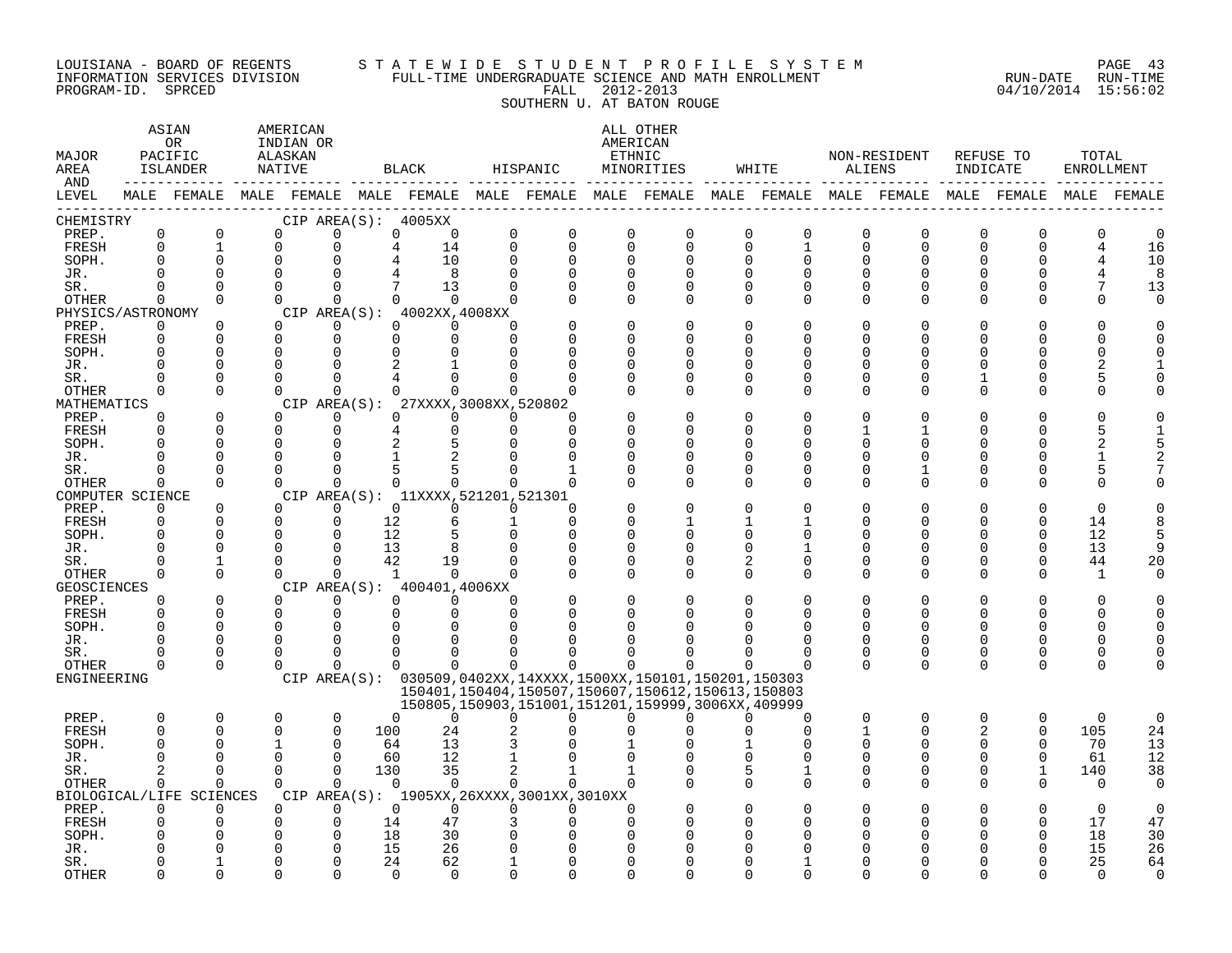#### LOUISIANA - BOARD OF REGENTS S T A T E W I D E S T U D E N T P R O F I L E S Y S T E M PAGE 43 INFORMATION SERVICES DIVISION FULL-TIME UNDERGRADUATE SCIENCE AND MATH ENROLLMENT RUN-DATE RUN-TIME PROGRAM-ID. SPRCED FALL 2012-2013 04/10/2014 15:56:02

SOUTHERN U. AT BATON ROUGE

| MAJOR<br>AREA<br>AND      |                    | ASIAN<br>OR<br>PACIFIC<br>ISLANDER<br>-------------------------- |                      | AMERICAN<br>INDIAN OR<br>ALASKAN<br>NATIVE |                      |               | BLACK                                                         |                         | HISPANIC                |                          | ALL OTHER<br>AMERICAN<br>ETHNIC<br>MINORITIES                                                              | WHITE                                                                                                       | ALIENS   | NON-RESIDENT         | INDICATE       | REFUSE TO    | TOTAL<br>ENROLLMENT |             |
|---------------------------|--------------------|------------------------------------------------------------------|----------------------|--------------------------------------------|----------------------|---------------|---------------------------------------------------------------|-------------------------|-------------------------|--------------------------|------------------------------------------------------------------------------------------------------------|-------------------------------------------------------------------------------------------------------------|----------|----------------------|----------------|--------------|---------------------|-------------|
| LEVEL                     |                    |                                                                  |                      |                                            |                      |               |                                                               |                         |                         |                          |                                                                                                            | MALE FEMALE MALE FEMALE MALE FEMALE MALE FEMALE MALE FEMALE MALE FEMALE MALE FEMALE MALE FEMALE MALE FEMALE |          |                      |                |              |                     |             |
| CHEMISTRY                 |                    |                                                                  |                      |                                            |                      |               | CIP AREA(S): 4005XX                                           |                         |                         |                          |                                                                                                            |                                                                                                             |          |                      |                |              |                     |             |
| PREP.                     | $\mathsf{O}$       | 0                                                                |                      | $\Omega$                                   | O                    | 0             | $\mathbf 0$                                                   | $\mathbf 0$             | $\mathbf 0$             | $\Omega$                 | 0                                                                                                          | 0<br>0                                                                                                      | 0        | 0                    | 0              | O            | 0                   | 0           |
| FRESH                     | $\mathbf 0$        | $\mathbf 1$                                                      | $\Omega$             |                                            | $\Omega$             | 4             | 14                                                            | $\mathbf 0$             | $\mathbf 0$             | $\Omega$                 | $\mathbf 0$                                                                                                | 0<br>1                                                                                                      | 0        | $\mathbf 0$          | $\Omega$       | $\Omega$     | 4                   | 16          |
| SOPH.<br>JR.              | $\Omega$<br>0      | $\Omega$<br>$\Omega$                                             | $\Omega$<br>$\Omega$ |                                            | $\Omega$<br>∩        |               | 10<br>8                                                       | $\mathbf 0$<br>$\Omega$ | $\mathbf 0$<br>$\Omega$ | $\Omega$<br>$\Omega$     | $\Omega$<br>$\Omega$                                                                                       | $\Omega$<br>0<br><sup>0</sup><br>0                                                                          | 0<br>O   | $\Omega$<br>$\Omega$ | $\Omega$<br>O  | $\Omega$     |                     | 10<br>8     |
| SR.                       | $\Omega$           | $\Omega$                                                         | $\Omega$             |                                            | 0                    |               | 13                                                            | $\Omega$                | $\Omega$                | 0                        | 0                                                                                                          | 0<br>0                                                                                                      | 0        | 0                    | $\Omega$       | 0            | 7                   | 13          |
| OTHER                     | $\Omega$           | $\Omega$                                                         |                      | $\Omega$                                   | $\Omega$             | $\Omega$      | $\Omega$                                                      | $\Omega$                | $\Omega$                | $\Omega$                 | $\Omega$                                                                                                   | $\Omega$<br>0                                                                                               | 0        | $\Omega$             | O              | ∩            | U                   | $\Omega$    |
| PHYSICS/ASTRONOMY         |                    |                                                                  |                      |                                            |                      |               | CIP AREA(S): 4002XX,4008XX                                    |                         |                         |                          |                                                                                                            |                                                                                                             |          |                      |                |              |                     |             |
| PREP.                     | 0                  | $\Omega$                                                         |                      | $\Omega$                                   | $\Omega$             | 0             | $\Omega$                                                      | $\cap$                  |                         | <sup>0</sup>             | $\Omega$                                                                                                   | <sup>0</sup><br>0                                                                                           | O        | $\Omega$             | O              |              |                     |             |
| FRESH                     | $\Omega$           | $\Omega$                                                         | $\Omega$             |                                            | $\Omega$             | $\Omega$      | $\Omega$                                                      | $\Omega$                | n                       | $\Omega$                 | $\Omega$                                                                                                   | <sup>0</sup><br>0                                                                                           | O        | $\Omega$             | ∩              | $\Omega$     | ∩                   |             |
| SOPH.                     | 0                  | 0                                                                | 0                    |                                            | 0                    | 0             | 0                                                             | $\Omega$                | $\Omega$                | $\Omega$                 | 0                                                                                                          | 0<br>0                                                                                                      | 0        | 0                    | O              | O            | O                   | U           |
| JR.<br>SR.                | $\cap$<br>$\Omega$ | ∩                                                                | $\Omega$<br>$\Omega$ |                                            | ∩                    |               |                                                               |                         |                         | $\Omega$<br><sup>0</sup> | U<br>$\Omega$                                                                                              | U<br>0<br><sup>0</sup><br>O                                                                                 | U<br>U   | ∩<br>$\Omega$        |                | <sup>0</sup> | 5                   |             |
| OTHER                     | $\Omega$           | $\Omega$                                                         | $\Omega$             |                                            | $\Omega$             | 0             | $\Omega$                                                      | $\Omega$                |                         | $\Omega$                 | $\Omega$                                                                                                   | $\Omega$<br>$\Omega$                                                                                        | $\Omega$ | $\Omega$             | $\Omega$       | $\Omega$     | O                   |             |
| MATHEMATICS               |                    |                                                                  |                      |                                            |                      |               | CIP AREA(S): 27XXXX, 3008XX, 520802                           |                         |                         |                          |                                                                                                            |                                                                                                             |          |                      |                |              |                     |             |
| PREP.                     | 0                  | 0                                                                |                      | $\Omega$                                   | 0                    | 0             | $\overline{0}$                                                | 0                       | $\Omega$                |                          | 0                                                                                                          | 0<br>0                                                                                                      | 0        | $\Omega$             | 0              | O            |                     |             |
| FRESH                     | $\Omega$           | $\Omega$                                                         | $\mathbf 0$          |                                            | 0                    | 4             | $\mathbf 0$                                                   | $\mathbf 0$             | $\Omega$                | $\Omega$                 | $\Omega$                                                                                                   | $\Omega$<br>0                                                                                               |          |                      | $\Omega$       | $\Omega$     |                     |             |
| SOPH.                     | $\Omega$           | $\Omega$                                                         | $\Omega$             |                                            | $\Omega$             | 2             | 5                                                             | $\Omega$                | $\Omega$                | $\Omega$                 | $\Omega$                                                                                                   | <sup>0</sup><br>O                                                                                           | N        | O                    | O              |              |                     |             |
| JR.                       | U                  | O                                                                | $\Omega$             |                                            | $\Omega$             |               |                                                               |                         |                         | $\Omega$                 | $\Omega$                                                                                                   | <sup>0</sup><br>0                                                                                           | O        | O                    | O              |              | 1                   |             |
| SR.                       | 0<br>$\Omega$      | ∩<br>$\Omega$                                                    | $\Omega$<br>$\Omega$ |                                            | $\Omega$<br>$\Omega$ | 5<br>$\Omega$ | 5                                                             | ∩<br>$\Omega$           | $\Omega$                | $\Omega$<br>$\Omega$     | $\Omega$<br>$\Omega$                                                                                       | <sup>0</sup><br>0<br>$\Omega$<br>0                                                                          | O<br>0   | -1<br>$\Omega$       | $\Omega$<br>O  | O<br>∩       | 5<br>$\Omega$       |             |
| OTHER<br>COMPUTER SCIENCE |                    |                                                                  |                      |                                            |                      |               | 0<br>CIP AREA(S): 11XXXX, 521201, 521301                      |                         |                         |                          |                                                                                                            |                                                                                                             |          |                      |                |              |                     |             |
| PREP.                     | 0                  | $\Omega$                                                         | $\Omega$             |                                            | $\Omega$             | $\Omega$      | $\Omega$                                                      | $\Omega$                | $\Omega$                |                          | $\Omega$                                                                                                   | <sup>0</sup><br>O                                                                                           | O        | $\Omega$             |                | $\Omega$     | $\Omega$            |             |
| FRESH                     | 0                  | $\Omega$                                                         | $\Omega$             |                                            | $\Omega$             | 12            | 6                                                             | 1                       | $\Omega$                | $\Omega$                 | 1                                                                                                          | 1<br>1                                                                                                      | O        | $\Omega$             | ∩              | $\Omega$     | 14                  | 8           |
| SOPH.                     | $\Omega$           | $\Omega$                                                         | $\Omega$             |                                            | $\Omega$             | 12            | 5                                                             | $\Omega$                | $\Omega$                | $\Omega$                 | $\Omega$                                                                                                   | <sup>0</sup><br>0                                                                                           | O        | $\Omega$             | O              | $\Omega$     | 12                  | 5           |
| JR.                       | $\Omega$           |                                                                  | $\Omega$             |                                            | ∩                    | 13            | 8                                                             |                         |                         | $\Omega$                 | $\mathbf 0$                                                                                                | $\Omega$<br>1                                                                                               | 0        | 0                    | 0              | $\Omega$     | 13                  |             |
| SR.                       | $\Omega$           |                                                                  | $\Omega$             |                                            | $\cap$               | 42            | 19                                                            | $\Omega$                |                         | $\Omega$                 | O                                                                                                          | 0                                                                                                           | U        | $\Omega$             | O              | $\Omega$     | 44                  | 20          |
| OTHER                     | $\Omega$           | $\Omega$                                                         |                      | $\Omega$                                   | $\Omega$             | <sup>1</sup>  | $\Omega$                                                      | $\cap$                  | $\Omega$                | $\Omega$                 | O                                                                                                          | $\Omega$<br>0                                                                                               | O        | $\Omega$             | $\Omega$       | $\Omega$     | 1                   | 0           |
| GEOSCIENCES<br>PREP.      | 0                  | 0                                                                |                      | $\Omega$                                   | 0                    | $\Omega$      | CIP AREA(S): 400401,4006XX<br>$\overline{0}$                  | <sup>0</sup>            |                         |                          | O                                                                                                          | 0<br>0                                                                                                      | 0        | $\Omega$             | O              | O            | O                   |             |
| FRESH                     | $\Omega$           | $\Omega$                                                         | $\mathbf 0$          |                                            | 0                    | $\Omega$      | $\mathbf 0$                                                   | $\Omega$                | ∩                       | $\Omega$                 | O                                                                                                          | U<br>0                                                                                                      | U        | 0                    | $\Omega$       | $\Omega$     | U                   |             |
| SOPH.                     | $\Omega$           | $\Omega$                                                         | $\Omega$             |                                            | $\Omega$             |               | $\Omega$                                                      | $\cap$                  |                         | ∩                        | U                                                                                                          | O                                                                                                           | U        | $\Omega$             | U              | <sup>0</sup> | U                   |             |
| JR.                       | O                  | $\Omega$                                                         | $\Omega$             |                                            | ∩                    |               |                                                               |                         |                         | <sup>0</sup>             | U                                                                                                          | O                                                                                                           | O        | $\Omega$             | $\Omega$       | O            | U                   |             |
| SR.                       | 0                  | ∩                                                                | $\Omega$             |                                            | <sup>0</sup>         | <sup>0</sup>  | 0                                                             | <sup>0</sup>            |                         |                          | U                                                                                                          | ∩<br>O                                                                                                      | O        | 0                    | $\Omega$       | O            | O                   |             |
| OTHER                     | $\Omega$           | $\Omega$                                                         | $\Omega$             |                                            | $\Omega$             | 0             | $\Omega$                                                      | $\Omega$                | $\Omega$                | 0                        | $\Omega$                                                                                                   | $\Omega$<br>O                                                                                               | $\Omega$ | $\mathbf 0$          | 0              | 0            | O                   |             |
| ENGINEERING               |                    |                                                                  |                      |                                            |                      |               | CIP AREA(S): 030509,0402XX,14XXXX,1500XX,150101,150201,150303 |                         |                         |                          |                                                                                                            |                                                                                                             |          |                      |                |              |                     |             |
|                           |                    |                                                                  |                      |                                            |                      |               |                                                               |                         |                         |                          | 150401, 150404, 150507, 150607, 150612, 150613, 150803<br>150805,150903,151001,151201,159999,3006XX,409999 |                                                                                                             |          |                      |                |              |                     |             |
| PREP.                     | 0                  | $\mathbf 0$                                                      | $\Omega$             |                                            | $\mathbf 0$          | $\Omega$      | $\Omega$                                                      | $\Omega$                | $\Omega$                | $\Omega$                 | $\Omega$                                                                                                   | $\Omega$<br>$\Omega$                                                                                        | $\Omega$ | 0                    | $\Omega$       | $\Omega$     | $\mathbf 0$         | $\mathbf 0$ |
| FRESH                     | $\mathbf 0$        | $\Omega$                                                         | $\Omega$             |                                            | $\Omega$             | 100           | 24                                                            |                         |                         |                          | U                                                                                                          | 0<br>∩                                                                                                      | 1        | $\Omega$             | $\overline{2}$ | $\Omega$     | 105                 | 24          |
| SOPH.                     | 0                  | ∩                                                                |                      |                                            | $\Omega$             | 64            | 13                                                            |                         |                         |                          |                                                                                                            | U                                                                                                           | U        | $\Omega$             | $\Omega$       | 0            | 70                  | 13          |
| JR.                       | $\Omega$           | ∩                                                                | $\Omega$             |                                            | $\Omega$             | 60            | 12                                                            |                         |                         |                          |                                                                                                            | <sup>0</sup><br>0                                                                                           | O        | 0                    | $\Omega$       | $\Omega$     | 61                  | 12          |
| SR.                       |                    | ∩                                                                | $\Omega$             |                                            | $\Omega$             | 130           | 35                                                            |                         |                         |                          | $\Omega$                                                                                                   | 5<br>1                                                                                                      | 0        | 0                    | 0              |              | 140                 | 38          |
| OTHER                     | 0                  | $\Omega$                                                         | $\Omega$             |                                            | $\Omega$             | $\Omega$      | $\Omega$                                                      | $\Omega$                | $\Omega$                | $\Omega$                 | U                                                                                                          | 0<br>0                                                                                                      | 0        | 0                    | $\Omega$       | 0            | 0                   | $\Omega$    |
| PREP.                     | $\Omega$           | BIOLOGICAL/LIFE SCIENCES<br>$\Omega$                             | $\Omega$             |                                            | $\Omega$             | $\Omega$      | CIP AREA(S): 1905XX, 26XXXX, 3001XX, 3010XX<br>$\Omega$       | $\Omega$                | $\Omega$                | ∩                        |                                                                                                            |                                                                                                             |          |                      |                |              | $\Omega$            | $\Omega$    |
| FRESH                     | 0                  | $\Omega$                                                         | $\Omega$             |                                            | ∩                    | 14            | 47                                                            |                         | ∩                       | $\Omega$                 | O                                                                                                          | U<br>O                                                                                                      | U        | $\Omega$             |                |              | 17                  | 47          |
| SOPH.                     | O                  | U                                                                | ∩                    |                                            | ∩                    | 18            | 30                                                            | ∩                       |                         |                          | U                                                                                                          | ∩<br>U                                                                                                      | N        | U                    |                | <sup>0</sup> | 18                  | 30          |
| JR.                       |                    |                                                                  |                      |                                            |                      | 15            | 26                                                            |                         |                         |                          |                                                                                                            |                                                                                                             |          |                      |                |              | 15                  | 26          |
| SR.                       | O                  |                                                                  | $\Omega$             |                                            | ∩                    | 24            | 62                                                            |                         |                         | $\Omega$                 | $\Omega$                                                                                                   | U                                                                                                           | U        |                      |                |              | 25                  | 64          |
| <b>OTHER</b>              | $\cap$             | $\Omega$                                                         | $\Omega$             |                                            |                      | $\cap$        | $\cap$                                                        | $\Omega$                | $\cap$                  | $\cap$                   | $\Omega$                                                                                                   | U<br>U                                                                                                      | U        | $\cap$               |                |              | $\Omega$            | $\Omega$    |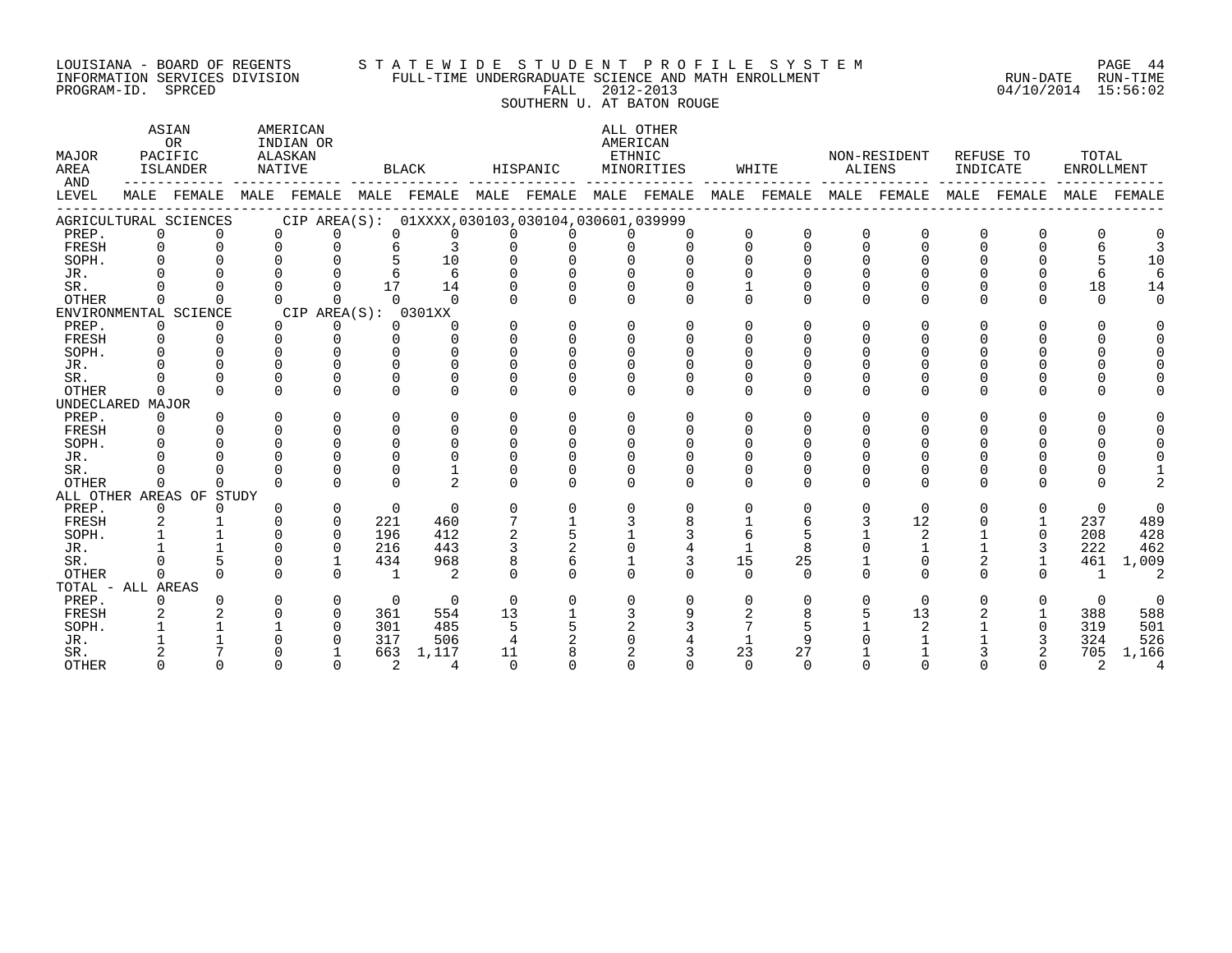#### LOUISIANA - BOARD OF REGENTS S T A T E W I D E S T U D E N T P R O F I L E S Y S T E M PAGE 44 INFORMATION SERVICES DIVISION FULL-TIME UNDERGRADUATE SCIENCE AND MATH ENROLLMENT RUN-DATE RUN-TIME PROGRAM-ID. SPRCED FALL 2012-2013 04/10/2014 15:56:02

SOUTHERN U. AT BATON ROUGE

| MAJOR<br>AREA<br>AND |             | ASIAN<br>OR<br>PACIFIC<br>ISLANDER |          | AMERICAN<br>INDIAN OR<br>ALASKAN<br>NATIVE      |                | BLACK          |          | HISPANIC |              | ALL OTHER<br>AMERICAN<br>ETHNIC<br>MINORITIES |              | WHITE       | ALIENS       | NON-RESIDENT | INDICATE     | REFUSE TO      | TOTAL<br>ENROLLMENT |                |
|----------------------|-------------|------------------------------------|----------|-------------------------------------------------|----------------|----------------|----------|----------|--------------|-----------------------------------------------|--------------|-------------|--------------|--------------|--------------|----------------|---------------------|----------------|
| LEVEL                |             | MALE FEMALE                        |          | MALE FEMALE MALE FEMALE MALE FEMALE MALE FEMALE |                |                |          |          |              |                                               |              | MALE FEMALE |              | MALE FEMALE  | MALE         | FEMALE         | MALE                | FEMALE         |
|                      |             | AGRICULTURAL SCIENCES              |          | CIP AREA(S): 01XXXX,030103,030104,030601,039999 |                |                |          |          |              |                                               |              |             |              |              |              |                |                     |                |
| PREP.                | $\Omega$    |                                    |          | $\Omega$<br>$\Omega$                            | $\Omega$       |                | $\Omega$ |          | $\Omega$     |                                               | $\Omega$     | $\Omega$    | $\Omega$     |              | <sup>0</sup> | 0              | <sup>0</sup>        |                |
| FRESH                | $\Omega$    | $\Omega$                           | $\Omega$ | $\Omega$                                        | 6              | $\mathcal{L}$  | $\Omega$ | $\Omega$ | $\Omega$     | $\cap$                                        | $\Omega$     | $\Omega$    | $\Omega$     | $\Omega$     | $\Omega$     | $\Omega$       | 6                   | 3              |
| SOPH.                | $\Omega$    |                                    | $\cap$   | $\Omega$                                        |                | 10             | 0        |          |              |                                               |              |             | $\Omega$     |              | $\Omega$     | $\Omega$       | 5                   | 10             |
| JR.                  |             |                                    |          |                                                 |                | 6              |          |          |              |                                               |              |             |              |              |              |                | 6                   | 6              |
| SR.                  |             |                                    | $\cap$   |                                                 | 17             | 14             |          |          |              |                                               |              |             |              |              |              | $\Omega$       | 18                  | 14             |
| <b>OTHER</b>         | $\Omega$    |                                    | $\Omega$ | 0                                               | $\cap$         |                |          | $\Omega$ | $\cap$       | $\Omega$                                      | $\Omega$     | 0           | $\Omega$     | $\Omega$     | $\Omega$     | $\cap$         | $\Omega$            | $\Omega$       |
|                      |             | ENVIRONMENTAL SCIENCE              |          | CIP AREA(S): 0301XX                             |                |                |          |          |              |                                               |              |             |              |              |              |                |                     |                |
| PREP.                | $\mathbf 0$ | $\Omega$                           |          | $\Omega$<br>0                                   | $\Omega$       | $\Omega$       | $\Omega$ | $\Omega$ | $\Omega$     | $\Omega$                                      | $\Omega$     | $\Omega$    | $\Omega$     | $\Omega$     | $\Omega$     | $\Omega$       | $\Omega$            | $\Omega$       |
| FRESH                | $\Omega$    | $\cap$                             | $\Omega$ | $\Omega$                                        | $\Omega$       | $\cap$         | $\Omega$ | $\Omega$ | $\Omega$     | $\Omega$                                      | ∩            | 0           | <sup>n</sup> |              | $\Omega$     | $\Omega$       | $\Omega$            | $\Omega$       |
| SOPH.                | $\cap$      |                                    | $\cap$   | $\cap$                                          | $\cap$         |                | $\Omega$ |          | $\cap$       |                                               | ∩            |             | <sup>n</sup> |              | <sup>n</sup> | $\Omega$       | $\Omega$            | $\Omega$       |
| JR.                  |             |                                    | $\cap$   |                                                 | $\cap$         |                |          |          | $\cap$       |                                               |              |             |              |              |              | <sup>n</sup>   | $\Omega$            |                |
| SR.                  |             |                                    | $\Omega$ | $\Omega$                                        | $\Omega$       |                | U        |          | $\Omega$     |                                               |              |             | 0            |              | 0            | $\Omega$       | $\Omega$            |                |
| <b>OTHER</b>         | $\cap$      |                                    | $\cap$   | $\cap$                                          | $\cap$         | $\cap$         | $\cap$   | $\Omega$ | $\Omega$     | $\Omega$                                      | $\Omega$     | $\Omega$    | $\Omega$     | $\Omega$     | $\Omega$     | $\Omega$       | $\Omega$            |                |
| UNDECLARED MAJOR     |             |                                    |          |                                                 |                |                |          |          |              |                                               |              |             |              |              |              |                |                     |                |
| PREP.                | $\Omega$    | $\cap$                             | $\Omega$ | $\Omega$                                        | $\Omega$       | $\Omega$       | $\Omega$ | $\Omega$ | $\Omega$     | $\Omega$                                      | $\Omega$     | 0           | $\Omega$     | $\Omega$     | $\Omega$     | 0              | $\Omega$            |                |
| FRESH                | $\Omega$    |                                    |          | $\Omega$<br>$\Omega$                            | $\Omega$       | $\Omega$       | $\Omega$ | $\Omega$ | $\Omega$     | $\Omega$                                      | $\Omega$     | 0           | $\Omega$     | $\Omega$     | $\Omega$     | $\Omega$       | $\Omega$            |                |
| SOPH.                |             |                                    | $\cap$   | $\Omega$                                        | $\Omega$       |                | $\Omega$ |          | $\Omega$     |                                               |              |             |              |              | $\Omega$     | $\Omega$       | $\Omega$            |                |
| JR.                  |             |                                    | $\cap$   | U                                               | $\cap$         |                |          |          | <sup>0</sup> |                                               |              |             |              |              |              |                | $\Omega$            |                |
| SR.                  |             |                                    | $\cap$   |                                                 | $\Omega$       |                |          |          | 0            |                                               |              |             |              |              |              |                | $\Omega$            |                |
| <b>OTHER</b>         | $\Omega$    |                                    | $\cap$   | $\cap$                                          | $\cap$         | $\mathfrak{D}$ | $\cap$   | $\cap$   | $\cap$       | $\cap$                                        | $\cap$       | $\Omega$    | $\cap$       | $\cap$       | $\cap$       | $\Omega$       | $\Omega$            | $\mathcal{D}$  |
|                      |             | ALL OTHER AREAS OF STUDY           |          |                                                 |                |                |          |          |              |                                               |              |             |              |              |              |                |                     |                |
| PREP.                | 0           | $\Omega$                           |          | 0<br>$\Omega$                                   | $\Omega$       | $\Omega$       | $\Omega$ | $\Omega$ | $\Omega$     | $\Omega$                                      | 0            | 0           | $\Omega$     | $\Omega$     | $\Omega$     | $\Omega$       | $\Omega$            | $\Omega$       |
| FRESH                | 2           |                                    |          | $\Omega$<br>$\Omega$                            | 221            | 460            |          |          |              |                                               |              | 6           |              | 12           | $\Omega$     |                | 237                 | 489            |
| SOPH.                |             |                                    | $\cap$   | 0                                               | 196            | 412            |          |          |              |                                               | 6            |             |              | 2            |              | $\cap$         | 208                 | 428            |
| JR.                  |             |                                    | $\cap$   | $\Omega$                                        | 216            | 443            |          |          | $\Omega$     |                                               | $\mathbf{1}$ | 8           |              |              |              | 3              | 222                 | 462            |
| SR.                  |             |                                    | $\Omega$ |                                                 | 434            | 968            | 8        | 6        |              | 3                                             | 15           | 25          |              | 0            | 2            |                | 461                 | 1,009          |
| <b>OTHER</b>         | $\cap$      |                                    | $\cap$   | $\Omega$                                        | $\overline{1}$ | 2              | $\cap$   | $\cap$   | $\Omega$     | $\cap$                                        | $\Omega$     | $\Omega$    | $\cap$       | $\Omega$     | $\Omega$     | $\Omega$       | $\mathbf{1}$        | $\overline{2}$ |
| TOTAL - ALL AREAS    |             |                                    |          |                                                 |                |                |          |          |              |                                               |              |             |              |              |              |                |                     |                |
| PREP.                | $\Omega$    |                                    |          | $\Omega$<br>0                                   | $\Omega$       | $\Omega$       | $\Omega$ | $\Omega$ | $\Omega$     | $\Omega$                                      | 0            | 0           | $\Omega$     | $\Omega$     | 0            | $\Omega$       | $\Omega$            | $\Omega$       |
| FRESH                | 2           |                                    | $\Omega$ | $\Omega$                                        | 361            | 554            | 13       |          |              |                                               |              |             | 5            | 13           |              |                | 388                 | 588            |
| SOPH.                |             |                                    |          | 0                                               | 301            | 485            |          |          |              |                                               |              |             |              | 2            |              | $\mathbf 0$    | 319                 | 501            |
| JR.                  |             |                                    |          | 0                                               | 317            | 506            |          |          |              |                                               |              |             |              |              |              |                | 324                 | 526            |
| SR.                  |             |                                    |          |                                                 |                | 663 1,117      | 11       |          |              |                                               | 23           | 27          |              |              |              | $\mathfrak{D}$ | 705                 | 1,166          |
| <b>OTHER</b>         |             |                                    | $\cap$   | $\cap$                                          | 2              |                | $\cap$   |          | $\cap$       |                                               | $\cap$       | $\Omega$    |              |              |              |                | 2                   |                |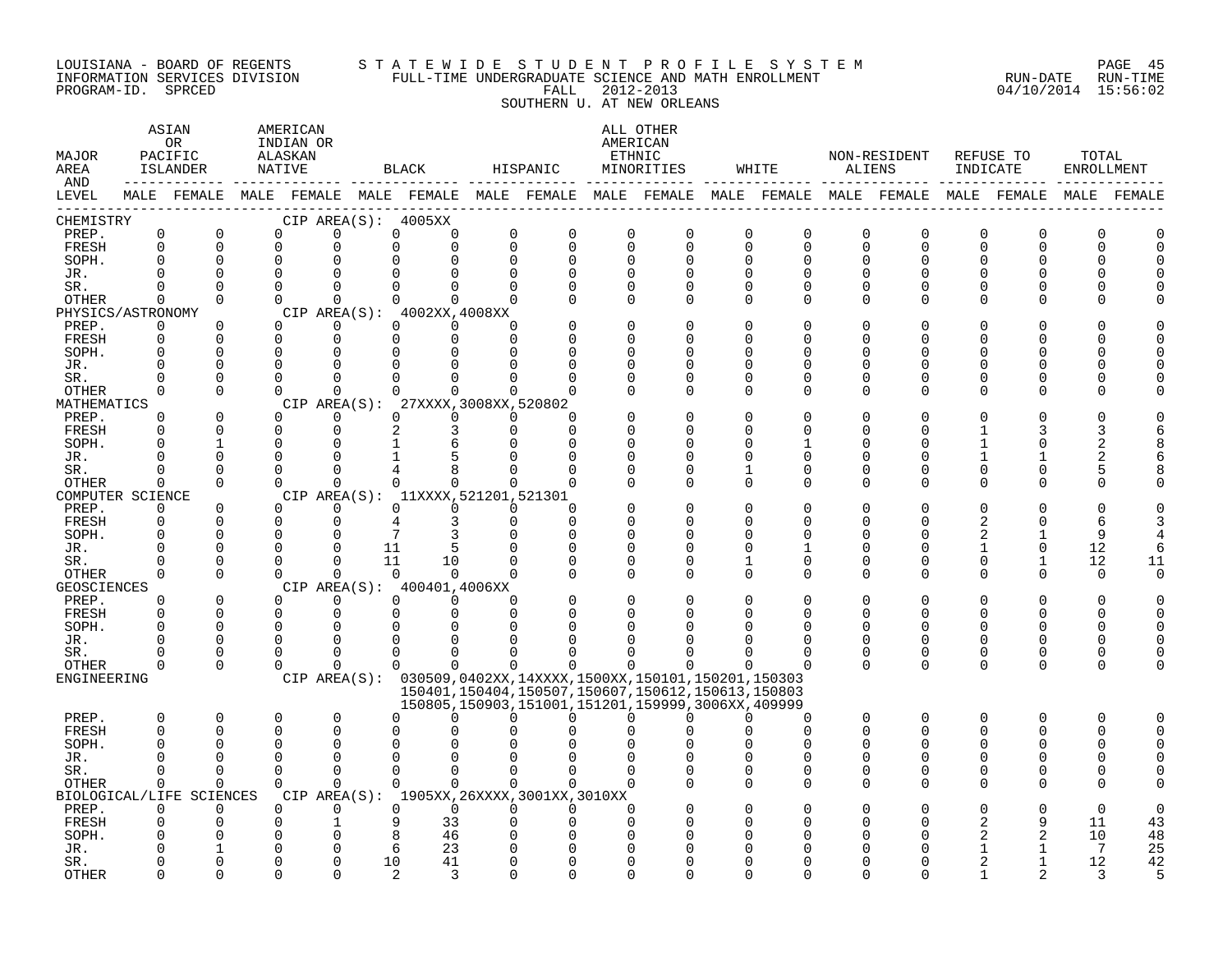#### LOUISIANA - BOARD OF REGENTS S T A T E W I D E S T U D E N T P R O F I L E S Y S T E M PAGE 45 INFORMATION SERVICES DIVISION FULL-TIME UNDERGRADUATE SCIENCE AND MATH ENROLLMENT RUN-DATE RUN-TIME PROGRAM-ID. SPRCED FALL 2012-2013 04/10/2014 15:56:02 SOUTHERN U. AT NEW ORLEANS

| MAJOR<br>AREA<br>AND |                            | ASIAN<br>OR<br>PACIFIC<br>ISLANDER |                      | AMERICAN<br>INDIAN OR<br>ALASKAN<br><b>NATIVE</b> |                      |                      | <b>BLACK</b>                        |          | HISPANIC                                                                                        | AMERICAN                | ALL OTHER<br>ETHNIC<br>MINORITIES |                            | WHITE                      | <b>ALIENS</b>           | NON-RESIDENT               | INDICATE                   | REFUSE TO     | TOTAL<br>ENROLLMENT |              |
|----------------------|----------------------------|------------------------------------|----------------------|---------------------------------------------------|----------------------|----------------------|-------------------------------------|----------|-------------------------------------------------------------------------------------------------|-------------------------|-----------------------------------|----------------------------|----------------------------|-------------------------|----------------------------|----------------------------|---------------|---------------------|--------------|
| LEVEL                |                            |                                    |                      |                                                   |                      |                      |                                     |          | MALE FEMALE MALE FEMALE MALE FEMALE MALE FEMALE MALE FEMALE MALE FEMALE MALE FEMALE MALE FEMALE |                         |                                   |                            |                            |                         |                            |                            |               |                     | MALE FEMALE  |
| CHEMISTRY            |                            |                                    |                      |                                                   |                      |                      | CIP AREA(S): 4005XX                 |          |                                                                                                 |                         |                                   |                            |                            |                         |                            |                            |               |                     |              |
| PREP.<br>FRESH       | $\mathbf 0$<br>$\mathbf 0$ | $\overline{0}$<br>$\mathbf 0$      | $\Omega$<br>0        |                                                   | 0<br>0               | $\mathbf 0$<br>0     | 0<br>0                              | $\Omega$ | $\Omega$<br>$\Omega$<br>$\Omega$                                                                | $\mathbf 0$<br>$\Omega$ | $\mathbf 0$<br>$\Omega$           | $\mathbf 0$<br>$\mathbf 0$ | $\mathbf 0$<br>$\mathbf 0$ | $\mathbf 0$<br>$\Omega$ | $\mathbf 0$<br>$\mathbf 0$ | $\mathbf 0$<br>$\mathbf 0$ | $\Omega$<br>0 | 0<br>0              |              |
| SOPH.                | $\Omega$                   | $\Omega$                           | $\Omega$             |                                                   | 0                    | $\Omega$             | 0                                   | $\Omega$ | $\Omega$                                                                                        | $\Omega$                | $\Omega$                          | $\Omega$                   | $\Omega$                   | $\Omega$                | $\Omega$                   | $\Omega$                   | U             | U                   |              |
| JR.                  |                            | $\Omega$                           | $\Omega$             |                                                   | $\Omega$             | $\Omega$             | $\Omega$                            |          | $\Omega$<br>$\Omega$                                                                            | $\Omega$                | $\Omega$                          | $\Omega$                   | 0                          | $\Omega$                | $\Omega$                   | $\Omega$                   |               |                     |              |
| SR.                  |                            | $\Omega$                           | $\Omega$             |                                                   | $\Omega$             | $\Omega$             | $\Omega$                            |          |                                                                                                 | $\Omega$                | 0                                 | 0                          | 0                          | $\Omega$                | 0                          | 0                          | 0             | O                   |              |
| <b>OTHER</b>         | $\Omega$                   | $\Omega$                           |                      | $\Omega$                                          | $\Omega$             | $\Omega$             | $\Omega$                            |          | $\Omega$<br>$\cap$                                                                              | $\Omega$                | $\Omega$                          | $\Omega$                   | $\Omega$                   | $\Omega$                | $\Omega$                   | $\Omega$                   | U             | U                   |              |
| PHYSICS/ASTRONOMY    |                            |                                    |                      |                                                   |                      |                      | CIP AREA(S): 4002XX,4008XX          |          |                                                                                                 |                         |                                   |                            |                            |                         |                            |                            |               |                     |              |
| PREP.                | $\mathbf 0$                | $\Omega$                           | $\Omega$             |                                                   | $\Omega$             | $\Omega$             | $\Omega$                            |          |                                                                                                 | $\Omega$                | O                                 | $\Omega$                   | $\Omega$                   | ∩                       | <sup>0</sup>               | O                          |               |                     |              |
| FRESH<br>SOPH.       | $\Omega$<br>$\Omega$       | $\Omega$<br>0                      | $\Omega$<br>O        |                                                   | $\Omega$<br>0        | $\Omega$<br>0        | $\Omega$<br>$\Omega$                |          | $\Omega$<br>0<br>O                                                                              | $\Omega$<br>0           | O<br>O                            | $\Omega$<br>O              | $\Omega$<br>0              | ∩                       | $\Omega$<br><sup>0</sup>   | $\Omega$<br>O              | U             | U<br>U              |              |
| JR.                  |                            | $\Omega$                           | 0                    |                                                   | 0                    |                      |                                     |          |                                                                                                 |                         |                                   | $\Omega$                   | $\Omega$                   |                         | $\Omega$                   | $\Omega$                   | U             |                     |              |
| SR.                  |                            | $\Omega$                           | $\Omega$             |                                                   | $\Omega$             | $\Omega$             |                                     |          |                                                                                                 | U                       | O                                 | $\cap$                     | $\Omega$                   | ∩                       | $\Omega$                   | O                          | U             |                     |              |
| OTHER                | $\Omega$                   | $\Omega$                           |                      | $\Omega$                                          | $\Omega$             | $\Omega$             | $\Omega$                            |          | $\Omega$<br>∩                                                                                   | ∩                       | $\Omega$                          | $\Omega$                   | $\Omega$                   | $\cap$                  | $\Omega$                   | $\Omega$                   | O             | U                   |              |
| MATHEMATICS          |                            |                                    |                      | CIP AREA(S):                                      |                      |                      | 27XXXX, 3008XX, 520802              |          |                                                                                                 |                         |                                   |                            |                            |                         |                            |                            |               |                     |              |
| PREP.                | $\Omega$                   | $\Omega$                           | $\Omega$             |                                                   | $\Omega$             | $\Omega$             | $\Omega$                            | $\Omega$ | ∩                                                                                               |                         | O                                 | $\Omega$                   | $\Omega$                   |                         | $\Omega$                   | $\Omega$                   | U             |                     |              |
| FRESH                | $\Omega$                   | $\Omega$                           | $\Omega$             |                                                   | $\mathbf 0$          | 2                    | 3                                   | $\Omega$ | $\Omega$                                                                                        |                         | U                                 | U                          | $\Omega$                   | ∩                       | <sup>0</sup>               | 1                          |               | 3                   |              |
| SOPH.<br>JR.         |                            | 1<br>$\Omega$                      | 0<br>$\Omega$        |                                                   | 0<br>$\Omega$        |                      | 6<br>5                              |          |                                                                                                 | O                       | O<br>O                            | U<br>O                     | 1<br>0                     | ∩<br>O                  | $\Omega$<br><sup>0</sup>   | 1<br>1                     | O             | 2<br>2              |              |
| SR.                  | ∩                          | $\Omega$                           | $\Omega$             |                                                   | $\Omega$             |                      |                                     |          |                                                                                                 |                         | U                                 |                            | $\Omega$                   |                         | $\Omega$                   | $\Omega$                   | 0             | 5                   |              |
| OTHER                | $\Omega$                   | $\Omega$                           | $\Omega$             |                                                   | $\Omega$             | $\Omega$             | $\Omega$                            |          | $\Omega$<br>∩                                                                                   | U                       | $\Omega$                          | ∩                          | 0                          | $\cap$                  | $\Omega$                   | 0                          | U             | O                   |              |
| COMPUTER SCIENCE     |                            |                                    |                      |                                                   |                      |                      | CIP AREA(S): 11XXXX, 521201, 521301 |          |                                                                                                 |                         |                                   |                            |                            |                         |                            |                            |               |                     |              |
| PREP.                | $\Omega$                   | $\Omega$                           | $\Omega$             |                                                   | $\Omega$             | $\Omega$             | $\Omega$                            |          | $\Omega$                                                                                        |                         |                                   | $\Omega$                   | $\Omega$                   |                         | $\Omega$                   | $\Omega$                   | U             | O                   |              |
| FRESH                | ∩                          | $\Omega$                           | $\Omega$             |                                                   | 0                    | 4                    | 3                                   |          | $\Omega$<br>∩                                                                                   | U                       | U                                 | ∩                          | <sup>0</sup>               | ∩                       | ∩                          | $\overline{c}$             | ∩             | 6                   |              |
| SOPH.                |                            | $\mathbf 0$<br>$\Omega$            | 0<br>0               |                                                   | 0<br>$\Omega$        | 7                    |                                     |          |                                                                                                 | $\Omega$                | O                                 | U<br>$\Omega$              | $\Omega$                   | ∩                       | $\Omega$<br>$\Omega$       | 2                          | $\Omega$      | 9                   |              |
| JR.<br>SR.           | ∩                          | $\Omega$                           | $\Omega$             |                                                   | $\Omega$             | 11<br>11             | 10                                  | $\Omega$ | $\Omega$                                                                                        | $\Omega$                | O                                 | 1                          | $\mathbf 0$                | O<br>$\Omega$           | $\Omega$                   | $\mathbf{1}$<br>$\Omega$   | $\mathbf{1}$  | 12<br>12            | 11           |
| OTHER                | 0                          | $\mathbf 0$                        |                      | $\Omega$                                          | 0                    | $\overline{0}$       | $\Omega$                            |          | $\Omega$                                                                                        | $\Omega$                | O                                 | 0                          | 0                          | $\Omega$                | $\Omega$                   | $\mathbf 0$                | 0             | 0                   | <sup>0</sup> |
| GEOSCIENCES          |                            |                                    |                      |                                                   |                      |                      | CIP AREA(S): 400401,4006XX          |          |                                                                                                 |                         |                                   |                            |                            |                         |                            |                            |               |                     |              |
| PREP.                | ∩                          | $\Omega$                           | $\Omega$             |                                                   | $\Omega$             | $\Omega$             | $\Omega$                            |          |                                                                                                 |                         |                                   |                            | $\Omega$                   |                         | $\Omega$                   | $\Omega$                   | O             | ∩                   |              |
| FRESH                | $\Omega$                   | $\mathbf 0$                        | $\Omega$             |                                                   | 0                    | $\mathbf 0$          | 0                                   | $\Omega$ |                                                                                                 |                         |                                   |                            | <sup>0</sup>               |                         | <sup>0</sup>               | O                          | U             | O                   |              |
| SOPH.                | ∩                          | $\Omega$                           | 0                    |                                                   | 0                    | $\Omega$             |                                     |          |                                                                                                 |                         |                                   |                            | $\Omega$                   |                         | $\Omega$                   | $\Omega$                   | O             | O                   |              |
| JR.                  | ∩                          | $\Omega$                           | $\Omega$             |                                                   | 0                    | $\Omega$             | ∩                                   |          |                                                                                                 |                         |                                   |                            | <sup>0</sup>               | n                       | $\Omega$                   | $\Omega$                   | O             | O                   |              |
| SR.<br>OTHER         | ∩<br>$\Omega$              | $\Omega$<br>$\Omega$               | $\Omega$<br>$\Omega$ |                                                   | $\Omega$<br>$\Omega$ | $\Omega$<br>$\Omega$ | $\Omega$                            |          |                                                                                                 |                         | U                                 |                            | $\Omega$                   | $\Omega$<br>$\Omega$    | $\Omega$<br>$\Omega$       | 0<br>$\Omega$              | 0<br>$\Omega$ | 0<br>0              |              |
| ENGINEERING          |                            |                                    |                      |                                                   |                      |                      |                                     |          | CIP AREA(S): 030509,0402XX,14XXXX,1500XX,150101,150201,150303                                   |                         |                                   |                            |                            |                         |                            |                            |               |                     |              |
|                      |                            |                                    |                      |                                                   |                      |                      |                                     |          | 150401.150404.150507.150607.150612.150613.150803                                                |                         |                                   |                            |                            |                         |                            |                            |               |                     |              |
|                      |                            |                                    |                      |                                                   |                      |                      |                                     |          | 150805, 150903, 151001, 151201, 159999, 3006XX, 409999                                          |                         |                                   |                            |                            |                         |                            |                            |               |                     |              |
| PREP.                | $\Omega$                   | $\Omega$                           | $\Omega$             |                                                   | $\mathbf 0$          | $\Omega$             | $\Omega$                            |          | $\Omega$<br>0                                                                                   | $\Omega$                | 0                                 | $\Omega$                   | $\mathbf 0$                | 0                       | 0                          | $\mathbf 0$                | 0             | 0                   |              |
| <b>FRESH</b>         | $\Omega$                   | $\Omega$                           | $\Omega$             |                                                   | $\Omega$             | $\Omega$             | O                                   |          |                                                                                                 |                         | $\Omega$                          | $\Omega$                   | $\Omega$                   | $\Omega$                | $\Omega$                   | $\Omega$                   | 0             | 0                   |              |
| SOPH.                |                            | $\Omega$                           | U                    |                                                   | O                    | O                    |                                     |          |                                                                                                 |                         |                                   |                            | ∩                          |                         |                            | U                          |               |                     |              |
| JR.                  | ∩                          | $\Omega$<br>$\Omega$               | 0<br>$\Omega$        |                                                   | 0<br>$\Omega$        | $\Omega$<br>$\Omega$ | $\Omega$                            |          | $\Omega$<br>∩                                                                                   |                         |                                   | $\Omega$<br>$\Omega$       | $\Omega$<br>0              | $\Omega$                | $\Omega$<br>$\Omega$       | $\Omega$<br>$\mathbf 0$    | O             | O                   |              |
| SR.<br>OTHER         | $\Omega$                   | $\Omega$                           | <sup>n</sup>         |                                                   | $\Omega$             | $\Omega$             | $\Omega$                            |          | $\Omega$<br>$\Omega$                                                                            | $\Omega$                |                                   | $\Omega$                   | $\Omega$                   | $\Omega$                | $\Omega$                   | $\Omega$                   | $\Omega$      | O                   |              |
| BIOLOGICAL/LIFE      |                            | SCIENCES                           |                      | CIP AREA(S):                                      |                      |                      |                                     |          | 1905XX,26XXXX,3001XX,3010XX                                                                     |                         |                                   |                            |                            |                         |                            |                            |               |                     |              |
| PREP.                | $\Omega$                   | $\Omega$                           | $\Omega$             |                                                   | $\Omega$             | $\Omega$             | $\Omega$                            |          | $\Omega$<br>$\Omega$                                                                            | $\Omega$                |                                   | $\Omega$                   | $\Omega$                   |                         | $\Omega$                   | $\Omega$                   | O             | $\Omega$            |              |
| FRESH                | O                          | $\Omega$                           | $\Omega$             |                                                   | 1                    | 9                    | 33                                  |          | $\Omega$<br>O                                                                                   | <sup>0</sup>            |                                   | U                          | n                          |                         | <sup>0</sup>               | 2                          | 9             | 11                  | 43           |
| SOPH.                |                            | O                                  | 0                    |                                                   | 0                    | 8                    | 46                                  |          |                                                                                                 |                         |                                   |                            |                            |                         |                            | 2                          | 2             | 10                  | 48           |
| JR.                  |                            | 1                                  | O                    |                                                   | $\Omega$             | 6                    | 23                                  |          |                                                                                                 | U                       |                                   |                            | n                          |                         | ∩                          | 1                          | 1             | 7                   | 25           |
| SR.                  |                            | $\Omega$                           | U                    |                                                   | $\Omega$             | 10                   | 41                                  |          | $\Omega$                                                                                        | $\cap$                  | ∩                                 | ∩                          | $\cap$                     |                         | $\cap$                     | $\mathfrak{D}$             | 1             | 12                  | 42           |

OTHER 0 0 0 0 2 3 0 0 0 0 0 0 0 0 1 2 3 5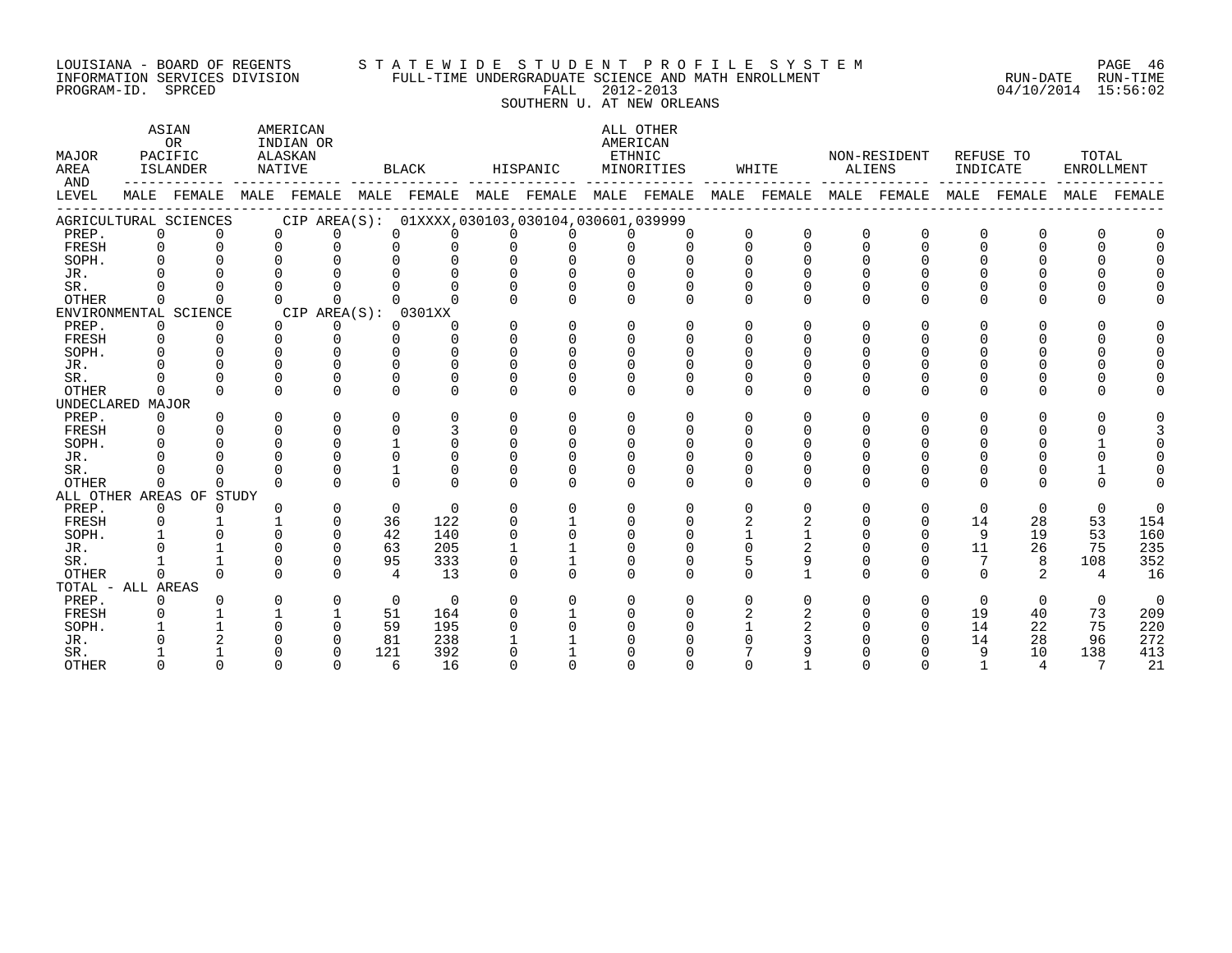#### LOUISIANA - BOARD OF REGENTS S T A T E W I D E S T U D E N T P R O F I L E S Y S T E M PAGE 46 INFORMATION SERVICES DIVISION FULL-TIME UNDERGRADUATE SCIENCE AND MATH ENROLLMENT RUN-DATE RUN-TIME PROGRAM-ID. SPRCED FALL 2012-2013 04/10/2014 15:56:02

 SOUTHERN U. AT NEW ORLEANS ASIAN AMERICAN ALL OTHER OR INDIAN OR AMERICAN MAJOR PACIFIC ALASKAN ETHNIC NON-RESIDENT REFUSE TO TOTAL AREA ISLANDER NATIVE BLACK HISPANIC MINORITIES WHITE ALIENS INDICATE ENROLLMENT AND ------------ ------------- ------------- ------------- ------------- ------------- ------------- ------------- ------------- LEVEL MALE FEMALE MALE FEMALE MALE FEMALE MALE FEMALE MALE FEMALE MALE FEMALE MALE FEMALE MALE FEMALE MALE FEMALE ------------------------------------------------------------------------------------------------------------------------------------

| $\mathbf 0$<br>PREP.<br>0<br>$\mathbf 0$<br>0<br>0<br>U<br>$\Omega$<br>$\Omega$<br>FRESH                                                                     | $\mathbf 0$<br>$\Omega$<br>$\Omega$<br>$\Omega$ |
|--------------------------------------------------------------------------------------------------------------------------------------------------------------|-------------------------------------------------|
|                                                                                                                                                              |                                                 |
|                                                                                                                                                              |                                                 |
| SOPH.<br>$\cap$<br>$\Omega$                                                                                                                                  | $\Omega$                                        |
| JR.                                                                                                                                                          | $\cap$                                          |
| SR.                                                                                                                                                          | $\Omega$                                        |
| <b>OTHER</b><br>$\Omega$<br>$\Omega$<br>$\Omega$<br>$\Omega$<br>$\Omega$                                                                                     | $\Omega$<br>$\Omega$                            |
| CIP AREA(S):<br>0301XX<br>ENVIRONMENTAL SCIENCE                                                                                                              |                                                 |
| PREP.<br>0<br>0<br>0<br>$\Omega$<br>0<br>0<br>$\Omega$<br>$\Omega$<br>0<br>0                                                                                 | $\Omega$<br>$\Omega$                            |
| FRESH                                                                                                                                                        |                                                 |
| SOPH.                                                                                                                                                        |                                                 |
| JR.                                                                                                                                                          |                                                 |
| SR.                                                                                                                                                          |                                                 |
| $\Omega$<br>$\mathbf 0$<br>$\Omega$<br><b>OTHER</b><br>$\Omega$<br>$\Omega$<br>U<br>U<br>U<br>$\cap$                                                         | $\Omega$<br>$\Omega$<br>$\Omega$                |
| UNDECLARED<br>MAJOR                                                                                                                                          |                                                 |
| PREP.<br>0<br>0<br>0<br>0<br>$\Omega$<br>$\Omega$<br>$\Omega$<br>0<br>$\Omega$<br>$\Omega$<br>0<br>0<br>$\Omega$                                             | $\Omega$<br>$\Omega$                            |
| FRESH                                                                                                                                                        |                                                 |
| SOPH.                                                                                                                                                        |                                                 |
| U<br>JR.<br><sup>0</sup>                                                                                                                                     | $\cap$                                          |
| 0<br>SR.<br>$\Omega$<br>0<br>0<br>0<br>U<br>$\Omega$                                                                                                         | $\Omega$                                        |
| $\Omega$<br>$\Omega$<br>$\cap$<br>$\Omega$<br>$\Omega$<br>$\cap$<br>$\Omega$<br>$\Omega$<br>$\cap$<br>$\cap$<br><b>OTHER</b><br>U<br>$\cap$<br>$\Omega$<br>U | $\Omega$<br>$\cap$<br>$\Omega$                  |
| ALL OTHER AREAS OF<br>STUDY                                                                                                                                  |                                                 |
| PREP.<br>0<br>$\mathbf 0$<br>$\Omega$<br>$\overline{0}$<br>$\Omega$<br>$\Omega$<br>0<br>$\Omega$<br>0<br>0<br>0<br>$\Omega$<br>O                             | $\mathbf 0$<br>$\mathbf 0$<br>$\Omega$          |
| 36<br>122<br>14<br>FRESH<br>0<br>0                                                                                                                           | 53<br>28<br>154                                 |
| 42<br>140<br>9<br>SOPH.<br>0                                                                                                                                 | 19<br>53<br>160                                 |
| 11<br>63<br>205<br>JR.                                                                                                                                       | 26<br>75<br>235                                 |
| 95<br>333<br>SR.<br>$\Omega$<br>0                                                                                                                            | 352<br>108<br>8                                 |
| $\Omega$<br>$\Omega$<br>$\overline{4}$<br>13<br>$\Omega$<br><b>OTHER</b><br>$\Omega$<br>$\Omega$<br>$\Omega$<br>$\Omega$<br>0<br>$\Omega$<br>$\Omega$<br>U   | 2<br>16<br>$\overline{4}$                       |
| TOTAL - ALL<br>AREAS                                                                                                                                         |                                                 |
| $\mathbf 0$<br>$\mathbf 0$<br>PREP.<br>$\Omega$<br>0<br>$\Omega$<br>0<br>0<br>$\Omega$<br>0                                                                  | $\mathbf 0$<br>$\mathbf 0$<br>$\Omega$          |
| FRESH<br>51<br>19<br>164<br>0                                                                                                                                | 73<br>209<br>40                                 |
| 14<br>SOPH.<br>59<br>195<br>$\Omega$<br>0                                                                                                                    | 22<br>75<br>220                                 |
| 81<br>238<br>14<br>JR.<br>0                                                                                                                                  | 28<br>96<br>272                                 |
| 392<br>121<br>9<br>SR.<br>$\Omega$                                                                                                                           | 10<br>138<br>413                                |
| 16<br>6<br>OTHER<br>$\mathbf 0$<br>$\Omega$<br>0<br>O<br>0<br>O<br>$\Omega$                                                                                  | 21<br>$\overline{4}$<br>7                       |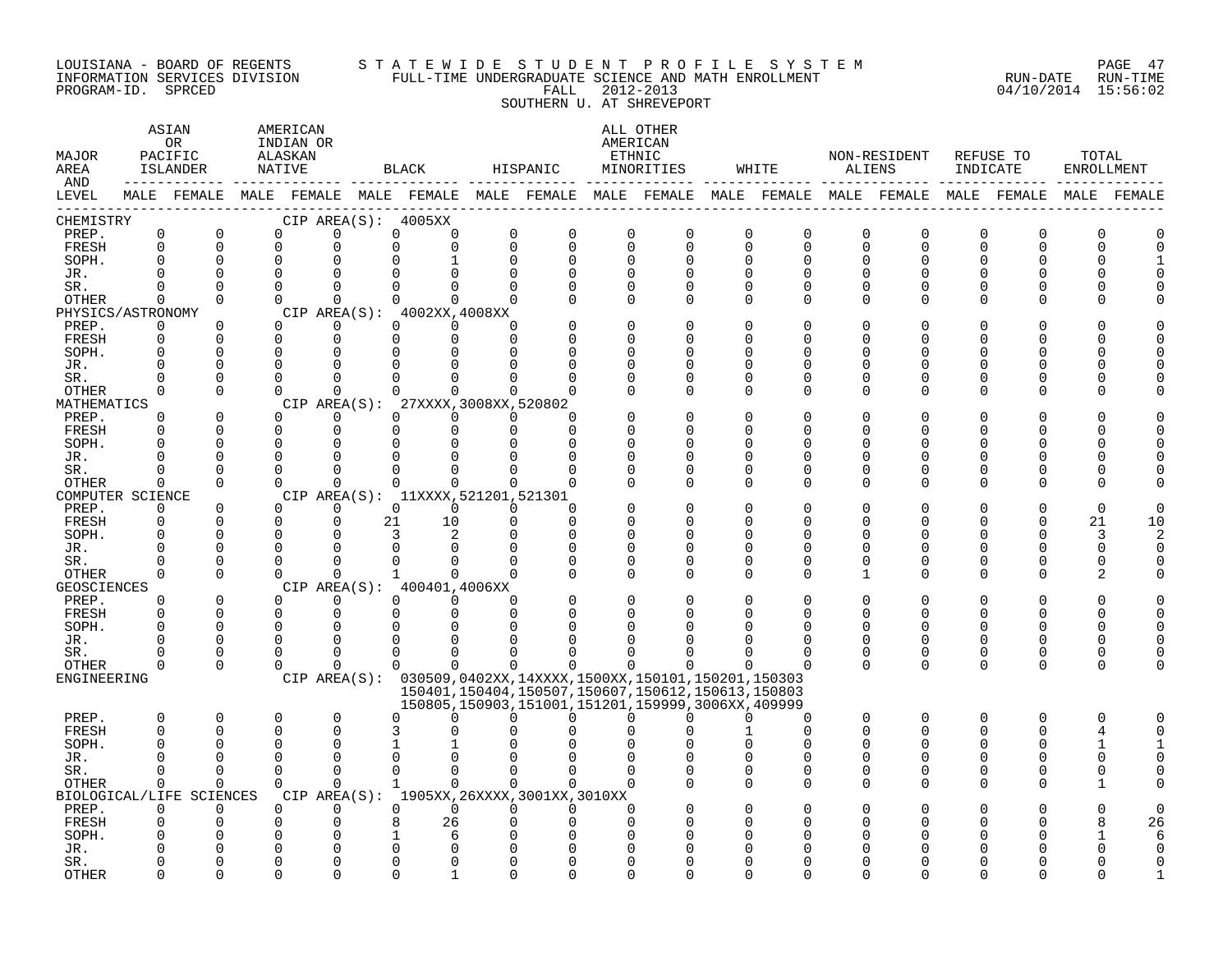#### LOUISIANA - BOARD OF REGENTS S T A T E W I D E S T U D E N T P R O F I L E S Y S T E M PAGE 47 INFORMATION SERVICES DIVISION FULL-TIME UNDERGRADUATE SCIENCE AND MATH ENROLLMENT RUN-DATE RUN-TIME PROGRAM-ID. SPRCED FALL 2012-2013 04/10/2014 15:56:02

SOUTHERN U. AT SHREVEPORT

| MAJOR<br>AREA<br>AND       |                      | ASIAN<br>0R<br>PACIFIC<br>ISLANDER |                      | AMERICAN<br>INDIAN OR<br>ALASKAN<br>NATIVE |             |                      | BLACK                                       |                          | HISPANIC             |          | ALL OTHER<br>AMERICAN<br>ETHNIC<br>MINORITIES                 | WHITE                    |               | NON-RESIDENT<br>ALIENS                                                                                      | INDICATE             | REFUSE TO            | TOTAL<br>ENROLLMENT  |                          |
|----------------------------|----------------------|------------------------------------|----------------------|--------------------------------------------|-------------|----------------------|---------------------------------------------|--------------------------|----------------------|----------|---------------------------------------------------------------|--------------------------|---------------|-------------------------------------------------------------------------------------------------------------|----------------------|----------------------|----------------------|--------------------------|
| LEVEL                      |                      |                                    |                      |                                            |             |                      |                                             |                          |                      |          |                                                               |                          |               | MALE FEMALE MALE FEMALE MALE FEMALE MALE FEMALE MALE FEMALE MALE FEMALE MALE FEMALE MALE FEMALE MALE FEMALE |                      |                      |                      |                          |
| CHEMISTRY                  |                      |                                    |                      |                                            |             |                      | CIP AREA $(S):$ 4005XX                      |                          |                      |          |                                                               |                          |               |                                                                                                             |                      |                      |                      |                          |
| PREP.                      | $\mathbf 0$          | 0                                  | $\Omega$             |                                            | $\Omega$    | 0                    | $\mathbf 0$                                 | 0                        | 0                    |          | 0<br>0                                                        | 0<br>0                   | O             | 0                                                                                                           | 0                    | 0                    | O                    | $\Omega$                 |
| FRESH                      | $\mathbf 0$          | $\Omega$                           | $\Omega$             |                                            | 0           | $\mathbf 0$          | $\mathbf 0$                                 | $\Omega$                 | $\Omega$             |          | $\mathbf 0$<br>$\mathbf 0$                                    | $\mathbf 0$<br>$\Omega$  | $\Omega$      | $\Omega$                                                                                                    | 0                    | $\mathbf 0$          | $\Omega$             | $\Omega$                 |
| SOPH.                      | $\mathbf 0$          | $\Omega$                           | $\Omega$             |                                            | $\Omega$    | $\Omega$             | $\mathbf{1}$                                | $\Omega$                 | $\Omega$             |          | $\Omega$<br>0                                                 | $\Omega$<br><sup>n</sup> | $\Omega$      | O                                                                                                           | $\Omega$             | $\Omega$             | $\Omega$             | $\mathbf{1}$             |
| JR.                        | $\Omega$             | $\Omega$                           | ∩                    |                                            |             |                      |                                             |                          | $\Omega$             |          | O<br><sup>0</sup>                                             | $\Omega$                 | O             | U                                                                                                           | U                    | $\Omega$             | $\cap$               | $\Omega$                 |
| SR.                        | 0                    | $\Omega$                           | $\Omega$<br>$\Omega$ |                                            | $\Omega$    | O                    | $\Omega$                                    | <sup>0</sup><br>$\Omega$ | $\Omega$<br>$\Omega$ |          | $\Omega$<br>0<br>$\Omega$                                     | 0<br>U                   | 0<br>$\Omega$ | $\Omega$<br>U                                                                                               | $\Omega$<br>$\Omega$ | $\Omega$             | $\Omega$<br>$\Omega$ | $\cap$                   |
| OTHER<br>PHYSICS/ASTRONOMY | $\Omega$             | $\Omega$                           |                      |                                            | 0           | $\Omega$             | $\Omega$<br>CIP AREA(S): 4002XX, 4008XX     |                          |                      |          | $\Omega$                                                      | 0                        |               |                                                                                                             |                      | $\Omega$             |                      |                          |
| PREP.                      | $\Omega$             | $\Omega$                           | $\Omega$             |                                            | 0           | 0                    | $\Omega$                                    | ∩                        |                      |          | 0<br><sup>0</sup>                                             | O                        | ∩             |                                                                                                             | ∩                    | C                    |                      |                          |
| FRESH                      | $\Omega$             | $\Omega$                           | ∩                    |                                            | $\Omega$    | $\Omega$             | $\Omega$                                    | $\cap$                   | ∩                    |          | U<br><sup>0</sup>                                             | U                        | ∩             | U                                                                                                           | $\Omega$             | U                    | ∩                    | $\Omega$                 |
| SOPH.                      | 0                    | 0                                  | 0                    |                                            | O           | 0                    | 0                                           | O                        | O                    |          | O<br>0                                                        | 0                        | 0             | 0                                                                                                           | 0                    | $\Omega$             | $\Omega$             | $\Omega$                 |
| JR.                        | $\Omega$             |                                    |                      |                                            |             |                      |                                             |                          | ∩                    |          | 0<br>U                                                        | U                        | ∩             | U                                                                                                           | ∩                    | $\Omega$             | $\cap$               | $\Omega$                 |
| SR.                        | <sup>0</sup>         | $\Omega$                           | ∩                    |                                            |             |                      |                                             |                          | ∩                    |          | U<br><sup>0</sup>                                             | $\Omega$                 | ∩             | U                                                                                                           | $\Omega$             | $\Omega$             | n                    |                          |
| OTHER                      | $\Omega$             | $\Omega$                           | $\Omega$             |                                            | 0           | 0                    | $\Omega$                                    | $\Omega$                 | ∩                    |          | $\Omega$<br>$\Omega$                                          | $\Omega$<br>U            | $\Omega$      | $\Omega$                                                                                                    | $\Omega$             | $\Omega$             | $\Omega$             | $\Omega$                 |
| MATHEMATICS                |                      |                                    |                      |                                            |             |                      | CIP AREA(S): 27XXXX, 3008XX, 520802         |                          |                      |          |                                                               |                          |               |                                                                                                             |                      |                      |                      |                          |
| PREP.                      | 0                    | 0                                  | $\Omega$             |                                            | 0           | 0                    | 0                                           | $\Omega$                 | O                    |          | 0                                                             | $\Omega$                 | O             | O                                                                                                           | 0                    | 0                    | O                    |                          |
| FRESH                      | $\Omega$             | $\Omega$                           | $\Omega$             |                                            | $\mathbf 0$ | $\mathbf 0$          | $\mathbf 0$                                 | $\Omega$                 | $\Omega$             |          | U<br>0                                                        | $\Omega$                 | ∩             | U                                                                                                           | $\Omega$             | $\Omega$             | $\Omega$             | $\Omega$                 |
| SOPH.                      | $\Omega$             | $\Omega$                           | $\Omega$             |                                            | $\Omega$    | $\Omega$<br>O        | $\Omega$                                    | $\Omega$                 | $\Omega$             |          | U<br><sup>0</sup><br>O                                        | O<br>$\Omega$            | O             | U                                                                                                           | O<br>O               | O<br>U               | $\Omega$<br>$\Omega$ | $\Omega$<br>$\Omega$     |
| JR.<br>SR.                 | 0                    | O<br>$\Omega$                      | $\Omega$             |                                            | 0           | ∩                    | $\Omega$                                    |                          | O<br>∩               |          | 0<br>O<br>$\Omega$                                            | $\Omega$<br>Λ            | O<br>$\Omega$ | O<br>$\Omega$                                                                                               | $\Omega$             | $\Omega$             | $\Omega$             |                          |
| OTHER                      | $\Omega$             | $\Omega$                           | $\Omega$             |                                            | 0           | $\Omega$             | $\Omega$                                    | $\Omega$                 | $\Omega$             |          | U<br>$\Omega$                                                 | $\Omega$                 | O             | O                                                                                                           | O                    | $\Omega$             | $\Omega$             | $\Omega$                 |
| COMPUTER SCIENCE           |                      |                                    |                      |                                            |             |                      | CIP AREA(S): 11XXXX, 521201, 521301         |                          |                      |          |                                                               |                          |               |                                                                                                             |                      |                      |                      |                          |
| PREP.                      | 0                    | $\Omega$                           | $\Omega$             |                                            | 0           | $\Omega$             | $\Omega$                                    | $\Omega$                 | $\Omega$             |          | $\Omega$                                                      | O                        | O             | O                                                                                                           | O                    | O                    | $\Omega$             | $\Omega$                 |
| FRESH                      | 0                    | $\Omega$                           | ∩                    |                                            | $\Omega$    | 21                   | 10                                          | $\Omega$                 | $\Omega$             |          | U<br>0                                                        | $\Omega$                 | ∩             | O                                                                                                           | $\Omega$             | $\Omega$             | 21                   | 10                       |
| SOPH.                      | $\Omega$             | $\Omega$                           | O                    |                                            | $\Omega$    | 3                    | 2                                           | $\Omega$                 | $\Omega$             |          | O<br>0                                                        | O                        | O             | $\Omega$                                                                                                    | $\Omega$             | $\Omega$             | 3                    | 2                        |
| JR.                        | U                    |                                    |                      |                                            |             |                      |                                             |                          | $\Omega$             |          | U<br>0                                                        | $\Omega$                 | 0             | U                                                                                                           | $\Omega$             | $\Omega$             | $\overline{0}$       | $\Omega$                 |
| SR.                        | 0                    | $\Omega$                           |                      |                                            | ∩           |                      |                                             |                          | ∩                    |          | U<br>0                                                        | O                        | ∩             | U                                                                                                           | O                    | $\Omega$             | $\Omega$             | $\Omega$                 |
| OTHER                      | $\Omega$             | $\Omega$                           | $\Omega$             |                                            | 0           | 1                    | $\Omega$                                    | $\Omega$                 | ∩                    |          | $\Omega$<br>$\Omega$                                          | $\Omega$                 | 1             | $\Omega$                                                                                                    | $\Omega$             | $\Omega$             | 2                    | $\Omega$                 |
| GEOSCIENCES                |                      |                                    |                      |                                            |             |                      | CIP AREA(S): 400401,4006XX                  |                          |                      |          |                                                               |                          |               |                                                                                                             |                      |                      |                      |                          |
| PREP.                      | 0<br>$\Omega$        | 0<br>0                             | $\Omega$<br>$\Omega$ |                                            | 0<br>0      | 0<br>$\mathbf 0$     | 0<br>$\mathbf 0$                            | <sup>0</sup><br>$\Omega$ | O<br>∩               |          | 0<br>0<br>U<br>U                                              | 0<br>U                   | O<br>∩        | O<br>U                                                                                                      | 0<br>$\Omega$        | 0<br>$\Omega$        | $\Omega$<br>$\Omega$ | <sup>0</sup><br>$\Omega$ |
| FRESH<br>SOPH.             | $\Omega$             | $\Omega$                           | $\Omega$             |                                            | $\Omega$    | $\Omega$             |                                             |                          |                      |          |                                                               |                          | ∩             | $\Omega$                                                                                                    | $\Omega$             | $\Omega$             | $\Omega$             | $\Omega$                 |
| JR.                        | ∩                    | $\Omega$                           | ∩                    |                                            |             |                      |                                             |                          |                      |          | <sup>0</sup>                                                  |                          | $\Omega$      | O                                                                                                           | $\Omega$             | $\Omega$             | $\Omega$             | $\Omega$                 |
| SR.                        | 0                    | $\Omega$                           | ∩                    |                                            | 0           | $\Omega$             | ∩                                           |                          |                      |          | U<br><sup>0</sup>                                             | U                        | $\Omega$      | $\Omega$                                                                                                    | $\Omega$             | $\Omega$             | $\Omega$             | $\Omega$                 |
| OTHER                      | 0                    | $\Omega$                           | $\Omega$             |                                            | $\Omega$    | $\Omega$             | $\Omega$                                    | $\Omega$                 |                      | $\Omega$ | 0<br>$\Omega$                                                 | $\Omega$                 | $\Omega$      | 0                                                                                                           | 0                    | $\mathbf 0$          | $\Omega$             | $\Omega$                 |
| ENGINEERING                |                      |                                    |                      |                                            |             |                      |                                             |                          |                      |          | CIP AREA(S): 030509,0402XX,14XXXX,1500XX,150101,150201,150303 |                          |               |                                                                                                             |                      |                      |                      |                          |
|                            |                      |                                    |                      |                                            |             |                      |                                             |                          |                      |          | 150401,150404,150507,150607,150612,150613,150803              |                          |               |                                                                                                             |                      |                      |                      |                          |
|                            |                      |                                    |                      |                                            |             |                      |                                             |                          |                      |          | 150805,150903,151001,151201,159999,3006XX,409999              |                          |               |                                                                                                             |                      |                      |                      |                          |
| PREP.                      | 0                    | 0                                  | $\Omega$             |                                            | $\Omega$    | $\Omega$             | $\Omega$                                    | $\Omega$                 | O                    |          | $\Omega$<br>0                                                 | O<br>O                   | O             | $\Omega$                                                                                                    | $\Omega$             | $\Omega$             | $\Omega$             | <sup>0</sup>             |
| FRESH                      | $\mathbf 0$          | $\Omega$                           | ∩                    |                                            | $\cap$      |                      |                                             |                          |                      |          |                                                               | ∩                        | $\Omega$      | $\Omega$                                                                                                    | $\Omega$             | $\Omega$             | 4                    | $\Omega$                 |
| SOPH.                      | $\Omega$             | $\Omega$                           |                      |                                            | ∩           |                      |                                             |                          |                      |          | N                                                             |                          | ∩             | U                                                                                                           | U                    | $\Omega$             | 1                    |                          |
| JR.<br>SR.                 | $\Omega$<br>$\Omega$ | $\Omega$<br>$\Omega$               | $\Omega$<br>∩        |                                            | U<br>0      | $\Omega$<br>$\Omega$ | $\Omega$                                    | $\cap$                   | ∩                    |          | <sup>0</sup><br>$\Omega$<br>0                                 | $\Omega$<br>0<br>U       | $\Omega$<br>0 | O<br>0                                                                                                      | $\Omega$<br>0        | $\Omega$<br>$\Omega$ | $\Omega$<br>$\Omega$ | $\Omega$<br>$\Omega$     |
| OTHER                      | 0                    | $\Omega$                           | $\Omega$             |                                            | 0           | 1                    | $\Omega$                                    | $\Omega$                 | ∩                    |          | $\Omega$<br><sup>0</sup>                                      | 0<br><sup>0</sup>        | O             | O                                                                                                           | O                    | O                    | -1                   | $\Omega$                 |
|                            |                      | BIOLOGICAL/LIFE SCIENCES           |                      |                                            |             |                      | CIP AREA(S): 1905XX, 26XXXX, 3001XX, 3010XX |                          |                      |          |                                                               |                          |               |                                                                                                             |                      |                      |                      |                          |
| PREP.                      | $\Omega$             | $\Omega$                           | $\Omega$             |                                            | $\Omega$    | $\Omega$             | $\Omega$                                    | $\Omega$                 | ∩                    |          | $\Omega$                                                      |                          |               |                                                                                                             |                      |                      |                      |                          |
| FRESH                      | $\Omega$             | $\Omega$                           | ∩                    |                                            | $\Omega$    | 8                    | 26                                          |                          | ∩                    |          | O<br><sup>0</sup>                                             | U                        | ∩             | U                                                                                                           | ∩                    | U                    | 8                    | 26                       |
| SOPH.                      | ∩                    |                                    |                      |                                            |             |                      | 6                                           |                          |                      |          | O                                                             | U                        |               |                                                                                                             | ∩                    | U                    | 1                    | 6                        |
| JR.                        |                      |                                    |                      |                                            |             |                      |                                             |                          |                      |          |                                                               |                          |               |                                                                                                             |                      |                      |                      | $\mathbf 0$              |
| SR.                        | U                    | $\Omega$                           |                      |                                            |             | $\Omega$             | $\cap$                                      |                          | ∩                    |          | U<br><sup>0</sup>                                             | U                        |               |                                                                                                             |                      |                      |                      | $\Omega$                 |
| <b>OTHER</b>               | $\cap$               | $\Omega$                           |                      |                                            | $\cap$      | $\Omega$             |                                             | $\Omega$                 | ∩                    |          | $\Omega$<br>U                                                 | <sup>n</sup>             |               |                                                                                                             |                      |                      |                      |                          |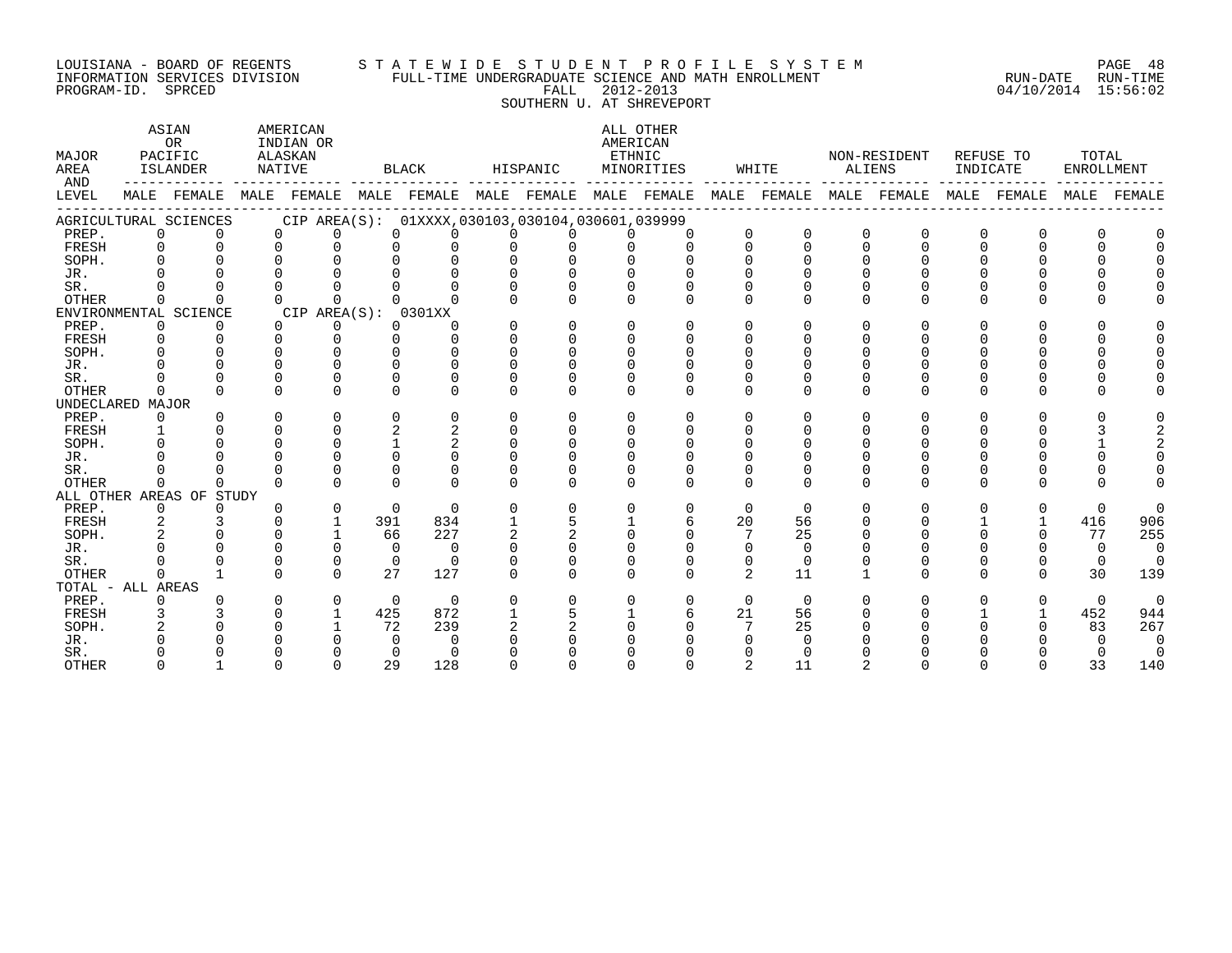#### LOUISIANA - BOARD OF REGENTS S T A T E W I D E S T U D E N T P R O F I L E S Y S T E M PAGE 48 INFORMATION SERVICES DIVISION FULL-TIME UNDERGRADUATE SCIENCE AND MATH ENROLLMENT RUN-DATE RUN-TIME PROGRAM-ID. SPRCED FALL 2012-2013 04/10/2014 15:56:02 SOUTHERN U. AT SHREVEPORT

| MAJOR<br>AREA<br>AND |             | ASIAN<br>OR<br>PACIFIC<br><b>ISLANDER</b>                                           | AMERICAN<br>INDIAN OR<br>ALASKAN<br>NATIVE      |              | <b>BLACK</b> |              | HISPANIC | AMERICAN     | ALL OTHER<br>ETHNIC<br>MINORITIES |              | WHITE    | ALIENS   | NON-RESIDENT | INDICATE     | REFUSE TO    | TOTAL<br><b>ENROLLMENT</b> |             |
|----------------------|-------------|-------------------------------------------------------------------------------------|-------------------------------------------------|--------------|--------------|--------------|----------|--------------|-----------------------------------|--------------|----------|----------|--------------|--------------|--------------|----------------------------|-------------|
| LEVEL                |             | MALE FEMALE MALE FEMALE MALE FEMALE MALE FEMALE MALE FEMALE MALE FEMALE MALE FEMALE |                                                 |              |              |              |          |              |                                   |              |          |          |              |              | MALE FEMALE  |                            | MALE FEMALE |
|                      |             | AGRICULTURAL SCIENCES                                                               | CIP AREA(S): 01XXXX,030103,030104,030601,039999 |              |              |              |          |              |                                   |              |          |          |              |              |              |                            |             |
| PREP.                | $\Omega$    | $\Omega$                                                                            | $\Omega$<br>$\Omega$                            | 0            |              |              |          |              |                                   | $\Omega$     | $\Omega$ | $\Omega$ | $\Omega$     | $\Omega$     | O            |                            |             |
| FRESH                | $\Omega$    | $\Omega$                                                                            | $\Omega$<br>$\Omega$                            |              |              |              |          | $\Omega$     | 0                                 | $\Omega$     | $\Omega$ | $\Omega$ | $\Omega$     | 0            | 0            |                            |             |
| SOPH.                |             |                                                                                     |                                                 |              |              |              |          |              |                                   |              |          |          |              |              |              |                            |             |
| JR.                  |             |                                                                                     |                                                 |              |              |              |          |              |                                   |              |          |          |              |              |              |                            |             |
| SR.                  |             |                                                                                     |                                                 |              |              |              |          |              |                                   |              |          |          |              |              |              |                            |             |
| OTHER                | $\Omega$    | $\cap$                                                                              | $\Omega$<br>$\Omega$                            | <sup>n</sup> | $\cap$       |              | $\Omega$ | $\Omega$     | 0                                 | $\Omega$     | ∩        | $\Omega$ | $\Omega$     | 0            | 0            |                            |             |
|                      |             | ENVIRONMENTAL SCIENCE                                                               | CIP AREA(S): 0301XX                             |              |              |              |          |              |                                   |              |          |          |              |              |              |                            |             |
| PREP.                | $\Omega$    | $\Omega$                                                                            | $\Omega$<br>0                                   | 0            | 0            | $\Omega$     | $\Omega$ | $\Omega$     | <sup>n</sup>                      | $\cap$       | ∩        | $\Omega$ | 0            | 0            | <sup>n</sup> |                            |             |
| FRESH                | $\Omega$    | $\Omega$                                                                            | $\Omega$<br>$\Omega$                            | <sup>n</sup> | U            | $\Omega$     | $\Omega$ | $\Omega$     |                                   | $\cap$       |          |          |              |              |              |                            |             |
| SOPH.                |             |                                                                                     | $\cap$                                          |              | $\cap$       | $\cap$       |          | $\cap$       |                                   |              |          |          |              |              |              |                            |             |
| JR.                  |             |                                                                                     | $\Omega$                                        |              | U            |              |          |              |                                   |              |          |          |              |              |              |                            |             |
| SR.                  |             |                                                                                     | $\Omega$                                        |              | O            |              |          |              |                                   |              |          |          |              |              |              |                            |             |
| <b>OTHER</b>         | $\Omega$    |                                                                                     | $\Omega$                                        | U            | $\Omega$     | ∩            |          | <sup>n</sup> | U                                 | <sup>0</sup> | ∩        | $\Omega$ | $\Omega$     | 0            | 0            |                            |             |
| UNDECLARED MAJOR     |             |                                                                                     |                                                 |              |              |              |          |              |                                   |              |          |          |              |              |              |                            |             |
| PREP.                | $\Omega$    | $\Omega$                                                                            | $\Omega$<br>$\Omega$                            | 0            | $\Omega$     | $\Omega$     | $\Omega$ | $\Omega$     | $\Omega$                          | $\Omega$     | ∩        | $\Omega$ | O            | 0            | 0            |                            |             |
| FRESH                |             |                                                                                     | $\Omega$                                        | 2            | 2            | $\Omega$     | $\Omega$ | $\Omega$     |                                   | $\Omega$     |          |          |              |              |              |                            |             |
| SOPH.                |             |                                                                                     | $\Omega$                                        |              | 2            |              |          | $\Omega$     |                                   |              |          |          |              |              |              |                            |             |
| JR.                  |             |                                                                                     | $\cap$                                          |              |              |              |          |              |                                   |              |          |          |              |              |              |                            |             |
| SR.                  |             |                                                                                     | $\cap$                                          |              | U            |              |          |              |                                   |              |          |          |              |              |              |                            |             |
| OTHER                | $\Omega$    | <sup>n</sup>                                                                        | $\cap$<br>$\Omega$                              | <sup>n</sup> | $\cap$       | <sup>n</sup> | $\Omega$ | $\cap$       | $\cap$                            | $\cap$       | $\Omega$ | $\Omega$ | $\Omega$     | 0            | <sup>n</sup> |                            |             |
|                      |             | ALL OTHER AREAS OF STUDY                                                            |                                                 |              |              |              |          |              |                                   |              |          |          |              |              |              |                            |             |
| PREP.                | $\mathbf 0$ | $\Omega$                                                                            | $\mathbf 0$<br>$\Omega$                         | $\Omega$     | $\Omega$     | $\Omega$     | $\Omega$ | $\Omega$     | $\Omega$                          | $\Omega$     | $\Omega$ | $\Omega$ | $\Omega$     | 0            | $\Omega$     | $\Omega$                   | $\Omega$    |
| FRESH                |             |                                                                                     | $\mathbf{1}$                                    | 391          | 834          |              |          |              | 6                                 | 20           | 56       |          |              |              |              | 416                        | 906         |
| SOPH.                |             |                                                                                     | $\mathbf{1}$                                    | 66           | 227          |              |          |              |                                   |              | 25       |          |              |              |              | 77                         | 255         |
| JR.                  |             |                                                                                     | $\Omega$                                        | $\Omega$     | $\Omega$     |              |          |              |                                   | $\Omega$     | $\Omega$ |          |              |              |              | $\Omega$                   | $\Omega$    |
| SR.                  |             |                                                                                     | $\mathbf 0$                                     | 0            | $\Omega$     |              |          | $\Omega$     |                                   | 0            | $\Omega$ |          |              |              |              | 0                          |             |
| <b>OTHER</b>         | $\Omega$    | $\mathbf{1}$                                                                        | $\cap$<br>$\cap$                                | 27           | 127          | <sup>n</sup> | $\Omega$ | $\cap$       | <sup>n</sup>                      | 2            | 11       |          | U            | 0            | 0            | 30                         | 139         |
| TOTAL - ALL AREAS    |             |                                                                                     |                                                 |              |              |              |          |              |                                   |              |          |          |              |              |              |                            |             |
| PREP.                | $\Omega$    |                                                                                     | $\Omega$<br>$\Omega$                            | $\Omega$     | $\Omega$     |              | $\Omega$ | $\Omega$     | $\Omega$                          | $\Omega$     | $\Omega$ |          | U            | <sup>n</sup> | $\Omega$     | $\Omega$                   | $\Omega$    |
| FRESH                |             |                                                                                     | $\mathbf{1}$                                    | 425          | 872          |              |          |              | б.                                | 21           | 56       |          |              |              |              | 452                        | 944         |
| SOPH.                |             |                                                                                     |                                                 | 72           | 239          |              |          |              |                                   |              | 25       |          |              |              |              | 83                         | 267         |
| JR.                  |             |                                                                                     |                                                 | $\Omega$     | $\Omega$     |              |          |              |                                   |              |          |          |              |              |              |                            | $\Omega$    |
| SR.                  |             |                                                                                     |                                                 | 0            | ∩            |              |          |              |                                   |              |          |          |              |              |              |                            | $\Omega$    |
| <b>OTHER</b>         |             |                                                                                     | $\cap$                                          | 29           | 128          |              |          |              |                                   |              | 11       |          |              |              |              | 33                         | 140         |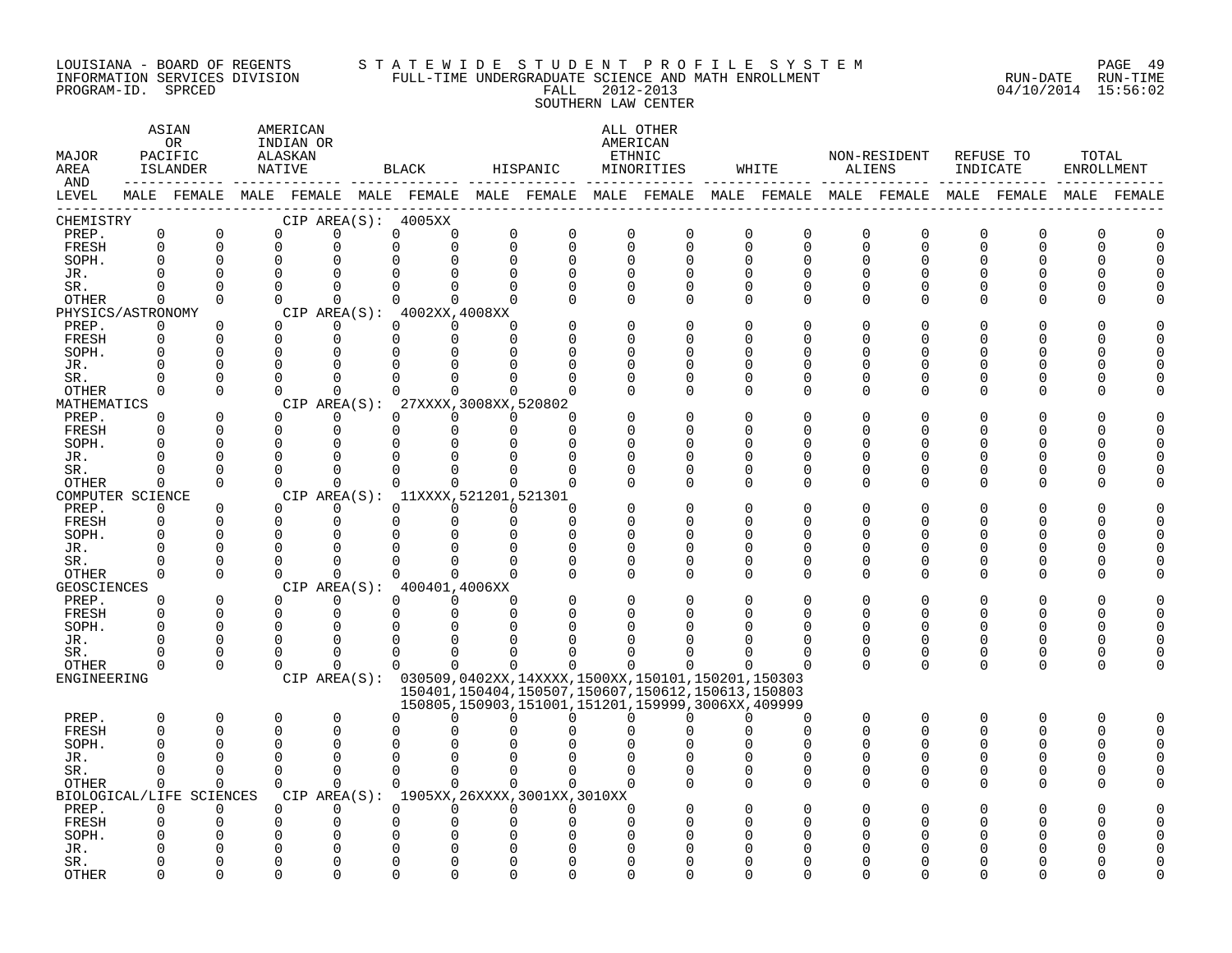#### LOUISIANA - BOARD OF REGENTS S T A T E W I D E S T U D E N T P R O F I L E S Y S T E M PAGE 49 INFORMATION SERVICES DIVISION FULL-TIME UNDERGRADUATE SCIENCE AND MATH ENROLLMENT RUN-DATE RUN-TIME PROGRAM-ID. SPRCED FALL 2012-2013 04/10/2014 15:56:02 SOUTHERN LAW CENTER

| MAJOR<br>AREA<br>AND |                      | ASIAN<br>0 <sub>R</sub><br>PACIFIC<br>ISLANDER | AMERICAN<br>INDIAN OR<br>ALASKAN<br>NATIVE |                      | BLACK                                                                                                       | HISPANIC                 |             |                      | ALL OTHER<br>AMERICAN<br>ETHNIC<br>MINORITIES                                                                    |                      | WHITE        | ALIENS        | NON-RESIDENT  | REFUSE TO<br>INDICATE |               | TOTAL | ENROLLMENT |
|----------------------|----------------------|------------------------------------------------|--------------------------------------------|----------------------|-------------------------------------------------------------------------------------------------------------|--------------------------|-------------|----------------------|------------------------------------------------------------------------------------------------------------------|----------------------|--------------|---------------|---------------|-----------------------|---------------|-------|------------|
| LEVEL                |                      |                                                |                                            |                      | MALE FEMALE MALE FEMALE MALE FEMALE MALE FEMALE MALE FEMALE MALE FEMALE MALE FEMALE MALE FEMALE MALE FEMALE |                          |             |                      |                                                                                                                  |                      |              |               |               |                       |               |       |            |
| CHEMISTRY<br>PREP.   | $\mathsf 0$          | $\mathbf 0$                                    | $\mathbf 0$                                | 0                    | CIP AREA(S): 4005XX<br>0                                                                                    | 0<br>0                   | $\mathbf 0$ | $\mathbf 0$          | $\mathbf 0$                                                                                                      | $\mathbf 0$          | 0            |               | $\mathbf 0$   | $\mathbf 0$           | $\Omega$      | 0     |            |
| FRESH                | $\Omega$             | $\Omega$                                       | $\Omega$                                   | $\Omega$             | $\Omega$                                                                                                    | $\Omega$<br>$\Omega$     | $\mathbf 0$ | $\mathbf 0$          | $\mathbf 0$                                                                                                      | $\Omega$             | $\Omega$     | 0<br>0        | $\mathbf 0$   | $\Omega$              | $\Omega$      | U     |            |
| SOPH.                | $\Omega$             | 0                                              | $\mathbf 0$                                |                      |                                                                                                             | $\Omega$                 | $\Omega$    | $\mathbf 0$          | $\Omega$                                                                                                         | $\Omega$             | <sup>0</sup> | 0             | O             |                       |               |       |            |
| JR.                  | $\Omega$             | $\Omega$                                       | $\Omega$                                   |                      |                                                                                                             |                          | $\Omega$    | $\Omega$             |                                                                                                                  | $\Omega$             | $\cap$       | $\Omega$      | O             |                       |               |       |            |
| SR.                  | $\Omega$             | $\Omega$                                       | $\Omega$                                   | $\Omega$             | $\Omega$                                                                                                    | $\Omega$<br><sup>n</sup> | $\Omega$    | $\Omega$             | $\Omega$                                                                                                         | $\Omega$             | <sup>0</sup> | 0             | $\Omega$      |                       |               |       |            |
| OTHER                | $\Omega$             | $\Omega$                                       | $\Omega$                                   | $\Omega$             | $\Omega$                                                                                                    | $\Omega$<br>$\Omega$     | $\Omega$    | $\Omega$             | $\Omega$                                                                                                         | $\Omega$             | $\Omega$     | 0             | 0             |                       | O             |       |            |
| PHYSICS/ASTRONOMY    |                      |                                                |                                            |                      | CIP AREA(S): 4002XX, 4008XX                                                                                 |                          |             |                      |                                                                                                                  |                      |              |               |               |                       |               |       |            |
| PREP.                | 0                    | 0                                              | $\Omega$                                   | $\Omega$             | $\Omega$                                                                                                    | $\Omega$<br><sup>n</sup> |             | $\mathbf 0$          |                                                                                                                  | $\Omega$             | O            | O             | N             |                       |               |       |            |
| FRESH                | $\Omega$             | $\Omega$                                       | $\Omega$                                   | $\Omega$             | $\Omega$                                                                                                    | $\Omega$<br>$\Omega$     |             | $\Omega$             |                                                                                                                  | $\Omega$             | U            | U             | N             |                       |               |       |            |
| SOPH.                | $\Omega$             | $\Omega$                                       | $\Omega$                                   | $\Omega$             |                                                                                                             |                          |             | <sup>0</sup>         |                                                                                                                  | <sup>0</sup>         | U            | O             | N             |                       |               |       |            |
| JR.<br>SR.           | $\Omega$<br>$\Omega$ | $\mathbf 0$<br>$\Omega$                        | $\Omega$<br>$\Omega$                       | $\cap$               |                                                                                                             |                          | ∩           | $\Omega$<br>$\Omega$ | $\Omega$<br>$\Omega$                                                                                             | $\Omega$<br>$\Omega$ | U            | O<br>0        | U<br>O        |                       |               |       |            |
| OTHER                | $\Omega$             | $\Omega$                                       | $\Omega$                                   | $\Omega$             | <sup>n</sup>                                                                                                | $\Omega$                 | n           | $\Omega$             | $\Omega$                                                                                                         | $\Omega$             | <sup>0</sup> | 0             | $\Omega$      |                       | O             |       |            |
| MATHEMATICS          |                      |                                                |                                            |                      | CIP AREA(S): 27XXXX, 3008XX, 520802                                                                         |                          |             |                      |                                                                                                                  |                      |              |               |               |                       |               |       |            |
| PREP.                | $\Omega$             | $\Omega$                                       | $\Omega$                                   | $\Omega$             | $\Omega$                                                                                                    | $\Omega$<br>$\Omega$     | ∩           |                      |                                                                                                                  | $\Omega$             |              | U             |               |                       |               |       |            |
| FRESH                | $\Omega$             | $\Omega$                                       | $\mathbf 0$                                | $\mathbf 0$          | $\Omega$                                                                                                    | $\Omega$                 | $\Omega$    | $\Omega$             | ∩                                                                                                                | $\Omega$             | U            | O             | U             |                       | ∩             |       |            |
| SOPH.                | $\cap$               | 0                                              | $\Omega$                                   | $\Omega$             | $\Omega$                                                                                                    |                          | ∩           | $\Omega$             |                                                                                                                  | ∩                    |              | U             | ∩             |                       | n             |       |            |
| JR.                  | <sup>0</sup>         | 0                                              | $\mathbf 0$                                | $\Omega$             | $\Omega$                                                                                                    |                          | O           | 0                    | $\Omega$                                                                                                         | $\Omega$             |              | O             | N             |                       | O             |       |            |
| SR.                  | U                    | 0                                              | $\Omega$                                   | $\Omega$             | $\Omega$                                                                                                    | O                        | $\Omega$    | $\Omega$             | $\Omega$                                                                                                         | $\Omega$             | <sup>0</sup> | 0             | 0             |                       | 0             |       |            |
| <b>OTHER</b>         | $\Omega$             | $\Omega$                                       | $\Omega$                                   | $\Omega$             | $\Omega$                                                                                                    | $\Omega$<br>$\Omega$     | $\Omega$    | $\Omega$             | $\Omega$                                                                                                         | $\Omega$             | $\Omega$     | $\Omega$      | $\Omega$      |                       | ∩             |       |            |
| COMPUTER SCIENCE     | $\Omega$             | 0                                              | $\Omega$                                   | $\Omega$             | CIP AREA(S): 11XXXX, 521201, 521301<br>$\Omega$                                                             | $\Omega$<br>$\Omega$     | $\Omega$    |                      |                                                                                                                  | <sup>0</sup>         |              | O             |               |                       |               |       |            |
| PREP.<br>FRESH       | 0                    | $\Omega$                                       | $\Omega$                                   | $\Omega$             | $\Omega$                                                                                                    | $\Omega$<br>$\Omega$     | $\Omega$    | $\Omega$             | ∩                                                                                                                | $\Omega$             | U            | O             | O             |                       | ∩             |       |            |
| SOPH.                | $\Omega$             | 0                                              | $\Omega$                                   | $\Omega$             |                                                                                                             |                          | $\Omega$    | $\Omega$             |                                                                                                                  | $\Omega$             | U            | O             | U             |                       |               |       |            |
| JR.                  | $\Omega$             | $\mathbf 0$                                    | $\Omega$                                   |                      |                                                                                                             |                          | 0           | 0                    | $\Omega$                                                                                                         | 0                    | U            | 0             | N             |                       |               |       |            |
| SR.                  | $\Omega$             | $\Omega$                                       | $\Omega$                                   |                      |                                                                                                             |                          |             | $\mathbf 0$          | $\Omega$                                                                                                         | $\Omega$             | U            | 0             | $\Omega$      |                       | ∩             |       |            |
| OTHER                | $\Omega$             | $\Omega$                                       | $\Omega$                                   | $\Omega$             | 0                                                                                                           | $\cap$<br>$\Omega$       | $\Omega$    | $\Omega$             | $\Omega$                                                                                                         | $\Omega$             | $\Omega$     | 0             | ∩             |                       | ∩             |       |            |
| GEOSCIENCES          |                      |                                                |                                            |                      | CIP AREA(S): 400401,4006XX                                                                                  |                          |             |                      |                                                                                                                  |                      |              |               |               |                       |               |       |            |
| PREP.                | $\Omega$             | $\Omega$                                       | $\Omega$                                   | $\Omega$             | $\Omega$                                                                                                    | $\Omega$<br>$\Omega$     | $\Omega$    | $\Omega$             |                                                                                                                  | $\Omega$             | U            | O             | O             |                       |               |       |            |
| FRESH                | $\Omega$             | $\Omega$                                       | $\mathbf 0$                                | 0                    | $\Omega$                                                                                                    | $\Omega$<br>$\Omega$     | $\Omega$    | $\Omega$             |                                                                                                                  | O                    | <sup>0</sup> | 0             | 0             | U                     | O             |       |            |
| SOPH.                | $\Omega$             | $\Omega$                                       | $\Omega$                                   | $\Omega$             |                                                                                                             |                          |             |                      |                                                                                                                  |                      |              | $\Omega$      |               |                       |               |       |            |
| JR.                  | U<br>U               | $\Omega$<br>0                                  | $\Omega$<br>$\mathbf 0$                    | $\Omega$<br>$\Omega$ | ∩<br>0                                                                                                      | U<br>U                   | U           |                      |                                                                                                                  | <sup>0</sup>         | U<br>0       | 0             | $\Omega$<br>0 | <sup>0</sup>          | ∩             |       |            |
| SR.<br>OTHER         | $\Omega$             | $\Omega$                                       | $\Omega$                                   | $\Omega$             | $\Omega$                                                                                                    | $\Omega$<br>$\Omega$     | $\Omega$    | $\Omega$             | $\Omega$                                                                                                         | $\Omega$             | $\Omega$     | 0<br>$\Omega$ | $\Omega$      | $\Omega$              | 0<br>$\Omega$ |       |            |
| ENGINEERING          |                      |                                                |                                            |                      | CIP AREA(S): 030509,0402XX,14XXXX,1500XX,150101,150201,150303                                               |                          |             |                      |                                                                                                                  |                      |              |               |               |                       |               |       |            |
|                      |                      |                                                |                                            |                      |                                                                                                             |                          |             |                      | 150401, 150404, 150507, 150607, 150612, 150613, 150803<br>150805, 150903, 151001, 151201, 159999, 3006XX, 409999 |                      |              |               |               |                       |               |       |            |
| PREP.                | 0                    | 0                                              | 0                                          | $\mathbf 0$          | $\Omega$                                                                                                    | ∩                        | U           | $\Omega$             | O                                                                                                                |                      | 0            | 0             | 0             | $\Omega$              | O             | O     |            |
| FRESH                | $\Omega$             | $\Omega$                                       | 0                                          | $\Omega$             | ∩                                                                                                           |                          |             |                      |                                                                                                                  |                      | $\Omega$     | $\Omega$      | $\Omega$      | U                     | ∩             | U     |            |
| SOPH.                | $\Omega$             | 0                                              | $\Omega$                                   | $\Omega$             |                                                                                                             |                          |             |                      |                                                                                                                  |                      |              | O             |               |                       | O             |       |            |
| JR.                  | <sup>0</sup>         | $\Omega$                                       | $\Omega$                                   | $\Omega$             |                                                                                                             |                          |             |                      |                                                                                                                  |                      |              | O             |               |                       |               |       |            |
| SR.                  | $\Omega$             | $\Omega$                                       | $\Omega$                                   | $\Omega$             | $\Omega$                                                                                                    | $\Omega$<br>$\Omega$     | $\Omega$    | $\Omega$             |                                                                                                                  | $\Omega$             | $\Omega$     | 0             | ∩             |                       | ∩             |       |            |
| OTHER                | $\Omega$             | $\Omega$                                       | $\Omega$                                   | $\Omega$             | $\Omega$                                                                                                    | $\Omega$<br>$\Omega$     |             | $\Omega$             |                                                                                                                  | $\Omega$             | $\Omega$     | 0             | $\Omega$      |                       | O             |       |            |
|                      |                      | BIOLOGICAL/LIFE SCIENCES                       |                                            |                      | CIP AREA(S): 1905XX, 26XXXX, 3001XX, 3010XX                                                                 |                          |             |                      |                                                                                                                  |                      |              |               |               |                       |               |       |            |
| PREP.                | $\Omega$<br>$\Omega$ | $\Omega$<br>0                                  | $\Omega$<br>0                              | $\Omega$<br>$\Omega$ | $\Omega$                                                                                                    | $\Omega$<br>$\Omega$     | $\Omega$    | $\Omega$<br>$\Omega$ |                                                                                                                  |                      |              | U             |               |                       |               |       |            |
| FRESH<br>SOPH.       |                      | O                                              | O                                          |                      |                                                                                                             |                          |             |                      |                                                                                                                  |                      |              |               |               |                       |               |       |            |
| JR.                  |                      |                                                |                                            |                      |                                                                                                             |                          |             |                      |                                                                                                                  |                      |              |               |               |                       |               |       |            |
| SR.                  |                      | O                                              | ∩                                          |                      |                                                                                                             |                          |             |                      |                                                                                                                  |                      |              |               |               |                       |               |       |            |
| <b>OTHER</b>         |                      | U                                              | U                                          |                      |                                                                                                             |                          | ∩           |                      |                                                                                                                  |                      |              |               |               |                       |               |       |            |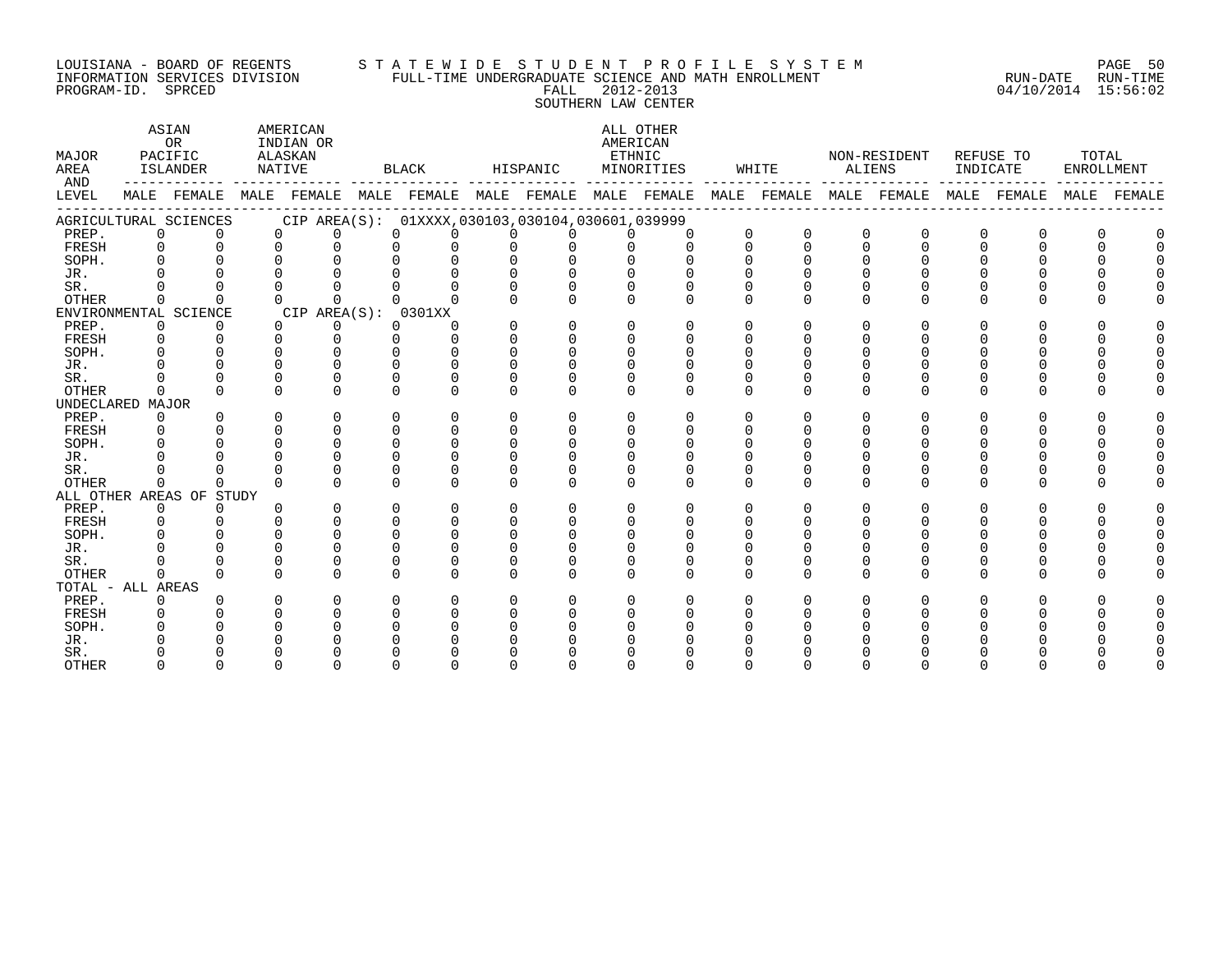#### LOUISIANA - BOARD OF REGENTS S T A T E W I D E S T U D E N T P R O F I L E S Y S T E M PAGE 50 INFORMATION SERVICES DIVISION FULL-TIME UNDERGRADUATE SCIENCE AND MATH ENROLLMENT RUN-DATE RUN-TIME PROGRAM-ID. SPRCED FALL 2012-2013 04/10/2014 15:56:02 SOUTHERN LAW CENTER

ASIAN AMERICAN ALL OTHER OR INDIAN OR **INDIAN OR** AMERICAN MAJOR PACIFIC ALASKAN ETHNIC NON-RESIDENT REFUSE TO TOTAL AREA ISLANDER NATIVE BLACK HISPANIC MINORITIES WHITE ALIENS INDICATE ENROLLMENT AND ------------ ------------- ------------- ------------- ------------- ------------- ------------- ------------- ------------- LEVEL MALE FEMALE MALE FEMALE MALE FEMALE MALE FEMALE MALE FEMALE MALE FEMALE MALE FEMALE MALE FEMALE MALE FEMALE ------------------------------------------------------------------------------------------------------------------------------------ AGRICULTURAL SCIENCES CIP AREA(S): 01XXXX,030103,030104,030601,039999 PREP. 0 0 0 0 0 0 0 0 0 0 0 0 0 0 0 0 0 0 FRESH 0 0 0 0 0 0 0 0 0 0 0 0 0 0 0 0 0 0 SOPH. 0 0 0 0 0 0 0 0 0 0 0 0 0 0 0 0 0 0 JR. 0 0 0 0 0 0 0 0 0 0 0 0 0 0 0 0 0 0 SR. 0 0 0 0 0 0 0 0 0 0 0 0 0 0 0 0 0 0 OTHER 0 0 0 0 0 0 0 0 0 0 0 0 0 0 0 0 0 0 ENVIRONMENTAL SCIENCE CIP AREA(S): 0301XX<br>
PREP. 0 0 0 0 0 0 PREP. 0 0 0 0 0 0 0 0 0 0 0 0 0 0 0 0 0 0 FRESH 0 0 0 0 0 0 0 0 0 0 0 0 0 0 0 0 0 0 SOPH. 0 0 0 0 0 0 0 0 0 0 0 0 0 0 0 0 0 0 JR. 0 0 0 0 0 0 0 0 0 0 0 0 0 0 0 0 0 0 SR. 0 0 0 0 0 0 0 0 0 0 0 0 0 0 0 0 0 0 OTHER 0 0 0 0 0 0 0 0 0 0 0 0 0 0 0 0 0 0 UNDECLARED MAJOR PREP. 0 0 0 0 0 0 0 0 0 0 0 0 0 0 0 0 0 0 FRESH 0 0 0 0 0 0 0 0 0 0 0 0 0 0 0 0 0 0 SOPH. 0 0 0 0 0 0 0 0 0 0 0 0 0 0 0 0 0 0 JR. 0 0 0 0 0 0 0 0 0 0 0 0 0 0 0 0 0 0 SR. 0 0 0 0 0 0 0 0 0 0 0 0 0 0 0 0 0 0 OTHER 0 0 0 0 0 0 0 0 0 0 0 0 0 0 0 0 0 0 ALL OTHER AREAS OF STUDY PREP. 0 0 0 0 0 0 0 0 0 0 0 0 0 0 0 0 0 0 FRESH 0 0 0 0 0 0 0 0 0 0 0 0 0 0 0 0 0 0 SOPH. 0 0 0 0 0 0 0 0 0 0 0 0 0 0 0 0 0 0 JR. 0 0 0 0 0 0 0 0 0 0 0 0 0 0 0 0 0 0 SR. 0 0 0 0 0 0 0 0 0 0 0 0 0 0 0 0 0 0 OTHER 0 0 0 0 0 0 0 0 0 0 0 0 0 0 0 0 0 0 TOTAL - ALL AREAS PREP. 0 0 0 0 0 0 0 0 0 0 0 0 0 0 0 0 0 0 FRESH 0 0 0 0 0 0 0 0 0 0 0 0 0 0 0 0 0 0 SOPH. 0 0 0 0 0 0 0 0 0 0 0 0 0 0 0 0 0 0 JR. 0 0 0 0 0 0 0 0 0 0 0 0 0 0 0 0 0 0 SR. 0 0 0 0 0 0 0 0 0 0 0 0 0 0 0 0 0 0 OTHER 0 0 0 0 0 0 0 0 0 0 0 0 0 0 0 0 0 0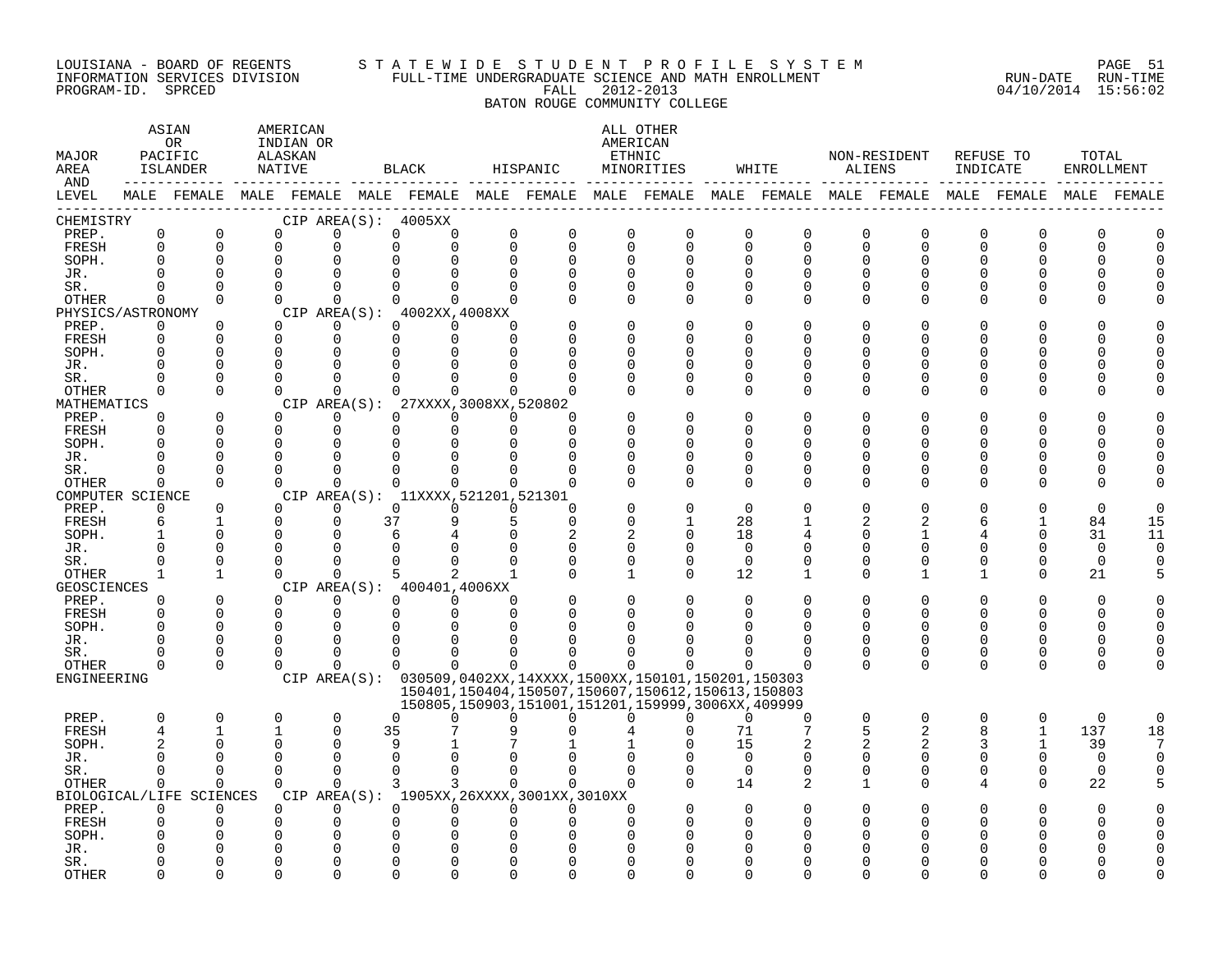#### LOUISIANA - BOARD OF REGENTS STA TE WID E S TU D E N T P R O F I L E S Y S T E M PAGE 51 INFORMATION SERVICES DIVISION FULL-TIME UNDERGRADUATE SCIENCE AND MATH ENROLLMENT RUN-DATE RUN-TIME PROGRAM-ID. SPRCED FALL 2012-2013 04/10/2014 15:56:02

BATON ROUGE COMMUNITY COLLEGE

#### ASTAN AMERICAN ANG ANG ANG ASTANG ANG ASTANG ALL OTHER OR INDIAN OR **AMERICAN** MAJOR PACIFIC ALASKAN ETHNIC NON-RESIDENT REFUSE TO TOTAL AREA ISLANDER NATIVE BLACK HISPANIC MINORITIES WHITE ALIENS INDICATE ENROLLMENT AND ------------ ------------- ------------- ------------- ------------- ------------- ------------- ------------- ------------- LEVEL MALE FEMALE MALE FEMALE MALE FEMALE MALE FEMALE MALE FEMALE MALE FEMALE MALE FEMALE MALE FEMALE MALE FEMALE ------------------------------------------------------------------------------------------------------------------------------------ CHEMISTRY CIP AREA(S): 4005XX PREP. 0 0 0 0 0 0 0 0 0 0 0 0 0 0 0 0 0 0 FRESH 0 0 0 0 0 0 0 0 0 0 0 0 0 0 0 0 0 0 SOPH. 0 0 0 0 0 0 0 0 0 0 0 0 0 0 0 0 0 0 JR. 0 0 0 0 0 0 0 0 0 0 0 0 0 0 0 0 0 0 SR. 0 0 0 0 0 0 0 0 0 0 0 0 0 0 0 0 0 0 OTHER 0 0 0 0 0 0 0 0 0 0 0 0 0 0 0 0 0 0 PHYSICS/ASTRONOMY CIP AREA(S): 4002XX,4008XX<br>
PREP. 0 0 0 0 0 0 0 PREP. 0 0 0 0 0 0 0 0 0 0 0 0 0 0 0 0 0 0 FRESH 0 0 0 0 0 0 0 0 0 0 0 0 0 0 0 0 0 0 SOPH. 0 0 0 0 0 0 0 0 0 0 0 0 0 0 0 0 0 0 JR. 0 0 0 0 0 0 0 0 0 0 0 0 0 0 0 0 0 0 SR. 0 0 0 0 0 0 0 0 0 0 0 0 0 0 0 0 0 0 OTHER 0 0 0 0 0 0 0 0 0 0 0 0 0 0 0 0 0 0 MATHEMATICS CIP AREA(S): 27XXXX,3008XX,520802<br>
PREP. 0 0 0 0 0 0 0 PREP. 0 0 0 0 0 0 0 0 0 0 0 0 0 0 0 0 0 0 FRESH 0 0 0 0 0 0 0 0 0 0 0 0 0 0 0 0 0 0 SOPH. 0 0 0 0 0 0 0 0 0 0 0 0 0 0 0 0 0 0 JR. 0 0 0 0 0 0 0 0 0 0 0 0 0 0 0 0 0 0 SR. 0 0 0 0 0 0 0 0 0 0 0 0 0 0 0 0 0 0 OTHER 0 0 0 0 0 0 0 0 0 0 0 0 0 0 0 0 0 0 COMPUTER SCIENCE CIP AREA(S): 11XXXX,521201,521301<br>
PREP. 0 0 0 0 0 0 0 PREP. 0 0 0 0 0 0 0 0 0 0 0 0 0 0 0 0 0 0 FRESH 6 1 0 0 37 9 5 0 0 1 28 1 2 2 6 1 84 15 SOPH. 1 0 0 0 6 4 0 2 2 0 18 4 0 1 4 0 31 11 JR. 0 0 0 0 0 0 0 0 0 0 0 0 0 0 0 0 0 0 SR. 0 0 0 0 0 0 0 0 0 0 0 0 0 0 0 0 0 0 OTHER 1 1 0 0 5 2 1 0 1 0 12 1 0 1 1 0 21 5 GEOSCIENCES CIPAREA(S): 400401,4006XX<br>
PREP. 0 0 0 0 0 0 PREP. 0 0 0 0 0 0 0 0 0 0 0 0 0 0 0 0 0 0 FRESH 0 0 0 0 0 0 0 0 0 0 0 0 0 0 0 0 0 0 SOPH. 0 0 0 0 0 0 0 0 0 0 0 0 0 0 0 0 0 0 JR. 0 0 0 0 0 0 0 0 0 0 0 0 0 0 0 0 0 0 SR. 0 0 0 0 0 0 0 0 0 0 0 0 0 0 0 0 0 0 OTHER 0 0 0 0 0 0 0 0 0 0 0 0 0 0 0 0 0 0 ENGINEERING CIP AREA(S): 030509,0402XX,14XXXX,1500XX,150101,150201,150303 150401,150404,150507,150607,150612,150613,150803 150805,150903,151001,151201,159999,3006XX,409999 PREP. 0 0 0 0 0 0 0 0 0 0 0 0 0 0 0 0 0 0 FRESH 4 1 1 0 35 7 9 0 4 0 71 7 5 2 8 1 137 18 SOPH. 2 0 0 0 9 1 7 1 1 0 15 2 2 2 3 1 39 7 JR. 0 0 0 0 0 0 0 0 0 0 0 0 0 0 0 0 0 0 SR. 0 0 0 0 0 0 0 0 0 0 0 0 0 0 0 0 0 0 OTHER 0 0 0 0 3 3 0 0 0 0 14 2 1 0 4 0 22 5 BIOLOGICAL/LIFE SCIENCES CIP AREA(S): 1905XX,26XXXX,3001XX,3010XX PREP. 0 0 0 0 0 0 0 0 0 0 0 0 0 0 0 0 0 0 FRESH 0 0 0 0 0 0 0 0 0 0 0 0 0 0 0 0 0 0 SOPH. 0 0 0 0 0 0 0 0 0 0 0 0 0 0 0 0 0 0 JR. 0 0 0 0 0 0 0 0 0 0 0 0 0 0 0 0 0 0 SR. 0 0 0 0 0 0 0 0 0 0 0 0 0 0 0 0 0 0

OTHER 0 0 0 0 0 0 0 0 0 0 0 0 0 0 0 0 0 0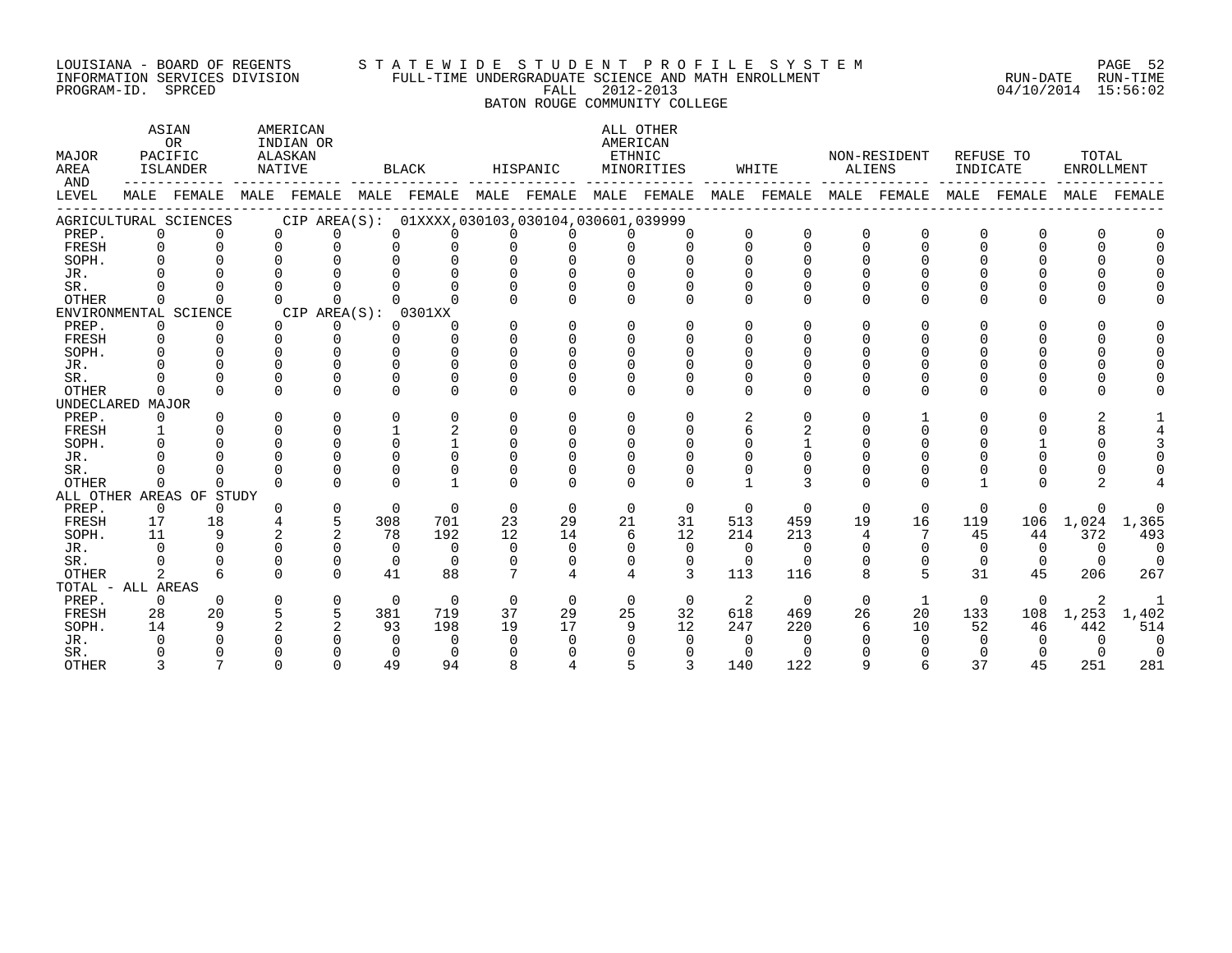#### LOUISIANA - BOARD OF REGENTS S T A T E W I D E S T U D E N T P R O F I L E S Y S T E M PAGE 52 INFORMATION SERVICES DIVISION FULL-TIME UNDERGRADUATE SCIENCE AND MATH ENROLLMENT RUN-DATE RUN-TIME PROGRAM-ID. SPRCED FALL 2012-2013 04/10/2014 15:56:02

BATON ROUGE COMMUNITY COLLEGE

ASTAN AMERICAN AMERICAN ALL OTHER OR INDIAN OR **INDIAN OR** AMERICAN MAJOR PACIFIC ALASKAN ETHNIC NON-RESIDENT REFUSE TO TOTAL AREA ISLANDER NATIVE BLACK HISPANIC MINORITIES WHITE ALIENS INDICATE ENROLLMENT AND ------------ ------------- ------------- ------------- ------------- ------------- ------------- ------------- ------------- LEVEL MALE FEMALE MALE FEMALE MALE FEMALE MALE FEMALE MALE FEMALE MALE FEMALE MALE FEMALE MALE FEMALE MALE FEMALE ------------------------------------------------------------------------------------------------------------------------------------ AGRICULTURAL SCIENCES CIP AREA(S): 01XXXX,030103,030104,030601,039999 PREP. 0 0 0 0 0 0 0 0 0 0 0 0 0 0 0 0 0 0 FRESH 0 0 0 0 0 0 0 0 0 0 0 0 0 0 0 0 0 0 SOPH. 0 0 0 0 0 0 0 0 0 0 0 0 0 0 0 0 0 0 JR. 0 0 0 0 0 0 0 0 0 0 0 0 0 0 0 0 0 0 SR. 0 0 0 0 0 0 0 0 0 0 0 0 0 0 0 0 0 0 OTHER 0 0 0 0 0 0 0 0 0 0 0 0 0 0 0 0 0 0 ENVIRONMENTAL SCIENCE CIP AREA(S): 0301XX<br>
PREP. 0 0 0 0 0 0 PREP. 0 0 0 0 0 0 0 0 0 0 0 0 0 0 0 0 0 0 FRESH 0 0 0 0 0 0 0 0 0 0 0 0 0 0 0 0 0 0 SOPH. 0 0 0 0 0 0 0 0 0 0 0 0 0 0 0 0 0 0 JR. 0 0 0 0 0 0 0 0 0 0 0 0 0 0 0 0 0 0 SR. 0 0 0 0 0 0 0 0 0 0 0 0 0 0 0 0 0 0 OTHER 0 0 0 0 0 0 0 0 0 0 0 0 0 0 0 0 0 0 UNDECLARED MAJOR PREP. 0 0 0 0 0 0 0 0 0 0 2 0 0 1 0 0 2 1 FRESH 1 0 0 0 1 2 0 0 0 0 6 2 0 0 0 0 8 4 SOPH. 0 0 0 0 0 1 0 0 0 0 0 1 0 0 0 1 0 3 JR. 0 0 0 0 0 0 0 0 0 0 0 0 0 0 0 0 0 0 SR. 0 0 0 0 0 0 0 0 0 0 0 0 0 0 0 0 0 0 OTHER 0 0 0 0 0 1 0 0 0 0 1 3 0 0 1 0 2 4 ALL OTHER AREAS OF STUDY PREP. 0 0 0 0 0 0 0 0 0 0 0 0 0 0 0 0 0 0 FRESH 17 18 4 5 308 701 23 29 21 31 513 459 19 16 119 106 1,024 1,365 SOPH. 11 9 2 2 78 192 12 14 6 12 214 213 4 7 45 44 372 493 JR. 0 0 0 0 0 0 0 0 0 0 0 0 0 0 0 0 0 0 SR. 0 0 0 0 0 0 0 0 0 0 0 0 0 0 0 0 0 0 OTHER 2 6 0 0 41 88 7 4 4 3 113 116 8 5 31 45 206 267 TOTAL - ALL AREAS PREP. 0 0 0 0 0 0 0 0 0 0 2 0 0 1 0 0 2 1 FRESH 28 20 5 5 381 719 37 29 25 32 618 469 26 20 133 108 1,253 1,402 SOPH. 14 9 2 2 93 198 19 17 9 12 247 220 6 10 52 46 442 514 JR. 0 0 0 0 0 0 0 0 0 0 0 0 0 0 0 0 0 0 SR. 0 0 0 0 0 0 0 0 0 0 0 0 0 0 0 0 0 0 OTHER 3 7 0 0 49 94 8 4 5 3 140 122 9 6 37 45 251 281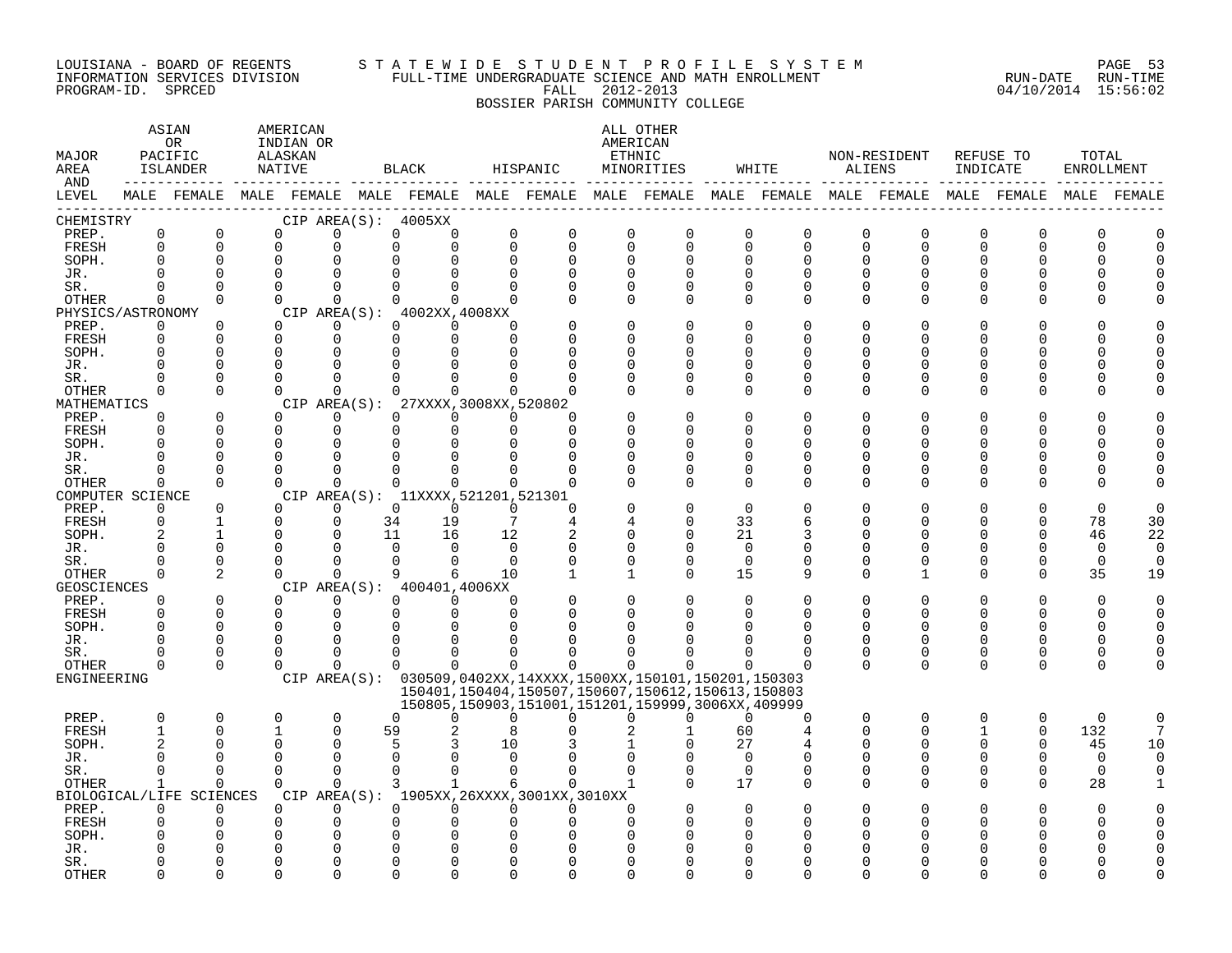#### LOUISIANA - BOARD OF REGENTS S T A T E W I D E S T U D E N T P R O F I L E S Y S T E M PAGE 53 INFORMATION SERVICES DIVISION FULL-TIME UNDERGRADUATE SCIENCE AND MATH ENROLLMENT RUN-DATE RUN-TIME PROGRAM-ID. SPRCED FALL 2012-2013 04/10/2014 15:56:02

# BOSSIER PARISH COMMUNITY COLLEGE

| MAJOR<br>AREA      |                      | ASIAN<br>0R<br>PACIFIC<br>ISLANDER | NATIVE               | AMERICAN<br>INDIAN OR<br>ALASKAN |    | $_{\rm BLACK}$       |                                              | HISPANIC     |                      | ALL OTHER<br>AMERICAN<br>ETHNIC<br>MINORITIES                 |                      | WHITE                | ALIENS               | NON-RESIDENT                                                                                                | INDICATE     | REFUSE TO            | TOTAL<br><b>ENROLLMENT</b> |          |
|--------------------|----------------------|------------------------------------|----------------------|----------------------------------|----|----------------------|----------------------------------------------|--------------|----------------------|---------------------------------------------------------------|----------------------|----------------------|----------------------|-------------------------------------------------------------------------------------------------------------|--------------|----------------------|----------------------------|----------|
| AND<br>LEVEL       |                      |                                    |                      |                                  |    |                      |                                              |              |                      |                                                               |                      |                      |                      | MALE FEMALE MALE FEMALE MALE FEMALE MALE FEMALE MALE FEMALE MALE FEMALE MALE FEMALE MALE FEMALE MALE FEMALE |              |                      |                            |          |
| CHEMISTRY          |                      |                                    |                      | CIP AREA $(S):$ 4005XX           |    |                      |                                              |              |                      |                                                               |                      |                      |                      |                                                                                                             |              |                      |                            |          |
| PREP.              | $\mathbf 0$          | $\mathbf 0$                        | $\Omega$             | $\Omega$                         |    | $\Omega$             | <sup>0</sup><br>0                            | $\Omega$     | $\Omega$             | $\Omega$                                                      | 0                    | 0                    | $\Omega$             | 0                                                                                                           | $\Omega$     | 0                    | $\Omega$                   |          |
| FRESH              | $\mathbf 0$          | $\mathbf 0$                        | $\mathbf 0$          | $\Omega$                         |    | $\Omega$             | 0<br>$\mathbf 0$                             | $\mathbf 0$  | $\Omega$             | $\Omega$                                                      | $\mathbf 0$          | $\mathbf 0$          | $\mathbf 0$          | $\mathbf 0$                                                                                                 | 0            | 0                    | 0                          |          |
| SOPH.              | <sup>0</sup>         | $\mathbf 0$                        | $\Omega$             | $\Omega$                         |    | 0                    | 0<br>$\Omega$                                | $\Omega$     | $\Omega$             | $\Omega$                                                      | $\Omega$             | $\mathbf 0$          | $\Omega$             | $\Omega$                                                                                                    | U            | <sup>0</sup>         | O                          |          |
| JR.                | C                    | $\Omega$                           | $\Omega$             | $\Omega$                         | 0  |                      | <sup>0</sup><br>$\Omega$                     | $\Omega$     | $\Omega$             | 0                                                             | O                    | <sup>0</sup>         |                      | O                                                                                                           |              | O                    |                            |          |
| SR.                | O                    | $\Omega$                           | $\Omega$             | $\Omega$                         |    | 0                    | $\Omega$<br>$\Omega$                         | $\Omega$     | $\Omega$             | $\Omega$                                                      | 0                    | 0                    | <sup>0</sup>         | $\Omega$                                                                                                    | 0            | 0                    |                            |          |
| <b>OTHER</b>       | $\mathbf 0$          | $\Omega$                           | $\Omega$             | $\Omega$                         |    | $\Omega$             | $\Omega$<br>$\Omega$                         | $\Omega$     | $\Omega$             | $\Omega$                                                      | $\Omega$             | $\Omega$             | $\Omega$             | $\Omega$                                                                                                    | 0            | $\Omega$             |                            |          |
| PHYSICS/ASTRONOMY  |                      |                                    | $\Omega$             | CIP AREA(S): 4002XX, 4008XX<br>∩ |    | $\Omega$             | $\Omega$                                     |              | $\Omega$             | $\Omega$                                                      | $\Omega$             |                      | $\cap$               | $\Omega$                                                                                                    | U            | O                    |                            |          |
| PREP.              | $\Omega$             | $\Omega$<br>$\Omega$               | $\Omega$             | $\Omega$                         |    | $\Omega$             | $\Omega$<br>$\Omega$<br>$\Omega$             | $\Omega$     | $\Omega$             | $\Omega$                                                      | $\Omega$             | $\Omega$             | $\cap$               | $\Omega$                                                                                                    | U            | <sup>0</sup>         | U                          |          |
| FRESH<br>SOPH.     | 0<br>O               | $\Omega$                           | $\Omega$             | $\Omega$                         |    | 0                    | $\Omega$<br>$\Omega$                         | <sup>n</sup> | ∩                    | U                                                             | $\Omega$             | $\mathbf 0$<br>0     | n                    | $\Omega$                                                                                                    | U            | <sup>0</sup>         | U                          |          |
| JR.                |                      | $\Omega$                           | n                    | ∩                                | U  |                      | <sup>0</sup><br>$\Omega$                     | <sup>n</sup> | ∩                    | U                                                             | $\Omega$             | $\Omega$             | ∩                    | $\Omega$                                                                                                    | U            | O                    |                            |          |
| SR.                | U                    | $\Omega$                           | $\Omega$             | $\Omega$                         |    | U                    | $\Omega$<br>$\Omega$                         |              | $\Omega$             | U                                                             | $\Omega$             | $\Omega$             | $\Omega$             | $\Omega$                                                                                                    | O            | <sup>0</sup>         |                            |          |
| <b>OTHER</b>       | $\Omega$             | $\Omega$                           | $\Omega$             | $\Omega$                         |    | $\Omega$             | $\Omega$<br>0                                | $\Omega$     | $\Omega$             | $\Omega$                                                      | $\Omega$             | $\Omega$             | $\Omega$             | $\Omega$                                                                                                    | O            | 0                    |                            |          |
| MATHEMATICS        |                      |                                    |                      | CIP AREA(S):                     |    |                      | 27XXXX,3008XX,520802                         |              |                      |                                                               |                      |                      |                      |                                                                                                             |              |                      |                            |          |
| PREP.              | $\Omega$             | $\mathbf 0$                        | $\Omega$             | 0                                |    | $\Omega$             | 0<br>$\Omega$                                | O            | O                    | $\Omega$                                                      | $\Omega$             | 0                    | <sup>0</sup>         | $\Omega$                                                                                                    | 0            | O                    |                            |          |
| FRESH              | 0                    | $\Omega$                           | $\Omega$             | $\mathbf 0$                      |    | 0                    | $\mathbf 0$<br>0                             | $\Omega$     | $\Omega$             | O                                                             | $\Omega$             | $\Omega$             | ∩                    | $\Omega$                                                                                                    | ∩            | 0                    |                            |          |
| SOPH.              | U                    | $\Omega$                           | $\Omega$             | $\Omega$                         |    | U                    | 0<br>$\Omega$                                | ∩            | ∩                    | ∩                                                             | $\Omega$             | $\Omega$             | ∩                    | ∩                                                                                                           | ∩            | 0                    |                            |          |
| JR.                | C                    | $\Omega$                           | $\Omega$             | $\Omega$                         |    | O                    | <sup>0</sup><br>$\Omega$                     | <sup>n</sup> | $\Omega$             | $\Omega$                                                      | $\Omega$             | $\Omega$             | ∩                    | $\Omega$                                                                                                    | U            | 0                    | U                          |          |
| SR.                | U                    | $\Omega$                           | $\Omega$             | $\Omega$                         |    | U                    | $\Omega$<br>$\Omega$                         | $\Omega$     | $\Omega$             | $\Omega$                                                      | $\Omega$             | $\Omega$             | $\Omega$             | $\Omega$                                                                                                    | U            | $\Omega$             | U                          |          |
| <b>OTHER</b>       | $\mathbf 0$          | $\Omega$                           | $\Omega$             | $\Omega$                         |    | $\Omega$             | $\Omega$<br>$\Omega$                         | $\Omega$     | ∩                    | $\Omega$                                                      | $\Omega$             | $\Omega$             | $\cap$               | $\Omega$                                                                                                    | U            | <sup>0</sup>         | ∩                          |          |
| COMPUTER SCIENCE   |                      |                                    |                      |                                  |    |                      | CIP AREA(S): 11XXXX, 521201, 521301          |              |                      |                                                               |                      |                      |                      |                                                                                                             |              |                      |                            |          |
| PREP.              | $\Omega$             | $\Omega$                           | $\Omega$             | $\Omega$                         |    | $\Omega$             | $\Omega$<br>$\Omega$                         | $\Omega$     | ∩                    | $\Omega$                                                      | $\Omega$             | $\Omega$             | O                    | $\Omega$                                                                                                    | U            | $\Omega$             | $\Omega$                   |          |
| FRESH              | 0                    | 1                                  | $\Omega$             | $\Omega$                         | 34 | 19                   | 7                                            | 4            | 4                    | $\Omega$                                                      | 33                   | 6                    | O                    | $\Omega$                                                                                                    | U            | 0                    | 78                         | 30       |
| SOPH.              | 2                    | 1                                  | $\cap$               | ∩                                | 11 | 16                   | 12                                           | 2            | ∩                    | $\Omega$                                                      | 21                   | 3                    | ∩                    | $\Omega$                                                                                                    | U            | 0                    | 46                         | 22       |
| JR.                |                      | $\Omega$                           | $\cap$               |                                  |    | $\Omega$             | $\Omega$<br>$\mathbf 0$                      | $\Omega$     | O                    | O                                                             | $\mathbf 0$          | $\mathbf 0$          | ∩                    | 0                                                                                                           | O            | 0                    | 0                          | $\Omega$ |
| SR.                | ∩                    | $\overline{0}$                     | $\cap$               | $\Omega$                         |    | $\Omega$             | $\Omega$<br>$\Omega$                         | $\Omega$     | $\Omega$             | $\Omega$                                                      | $\mathbf 0$          | $\mathbf 0$          | <sup>0</sup>         | $\Omega$                                                                                                    | 0            | 0                    | $\mathbf 0$                | $\Omega$ |
| OTHER              | 0                    | 2                                  | $\Omega$             | $\mathbf 0$                      |    | 9                    | 6<br>10                                      | 1            | 1                    | $\Omega$                                                      | 15                   | 9                    | $\Omega$             | 1                                                                                                           | 0            | 0                    | 35                         | 19       |
| <b>GEOSCIENCES</b> |                      |                                    |                      | CIP AREA(S): 400401,4006XX       |    |                      |                                              |              |                      |                                                               |                      |                      |                      |                                                                                                             |              |                      |                            |          |
| PREP.              | $\Omega$<br>$\Omega$ | $\Omega$                           | $\Omega$<br>$\Omega$ | $\Omega$<br>$\Omega$             |    | $\Omega$<br>$\Omega$ | $\Omega$<br>$\Omega$<br>$\Omega$<br>$\Omega$ | $\Omega$     | $\Omega$<br>$\Omega$ | $\Omega$<br>U                                                 | $\Omega$<br>$\Omega$ | $\Omega$             | $\Omega$<br>$\Omega$ | $\Omega$<br>$\Omega$                                                                                        | 0<br>U       | $\Omega$<br>$\Omega$ | $\Omega$                   |          |
| FRESH<br>SOPH.     | ∩                    | $\mathbf 0$<br>$\Omega$            | $\Omega$             | $\Omega$                         |    | U                    | $\Omega$<br>$\Omega$                         | ∩            | ∩                    |                                                               | $\Omega$             | $\Omega$<br>$\Omega$ | ∩                    | ∩                                                                                                           | U            | <sup>0</sup>         | $\Omega$<br>$\Omega$       |          |
| JR.                | C                    | 0                                  | $\Omega$             | $\Omega$                         |    | O                    | 0<br>0                                       | U            | ∩                    |                                                               | O                    | $\Omega$             | <sup>0</sup>         | $\Omega$                                                                                                    | O            | 0                    | 0                          |          |
| SR.                | O                    | $\Omega$                           | $\cap$               | $\Omega$                         |    | $\Omega$             | <sup>0</sup><br>$\Omega$                     | U            | ∩                    |                                                               | ∩                    | $\Omega$             | <sup>0</sup>         | 0                                                                                                           | 0            | 0                    | 0                          |          |
| <b>OTHER</b>       | 0                    | $\Omega$                           | $\Omega$             | 0                                |    | $\Omega$             | $\mathbf 0$<br>$\Omega$                      | $\Omega$     | $\Omega$             | $\Omega$                                                      | 0                    | <sup>0</sup>         | $\Omega$             | $\mathbf{0}$                                                                                                | 0            | 0                    | 0                          |          |
| ENGINEERING        |                      |                                    |                      |                                  |    |                      |                                              |              |                      | CIP AREA(S): 030509,0402XX,14XXXX,1500XX,150101,150201,150303 |                      |                      |                      |                                                                                                             |              |                      |                            |          |
|                    |                      |                                    |                      |                                  |    |                      |                                              |              |                      | 150401, 150404, 150507, 150607, 150612, 150613, 150803        |                      |                      |                      |                                                                                                             |              |                      |                            |          |
|                    |                      |                                    |                      |                                  |    |                      |                                              |              |                      | 150805,150903,151001,151201,159999,3006XX,409999              |                      |                      |                      |                                                                                                             |              |                      |                            |          |
| PREP.              | $\Omega$             | $\Omega$                           | $\Omega$             | $\Omega$                         |    | $\Omega$             | $\Omega$<br>$\Omega$                         | $\Omega$     | $\Omega$             | $\Omega$                                                      | $\Omega$             | $\Omega$             | $\Omega$             | $\Omega$                                                                                                    | $\Omega$     | $\Omega$             | $\Omega$                   |          |
| FRESH              | -1                   | $\Omega$                           |                      | $\Omega$                         | 59 |                      | 2<br>8                                       |              |                      | 1                                                             | 60                   | $\overline{4}$       | $\Omega$             | $\Omega$                                                                                                    | $\mathbf{1}$ | $\mathbf 0$          | 132                        |          |
| SOPH.              |                      | $\Omega$                           | n                    | $\Omega$                         |    | 5                    | 3<br>10                                      | 3            |                      | 0                                                             | 27                   | 4                    | ∩                    | ∩                                                                                                           | U            | $\Omega$             | 45                         | 10       |
| JR.                | $\Omega$             | 0                                  | $\Omega$             | $\Omega$                         |    | 0                    | 0<br>$\mathbf 0$                             | $\Omega$     | $\Omega$             | $\Omega$                                                      | $\Omega$             | 0                    | $\Omega$             | 0                                                                                                           | O            | 0                    | $\mathbf 0$                | $\Omega$ |
| SR.                | $\Omega$             | 0                                  | $\Omega$             | $\Omega$                         |    | $\Omega$             | $\Omega$<br>$\mathbf 0$                      | <sup>n</sup> | $\Omega$             | O                                                             | 0                    | 0                    | 0                    | 0                                                                                                           | 0            | 0                    | 0                          |          |
| OTHER              | 1                    | $\Omega$                           | $\Omega$             | ∩                                |    | 3                    | $\mathbf{1}$<br>6                            | $\Omega$     | 1                    | 0                                                             | 17                   | 0                    | $\Omega$             | 0                                                                                                           | $\Omega$     | 0                    | 28                         |          |
| BIOLOGICAL/LIFE    |                      | <b>SCIENCES</b>                    |                      | CIP AREA(S):                     |    |                      | 1905XX, 26XXXX, 3001XX, 3010XX               |              |                      |                                                               |                      |                      |                      |                                                                                                             |              |                      |                            |          |
| PREP.              | 0                    | $\mathbf 0$                        | $\Omega$             | $\Omega$                         |    | 0                    | $\Omega$<br>$\Omega$                         | $\Omega$     | $\Omega$             |                                                               | 0                    |                      |                      | $\Omega$                                                                                                    |              | O                    |                            |          |
| FRESH              | 0                    | $\Omega$                           | $\Omega$             | $\Omega$                         |    | U                    | 0<br>$\mathbf 0$                             | <sup>n</sup> |                      |                                                               | ∩                    | $\Omega$             |                      | ∩                                                                                                           | ∩            | 0                    | Ω                          |          |
| SOPH.              | C                    | U                                  | n                    | ∩                                |    | U                    | $\Omega$<br>$\Omega$                         | n            | ∩                    | ∩                                                             | ∩                    | ∩                    |                      |                                                                                                             |              | O                    |                            |          |
| JR.                |                      |                                    |                      | ∩                                | U  |                      | $\Omega$<br>$\Omega$                         | n            |                      |                                                               | $\Omega$             | $\Omega$             |                      |                                                                                                             |              |                      |                            |          |
| SR.                |                      | $\Omega$                           | ∩                    | $\Omega$                         |    | U                    | 0<br>$\Omega$                                | U            | ∩                    | ∩                                                             | ∩                    | $\Omega$             |                      | ∩                                                                                                           |              | N                    |                            |          |
| <b>OTHER</b>       | U                    | $\Omega$                           | $\cap$               | ∩                                |    | U                    | $\Omega$<br>$\Omega$                         | $\Omega$     | ∩                    | U                                                             | $\cap$               | $\Omega$             | $\cap$               | ∩                                                                                                           | ∩            | U                    |                            |          |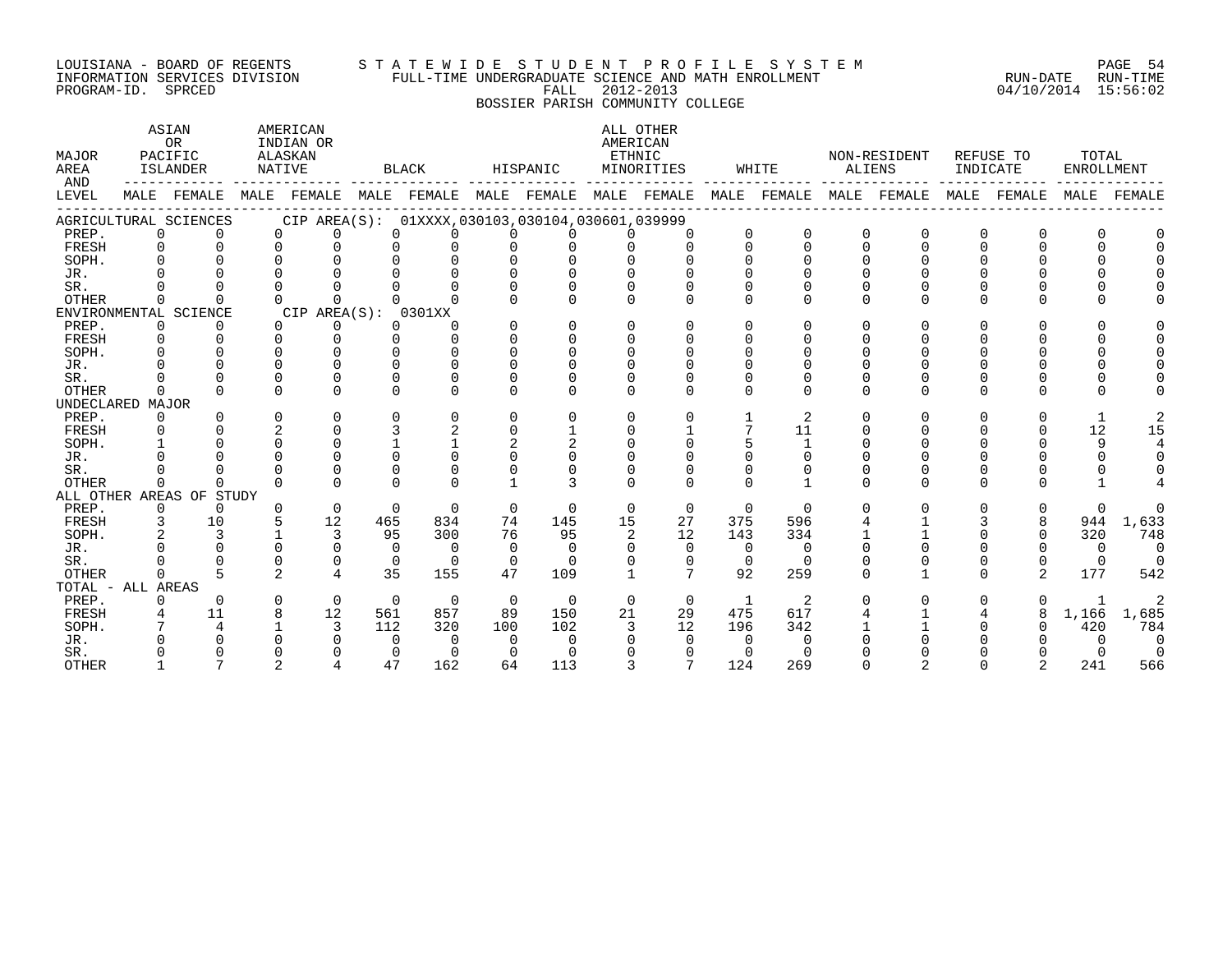#### LOUISIANA - BOARD OF REGENTS S T A T E W I D E S T U D E N T P R O F I L E S Y S T E M PAGE 54 INFORMATION SERVICES DIVISION FULL-TIME UNDERGRADUATE SCIENCE AND MATH ENROLLMENT RUN-DATE RUN-TIME PROGRAM-ID. SPRCED FALL 2012-2013 04/10/2014 15:56:02

# BOSSIER PARISH COMMUNITY COLLEGE

| MAJOR<br>AREA<br>AND |              | ASIAN<br><b>OR</b><br>PACIFIC<br>ISLANDER                                                       | NATIVE         | AMERICAN<br>INDIAN OR<br>ALASKAN |          | BLACK                                           |                | HISPANIC       | AMERICAN<br>ETHNIC | ALL OTHER<br>MINORITIES |                | WHITE        |             | NON-RESIDENT<br>ALIENS |          | REFUSE TO<br>INDICATE | TOTAL        | ENROLLMENT     |
|----------------------|--------------|-------------------------------------------------------------------------------------------------|----------------|----------------------------------|----------|-------------------------------------------------|----------------|----------------|--------------------|-------------------------|----------------|--------------|-------------|------------------------|----------|-----------------------|--------------|----------------|
| LEVEL                |              | MALE FEMALE MALE FEMALE MALE FEMALE MALE FEMALE MALE FEMALE MALE FEMALE MALE FEMALE MALE FEMALE |                |                                  |          |                                                 |                |                |                    |                         |                |              |             |                        |          |                       |              | MALE FEMALE    |
|                      |              | AGRICULTURAL SCIENCES                                                                           |                |                                  |          | CIP AREA(S): 01XXXX,030103,030104,030601,039999 |                |                |                    |                         |                |              |             |                        |          |                       |              |                |
| PREP.                | $\mathbf 0$  |                                                                                                 | $\Omega$       | $\cap$                           | $\Omega$ | $\cap$                                          | $\cap$         |                |                    |                         | $\mathbf{0}$   | $\Omega$     | $\mathbf 0$ | $\Omega$               | $\Omega$ | 0                     |              |                |
| FRESH                | $\Omega$     |                                                                                                 | $\Omega$       | $\cap$                           | $\cap$   | $\cap$                                          | $\cap$         |                |                    | $\Omega$                | $\Omega$       | $\cap$       | $\Omega$    |                        |          |                       |              |                |
| SOPH.                |              |                                                                                                 |                | $\cap$                           | $\cap$   | $\cap$                                          | $\cap$         | $\cap$         |                    |                         |                | $\cap$       | $\cap$      |                        |          |                       |              |                |
| JR.                  |              |                                                                                                 |                |                                  |          |                                                 |                | $\cap$         | $\cap$             |                         |                |              |             |                        |          |                       |              |                |
| SR.                  |              |                                                                                                 | $\Omega$       |                                  |          | $\Omega$                                        | $\Omega$       | $\Omega$       | $\Omega$           | $\Omega$                | $\Omega$       | $\Omega$     | $\Omega$    |                        |          |                       |              |                |
| <b>OTHER</b>         | $\Omega$     |                                                                                                 | $\cap$         | $\Omega$                         | $\cap$   | $\Omega$                                        | $\Omega$       | $\cap$         | $\cap$             | $\cap$                  | $\Omega$       |              | $\Omega$    |                        |          |                       |              |                |
|                      |              | ENVIRONMENTAL SCIENCE                                                                           |                | CIP AREA(S): 0301XX              |          |                                                 |                |                |                    |                         |                |              |             |                        |          |                       |              |                |
| PREP.                | $\Omega$     |                                                                                                 | $\Omega$       | $\Omega$                         | $\Omega$ | ∩                                               | $\Omega$       | $\Omega$       | $\Omega$           | $\cap$                  | $\Omega$       | $\Omega$     | $\Omega$    | $\cap$                 | O        |                       |              |                |
| FRESH                | $\Omega$     |                                                                                                 | $\Omega$       | $\Omega$                         | $\cap$   | $\Omega$                                        | $\Omega$       | $\Omega$       | $\Omega$           | $\Omega$                | $\Omega$       | $\Omega$     | $\Omega$    |                        |          |                       |              |                |
| SOPH.                |              |                                                                                                 |                |                                  |          | $\Omega$                                        | $\Omega$       | $\Omega$       | $\Omega$           | $\Omega$                | $\Omega$       | $\Omega$     | $\Omega$    |                        |          |                       |              |                |
| JR.                  |              |                                                                                                 |                |                                  |          | $\cap$                                          |                | $\Omega$       | $\Omega$           |                         |                |              |             |                        |          |                       |              |                |
| SR.                  |              |                                                                                                 |                |                                  |          |                                                 |                |                |                    |                         | $\Omega$       |              | $\Omega$    |                        |          |                       |              |                |
| <b>OTHER</b>         | $\Omega$     |                                                                                                 | $\cap$         | $\cap$                           | $\cap$   | $\Omega$                                        | $\cap$         | $\cap$         |                    |                         |                | $\Omega$     | $\Omega$    | $\cap$                 | $\cap$   |                       |              |                |
| UNDECLARED MAJOR     |              |                                                                                                 |                |                                  |          |                                                 |                |                |                    |                         |                |              |             |                        |          |                       |              |                |
| PREP.                | $\Omega$     |                                                                                                 | $\Omega$       | $\Omega$                         |          | $\Omega$                                        | $\Omega$       | 0              | $\Omega$           | 0                       |                | 2            | $\Omega$    | $\Omega$               | $\Omega$ | 0                     | 1            |                |
| FRESH                |              |                                                                                                 |                |                                  | 3        | 2                                               | $\Omega$       |                | $\Omega$           |                         | 7              | 11           | $\Omega$    |                        |          |                       | 12           | 15             |
| SOPH.                |              |                                                                                                 |                | $\Omega$                         |          |                                                 | $\mathfrak{D}$ | $\overline{a}$ | $\cap$             | $\cap$                  |                | $\mathbf{1}$ | $\Omega$    |                        |          |                       | 9            |                |
| JR.                  |              |                                                                                                 |                | $\cap$                           | $\cap$   | $\cap$                                          | $\cap$         | $\cap$         | $\cap$             |                         |                | $\Omega$     |             |                        |          |                       | $\Omega$     |                |
| SR.                  |              |                                                                                                 |                | $\Omega$                         | $\cap$   | $\Omega$                                        | $\Omega$       | $\Omega$       |                    |                         |                | $\Omega$     |             |                        |          |                       |              |                |
| <b>OTHER</b>         | $\Omega$     | $\Omega$                                                                                        | $\Omega$       | $\cap$                           | $\Omega$ | $\Omega$                                        |                | 3              | $\cap$             | $\Omega$                | $\cap$         |              | $\Omega$    | $\cap$                 | $\Omega$ |                       |              |                |
|                      |              | ALL OTHER AREAS OF STUDY                                                                        |                |                                  |          |                                                 |                |                |                    |                         |                |              |             |                        |          |                       |              |                |
| PREP.                | $\Omega$     | $\Omega$                                                                                        | $\Omega$       | $\Omega$                         | $\Omega$ | $\Omega$                                        | $\Omega$       | $\Omega$       | $\Omega$           | $\Omega$                | $\overline{0}$ | $\Omega$     | $\Omega$    | $\Omega$               | $\Omega$ | 0                     | $\Omega$     | $\Omega$       |
| FRESH                | 3            | 10                                                                                              |                | 12                               | 465      | 834                                             | 74             | 145            | 15                 | 27                      | 375            | 596          |             |                        |          |                       | 944          | 1,633          |
| SOPH.                |              | 3                                                                                               |                | 3                                | 95       | 300                                             | 76             | 95             | $\overline{2}$     | 12                      | 143            | 334          |             |                        |          | 0                     | 320          | 748            |
| JR.                  |              |                                                                                                 |                | $\Omega$                         | $\Omega$ | $\Omega$                                        | $\Omega$       | $\Omega$       | $\Omega$           | $\Omega$                | $\overline{0}$ | $\Omega$     | $\Omega$    |                        |          |                       | $\Omega$     | $\overline{0}$ |
| SR.                  |              |                                                                                                 |                | $\Omega$                         | $\Omega$ | $\overline{0}$                                  | $\Omega$       | $\Omega$       | $\Omega$           | $\Omega$                | $\Omega$       | $\Omega$     |             |                        | 0        | $\Omega$              | $\Omega$     | $\bigcirc$     |
| <b>OTHER</b>         |              |                                                                                                 | $\mathfrak{D}$ | $\overline{4}$                   | 35       | 155                                             | 47             | 109            | $\mathbf{1}$       | 7                       | 92             | 259          | $\Omega$    |                        | $\Omega$ | $\mathfrak{D}$        | 177          | 542            |
| TOTAL - ALL AREAS    |              |                                                                                                 |                |                                  |          |                                                 |                |                |                    |                         |                |              |             |                        |          |                       |              |                |
| PREP.                | $\mathbf{0}$ | $\Omega$                                                                                        | $\mathbf 0$    | $\overline{0}$                   | $\Omega$ | $\Omega$                                        | $\overline{0}$ | $\Omega$       | $\Omega$           | $\overline{0}$          | $\mathbf{1}$   | 2            |             |                        |          |                       | $\mathbf{1}$ | 2              |
| FRESH                |              | 11                                                                                              |                | 12                               | 561      | 857                                             | 89             | 150            | 21                 | 29                      | 475            | 617          |             |                        |          | 8                     | 1,166        | 1,685          |
| SOPH.                |              | 4                                                                                               |                | 3                                | 112      | 320                                             | 100            | 102            | 3                  | 12                      | 196            | 342          |             |                        |          |                       | 420          | 784            |
| JR.                  |              |                                                                                                 |                |                                  | $\Omega$ | $\Omega$                                        | $\Omega$       | $\Omega$       |                    | $\Omega$                | $\Omega$       | $\Omega$     |             |                        |          |                       | $\Omega$     | $\overline{0}$ |
| SR.                  |              |                                                                                                 |                |                                  | $\Omega$ | $\Omega$                                        | $\Omega$       | $\Omega$       |                    | $\Omega$                | $\cap$         | $\cap$       |             |                        |          |                       |              | $\overline{0}$ |
| <b>OTHER</b>         |              |                                                                                                 |                |                                  | 47       | 162                                             | 64             | 113            | $\mathcal{E}$      |                         | 124            | 269          | $\Omega$    |                        |          |                       | 241          | 566            |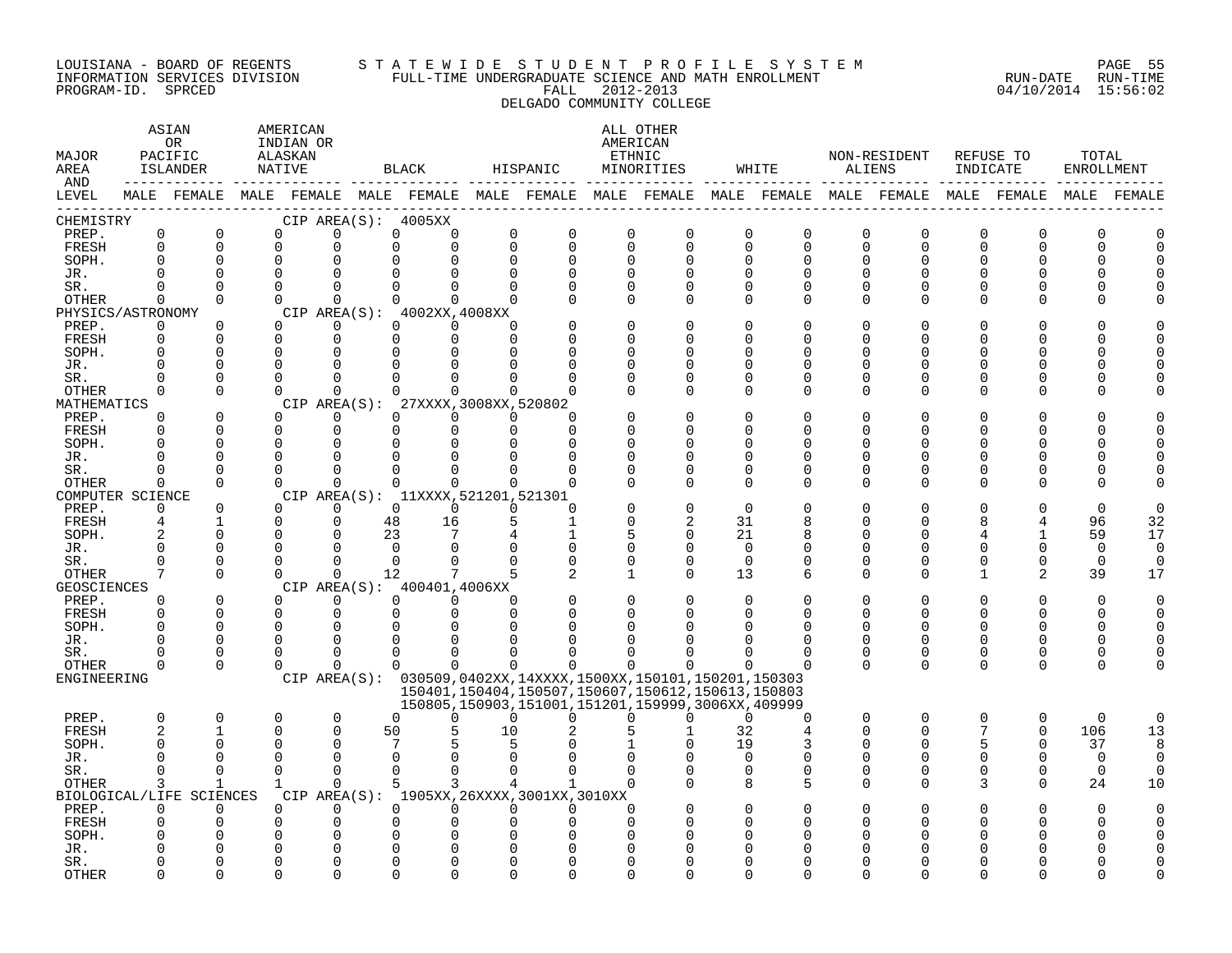#### LOUISIANA - BOARD OF REGENTS S T A T E W I D E S T U D E N T P R O F I L E S Y S T E M PAGE 55 INFORMATION SERVICES DIVISION FULL-TIME UNDERGRADUATE SCIENCE AND MATH ENROLLMENT RUN-DATE RUN-TIME PROGRAM-ID. SPRCED FALL 2012-2013 04/10/2014 15:56:02 DELGADO COMMUNITY COLLEGE

| MAJOR<br>AREA<br>AND |                         | ASIAN<br>OR<br>PACIFIC<br>ISLANDER                                                                     | AMERICAN<br>INDIAN OR<br>ALASKAN<br>NATIVE |                      |                | BLACK                                           |                      | HISPANIC                 |                         | ALL OTHER<br>AMERICAN<br>ETHNIC<br>MINORITIES                                  |                         | WHITE                      | ALIENS        | NON-RESIDENT  | REFUSE TO<br>INDICATE |          | TOTAL<br><b>ENROLLMENT</b> |          |
|----------------------|-------------------------|--------------------------------------------------------------------------------------------------------|--------------------------------------------|----------------------|----------------|-------------------------------------------------|----------------------|--------------------------|-------------------------|--------------------------------------------------------------------------------|-------------------------|----------------------------|---------------|---------------|-----------------------|----------|----------------------------|----------|
| LEVEL                |                         | MALE FEMALE MALE FEMALE MALE FEMALE MALE FEMALE MALE FEMALE MALE FEMALE MALE FEMALE MALE FEMALE FEMALE |                                            |                      |                |                                                 |                      |                          |                         |                                                                                |                         |                            |               |               |                       |          | MALE                       | FEMALE   |
| CHEMISTRY            |                         |                                                                                                        |                                            |                      |                | CIP AREA(S): 4005XX                             |                      |                          |                         |                                                                                |                         |                            |               |               |                       |          |                            |          |
| PREP.                | $\mathbf 0$<br>$\Omega$ | $\Omega$<br>$\Omega$                                                                                   | $\Omega$                                   | $\Omega$             | $\Omega$       | $\Omega$<br>$\Omega$                            | $\Omega$             | $\mathbf 0$              | $\mathbf 0$             | $\mathbf 0$                                                                    | $\Omega$                | $\overline{0}$             | $\Omega$      | $\mathbf 0$   | $\Omega$<br>$\Omega$  | $\Omega$ | $\Omega$                   |          |
| FRESH<br>SOPH.       | $\Omega$                | $\Omega$                                                                                               | $\mathbf 0$<br>$\Omega$                    | 0<br>$\Omega$        | $\Omega$       |                                                 | $\Omega$<br>$\Omega$ | $\mathbf 0$<br>$\Omega$  | $\mathbf 0$<br>$\Omega$ | $\mathbf 0$<br>$\Omega$                                                        | $\mathbf 0$<br>$\Omega$ | $\overline{0}$<br>$\Omega$ | 0<br>$\Omega$ | 0<br>$\Omega$ |                       | $\Omega$ | O                          |          |
| JR.                  | $\Omega$                | $\Omega$                                                                                               | $\Omega$                                   | $\Omega$             |                |                                                 |                      |                          | $\Omega$                |                                                                                | ∩                       | $\Omega$                   |               | U             |                       |          |                            |          |
| SR.                  | ∩                       | $\Omega$                                                                                               | $\Omega$                                   | $\Omega$             | $\cap$         | ∩                                               | <sup>n</sup>         | U                        | $\Omega$                | U                                                                              | 0                       | 0                          | 0             | U             |                       | ∩        |                            |          |
| <b>OTHER</b>         | $\Omega$                | $\Omega$                                                                                               | $\Omega$                                   | $\Omega$             | $\Omega$       | 0                                               | $\Omega$             | U                        | $\Omega$                | $\Omega$                                                                       | $\Omega$                | $\Omega$                   | $\Omega$      | $\Omega$      | ∩                     | ∩        |                            |          |
| PHYSICS/ASTRONOMY    |                         |                                                                                                        |                                            |                      |                | CIP AREA(S): 4002XX,4008XX                      |                      |                          |                         |                                                                                |                         |                            |               |               |                       |          |                            |          |
| PREP.                | $\mathbf 0$             | $\Omega$                                                                                               | $\Omega$                                   | $\mathbf 0$          | $\Omega$       | $\Omega$                                        | $\Omega$             |                          |                         |                                                                                |                         | $\Omega$                   |               |               |                       |          |                            |          |
| FRESH                | $\Omega$                | $\Omega$                                                                                               | $\Omega$                                   | $\Omega$             | $\Omega$       | $\Omega$                                        | $\Omega$             |                          |                         |                                                                                | ∩                       | U                          | U             | U             |                       |          |                            |          |
| SOPH.                | $\Omega$                | $\Omega$                                                                                               | $\Omega$                                   | $\Omega$             | U              | <sup>0</sup>                                    |                      |                          | ∩                       |                                                                                | ∩                       | U                          | U             | U             |                       | ∩        |                            |          |
| JR.                  | $\Omega$                | 0                                                                                                      | $\mathbf 0$                                | 0                    |                |                                                 |                      | O                        | ∩                       | U                                                                              | 0                       | 0                          |               | U             |                       |          |                            |          |
| SR.                  | $\Omega$                | $\Omega$                                                                                               | $\Omega$                                   | $\Omega$             |                |                                                 |                      |                          |                         | U                                                                              | $\Omega$                | O                          | U             | O             |                       |          |                            |          |
| OTHER                | $\Omega$                | $\Omega$                                                                                               | $\Omega$                                   | $\Omega$             | 0              | 0                                               | $\Omega$             |                          | ∩                       | $\Omega$                                                                       | $\Omega$                | $\Omega$                   | U             | $\Omega$      | U                     | O        |                            |          |
| MATHEMATICS          |                         |                                                                                                        | CIP AREA(S):                               |                      |                | 27XXXX, 3008XX, 520802                          |                      |                          |                         |                                                                                |                         |                            |               |               |                       |          |                            |          |
| PREP.                | $\Omega$                | $\Omega$                                                                                               | $\Omega$                                   | $\Omega$             | $\Omega$       | $\Omega$                                        | $\Omega$             | U                        |                         |                                                                                | ∩                       | U                          |               |               |                       |          |                            |          |
| FRESH                | $\Omega$                | $\Omega$                                                                                               | $\mathbf 0$                                | $\mathbf 0$          | 0              | $\Omega$                                        | $\Omega$             | O                        | $\Omega$                | ∩                                                                              | $\Omega$                | O                          | U             | 0             |                       | O        |                            |          |
| SOPH.                | $\Omega$                | $\Omega$                                                                                               | $\mathbf 0$                                | 0                    | $\Omega$       |                                                 |                      | U                        | ∩                       |                                                                                | ∩                       | U                          |               | ∩             |                       |          |                            |          |
| JR.                  | $\Omega$                | $\Omega$                                                                                               | $\Omega$                                   | $\Omega$             | $\Omega$       |                                                 |                      | O                        | <sup>0</sup>            |                                                                                | O                       | O                          |               | U             |                       |          |                            |          |
| SR.                  |                         | $\Omega$                                                                                               | $\Omega$                                   | $\Omega$             |                |                                                 |                      |                          |                         |                                                                                | $\Omega$                | $\Omega$                   | U             | 0             |                       | O        |                            |          |
| <b>OTHER</b>         | $\Omega$                | $\Omega$                                                                                               | $\Omega$                                   | $\Omega$             | $\Omega$       | $\Omega$                                        | $\Omega$             | U                        | ∩                       | $\cap$                                                                         | $\Omega$                | $\Omega$                   | U             | $\Omega$      | ∩                     | ∩        |                            |          |
| COMPUTER SCIENCE     |                         |                                                                                                        | $\Omega$                                   |                      |                | CIP AREA(S): 11XXXX, 521201, 521301<br>$\Omega$ | $\Omega$             |                          |                         |                                                                                |                         |                            |               |               |                       |          | O                          |          |
| PREP.<br>FRESH       | $\Omega$<br>4           | $\Omega$<br>$\mathbf{1}$                                                                               | $\Omega$                                   | $\Omega$<br>$\Omega$ | $\Omega$<br>48 | 16                                              | 5                    | $\Omega$<br>$\mathbf{1}$ | $\Omega$                | $\mathfrak{D}$                                                                 | $\Omega$<br>31          | O<br>8                     | U             | 0             |                       | 4        | 96                         | 32       |
| SOPH.                | $\overline{2}$          | $\Omega$                                                                                               | $\Omega$                                   | $\Omega$             | 23             | 7                                               |                      |                          | 5                       | $\Omega$                                                                       | 21                      | 8                          |               | U             |                       |          | 59                         | 17       |
| JR.                  | $\Omega$                | $\Omega$                                                                                               | $\Omega$                                   | $\Omega$             | $\Omega$       | $\Omega$                                        | $\Omega$             | O                        | $\Omega$                | O                                                                              | $\Omega$                | O                          | U             | O             |                       |          | $\Omega$                   | $\Omega$ |
| SR.                  | $\Omega$                | 0                                                                                                      | $\mathbf 0$                                | $\Omega$             | $\Omega$       |                                                 |                      | U                        | $\Omega$                | O                                                                              | $\mathbf 0$             | O                          | O             | $\Omega$      |                       | 0        | 0                          | $\Omega$ |
| OTHER                | 7                       | $\Omega$                                                                                               | $\Omega$                                   | $\Omega$             | 12             |                                                 |                      |                          | 1                       | $\Omega$                                                                       | 13                      | 6                          | $\Omega$      | $\Omega$      | $\mathbf{1}$          | 2        | 39                         | 17       |
| <b>GEOSCIENCES</b>   |                         |                                                                                                        |                                            |                      |                | CIP AREA(S): 400401,4006XX                      |                      |                          |                         |                                                                                |                         |                            |               |               |                       |          |                            |          |
| PREP.                | $\Omega$                | $\Omega$                                                                                               | $\Omega$                                   | $\Omega$             | $\Omega$       | $\Omega$                                        | $\Omega$             |                          | $\Omega$                |                                                                                | $\Omega$                | U                          |               | O             |                       | $\Omega$ | $\Omega$                   |          |
| FRESH                | $\Omega$                | $\Omega$                                                                                               | $\Omega$                                   | $\Omega$             | $\Omega$       | $\Omega$                                        | $\Omega$             |                          | ∩                       |                                                                                | ∩                       | U                          | U             | ∩             |                       | $\Omega$ | U                          |          |
| SOPH.                | $\Omega$                | 0                                                                                                      | 0                                          | 0                    |                |                                                 |                      |                          |                         |                                                                                |                         |                            |               | U             |                       |          |                            |          |
| JR.                  | ∩                       | $\Omega$                                                                                               | $\Omega$                                   | $\Omega$             | ∩              |                                                 |                      |                          |                         |                                                                                |                         | O                          | U             | 0             | ∩                     | ∩        |                            |          |
| SR.                  | O                       | $\Omega$                                                                                               | $\Omega$                                   | $\Omega$             | $\Omega$       | O                                               |                      |                          |                         |                                                                                | ∩                       | O                          | 0             | 0             | $\Omega$              | 0        |                            |          |
| OTHER                | $\Omega$                | $\Omega$                                                                                               | $\Omega$                                   | $\Omega$             | $\Omega$       | $\Omega$                                        | $\Omega$             | U                        | 0                       |                                                                                | $\Omega$                | O                          | $\Omega$      | $\Omega$      | $\Omega$              | $\Omega$ | U                          |          |
| ENGINEERING          |                         |                                                                                                        |                                            |                      |                |                                                 |                      |                          |                         | CIP AREA(S): 030509,0402XX,14XXXX,1500XX,150101,150201,150303                  |                         |                            |               |               |                       |          |                            |          |
|                      |                         |                                                                                                        |                                            |                      |                |                                                 |                      |                          |                         | 150401, 150404, 150507, 150607, 150612, 150613, 150803                         |                         |                            |               |               |                       |          |                            |          |
| PREP.                | $\Omega$                | 0                                                                                                      | 0                                          | $\mathbf 0$          | $\Omega$       | 0                                               | $\Omega$             | 0                        |                         | 150805, 150903, 151001, 151201, 159999, 3006XX, 409999<br>$\Omega$<br>$\Omega$ | $\Omega$                | $\Omega$                   | $\Omega$      | $\mathbf 0$   | $\Omega$              | $\Omega$ | $\mathbf 0$                | $\Omega$ |
| FRESH                | $\overline{2}$          | $\mathbf{1}$                                                                                           | 0                                          | $\Omega$             | 50             |                                                 | 10                   |                          |                         |                                                                                | 32                      | 4                          | $\Omega$      | $\Omega$      | 7                     | $\Omega$ | 106                        | 13       |
| SOPH.                | $\Omega$                | <sup>0</sup>                                                                                           | $\Omega$                                   | $\Omega$             | 7              |                                                 |                      |                          |                         |                                                                                | 19                      | 3                          | O             | 0             | 5                     | 0        | 37                         | 8        |
| JR.                  | $\Omega$                | $\Omega$                                                                                               | $\Omega$                                   | $\Omega$             | $\Omega$       |                                                 |                      |                          |                         |                                                                                | $\Omega$                | $\Omega$                   | U             | $\Omega$      |                       | $\Omega$ | $\Omega$                   | $\Omega$ |
| SR.                  | $\Omega$                | $\Omega$                                                                                               | $\Omega$                                   | $\Omega$             | $\Omega$       | 0                                               | <sup>n</sup>         |                          | $\Omega$                |                                                                                | 0                       | 0                          | $\Omega$      | $\Omega$      | U                     | $\Omega$ | $\Omega$                   | $\Omega$ |
| OTHER                | 3                       | 1                                                                                                      | 1                                          | $\Omega$             | 5              | 3                                               |                      |                          | $\Omega$                |                                                                                | 8                       | 5                          | 0             | 0             | 3                     | $\Omega$ | 24                         | 10       |
|                      |                         | BIOLOGICAL/LIFE SCIENCES                                                                               |                                            |                      |                | CIP AREA(S): 1905XX, 26XXXX, 3001XX, 3010XX     |                      |                          |                         |                                                                                |                         |                            |               |               |                       |          |                            |          |
| PREP.                | $\Omega$                | $\Omega$                                                                                               | $\Omega$                                   | $\Omega$             | $\Omega$       | $\Omega$                                        | $\Omega$             | $\Omega$                 | $\Omega$                |                                                                                |                         |                            |               |               |                       |          | U                          |          |
| FRESH                |                         | $\Omega$                                                                                               | 0                                          | 0                    | O              |                                                 |                      | O                        | ∩                       |                                                                                |                         |                            |               |               |                       |          |                            |          |
| SOPH.                |                         |                                                                                                        | $\Omega$                                   | <sup>n</sup>         |                |                                                 |                      |                          |                         |                                                                                |                         |                            |               |               |                       |          |                            |          |
| JR.                  |                         |                                                                                                        | $\Omega$                                   | $\Omega$             |                |                                                 |                      |                          |                         |                                                                                |                         |                            |               |               |                       |          |                            |          |
| SR.                  |                         | ∩                                                                                                      | O                                          | $\Omega$             |                |                                                 |                      |                          |                         |                                                                                |                         |                            |               |               |                       |          |                            |          |
| <b>OTHER</b>         |                         | ∩                                                                                                      | U                                          | $\cap$               |                |                                                 |                      |                          | ∩                       |                                                                                |                         |                            |               |               |                       |          |                            |          |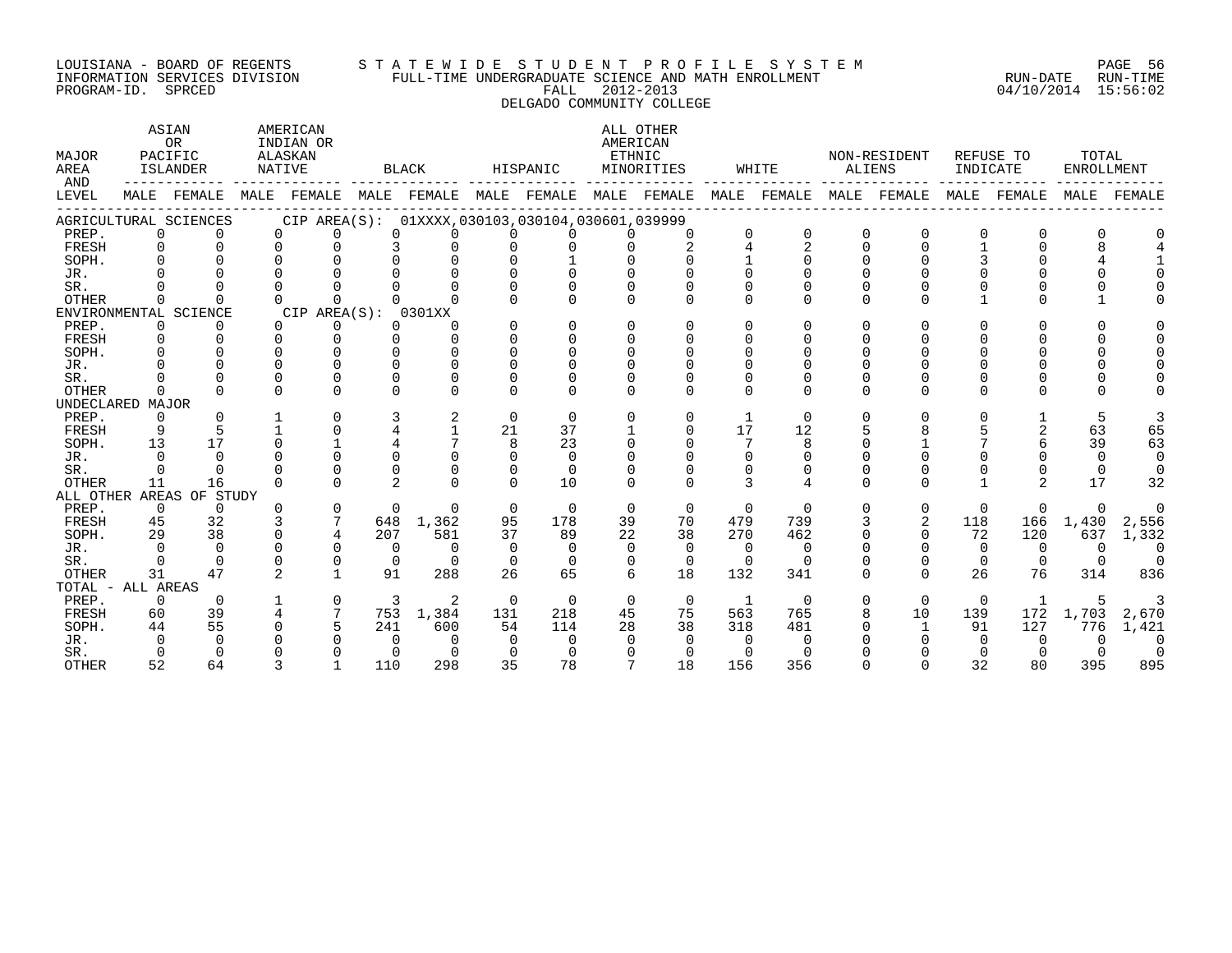#### LOUISIANA - BOARD OF REGENTS S T A T E W I D E S T U D E N T P R O F I L E S Y S T E M PAGE 56 INFORMATION SERVICES DIVISION FULL-TIME UNDERGRADUATE SCIENCE AND MATH ENROLLMENT RUN-DATE RUN-TIME PROGRAM-ID. SPRCED FALL 2012-2013 04/10/2014 15:56:02 DELGADO COMMUNITY COLLEGE

| MAJOR<br>AREA<br>AND      |          | ASIAN<br>OR<br>PACIFIC<br>ISLANDER | NATIVE   | AMERICAN<br>INDIAN OR<br>ALASKAN |                          | BLACK                                                                   |                      | HISPANIC         | AMERICAN<br>ETHNIC | ALL OTHER<br>MINORITIES |                | WHITE          | ALIENS      | NON-RESIDENT    | INDICATE | REFUSE TO      | TOTAL<br>ENROLLMENT |                |
|---------------------------|----------|------------------------------------|----------|----------------------------------|--------------------------|-------------------------------------------------------------------------|----------------------|------------------|--------------------|-------------------------|----------------|----------------|-------------|-----------------|----------|----------------|---------------------|----------------|
| LEVEL                     |          | MALE FEMALE                        |          |                                  |                          | MALE FEMALE MALE FEMALE MALE FEMALE MALE FEMALE MALE FEMALE MALE FEMALE |                      |                  |                    |                         |                |                |             |                 |          | MALE FEMALE    |                     | MALE FEMALE    |
|                           |          | AGRICULTURAL SCIENCES              |          |                                  |                          | CIP AREA(S): 01XXXX, 030103, 030104, 030601, 039999                     |                      |                  |                    |                         |                |                |             |                 |          |                |                     |                |
| PREP.                     | $\Omega$ | $\Omega$                           | $\Omega$ | $\Omega$                         | $\Omega$                 | $\Omega$                                                                | $\Omega$             | $\Omega$         | $\cap$             | $\Omega$                | 0              |                | $\Omega$    | 0               |          | $\Omega$       |                     |                |
| FRESH                     | $\Omega$ | $\Omega$                           | $\Omega$ | $\Omega$                         | 3                        | $\Omega$                                                                | $\Omega$             | $\Omega$         |                    | 2                       |                | 2              | $\Omega$    | $\Omega$        |          | $\Omega$       |                     |                |
| SOPH.                     | $\Omega$ | $\cap$                             | $\cap$   | $\Omega$                         | $\cap$                   | $\Omega$                                                                | $\Omega$             |                  |                    |                         |                |                |             |                 |          |                |                     |                |
| JR.                       |          |                                    |          |                                  |                          |                                                                         | $\Omega$             |                  |                    |                         |                |                |             | $\Omega$        |          |                |                     |                |
| SR.                       |          |                                    |          |                                  |                          |                                                                         | $\Omega$             |                  |                    |                         |                |                |             | $\Omega$        |          |                |                     |                |
| <b>OTHER</b>              | $\Omega$ | $\Omega$                           |          | $\Omega$                         | $\cap$                   |                                                                         | $\Omega$             | $\cap$           |                    | 0                       | $\Omega$       | $\Omega$       | $\Omega$    | $\Omega$        |          | $\Omega$       |                     |                |
|                           |          | ENVIRONMENTAL SCIENCE              |          | CIP AREA(S): 0301XX              |                          |                                                                         |                      |                  |                    |                         |                |                |             |                 |          |                |                     |                |
| PREP.                     | $\Omega$ | $\Omega$                           | $\Omega$ | $\Omega$                         | $\Omega$                 | 0                                                                       | $\Omega$             | $\Omega$         | $\Omega$           | $\Omega$                | $\Omega$       | $\Omega$       | $\Omega$    | $\Omega$        | $\Omega$ | $\Omega$       |                     |                |
| FRESH                     | $\Omega$ | $\Omega$                           | $\Omega$ | $\Omega$                         | $\Omega$                 | $\Omega$                                                                | $\Omega$             | $\Omega$         |                    | $\Omega$                | $\Omega$       |                | $\Omega$    | $\Omega$        |          |                |                     |                |
| SOPH.                     | $\Omega$ | $\Omega$                           | $\Omega$ | $\Omega$                         | $\Omega$                 | $\Omega$                                                                | $\Omega$             | $\Omega$         |                    | $\Omega$                | $\Omega$       | $\Omega$       | $\Omega$    | $\Omega$        |          |                |                     |                |
| JR.                       |          | $\Omega$                           | $\cap$   | $\Omega$                         | $\cap$                   |                                                                         | $\Omega$             | $\Omega$         |                    |                         | $\Omega$       |                |             |                 |          |                |                     |                |
| SR.                       |          | $\cap$                             | $\Omega$ | $\Omega$<br>$\Omega$             | $\cap$<br>$\Omega$       | $\Omega$<br>$\Omega$                                                    | $\Omega$<br>$\Omega$ | $\cap$<br>$\cap$ |                    | $\Omega$                | $\Omega$       | $\Omega$       | $\Omega$    | $\Omega$        | $\Omega$ | $\Omega$       |                     |                |
| <b>OTHER</b>              | $\Omega$ |                                    |          |                                  |                          |                                                                         |                      |                  |                    |                         |                |                |             |                 |          |                |                     |                |
| UNDECLARED MAJOR<br>PREP. | $\Omega$ | $\Omega$                           |          | $\Omega$                         | 3                        | 2                                                                       | $\Omega$             | $\Omega$         |                    | $\Omega$                | 1              | $\Omega$       | $\Omega$    | $\Omega$        | $\Omega$ |                | 5                   | 3              |
| FRESH                     | 9        | 5                                  |          | $\Omega$                         | $\overline{4}$           |                                                                         | 21                   | 37               |                    | $\Omega$                | 17             | 12             |             |                 |          |                | 63                  | 65             |
| SOPH.                     | 13       | 17                                 | $\Omega$ |                                  | $\overline{4}$           |                                                                         | 8                    | 23               | $\Omega$           | $\Omega$                |                | 8              |             |                 |          | 6              | 39                  | 63             |
| JR.                       | $\Omega$ | $\Omega$                           | $\Omega$ | $\Omega$                         | $\cap$                   |                                                                         | $\Omega$             | $\Omega$         |                    |                         |                |                |             |                 |          |                | $\Omega$            | $\Omega$       |
| SR.                       | $\Omega$ | $\Omega$                           |          | $\Omega$                         | $\Omega$                 |                                                                         | $\Omega$             | $\Omega$         |                    |                         | $\Omega$       |                | $\Omega$    |                 |          | $\Omega$       | $\Omega$            | $\Omega$       |
| OTHER                     | 11       | 16                                 |          | $\Omega$                         | $\overline{a}$           | $\cap$                                                                  | $\Omega$             | 10               |                    |                         |                | 4              | $\Omega$    | $\Omega$        |          | $\overline{a}$ | 17                  | 32             |
|                           |          | ALL OTHER AREAS OF STUDY           |          |                                  |                          |                                                                         |                      |                  |                    |                         |                |                |             |                 |          |                |                     |                |
| PREP.                     | $\Omega$ | $\overline{0}$                     |          | $\mathbf 0$                      | $\Omega$                 | $\Omega$                                                                | $\Omega$             | $\Omega$         | $\Omega$           | $\Omega$                | $\Omega$       | $\Omega$       | $\mathbf 0$ | $\mathbf 0$     | $\Omega$ | $\Omega$       | $\Omega$            | $\Omega$       |
| FRESH                     | 45       | 32                                 | 3        | $7\phantom{.0}$                  |                          | 648 1,362                                                               | 95                   | 178              | 39                 | 70                      | 479            | 739            | 3           | 2               | 118      | 166            | 1,430               | 2,556          |
| SOPH.                     | 29       | 38                                 | $\Omega$ |                                  | 207                      | 581                                                                     | 37                   | 89               | 22                 | 38                      | 270            | 462            | $\Omega$    | $\Omega$        | 72       | 120            | 637                 | 1,332          |
| JR.                       | $\cap$   | $\Omega$                           | $\Omega$ | $\Omega$                         | $\Omega$                 | $\Omega$                                                                | $\Omega$             | $\cap$           | $\cap$             | $\Omega$                | $\Omega$       | $\Omega$       |             | $\Omega$        | $\Omega$ | $\Omega$       | $\Omega$            | $\Omega$       |
| SR.                       | $\Omega$ | $\Omega$                           | $\Omega$ | $\Omega$                         | $\Omega$                 | $\Omega$                                                                | $\Omega$             | $\Omega$         | $\Omega$           | $\Omega$                | $\Omega$       | $\Omega$       |             | $\Omega$        | $\Omega$ | $\Omega$       | $\Omega$            |                |
| OTHER                     | 31       | 47                                 | 2        | $\mathbf{1}$                     | 91                       | 288                                                                     | 26                   | 65               | $6 \overline{6}$   | 18                      | 132            | 341            | $\Omega$    | $\Omega$        | 26       | 76             | 314                 | 836            |
| TOTAL - ALL AREAS         |          |                                    |          |                                  |                          |                                                                         |                      |                  |                    |                         |                |                |             |                 |          |                |                     |                |
| PREP.                     | $\Omega$ | $\Omega$                           |          | $\Omega$                         | $\overline{\phantom{a}}$ | 2                                                                       | $\Omega$             | $\overline{0}$   | $\Omega$           | $\Omega$                | $\overline{1}$ | $\overline{0}$ | $\Omega$    | $\Omega$        | $\Omega$ | <sup>1</sup>   | -5                  | 3              |
| FRESH                     | 60       | 39                                 |          | 7                                |                          | 753 1,384                                                               | 131                  | 218              | 45                 | 75                      | 563            | 765            | 8           | 10 <sup>°</sup> | 139      | 172            | 1,703               | 2,670          |
| SOPH.                     | 44       | 55                                 | $\Omega$ |                                  | 241                      | 600                                                                     | 54                   | 114              | 28                 | 38                      | 318            | 481            |             | $\mathbf{1}$    | 91       | 127            | 776                 | 1,421          |
| JR.                       |          | $\Omega$                           |          |                                  | $\Omega$                 | $\Omega$                                                                | $\Omega$             | $\Omega$         | $\Omega$           | $\Omega$                | $\Omega$       | $\Omega$       |             |                 | $\Omega$ | $\Omega$       | $\Omega$            | $\Omega$       |
| SR.                       |          | $\Omega$                           |          |                                  | $\Omega$                 | 0                                                                       | $\Omega$             | $\Omega$         |                    |                         | $\Omega$       | $\Omega$       |             |                 | $\Omega$ | $\Omega$       | $\Omega$            | $\overline{0}$ |
| <b>OTHER</b>              | 52       | 64                                 |          |                                  | 110                      | 298                                                                     | 35                   | 78               |                    | 1 R                     | 156            | 356            |             |                 | 32       | 80             | 395                 | 895            |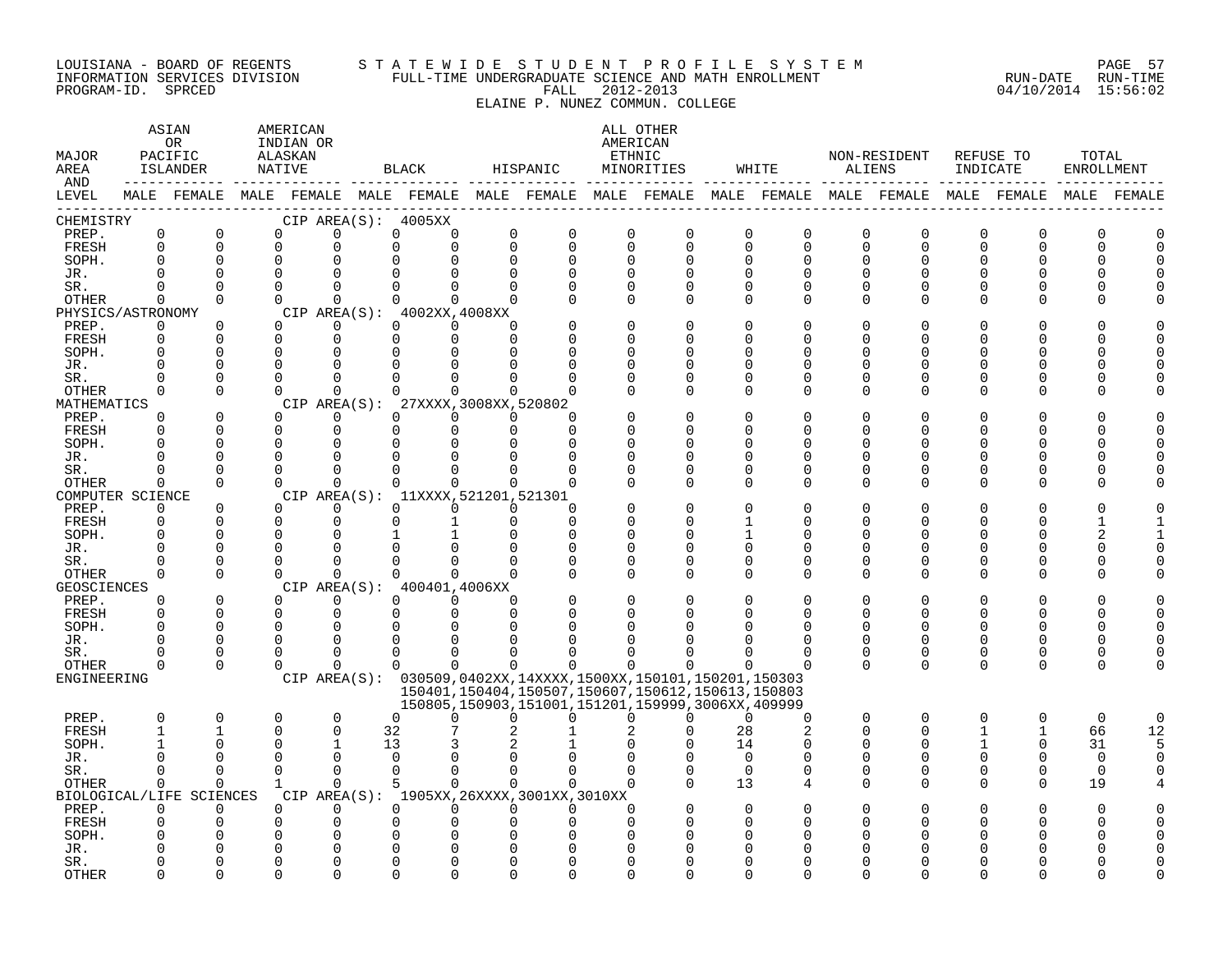#### LOUISIANA - BOARD OF REGENTS S T A T E W I D E S T U D E N T P R O F I L E S Y S T E M PAGE 57 INFORMATION SERVICES DIVISION FULL-TIME UNDERGRADUATE SCIENCE AND MATH ENROLLMENT RUN-DATE RUN-TIME PROGRAM-ID. SPRCED FALL 2012-2013 04/10/2014 15:56:02

ELAINE P. NUNEZ COMMUN. COLLEGE

ASTAN AMERICAN ANG ANG ANG ASTANG ANG ASTANG ALL OTHER OR INDIAN OR **AMERICAN** MAJOR PACIFIC ALASKAN ETHNIC NON-RESIDENT REFUSE TO TOTAL AREA ISLANDER NATIVE BLACK HISPANIC MINORITIES WHITE ALIENS INDICATE ENROLLMENT AND ------------ ------------- ------------- ------------- ------------- ------------- ------------- ------------- ------------- LEVEL MALE FEMALE MALE FEMALE MALE FEMALE MALE FEMALE MALE FEMALE MALE FEMALE MALE FEMALE MALE FEMALE MALE FEMALE ------------------------------------------------------------------------------------------------------------------------------------ CHEMISTRY CIP AREA(S): 4005XX PREP. 0 0 0 0 0 0 0 0 0 0 0 0 0 0 0 0 0 0 FRESH 0 0 0 0 0 0 0 0 0 0 0 0 0 0 0 0 0 0 SOPH. 0 0 0 0 0 0 0 0 0 0 0 0 0 0 0 0 0 0 JR. 0 0 0 0 0 0 0 0 0 0 0 0 0 0 0 0 0 0 SR. 0 0 0 0 0 0 0 0 0 0 0 0 0 0 0 0 0 0 OTHER 0 0 0 0 0 0 0 0 0 0 0 0 0 0 0 0 0 0 PHYSICS/ASTRONOMY CIP AREA(S): 4002XX,4008XX<br>
PREP. 0 0 0 0 0 0 0 PREP. 0 0 0 0 0 0 0 0 0 0 0 0 0 0 0 0 0 0 FRESH 0 0 0 0 0 0 0 0 0 0 0 0 0 0 0 0 0 0 SOPH. 0 0 0 0 0 0 0 0 0 0 0 0 0 0 0 0 0 0 JR. 0 0 0 0 0 0 0 0 0 0 0 0 0 0 0 0 0 0 SR. 0 0 0 0 0 0 0 0 0 0 0 0 0 0 0 0 0 0 OTHER 0 0 0 0 0 0 0 0 0 0 0 0 0 0 0 0 0 0 MATHEMATICS CIP AREA(S): 27XXXX,3008XX,520802<br>
PREP. 0 0 0 0 0 0 0 PREP. 0 0 0 0 0 0 0 0 0 0 0 0 0 0 0 0 0 0 FRESH 0 0 0 0 0 0 0 0 0 0 0 0 0 0 0 0 0 0 SOPH. 0 0 0 0 0 0 0 0 0 0 0 0 0 0 0 0 0 0 JR. 0 0 0 0 0 0 0 0 0 0 0 0 0 0 0 0 0 0 SR. 0 0 0 0 0 0 0 0 0 0 0 0 0 0 0 0 0 0 OTHER 0 0 0 0 0 0 0 0 0 0 0 0 0 0 0 0 0 0 COMPUTER SCIENCE CIP AREA(S): 11XXXX,521201,521301<br>
PREP. 0 0 0 0 0 0 0 PREP. 0 0 0 0 0 0 0 0 0 0 0 0 0 0 0 0 0 0 FRESH 0 0 0 0 0 1 0 0 0 0 1 0 0 0 0 0 1 1 SOPH. 0 0 0 0 1 1 0 0 0 0 1 0 0 0 0 0 2 1 JR. 0 0 0 0 0 0 0 0 0 0 0 0 0 0 0 0 0 0 SR. 0 0 0 0 0 0 0 0 0 0 0 0 0 0 0 0 0 0 OTHER 0 0 0 0 0 0 0 0 0 0 0 0 0 0 0 0 0 0 GEOSCIENCES CIPAREA(S): 400401,4006XX<br>
PREP. 0 0 0 0 0 0 PREP. 0 0 0 0 0 0 0 0 0 0 0 0 0 0 0 0 0 0 FRESH 0 0 0 0 0 0 0 0 0 0 0 0 0 0 0 0 0 0 SOPH. 0 0 0 0 0 0 0 0 0 0 0 0 0 0 0 0 0 0 JR. 0 0 0 0 0 0 0 0 0 0 0 0 0 0 0 0 0 0 SR. 0 0 0 0 0 0 0 0 0 0 0 0 0 0 0 0 0 0 OTHER 0 0 0 0 0 0 0 0 0 0 0 0 0 0 0 0 0 0 ENGINEERING CIP AREA(S): 030509,0402XX,14XXXX,1500XX,150101,150201,150303 150401,150404,150507,150607,150612,150613,150803 150805,150903,151001,151201,159999,3006XX,409999 PREP. 0 0 0 0 0 0 0 0 0 0 0 0 0 0 0 0 0 0 FRESH 1 1 0 0 32 7 2 1 2 0 28 2 0 0 1 1 66 12 SOPH. 1 0 0 1 13 3 2 1 0 0 14 0 0 0 1 0 31 5 JR. 0 0 0 0 0 0 0 0 0 0 0 0 0 0 0 0 0 0 SR. 0 0 0 0 0 0 0 0 0 0 0 0 0 0 0 0 0 0 OTHER 0 0 1 0 5 0 0 0 0 0 13 4 0 0 0 0 19 4 BIOLOGICAL/LIFE SCIENCES CIP AREA(S): 1905XX,26XXXX,3001XX,3010XX PREP. 0 0 0 0 0 0 0 0 0 0 0 0 0 0 0 0 0 0 FRESH 0 0 0 0 0 0 0 0 0 0 0 0 0 0 0 0 0 0 SOPH. 0 0 0 0 0 0 0 0 0 0 0 0 0 0 0 0 0 0 JR. 0 0 0 0 0 0 0 0 0 0 0 0 0 0 0 0 0 0 SR. 0 0 0 0 0 0 0 0 0 0 0 0 0 0 0 0 0 0 OTHER 0 0 0 0 0 0 0 0 0 0 0 0 0 0 0 0 0 0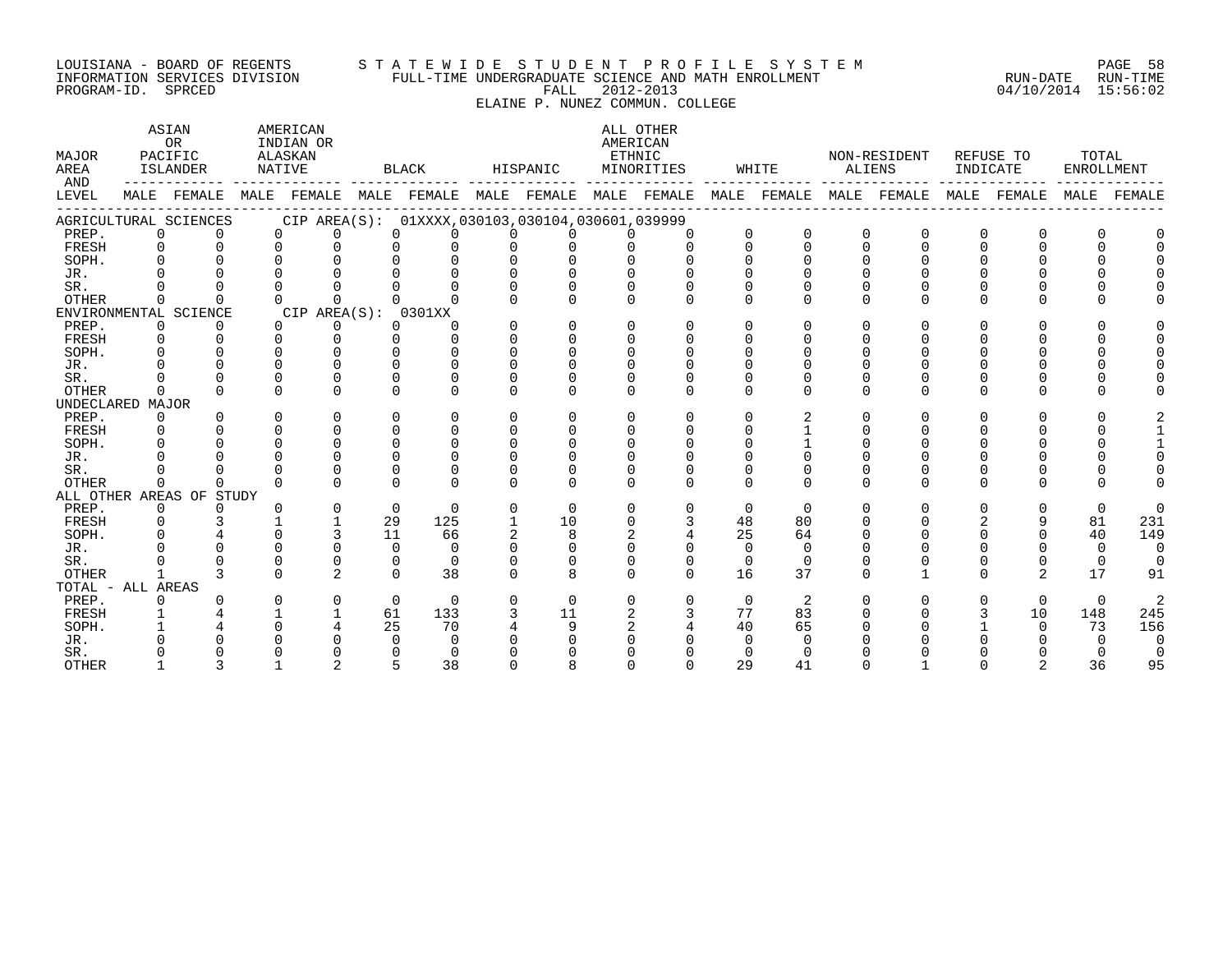#### LOUISIANA - BOARD OF REGENTS S T A T E W I D E S T U D E N T P R O F I L E S Y S T E M PAGE 58 INFORMATION SERVICES DIVISION FULL-TIME UNDERGRADUATE SCIENCE AND MATH ENROLLMENT RUN-DATE RUN-TIME PROGRAM-ID. SPRCED FALL 2012-2013 04/10/2014 15:56:02

ELAINE P. NUNEZ COMMUN. COLLEGE

| MAJOR<br>AREA<br>AND | ASIAN<br>OR<br>PACIFIC<br>ISLANDER<br>MALE FEMALE |                          |              | AMERICAN<br>INDIAN OR<br>ALASKAN<br>NATIVE |             | BLACK                                           |          | HISPANIC     |              | ALL OTHER<br>AMERICAN<br>ETHNIC<br>MINORITIES |          | WHITE    | ALIENS   | NON-RESIDENT            | INDICATE | REFUSE TO      | TOTAL<br>ENROLLMENT |        |
|----------------------|---------------------------------------------------|--------------------------|--------------|--------------------------------------------|-------------|-------------------------------------------------|----------|--------------|--------------|-----------------------------------------------|----------|----------|----------|-------------------------|----------|----------------|---------------------|--------|
| LEVEL                |                                                   |                          |              |                                            |             | MALE FEMALE MALE FEMALE MALE FEMALE MALE FEMALE |          |              |              |                                               |          |          |          | MALE FEMALE MALE FEMALE |          | MALE FEMALE    | MALE                | FEMALE |
|                      |                                                   | AGRICULTURAL SCIENCES    |              |                                            |             | CIP AREA(S): 01XXXX,030103,030104,030601,039999 |          |              |              |                                               |          |          |          |                         |          |                |                     |        |
| PREP.                | $\Omega$                                          | 0                        | $\Omega$     | $\Omega$                                   |             |                                                 | 0        |              |              | $\Omega$                                      |          | $\Omega$ | $\Omega$ | ∩                       | O        | 0              |                     |        |
| FRESH                | $\Omega$                                          | $\Omega$                 | $\Omega$     | $\cap$                                     |             |                                                 | $\cap$   |              |              | $\cap$                                        | $\cap$   | $\Omega$ | $\cap$   | U                       | $\Omega$ | $\cap$         |                     |        |
| SOPH.                | $\Omega$                                          |                          |              |                                            |             |                                                 |          |              |              |                                               |          |          |          |                         |          |                |                     |        |
| JR.                  |                                                   |                          |              |                                            |             |                                                 |          |              |              |                                               |          |          |          |                         |          |                |                     |        |
| SR.                  |                                                   |                          |              |                                            |             |                                                 |          |              |              |                                               |          |          |          |                         |          |                |                     |        |
| <b>OTHER</b>         | <sup>n</sup>                                      |                          |              |                                            |             |                                                 |          | <sup>n</sup> | <sup>n</sup> | $\Omega$                                      |          | ∩        | $\Omega$ |                         | U        | 0              |                     |        |
|                      |                                                   | ENVIRONMENTAL SCIENCE    |              | CIP AREA(S): 0301XX                        |             |                                                 |          |              |              |                                               |          |          |          |                         |          |                |                     |        |
| PREP.                | 0                                                 | 0                        | $\Omega$     | 0                                          | $\Omega$    | $\Omega$                                        | $\Omega$ | $\Omega$     | $\Omega$     | $\Omega$                                      |          |          | U        |                         | U        | O              |                     |        |
| FRESH                | 0                                                 | $\Omega$                 | $\Omega$     | $\cap$                                     | $\cap$      | $\cap$                                          | $\Omega$ | $\Omega$     | $\Omega$     | $\Omega$                                      |          |          |          |                         |          |                |                     |        |
| SOPH.                | $\cap$                                            |                          |              |                                            |             |                                                 | $\Omega$ | U            |              |                                               |          |          |          |                         |          |                |                     |        |
| JR.                  |                                                   |                          |              | <sup>n</sup>                               |             |                                                 |          |              |              |                                               |          |          |          |                         |          |                |                     |        |
| SR.                  |                                                   |                          | 0            | $\Omega$                                   |             |                                                 |          |              |              |                                               |          |          |          |                         |          |                |                     |        |
| <b>OTHER</b>         | $\Omega$                                          | $\cap$                   | $\Omega$     | $\cap$                                     | $\cap$      | $\Omega$                                        | $\Omega$ | <sup>n</sup> | $\Omega$     | $\Omega$                                      | $\Omega$ | $\Omega$ | $\Omega$ | U                       | U        | $\Omega$       |                     |        |
| UNDECLARED MAJOR     |                                                   |                          |              |                                            |             |                                                 |          |              |              |                                               |          |          |          |                         |          |                |                     |        |
| PREP.                | $\Omega$                                          | $\Omega$                 | 0            | $\Omega$                                   | $\Omega$    | $\Omega$                                        | $\Omega$ | $\Omega$     | $\Omega$     | $\Omega$                                      | ∩        |          | U        |                         | ∩        | $\Omega$       |                     |        |
| FRESH                | $\Omega$                                          |                          | $\Omega$     | $\cap$                                     | $\cap$      | 0                                               | $\Omega$ |              |              |                                               |          |          |          |                         |          |                |                     |        |
| SOPH.                |                                                   |                          | U            | $\Omega$                                   |             |                                                 |          |              |              |                                               |          |          |          |                         |          |                |                     |        |
| JR.                  |                                                   |                          |              | U                                          |             |                                                 |          |              |              |                                               |          |          |          |                         |          |                |                     |        |
| SR.                  |                                                   |                          |              |                                            |             |                                                 |          |              |              |                                               |          |          |          |                         |          |                |                     |        |
| <b>OTHER</b>         | <sup>n</sup>                                      | <sup>n</sup>             | <sup>n</sup> | $\cap$                                     |             |                                                 | $\cap$   | <sup>n</sup> | $\cap$       | $\cap$                                        | $\cap$   | $\cap$   | $\cap$   |                         | $\Omega$ | <sup>n</sup>   |                     |        |
|                      |                                                   | ALL OTHER AREAS OF STUDY |              |                                            |             |                                                 |          |              |              |                                               |          |          |          |                         |          |                |                     |        |
| PREP.                | 0                                                 | <sup>o</sup>             | <sup>n</sup> | $\Omega$                                   | $\mathbf 0$ | $\Omega$                                        | $\Omega$ | $\Omega$     | $\Omega$     | $\Omega$                                      | $\Omega$ | $\Omega$ | U        |                         | U        | $\Omega$       | $\Omega$            |        |
| FRESH                | $\Omega$                                          |                          |              |                                            | 29          | 125                                             |          | 10           |              | 3                                             | 48       | 80       |          |                         |          | 9              | 81                  | 231    |
| SOPH.                | $\cap$                                            |                          |              |                                            | 11          | 66                                              |          |              |              |                                               | 25       | 64       |          |                         |          |                | 40                  | 149    |
| JR.                  |                                                   |                          |              | U                                          | $\cap$      | $\Omega$                                        |          |              |              |                                               | $\cap$   | $\Omega$ |          |                         |          |                | $\Omega$            |        |
| SR.                  |                                                   |                          | O            | $\Omega$                                   | $\Omega$    | $\Omega$                                        | $\Omega$ | $\Omega$     | $\Omega$     | $\Omega$                                      | $\Omega$ | $\Omega$ |          |                         |          |                | $\Omega$            |        |
| <b>OTHER</b>         | $\mathbf{1}$                                      | ς                        | $\Omega$     | $\overline{2}$                             | $\cap$      | 38                                              | $\Omega$ | 8            | $\Omega$     | $\Omega$                                      | 16       | 37       | $\Omega$ |                         | U        | $\overline{2}$ | 17                  | 91     |
| TOTAL - ALL AREAS    |                                                   |                          |              |                                            |             |                                                 |          |              |              |                                               |          |          |          |                         |          |                |                     |        |
| PREP.                | 0                                                 |                          | U            | $\Omega$                                   | $\Omega$    | $\Omega$                                        | $\Omega$ | $\Omega$     | $\Omega$     | $\Omega$                                      | $\Omega$ | 2        |          |                         | U        | $\Omega$       | $\Omega$            |        |
| FRESH                |                                                   |                          |              |                                            | 61          | 133                                             |          | 11           |              |                                               | 77       | 83       |          |                         |          | 10             | 148                 | 245    |
| SOPH.                |                                                   |                          |              |                                            | 25          | 70                                              |          |              |              |                                               | 40       | 65       |          |                         |          | 0              | 73                  | 156    |
| JR.                  |                                                   |                          |              |                                            |             | $\Omega$                                        |          |              |              |                                               |          |          |          |                         |          |                |                     |        |
| SR.                  |                                                   |                          |              |                                            |             |                                                 |          |              |              |                                               |          |          |          |                         |          |                |                     |        |
| <b>OTHER</b>         |                                                   |                          |              |                                            |             | 38                                              |          |              |              |                                               | 29       | 41       |          |                         |          |                | 36                  | 95     |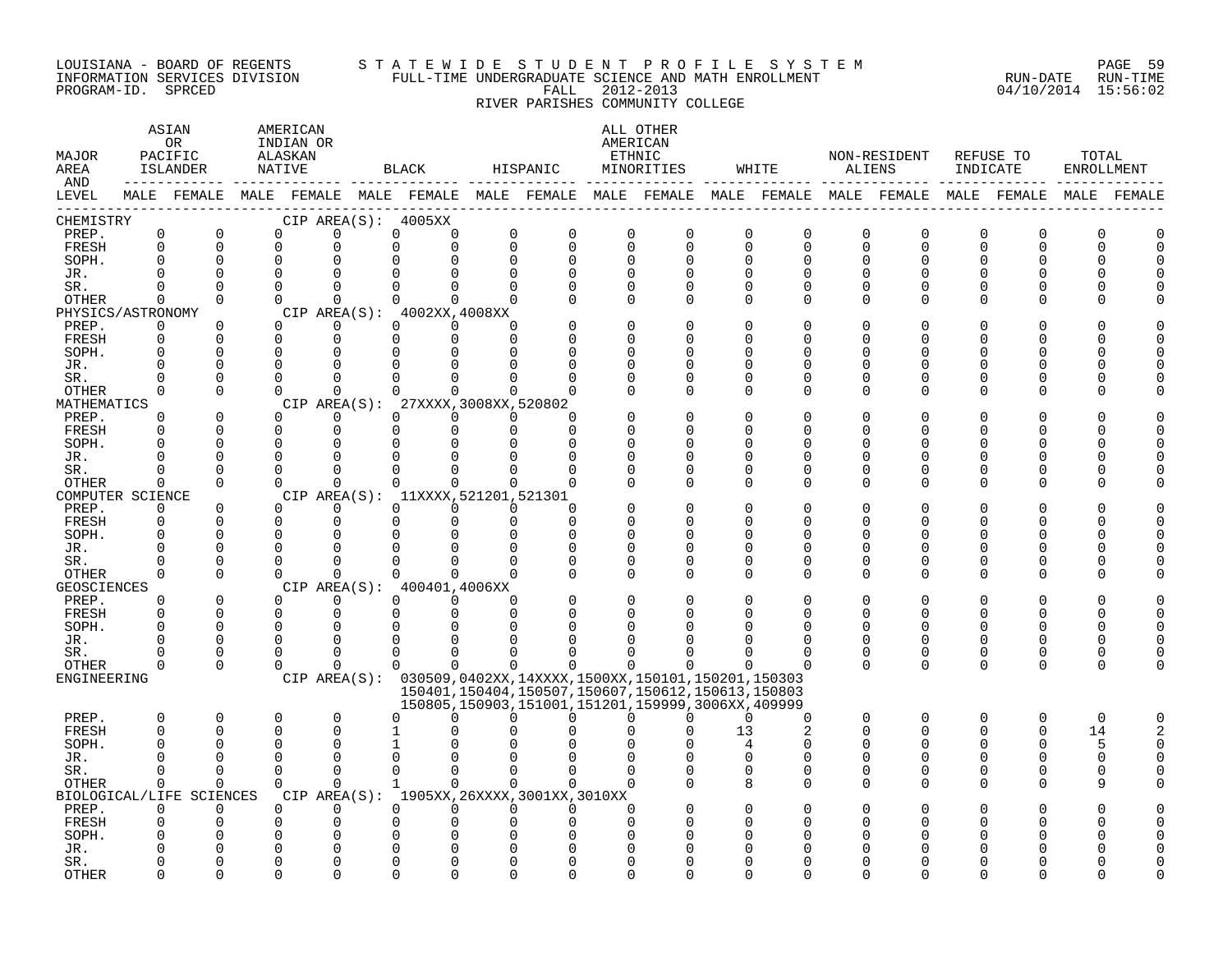#### LOUISIANA - BOARD OF REGENTS S T A T E W I D E S T U D E N T P R O F I L E S Y S T E M PAGE 59 INFORMATION SERVICES DIVISION FULL-TIME UNDERGRADUATE SCIENCE AND MATH ENROLLMENT RUN-DATE RUN-TIME PROGRAM-ID. SPRCED FALL 2012-2013 04/10/2014 15:56:02

RIVER PARISHES COMMUNITY COLLEGE

| MAJOR<br>AREA<br>AND |                      | ASIAN<br>OR<br>PACIFIC<br>ISLANDER<br>-------------------- |                      | AMERICAN<br>INDIAN OR<br>ALASKAN<br>NATIVE |                                                               | BLACK                                       |                      | HISPANIC     |                      | ALL OTHER<br>AMERICAN<br>ETHNIC<br>MINORITIES          |    | WHITE                                                                                                       | ALIENS       | NON-RESIDENT | INDICATE | REFUSE TO    | TOTAL<br>ENROLLMENT |  |
|----------------------|----------------------|------------------------------------------------------------|----------------------|--------------------------------------------|---------------------------------------------------------------|---------------------------------------------|----------------------|--------------|----------------------|--------------------------------------------------------|----|-------------------------------------------------------------------------------------------------------------|--------------|--------------|----------|--------------|---------------------|--|
| LEVEL                |                      |                                                            |                      |                                            |                                                               |                                             |                      |              |                      |                                                        |    | MALE FEMALE MALE FEMALE MALE FEMALE MALE FEMALE MALE FEMALE MALE FEMALE MALE FEMALE MALE FEMALE MALE FEMALE |              |              |          |              |                     |  |
| CHEMISTRY            |                      |                                                            |                      |                                            | CIP AREA(S): 4005XX                                           |                                             |                      |              |                      |                                                        |    |                                                                                                             |              |              |          |              |                     |  |
| PREP.                | $\mathsf{O}$         | 0                                                          | $\Omega$             |                                            | $\Omega$                                                      | 0<br>$\Omega$                               | 0                    | 0            | 0                    | 0                                                      |    | 0<br>0                                                                                                      | 0            | 0            | 0        | O            | O                   |  |
| FRESH                | $\mathbf 0$          | $\Omega$                                                   | $\Omega$             |                                            | $\Omega$                                                      | $\Omega$<br>$\Omega$                        | $\mathbf 0$          | $\Omega$     | $\Omega$             | 0                                                      |    | $\Omega$<br>$\mathbf 0$                                                                                     | 0            | $\Omega$     | $\Omega$ | $\Omega$     | U                   |  |
| SOPH.                | $\Omega$             | $\Omega$                                                   | $\Omega$             |                                            | $\Omega$                                                      | $\Omega$<br>∩                               | $\mathbf 0$          | $\Omega$     | $\Omega$             | $\Omega$                                               |    | O<br>$\Omega$                                                                                               | $\Omega$     | $\Omega$     | $\Omega$ | $\Omega$     |                     |  |
| JR.<br>SR.           |                      | $\Omega$<br>$\Omega$                                       | $\Omega$             |                                            | $\Omega$                                                      | $\Omega$                                    | $\Omega$             |              | $\Omega$<br>$\Omega$ | $\Omega$<br>0                                          | O  | O<br>0                                                                                                      | U<br>0       |              | O        |              |                     |  |
| OTHER                | $\Omega$             | $\Omega$                                                   | $\Omega$             |                                            | $\Omega$                                                      | $\Omega$<br>$\Omega$                        | $\Omega$             |              | $\Omega$             | $\Omega$                                               |    | O<br>O                                                                                                      | $\Omega$     | ∩            |          |              |                     |  |
| PHYSICS/ASTRONOMY    |                      |                                                            |                      |                                            | CIP AREA $(S):$ 4002XX, 4008XX                                |                                             |                      |              |                      |                                                        |    |                                                                                                             |              |              |          |              |                     |  |
| PREP.                | $\Omega$             | $\Omega$                                                   | $\Omega$             |                                            | $\Omega$                                                      | $\Omega$<br>$\Omega$                        | $\Omega$             |              | ∩                    | $\Omega$                                               | U  | O                                                                                                           | O            |              |          |              |                     |  |
| FRESH                | $\Omega$             | $\Omega$                                                   | $\Omega$             |                                            | $\Omega$                                                      | $\Omega$<br>$\Omega$                        | $\Omega$             |              | $\Omega$             | $\Omega$                                               | ∩  | O                                                                                                           | U            |              | ∩        |              |                     |  |
| SOPH.                | 0                    | 0                                                          | 0                    |                                            | O                                                             | O<br>O                                      |                      |              | O                    | 0                                                      | O  | 0                                                                                                           | U            |              | O        |              |                     |  |
| JR.                  |                      |                                                            |                      |                                            |                                                               |                                             |                      |              | ∩                    | 0                                                      |    | 0                                                                                                           | U            |              |          |              |                     |  |
| SR.                  |                      | $\Omega$                                                   |                      |                                            |                                                               |                                             |                      |              |                      | $\Omega$                                               |    | O                                                                                                           | U            |              |          |              |                     |  |
| OTHER                | 0                    | $\Omega$                                                   | $\Omega$             |                                            | $\Omega$                                                      | $\Omega$<br>$\Omega$                        | $\Omega$             |              | $\Omega$             | $\Omega$                                               |    | $\Omega$<br>$\Omega$                                                                                        | $\Omega$     | $\Omega$     | $\Omega$ | $\Omega$     |                     |  |
| MATHEMATICS          |                      |                                                            |                      |                                            | CIP AREA(S): 27XXXX, 3008XX, 520802                           |                                             |                      |              |                      |                                                        |    |                                                                                                             |              |              |          |              |                     |  |
| PREP.                | $\Omega$             | 0                                                          | $\Omega$             |                                            | 0                                                             | $\Omega$<br>$\Omega$                        | $\Omega$             | <sup>0</sup> |                      | 0                                                      |    | 0<br>0                                                                                                      | 0            | O            | O        | n            |                     |  |
| FRESH<br>SOPH.       | $\Omega$<br>$\Omega$ | $\Omega$                                                   | $\Omega$<br>$\Omega$ |                                            | $\mathbf 0$<br>$\Omega$                                       | $\mathbf 0$<br>$\mathbf 0$<br>$\Omega$<br>∩ | $\mathbf 0$          | $\Omega$     | $\Omega$<br>O        | $\Omega$<br>$\Omega$                                   |    | U<br>$\Omega$<br>O                                                                                          | U<br>U       | ∩            | ∩<br>O   | ∩            |                     |  |
| JR.                  |                      | $\Omega$                                                   |                      |                                            |                                                               |                                             |                      |              | O                    | O                                                      |    | 0                                                                                                           | U            |              | O        |              |                     |  |
| SR.                  |                      |                                                            | ∩                    |                                            | $\Omega$                                                      |                                             |                      |              |                      | O                                                      |    | O                                                                                                           | U            |              | O        |              |                     |  |
| OTHER                | $\Omega$             | $\Omega$                                                   | $\Omega$             |                                            | $\Omega$                                                      | $\Omega$<br>$\Omega$                        | $\Omega$             |              | O                    | $\Omega$                                               |    | 0<br>$\Omega$                                                                                               | U            |              |          |              |                     |  |
| COMPUTER SCIENCE     |                      |                                                            |                      |                                            | CIP AREA(S): 11XXXX, 521201, 521301                           |                                             |                      |              |                      |                                                        |    |                                                                                                             |              |              |          |              |                     |  |
| PREP.                | $\Omega$             | $\Omega$                                                   | $\Omega$             |                                            |                                                               | ∩<br>0                                      | $\Omega$             | ∩            |                      | $\Omega$                                               | O  | O                                                                                                           | O            |              |          |              |                     |  |
| FRESH                | $\Omega$             | $\Omega$                                                   | ∩                    |                                            | $\Omega$                                                      | $\Omega$<br>$\Omega$                        | 0                    | ∩            | ∩                    | $\Omega$                                               | U  | O                                                                                                           | U            |              | ∩        |              |                     |  |
| SOPH.                | $\Omega$             | $\Omega$                                                   | O                    |                                            |                                                               |                                             | $\Omega$             |              | O                    | 0                                                      |    | 0                                                                                                           | Ω            |              |          |              |                     |  |
| JR.                  |                      |                                                            |                      |                                            |                                                               |                                             |                      |              | $\Omega$             | 0                                                      | U  | 0                                                                                                           | U            |              |          |              |                     |  |
| SR.                  |                      | $\Omega$                                                   |                      |                                            |                                                               |                                             |                      |              | ∩                    | O                                                      |    | O                                                                                                           | U            |              |          |              |                     |  |
| OTHER                | 0                    | $\Omega$                                                   | $\Omega$             |                                            | $\Omega$                                                      | $\Omega$<br>$\Omega$                        | $\Omega$             |              | $\Omega$             | $\Omega$                                               |    | U<br>$\Omega$                                                                                               | <sup>n</sup> |              | ∩        |              |                     |  |
| GEOSCIENCES          |                      |                                                            |                      |                                            | CIP AREA(S): 400401,4006XX                                    |                                             |                      |              |                      |                                                        |    |                                                                                                             |              |              |          |              |                     |  |
| PREP.<br>FRESH       | $\Omega$<br>$\Omega$ | 0<br>$\mathbf 0$                                           | $\Omega$             | $\Omega$                                   | 0<br>0                                                        | $\Omega$<br>0<br>0<br>$\Omega$              | $\Omega$<br>$\Omega$ |              | O<br>$\Omega$        | 0<br>O                                                 |    | 0<br>U                                                                                                      | 0<br>U       | U            | O<br>0   |              |                     |  |
| SOPH.                | $\Omega$             | $\Omega$                                                   | ∩                    |                                            | $\Omega$                                                      |                                             |                      |              |                      |                                                        |    |                                                                                                             | U            |              | ∩        |              |                     |  |
| JR.                  |                      | $\Omega$                                                   |                      |                                            |                                                               |                                             |                      |              |                      | ∩                                                      |    | O                                                                                                           | U            | U            | 0        |              |                     |  |
| SR.                  |                      | $\Omega$                                                   | ∩                    |                                            | $\Omega$                                                      | U<br><sup>0</sup>                           |                      |              |                      | ∩                                                      |    | O                                                                                                           | O            | O            | 0        | O            |                     |  |
| OTHER                | O                    | $\Omega$                                                   | $\Omega$             |                                            | $\Omega$                                                      | $\Omega$<br>$\Omega$                        | $\Omega$             | $\Omega$     | 0                    | $\Omega$                                               |    | 0<br>O                                                                                                      | $\Omega$     | $\Omega$     | 0        | $\Omega$     | O                   |  |
| ENGINEERING          |                      |                                                            |                      |                                            | CIP AREA(S): 030509,0402XX,14XXXX,1500XX,150101,150201,150303 |                                             |                      |              |                      |                                                        |    |                                                                                                             |              |              |          |              |                     |  |
|                      |                      |                                                            |                      |                                            |                                                               |                                             |                      |              |                      | 150401, 150404, 150507, 150607, 150612, 150613, 150803 |    |                                                                                                             |              |              |          |              |                     |  |
|                      |                      |                                                            |                      |                                            |                                                               |                                             |                      |              |                      | 150805,150903,151001,151201,159999,3006XX,409999       |    |                                                                                                             |              |              |          |              |                     |  |
| PREP.                | 0                    | $\Omega$                                                   | 0                    |                                            | $\Omega$                                                      | $\Omega$<br>U                               | $\Omega$             | $\Omega$     | $\Omega$             | 0                                                      |    | $\Omega$<br>$\Omega$                                                                                        | $\Omega$     | $\Omega$     | $\Omega$ | $\Omega$     | 0                   |  |
| FRESH                | $\Omega$             | $\Omega$                                                   |                      |                                            |                                                               |                                             |                      |              |                      | U                                                      | 13 | 2                                                                                                           | $\Omega$     | ∩            | $\Omega$ | <sup>0</sup> | 14                  |  |
| SOPH.                |                      | $\Omega$<br>∩                                              | $\Omega$             |                                            | U                                                             | ∩                                           |                      |              |                      |                                                        |    | O                                                                                                           |              |              | ∩        | <sup>0</sup> | 5                   |  |
| JR.<br>SR.           |                      | $\Omega$                                                   | ∩                    |                                            | $\Omega$                                                      | $\Omega$<br>$\Omega$                        | $\Omega$             |              | $\Omega$             | O                                                      | O  | O<br>0                                                                                                      | U<br>0       | O            | 0<br>0   | <sup>0</sup> | $\Omega$            |  |
| OTHER                | O                    | $\Omega$                                                   | 0                    |                                            | $\Omega$                                                      | $\Omega$<br>$\mathbf{1}$                    | $\Omega$             |              | $\Omega$             |                                                        | 8  | 0                                                                                                           | U            | U            | O        | <sup>0</sup> | 9                   |  |
|                      |                      | BIOLOGICAL/LIFE SCIENCES                                   |                      |                                            | CIP AREA(S): 1905XX, 26XXXX, 3001XX, 3010XX                   |                                             |                      |              |                      |                                                        |    |                                                                                                             |              |              |          |              |                     |  |
| PREP.                | $\Omega$             | $\Omega$                                                   | $\Omega$             |                                            | $\Omega$                                                      | $\Omega$<br>$\Omega$                        | $\Omega$             |              | ∩                    |                                                        |    |                                                                                                             |              |              |          |              |                     |  |
| FRESH                | U                    | $\Omega$                                                   |                      |                                            | $\Omega$                                                      | ∩                                           |                      |              | ∩                    | U                                                      |    | O                                                                                                           |              |              |          |              |                     |  |
| SOPH.                |                      |                                                            |                      |                                            |                                                               |                                             |                      |              |                      |                                                        |    | ∩                                                                                                           |              |              |          |              |                     |  |
| JR.                  |                      |                                                            |                      |                                            |                                                               |                                             |                      |              |                      |                                                        |    |                                                                                                             |              |              |          |              |                     |  |
| SR.                  |                      | $\Omega$                                                   |                      |                                            |                                                               |                                             |                      |              |                      | O                                                      |    | U                                                                                                           |              |              |          |              |                     |  |
| <b>OTHER</b>         | ∩                    | $\Omega$                                                   |                      |                                            | $\cap$                                                        | ∩<br>∩                                      |                      |              | $\cap$               | <sup>n</sup>                                           |    | U                                                                                                           | U            |              |          |              |                     |  |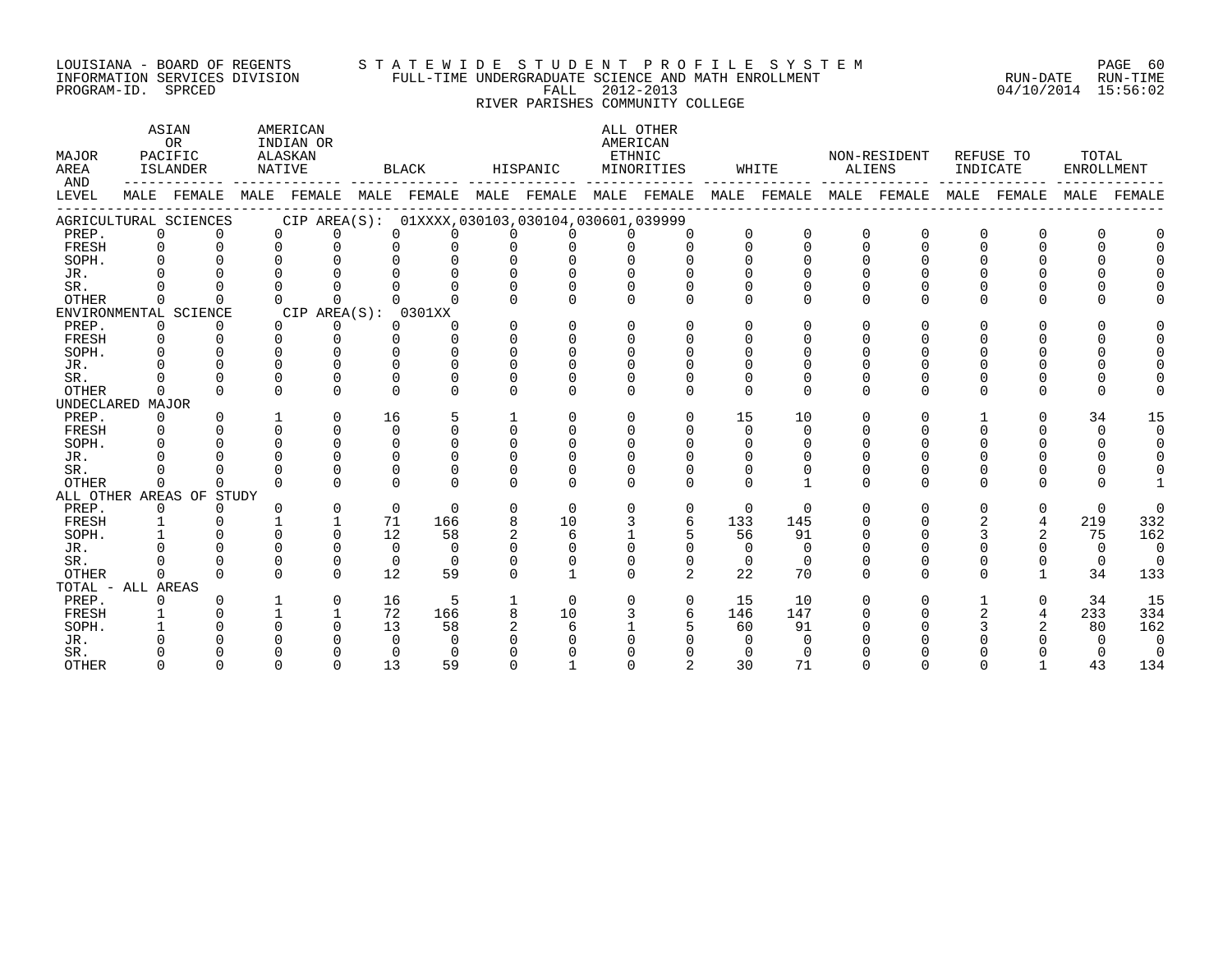#### LOUISIANA - BOARD OF REGENTS S T A T E W I D E S T U D E N T P R O F I L E S Y S T E M PAGE 60 INFORMATION SERVICES DIVISION FULL-TIME UNDERGRADUATE SCIENCE AND MATH ENROLLMENT RUN-DATE RUN-TIME PROGRAM-ID. SPRCED FALL 2012-2013 04/10/2014 15:56:02

# RIVER PARISHES COMMUNITY COLLEGE

| MAJOR<br>AREA<br>AND |             | ASIAN<br><b>OR</b><br>PACIFIC<br>ISLANDER |              | AMERICAN<br>INDIAN OR<br>ALASKAN<br>NATIVE |                      | <b>BLACK</b>                                        |                | HISPANIC | AMERICAN<br>ETHNIC | ALL OTHER<br>MINORITIES |          | WHITE    |             | NON-RESIDENT<br>ALIENS | INDICATE | REFUSE TO | TOTAL<br>ENROLLMENT |          |
|----------------------|-------------|-------------------------------------------|--------------|--------------------------------------------|----------------------|-----------------------------------------------------|----------------|----------|--------------------|-------------------------|----------|----------|-------------|------------------------|----------|-----------|---------------------|----------|
| LEVEL                |             | MALE FEMALE                               | MALE         | FEMALE                                     |                      | MALE FEMALE MALE                                    |                | FEMALE   |                    | MALE FEMALE             | MALE     | FEMALE   | MALE        | FEMALE                 | MALE     | FEMALE    | MALE                | FEMALE   |
|                      |             | AGRICULTURAL SCIENCES                     |              |                                            |                      | CIP AREA(S): 01XXXX, 030103, 030104, 030601, 039999 |                |          |                    |                         |          |          |             |                        |          |           |                     |          |
| PREP.                | $\mathbf 0$ | $\Omega$                                  | $\Omega$     |                                            | $\Omega$             | $\Omega$<br>$\Omega$                                | O              | 0        | $\Omega$           | $\Omega$                | $\Omega$ | $\Omega$ | 0           | $\Omega$               | $\Omega$ | 0         | $\Omega$            |          |
| FRESH                | 0           |                                           | $\Omega$     |                                            | $\Omega$<br>$\Omega$ | $\Omega$                                            | $\Omega$       | $\Omega$ | $\Omega$           | $\Omega$                | $\Omega$ | $\Omega$ | $\Omega$    | $\Omega$               | $\Omega$ | 0         | $\cap$              |          |
| SOPH.                |             |                                           |              |                                            |                      |                                                     | $\Omega$       | $\Omega$ | $\Omega$           |                         | $\Omega$ | $\Omega$ | $\cap$      |                        |          |           |                     |          |
| JR.                  |             |                                           |              |                                            |                      |                                                     |                |          |                    |                         |          |          | $\Omega$    |                        |          |           |                     |          |
| SR.                  |             |                                           |              |                                            |                      |                                                     |                |          |                    |                         | O        |          | $\cap$      |                        |          |           |                     |          |
| <b>OTHER</b>         | $\Omega$    |                                           | $\Omega$     |                                            | $\Omega$<br>$\Omega$ |                                                     | U              | U        | $\Omega$           |                         | $\Omega$ | $\cap$   | $\Omega$    | $\cap$                 | O        | U         |                     |          |
|                      |             | ENVIRONMENTAL SCIENCE                     |              | CIP AREA(S):                               |                      | 0301XX                                              |                |          |                    |                         |          |          |             |                        |          |           |                     |          |
| PREP.                | $\mathbf 0$ | 0                                         | $\Omega$     |                                            | 0                    | $\Omega$<br>O                                       | $\Omega$       | $\Omega$ | $\Omega$           | $\Omega$                | $\Omega$ | $\Omega$ | $\Omega$    | $\Omega$               | O        | U         |                     |          |
| FRESH                | $\Omega$    | $\Omega$                                  | $\Omega$     |                                            | $\Omega$<br>$\Omega$ | $\Omega$                                            | $\Omega$       | $\Omega$ | $\Omega$           | $\Omega$                | O        | U        | $\Omega$    |                        |          |           |                     |          |
| SOPH.                |             |                                           |              | ∩                                          | $\cap$               | $\cap$                                              | $\cap$         | $\cap$   | $\cap$             |                         | ∩        |          |             |                        |          |           |                     |          |
| JR.                  |             |                                           |              | $\Omega$                                   | $\cap$               | $\Omega$                                            | $\Omega$       | $\Omega$ | U                  |                         |          | ∩        |             |                        |          |           |                     |          |
| SR.                  |             |                                           | $\Omega$     | $\Omega$                                   | $\cap$               | $\Omega$                                            | U              | O        | O                  |                         | $\Omega$ |          | $\Omega$    |                        |          |           |                     |          |
| <b>OTHER</b>         | 0           | <sup>n</sup>                              | $\Omega$     |                                            | $\Omega$<br>$\Omega$ | $\Omega$                                            | U              | 0        | $\Omega$           | $\Omega$                | $\Omega$ | $\Omega$ | $\Omega$    | $\Omega$               | $\Omega$ | 0         | $\Omega$            |          |
| UNDECLARED MAJOR     |             |                                           |              |                                            |                      |                                                     |                |          |                    |                         |          |          |             |                        |          |           |                     |          |
| PREP.                | 0           |                                           | $\mathbf{1}$ |                                            | 16<br>$\Omega$       | 5                                                   |                | $\Omega$ | $\Omega$           | $\Omega$                | 15       | 10       | $\Omega$    | $\Omega$               |          | 0         | 34                  | 15       |
| FRESH                |             |                                           | $\Omega$     | $\Omega$                                   | $\Omega$             | $\Omega$                                            | $\Omega$       | 0        | $\Omega$           | $\Omega$                | $\Omega$ | $\Omega$ | $\Omega$    |                        | $\Omega$ |           | $\Omega$            | $\Omega$ |
| SOPH.                |             |                                           |              | $\Omega$                                   | $\Omega$             | $\cap$                                              | $\cap$         | $\Omega$ | $\Omega$           |                         | $\Omega$ | $\Omega$ | $\Omega$    |                        |          |           | 0                   |          |
| JR.                  |             |                                           |              |                                            | ∩                    | ∩                                                   | ∩              |          |                    |                         |          |          |             |                        |          |           |                     |          |
| SR.                  |             |                                           |              | $\Omega$                                   | ∩                    | ∩                                                   | U              | U        | $\Omega$           |                         |          |          |             |                        |          |           |                     |          |
| <b>OTHER</b>         | O           | 0                                         | $\Omega$     |                                            | $\Omega$<br>$\Omega$ | $\Omega$                                            | $\Omega$       | $\Omega$ | $\Omega$           | $\Omega$                | $\Omega$ |          | $\Omega$    | $\Omega$               | $\Omega$ | U         | U                   |          |
|                      |             | ALL OTHER AREAS OF STUDY                  |              |                                            |                      |                                                     |                |          |                    |                         |          |          |             |                        |          |           |                     |          |
| PREP.                | $\Omega$    | 0                                         |              | $\Omega$                                   |                      | $\Omega$<br>$\Omega$                                | $\Omega$       | $\Omega$ | $\Omega$           | $\Omega$                | $\Omega$ | $\Omega$ | $\Omega$    | $\Omega$               | $\Omega$ | 0         | $\Omega$            | $\Omega$ |
| FRESH                |             |                                           |              |                                            | 71                   | 166                                                 | 8              | 10       | 3                  | 6                       | 133      | 145      | $\cap$      |                        |          | 4         | 219                 | 332      |
| SOPH.                |             |                                           |              |                                            | 12<br>$\Omega$       | 58                                                  | $\overline{a}$ | 6        |                    |                         | 56       | 91       | $\Omega$    |                        | 3        | 2         | 75                  | 162      |
| JR.                  |             |                                           |              |                                            | $\Omega$             | $\Omega$                                            | $\cap$         | U        | $\Omega$           |                         | $\Omega$ | $\Omega$ |             |                        |          |           | $\Omega$            | $\Omega$ |
| SR.                  |             |                                           |              |                                            | $\Omega$<br>$\Omega$ | $\Omega$                                            | U              | $\Omega$ | $\Omega$           | $\Omega$                | $\Omega$ | $\Omega$ | $\Omega$    | <sup>0</sup>           | 0        | 0         | $\overline{0}$      | $\Omega$ |
| <b>OTHER</b>         | 0           | $\cap$                                    | $\cap$       |                                            | $\cap$<br>12         | 59                                                  | U              |          | $\Omega$           | $\overline{2}$          | 22       | 70       | $\Omega$    | $\cap$                 | $\Omega$ |           | 34                  | 133      |
| TOTAL - ALL AREAS    |             |                                           |              |                                            |                      |                                                     |                |          |                    |                         |          |          |             |                        |          |           |                     |          |
| PREP.                | 0           |                                           |              |                                            | 16<br>$\mathbf 0$    | 5                                                   |                | $\Omega$ | 0                  | $\mathbf 0$             | 15       | 10       | $\mathbf 0$ | $\mathbf 0$            |          | 0         | 34                  | 15       |
| FRESH                |             |                                           |              |                                            | 72                   | 166                                                 | 8              | 10       |                    | 6                       | 146      | 147      | $\Omega$    | $\Omega$               |          | 4         | 233                 | 334      |
| SOPH.                |             |                                           | ∩            | $\Omega$                                   | 13                   | 58                                                  |                | 6        |                    |                         | 60       | 91       |             |                        |          |           | 80                  | 162      |
| JR.                  |             |                                           |              |                                            | $\Omega$             | $\Omega$                                            |                |          |                    |                         | $\Omega$ | $\Omega$ |             |                        |          |           | $\Omega$            | $\Omega$ |
| SR.                  |             |                                           |              |                                            |                      | $\Omega$                                            |                |          |                    |                         | $\Omega$ | $\Omega$ |             |                        |          |           |                     | $\Omega$ |
| OTHER                | $\cap$      | $\Omega$                                  | $\Omega$     | $\Omega$                                   | 13                   | 59                                                  | $\Omega$       |          | $\Omega$           | $\overline{2}$          | 30       | 71       | $\Omega$    | $\Omega$               | $\Omega$ |           | 43                  | 134      |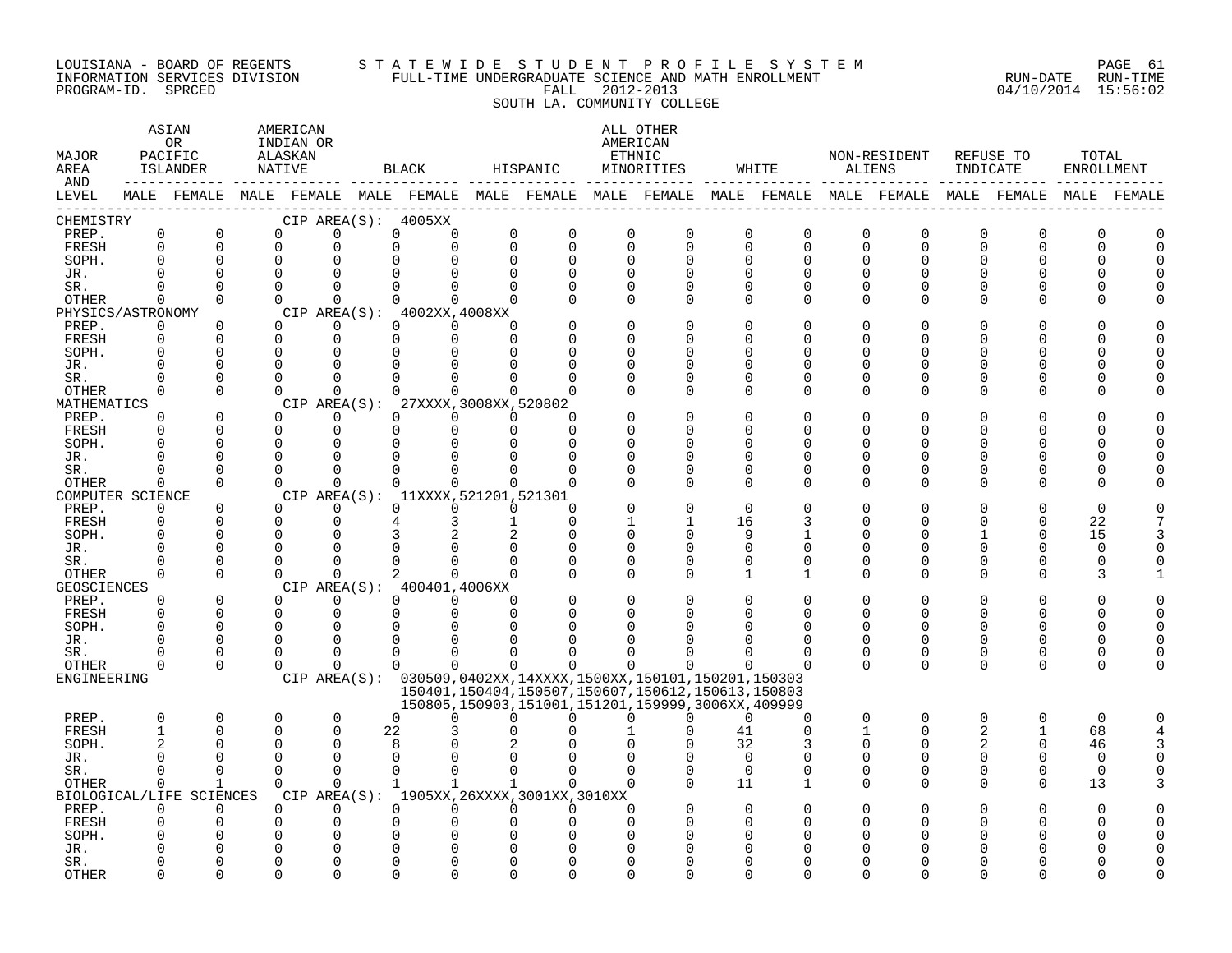#### LOUISIANA - BOARD OF REGENTS STA TE WID E STUDE N TP R O FILE SYSTEM PAGE 61 INFORMATION SERVICES DIVISION FULL-TIME UNDERGRADUATE SCIENCE AND MATH ENROLLMENT RUN-DATE RUN-TIME PROGRAM-ID. SPRCED FALL 2012-2013 04/10/2014 15:56:02 SOUTH LA. COMMUNITY COLLEGE

#### ASTAN AMERICAN ANG ANG ANG ASTANG ANG ASTANG ALL OTHER OR INDIAN OR **INDIAN OR** AMERICAN MAJOR PACIFIC ALASKAN ETHNIC NON-RESIDENT REFUSE TO TOTAL AREA ISLANDER NATIVE BLACK HISPANIC MINORITIES WHITE ALIENS INDICATE ENROLLMENT AND ------------ ------------- ------------- ------------- ------------- ------------- ------------- ------------- ------------- LEVEL MALE FEMALE MALE FEMALE MALE FEMALE MALE FEMALE MALE FEMALE MALE FEMALE MALE FEMALE MALE FEMALE MALE FEMALE ------------------------------------------------------------------------------------------------------------------------------------ CHEMISTRY CIP AREA(S): 4005XX PREP. 0 0 0 0 0 0 0 0 0 0 0 0 0 0 0 0 0 0 FRESH 0 0 0 0 0 0 0 0 0 0 0 0 0 0 0 0 0 0 SOPH. 0 0 0 0 0 0 0 0 0 0 0 0 0 0 0 0 0 0 JR. 0 0 0 0 0 0 0 0 0 0 0 0 0 0 0 0 0 0 SR. 0 0 0 0 0 0 0 0 0 0 0 0 0 0 0 0 0 0 OTHER 0 0 0 0 0 0 0 0 0 0 0 0 0 0 0 0 0 0 PHYSICS/ASTRONOMY CIP AREA(S): 4002XX,4008XX<br>
PREP. 0 0 0 0 0 0 0 PREP. 0 0 0 0 0 0 0 0 0 0 0 0 0 0 0 0 0 0 FRESH 0 0 0 0 0 0 0 0 0 0 0 0 0 0 0 0 0 0 SOPH. 0 0 0 0 0 0 0 0 0 0 0 0 0 0 0 0 0 0 JR. 0 0 0 0 0 0 0 0 0 0 0 0 0 0 0 0 0 0 SR. 0 0 0 0 0 0 0 0 0 0 0 0 0 0 0 0 0 0 OTHER 0 0 0 0 0 0 0 0 0 0 0 0 0 0 0 0 0 0 MATHEMATICS CIP AREA(S): 27XXXX,3008XX,520802<br>
PREP. 0 0 0 0 0 0 0 PREP. 0 0 0 0 0 0 0 0 0 0 0 0 0 0 0 0 0 0 FRESH 0 0 0 0 0 0 0 0 0 0 0 0 0 0 0 0 0 0 SOPH. 0 0 0 0 0 0 0 0 0 0 0 0 0 0 0 0 0 0 JR. 0 0 0 0 0 0 0 0 0 0 0 0 0 0 0 0 0 0 SR. 0 0 0 0 0 0 0 0 0 0 0 0 0 0 0 0 0 0 OTHER 0 0 0 0 0 0 0 0 0 0 0 0 0 0 0 0 0 0 COMPUTER SCIENCE CIP AREA(S): 11XXXX,521201,521301<br>
PREP. 0 0 0 0 0 0 0 PREP. 0 0 0 0 0 0 0 0 0 0 0 0 0 0 0 0 0 0 FRESH 0 0 0 0 4 3 1 0 1 1 16 3 0 0 0 0 22 7 SOPH. 0 0 0 0 3 2 2 0 0 0 9 1 0 0 1 0 15 3 JR. 0 0 0 0 0 0 0 0 0 0 0 0 0 0 0 0 0 0 SR. 0 0 0 0 0 0 0 0 0 0 0 0 0 0 0 0 0 0 OTHER 0 0 0 0 2 0 0 0 0 0 1 1 0 0 0 0 3 1 GEOSCIENCES CIPAREA(S): 400401,4006XX<br>
PREP. 0 0 0 0 0 0 PREP. 0 0 0 0 0 0 0 0 0 0 0 0 0 0 0 0 0 0 FRESH 0 0 0 0 0 0 0 0 0 0 0 0 0 0 0 0 0 0 SOPH. 0 0 0 0 0 0 0 0 0 0 0 0 0 0 0 0 0 0 JR. 0 0 0 0 0 0 0 0 0 0 0 0 0 0 0 0 0 0 SR. 0 0 0 0 0 0 0 0 0 0 0 0 0 0 0 0 0 0 OTHER 0 0 0 0 0 0 0 0 0 0 0 0 0 0 0 0 0 0 ENGINEERING CIP AREA(S): 030509,0402XX,14XXXX,1500XX,150101,150201,150303 150401,150404,150507,150607,150612,150613,150803 150805,150903,151001,151201,159999,3006XX,409999 PREP. 0 0 0 0 0 0 0 0 0 0 0 0 0 0 0 0 0 0 FRESH 1 0 0 0 22 3 0 0 1 0 41 0 1 0 2 1 68 4 SOPH. 2 0 0 0 8 0 2 0 0 0 32 3 0 0 2 0 46 3 JR. 0 0 0 0 0 0 0 0 0 0 0 0 0 0 0 0 0 0 SR. 0 0 0 0 0 0 0 0 0 0 0 0 0 0 0 0 0 0 OTHER 0 1 0 0 1 1 1 0 0 0 11 1 0 0 0 0 13 3 BIOLOGICAL/LIFE SCIENCES CIP AREA(S): 1905XX,26XXXX,3001XX,3010XX PREP. 0 0 0 0 0 0 0 0 0 0 0 0 0 0 0 0 0 0 FRESH 0 0 0 0 0 0 0 0 0 0 0 0 0 0 0 0 0 0 SOPH. 0 0 0 0 0 0 0 0 0 0 0 0 0 0 0 0 0 0 JR. 0 0 0 0 0 0 0 0 0 0 0 0 0 0 0 0 0 0 SR. 0 0 0 0 0 0 0 0 0 0 0 0 0 0 0 0 0 0

OTHER 0 0 0 0 0 0 0 0 0 0 0 0 0 0 0 0 0 0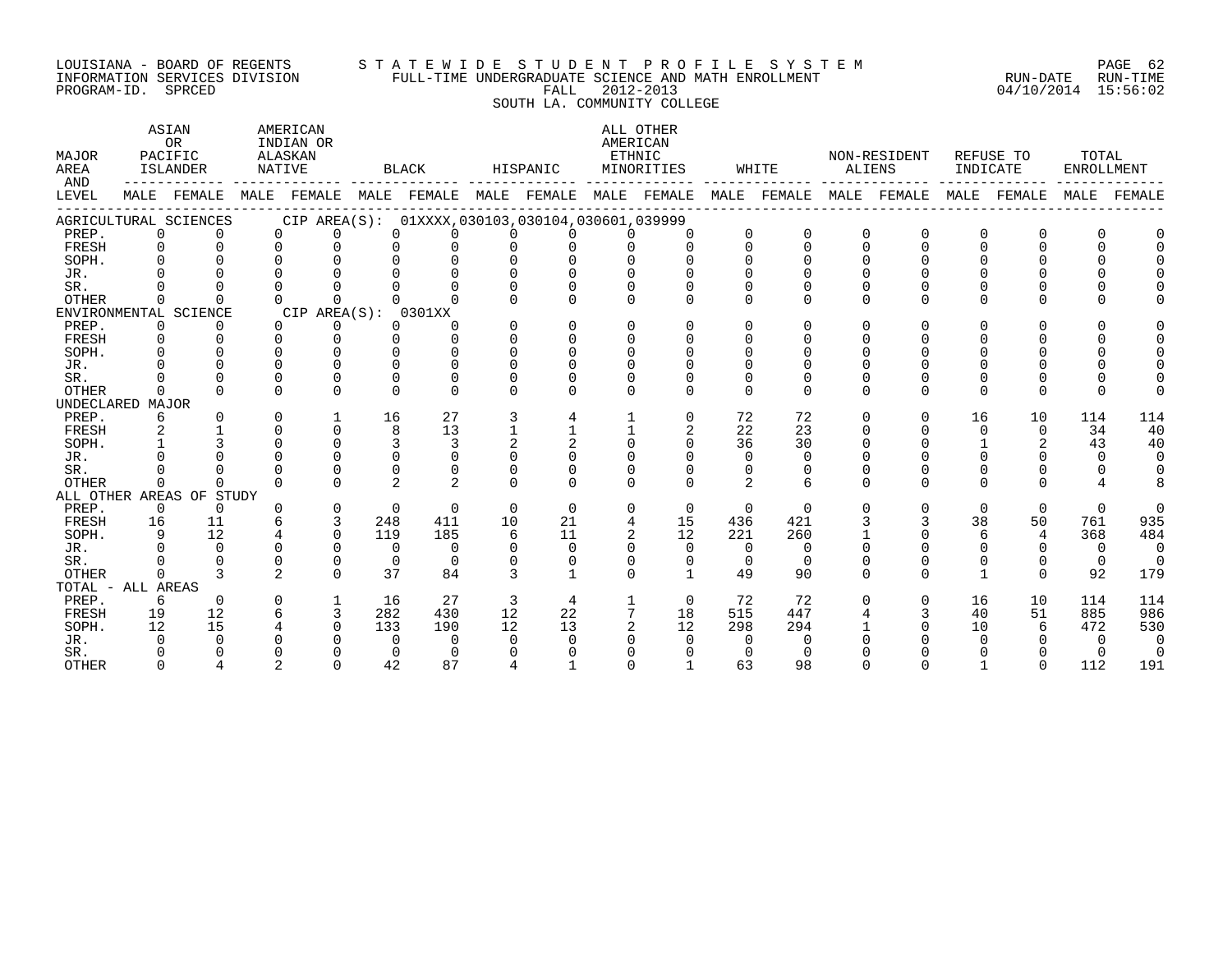#### LOUISIANA - BOARD OF REGENTS S T A T E W I D E S T U D E N T P R O F I L E S Y S T E M PAGE 62 INFORMATION SERVICES DIVISION FULL-TIME UNDERGRADUATE SCIENCE AND MATH ENROLLMENT RUN-DATE RUN-TIME PROGRAM-ID. SPRCED FALL 2012-2013 04/10/2014 15:56:02

SOUTH LA. COMMUNITY COLLEGE

| MAJOR<br>AREA     | <b>ASIAN</b><br>AMERICAN<br><b>OR</b><br>INDIAN OR<br>PACIFIC<br>ALASKAN<br>ISLANDER<br>NATIVE<br>AND<br>MALE FEMALE |                          |              |                     |                | BLACK    |          | HISPANIC                                            |              | ALL OTHER<br>AMERICAN<br>ETHNIC<br>MINORITIES |               | WHITE                   | ALIENS       | NON-RESIDENT | INDICATE     | REFUSE TO   | TOTAL<br>ENROLLMENT |          |
|-------------------|----------------------------------------------------------------------------------------------------------------------|--------------------------|--------------|---------------------|----------------|----------|----------|-----------------------------------------------------|--------------|-----------------------------------------------|---------------|-------------------------|--------------|--------------|--------------|-------------|---------------------|----------|
| LEVEL             |                                                                                                                      |                          |              |                     |                |          |          | MALE FEMALE MALE FEMALE MALE FEMALE MALE FEMALE     |              |                                               |               | MALE FEMALE MALE FEMALE |              |              |              | MALE FEMALE | MALE                | FEMALE   |
|                   |                                                                                                                      | AGRICULTURAL SCIENCES    |              |                     |                |          |          | CIP AREA(S): 01XXXX, 030103, 030104, 030601, 039999 |              |                                               |               |                         |              |              |              |             |                     |          |
| PREP.             | $\Omega$                                                                                                             | $\Omega$                 | $\Omega$     | $\Omega$            | $\Omega$       | $\Omega$ |          | $\Omega$                                            | $\Omega$     | $\Omega$                                      | $\Omega$      | $\Omega$                | $\Omega$     | $\Omega$     | 0            | $\Omega$    |                     |          |
| FRESH             | $\Omega$                                                                                                             | $\Omega$                 | $\Omega$     | $\Omega$            | $\Omega$       | $\Omega$ | $\Omega$ | $\Omega$                                            | $\Omega$     | $\Omega$                                      | $\Omega$      | $\Omega$                | $\Omega$     | $\Omega$     | $\Omega$     | $\Omega$    |                     |          |
| SOPH.             | $\Omega$                                                                                                             |                          | $\Omega$     | $\Omega$            | $\Omega$       | 0        |          |                                                     |              |                                               |               |                         |              |              |              |             |                     |          |
| JR.               |                                                                                                                      |                          |              |                     |                |          |          |                                                     |              |                                               |               |                         |              |              |              |             |                     |          |
| SR.               |                                                                                                                      |                          |              |                     |                |          |          |                                                     |              |                                               |               |                         |              |              |              |             |                     |          |
| <b>OTHER</b>      | $\Omega$                                                                                                             |                          | <sup>n</sup> | $\Omega$            |                |          |          |                                                     | $\cap$       | <sup>n</sup>                                  | $\Omega$      | $\cap$                  | $\cap$       | U            | <sup>n</sup> | $\cap$      |                     |          |
|                   |                                                                                                                      | ENVIRONMENTAL SCIENCE    |              | CIP AREA(S): 0301XX |                |          |          |                                                     |              |                                               |               |                         |              |              |              |             |                     |          |
| PREP.             | $\mathbf 0$                                                                                                          | $\Omega$                 | $\Omega$     | 0                   | $\Omega$       | $\Omega$ |          | $\Omega$                                            | $\Omega$     | $\Omega$                                      | $\Omega$      | $\Omega$                | $\Omega$     | U            | 0            | $\Omega$    |                     |          |
| FRESH             | $\Omega$                                                                                                             | $\Omega$                 | $\Omega$     | $\Omega$            | $\Omega$       | $\cap$   | $\Omega$ | $\Omega$                                            | $\cap$       | $\Omega$                                      | $\cap$        |                         |              |              | U            |             |                     |          |
| SOPH.             | $\cap$                                                                                                               |                          | $\cap$       | $\Omega$            | 0              | $\cap$   |          | $\Omega$                                            | $\Omega$     | $\cap$                                        | $\Omega$      |                         |              |              |              |             |                     |          |
| JR.               |                                                                                                                      |                          | $\cap$       | $\cap$              | $\cap$         | $\cap$   |          |                                                     |              |                                               |               |                         |              |              |              |             |                     |          |
| SR.               |                                                                                                                      |                          |              | $\Omega$            | $\Omega$       | $\Omega$ |          |                                                     |              |                                               | $\Omega$      |                         |              |              | 0            |             |                     |          |
| <b>OTHER</b>      | $\cap$                                                                                                               |                          | $\cap$       | $\Omega$            | $\Omega$       | $\cap$   | $\cap$   |                                                     | $\cap$       | $\Omega$                                      | $\Omega$      | $\Omega$                | $\Omega$     | $\Omega$     | $\Omega$     | $\Omega$    |                     |          |
| UNDECLARED MAJOR  |                                                                                                                      |                          |              |                     |                |          |          |                                                     |              |                                               |               |                         |              |              |              |             |                     |          |
| PREP.             | 6                                                                                                                    | $\Omega$                 | $\Omega$     | $\mathbf{1}$        | 16             | 27       | 3        | 4                                                   | 1            | $\Omega$                                      | 72            | 72                      | $\Omega$     | $\Omega$     | 16           | 10          | 114                 | 114      |
| FRESH             | 2                                                                                                                    |                          | $\Omega$     | $\Omega$            | 8              | 13       |          |                                                     |              | 2                                             | 22            | 23                      | $\Omega$     | U            | $\Omega$     | $\Omega$    | 34                  | 40       |
| SOPH.             |                                                                                                                      |                          | $\Omega$     | $\Omega$            | 3              | 3        |          |                                                     | $\Omega$     | $\Omega$                                      | 36            | 30                      |              | 0            |              | 2           | 43                  | 40       |
| JR.               |                                                                                                                      |                          | $\cap$       | $\Omega$            | $\Omega$       | $\cap$   |          |                                                     |              |                                               | $\Omega$      | $\Omega$                |              |              |              |             | $\Omega$            | $\Omega$ |
| SR.               |                                                                                                                      |                          | $\cap$       | U                   | $\Omega$       | $\Omega$ |          |                                                     | $\Omega$     |                                               | 0             |                         |              |              | 0            | 0           |                     |          |
| <b>OTHER</b>      | $\Omega$                                                                                                             | $\cap$                   | $\cap$       | $\cap$              | $\mathfrak{D}$ | 2        |          | $\cap$                                              | $\cap$       | $\Omega$                                      | $\mathcal{L}$ | $\epsilon$              | $\cap$       | $\Omega$     | $\cap$       | $\cap$      |                     |          |
|                   |                                                                                                                      | ALL OTHER AREAS OF STUDY |              |                     |                |          |          |                                                     |              |                                               |               |                         |              |              |              |             |                     |          |
| PREP.             | $\overline{0}$                                                                                                       | $\Omega$                 | $\Omega$     | $\mathbf 0$         | $\Omega$       | $\Omega$ | $\Omega$ | $\Omega$                                            | $\Omega$     | $\Omega$                                      | $\mathbf{0}$  | $\Omega$                | $\Omega$     | $\Omega$     | $\Omega$     | $\mathbf 0$ | $\Omega$            | $\Omega$ |
| FRESH             | 16                                                                                                                   | 11                       | 6            | 3                   | 248            | 411      | 10       | 21                                                  | 4            | 15                                            | 436           | 421                     |              |              | 38           | 50          | 761                 | 935      |
| SOPH.             | 9                                                                                                                    | 12                       |              | $\Omega$            | 119            | 185      | 6        | 11                                                  |              | 12                                            | 221           | 260                     |              | U            | 6            | 4           | 368                 | 484      |
| JR.               |                                                                                                                      | $\Omega$                 | $\Omega$     | $\Omega$            | $\Omega$       | $\Omega$ |          | $\Omega$                                            |              | $\Omega$                                      | $\Omega$      | $\Omega$                |              |              | 0            | $\Omega$    | $\Omega$            | $\Omega$ |
| SR.               |                                                                                                                      |                          | $\Omega$     | $\Omega$            | $\Omega$       | $\Omega$ |          | $\Omega$                                            | $\Omega$     | $\Omega$                                      | $\Omega$      | $\Omega$                |              |              | 0            | 0           | $\Omega$            | $\Omega$ |
| <b>OTHER</b>      | $\cap$                                                                                                               | 3                        | 2            | $\cap$              | 37             | 84       | 3        | $\mathbf{1}$                                        | $\Omega$     | $\mathbf{1}$                                  | 49            | 90                      | $\Omega$     | U            | $\mathbf{1}$ | $\Omega$    | 92                  | 179      |
| TOTAL - ALL AREAS |                                                                                                                      |                          |              |                     |                |          |          |                                                     |              |                                               |               |                         |              |              |              |             |                     |          |
| PREP.             | 6                                                                                                                    | $\Omega$                 | $\Omega$     | $\mathbf{1}$        | 16             | 27       | 3        | 4                                                   | $\mathbf{1}$ | $\Omega$                                      | 72            | 72                      | <sup>n</sup> | $\Omega$     | 16           | 10          | 114                 | 114      |
| FRESH             | 19                                                                                                                   | 12                       | 6            | 3                   | 282            | 430      | 12       | 22                                                  | 7            | 18                                            | 515           | 447                     |              | 3            | 40           | 51          | 885                 | 986      |
| SOPH.             | 12                                                                                                                   | 15                       |              | $\Omega$            | 133            | 190      | 12       | 13                                                  | 2            | 12                                            | 298           | 294                     |              |              | 10           | 6           | 472                 | 530      |
| JR.               | $\Omega$                                                                                                             | $\Omega$                 |              |                     | $\Omega$       | $\Omega$ |          |                                                     |              | 0                                             | $\Omega$      | <sup>n</sup>            |              |              |              |             | $\Omega$            | $\Omega$ |
| SR.               |                                                                                                                      |                          |              |                     | $\Omega$       | $\Omega$ |          |                                                     |              |                                               | $\cap$        | ∩                       |              |              |              |             |                     | $\Omega$ |
| <b>OTHER</b>      | $\cap$                                                                                                               |                          | ⌒            | $\cap$              | 42             | 87       |          |                                                     |              |                                               | 63            | 98                      |              |              |              | $\cap$      | 112                 | 191      |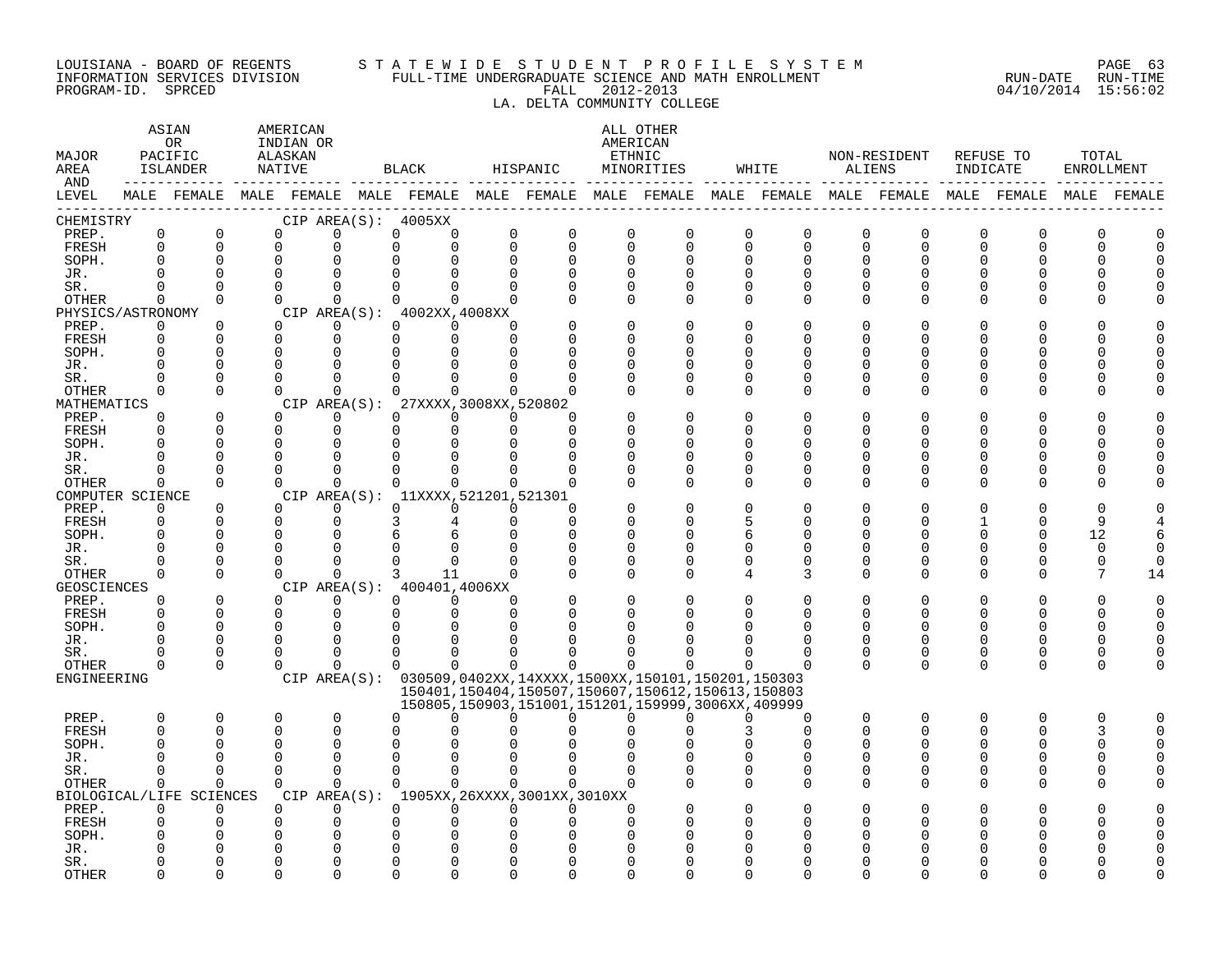#### LOUISIANA - BOARD OF REGENTS S T A T E W I D E S T U D E N T P R O F I L E S Y S T E M PAGE 63 INFORMATION SERVICES DIVISION FULL-TIME UNDERGRADUATE SCIENCE AND MATH ENROLLMENT RUN-DATE RUN-TIME PROGRAM-ID. SPRCED FALL 2012-2013 04/10/2014 15:56:02

### LA. DELTA COMMUNITY COLLEGE

| MAJOR<br>AREA<br>AND |                         | ASIAN<br>0R<br>PACIFIC<br>ISLANDER<br>____________ | AMERICAN<br>INDIAN OR<br>ALASKAN<br>NATIVE |                      | BLACK                                 |                      | HISPANIC                                                                                                    |                         | ALL OTHER<br>AMERICAN<br>ETHNIC<br>MINORITIES |               | WHITE                   |               | NON-RESIDENT<br>ALIENS | INDICATE                | REFUSE TO     | TOTAL<br><b>ENROLLMENT</b> |             |
|----------------------|-------------------------|----------------------------------------------------|--------------------------------------------|----------------------|---------------------------------------|----------------------|-------------------------------------------------------------------------------------------------------------|-------------------------|-----------------------------------------------|---------------|-------------------------|---------------|------------------------|-------------------------|---------------|----------------------------|-------------|
| LEVEL                |                         |                                                    |                                            |                      |                                       |                      | MALE FEMALE MALE FEMALE MALE FEMALE MALE FEMALE MALE FEMALE MALE FEMALE MALE FEMALE MALE FEMALE MALE FEMALE |                         |                                               |               |                         |               |                        |                         |               |                            |             |
| CHEMISTRY            |                         |                                                    |                                            |                      | CIP AREA(S): 4005XX                   |                      |                                                                                                             |                         |                                               |               |                         |               |                        |                         |               |                            |             |
| PREP.<br>FRESH       | $\mathbf 0$<br>$\Omega$ | $\mathbf 0$<br>$\Omega$                            | $\Omega$<br>$\Omega$                       | $\Omega$<br>$\Omega$ | 0<br>0<br>$\Omega$<br>0               | $\mathbf 0$          | $\mathbf 0$<br>$\Omega$<br>$\Omega$                                                                         | $\mathbf 0$<br>$\Omega$ | 0<br>$\Omega$                                 | 0<br>$\Omega$ | $\mathbf 0$<br>$\Omega$ | 0<br>$\Omega$ | 0<br>$\Omega$          | $\mathbf 0$<br>$\Omega$ | $\Omega$<br>∩ | 0                          | C<br>$\cap$ |
| SOPH.                | 0                       | $\mathbf 0$                                        | $\mathbf 0$                                |                      | 0                                     |                      | $\Omega$<br>$\Omega$                                                                                        | $\Omega$                | $\Omega$                                      | $\Omega$      | $\Omega$                | <sup>0</sup>  | 0                      | U                       | O             |                            |             |
| JR.                  |                         |                                                    | $\Omega$                                   |                      | $\cap$<br>$\Omega$                    | $\Omega$             | $\Omega$                                                                                                    |                         | $\Omega$                                      |               | $\Omega$                | ∩             | ∩                      |                         |               |                            |             |
| SR.                  | $\Omega$                | $\Omega$                                           | $\Omega$                                   | $\Omega$             | $\Omega$<br>$\Omega$                  |                      | $\Omega$<br>$\Omega$                                                                                        | $\Omega$                | $\Omega$                                      | $\Omega$      | $\Omega$                | $\Omega$      | 0                      |                         | ∩             |                            |             |
| OTHER                | $\Omega$                | $\Omega$                                           | $\Omega$                                   | $\Omega$             | $\Omega$<br>$\Omega$                  |                      |                                                                                                             | $\Omega$                | $\Omega$                                      | $\Omega$      | $\Omega$                | $\Omega$      | $\Omega$               |                         | ∩             |                            |             |
| PHYSICS/ASTRONOMY    |                         |                                                    |                                            |                      | CIP AREA(S): 4002XX, 4008XX           |                      |                                                                                                             |                         |                                               |               |                         |               |                        |                         |               |                            |             |
| PREP.                | $\Omega$                | $\Omega$                                           | $\Omega$                                   | $\Omega$             | $\Omega$<br>$\Omega$                  | $\Omega$             |                                                                                                             | $\Omega$                | $\Omega$                                      | $\cap$        | $\Omega$                | O             | 0                      |                         |               |                            |             |
| FRESH                | $\Omega$                | $\Omega$                                           | $\Omega$                                   | $\Omega$             | 0<br>$\Omega$                         | $\Omega$             |                                                                                                             |                         | O                                             |               | $\Omega$                | U             | 0                      |                         |               |                            |             |
| SOPH.                |                         | $\Omega$                                           | $\Omega$                                   | $\Omega$             | $\Omega$<br>0                         | <sup>n</sup>         |                                                                                                             | U                       | $\cap$                                        |               | ∩                       | U             | U                      |                         |               |                            |             |
| JR.                  |                         |                                                    |                                            | $\Omega$             | $\Omega$<br>$\Omega$                  |                      |                                                                                                             |                         | $\Omega$                                      |               | ∩                       |               | U                      |                         |               |                            |             |
| SR.                  |                         | $\mathbf 0$                                        | $\cap$                                     | ∩                    | $\Omega$<br>0                         | <sup>n</sup>         |                                                                                                             |                         | $\Omega$                                      | O             | $\Omega$                | <sup>0</sup>  | 0                      |                         | O             |                            |             |
| <b>OTHER</b>         | $\Omega$                | $\Omega$                                           | $\Omega$                                   | $\cap$               | $\cap$<br>$\cap$                      |                      | $\cap$                                                                                                      |                         | $\Omega$                                      | $\Omega$      | $\Omega$                | $\Omega$      | 0                      |                         | ∩             |                            |             |
| MATHEMATICS          |                         |                                                    |                                            |                      | CIP AREA(S): 27XXXX.3008XX.520802     |                      | ∩                                                                                                           |                         | $\Omega$                                      |               | $\Omega$                | O             | O                      |                         |               |                            |             |
| PREP.<br>FRESH       | 0                       | $\mathbf 0$<br>$\Omega$                            | $\Omega$<br>$\Omega$                       | $\Omega$<br>$\Omega$ | 0<br>$\Omega$<br>$\Omega$<br>$\Omega$ | $\Omega$<br>$\Omega$ | $\cap$                                                                                                      |                         | $\Omega$                                      |               | ∩                       | U             | U                      |                         |               |                            |             |
| SOPH.                |                         | $\Omega$                                           | $\Omega$                                   | ∩                    | $\Omega$<br>0                         | <sup>n</sup>         | ∩                                                                                                           |                         | $\cap$                                        |               | ∩                       | U             | U                      |                         |               |                            |             |
| JR.                  | U                       | $\Omega$                                           | $\Omega$                                   | 0                    | 0<br>0                                |                      | ∩                                                                                                           | ∩                       | 0                                             | ∩             | 0                       | ∩             | U                      |                         | ∩             |                            |             |
| SR.                  | U                       | $\Omega$                                           | $\Omega$                                   | $\Omega$             | 0<br>0                                | $\Omega$             | ∩                                                                                                           |                         | $\Omega$                                      | $\Omega$      | $\Omega$                | $\Omega$      | 0                      | U                       | O             |                            |             |
| OTHER                | $\Omega$                | $\Omega$                                           | $\Omega$                                   | $\Omega$             | $\Omega$<br>$\mathsf 0$               |                      | $\Omega$<br>$\Omega$                                                                                        | ∩                       | $\Omega$                                      | $\Omega$      | $\Omega$                | $\Omega$      | $\Omega$               | U                       | O             |                            |             |
| COMPUTER SCIENCE     |                         |                                                    |                                            |                      | CIP AREA(S): 11XXXX, 521201, 521301   |                      |                                                                                                             |                         |                                               |               |                         |               |                        |                         |               |                            |             |
| PREP.                | $\Omega$                | $\Omega$                                           |                                            | $\Omega$             | 0<br>$\Omega$                         |                      | $\Omega$<br>∩                                                                                               |                         | $\Omega$                                      | ∩             | n                       |               |                        |                         |               |                            |             |
| FRESH                | 0                       | $\mathbf 0$                                        | $\Omega$                                   | $\mathbf{0}$         | 3<br>4                                |                      | $\Omega$<br>$\Omega$                                                                                        |                         | O                                             | 5             | O                       | <sup>0</sup>  | O                      |                         | O             | q                          |             |
| SOPH.                |                         | $\Omega$                                           | $\Omega$                                   | $\Omega$             | 6<br>б                                | $\Omega$             | $\Omega$                                                                                                    |                         | $\Omega$                                      | 6             | ∩                       | $\cap$        | $\Omega$               |                         | $\Omega$      | 12                         |             |
| JR.                  |                         | $\Omega$                                           | n                                          | $\Omega$             | $\Omega$<br>$\Omega$                  | $\Omega$             | $\Omega$                                                                                                    | $\Omega$                | $\Omega$                                      | $\Omega$      | $\Omega$                | <sup>0</sup>  | 0                      |                         |               | $\Omega$                   |             |
| SR.                  |                         | $\Omega$                                           | $\Omega$                                   | $\Omega$             | 0<br>0                                |                      |                                                                                                             | 0                       | $\Omega$                                      |               | $\Omega$                | O             | 0                      |                         |               | $\Omega$                   |             |
| <b>OTHER</b>         | $\Omega$                | $\Omega$                                           | $\Omega$                                   | $\cap$               | 3<br>11                               |                      | $\Omega$                                                                                                    | $\Omega$                | $\Omega$                                      | 4             | 3                       | $\Omega$      | $\Omega$               | ∩                       | ∩             | 7                          | 14          |
| GEOSCIENCES          |                         |                                                    |                                            |                      | CIP AREA(S): 400401,4006XX            |                      |                                                                                                             |                         |                                               |               |                         |               |                        |                         |               |                            |             |
| PREP.                | 0<br>$\Omega$           | 0<br>$\Omega$                                      | $\Omega$<br>$\Omega$                       | 0<br>$\Omega$        | 0<br>$\Omega$<br>$\Omega$<br>$\Omega$ | $\Omega$             | $\Omega$<br>$\Omega$                                                                                        | $\Omega$                | 0<br>U                                        |               | $\Omega$<br>$\Omega$    | $\Omega$      | O<br>0                 | U                       | $\Omega$      |                            |             |
| FRESH<br>SOPH.       |                         | $\Omega$                                           | $\Omega$                                   | $\Omega$             | $\Omega$<br>$\Omega$                  |                      |                                                                                                             |                         |                                               |               |                         |               | U                      |                         |               |                            |             |
| JR.                  | U                       | $\Omega$                                           | $\Omega$                                   | $\Omega$             | $\Omega$<br>$\Omega$                  | U                    |                                                                                                             |                         |                                               |               | ∩                       | U             | U                      | ∩                       | ∩             |                            |             |
| SR.                  |                         | $\Omega$                                           | $\cap$                                     | $\Omega$             | $\Omega$<br>$\Omega$                  | $\Omega$             |                                                                                                             |                         |                                               |               | $\Omega$                | $\Omega$      | 0                      | $\Omega$                | $\Omega$      |                            |             |
| <b>OTHER</b>         | 0                       | $\Omega$                                           | $\Omega$                                   | $\Omega$             | $\Omega$<br>$\Omega$                  |                      | $\Omega$<br>$\Omega$                                                                                        | 0                       | U                                             |               | ∩                       | $\Omega$      | $\Omega$               | $\Omega$                | $\Omega$      | U                          |             |
| ENGINEERING          |                         |                                                    |                                            |                      |                                       |                      | CIP AREA(S): 030509,0402XX,14XXXX,1500XX,150101,150201,150303                                               |                         |                                               |               |                         |               |                        |                         |               |                            |             |
|                      |                         |                                                    |                                            |                      |                                       |                      | 150401, 150404, 150507, 150607, 150612, 150613, 150803<br>150805,150903,151001,151201,159999,3006XX,409999  |                         |                                               |               |                         |               |                        |                         |               |                            |             |
| PREP.                | $\Omega$                | $\mathbf 0$                                        | $\Omega$                                   | $\Omega$             | 0<br>$\Omega$                         | U                    | $\Omega$                                                                                                    | <sup>n</sup>            | n                                             |               | ∩                       | $\Omega$      | $\Omega$               | $\Omega$                | ∩             | $\Omega$                   |             |
| FRESH                | $\Omega$                | $\Omega$                                           | $\Omega$                                   | $\Omega$             | $\Omega$                              |                      |                                                                                                             |                         |                                               |               | $\Omega$                | U             | 0                      |                         | ∩             |                            | n           |
| SOPH.                |                         | $\Omega$                                           | $\Omega$                                   | $\Omega$             | 0                                     |                      |                                                                                                             |                         |                                               |               |                         |               | O                      |                         | O             |                            |             |
| JR.                  |                         |                                                    |                                            | $\Omega$             | $\Omega$<br>$\Omega$                  |                      |                                                                                                             |                         |                                               |               | ∩                       | $\cap$        | $\Omega$               |                         |               |                            |             |
| SR.                  | $\Omega$                | $\Omega$                                           | $\Omega$                                   | $\Omega$             | $\Omega$<br>$\Omega$                  |                      | $\Omega$<br>$\Omega$                                                                                        | ∩                       | $\Omega$                                      | O             | $\Omega$                | <sup>0</sup>  | $\Omega$               |                         | O             |                            |             |
| <b>OTHER</b>         | 0                       | $\Omega$                                           | $\Omega$                                   | $\Omega$             | $\Omega$<br>0                         |                      | $\Omega$                                                                                                    | 0                       |                                               | $\Omega$      | $\Omega$                | $\Omega$      | $\Omega$               | ∩                       | ∩             |                            |             |
|                      |                         | BIOLOGICAL/LIFE SCIENCES                           |                                            |                      |                                       |                      | CIP AREA(S): 1905XX, 26XXXX, 3001XX, 3010XX                                                                 |                         |                                               |               |                         |               |                        |                         |               |                            |             |
| PREP.                | 0                       | 0                                                  | $\Omega$                                   | $\Omega$             | 0<br>$\Omega$                         |                      | $\Omega$<br>$\Omega$                                                                                        | 0                       |                                               |               | $\Omega$                |               | U                      |                         |               |                            |             |
| FRESH                |                         |                                                    |                                            | $\Omega$             | 0<br>0                                |                      |                                                                                                             | ∩                       |                                               |               |                         |               | O                      |                         |               |                            |             |
| SOPH.                |                         |                                                    |                                            |                      | 0<br>0                                |                      |                                                                                                             |                         |                                               |               |                         |               |                        |                         |               |                            |             |
| JR.                  |                         | $\cap$                                             |                                            | $\cap$               |                                       |                      |                                                                                                             |                         |                                               |               |                         |               |                        |                         |               |                            |             |
| SR.<br><b>OTHER</b>  |                         | $\Omega$                                           |                                            | $\cap$               | U<br>U<br>$\cap$<br>∩                 |                      |                                                                                                             | ∩                       | ∩<br>$\cap$                                   |               | ∩                       |               | ∩                      |                         |               |                            |             |
|                      |                         |                                                    |                                            |                      |                                       |                      |                                                                                                             |                         |                                               |               |                         |               |                        |                         |               |                            |             |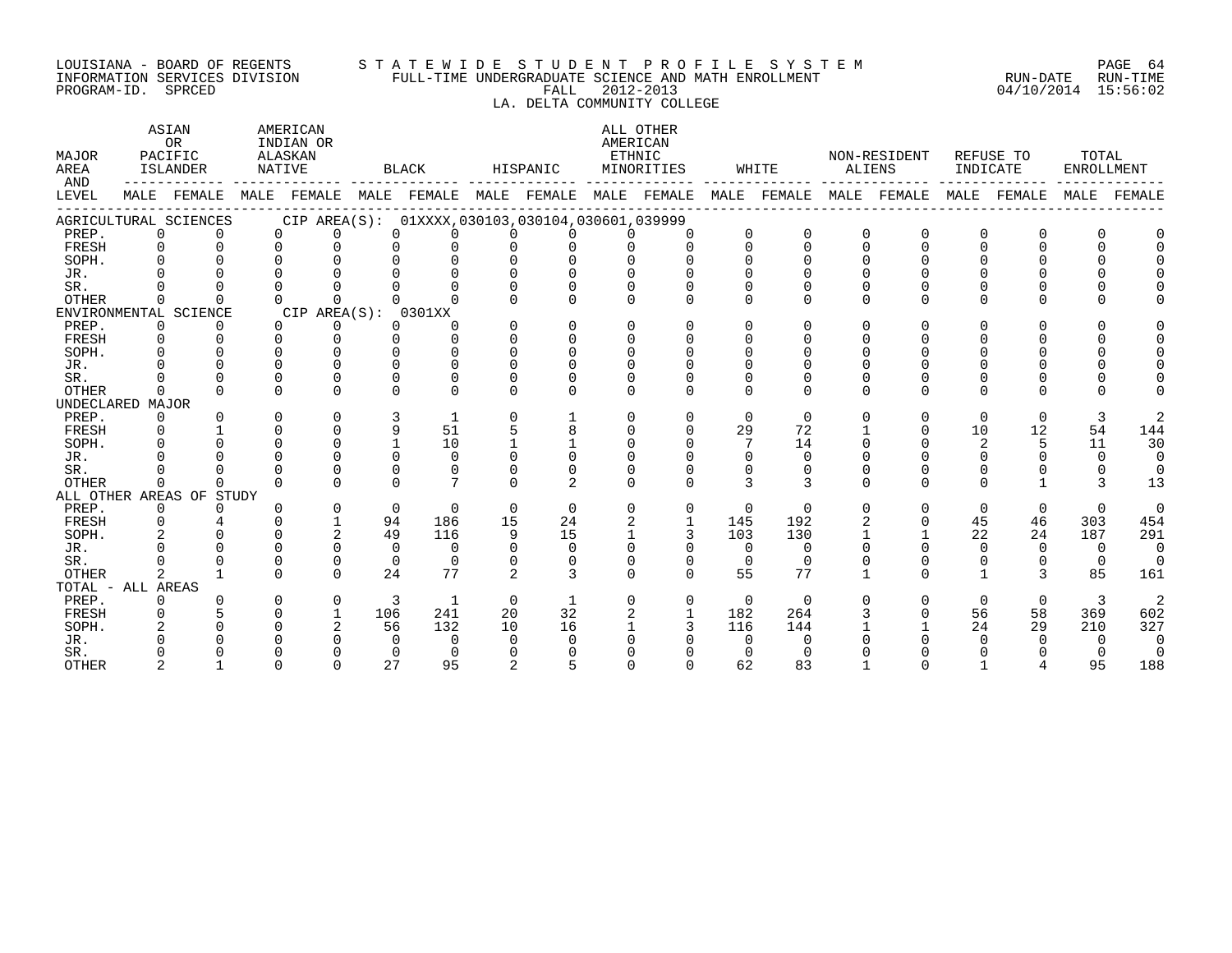#### LOUISIANA - BOARD OF REGENTS S T A T E W I D E S T U D E N T P R O F I L E S Y S T E M PAGE 64 INFORMATION SERVICES DIVISION FULL-TIME UNDERGRADUATE SCIENCE AND MATH ENROLLMENT RUN-DATE RUN-TIME PROGRAM-ID. SPRCED FALL 2012-2013 04/10/2014 15:56:02

### LA. DELTA COMMUNITY COLLEGE

| MAJOR<br>AREA<br>AND |             | ASIAN<br><b>OR</b><br>PACIFIC<br>ISLANDER                                                       | NATIVE   | AMERICAN<br>INDIAN OR<br>ALASKAN |          | BLACK                                           |                | HISPANIC       | ETHNIC       | ALL OTHER<br>AMERICAN<br>MINORITIES |          | WHITE       |              | NON-RESIDENT<br>ALIENS | INDICATE     | REFUSE TO    | TOTAL<br><b>ENROLLMENT</b> |                |
|----------------------|-------------|-------------------------------------------------------------------------------------------------|----------|----------------------------------|----------|-------------------------------------------------|----------------|----------------|--------------|-------------------------------------|----------|-------------|--------------|------------------------|--------------|--------------|----------------------------|----------------|
| LEVEL                |             | MALE FEMALE MALE FEMALE MALE FEMALE MALE FEMALE MALE FEMALE MALE FEMALE MALE FEMALE MALE FEMALE |          |                                  |          |                                                 |                |                |              |                                     |          |             |              |                        |              |              |                            | MALE FEMALE    |
|                      |             | AGRICULTURAL SCIENCES                                                                           |          |                                  |          | CIP AREA(S): 01XXXX,030103,030104,030601,039999 |                |                |              |                                     |          |             |              |                        |              |              |                            |                |
| PREP.                |             | $\mathbf{0}$                                                                                    | $\Omega$ | $\Omega$                         | $\Omega$ | $\Omega$                                        | <sup>n</sup>   | <sup>n</sup>   |              |                                     | $\Omega$ | $\mathbf 0$ | $\Omega$     | $\mathbf 0$            | $\Omega$     | $\Omega$     |                            |                |
| FRESH                |             | $\Omega$                                                                                        | $\Omega$ | $\Omega$                         | $\cap$   | $\Omega$                                        | U              | $\Omega$       |              | $\Omega$                            |          | $\Omega$    |              | $\cap$                 |              |              |                            |                |
| SOPH.                |             |                                                                                                 |          | $\cap$                           | $\cap$   | $\cap$                                          | $\cap$         | $\cap$         |              |                                     |          | $\cap$      |              |                        |              |              |                            |                |
| JR.                  |             |                                                                                                 |          |                                  |          |                                                 |                | $\cap$         |              |                                     |          |             |              |                        |              |              |                            |                |
| SR.                  |             |                                                                                                 | $\Omega$ |                                  |          | $\Omega$                                        | $\Omega$       | $\Omega$       |              | $\Omega$                            |          |             |              |                        |              |              |                            |                |
| <b>OTHER</b>         | $\Omega$    |                                                                                                 | $\cap$   | $\cap$                           | $\cap$   | $\Omega$                                        | $\Omega$       | $\Omega$       |              | $\Omega$                            |          | $\Omega$    |              | $\Omega$               |              |              |                            |                |
|                      |             | ENVIRONMENTAL SCIENCE                                                                           |          | CIP AREA(S): 0301XX              |          |                                                 |                |                |              |                                     |          |             |              |                        |              |              |                            |                |
| PREP.                |             | $\Omega$<br>$\Omega$                                                                            | $\Omega$ | $\Omega$                         | $\Omega$ | ∩                                               | $\Omega$       | $\Omega$       | $\Omega$     | $\Omega$                            | $\Omega$ | $\Omega$    |              | ∩                      |              |              |                            |                |
| FRESH                |             | $\Omega$                                                                                        | $\Omega$ | $\Omega$                         | $\Omega$ | $\Omega$                                        | $\Omega$       | $\Omega$       | $\Omega$     | $\Omega$                            |          | $\cap$      |              |                        |              |              |                            |                |
| SOPH.                |             |                                                                                                 |          |                                  |          | $\Omega$                                        | $\cap$         | $\Omega$       | $\cap$       | $\cap$                              |          | $\Omega$    |              |                        |              |              |                            |                |
| JR.                  |             |                                                                                                 |          |                                  |          | $\Omega$                                        |                | $\Omega$       |              |                                     |          |             |              |                        |              |              |                            |                |
| SR.                  |             |                                                                                                 |          |                                  |          |                                                 |                |                |              |                                     |          |             |              |                        |              |              |                            |                |
| <b>OTHER</b>         | $\Omega$    |                                                                                                 |          | $\cap$                           | $\cap$   | $\cap$                                          | U              | U              |              |                                     | $\cap$   | $\Omega$    | $\cap$       | ∩                      | <sup>n</sup> | $\cap$       |                            |                |
| UNDECLARED MAJOR     |             |                                                                                                 |          |                                  |          |                                                 |                |                |              |                                     |          |             |              |                        |              |              |                            |                |
| PREP.                |             | $\overline{0}$                                                                                  | $\Omega$ | $\Omega$                         | 3        |                                                 | $\Omega$       |                |              | 0                                   | $\Omega$ | $\Omega$    |              | $\mathbf 0$            | $\Omega$     | $\mathbf 0$  | 3                          |                |
| FRESH                |             |                                                                                                 |          | $\Omega$                         | 9        | 51                                              | 5              | 8              |              | $\Omega$                            | 29       | 72          |              | 0                      | 10           | 12           | 54                         | 144            |
| SOPH.                |             |                                                                                                 | $\cap$   | $\Omega$                         |          | 10                                              |                |                |              | $\Omega$                            |          | 14          |              | $\Omega$               | 2            | 5            | 11                         | 30             |
| JR.                  |             |                                                                                                 |          | $\cap$                           | $\cap$   | $\Omega$                                        | $\cap$         | $\cap$         |              |                                     | $\Omega$ | $\Omega$    |              |                        |              |              | $\cap$                     | $\Omega$       |
| SR.                  |             |                                                                                                 | $\cap$   | $\Omega$                         | $\Omega$ | $\Omega$                                        | U              | $\Omega$       |              |                                     | 0        | $\Omega$    |              |                        | 0            | 0            | $\Omega$                   | $\Omega$       |
| OTHER                | $\Omega$    | $\Omega$                                                                                        | $\Omega$ | $\Omega$                         | $\Omega$ | $7\phantom{.0}$                                 | $\Omega$       | $\mathfrak{D}$ |              | $\Omega$                            | 3        | 3           | $\Omega$     | $\Omega$               | 0            |              | 3                          | 13             |
|                      |             | ALL OTHER AREAS OF STUDY                                                                        |          |                                  |          |                                                 |                |                |              |                                     |          |             |              |                        |              |              |                            |                |
| PREP.                |             | $\Omega$<br>$\Omega$                                                                            |          | $\Omega$                         | $\Omega$ | $\Omega$                                        | $\Omega$       | $\Omega$       | $\Omega$     | 0                                   | $\Omega$ | $\Omega$    | $\Omega$     | $\Omega$               | $\Omega$     | $\Omega$     | $\Omega$                   | $\overline{0}$ |
| FRESH                | $\mathbf 0$ |                                                                                                 |          |                                  | 94       | 186                                             | 15             | 24             | 2            | $\mathbf{1}$                        | 145      | 192         |              | $\Omega$               | 45           | 46           | 303                        | 454            |
| SOPH.                |             | 2                                                                                               | $\Omega$ | 2                                | 49       | 116                                             | 9              | 15             | $\mathbf{1}$ | 3                                   | 103      | 130         | $\mathbf{1}$ | $\mathbf{1}$           | 22           | 24           | 187                        | 291            |
| JR.                  |             |                                                                                                 |          |                                  | $\Omega$ | $\Omega$                                        | $\Omega$       | $\Omega$       |              | $\Omega$                            | $\Omega$ | $\Omega$    |              | 0                      | $\Omega$     | $\Omega$     | $\Omega$                   | $\overline{0}$ |
| SR.                  |             |                                                                                                 |          | $\Omega$                         | $\Omega$ | $\Omega$                                        | $\Omega$       | $\Omega$       | $\cap$       | $\Omega$                            | $\Omega$ | $\Omega$    | $\Omega$     |                        | 0            | $\Omega$     | $\overline{0}$             | $\bigcap$      |
| <b>OTHER</b>         |             | $\overline{2}$                                                                                  | $\cap$   | $\cap$                           | 24       | 77                                              | $\overline{a}$ | 3              |              | $\cap$                              | 55       | 77          |              | $\cap$                 |              | $\mathbf{3}$ | 85                         | 161            |
| TOTAL - ALL AREAS    |             |                                                                                                 |          |                                  |          |                                                 |                |                |              |                                     |          |             |              |                        |              |              |                            |                |
| PREP.                |             | $\Omega$                                                                                        | $\Omega$ | $\mathbf 0$                      | 3        | <sup>1</sup>                                    | $\Omega$       |                | $\Omega$     | 0                                   | $\Omega$ | $\Omega$    |              | $\Omega$               | $\Omega$     | $\Omega$     | $\mathbf{3}$               | 2              |
| FRESH                |             |                                                                                                 |          |                                  | 106      | 241                                             | 20             | 32             | 2            |                                     | 182      | 264         |              | 0                      | 56           | 58           | 369                        | 602            |
| SOPH.                |             |                                                                                                 |          |                                  | 56       | 132                                             | 10             | 16             |              | 3                                   | 116      | 144         |              |                        | 24           | 29           | 210                        | 327            |
| JR.                  |             |                                                                                                 |          |                                  | $\Omega$ | $\Omega$                                        | <sup>n</sup>   | $\Omega$       |              |                                     | $\cap$   | $\cap$      |              |                        |              | $\cap$       | <sup>n</sup>               | $\Omega$       |
| SR.                  |             |                                                                                                 |          |                                  | $\cap$   | $\Omega$                                        | <sup>n</sup>   |                |              |                                     |          |             |              |                        |              |              |                            | $\overline{0}$ |
| <b>OTHER</b>         |             |                                                                                                 |          | $\cap$                           | 2.7      | 95                                              | $\mathfrak{D}$ | 5              |              |                                     | 62       | 83          |              |                        |              |              | 95                         | 188            |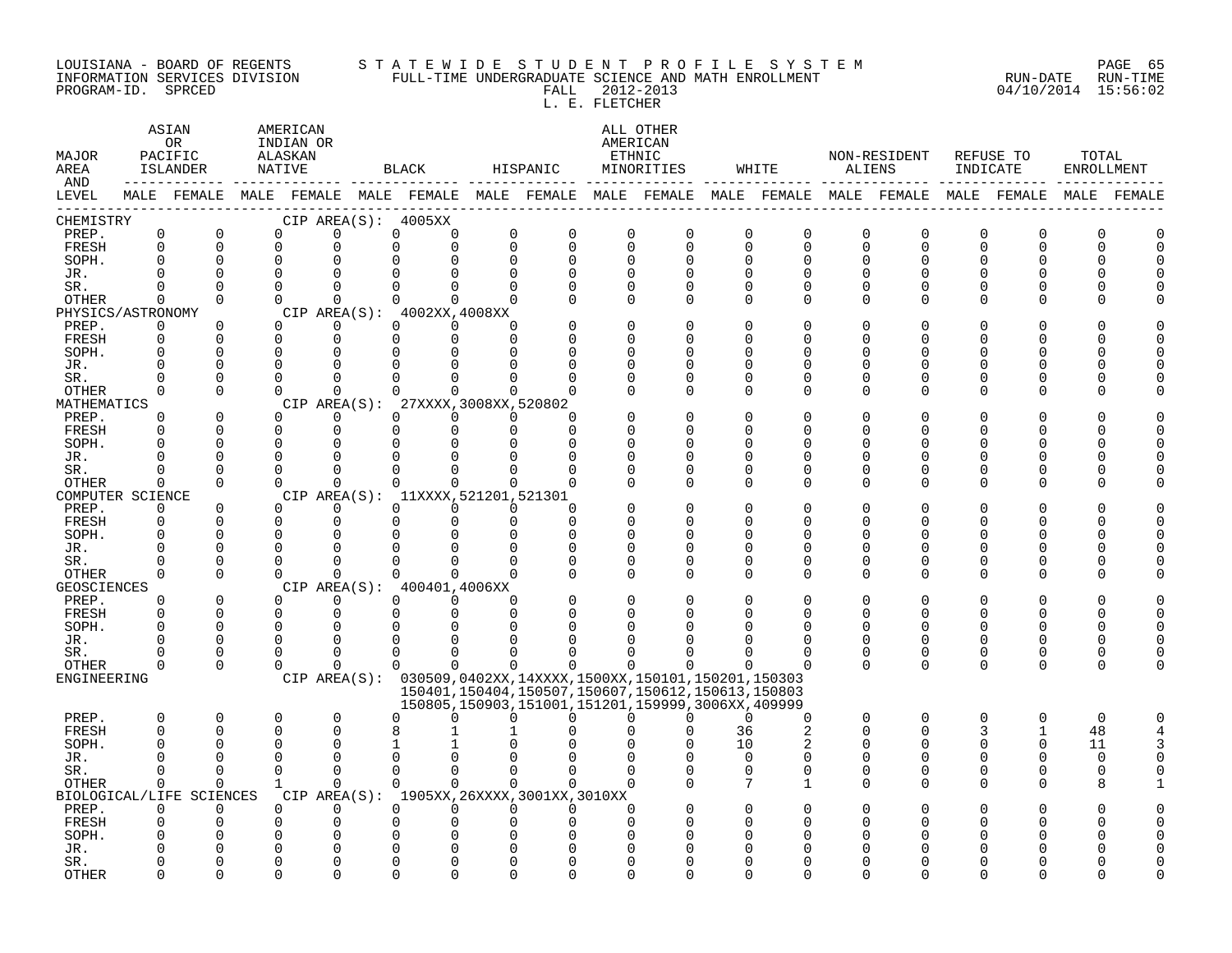#### LOUISIANA - BOARD OF REGENTS S T A T E W I D E S T U D E N T P R O F I L E S Y S T E M PAGE 65 INFORMATION SERVICES DIVISION FULL-TIME UNDERGRADUATE SCIENCE AND MATH ENROLLMENT RUN-DATE RUN-TIME PROGRAM-ID. SPRCED FALL 2012-2013 04/10/2014 15:56:02

L. E. FLETCHER

| MAJOR<br>AREA               | ASIAN<br>PACIFIC     | OR.<br>ISLANDER      |                      | AMERICAN<br>INDIAN OR<br>ALASKAN<br>NATIVE |                         | BLACK                                                    |          | HISPANIC      | ETHNIC                                       | ALL OTHER<br>AMERICAN<br>MINORITIES                                |                      | WHITE                    | ALIENS               | NON-RESIDENT                                                                                                | INDICATE    | REFUSE TO            | TOTAL<br>ENROLLMENT |  |
|-----------------------------|----------------------|----------------------|----------------------|--------------------------------------------|-------------------------|----------------------------------------------------------|----------|---------------|----------------------------------------------|--------------------------------------------------------------------|----------------------|--------------------------|----------------------|-------------------------------------------------------------------------------------------------------------|-------------|----------------------|---------------------|--|
| AND<br>LEVEL                |                      |                      |                      |                                            |                         |                                                          |          |               |                                              |                                                                    |                      |                          |                      | MALE FEMALE MALE FEMALE MALE FEMALE MALE FEMALE MALE FEMALE MALE FEMALE MALE FEMALE MALE FEMALE MALE FEMALE |             |                      |                     |  |
| $- - - - - -$<br>CHEMISTRY  |                      |                      |                      |                                            | CIP AREA(S): 4005XX     |                                                          |          |               |                                              |                                                                    |                      |                          |                      |                                                                                                             |             |                      |                     |  |
| PREP.                       | $\Omega$             | $\Omega$             | $\Omega$             |                                            | $\Omega$                | $\mathbf 0$<br>$\Omega$                                  |          | $\Omega$      | $\Omega$<br>$\Omega$                         | $\mathbf 0$                                                        | 0                    | $\Omega$                 | $\Omega$             | $\Omega$                                                                                                    | $\Omega$    | 0                    |                     |  |
| FRESH                       | $\mathbf 0$          | $\Omega$             | $\Omega$             |                                            | $\mathbf 0$             | $\Omega$<br>$\Omega$                                     |          | $\Omega$      | $\Omega$<br>$\Omega$                         | $\mathbf 0$                                                        | $\mathbf 0$          | $\mathbf 0$              | $\Omega$             | $\Omega$                                                                                                    | $\mathbf 0$ | $\mathbf 0$          | n                   |  |
| SOPH.                       | $\Omega$             | $\Omega$             | $\Omega$             |                                            | $\Omega$                | $\Omega$<br>$\Omega$                                     |          | $\Omega$      | $\Omega$<br>0                                | $\Omega$                                                           | $\Omega$             | $\Omega$                 | $\Omega$             | U                                                                                                           | U           | U                    |                     |  |
| JR.                         |                      | $\Omega$<br>$\Omega$ | 0                    |                                            | 0                       | 0<br>$\Omega$                                            |          | ∩             | 0<br>$\Omega$                                | $\Omega$                                                           | 0                    | $\Omega$                 | $\Omega$             | U                                                                                                           | 0           | 0                    |                     |  |
| SR.<br>OTHER                | $\Omega$             | $\Omega$             | $\Omega$<br>$\Omega$ |                                            | $\Omega$<br>$\Omega$    | $\Omega$<br>$\Omega$<br>$\Omega$                         |          | ∩<br>$\Omega$ | $\Omega$<br>$\Omega$<br>$\Omega$<br>$\Omega$ | $\Omega$<br>$\Omega$                                               | $\Omega$<br>$\Omega$ | $\Omega$<br>$\Omega$     | $\Omega$<br>$\Omega$ | U<br>U                                                                                                      | O<br>O      | $\Omega$<br>$\Omega$ |                     |  |
| PHYSICS/ASTRONOMY           |                      |                      |                      |                                            |                         | CIP AREA(S): 4002XX, 4008XX                              |          |               |                                              |                                                                    |                      |                          |                      |                                                                                                             |             |                      |                     |  |
| PREP.                       | $\Omega$             | $\Omega$             | $\Omega$             |                                            | $\Omega$                | $\Omega$<br>$\Omega$                                     |          | O             | $\Omega$<br>$\Omega$                         | $\Omega$                                                           | $\Omega$             | $\Omega$                 | $\Omega$             | 0                                                                                                           | O           | 0                    |                     |  |
| FRESH                       | $\mathbf 0$          | $\Omega$             | $\Omega$             |                                            | $\Omega$                | $\Omega$<br>$\Omega$                                     |          | $\Omega$      | $\Omega$<br>$\Omega$                         | $\Omega$                                                           | $\Omega$             | $\Omega$                 | $\Omega$             | U                                                                                                           | O           | O                    |                     |  |
| SOPH.                       | $\Omega$             | $\Omega$             | $\Omega$             |                                            | $\Omega$                | $\Omega$<br>$\Omega$                                     |          | O             | $\Omega$<br>O                                | $\Omega$                                                           | $\Omega$             | <sup>0</sup>             | <sup>0</sup>         | U                                                                                                           | O           | O                    |                     |  |
| JR.                         |                      | $\Omega$             | <sup>0</sup>         |                                            | O<br>$\Omega$           |                                                          |          |               | 0                                            | $\Omega$                                                           | $\Omega$             | <sup>0</sup>             | <sup>0</sup>         | U                                                                                                           | O           | $\Omega$             |                     |  |
| SR.                         |                      | $\Omega$             | $\cap$               |                                            | $\Omega$                | $\cap$                                                   |          | ∩             | ∩<br><sup>0</sup>                            | $\cap$                                                             | $\Omega$             | $\Omega$                 | <sup>n</sup>         | U                                                                                                           | U           | $\Omega$             |                     |  |
| OTHER                       | $\Omega$             | $\Omega$             | $\Omega$             |                                            | $\Omega$                | $\Omega$<br>$\Omega$                                     |          | $\Omega$      | $\Omega$<br><sup>0</sup>                     | $\Omega$                                                           | $\Omega$             | $\Omega$                 | $\Omega$             | $\Omega$                                                                                                    | $\Omega$    | $\Omega$             |                     |  |
| MATHEMATICS                 |                      |                      |                      |                                            |                         | CIP AREA(S): 27XXXX, 3008XX, 520802                      |          |               |                                              |                                                                    |                      |                          |                      |                                                                                                             |             |                      |                     |  |
| PREP.                       | $\Omega$             | $\Omega$             | $\Omega$             |                                            | $\Omega$                | $\Omega$<br>$\mathbf 0$                                  |          | $\Omega$      | $\Omega$                                     | $\Omega$                                                           | $\Omega$             | $\Omega$                 | $\Omega$             | 0                                                                                                           | O           | O                    |                     |  |
| FRESH<br>SOPH.              | $\Omega$<br>$\Omega$ | $\Omega$<br>$\Omega$ | $\Omega$<br>$\Omega$ |                                            | $\Omega$<br>$\Omega$    | $\Omega$<br>$\Omega$<br>$\Omega$<br>$\Omega$             |          | $\Omega$<br>∩ | $\Omega$<br>$\Omega$<br>O                    | $\Omega$<br>$\Omega$                                               | $\Omega$             | $\Omega$<br><sup>0</sup> | $\Omega$<br>U        | U<br>U                                                                                                      | 0<br>O      | O<br>O               |                     |  |
| JR.                         |                      | <sup>0</sup>         | <sup>0</sup>         |                                            | 0                       | $\Omega$                                                 |          |               | 0                                            | $\Omega$                                                           | $\Omega$<br>$\Omega$ | $\Omega$                 | <sup>0</sup>         | O                                                                                                           | O           | O                    |                     |  |
| SR.                         |                      | $\Omega$             | $\Omega$             |                                            | $\Omega$                | $\Omega$<br>$\Omega$                                     |          | ∩             | $\Omega$<br>O                                | $\Omega$                                                           | 0                    | $\Omega$                 | $\Omega$             | O                                                                                                           | 0           | 0                    |                     |  |
| OTHER                       | 0                    | $\mathbf 0$          | $\mathbf 0$          |                                            | $\mathbf 0$             | $\mathbf 0$<br>$\Omega$                                  |          | $\mathbf 0$   | 0<br><sup>n</sup>                            | $\Omega$                                                           | $\mathbf 0$          | $\Omega$                 | $\Omega$             | U                                                                                                           | U           | 0                    |                     |  |
| COMPUTER SCIENCE            |                      |                      |                      |                                            |                         | CIP AREA(S): 11XXXX, 521201, 521301                      |          |               |                                              |                                                                    |                      |                          |                      |                                                                                                             |             |                      |                     |  |
| PREP.                       | $\Omega$             | $\Omega$             | $\Omega$             |                                            | $\Omega$                | $\Omega$                                                 | $\Omega$ | $\Omega$      | $\Omega$<br><sup>n</sup>                     | $\Omega$                                                           | $\Omega$             | $\Omega$                 | $\Omega$             | 0                                                                                                           | O           | $\Omega$             |                     |  |
| FRESH                       | $\mathbf 0$          | $\Omega$             | $\Omega$             |                                            | $\Omega$                | $\Omega$<br>$\Omega$                                     |          | $\Omega$      | $\Omega$<br>$\Omega$                         | $\Omega$                                                           | $\Omega$             | $\Omega$                 | $\Omega$             | U                                                                                                           | O           | $\Omega$             |                     |  |
| SOPH.                       | $\Omega$             | $\Omega$             | $\Omega$             |                                            | $\Omega$                | $\Omega$<br>$\Omega$                                     |          | $\Omega$      | $\Omega$<br>$\Omega$                         | $\Omega$                                                           | $\Omega$             | $\Omega$                 | <sup>0</sup>         | U                                                                                                           | O           | $\Omega$             |                     |  |
| JR.                         |                      | $\Omega$             | $\Omega$             |                                            | 0                       |                                                          |          |               | O<br>O                                       | $\Omega$                                                           | $\Omega$             | $\Omega$                 | <sup>0</sup>         | U                                                                                                           | O           | $\Omega$             |                     |  |
| SR.                         |                      | $\Omega$<br>$\Omega$ | $\Omega$             |                                            | $\Omega$                | $\Omega$<br>$\Omega$                                     |          | ∩             | $\Omega$<br>O                                | $\Omega$                                                           | $\Omega$             | <sup>0</sup>             | $\Omega$             | U                                                                                                           | O           | $\Omega$             |                     |  |
| OTHER<br><b>GEOSCIENCES</b> | 0                    |                      | $\Omega$             |                                            | $\overline{0}$          | $\overline{0}$<br>$\Omega$<br>CIP AREA(S): 400401,4006XX |          | $\Omega$      | $\Omega$<br>O                                | $\Omega$                                                           | $\Omega$             | $\Omega$                 | $\Omega$             | $\Omega$                                                                                                    | 0           | 0                    |                     |  |
| PREP.                       | $\Omega$             | $\mathbf 0$          | 0                    |                                            | $\mathbf 0$             | $\mathbf 0$<br>$\mathbf 0$                               |          | $\Omega$      | 0<br>$\Omega$                                | $\Omega$                                                           |                      | $\Omega$                 | $\Omega$             | 0                                                                                                           | 0           | $\Omega$             |                     |  |
| FRESH                       | $\Omega$             | $\Omega$             | $\Omega$             |                                            | $\Omega$                | $\Omega$<br>$\Omega$                                     |          | $\Omega$      | $\Omega$<br><sup>n</sup>                     | O                                                                  | $\Omega$             | $\Omega$                 | $\Omega$             | U                                                                                                           | 0           | $\Omega$             |                     |  |
| SOPH.                       | $\Omega$             | $\Omega$             | $\Omega$             |                                            | $\Omega$                | $\Omega$<br>$\Omega$                                     |          | ∩<br>∩        |                                              |                                                                    |                      |                          | <sup>n</sup>         | U                                                                                                           | O           | $\Omega$             |                     |  |
| JR.                         |                      | $\Omega$             | $\Omega$             |                                            | $\Omega$                | $\Omega$                                                 |          | O             |                                              |                                                                    |                      | <sup>0</sup>             | $\Omega$             | 0                                                                                                           | O           | $\Omega$             |                     |  |
| SR.                         | $\Omega$             | $\Omega$             | $\Omega$             |                                            | $\Omega$                | $\Omega$<br>$\Omega$                                     |          | O             | $\Omega$<br>0                                | $\Omega$                                                           | $\cap$               | <sup>0</sup>             | $\Omega$             | $\Omega$                                                                                                    | 0           | 0                    |                     |  |
| OTHER                       | 0                    | $\Omega$             | $\Omega$             |                                            | $\Omega$                | $\Omega$<br>$\Omega$                                     |          | $\Omega$      | $\Omega$<br>$\Omega$                         | $\Omega$                                                           | $\Omega$             | <sup>0</sup>             | $\Omega$             | $\Omega$                                                                                                    | 0           | 0                    |                     |  |
| ENGINEERING                 |                      |                      |                      |                                            |                         |                                                          |          |               |                                              | CIP AREA(S): 030509,0402XX,14XXXX,1500XX,150101,150201,150303      |                      |                          |                      |                                                                                                             |             |                      |                     |  |
|                             |                      |                      |                      |                                            |                         |                                                          |          |               |                                              | 150401, 150404, 150507, 150607, 150612, 150613, 150803             |                      |                          |                      |                                                                                                             |             |                      |                     |  |
| PREP.                       | $\Omega$             | $\Omega$             | $\Omega$             |                                            | $\Omega$                | $\Omega$<br>0                                            |          | $\Omega$      | $\Omega$<br>0                                | 150805, 150903, 151001, 151201, 159999, 3006XX, 409999<br>$\Omega$ | $\Omega$             | $\Omega$                 | $\Omega$             | $\Omega$                                                                                                    | $\Omega$    | 0                    | $\Omega$            |  |
| FRESH                       | $\Omega$             | $\Omega$             | $\Omega$             |                                            | $\Omega$                | 8                                                        |          |               |                                              | $\Omega$                                                           | 36                   | $\overline{a}$           | $\Omega$             | U                                                                                                           | 3           | $\mathbf{1}$         | 48                  |  |
| SOPH.                       |                      | <sup>n</sup>         | U                    |                                            | $\Omega$<br>$\mathbf 1$ |                                                          |          |               |                                              | $\Omega$                                                           | 10                   | $\overline{2}$           | <sup>n</sup>         | U                                                                                                           | 0           | 0                    | 11                  |  |
| JR.                         | $\Omega$             | $\Omega$             | $\Omega$             |                                            | $\Omega$                | $\Omega$                                                 |          |               |                                              |                                                                    | $\Omega$             | 0                        | $\Omega$             | U                                                                                                           | O           | 0                    | $\Omega$            |  |
| SR.                         | $\Omega$             | $\Omega$             | $\Omega$             |                                            | $\Omega$                | $\Omega$<br>$\Omega$                                     |          | $\Omega$      | $\Omega$<br>$\Omega$                         | $\Omega$                                                           | 0                    | 0                        | 0                    | $\Omega$                                                                                                    | 0           | 0                    |                     |  |
| OTHER                       | $\Omega$             | $\Omega$             | $\mathbf{1}$         |                                            | $\Omega$                | $\Omega$<br>$\Omega$                                     |          | $\Omega$      | $\Omega$<br>$\Omega$                         | $\Omega$                                                           | 7                    | $\mathbf{1}$             | 0                    | $\Omega$                                                                                                    | 0           | 0                    |                     |  |
| BIOLOGICAL/LIFE SCIENCES    |                      |                      |                      |                                            |                         | CIP AREA(S): 1905XX, 26XXXX, 3001XX, 3010XX              |          |               |                                              |                                                                    |                      |                          |                      |                                                                                                             |             |                      |                     |  |
| PREP.                       | 0                    | 0                    | 0                    |                                            | 0                       | 0<br>$\Omega$                                            |          | 0             | $\Omega$<br>O                                | 0                                                                  | $\mathbf 0$          | $\Omega$                 | 0                    |                                                                                                             | 0           | O                    |                     |  |
| <b>FRESH</b>                | $\Omega$             | $\Omega$             | 0                    |                                            | 0                       | $\mathbf 0$<br>$\Omega$                                  |          | ∩             | $\Omega$<br>$\Omega$                         | $\Omega$                                                           | $\cap$               | $\Omega$                 | <sup>n</sup>         | U                                                                                                           | 0           | U                    |                     |  |
| SOPH.<br>JR.                |                      | <sup>n</sup>         | O<br>$\Omega$        |                                            | 0<br>$\Omega$           | $\Omega$<br>$\Omega$                                     |          |               | ∩                                            | $\Omega$                                                           |                      | <sup>0</sup><br>$\Omega$ | ∩                    |                                                                                                             | O           | U                    |                     |  |
| SR.                         |                      | <sup>n</sup>         | $\Omega$             |                                            | $\Omega$                | $\Omega$<br>$\Omega$                                     |          | ∩             | $\Omega$<br>U                                | $\cap$                                                             | $\cap$               | $\Omega$                 | <sup>n</sup>         | ∩                                                                                                           | U           |                      |                     |  |
| <b>OTHER</b>                | $\Omega$             | $\Omega$             | $\Omega$             |                                            | $\Omega$                | $\Omega$<br>$\Omega$                                     |          | $\Omega$      | $\Omega$<br>$\Omega$                         | $\Omega$                                                           | $\Omega$             | $\Omega$                 | <sup>n</sup>         | 0                                                                                                           | U           | $\Omega$             |                     |  |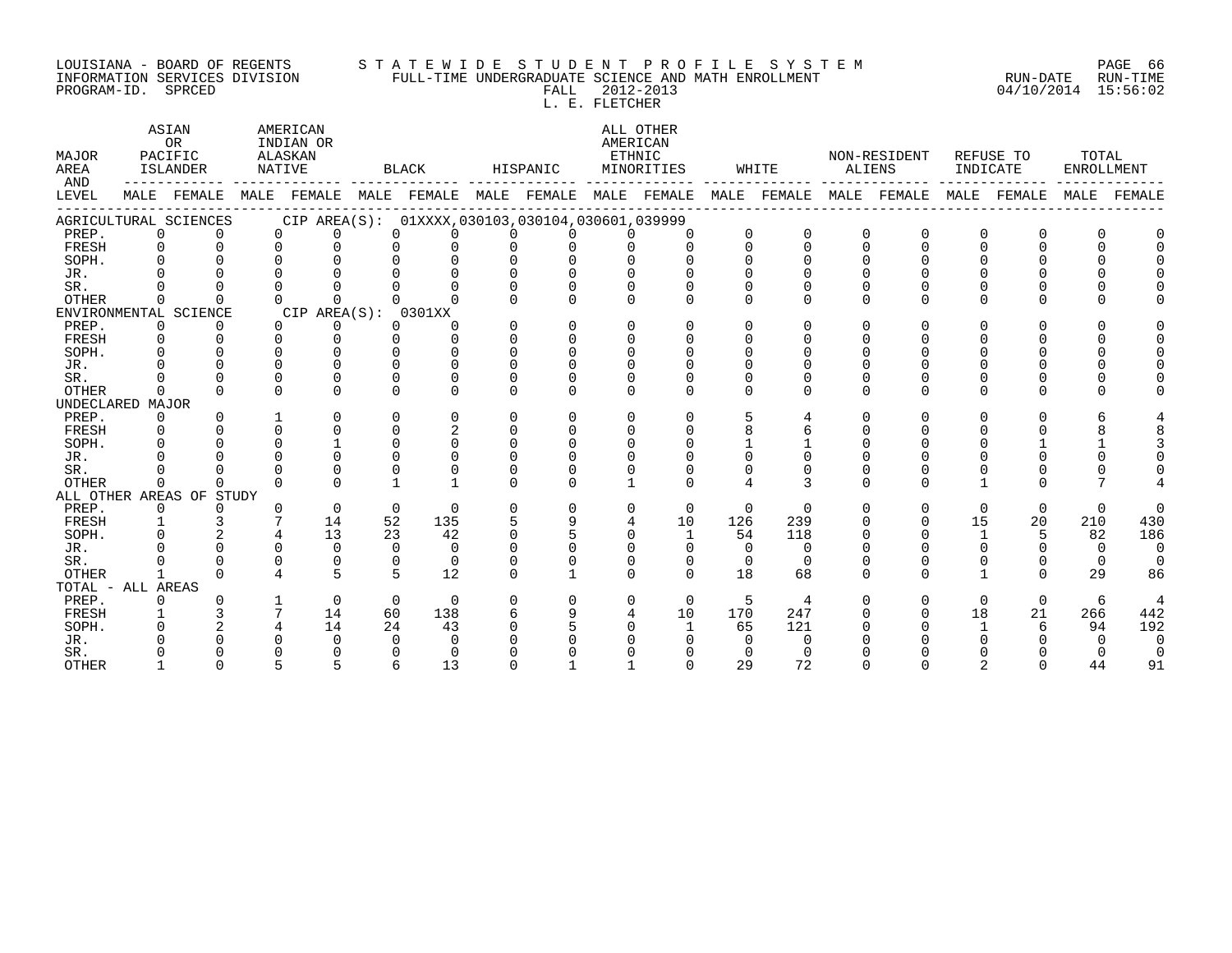#### LOUISIANA - BOARD OF REGENTS S T A T E W I D E S T U D E N T P R O F I L E S Y S T E M PAGE 66 INFORMATION SERVICES DIVISION FULL-TIME UNDERGRADUATE SCIENCE AND MATH ENROLLMENT RUN-DATE RUN-TIME PROGRAM-ID. SPRCED FALL 2012-2013 04/10/2014 15:56:02

L. E. FLETCHER

| MAJOR<br>AREA<br>AND | ASIAN<br>AMERICAN<br>OR<br>INDIAN OR<br>PACIFIC<br>ALASKAN<br>ISLANDER<br>NATIVE<br>MALE FEMALE<br>MALE FEMALE MALE FEMALE MALE FEMALE MALE FEMALE |                          |              |                      |    | BLACK                                           |          | HISPANIC     |          | ALL OTHER<br>AMERICAN<br>ETHNIC<br>MINORITIES |              | WHITE          | ALIENS   | NON-RESIDENT            | INDICATE     | REFUSE TO   | TOTAL<br>ENROLLMENT |          |
|----------------------|----------------------------------------------------------------------------------------------------------------------------------------------------|--------------------------|--------------|----------------------|----|-------------------------------------------------|----------|--------------|----------|-----------------------------------------------|--------------|----------------|----------|-------------------------|--------------|-------------|---------------------|----------|
| LEVEL                |                                                                                                                                                    |                          |              |                      |    |                                                 |          |              |          |                                               |              |                |          | MALE FEMALE MALE FEMALE |              | MALE FEMALE | MALE                | FEMALE   |
|                      |                                                                                                                                                    | AGRICULTURAL SCIENCES    |              |                      |    | CIP AREA(S): 01XXXX,030103,030104,030601,039999 |          |              |          |                                               |              |                |          |                         |              |             |                     |          |
| PREP.                | $\overline{0}$                                                                                                                                     | $\Omega$                 |              | $\Omega$<br>$\Omega$ |    | $\Omega$<br>0                                   | $\Omega$ |              | $\Omega$ | $\Omega$                                      | $\Omega$     | 0              |          | $\Omega$                | 0            | $\Omega$    |                     |          |
| FRESH                | $\Omega$                                                                                                                                           | $\Omega$                 | $\Omega$     | $\Omega$             |    | $\Omega$<br>$\Omega$                            | $\Omega$ | $\Omega$     | $\Omega$ | $\Omega$                                      | $\Omega$     | $\Omega$       | $\cap$   | $\cap$                  | $\cap$       | $\Omega$    |                     |          |
| SOPH.                |                                                                                                                                                    |                          |              |                      |    | $\Omega$                                        | $\Omega$ |              |          |                                               | $\cap$       | $\Omega$       |          |                         |              |             |                     |          |
| JR.                  |                                                                                                                                                    |                          |              |                      |    |                                                 |          |              |          |                                               |              | $\Omega$       |          |                         |              |             |                     |          |
| SR.                  |                                                                                                                                                    |                          |              |                      |    |                                                 |          |              |          |                                               |              | $\Omega$       |          |                         |              |             |                     |          |
| <b>OTHER</b>         | 0                                                                                                                                                  | $\cap$                   | $\Omega$     | $\cap$               |    |                                                 |          |              |          | $\cap$                                        | $\cap$       | $\Omega$       | $\cap$   | $\cap$                  | U            | $\Omega$    |                     |          |
|                      |                                                                                                                                                    | ENVIRONMENTAL SCIENCE    |              | CIP AREA(S): 0301XX  |    |                                                 |          |              |          |                                               |              |                |          |                         |              |             |                     |          |
| PREP.                | $\mathbf 0$                                                                                                                                        | $\Omega$                 | $\Omega$     | 0                    |    | $\mathbf 0$<br>0                                | $\Omega$ | $\Omega$     | $\Omega$ | $\Omega$                                      | $\Omega$     | $\Omega$       | $\Omega$ | $\Omega$                | U            | ∩           |                     |          |
| FRESH                | $\overline{0}$                                                                                                                                     | $\Omega$                 | $\Omega$     | $\Omega$             |    | $\Omega$<br>$\Omega$                            | $\Omega$ | $\Omega$     | $\Omega$ | $\Omega$                                      | 0            | $\Omega$       |          | U                       |              |             |                     |          |
| SOPH.                |                                                                                                                                                    | $\cap$                   | $\cap$       | $\cap$               |    | $\cap$<br>U                                     | U        |              | $\cap$   | $\cap$                                        | <sup>n</sup> |                |          |                         |              |             |                     |          |
| JR.                  |                                                                                                                                                    | $\Omega$                 | $\cap$       | $\cap$               |    | $\cap$<br>$\cap$                                | $\cap$   |              |          |                                               | <sup>n</sup> |                |          |                         |              |             |                     |          |
| SR.                  |                                                                                                                                                    | $\Omega$                 | $\Omega$     |                      |    | $\Omega$                                        | O        |              |          |                                               | $\Omega$     | $\Omega$       |          |                         |              |             |                     |          |
| OTHER                | 0                                                                                                                                                  | $\Omega$                 | $\Omega$     | $\cap$               |    | $\cap$<br>$\Omega$                              | $\cap$   | $\Omega$     | $\cap$   | $\Omega$                                      | $\cap$       | $\Omega$       | $\Omega$ | $\cap$                  | <sup>n</sup> | $\Omega$    |                     |          |
| UNDECLARED MAJOR     |                                                                                                                                                    |                          |              |                      |    |                                                 |          |              |          |                                               |              |                |          |                         |              |             |                     |          |
| PREP.                | $\Omega$                                                                                                                                           | $\Omega$                 |              | $\Omega$             |    | $\Omega$<br>$\Omega$                            | $\Omega$ | $\Omega$     | $\Omega$ | $\cap$                                        | 5            | 4              |          | U                       | U            | U           |                     |          |
| FRESH                |                                                                                                                                                    |                          | $\Omega$     | $\Omega$             |    | $\overline{2}$<br>$\Omega$                      | $\Omega$ | $\Omega$     | $\Omega$ | $\cap$                                        | 8            |                |          |                         |              |             |                     |          |
| SOPH.                |                                                                                                                                                    |                          | $\Omega$     |                      |    | $\Omega$<br>$\Omega$                            | $\Omega$ |              |          |                                               |              |                |          |                         |              |             |                     |          |
| JR.                  |                                                                                                                                                    |                          |              |                      |    | $\cap$                                          |          |              |          |                                               |              |                |          |                         |              |             |                     |          |
| SR.                  |                                                                                                                                                    |                          | $\cap$       |                      |    | $\Omega$                                        |          |              |          |                                               |              |                |          |                         |              |             |                     |          |
| <b>OTHER</b>         | $\Omega$                                                                                                                                           | $\Omega$                 | $\cap$       | $\cap$               |    |                                                 | $\cap$   | <sup>n</sup> |          | $\Omega$                                      | 4            | 3              | $\cap$   | $\cap$                  |              | $\Omega$    |                     |          |
|                      |                                                                                                                                                    | ALL OTHER AREAS OF STUDY |              |                      |    |                                                 |          |              |          |                                               |              |                |          |                         |              |             |                     |          |
| PREP.                | 0                                                                                                                                                  | $\Omega$                 | $\Omega$     | $\Omega$             |    | $\Omega$<br>$\Omega$                            | $\Omega$ | $\Omega$     | $\Omega$ | $\Omega$                                      | $\Omega$     | $\Omega$       | $\Omega$ | $\Omega$                | $\Omega$     | $\Omega$    | $\Omega$            | $\Omega$ |
| FRESH                | $\mathbf{1}$                                                                                                                                       | 3                        |              | 14                   | 52 | 135                                             | 5        | 9            |          | 10                                            | 126          | 239            |          | 0                       | 15           | 20          | 210                 | 430      |
| SOPH.                |                                                                                                                                                    |                          |              | 13                   | 23 | 42                                              | $\cap$   |              | $\cap$   | $\mathbf{1}$                                  | 54           | 118            |          |                         | $\mathbf{1}$ | 5           | 82                  | 186      |
| JR.                  |                                                                                                                                                    |                          | $\Omega$     | $\Omega$             |    | $\Omega$<br>$\Omega$                            |          |              |          | $\Omega$                                      | $\Omega$     | $\Omega$       |          |                         |              |             | $\Omega$            | $\Omega$ |
| SR.                  |                                                                                                                                                    |                          | $\Omega$     | $\Omega$             |    | $\Omega$<br>$\Omega$                            | O        |              |          | $\Omega$                                      | $\Omega$     | $\Omega$       |          |                         |              | 0           | $\Omega$            |          |
| <b>OTHER</b>         |                                                                                                                                                    | $\cap$                   |              | 5                    |    | 5<br>12                                         | U        |              |          | $\Omega$                                      | 18           | 68             |          | $\cap$                  |              | $\Omega$    | 29                  | 86       |
| TOTAL - ALL AREAS    |                                                                                                                                                    |                          |              |                      |    |                                                 |          |              |          |                                               |              |                |          |                         |              |             |                     |          |
| PREP.                |                                                                                                                                                    |                          | $\mathbf{1}$ | $\Omega$             |    | $\Omega$<br>$\Omega$                            | $\Omega$ | $\Omega$     | $\Omega$ | $\Omega$                                      | -5           | $\overline{4}$ |          | $\Omega$                | $\Omega$     | $\Omega$    | 6                   | 4        |
| FRESH                | $\mathbf{1}$                                                                                                                                       |                          |              | 14                   | 60 | 138                                             | 6        | 9            | 4        | 10                                            | 170          | 247            |          | 0                       | 18           | 21          | 266                 | 442      |
| SOPH.                |                                                                                                                                                    |                          |              | 14                   | 24 | 43                                              | ∩        |              |          | $\mathbf{1}$                                  | 65           | 121            |          |                         |              | 6           | 94                  | 192      |
| JR.                  |                                                                                                                                                    |                          |              | $\Omega$             |    | $\Omega$<br>$\Omega$                            |          |              |          |                                               | $\Omega$     | $\Omega$       |          |                         |              |             |                     | $\Omega$ |
| SR.                  |                                                                                                                                                    |                          |              | $\Omega$             |    | $\Omega$                                        |          |              |          |                                               | $\Omega$     | $\Omega$       |          |                         |              |             |                     | $\Omega$ |
| <b>OTHER</b>         |                                                                                                                                                    |                          |              |                      |    | 13<br>6                                         |          |              |          |                                               | 29           | 72             |          |                         |              |             | 44                  | 91       |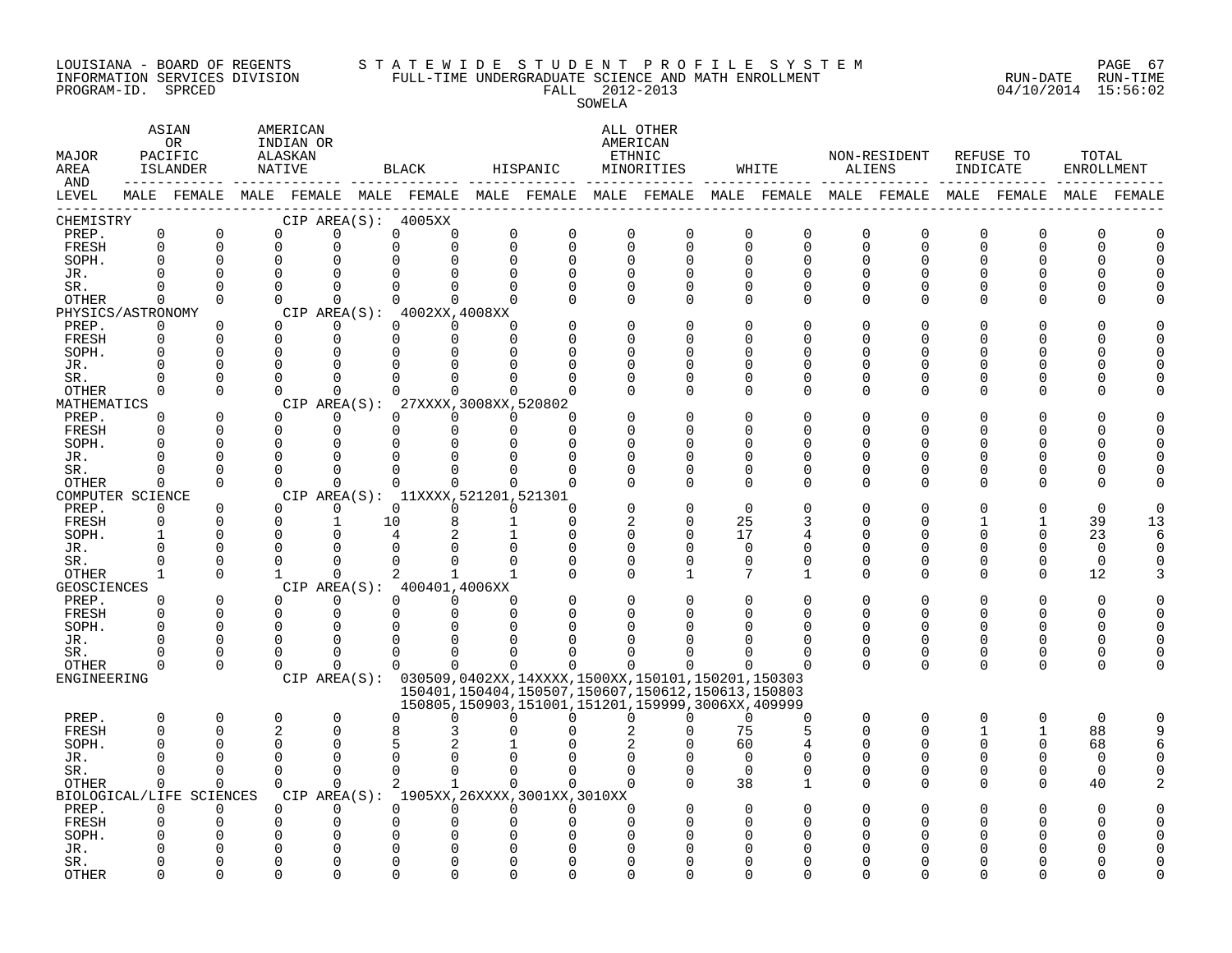#### LOUISIANA - BOARD OF REGENTS S T A T E W I D E S T U D E N T P R O F I L E S Y S T E M PAGE 67 INFORMATION SERVICES DIVISION FULL-TIME UNDERGRADUATE SCIENCE AND MATH ENROLLMENT RUN-DATE RUN-TIME PROGRAM-ID. SPRCED FALL 2012-2013 04/10/2014 15:56:02

### SOWELA

| MAJOR<br>AREA<br>AND |          | ASIAN<br>0 <sub>R</sub><br>PACIFIC<br>ISLANDER<br>------------- |              | AMERICAN<br>INDIAN OR<br>ALASKAN<br>NATIVE |                      | BLACK                                                        |                                                 | HISPANIC                                                                                                    |                         | ALL OTHER<br>AMERICAN<br>ETHNIC<br>MINORITIES |                            | WHITE                      | ALIENS                  | NON-RESIDENT  | INDICATE     | REFUSE TO        | TOTAL<br>ENROLLMENT  |          |
|----------------------|----------|-----------------------------------------------------------------|--------------|--------------------------------------------|----------------------|--------------------------------------------------------------|-------------------------------------------------|-------------------------------------------------------------------------------------------------------------|-------------------------|-----------------------------------------------|----------------------------|----------------------------|-------------------------|---------------|--------------|------------------|----------------------|----------|
| LEVEL                |          |                                                                 |              |                                            |                      |                                                              |                                                 | MALE FEMALE MALE FEMALE MALE FEMALE MALE FEMALE MALE FEMALE MALE FEMALE MALE FEMALE MALE FEMALE MALE FEMALE |                         |                                               |                            |                            |                         |               |              |                  |                      |          |
| CHEMISTRY            |          |                                                                 |              |                                            |                      | CIP AREA(S): 4005XX                                          |                                                 |                                                                                                             |                         |                                               |                            |                            |                         |               |              |                  |                      |          |
| PREP.<br>FRESH       | 0<br>0   | $\mathbf 0$<br>$\mathbf 0$                                      |              | $\Omega$<br>$\mathbf 0$                    | $\Omega$<br>$\Omega$ | 0<br>$\Omega$                                                | $\mathsf{O}$<br>0<br>$\mathbf 0$<br>$\mathbf 0$ | $\mathbf 0$<br>$\Omega$                                                                                     | $\mathbf 0$<br>$\Omega$ | $\mathbf 0$<br>$\mathbf 0$                    | $\mathbf 0$<br>$\mathbf 0$ | $\mathbf 0$<br>$\mathbf 0$ | $\mathbf 0$<br>$\Omega$ | 0<br>$\Omega$ | 0<br>0       | $\mathbf 0$<br>0 | $\Omega$<br>$\Omega$ | U        |
| SOPH.                | 0        | $\Omega$                                                        |              | $\Omega$                                   |                      |                                                              | $\mathbf 0$<br>$\Omega$                         | $\Omega$                                                                                                    | $\Omega$                | $\Omega$                                      | $\Omega$                   | $\Omega$                   | $\Omega$                | 0             | 0            | O                |                      |          |
| JR.                  |          |                                                                 |              | $\Omega$                                   |                      | U                                                            | 0<br>$\Omega$                                   | $\Omega$                                                                                                    | $\Omega$                |                                               | $\Omega$                   |                            | $\Omega$                | U             | U            |                  |                      |          |
| SR.                  | $\Omega$ | $\Omega$                                                        |              | $\Omega$                                   | $\Omega$             | $\Omega$                                                     | $\Omega$<br>$\Omega$                            | $\Omega$                                                                                                    | $\Omega$                | $\Omega$                                      | $\Omega$                   | $\Omega$                   | $\Omega$                | U             | 0            | ∩                |                      |          |
| OTHER                | 0        | $\Omega$                                                        |              | $\Omega$                                   | $\Omega$             | $\Omega$                                                     | $\Omega$<br>$\Omega$                            |                                                                                                             | $\Omega$                | $\Omega$                                      | $\Omega$                   | $\Omega$                   | $\Omega$                | $\Omega$      | $\Omega$     | ∩                |                      |          |
| PHYSICS/ASTRONOMY    |          |                                                                 |              |                                            |                      | CIP AREA(S): 4002XX, 4008XX                                  |                                                 |                                                                                                             |                         |                                               |                            |                            |                         |               |              |                  |                      |          |
| PREP.                | $\Omega$ | $\Omega$                                                        |              | $\Omega$                                   | $\Omega$             | $\Omega$                                                     | $\Omega$<br>$\Omega$                            |                                                                                                             | $\Omega$                | $\Omega$                                      | $\Omega$                   | n                          | $\Omega$                | 0             | 0            |                  |                      |          |
| FRESH                | $\Omega$ | $\Omega$                                                        |              | $\Omega$                                   | $\mathbf 0$          | $\Omega$                                                     | $\Omega$<br>$\Omega$                            | $\Omega$                                                                                                    | $\Omega$                | O                                             | U                          |                            | $\Omega$                | U             | 0            |                  |                      |          |
| SOPH.                |          | $\Omega$                                                        |              | $\Omega$                                   | $\Omega$             | $\Omega$                                                     | $\Omega$<br>$\Omega$                            | $\Omega$                                                                                                    | 0                       | O                                             | $\Omega$                   |                            | O                       | 0             | 0            |                  |                      |          |
| JR.                  |          | $\Omega$                                                        | $\Omega$     |                                            | $\Omega$             | $\Omega$                                                     | $\Omega$<br>$\Omega$                            |                                                                                                             | $\Omega$                | $\Omega$                                      | $\Omega$                   |                            | $\Omega$                |               | U            |                  |                      |          |
| SR.                  |          | $\Omega$                                                        |              | $\Omega$                                   | $\Omega$             | $\Omega$                                                     | $\Omega$<br>$\Omega$                            |                                                                                                             | $\Omega$                | $\Omega$                                      | $\Omega$                   | ∩                          | $\Omega$                | U             | O            | ∩                |                      |          |
| OTHER                | 0        | $\Omega$                                                        |              | $\Omega$                                   | $\Omega$             | $\Omega$                                                     | $\Omega$<br>$\Omega$                            |                                                                                                             |                         | $\Omega$                                      | $\Omega$                   | ∩                          | $\Omega$                | 0             | O            | $\Omega$         |                      |          |
| MATHEMATICS<br>PREP. | 0        | $\Omega$                                                        |              | $\Omega$                                   | $\Omega$             | CIP AREA(S): 27XXXX, 3008XX, 520802<br>$\Omega$              | $\Omega$<br>$\Omega$                            |                                                                                                             |                         | $\Omega$                                      | $\Omega$                   |                            | $\Omega$                | 0             | 0            |                  |                      |          |
| FRESH                |          | $\Omega$                                                        |              | $\Omega$                                   | $\Omega$             | $\Omega$                                                     | 0<br>$\mathbf 0$                                | $\Omega$                                                                                                    | <sup>n</sup>            | $\Omega$                                      | O                          |                            | $\Omega$                | U             | 0            |                  |                      |          |
| SOPH.                |          | $\cap$                                                          |              | $\Omega$                                   | ∩                    | $\Omega$                                                     | $\Omega$<br>$\Omega$                            | $\Omega$                                                                                                    | $\Omega$                | U                                             | $\cap$                     |                            | ∩                       | ∩             | U            |                  |                      |          |
| JR.                  |          | $\Omega$                                                        | $\Omega$     |                                            | $\Omega$             | $\Omega$                                                     | $\Omega$                                        | $\Omega$                                                                                                    | $\Omega$                | O                                             | $\Omega$                   | ∩                          | O                       | U             | 0            |                  |                      |          |
| SR.                  | O        | $\Omega$                                                        |              | $\Omega$                                   | $\mathbf 0$          | $\Omega$                                                     | 0<br>$\Omega$                                   |                                                                                                             | $\Omega$                | 0                                             | $\Omega$                   | 0                          | $\Omega$                | 0             | 0            | 0                |                      |          |
| OTHER                | 0        | $\Omega$                                                        |              | $\Omega$                                   | $\Omega$             | $\Omega$                                                     | $\Omega$<br>$\Omega$                            | $\Omega$                                                                                                    | $\Omega$                | O                                             | $\Omega$                   | $\Omega$                   | $\Omega$                | $\Omega$      | 0            | ∩                |                      |          |
| COMPUTER SCIENCE     |          |                                                                 |              |                                            |                      | CIP AREA(S): 11XXXX, 521201, 521301                          |                                                 |                                                                                                             |                         |                                               |                            |                            |                         |               |              |                  |                      |          |
| PREP.                | $\Omega$ | $\Omega$                                                        |              | $\Omega$                                   | $\Omega$             | $\Omega$                                                     | $\Omega$<br>$\Omega$                            | $\Omega$                                                                                                    | $\Omega$                | $\Omega$                                      | $\Omega$                   |                            |                         |               |              |                  | ∩                    |          |
| FRESH                | $\Omega$ | $\Omega$                                                        |              | $\Omega$                                   | $\mathbf{1}$         | 10                                                           | 8<br>$\mathbf{1}$                               | $\Omega$                                                                                                    | 2                       | $\Omega$                                      | 25                         | 3                          | ∩                       | U             |              |                  | 39                   | 13       |
| SOPH.                |          | $\Omega$                                                        |              | $\Omega$                                   |                      | 4                                                            | 2                                               | $\Omega$                                                                                                    | $\Omega$                | $\Omega$                                      | 17                         |                            | ∩                       | U             | 0            | $\Omega$         | 23                   | 6        |
| JR.                  | ∩        | $\Omega$                                                        |              | $\Omega$                                   | 0                    | 0                                                            | 0<br>0                                          | 0                                                                                                           | 0                       | 0                                             | 0                          | $\Omega$                   | 0                       | 0             | 0            | $\Omega$         | 0                    |          |
| SR.                  |          | $\Omega$                                                        |              | $\Omega$                                   | $\Omega$             | $\Omega$                                                     | $\Omega$<br>$\Omega$                            |                                                                                                             | $\Omega$                | $\Omega$                                      | $\Omega$                   | $\Omega$                   | $\Omega$                | $\Omega$      | 0            | $\Omega$         | $\Omega$             |          |
| <b>OTHER</b>         | 1        | $\Omega$                                                        | $\mathbf{1}$ |                                            | $\Omega$             | $\overline{a}$<br>$\mathbf{1}$<br>CIP AREA(S): 400401,4006XX | $\mathbf{1}$                                    | $\Omega$                                                                                                    | $\Omega$                | $\mathbf{1}$                                  | 7                          | -1                         | $\Omega$                | $\Omega$      | $\Omega$     | $\Omega$         | 12                   |          |
| GEOSCIENCES<br>PREP. | $\Omega$ | $\Omega$                                                        |              | $\Omega$                                   | $\Omega$             | $\Omega$                                                     | $\Omega$<br>$\Omega$                            |                                                                                                             | $\Omega$                | $\Omega$                                      | $\Omega$                   |                            | $\Omega$                |               | 0            |                  | $\Omega$             |          |
| FRESH                | $\Omega$ | $\Omega$                                                        |              | $\mathbf 0$                                | 0                    | 0                                                            | 0<br>$\mathbf 0$                                | $\Omega$                                                                                                    | $\Omega$                | O                                             | U                          | ∩                          | $\Omega$                | 0             | 0            | $\Omega$         | <sup>0</sup>         |          |
| SOPH.                | ∩        | $\Omega$                                                        |              | $\Omega$                                   | $\Omega$             | $\Omega$                                                     | $\Omega$<br>$\Omega$                            |                                                                                                             |                         |                                               |                            |                            | $\Omega$                | ∩             | O            |                  |                      |          |
| JR.                  | U        | $\Omega$                                                        |              | $\Omega$                                   | $\Omega$             | $\Omega$                                                     | $\Omega$<br>$\Omega$                            | $\cap$                                                                                                      | U                       |                                               |                            |                            | $\Omega$                | 0             | 0            | $\Omega$         | <sup>0</sup>         |          |
| SR.                  |          | $\Omega$                                                        |              | $\cap$                                     | $\Omega$             | $\Omega$                                                     | $\Omega$<br>$\Omega$                            |                                                                                                             |                         |                                               |                            |                            | $\Omega$                | 0             | 0            | 0                | $\Omega$             |          |
| OTHER                | 0        | $\Omega$                                                        |              | $\Omega$                                   | ∩                    | $\Omega$                                                     | $\Omega$<br>$\Omega$                            | $\Omega$                                                                                                    | $\cap$                  | ∩                                             |                            |                            | $\Omega$                | $\Omega$      | $\Omega$     | $\Omega$         | $\cap$               |          |
| ENGINEERING          |          |                                                                 |              |                                            |                      |                                                              |                                                 | CIP AREA(S): 030509,0402XX,14XXXX,1500XX,150101,150201,150303                                               |                         |                                               |                            |                            |                         |               |              |                  |                      |          |
|                      |          |                                                                 |              |                                            |                      |                                                              |                                                 | 150401, 150404, 150507, 150607, 150612, 150613, 150803<br>150805,150903,151001,151201,159999,3006XX,409999  |                         |                                               |                            |                            |                         |               |              |                  |                      |          |
| PREP.                | $\Omega$ | $\mathbf 0$                                                     |              | $\Omega$                                   | $\Omega$             | $\Omega$                                                     | $\Omega$<br>$\Omega$                            | $\Omega$                                                                                                    | $\Omega$                | $\Omega$                                      | $\Omega$                   | $\Omega$                   | $\Omega$                | $\Omega$      | $\Omega$     | $\Omega$         | $\Omega$             | $\Omega$ |
| FRESH                | $\Omega$ | $\Omega$                                                        |              | $\overline{2}$                             | $\Omega$             | 8                                                            | 3                                               |                                                                                                             |                         | U                                             | 75                         | 5                          | ∩                       | $\Omega$      | $\mathbf{1}$ | $\mathbf{1}$     | 88                   | 9        |
| SOPH.                |          |                                                                 |              | $\Omega$                                   | $\Omega$             | 5                                                            |                                                 |                                                                                                             |                         |                                               | 60                         |                            | O                       | U             | 0            | 0                | 68                   |          |
| JR.                  |          | n                                                               |              | $\Omega$                                   | $\Omega$             | $\Omega$                                                     | $\Omega$<br>$\Omega$                            |                                                                                                             | $\Omega$                |                                               | $\Omega$                   |                            | $\Omega$                | U             | 0            | $\Omega$         | $\Omega$             |          |
| SR.                  | 0        | $\mathbf 0$                                                     |              | $\Omega$                                   | $\mathbf 0$          | $\mathbf 0$                                                  | $\mathbf 0$<br>$\Omega$                         | $\Omega$                                                                                                    | $\Omega$                | 0                                             | $\mathbf 0$                | 0                          | $\Omega$                | 0             | 0            | 0                | 0                    |          |
| <b>OTHER</b>         | 0        | $\mathbf 0$                                                     |              | $\Omega$                                   | $\Omega$             | 2                                                            | $\mathbf{1}$<br>$\Omega$                        | $\Omega$                                                                                                    | $\Omega$                | $\Omega$                                      | 38                         | $\mathbf 1$                | $\Omega$                | $\Omega$      | $\mathbf 0$  | $\mathbf 0$      | 40                   |          |
|                      |          | BIOLOGICAL/LIFE SCIENCES                                        |              | CIP AREA(S):                               |                      |                                                              |                                                 | 1905XX, 26XXXX, 3001XX, 3010XX                                                                              |                         |                                               |                            |                            |                         |               |              |                  |                      |          |
| PREP.                | 0        | 0                                                               |              | $\Omega$                                   | $\Omega$             | $\Omega$                                                     | $\Omega$<br>$\Omega$                            | $\Omega$                                                                                                    | $\Omega$                | $\Omega$                                      | $\Omega$                   |                            | $\Omega$                | 0             | O            |                  | ∩                    |          |
| FRESH                | U        | $\Omega$                                                        |              | $\Omega$                                   | 0                    | 0                                                            | 0<br>$\Omega$                                   | $\Omega$                                                                                                    | $\cap$                  | ∩                                             | ∩                          |                            | ∩                       |               | U            |                  |                      |          |
| SOPH.                |          |                                                                 |              |                                            | $\Omega$             | 0                                                            | <sup>0</sup>                                    |                                                                                                             |                         |                                               |                            |                            |                         |               |              |                  |                      |          |
| JR.                  |          |                                                                 |              |                                            | $\Omega$             |                                                              | 0                                               |                                                                                                             |                         |                                               |                            |                            |                         |               |              |                  |                      |          |
| SR.                  | ∩        | $\cap$<br>$\Omega$                                              |              | $\Omega$                                   | $\Omega$<br>$\Omega$ | U<br>$\Omega$                                                | $\Omega$<br>$\Omega$<br>$\Omega$<br>$\Omega$    | $\Omega$<br>$\Omega$                                                                                        | $\cap$<br>$\cap$        | O                                             | $\cap$<br>$\cap$           | $\cap$                     | ∩                       | U             | U            | ∩                |                      |          |
| <b>OTHER</b>         |          |                                                                 |              |                                            |                      |                                                              |                                                 |                                                                                                             |                         | $\Omega$                                      |                            |                            |                         |               |              |                  |                      |          |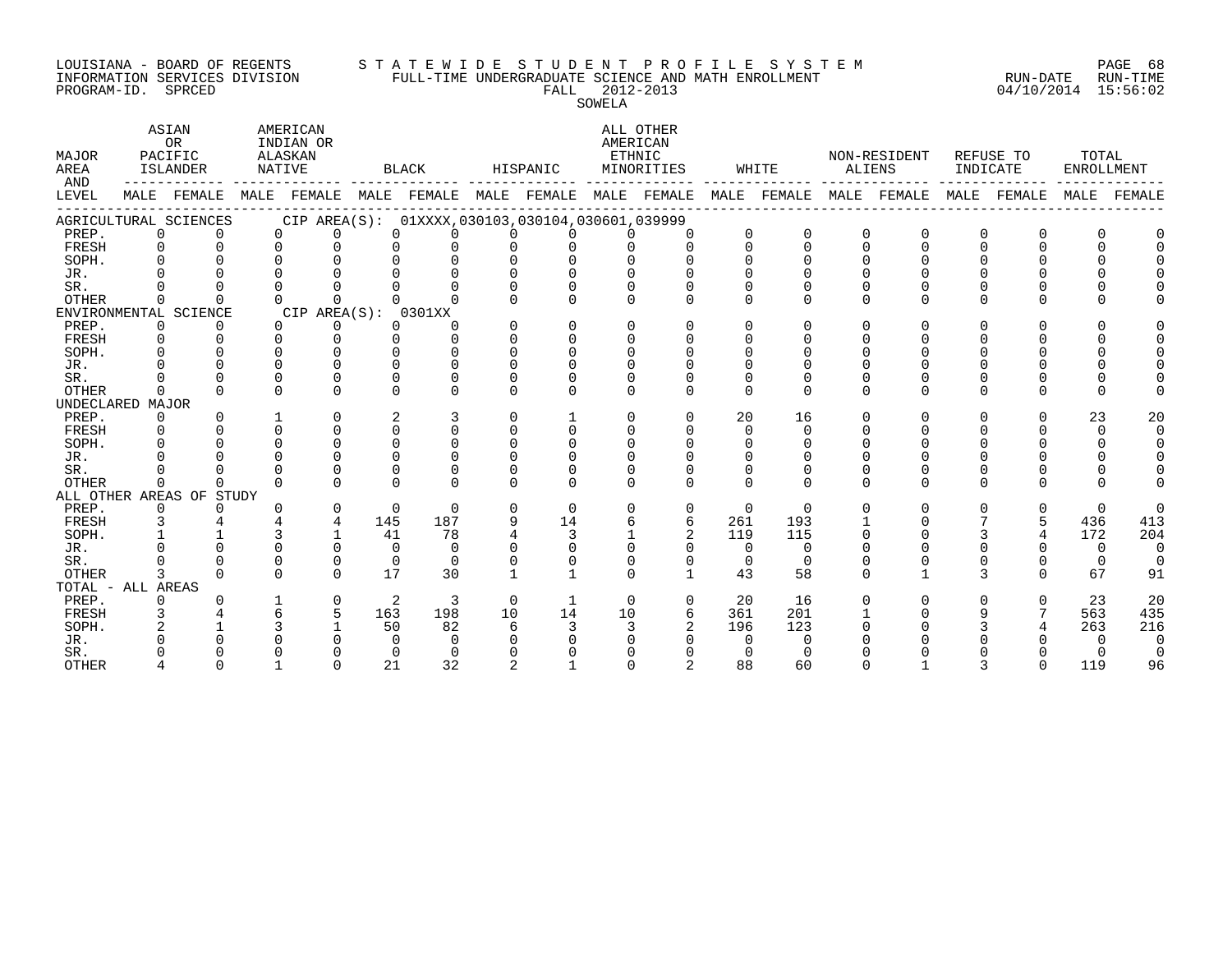#### LOUISIANA - BOARD OF REGENTS S T A T E W I D E S T U D E N T P R O F I L E S Y S T E M PAGE 68 INFORMATION SERVICES DIVISION FULL-TIME UNDERGRADUATE SCIENCE AND MATH ENROLLMENT RUN-DATE RUN-TIME PROGRAM-ID. SPRCED FALL 2012-2013 04/10/2014 15:56:02

SOWELA

| MAJOR<br>AREA<br>AND<br>LEVEL | ASIAN<br>OR<br>PACIFIC<br>ISLANDER |                          | AMERICAN<br>INDIAN OR<br>ALASKAN<br>NATIVE |              | BLACK    |                                                             | HISPANIC       |              | ALL OTHER<br>AMERICAN<br>ETHNIC<br>MINORITIES |                | WHITE    |          | NON-RESIDENT<br>ALIENS |                         | REFUSE TO<br>INDICATE |             | TOTAL<br>ENROLLMENT |                |
|-------------------------------|------------------------------------|--------------------------|--------------------------------------------|--------------|----------|-------------------------------------------------------------|----------------|--------------|-----------------------------------------------|----------------|----------|----------|------------------------|-------------------------|-----------------------|-------------|---------------------|----------------|
|                               |                                    |                          |                                            |              |          | MALE FEMALE MALE FEMALE MALE FEMALE MALE FEMALE MALE FEMALE |                |              |                                               |                |          |          |                        | MALE FEMALE MALE FEMALE |                       | MALE FEMALE |                     | MALE FEMALE    |
|                               |                                    | AGRICULTURAL SCIENCES    |                                            |              |          | CIP AREA(S): 01XXXX, 030103, 030104, 030601, 039999         |                |              |                                               |                |          |          |                        |                         |                       |             |                     |                |
| PREP.                         | $\overline{0}$                     | $\Omega$                 | $\Omega$                                   | $\Omega$     | $\Omega$ | $\Omega$                                                    | <sup>n</sup>   | $\Omega$     | $\cap$                                        | $\Omega$       | $\Omega$ | $\Omega$ | $\Omega$               |                         | $\Omega$              | 0           | <sup>0</sup>        |                |
| FRESH                         | $\Omega$                           | $\Omega$                 | $\Omega$                                   | $\Omega$     | $\Omega$ | $\Omega$                                                    | $\Omega$       | $\Omega$     | $\Omega$                                      | $\Omega$       | $\Omega$ | $\Omega$ | $\Omega$               | $\Omega$                | $\Omega$              | $\Omega$    | $\Omega$            |                |
| SOPH.                         | $\Omega$                           |                          | $\Omega$                                   | $\Omega$     | $\Omega$ | $\Omega$                                                    | $\Omega$       | $\Omega$     |                                               | $\Omega$       |          | $\Omega$ |                        |                         |                       |             |                     |                |
| JR.                           |                                    |                          |                                            |              |          |                                                             |                | $\Omega$     |                                               |                |          |          |                        |                         |                       |             |                     |                |
| SR.                           |                                    |                          |                                            |              |          |                                                             | $\Omega$       | $\Omega$     |                                               |                |          |          |                        |                         |                       |             |                     |                |
| OTHER                         | $\Omega$                           | $\Omega$                 |                                            | $\Omega$     |          |                                                             |                | $\Omega$     |                                               |                | $\Omega$ |          | $\Omega$               |                         | $\Omega$              | U           |                     |                |
|                               |                                    | ENVIRONMENTAL SCIENCE    |                                            | CIP AREA(S): |          | 0301XX                                                      |                |              |                                               |                |          |          |                        |                         |                       |             |                     |                |
| PREP.                         | 0                                  | 0                        | $\Omega$                                   | $\mathbf{0}$ | $\Omega$ | $\Omega$                                                    | $\Omega$       | 0            | 0                                             | $\Omega$       | 0        | $\Omega$ | $\Omega$               |                         | O                     |             |                     |                |
| FRESH                         | 0                                  |                          | $\Omega$                                   | $\mathbf 0$  | $\Omega$ | $\Omega$                                                    | $\Omega$       | $\Omega$     | $\Omega$                                      |                | $\Omega$ | O        | $\Omega$               |                         |                       |             |                     |                |
| SOPH.                         | $\Omega$                           |                          | $\Omega$                                   | $\Omega$     | $\Omega$ | $\cap$                                                      |                | $\Omega$     |                                               |                | $\Omega$ | U        |                        |                         |                       |             |                     |                |
| JR.                           |                                    |                          | $\Omega$                                   | $\cap$       | $\Omega$ | $\cap$                                                      | U              | U            |                                               |                |          |          |                        |                         |                       |             |                     |                |
| SR.                           |                                    | $\Omega$                 | $\Omega$                                   | $\Omega$     | $\Omega$ | $\Omega$                                                    | U              | $\Omega$     |                                               |                |          | $\Omega$ |                        |                         |                       |             |                     |                |
| OTHER                         | $\Omega$                           | $\Omega$                 | $\Omega$                                   | $\Omega$     | $\Omega$ | $\Omega$                                                    | $\Omega$       | $\Omega$     | $\Omega$                                      | $\Omega$       | $\Omega$ | $\Omega$ | $\Omega$               | $\Omega$                | $\Omega$              | U           | U                   |                |
| UNDECLARED MAJOR              |                                    |                          |                                            |              |          |                                                             |                |              |                                               |                |          |          |                        |                         |                       |             |                     |                |
| PREP.                         | $\Omega$                           | $\Omega$                 |                                            | $\Omega$     | 2        | 3                                                           | $\Omega$       |              | $\Omega$                                      | $\Omega$       | 20       | 16       | $\Omega$               | $\Omega$                | $\Omega$              | 0           | 23                  | 20             |
| FRESH                         | $\Omega$                           | $\Omega$                 | $\Omega$                                   | $\Omega$     | $\Omega$ | $\Omega$                                                    | $\Omega$       | $\Omega$     | $\cap$                                        | $\Omega$       | $\Omega$ | $\Omega$ | $\cap$                 |                         |                       |             | $\Omega$            | $\Omega$       |
| SOPH.                         |                                    |                          | $\Omega$                                   | $\Omega$     | $\Omega$ | $\Omega$                                                    | $\Omega$       | $\Omega$     | $\Omega$                                      | $\Omega$       | $\Omega$ | $\Omega$ |                        |                         |                       |             | <sup>0</sup>        | 0              |
| JR.                           |                                    |                          |                                            | $\Omega$     | $\Omega$ | $\cap$                                                      | <sup>n</sup>   | $\Omega$     |                                               |                |          |          |                        |                         |                       |             |                     | $\Omega$       |
| SR.                           |                                    |                          |                                            | $\Omega$     |          | $\Omega$                                                    |                | <sup>0</sup> |                                               |                | $\Omega$ |          | 0                      |                         | $\Omega$              |             |                     |                |
| <b>OTHER</b>                  | $\Omega$                           | <sup>n</sup>             | $\Omega$                                   | $\Omega$     | $\cap$   | $\cap$                                                      | $\Omega$       | $\cap$       | $\cap$                                        | $\cap$         | $\cap$   | $\Omega$ | $\Omega$               | $\cap$                  | $\cap$                | Λ           | U                   |                |
|                               |                                    | ALL OTHER AREAS OF STUDY |                                            |              |          |                                                             |                |              |                                               |                |          |          |                        |                         |                       |             |                     |                |
| PREP.                         | 0                                  | $\Omega$                 |                                            | $\mathbf 0$  | $\Omega$ | $\Omega$                                                    | $\Omega$       | $\Omega$     | $\Omega$                                      | $\mathbf 0$    | $\Omega$ | $\Omega$ | $\Omega$               | $\Omega$                | $\Omega$              | 0           | $\Omega$            | $\Omega$       |
| FRESH                         | 3                                  |                          |                                            | 4            | 145      | 187                                                         | 9              | 14           | 6                                             | 6              | 261      | 193      |                        |                         |                       | 5           | 436                 | 413            |
| SOPH.                         |                                    |                          |                                            | $\mathbf{1}$ | 41       | 78                                                          | 4              | 3            |                                               |                | 119      | 115      | $\Omega$               |                         |                       | 4           | 172                 | 204            |
| JR.                           |                                    |                          |                                            | $\Omega$     | $\Omega$ | $\Omega$                                                    | U              | $\Omega$     | $\Omega$                                      | $\Omega$       | $\Omega$ | $\Omega$ |                        |                         |                       |             | $\Omega$            | $\Omega$       |
| SR.                           |                                    |                          | $\Omega$                                   | $\Omega$     | $\Omega$ | $\Omega$                                                    | O              | $\Omega$     |                                               | $\Omega$       | $\Omega$ | $\Omega$ |                        |                         |                       |             | $\Omega$            | $\Omega$       |
| OTHER                         | 3                                  | <sup>n</sup>             | $\Omega$                                   | $\cap$       | 17       | 30                                                          |                |              | $\cap$                                        |                | 43       | 58       | $\Omega$               |                         | 3                     | 0           | 67                  | 91             |
| TOTAL - ALL AREAS             |                                    |                          |                                            |              |          |                                                             |                |              |                                               |                |          |          |                        |                         |                       |             |                     |                |
| PREP.                         | 0                                  |                          |                                            | $\mathbf 0$  | 2        | 3                                                           | $\Omega$       |              | $\Omega$                                      | $\Omega$       | 20       | 16       | $\Omega$               |                         | U                     | 0           | 23                  | 20             |
| FRESH                         | 3                                  |                          |                                            | 5            | 163      | 198                                                         | 10             | 14           | 10                                            | 6              | 361      | 201      |                        |                         | 9                     |             | 563                 | 435            |
| SOPH.                         |                                    |                          |                                            |              | 50       | 82                                                          | 6              | 3            | 3                                             | $\overline{2}$ | 196      | 123      |                        |                         |                       |             | 263                 | 216            |
| JR.                           |                                    |                          |                                            |              | $\Omega$ | $\Omega$                                                    |                |              |                                               |                | $\Omega$ | $\Omega$ |                        |                         |                       |             | $\Omega$            | 0              |
| SR.                           |                                    |                          |                                            |              | $\Omega$ | $\Omega$                                                    |                |              |                                               |                |          | $\Omega$ |                        |                         |                       |             | 0                   | $\overline{0}$ |
| <b>OTHER</b>                  |                                    |                          |                                            | $\Omega$     | 21       | 32                                                          | $\mathfrak{D}$ |              |                                               |                | 88       | 60       |                        |                         |                       |             | 119                 | 96             |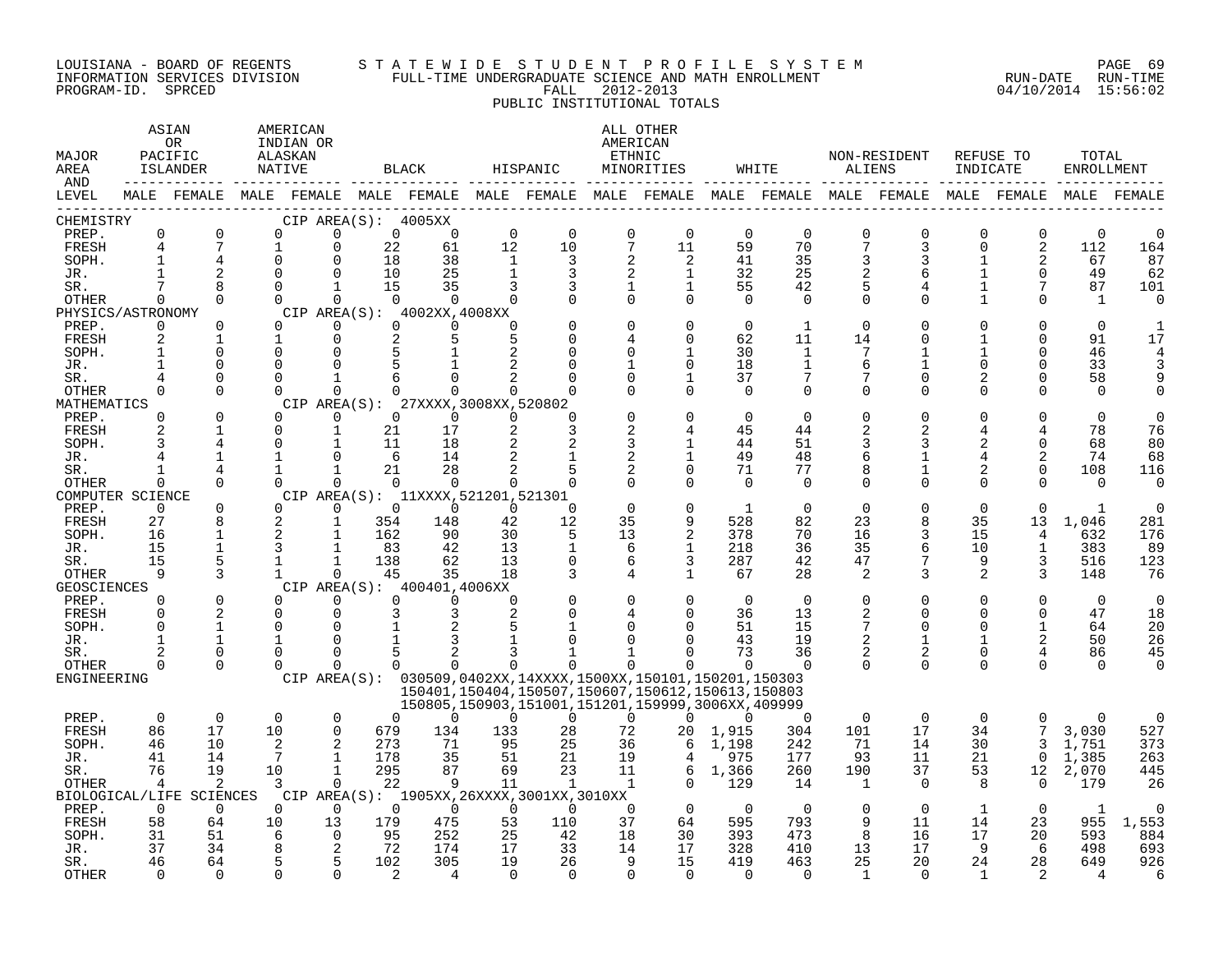#### LOUISIANA - BOARD OF REGENTS S T A T E W I D E S T U D E N T P R O F I L E S Y S T E M PAGE 69 INFORMATION SERVICES DIVISION FULL-TIME UNDERGRADUATE SCIENCE AND MATH ENROLLMENT RUN-DATE RUN-TIME PROGRAM-ID. SPRCED FALL 2012-2013 04/10/2014 15:56:02 PUBLIC INSTITUTIONAL TOTALS

#### ASTAN AMERICAN AMERICAN ANG ASTANG ATA ATA ATA ATA ATA ATA ANG ASTANG AMERICAN A OR INDIAN OR **INDIAN OR** AMERICAN MAJOR PACIFIC ALASKAN ETHNIC NON-RESIDENT REFUSE TO TOTAL AREA ISLANDER NATIVE BLACK HISPANIC MINORITIES WHITE ALIENS INDICATE ENROLLMENT AND ------------ ------------- ------------- ------------- ------------- ------------- ------------- ------------- ------------- LEVEL MALE FEMALE MALE FEMALE MALE FEMALE MALE FEMALE MALE FEMALE MALE FEMALE MALE FEMALE MALE FEMALE MALE FEMALE ------------------------------------------------------------------------------------------------------------------------------------ CHEMISTRY CIP AREA(S): 4005XX PREP. 0 0 0 0 0 0 0 0 0 0 0 0 0 0 0 0 0 0 FRESH 4 7 1 0 22 61 12 10 7 11 59 70 7 3 0 2 112 164 SOPH. 1 4 0 0 18 38 1 3 2 2 41 35 3 3 1 2 67 87 JR. 1 2 0 0 10 25 1 3 2 1 32 25 2 6 1 0 49 62 SR. 7 8 0 1 15 35 3 3 1 1 55 42 5 4 1 7 87 101 OTHER 0 0 0 0 0 0 0 0 0 0 0 0 0 0 1 0 1 0 PHYSICS/ASTRONOMY CIP AREA(S): 4002XX,4008XX<br>
PREP. 0 0 0 0 0 0 PREP. 0 0 0 0 0 0 0 0 0 0 0 1 0 0 0 0 0 1 FRESH 2 1 1 0 2 5 5 0 4 0 62 11 14 0 1 0 91 17 SOPH. 1 0 0 0 5 1 2 0 0 1 30 1 7 1 1 0 46 4 JR. 1 0 0 0 5 1 2 0 1 0 18 1 6 1 0 0 33 3 SR. 4 0 0 1 6 0 2 0 0 1 37 7 7 0 2 0 58 9 OTHER 0 0 0 0 0 0 0 0 0 0 0 0 0 0 0 0 0 0 MATHEMATICS CIP AREA(S): 27XXXX,3008XX,520802<br>
PREP. 0 0 0 0 0 0 0 0 PREP. 0 0 0 0 0 0 0 0 0 0 0 0 0 0 0 0 0 0 FRESH 2 1 0 1 21 17 2 3 2 4 45 44 2 2 4 4 78 76 SOPH. 3 4 0 1 11 18 2 2 3 1 44 51 3 3 2 0 68 80 JR. 4 1 1 0 6 14 2 1 2 1 49 48 6 1 4 2 74 68 SR. 1 4 1 1 21 28 2 5 2 0 71 77 8 1 2 0 108 116 OTHER 0 0 0 0 0 0 0 0 0 0 0 0 0 0 0 0 0 0 COMPUTER SCIENCE CIP AREA(S): 11XXXX,521201,521301<br>
PREP. 0 0 0 0 0 0 0 PREP. 0 0 0 0 0 0 0 0 0 0 1 0 0 0 0 0 1 0 FRESH 27 8 2 1 354 148 42 12 35 9 528 82 23 8 35 13 1,046 281 SOPH. 16 1 2 1 162 90 30 5 13 2 378 70 16 3 15 4 632 176 JR. 15 1 3 1 83 42 13 1 6 1 218 36 35 6 10 1 383 89 SR. 15 5 1 1 138 62 13 0 6 3 287 42 47 7 9 3 516 123 OTHER 9 3 1 0 45 35 18 3 4 1 67 28 2 3 2 3 148 76 GEOSCIENCES CIP AREA(S): 400401,4006XX<br>
PREP. 0 0 0 0 0 0 0 PREP. 0 0 0 0 0 0 0 0 0 0 0 0 0 0 0 0 0 0 FRESH 0 2 0 0 3 3 2 0 4 0 36 13 2 0 0 0 47 18 SOPH. 0 1 0 0 1 2 5 1 0 0 51 15 7 0 0 1 64 20 JR. 1 1 1 0 1 3 1 0 0 0 43 19 2 1 1 2 50 26 SR. 2 0 0 0 5 2 3 1 1 0 73 36 2 2 0 4 86 45 OTHER 0 0 0 0 0 0 0 0 0 0 0 0 0 0 0 0 0 0 ENGINEERING CIP AREA(S): 030509,0402XX,14XXXX,1500XX,150101,150201,150303 150401,150404,150507,150607,150612,150613,150803 150805,150903,151001,151201,159999,3006XX,409999 PREP. 0 0 0 0 0 0 0 0 0 0 0 0 0 0 0 0 0 0 FRESH 86 17 10 0 679 134 133 28 72 20 1,915 304 101 17 34 7 3,030 527 SOPH. 46 10 2 2 273 71 95 25 36 6 1,198 242 71 14 30 3 1,751 373 JR. 41 14 7 1 178 35 51 21 19 4 975 177 93 11 21 0 1,385 263 SR. 76 19 10 1 295 87 69 23 11 6 1,366 260 190 37 53 12 2,070 445 OTHER 4 2 3 0 22 9 11 1 1 0 129 14 1 0 8 0 179 26 BIOLOGICAL/LIFE SCIENCES CIP AREA(S): 1905XX,26XXXX,3001XX,3010XX PREP. 0 0 0 0 0 0 0 0 0 0 0 0 0 0 1 0 1 0 FRESH 58 64 10 13 179 475 53 110 37 64 595 793 9 11 14 23 955 1,553 SOPH. 31 51 6 0 95 252 25 42 18 30 393 473 8 16 17 20 593 884 JR. 37 34 8 2 72 174 17 33 14 17 328 410 13 17 9 6 498 693

SR. 46 64 5 5 102 305 19 26 9 15 419 463 25 20 24 28 649 926 OTHER 0 0 0 0 2 4 0 0 0 0 0 0 1 0 1 2 4 6